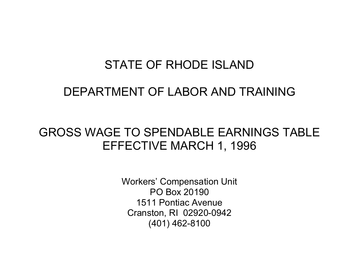# STATE OF RHODE ISLAND

# DEPARTMENT OF LABOR AND TRAINING

# GROSS WAGE TO SPENDABLE EARNINGS TABLE EFFECTIVE MARCH 1, 1996

Workers' Compensation Unit PO Box 20190 1511 Pontiac Avenue Cranston, RI 02920-0942 (401) 462-8100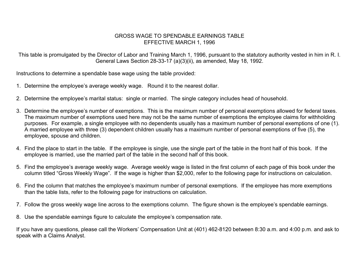## GROSS WAGE TO SPENDABLE EARNINGS TABLE EFFECTIVE MARCH 1, 1996

This table is promulgated by the Director of Labor and Training March 1, 1996, pursuant to the statutory authority vested in him in R. I. General Laws Section 28-33-17 (a)(3)(ii), as amended, May 18, 1992.

Instructions to determine a spendable base wage using the table provided:

- 1. Determine the employee's average weekly wage. Round it to the nearest dollar.
- 2. Determine the employee's marital status: single or married. The single category includes head of household.
- 3. Determine the employee's number of exemptions. This is the maximum number of personal exemptions allowed for federal taxes. The maximum number of exemptions used here may not be the same number of exemptions the employee claims for withholding purposes. For example, a single employee with no dependents usually has a maximum number of personal exemptions of one (1). A married employee with three (3) dependent children usually has a maximum number of personal exemptions of five (5), the employee, spouse and children.
- 4. Find the place to start in the table. If the employee is single, use the single part of the table in the front half of this book. If the employee is married, use the married part of the table in the second half of this book.
- 5. Find the employee's average weekly wage. Average weekly wage is listed in the first column of each page of this book under the column titled "Gross Weekly Wage". If the wage is higher than \$2,000, refer to the following page for instructions on calculation.
- 6. Find the column that matches the employee's maximum number of personal exemptions. If the employee has more exemptions than the table lists, refer to the following page for instructions on calculation.
- 7. Follow the gross weekly wage line across to the exemptions column. The figure shown is the employee's spendable earnings.
- 8. Use the spendable earnings figure to calculate the employee's compensation rate.

If you have any questions, please call the Workers' Compensation Unit at (401) 462-8120 between 8:30 a.m. and 4:00 p.m. and ask to speak with a Claims Analyst.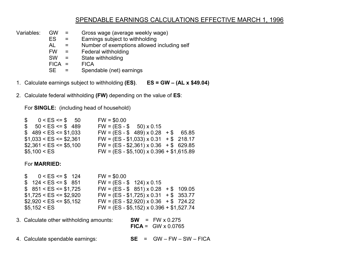# SPENDABLE EARNINGS CALCULATIONS EFFECTIVE MARCH 1, 1996

| Variables: | <b>GW</b> | $=$ | Gross wage (average weekly wage)            |
|------------|-----------|-----|---------------------------------------------|
|            | ES        | $=$ | Earnings subject to withholding             |
|            | AL        | $=$ | Number of exemptions allowed including self |
|            | <b>FW</b> | $=$ | Federal withholding                         |
|            | <b>SW</b> | $=$ | State withholding                           |
|            | $FICA =$  |     | <b>FICA</b>                                 |
|            | <b>SE</b> | $=$ | Spendable (net) earnings                    |
|            |           |     |                                             |

1. Calculate earnings subject to withholding **(ES)**. **ES = GW – (AL x \$49.04)**

2. Calculate federal withholding **(FW)** depending on the value of **ES**:

For **SINGLE:** (including head of household)

| $\text{\$} \qquad 0 < E\text{S} <= \text{\$} \qquad 50$ | $FW = $0.00$                                  |  |
|---------------------------------------------------------|-----------------------------------------------|--|
| $$50 < ES \leq $489$                                    | $FW = (ES - $ 50) \times 0.15$                |  |
| $$489 < ES \leq $1,033$                                 | FW = $(ES - $ 489) \times 0.28 + $ 65.85$     |  |
| $$1,033 < ES \leq $2,361$                               | $FW = (ES - $1,033) \times 0.31 + $218.17$    |  |
| $$2,361 < ES \leq $5,100$                               | $FW = (ES - $2,361) \times 0.36 + $629.85$    |  |
| \$5,100 < ES                                            | $FW = (ES - $5,100) \times 0.396 + $1,615.89$ |  |

# For **MARRIED:**

| $\text{\$} \qquad 0 < E\text{S} \leq \text{\$} \qquad 124$ | $FW = $0.00$                                  |
|------------------------------------------------------------|-----------------------------------------------|
| $$124 < ES \leq $ 851                                      | $FW = (ES - $ 124) \times 0.15$               |
| $$851 < ES \leq $1,725$                                    | $FW = (ES - $ 851) \times 0.28 + $ 109.05$    |
| $$1,725 < ES \leq $2,920$                                  | $FW = (ES - $1,725) \times 0.31 + $353.77$    |
| $$2,920 < ES \leq $5,152$                                  | $FW = (ES - $2,920) \times 0.36 + $724.22$    |
| \$5,152 < ES                                               | $FW = (ES - $5,152) \times 0.396 + $1,527.74$ |

- 3. Calculate other withholding amounts: **SW** = FW x 0.275 **FICA** = GW x 0.0765
- 4. Calculate spendable earnings: **SE** = GW FW SW FICA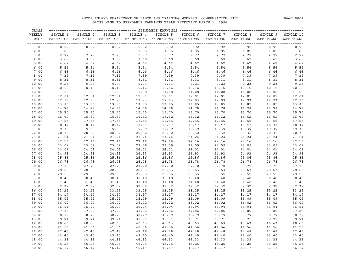#### RHODE ISLAND DEPARTMENT OF LABOR AND TRAINING WORKERS' COMPENSATION UNIT PAGE 0001 GROSS WAGE TO SPENDABLE EARNINGS TABLE EFFECTIVE MARCH 1, 1996

| GROSS  |                    |                                                                                                              |                                                                                                                                                                                                                                                                                     |                                         |                                                     |                                                                    |                                                                           |                                                                                                                                                                                                          |                  |           |
|--------|--------------------|--------------------------------------------------------------------------------------------------------------|-------------------------------------------------------------------------------------------------------------------------------------------------------------------------------------------------------------------------------------------------------------------------------------|-----------------------------------------|-----------------------------------------------------|--------------------------------------------------------------------|---------------------------------------------------------------------------|----------------------------------------------------------------------------------------------------------------------------------------------------------------------------------------------------------|------------------|-----------|
| WEEKLY | SINGLE 1           | SINGLE 2                                                                                                     | SINGLE 3                                                                                                                                                                                                                                                                            | SINGLE 4                                | SINGLE 5                                            | SINGLE 6                                                           | SINGLE 7                                                                  | SINGLE 8                                                                                                                                                                                                 | SINGLE 9         | SINGLE 10 |
| WAGE   |                    | EXEMPTION EXEMPTIONS EXEMPTIONS EXEMPTIONS EXEMPTIONS EXEMPTIONS EXEMPTIONS EXEMPTIONS EXEMPTIONS EXEMPTIONS |                                                                                                                                                                                                                                                                                     |                                         |                                                     |                                                                    |                                                                           |                                                                                                                                                                                                          |                  |           |
|        |                    |                                                                                                              |                                                                                                                                                                                                                                                                                     |                                         |                                                     |                                                                    |                                                                           |                                                                                                                                                                                                          |                  |           |
| 1.00   | 0.92               | 0.92                                                                                                         | 0.92                                                                                                                                                                                                                                                                                | 0.92                                    | 0.92                                                | 0.92                                                               | 0.92                                                                      | 0.92                                                                                                                                                                                                     | 0.92             | 0.92      |
| 2.00   | 1.85               |                                                                                                              |                                                                                                                                                                                                                                                                                     |                                         | 1.85                                                |                                                                    |                                                                           |                                                                                                                                                                                                          | 1.85             | 1.85      |
| 3.00   | 2.77               |                                                                                                              |                                                                                                                                                                                                                                                                                     |                                         | 2.77                                                |                                                                    |                                                                           |                                                                                                                                                                                                          | 2.77             | 2.77      |
| 4.00   | 3.69               |                                                                                                              |                                                                                                                                                                                                                                                                                     |                                         | 3.69                                                |                                                                    |                                                                           |                                                                                                                                                                                                          |                  | 3.69      |
| 5.00   | $3.69$<br>$4.62$   |                                                                                                              |                                                                                                                                                                                                                                                                                     |                                         | 4.62                                                |                                                                    |                                                                           |                                                                                                                                                                                                          | $3.69$<br>$4.62$ | 4.62      |
| 6.00   | 5.54               |                                                                                                              | $\begin{array}{cccc} 0.92 & 0.92 & 0.92 \\ 1.85 & 1.85 & 1.85 \\ 2.77 & 2.77 & 2.77 \\ 3.69 & 3.69 & 3.69 \\ 4.62 & 4.62 & 4.62 \\ 5.54 & 5.54 & 5.54 \\ 6.46 & 6.46 & 6.46 \\ 7.39 & 7.39 & 7.39 \\ 7.39 & 9.23 & 9.23 \\ 9.23 & 9.23 & 9.23 \\ 10.16 & 10.16 & 10.16 \end{array}$ |                                         | 5.54                                                | $1.85$<br>$2.77$<br>$3.69$<br>$4.62$<br>$5.54$<br>$6.46$<br>$7.39$ |                                                                           | $0.92$<br>$1.85$<br>$2.77$<br>$4.62$<br>$5.54$<br>$6.46$<br>$7.39$<br>$8.31$<br>$9.23$<br>$10.16$<br>$11.08$<br>$11.03$<br>$12.93$<br>$1.85$<br>$2.77$<br>$3.69$<br>$4.62$<br>$5.54$<br>$6.46$<br>$7.39$ | 5.54             | 5.54      |
| 7.00   | $6.46$<br>$7.39$   |                                                                                                              |                                                                                                                                                                                                                                                                                     |                                         | 6.46                                                |                                                                    |                                                                           |                                                                                                                                                                                                          | 6.46<br>7.39     | 6.46      |
| 8.00   |                    |                                                                                                              |                                                                                                                                                                                                                                                                                     |                                         | 7.39                                                |                                                                    |                                                                           |                                                                                                                                                                                                          |                  | 7.39      |
| 9.00   | 8.31               |                                                                                                              |                                                                                                                                                                                                                                                                                     |                                         | 8.31                                                |                                                                    |                                                                           | 8.31                                                                                                                                                                                                     | 8.31             | 8.31      |
| 10.00  | 9.23               | $0.2$<br>9.23<br>10.16                                                                                       |                                                                                                                                                                                                                                                                                     |                                         | 9.23                                                | $0.2$<br>9.23<br>10.16                                             | 8.31 8.31<br>9.23 9.23                                                    | 9.23                                                                                                                                                                                                     | 9.23             | 9.23      |
| 11.00  | 10.16              |                                                                                                              | 10.16                                                                                                                                                                                                                                                                               | 10.16                                   | 10.16                                               | 10.16                                                              | 10.16                                                                     | 10.16                                                                                                                                                                                                    | 10.16            | 10.16     |
| 12.00  | 11.08              |                                                                                                              | 11.08                                                                                                                                                                                                                                                                               |                                         | 11.08                                               | 11.08                                                              | 11.08                                                                     | 11.08                                                                                                                                                                                                    | 11.08            | 11.08     |
| 13.00  | 12.01              |                                                                                                              | 12.01                                                                                                                                                                                                                                                                               | $11.08$<br>$12.01$                      | 12.01                                               | 12.01                                                              | 12.01                                                                     | 12.01                                                                                                                                                                                                    | 12.01            | 12.01     |
| 14.00  | 12.93              | $10.16$<br>$11.08$<br>$12.01$<br>$12.93$<br>12.93                                                            | 12.93                                                                                                                                                                                                                                                                               | 12.93                                   | 12.93                                               | 12.93                                                              | 12.93                                                                     | 12.93                                                                                                                                                                                                    | 12.93            | 12.93     |
| 15.00  | 13.85              | 13.85                                                                                                        | 13.85                                                                                                                                                                                                                                                                               | 13.85                                   | 13.85                                               | 13.85                                                              | 13.85                                                                     | 13.85                                                                                                                                                                                                    | 13.85            | 13.85     |
| 16.00  | 14.78              | 14.78                                                                                                        | 14.78                                                                                                                                                                                                                                                                               | 14.78                                   | 14.78                                               | 14.78                                                              | 14.78                                                                     | 14.78                                                                                                                                                                                                    | 14.78            | 14.78     |
| 17.00  | 15.70              | 14.78<br>15.70<br>16.62                                                                                      | 15.70                                                                                                                                                                                                                                                                               | 15.70                                   | 15.70                                               | 15.70                                                              | 15.70                                                                     | 15.70                                                                                                                                                                                                    | 15.70            | 15.70     |
| 18.00  | 16.62              |                                                                                                              | 16.62                                                                                                                                                                                                                                                                               | 16.62                                   | 16.62                                               | 16.62                                                              | 16.62                                                                     | 16.62                                                                                                                                                                                                    | 16.62            | 16.62     |
| 19.00  | 17.55              | 17.55                                                                                                        | 17.55                                                                                                                                                                                                                                                                               | 17.55                                   | 17.55                                               | 17.55                                                              |                                                                           | 17.55                                                                                                                                                                                                    | 17.55            | 17.55     |
| 20.00  | 18.47              |                                                                                                              | 18.47                                                                                                                                                                                                                                                                               |                                         | 18.47                                               | 18.47                                                              |                                                                           | 18.47                                                                                                                                                                                                    | 18.47            | 18.47     |
| 21.00  | 19.39              | $18.47$<br>$19.39$                                                                                           | 19.39                                                                                                                                                                                                                                                                               | $18.47$<br>$19.39$                      | 19.39                                               | 19.39                                                              | 19.39                                                                     | 19.39                                                                                                                                                                                                    | 19.39            | 19.39     |
| 22.00  | 20.32              |                                                                                                              | 20.32                                                                                                                                                                                                                                                                               | 20.32                                   | 20.32                                               | 20.32                                                              | 17.55<br>18.47<br>19.39<br>20.32<br>21.24                                 | 20.32                                                                                                                                                                                                    | 20.32            | 20.32     |
| 23.00  | 21.24              | 20.32<br>21.24<br>22.16                                                                                      | 21.24                                                                                                                                                                                                                                                                               | 21.24                                   | 21.24                                               | 21.24                                                              |                                                                           | 21.24                                                                                                                                                                                                    | 21.24            | 21.24     |
| 24.00  | 22.16              |                                                                                                              | 22.16                                                                                                                                                                                                                                                                               | 22.16                                   | 22.16                                               | 22.16                                                              | 22.16                                                                     | 22.16                                                                                                                                                                                                    | 22.16            | 22.16     |
|        | 23.09              |                                                                                                              | 23.09                                                                                                                                                                                                                                                                               | 23.09                                   | 23.09                                               | 23.09                                                              | 23.09                                                                     | 23.09                                                                                                                                                                                                    | 23.09            | 23.09     |
| 25.00  |                    | $22.16$<br>$23.09$<br>$24.01$<br>$24.93$<br>$25.86$                                                          |                                                                                                                                                                                                                                                                                     |                                         |                                                     | 24.01                                                              |                                                                           | 24.01                                                                                                                                                                                                    |                  |           |
| 26.00  | 24.01              |                                                                                                              | 24.01                                                                                                                                                                                                                                                                               | 24.01                                   | 24.01                                               |                                                                    | 24.01                                                                     |                                                                                                                                                                                                          | 24.01            | 24.01     |
| 27.00  | 24.93              |                                                                                                              | 24.93                                                                                                                                                                                                                                                                               | 24.93                                   | 24.93                                               | 24.93                                                              | 24.93                                                                     | 24.93                                                                                                                                                                                                    | 24.93            | 24.93     |
| 28.00  | 25.86              |                                                                                                              | 25.86                                                                                                                                                                                                                                                                               | 25.86                                   | 25.86                                               | 25.86                                                              | 25.86                                                                     | 25.86                                                                                                                                                                                                    | 25.86            | 25.86     |
| 29.00  | 26.78              | 26.78                                                                                                        | 26.78                                                                                                                                                                                                                                                                               | 26.78                                   | 26.78                                               | 26.78                                                              | 26.78                                                                     | 26.78                                                                                                                                                                                                    | 26.78            | 26.78     |
| 30.00  | 27.70              | 27.70                                                                                                        | 27.70                                                                                                                                                                                                                                                                               | 27.70                                   | 27.70                                               | 27.70                                                              | 27.70                                                                     | 27.70                                                                                                                                                                                                    | 27.70            | 27.70     |
| 31.00  | 28.63              | 28.63                                                                                                        | 28.63                                                                                                                                                                                                                                                                               | 28.63                                   | 28.63                                               | 28.63                                                              | 28.63                                                                     | 28.63                                                                                                                                                                                                    | 28.63            | 28.63     |
| 32.00  | 29.55              |                                                                                                              | 29.55                                                                                                                                                                                                                                                                               | 29.55                                   | 29.55                                               | 29.55                                                              | 29.55                                                                     | 29.55                                                                                                                                                                                                    | 29.55            | 29.55     |
| 33.00  | 30.48              | 29.55<br>30.48<br>31.40                                                                                      | 30.48                                                                                                                                                                                                                                                                               | 30.48                                   | 30.48                                               | 30.48                                                              | 30.48                                                                     | 30.48                                                                                                                                                                                                    | 30.48            | 30.48     |
| 34.00  | 31.40              |                                                                                                              | 31.40                                                                                                                                                                                                                                                                               | 31.40                                   | 31.40                                               | 31.40                                                              |                                                                           | 31.40                                                                                                                                                                                                    | 31.40            | 31.40     |
| 35.00  | 32.32              |                                                                                                              | 32.32                                                                                                                                                                                                                                                                               | $32.32$<br>$33.25$                      | 32.32                                               | 32.32                                                              |                                                                           | 32.32                                                                                                                                                                                                    | 32.32            | 32.32     |
| 36.00  | 33.25              | $32.32$ $33.25$ $34.17$ $35.09$                                                                              | 33.25                                                                                                                                                                                                                                                                               |                                         | 33.25                                               | 33.25                                                              | 31.40<br>32.32<br>33.25<br>34.17<br>35.09                                 | 33.25                                                                                                                                                                                                    | 33.25            | 33.25     |
| 37.00  | 34.17              |                                                                                                              | 34.17                                                                                                                                                                                                                                                                               | $34.2$<br>$35.09$<br>$36.02$            | 34.17                                               | 34.17                                                              |                                                                           | 34.17                                                                                                                                                                                                    | 34.17            | 34.17     |
| 38.00  | 35.09              |                                                                                                              | 35.09                                                                                                                                                                                                                                                                               |                                         | 35.09                                               | 35.09                                                              |                                                                           | 35.09                                                                                                                                                                                                    | 35.09            | 35.09     |
| 39.00  | 36.02              | $36.02$<br>$36.94$<br>$37.86$                                                                                | 36.02                                                                                                                                                                                                                                                                               | 36.02<br>36.94<br>37.86                 | 36.02                                               | 36.02                                                              | 36.02                                                                     | 36.02                                                                                                                                                                                                    | 36.02            | 36.02     |
| 40.00  | 36.94<br>37.86     |                                                                                                              | 36.94                                                                                                                                                                                                                                                                               |                                         | 36.94                                               | 36.94                                                              | 36.94                                                                     | 36.94                                                                                                                                                                                                    | 36.94            | 36.94     |
| 41.00  | 37.86              |                                                                                                              | 37.86                                                                                                                                                                                                                                                                               |                                         | 37.86                                               | 37.86                                                              | 37.86                                                                     | 37.86                                                                                                                                                                                                    | 37.86            | 37.86     |
| 42.00  | 38.79              | 38.79                                                                                                        | 38.79                                                                                                                                                                                                                                                                               | 38.79                                   | 38.79                                               | 38.79                                                              | 38.79                                                                     | 38.79                                                                                                                                                                                                    | 38.79            | 38.79     |
| 43.00  | 39.71              | 39.71                                                                                                        | 39.71                                                                                                                                                                                                                                                                               | 39.71                                   | 39.71                                               | 39.71                                                              | 39.71                                                                     | 39.71                                                                                                                                                                                                    | 39.71            | 39.71     |
| 44.00  | 40.63              | 40.63                                                                                                        | 40.63                                                                                                                                                                                                                                                                               | 40.63                                   | 40.63                                               | 40.63                                                              |                                                                           | 40.63                                                                                                                                                                                                    | 40.63            | 40.63     |
| 45.00  | 41.56              | $41.56$<br>$42.48$                                                                                           | 41.56                                                                                                                                                                                                                                                                               | $41.56$<br>$42.48$                      |                                                     | 41.56                                                              |                                                                           | 41.56                                                                                                                                                                                                    | 41.56            | 41.56     |
| 46.00  | 42.48              |                                                                                                              | 42.48                                                                                                                                                                                                                                                                               | 42.48                                   | $41.56$<br>$42.48$<br>$43.43$<br>$45.25$<br>$46.17$ | 42.48                                                              | $40.63$<br>$41.56$<br>$42.48$<br>$43.40$<br>$44.33$<br>$45.25$<br>$46.17$ | 42.48                                                                                                                                                                                                    | 42.48            | 42.48     |
| 47.00  | 43.40              | 43.40                                                                                                        | 43.40                                                                                                                                                                                                                                                                               | $43.4$<br>$44.33$<br>$45.25$<br>$45.17$ |                                                     | $43.42$<br>$44.33$<br>$45.25$<br>$46.17$                           |                                                                           | 43.40                                                                                                                                                                                                    | 43.40            | 43.40     |
| 48.00  | $44.33$<br>$45.25$ | $43.40$<br>$44.33$<br>$45.25$                                                                                | 44.33                                                                                                                                                                                                                                                                               |                                         |                                                     |                                                                    |                                                                           | 44.33                                                                                                                                                                                                    | 44.33            | 44.33     |
| 49.00  |                    |                                                                                                              | 45.25                                                                                                                                                                                                                                                                               |                                         |                                                     |                                                                    |                                                                           | 45.25                                                                                                                                                                                                    | 45.25            | 45.25     |
| 50.00  | 46.17              | 46.17                                                                                                        | 46.17                                                                                                                                                                                                                                                                               | 46.17                                   | 46.17                                               |                                                                    |                                                                           | 46.17                                                                                                                                                                                                    | 46.17            | 46.17     |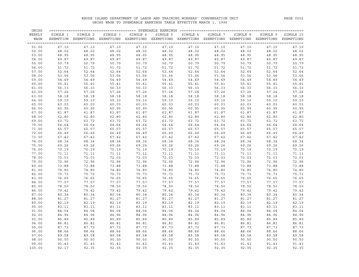#### RHODE ISLAND DEPARTMENT OF LABOR AND TRAINING WORKERS' COMPENSATION UNIT PAGE 0002 GROSS WAGE TO SPENDABLE EARNINGS TABLE EFFECTIVE MARCH 1, 1996

| GROSS          |                |                                                                                                              |                |                |                |                                          |          |                |                |                |
|----------------|----------------|--------------------------------------------------------------------------------------------------------------|----------------|----------------|----------------|------------------------------------------|----------|----------------|----------------|----------------|
| WEEKLY         | SINGLE 1       | SINGLE 2                                                                                                     | SINGLE 3       | SINGLE 4       | SINGLE 5       | SINGLE 6                                 | SINGLE 7 | SINGLE 8       | SINGLE 9       | SINGLE 10      |
| <b>WAGE</b>    |                | EXEMPTION EXEMPTIONS EXEMPTIONS EXEMPTIONS EXEMPTIONS EXEMPTIONS EXEMPTIONS EXEMPTIONS EXEMPTIONS EXEMPTIONS |                |                |                |                                          |          |                |                |                |
|                |                |                                                                                                              |                |                |                |                                          |          |                |                | $=$ $=$ $=$    |
| 51.00          | 47.10          | 47.10                                                                                                        | 47.10          | 47.10          | 47.10          | 47.10                                    | 47.10    | 47.10          | 47.10          | 47.10          |
| 52.00          | 48.02          | 48.02                                                                                                        | 48.02          |                | 48.02          |                                          | 48.02    | 48.02          | 48.02          | 48.02          |
| 53.00          | 48.95          | 48.95<br>49.87<br>50.79                                                                                      | 48.95          | 48.02<br>48.95 | 48.95          | $48.02$<br>$48.95$<br>$49.87$<br>$50.79$ | 48.95    | 48.95          | 48.95          | 48.95          |
| 54.00          | 49.87          |                                                                                                              | 49.87          | 49.87          | 49.87          |                                          | 49.87    | 49.87          | 49.87          | 49.87          |
| 55.00          | 50.79          |                                                                                                              | 50.79          | 50.79          | 50.79          |                                          | 50.79    | 50.79          | 50.79          | 50.79          |
| 56.00          | 51.72          | 51.72                                                                                                        | 51.72          | 51.72          | 51.72          | 51.72                                    | 51.72    | 51.72          | 51.72          | 51.72          |
| 57.00          | 52.64          | 52.64                                                                                                        | 52.64          | 52.64          | 52.64          | 52.64                                    | 52.64    | 52.64          | 52.64          | 52.64          |
| 58.00          | 53.56          | 53.56                                                                                                        | 53.56          | 53.56          | 53.56          | 53.56                                    | 53.56    | 53.56          | 53.56          | 53.56          |
| 59.00          | 54.49          | 54.49                                                                                                        | 54.49          | 54.49          | 54.49          | 54.49                                    | 54.49    | 54.49          | 54.49          | 54.49          |
| 60.00          | 55.41          | 55.41                                                                                                        | 55.41          | 55.41          | 55.41          | 55.41                                    | 55.41    | 55.41          | 55.41          | 55.41          |
| 61.00          | 56.33          | 56.33                                                                                                        | 56.33          | 56.33          | 56.33          | 56.33                                    | 56.33    | 56.33          | 56.33          | 56.33          |
| 62.00          | 57.26          | 57.26                                                                                                        | 57.26          | 57.26          | 57.26          | 57.26                                    | 57.26    | 57.26          | 57.26          | 57.26          |
| 63.00          | 58.18          | 58.18                                                                                                        | 58.18          | 58.18          | 58.18          | 58.18                                    | 58.18    | 58.18          | 58.18          | 58.18          |
| 64.00          | 59.10          | 59.10                                                                                                        | 59.10          | 59.10          | 59.10          | 59.10                                    | 59.10    | 59.10          | 59.10          | 59.10          |
| 65.00          | 60.03          | 60.03                                                                                                        | 60.03          | 60.03          | 60.03          | 60.03                                    | 60.03    | 60.03          | 60.03          | 60.03          |
| 66.00          | 60.95          | 60.95                                                                                                        | 60.95          | 60.95          | 60.95          | 60.95                                    | 60.95    | 60.95          | 60.95          | 60.95          |
| 67.00          | 61.87          | 61.87                                                                                                        | 61.87          | 61.87          | 61.87          | 61.87                                    | 61.87    | 61.87          | 61.87          | 61.87          |
| 68.00          | 62.80          | 62.80                                                                                                        | 62.80          | 62.80          | 62.80          | 62.80                                    | 62.80    | 62.80          | 62.80          | 62.80          |
| 69.00          | 63.72          | 63.72                                                                                                        | 63.72          | 63.72          | 63.72          | 63.72                                    | 63.72    | 63.72          | 63.72          | 63.72          |
| 70.00          | 64.64          | 64.64                                                                                                        | 64.64          | 64.64          | 64.64          | 64.64                                    | 64.64    | 64.64          | 64.64          | 64.64          |
| 71.00          | 65.57          | 65.57                                                                                                        | 65.57          | 65.57          | 65.57          | 65.57                                    | 65.57    | 65.57          | 65.57          | 65.57          |
| 72.00          | 66.49          | 66.49                                                                                                        | 66.49          | 66.49          | 66.49          | 66.49                                    | 66.49    | 66.49          | 66.49          | 66.49          |
| 73.00          | 67.42          | 67.42                                                                                                        | 67.42          | 67.42          | 67.42          | 67.42                                    | 67.42    | 67.42          | 67.42          | 67.42          |
| 74.00          | 68.34          | 68.34                                                                                                        | 68.34          | 68.34          | 68.34          | 68.34                                    | 68.34    | 68.34          | 68.34          | 68.34          |
| 75.00          | 69.26          | 69.26                                                                                                        | 69.26          | 69.26          | 69.26          | 69.26                                    | 69.26    | 69.26          | 69.26          | 69.26          |
| 76.00          | 70.19          | 70.19                                                                                                        | 70.19          | 70.19          | 70.19          | 70.19                                    | 70.19    | 70.19          | 70.19          |                |
| 77.00          | 71.11          | 71.11                                                                                                        | 71.11          | 71.11          | 71.11          | 71.11                                    | 71.11    | 71.11          | 71.11          | 70.19          |
|                |                |                                                                                                              |                |                |                |                                          |          |                |                | 71.11          |
| 78.00          | 72.03<br>72.96 | 72.03                                                                                                        | 72.03          | 72.03          | 72.03<br>72.96 | 72.03<br>72.96                           | 72.03    | 72.03<br>72.96 | 72.03          | 72.03<br>72.96 |
| 79.00<br>80.00 | 73.88          | 72.96<br>73.88                                                                                               | 72.96<br>73.88 | 72.96<br>73.88 |                | 73.88                                    | 72.96    | 73.88          | 72.96<br>73.88 |                |
|                | 74.80          |                                                                                                              |                | 74.80          | 73.88<br>74.80 | 74.80                                    | 73.88    | 74.80          |                | 73.88<br>74.80 |
| 81.00          |                | 74.80                                                                                                        | 74.80          |                |                |                                          | 74.80    |                | 74.80          |                |
| 82.00          | 75.73          | 75.73                                                                                                        | 75.73          | 75.73          | 75.73          | 75.73                                    | 75.73    | 75.73          | 75.73          | 75.73          |
| 83.00          | 76.65          | 76.65                                                                                                        | 76.65          | 76.65          | 76.65          | 76.65                                    | 76.65    | 76.65          | 76.65          | 76.65          |
| 84.00          | 77.57          | 77.57                                                                                                        | 77.57<br>78.50 | 77.57          | 77.57<br>78.50 | 77.57                                    | 77.57    | 77.57<br>78.50 | 77.57          | 77.57          |
| 85.00          | 78.50          | 78.50                                                                                                        |                | 78.50          |                | 78.50                                    | 78.50    |                | 78.50          | 78.50          |
| 86.00          | 79.42          | 79.42                                                                                                        | 79.42          | 79.42          | 79.42          | 79.42                                    | 79.42    | 79.42          | 79.42          | 79.42          |
| 87.00          | 80.34          | 80.34                                                                                                        | 80.34          | 80.34          | 80.34          | 80.34                                    | 80.34    | 80.34          | 80.34          | 80.34          |
| 88.00          | 81.27          | 81.27                                                                                                        | 81.27          | 81.27          | 81.27          | 81.27                                    | 81.27    | 81.27          | 81.27          | 81.27          |
| 89.00          | 82.19          | 82.19                                                                                                        | 82.19          | 82.19          | 82.19          | 82.19                                    | 82.19    | 82.19          | 82.19          | 82.19          |
| 90.00          | 83.11          | 83.11                                                                                                        | 83.11          | 83.11          | 83.11          | 83.11                                    | 83.11    | 83.11          | 83.11          | 83.11          |
| 91.00          | 84.04          | 84.04                                                                                                        | 84.04          | 84.04          | 84.04          | 84.04                                    | 84.04    | 84.04          | 84.04          | 84.04          |
| 92.00          | 84.96          | 84.96                                                                                                        | 84.96          | 84.96          | 84.96          | 84.96                                    | 84.96    | 84.96          | 84.96          | 84.96          |
| 93.00          | 85.89          | 85.89                                                                                                        | 85.89          | 85.89          | 85.89          | 85.89                                    | 85.89    | 85.89          | 85.89          | 85.89          |
| 94.00          | 86.81          | 86.81                                                                                                        | 86.81          | 86.81          | 86.81          | 86.81                                    | 86.81    | 86.81          | 86.81          | 86.81          |
| 95.00          | 87.73          | 87.73                                                                                                        | 87.73          | 87.73          | 87.73          | 87.73                                    | 87.73    | 87.73          | 87.73          | 87.73          |
| 96.00          | 88.66          | 88.66                                                                                                        | 88.66          | 88.66          | 88.66          | 88.66                                    | 88.66    | 88.66          | 88.66          | 88.66          |
| 97.00          | 89.58          | 89.58                                                                                                        | 89.58          | 89.58          | 89.58          | 89.58                                    | 89.58    | 89.58          | 89.58          | 89.58          |
| 98.00          | 90.50          | 89.36<br>90.50<br>91.43                                                                                      | 90.50          | 90.50          | 90.50          | 90.50                                    | 90.50    | 90.50          | 90.50          | 90.50          |
| 99.00          | 91.43          | 91.43                                                                                                        | 91.43          | 91.43          | 91.43          | 91.43                                    | 91.43    | 91.43          | 91.43          | 91.43          |
| 100.00         | 92.17          | 92.35                                                                                                        | 92.35          | 92.35          | 92.35          | 92.35                                    | 92.35    | 92.35          | 92.35          | 92.35          |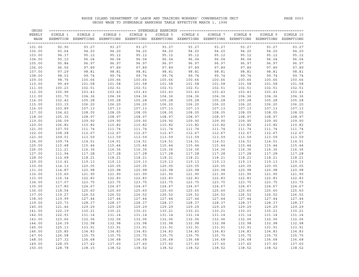## RHODE ISLAND DEPARTMENT OF LABOR AND TRAINING WORKERS' COMPENSATION UNIT PAGE 0003 GROSS WAGE TO SPENDABLE EARNINGS TABLE EFFECTIVE MARCH 1, 1996

| GROSS       |          |                                                                                                              |          |          |          |          |          |          |          |           |
|-------------|----------|--------------------------------------------------------------------------------------------------------------|----------|----------|----------|----------|----------|----------|----------|-----------|
| WEEKLY      | SINGLE 1 | SINGLE 2                                                                                                     | SINGLE 3 | SINGLE 4 | SINGLE 5 | SINGLE 6 | SINGLE 7 | SINGLE 8 | SINGLE 9 | SINGLE 10 |
| <b>WAGE</b> |          | EXEMPTION EXEMPTIONS EXEMPTIONS EXEMPTIONS EXEMPTIONS EXEMPTIONS EXEMPTIONS EXEMPTIONS EXEMPTIONS EXEMPTIONS |          |          |          |          |          |          |          |           |
|             |          |                                                                                                              |          |          |          |          |          |          |          |           |
| 101.00      | 92.90    | 93.27                                                                                                        | 93.27    | 93.27    | 93.27    | 93.27    | 93.27    | 93.27    | 93.27    | 93.27     |
| 102.00      | 93.64    | 94.20                                                                                                        | 94.20    | 94.20    | 94.20    | 94.20    | 94.20    | 94.20    | 94.20    | 94.20     |
| 103.00      | 94.37    | 95.12                                                                                                        | 95.12    | 95.12    | 95.12    | 95.12    | 95.12    | 95.12    | 95.12    | 95.12     |
| 104.00      | 95.10    | 96.04                                                                                                        | 96.04    | 96.04    | 96.04    | 96.04    | 96.04    | 96.04    | 96.04    | 96.04     |
| 105.00      | 95.84    | 96.97                                                                                                        | 96.97    | 96.97    | 96.97    | 96.97    | 96.97    | 96.97    | 96.97    | 96.97     |
| 106.00      | 96.56    | 97.89                                                                                                        | 97.89    | 97.89    | 97.89    | 97.89    | 97.89    | 97.89    | 97.89    | 97.89     |
| 107.00      | 97.29    | 98.81                                                                                                        | 98.81    | 98.81    | 98.81    | 98.81    | 98.81    | 98.81    | 98.81    | 98.81     |
| 108.00      | 98.03    | 99.74                                                                                                        | 99.74    | 99.74    | 99.74    | 99.74    | 99.74    | 99.74    | 99.74    | 99.74     |
|             |          |                                                                                                              |          |          |          |          |          |          |          |           |
| 109.00      | 98.76    | 100.66                                                                                                       | 100.66   | 100.66   | 100.66   | 100.66   | 100.66   | 100.66   | 100.66   | 100.66    |
| 110.00      | 99.49    | 101.58                                                                                                       | 101.58   | 101.58   | 101.58   | 101.58   | 101.58   | 101.58   | 101.58   | 101.58    |
| 111.00      | 100.23   | 102.51                                                                                                       | 102.51   | 102.51   | 102.51   | 102.51   | 102.51   | 102.51   | 102.51   | 102.51    |
| 112.00      | 100.96   | 103.43                                                                                                       | 103.43   | 103.43   | 103.43   | 103.43   | 103.43   | 103.43   | 103.43   | 103.43    |
| 113.00      | 101.70   | 104.36                                                                                                       | 104.36   | 104.36   | 104.36   | 104.36   | 104.36   | 104.36   | 104.36   | 104.36    |
| 114.00      | 102.42   | 105.28                                                                                                       | 105.28   | 105.28   | 105.28   | 105.28   | 105.28   | 105.28   | 105.28   | 105.28    |
| 115.00      | 103.15   | 106.20                                                                                                       | 106.20   | 106.20   | 106.20   | 106.20   | 106.20   | 106.20   | 106.20   | 106.20    |
| 116.00      | 103.89   | 107.13                                                                                                       | 107.13   | 107.13   | 107.13   | 107.13   | 107.13   | 107.13   | 107.13   | 107.13    |
| 117.00      | 104.62   | 108.05                                                                                                       | 108.05   | 108.05   | 108.05   | 108.05   | 108.05   | 108.05   | 108.05   | 108.05    |
| 118.00      | 105.35   | 108.97                                                                                                       | 108.97   | 108.97   | 108.97   | 108.97   | 108.97   | 108.97   | 108.97   | 108.97    |
| 119.00      | 106.09   | 109.90                                                                                                       | 109.90   | 109.90   | 109.90   | 109.90   | 109.90   | 109.90   | 109.90   | 109.90    |
| 120.00      | 106.82   | 110.82                                                                                                       | 110.82   | 110.82   | 110.82   | 110.82   | 110.82   | 110.82   | 110.82   | 110.82    |
| 121.00      | 107.55   | 111.74                                                                                                       | 111.74   | 111.74   | 111.74   | 111.74   | 111.74   | 111.74   | 111.74   | 111.74    |
| 122.00      | 108.28   | 112.67                                                                                                       | 112.67   | 112.67   | 112.67   | 112.67   | 112.67   | 112.67   | 112.67   | 112.67    |
| 123.00      | 109.01   | 113.59                                                                                                       | 113.59   | 113.59   | 113.59   | 113.59   | 113.59   | 113.59   | 113.59   | 113.59    |
| 124.00      | 109.74   | 114.51                                                                                                       | 114.51   | 114.51   | 114.51   | 114.51   | 114.51   | 114.51   | 114.51   | 114.51    |
| 125.00      | 110.48   | 115.44                                                                                                       | 115.44   | 115.44   | 115.44   | 115.44   | 115.44   | 115.44   | 115.44   | 115.44    |
| 126.00      | 111.21   | 116.36                                                                                                       | 116.36   | 116.36   | 116.36   | 116.36   | 116.36   | 116.36   | 116.36   | 116.36    |
| 127.00      | 111.94   | 117.28                                                                                                       | 117.28   | 117.28   | 117.28   | 117.28   | 117.28   | 117.28   | 117.28   | 117.28    |
| 128.00      | 112.68   | 118.21                                                                                                       | 118.21   | 118.21   | 118.21   | 118.21   | 118.21   | 118.21   | 118.21   | 118.21    |
| 129.00      | 113.41   | 119.13                                                                                                       | 119.13   | 119.13   | 119.13   | 119.13   | 119.13   | 119.13   | 119.13   | 119.13    |
| 130.00      | 114.13   | 120.05                                                                                                       | 120.05   | 120.05   | 120.05   | 120.05   | 120.05   | 120.05   | 120.05   | 120.05    |
| 131.00      | 114.87   | 120.98                                                                                                       | 120.98   | 120.98   | 120.98   | 120.98   | 120.98   | 120.98   | 120.98   | 120.98    |
| 132.00      | 115.60   | 121.90                                                                                                       | 121.90   | 121.90   | 121.90   | 121.90   | 121.90   | 121.90   | 121.90   | 121.90    |
| 133.00      | 116.34   | 122.83                                                                                                       | 122.83   | 122.83   | 122.83   | 122.83   | 122.83   | 122.83   | 122.83   | 122.83    |
| 134.00      | 117.07   | 123.75                                                                                                       | 123.75   | 123.75   | 123.75   | 123.75   | 123.75   | 123.75   | 123.75   | 123.75    |
| 135.00      | 117.80   | 124.67                                                                                                       | 124.67   | 124.67   | 124.67   | 124.67   | 124.67   | 124.67   | 124.67   | 124.67    |
| 136.00      | 118.54   | 125.60                                                                                                       | 125.60   | 125.60   | 125.60   | 125.60   | 125.60   | 125.60   | 125.60   | 125.60    |
| 137.00      | 119.27   | 126.52                                                                                                       | 126.52   | 126.52   | 126.52   | 126.52   | 126.52   | 126.52   | 126.52   | 126.52    |
| 138.00      | 119.99   | 127.44                                                                                                       | 127.44   | 127.44   | 127.44   | 127.44   | 127.44   | 127.44   | 127.44   | 127.44    |
| 139.00      | 120.73   | 128.37                                                                                                       | 128.37   | 128.37   | 128.37   | 128.37   | 128.37   | 128.37   | 128.37   | 128.37    |
| 140.00      | 121.46   | 129.29                                                                                                       | 129.29   | 129.29   | 129.29   | 129.29   | 129.29   | 129.29   | 129.29   | 129.29    |
| 141.00      | 122.19   | 130.21                                                                                                       | 130.21   | 130.21   | 130.21   | 130.21   | 130.21   | 130.21   | 130.21   | 130.21    |
| 142.00      | 122.93   | 131.14                                                                                                       | 131.14   | 131.14   | 131.14   | 131.14   | 131.14   | 131.14   | 131.14   | 131.14    |
|             |          |                                                                                                              |          |          |          |          |          |          |          |           |
| 143.00      | 123.66   | 132.06                                                                                                       | 132.06   | 132.06   | 132.06   | 132.06   | 132.06   | 132.06   | 132.06   | 132.06    |
| 144.00      | 124.39   | 132.98                                                                                                       | 132.98   | 132.98   | 132.98   | 132.98   | 132.98   | 132.98   | 132.98   | 132.98    |
| 145.00      | 125.13   | 133.91                                                                                                       | 133.91   | 133.91   | 133.91   | 133.91   | 133.91   | 133.91   | 133.91   | 133.91    |
| 146.00      | 125.85   | 134.83                                                                                                       | 134.83   | 134.83   | 134.83   | 134.83   | 134.83   | 134.83   | 134.83   | 134.83    |
| 147.00      | 126.58   | 135.75                                                                                                       | 135.75   | 135.75   | 135.75   | 135.75   | 135.75   | 135.75   | 135.75   | 135.75    |
| 148.00      | 127.32   | 136.68                                                                                                       | 136.68   | 136.68   | 136.68   | 136.68   | 136.68   | 136.68   | 136.68   | 136.68    |
| 149.00      | 128.05   | 137.42                                                                                                       | 137.60   | 137.60   | 137.60   | 137.60   | 137.60   | 137.60   | 137.60   | 137.60    |
| 150.00      | 128.78   | 138.15                                                                                                       | 138.52   | 138.52   | 138.52   | 138.52   | 138.52   | 138.52   | 138.52   | 138.52    |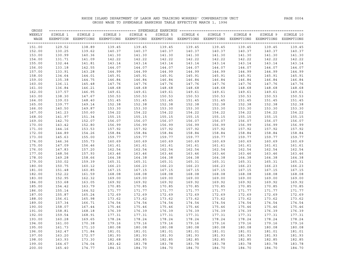| GROSS            |                  |                                                                                                              |                  |                  |                  |                  |                  |                  |                  |                  |
|------------------|------------------|--------------------------------------------------------------------------------------------------------------|------------------|------------------|------------------|------------------|------------------|------------------|------------------|------------------|
| WEEKLY           | SINGLE 1         | SINGLE 2                                                                                                     | SINGLE 3         | SINGLE 4         | SINGLE 5         | SINGLE 6         | SINGLE 7         | SINGLE 8         | SINGLE 9         | SINGLE 10        |
| WAGE             |                  | EXEMPTION EXEMPTIONS EXEMPTIONS EXEMPTIONS EXEMPTIONS EXEMPTIONS EXEMPTIONS EXEMPTIONS EXEMPTIONS EXEMPTIONS |                  |                  |                  |                  |                  |                  |                  |                  |
| 151.00           | 129.52           | 138.89                                                                                                       | 139.45           | 139.45           | 139.45           | 139.45           | 139.45           | 139.45           | 139.45           | 139.45           |
| 152.00           | 130.25           | 139.62                                                                                                       | 140.37           | 140.37           | 140.37           | 140.37           | 140.37           | 140.37           | 140.37           | 140.37           |
| 153.00           | 130.99           | 140.36                                                                                                       | 141.30           | 141.30           | 141.30           | 141.30           | 141.30           | 141.30           | 141.30           | 141.30           |
| 154.00           | 131.71           | 141.09                                                                                                       | 142.22           | 142.22           | 142.22           | 142.22           | 142.22           | 142.22           | 142.22           | 142.22           |
| 155.00           | 132.44           | 141.81                                                                                                       | 143.14           | 143.14           | 143.14           | 143.14           | 143.14           | 143.14           | 143.14           | 143.14           |
| 156.00           | 133.18           | 142.55                                                                                                       | 144.07           | 144.07           | 144.07           | 144.07           | 144.07           | 144.07           | 144.07           | 144.07           |
| 157.00           | 133.91           | 143.28                                                                                                       | 144.99           | 144.99           | 144.99           | 144.99           | 144.99           | 144.99           | 144.99           | 144.99           |
| 158.00           | 134.64           | 144.01                                                                                                       | 145.91           | 145.91           | 145.91           | 145.91           | 145.91           | 145.91           | 145.91           | 145.91           |
| 159.00           | 135.38           | 144.75                                                                                                       | 146.84           | 146.84           | 146.84           | 146.84           | 146.84           | 146.84           | 146.84           | 146.84           |
| 160.00           | 136.11           | 145.48                                                                                                       | 147.76           | 147.76           | 147.76           | 147.76           | 147.76           | 147.76           | 147.76           | 147.76           |
| 161.00           | 136.84           | 146.21                                                                                                       | 148.68           | 148.68           | 148.68           | 148.68           | 148.68           | 148.68           | 148.68           | 148.68           |
| 162.00           | 137.57           | 146.95                                                                                                       | 149.61           | 149.61           | 149.61           | 149.61           | 149.61           | 149.61           | 149.61           | 149.61           |
| 163.00           | 138.30           | 147.67                                                                                                       | 150.53           | 150.53           | 150.53           | 150.53           | 150.53           | 150.53           | 150.53           | 150.53           |
| 164.00           | 139.03           | 148.40                                                                                                       | 151.45           | 151.45           | 151.45           | 151.45           | 151.45           | 151.45           | 151.45           | 151.45           |
| 165.00           | 139.77           | 149.14                                                                                                       | 152.38           | 152.38           | 152.38           | 152.38           | 152.38           | 152.38           | 152.38           | 152.38           |
| 166.00           | 140.50           | 149.87                                                                                                       | 153.30           | 153.30           | 153.30           | 153.30           | 153.30           | 153.30           | 153.30           | 153.30           |
| 167.00           | 141.23           | 150.60                                                                                                       | 154.22           | 154.22           | 154.22           | 154.22           | 154.22           | 154.22           | 154.22           | 154.22           |
| 168.00           | 141.97           | 151.34                                                                                                       | 155.15           | 155.15           | 155.15           | 155.15           | 155.15           | 155.15           | 155.15           | 155.15           |
| 169.00           | 142.70           | 152.07                                                                                                       | 156.07           | 156.07           | 156.07           | 156.07           | 156.07           | 156.07           | 156.07           | 156.07           |
| 170.00           | 143.42           | 152.80                                                                                                       | 156.99           | 156.99           | 156.99           | 156.99           | 156.99           | 156.99           | 156.99           | 156.99           |
| 171.00           | 144.16           | 153.53                                                                                                       | 157.92           | 157.92           | 157.92           | 157.92           | 157.92           | 157.92           | 157.92           | 157.92           |
| 172.00           | 144.89           | 154.26                                                                                                       | 158.84           | 158.84           | 158.84           | 158.84           | 158.84           | 158.84           | 158.84           | 158.84           |
| 173.00           | 145.63           | 155.00                                                                                                       | 159.77           | 159.77           | 159.77           | 159.77           | 159.77           | 159.77           | 159.77           | 159.77           |
| 174.00           | 146.36           | 155.73                                                                                                       | 160.69           | 160.69           | 160.69           | 160.69           | 160.69           | 160.69           | 160.69           | 160.69           |
| 175.00           | 147.09           | 156.46                                                                                                       | 161.61           | 161.61           | 161.61           | 161.61           | 161.61           | 161.61           | 161.61           | 161.61           |
| 176.00           | 147.83           | 157.20                                                                                                       | 162.54           | 162.54           | 162.54           | 162.54           | 162.54           | 162.54           | 162.54           | 162.54           |
| 177.00           | 148.56           | 157.93                                                                                                       | 163.46           | 163.46           | 163.46           | 163.46           | 163.46           | 163.46           | 163.46           | 163.46           |
| 178.00           | 149.28           | 158.66                                                                                                       | 164.38           | 164.38           | 164.38           | 164.38           | 164.38           | 164.38           | 164.38           | 164.38           |
| 179.00           | 150.02           | 159.39                                                                                                       | 165.31           | 165.31           | 165.31           | 165.31           | 165.31           | 165.31           | 165.31           | 165.31           |
| 180.00           | 150.75           | 160.12                                                                                                       | 166.23           | 166.23           | 166.23           | 166.23           | 166.23           | 166.23           | 166.23           | 166.23           |
| 181.00           | 151.48           | 160.85                                                                                                       | 167.15           | 167.15           | 167.15           | 167.15           | 167.15           | 167.15           | 167.15           | 167.15           |
| 182.00           | 152.22           | 161.59                                                                                                       | 168.08           | 168.08           | 168.08           | 168.08           | 168.08           | 168.08           | 168.08           | 168.08           |
| 183.00           | 152.95           | 162.32                                                                                                       | 169.00           | 169.00           | 169.00           | 169.00           | 169.00           | 169.00           | 169.00           | 169.00           |
| 184.00<br>185.00 | 153.68           | 163.05<br>163.79                                                                                             | 169.92           | 169.92<br>170.85 | 169.92<br>170.85 | 169.92<br>170.85 | 169.92<br>170.85 | 169.92<br>170.85 | 169.92           | 169.92<br>170.85 |
|                  | 154.42<br>155.14 |                                                                                                              | 170.85           | 171.77           |                  | 171.77           |                  |                  | 170.85<br>171.77 | 171.77           |
| 186.00<br>187.00 | 155.87           | 164.52<br>165.24                                                                                             | 171.77<br>172.69 | 172.69           | 171.77<br>172.69 | 172.69           | 171.77<br>172.69 | 171.77<br>172.69 | 172.69           | 172.69           |
| 188.00           | 156.61           | 165.98                                                                                                       | 173.62           | 173.62           | 173.62           | 173.62           | 173.62           | 173.62           | 173.62           | 173.62           |
| 189.00           | 157.34           | 166.71                                                                                                       | 174.54           | 174.54           | 174.54           | 174.54           | 174.54           | 174.54           | 174.54           | 174.54           |
| 190.00           | 158.07           | 167.44                                                                                                       | 175.46           | 175.46           | 175.46           | 175.46           | 175.46           | 175.46           | 175.46           | 175.46           |
| 191.00           | 158.81           | 168.18                                                                                                       | 176.39           | 176.39           | 176.39           | 176.39           | 176.39           | 176.39           | 176.39           | 176.39           |
| 192.00           | 159.54           | 168.91                                                                                                       | 177.31           | 177.31           | 177.31           | 177.31           | 177.31           | 177.31           | 177.31           | 177.31           |
| 193.00           | 160.28           | 169.65                                                                                                       | 178.24           | 178.24           | 178.24           | 178.24           | 178.24           | 178.24           | 178.24           | 178.24           |
| 194.00           | 161.00           | 170.38                                                                                                       | 179.16           | 179.16           | 179.16           | 179.16           | 179.16           | 179.16           | 179.16           | 179.16           |
| 195.00           | 161.73           | 171.10                                                                                                       | 180.08           | 180.08           | 180.08           | 180.08           | 180.08           | 180.08           | 180.08           | 180.08           |
| 196.00           | 162.47           | 171.84                                                                                                       | 181.01           | 181.01           | 181.01           | 181.01           | 181.01           | 181.01           | 181.01           | 181.01           |
| 197.00           | 163.20           | 172.57                                                                                                       | 181.93           | 181.93           | 181.93           | 181.93           | 181.93           | 181.93           | 181.93           | 181.93           |
| 198.00           | 163.93           | 173.30                                                                                                       | 182.68           | 182.85           | 182.85           | 182.85           | 182.85           | 182.85           | 182.85           | 182.85           |
| 199.00           | 164.67           | 174.04                                                                                                       | 183.42           | 183.78           | 183.78           | 183.78           | 183.78           | 183.78           | 183.78           | 183.78           |
| 200.00           | 165.40           | 174.77                                                                                                       | 184.15           | 184.70           | 184.70           | 184.70           | 184.70           | 184.70           | 184.70           | 184.70           |
|                  |                  |                                                                                                              |                  |                  |                  |                  |                  |                  |                  |                  |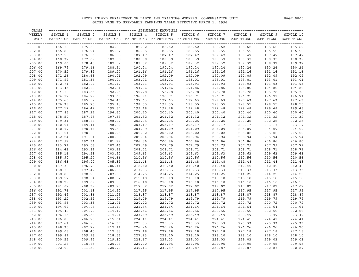| GROSS            |                  |                                                                                                              |                  |                  |                  |                  |                  |                  |                  |                  |
|------------------|------------------|--------------------------------------------------------------------------------------------------------------|------------------|------------------|------------------|------------------|------------------|------------------|------------------|------------------|
| WEEKLY           | SINGLE 1         | SINGLE 2                                                                                                     | SINGLE 3         | SINGLE 4         | SINGLE 5         | SINGLE 6         | SINGLE 7         | SINGLE 8         | SINGLE 9         | SINGLE 10        |
| <b>WAGE</b>      |                  | EXEMPTION EXEMPTIONS EXEMPTIONS EXEMPTIONS EXEMPTIONS EXEMPTIONS EXEMPTIONS EXEMPTIONS EXEMPTIONS EXEMPTIONS |                  |                  |                  |                  |                  |                  |                  |                  |
|                  |                  |                                                                                                              |                  |                  |                  |                  |                  |                  |                  |                  |
| 201.00           | 166.13           | 175.50                                                                                                       | 184.88           | 185.62           | 185.62           | 185.62           | 185.62           | 185.62           | 185.62           | 185.62           |
| 202.00           | 166.86           | 176.24                                                                                                       | 185.62           | 186.55           | 186.55           | 186.55           | 186.55           | 186.55           | 186.55           | 186.55           |
| 203.00           | 167.59           | 176.96                                                                                                       | 186.35           | 187.47           | 187.47           | 187.47           | 187.47           | 187.47           | 187.47           | 187.47           |
| 204.00           | 168.32           | 177.69                                                                                                       | 187.08           | 188.39           | 188.39           | 188.39           | 188.39           | 188.39           | 188.39           | 188.39           |
| 205.00           | 169.06           | 178.43                                                                                                       | 187.82           | 189.32           | 189.32           | 189.32           | 189.32           | 189.32           | 189.32           | 189.32           |
| 206.00           | 169.79           | 179.16                                                                                                       | 188.54           | 190.24           | 190.24           | 190.24           | 190.24           | 190.24           | 190.24           | 190.24           |
| 207.00           | 170.52           | 179.89                                                                                                       | 189.27           | 191.16           | 191.16           | 191.16           | 191.16           | 191.16           | 191.16           | 191.16           |
| 208.00           | 171.26           | 180.63                                                                                                       | 190.01           | 192.09           | 192.09           | 192.09           | 192.09           | 192.09           | 192.09           | 192.09           |
|                  |                  |                                                                                                              |                  |                  |                  |                  |                  |                  | 193.01           | 193.01           |
| 209.00           | 171.99           | 181.36                                                                                                       | 190.74           | 193.01           | 193.01           | 193.01           | 193.01           | 193.01           |                  |                  |
| 210.00           | 172.71           | 182.09                                                                                                       | 191.47           | 193.93           | 193.93           | 193.93           | 193.93           | 193.93           | 193.93           | 193.93           |
| 211.00           | 173.45           | 182.82                                                                                                       | 192.21           | 194.86           | 194.86           | 194.86           | 194.86           | 194.86           | 194.86           | 194.86           |
| 212.00           | 174.18           | 183.55                                                                                                       | 192.94           | 195.78           | 195.78           | 195.78           | 195.78           | 195.78           | 195.78           | 195.78           |
| 213.00           | 174.92           | 184.29                                                                                                       | 193.68           | 196.71           | 196.71           | 196.71           | 196.71           | 196.71           | 196.71           | 196.71           |
| 214.00           | 175.65           | 185.02                                                                                                       | 194.40           | 197.63           | 197.63           | 197.63           | 197.63           | 197.63           | 197.63           | 197.63           |
| 215.00           | 176.38           | 185.75                                                                                                       | 195.13           | 198.55           | 198.55           | 198.55           | 198.55           | 198.55           | 198.55           | 198.55           |
| 216.00           | 177.12           | 186.49                                                                                                       | 195.87           | 199.48           | 199.48           | 199.48           | 199.48           | 199.48           | 199.48           | 199.48           |
| 217.00           | 177.85           | 187.22                                                                                                       | 196.60           | 200.40           | 200.40           | 200.40           | 200.40           | 200.40           | 200.40           | 200.40           |
| 218.00           | 178.57           | 187.95                                                                                                       | 197.33           | 201.32           | 201.32           | 201.32           | 201.32           | 201.32           | 201.32           | 201.32           |
| 219.00           | 179.31           | 188.68                                                                                                       | 198.07           | 202.25           | 202.25           | 202.25           | 202.25           | 202.25           | 202.25           | 202.25           |
| 220.00           | 180.04           | 189.41                                                                                                       | 198.80           | 203.17           | 203.17           | 203.17           | 203.17           | 203.17           | 203.17           | 203.17           |
| 221.00           | 180.77           | 190.14                                                                                                       | 199.53           | 204.09           | 204.09           | 204.09           | 204.09           | 204.09           | 204.09           | 204.09           |
| 222.00           | 181.51           | 190.88                                                                                                       | 200.26           | 205.02           | 205.02           | 205.02           | 205.02           | 205.02           | 205.02           | 205.02           |
| 223.00           | 182.24           | 191.61                                                                                                       | 200.99           | 205.94           | 205.94           | 205.94           | 205.94           | 205.94           | 205.94           | 205.94           |
| 224.00           | 182.97           | 192.34                                                                                                       | 201.72           | 206.86           | 206.86           | 206.86           | 206.86           | 206.86           | 206.86           | 206.86           |
| 225.00           | 183.71           | 193.08                                                                                                       | 202.46           | 207.79           | 207.79           | 207.79           | 207.79           | 207.79           | 207.79           | 207.79           |
| 226.00           | 184.43           | 193.81                                                                                                       | 203.19           | 208.71           | 208.71           | 208.71           | 208.71           | 208.71           | 208.71           | 208.71           |
| 227.00           | 185.16           | 194.53                                                                                                       | 203.92           | 209.63           | 209.63           | 209.63           | 209.63           | 209.63           | 209.63           | 209.63           |
| 228.00           | 185.90           | 195.27                                                                                                       | 204.66           | 210.56           | 210.56           | 210.56           | 210.56           | 210.56           | 210.56           | 210.56           |
| 229.00           | 186.63           | 196.00                                                                                                       | 205.39           | 211.48           | 211.48           | 211.48           | 211.48           | 211.48           | 211.48           | 211.48           |
| 230.00           | 187.36           | 196.73                                                                                                       | 206.11           | 212.40           | 212.40           | 212.40           | 212.40           | 212.40           | 212.40           | 212.40           |
| 231.00           | 188.10           | 197.47                                                                                                       | 206.85           | 213.33           | 213.33           | 213.33           | 213.33           | 213.33           | 213.33           | 213.33           |
| 232.00           | 188.83           | 198.20                                                                                                       | 207.58           | 214.25           | 214.25           | 214.25           | 214.25           | 214.25           | 214.25           | 214.25           |
| 233.00           | 189.57           | 198.94                                                                                                       | 208.32           | 215.18           | 215.18           | 215.18           | 215.18           | 215.18           | 215.18           | 215.18           |
| 234.00           | 190.29           | 199.67                                                                                                       | 209.05           | 216.10           | 216.10           | 216.10           | 216.10           | 216.10           | 216.10           | 216.10           |
| 235.00           | 191.02           | 200.39                                                                                                       | 209.78           | 217.02           | 217.02           | 217.02           | 217.02           | 217.02           | 217.02           | 217.02           |
| 236.00           | 191.76           | 201.13                                                                                                       | 210.52           | 217.95           | 217.95           | 217.95           | 217.95           | 217.95           | 217.95           | 217.95           |
| 237.00           | 192.49           | 201.86                                                                                                       | 211.25           | 218.87           | 218.87           | 218.87           | 218.87           | 218.87           | 218.87           | 218.87           |
| 238.00           | 193.22           | 202.59                                                                                                       | 211.97           | 219.79           | 219.79           | 219.79           | 219.79           | 219.79           | 219.79           | 219.79           |
| 239.00           | 193.96           | 203.33                                                                                                       | 212.71           | 220.72           | 220.72           | 220.72           | 220.72           | 220.72           | 220.72           | 220.72           |
| 240.00           | 194.69           | 204.06                                                                                                       | 213.44           | 221.64           | 221.64           | 221.64           | 221.64           | 221.64           | 221.64           | 221.64           |
| 241.00           | 195.42           | 204.79                                                                                                       | 214.17           | 222.56           | 222.56           | 222.56           | 222.56           | 222.56           | 222.56           | 222.56           |
| 242.00           | 196.15           | 205.53                                                                                                       | 214.91           | 223.49           | 223.49           | 223.49           | 223.49           | 223.49           | 223.49           | 223.49           |
| 243.00           | 196.88           | 206.25                                                                                                       | 215.64           | 224.41           | 224.41           | 224.41           | 224.41           | 224.41           | 224.41           | 224.41           |
|                  |                  |                                                                                                              |                  |                  |                  |                  |                  |                  |                  |                  |
| 244.00           | 197.61<br>198.35 | 206.98                                                                                                       | 216.37           | 225.33<br>226.26 | 225.33           | 225.33<br>226.26 | 225.33           | 225.33           | 225.33<br>226.26 | 225.33<br>226.26 |
| 245.00<br>246.00 | 199.08           | 207.72<br>208.45                                                                                             | 217.11<br>217.83 | 227.18           | 226.26<br>227.18 | 227.18           | 226.26<br>227.18 | 226.26<br>227.18 |                  |                  |
|                  |                  |                                                                                                              |                  |                  |                  |                  |                  |                  | 227.18           | 227.18           |
| 247.00           | 199.81           | 209.18                                                                                                       | 218.56           | 227.93           | 228.10           | 228.10           | 228.10           | 228.10           | 228.10           | 228.10           |
| 248.00           | 200.55           | 209.92                                                                                                       | 219.30           | 228.67           | 229.03           | 229.03           | 229.03           | 229.03           | 229.03           | 229.03           |
| 249.00           | 201.28           | 210.65                                                                                                       | 220.03           | 229.40           | 229.95           | 229.95           | 229.95           | 229.95           | 229.95           | 229.95           |
| 250.00           | 202.00           | 211.38                                                                                                       | 220.76           | 230.13           | 230.87           | 230.87           | 230.87           | 230.87           | 230.87           | 230.87           |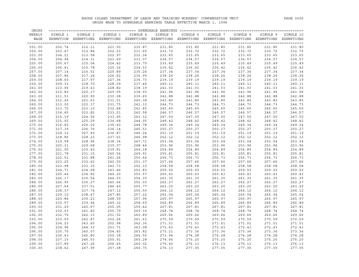| GROSS       |          |                                                                                                              |          |          |          |          |          |          |          |           |
|-------------|----------|--------------------------------------------------------------------------------------------------------------|----------|----------|----------|----------|----------|----------|----------|-----------|
| WEEKLY      | SINGLE 1 | SINGLE 2                                                                                                     | SINGLE 3 | SINGLE 4 | SINGLE 5 | SINGLE 6 | SINGLE 7 | SINGLE 8 | SINGLE 9 | SINGLE 10 |
| <b>WAGE</b> |          | EXEMPTION EXEMPTIONS EXEMPTIONS EXEMPTIONS EXEMPTIONS EXEMPTIONS EXEMPTIONS EXEMPTIONS EXEMPTIONS EXEMPTIONS |          |          |          |          |          |          |          |           |
|             |          |                                                                                                              |          |          |          |          |          |          |          |           |
| 251.00      | 202.74   | 212.11                                                                                                       | 221.50   | 230.87   | 231.80   | 231.80   | 231.80   | 231.80   | 231.80   | 231.80    |
| 252.00      | 203.47   | 212.84                                                                                                       | 222.23   | 231.60   | 232.72   | 232.72   | 232.72   | 232.72   | 232.72   | 232.72    |
| 253.00      | 204.21   | 213.58                                                                                                       | 222.97   | 232.34   | 233.65   | 233.65   | 233.65   | 233.65   | 233.65   | 233.65    |
| 254.00      | 204.94   | 214.31                                                                                                       | 223.69   | 233.07   | 234.57   | 234.57   | 234.57   | 234.57   | 234.57   | 234.57    |
| 255.00      | 205.67   | 215.04                                                                                                       | 224.42   | 233.79   | 235.49   | 235.49   | 235.49   | 235.49   | 235.49   | 235.49    |
| 256.00      | 206.41   | 215.78                                                                                                       | 225.16   | 234.53   | 236.42   | 236.42   | 236.42   | 236.42   | 236.42   | 236.42    |
| 257.00      | 207.14   | 216.51                                                                                                       | 225.89   | 235.26   | 237.34   | 237.34   | 237.34   | 237.34   | 237.34   | 237.34    |
| 258.00      | 207.86   | 217.24                                                                                                       | 226.62   | 235.99   | 238.26   | 238.26   | 238.26   | 238.26   | 238.26   | 238.26    |
| 259.00      | 208.60   | 217.97                                                                                                       | 227.36   | 236.73   | 239.19   | 239.19   | 239.19   | 239.19   | 239.19   | 239.19    |
| 260.00      | 209.33   | 218.70                                                                                                       | 228.09   | 237.46   | 240.11   | 240.11   | 240.11   | 240.11   | 240.11   | 240.11    |
| 261.00      | 210.06   | 219.43                                                                                                       | 228.82   | 238.19   | 241.03   | 241.03   | 241.03   | 241.03   | 241.03   | 241.03    |
| 262.00      | 210.80   | 220.17                                                                                                       | 229.55   | 238.93   | 241.96   | 241.96   | 241.96   | 241.96   | 241.96   | 241.96    |
| 263.00      | 211.53   | 220.90                                                                                                       | 230.28   | 239.65   | 242.88   | 242.88   | 242.88   | 242.88   | 242.88   | 242.88    |
| 264.00      | 212.26   | 221.63                                                                                                       | 231.01   | 240.38   | 243.80   | 243.80   | 243.80   | 243.80   | 243.80   | 243.80    |
| 265.00      | 213.00   | 222.37                                                                                                       | 231.75   | 241.12   | 244.73   | 244.73   | 244.73   | 244.73   | 244.73   | 244.73    |
| 266.00      | 213.72   | 223.10                                                                                                       | 232.48   | 241.85   | 245.65   | 245.65   | 245.65   | 245.65   | 245.65   | 245.65    |
| 267.00      | 214.45   | 223.82                                                                                                       | 233.21   | 242.58   | 246.57   | 246.57   | 246.57   | 246.57   | 246.57   | 246.57    |
| 268.00      | 215.19   | 224.56                                                                                                       | 233.95   | 243.32   | 247.50   | 247.50   | 247.50   | 247.50   | 247.50   | 247.50    |
| 269.00      | 215.92   | 225.29                                                                                                       | 234.68   | 244.05   | 248.42   | 248.42   | 248.42   | 248.42   | 248.42   | 248.42    |
| 270.00      | 216.65   | 226.02                                                                                                       | 235.40   | 244.78   | 249.34   | 249.34   | 249.34   | 249.34   | 249.34   | 249.34    |
| 271.00      | 217.39   | 226.76                                                                                                       | 236.14   | 245.51   | 250.27   | 250.27   | 250.27   | 250.27   | 250.27   | 250.27    |
| 272.00      | 218.12   | 227.49                                                                                                       | 236.87   | 246.24   | 251.19   | 251.19   | 251.19   | 251.19   | 251.19   | 251.19    |
| 273.00      | 218.86   | 228.23                                                                                                       | 237.61   | 246.98   | 252.12   | 252.12   | 252.12   | 252.12   | 252.12   | 252.12    |
| 274.00      | 219.58   | 228.96                                                                                                       | 238.34   | 247.71   | 253.04   | 253.04   | 253.04   | 253.04   | 253.04   | 253.04    |
| 275.00      | 220.31   | 229.68                                                                                                       | 239.07   | 248.44   | 253.96   | 253.96   | 253.96   | 253.96   | 253.96   | 253.96    |
| 276.00      | 221.05   | 230.42                                                                                                       | 239.81   | 249.18   | 254.89   | 254.89   | 254.89   | 254.89   | 254.89   | 254.89    |
| 277.00      | 221.78   | 231.15                                                                                                       | 240.54   | 249.91   | 255.81   | 255.81   | 255.81   | 255.81   | 255.81   | 255.81    |
| 278.00      | 222.51   | 231.88                                                                                                       | 241.26   | 250.64   | 256.73   | 256.73   | 256.73   | 256.73   | 256.73   | 256.73    |
| 279.00      | 223.25   | 232.62                                                                                                       | 242.00   | 251.37   | 257.66   | 257.66   | 257.66   | 257.66   | 257.66   | 257.66    |
| 280.00      | 223.98   | 233.35                                                                                                       | 242.73   | 252.10   | 258.58   | 258.58   | 258.58   | 258.58   | 258.58   | 258.58    |
| 281.00      | 224.71   | 234.08                                                                                                       | 243.46   | 252.83   | 259.50   | 259.50   | 259.50   | 259.50   | 259.50   | 259.50    |
| 282.00      | 225.44   | 234.82                                                                                                       | 244.20   | 253.57   | 260.43   | 260.43   | 260.43   | 260.43   | 260.43   | 260.43    |
| 283.00      | 226.17   | 235.54                                                                                                       | 244.93   | 254.30   | 261.35   | 261.35   | 261.35   | 261.35   | 261.35   | 261.35    |
| 284.00      | 226.90   | 236.27                                                                                                       | 245.66   | 255.03   | 262.27   | 262.27   | 262.27   | 262.27   | 262.27   | 262.27    |
| 285.00      | 227.64   | 237.01                                                                                                       | 246.40   | 255.77   | 263.20   | 263.20   | 263.20   | 263.20   | 263.20   | 263.20    |
| 286.00      | 228.37   | 237.74                                                                                                       | 247.12   | 256.50   | 264.12   | 264.12   | 264.12   | 264.12   | 264.12   | 264.12    |
| 287.00      | 229.10   | 238.47                                                                                                       | 247.85   | 257.22   | 265.04   | 265.04   | 265.04   | 265.04   | 265.04   | 265.04    |
| 288.00      | 229.84   | 239.21                                                                                                       | 248.59   | 257.96   | 265.97   | 265.97   | 265.97   | 265.97   | 265.97   | 265.97    |
| 289.00      | 230.57   | 239.94                                                                                                       | 249.32   | 258.69   | 266.89   | 266.89   | 266.89   | 266.89   | 266.89   | 266.89    |
| 290.00      | 231.29   | 240.67                                                                                                       | 250.05   | 259.42   | 267.81   | 267.81   | 267.81   | 267.81   | 267.81   | 267.81    |
| 291.00      | 232.03   | 241.40                                                                                                       | 250.79   | 260.16   | 268.74   | 268.74   | 268.74   | 268.74   | 268.74   | 268.74    |
| 292.00      | 232.76   | 242.13                                                                                                       | 251.52   | 260.89   | 269.66   | 269.66   | 269.66   | 269.66   | 269.66   | 269.66    |
| 293.00      | 233.50   | 242.87                                                                                                       | 252.26   | 261.63   | 270.59   | 270.59   | 270.59   | 270.59   | 270.59   | 270.59    |
| 294.00      | 234.23   | 243.60                                                                                                       | 252.98   | 262.36   | 271.51   | 271.51   | 271.51   | 271.51   | 271.51   | 271.51    |
| 295.00      | 234.96   | 244.33                                                                                                       | 253.71   | 263.08   | 272.43   | 272.43   | 272.43   | 272.43   | 272.43   | 272.43    |
| 296.00      | 235.70   | 245.07                                                                                                       | 254.45   | 263.82   | 273.21   | 273.36   | 273.36   | 273.36   | 273.36   | 273.36    |
| 297.00      | 236.43   | 245.80                                                                                                       | 255.18   | 264.55   | 273.94   | 274.28   | 274.28   | 274.28   | 274.28   | 274.28    |
| 298.00      | 237.15   | 246.53                                                                                                       | 255.91   | 265.28   | 274.66   | 275.20   | 275.20   | 275.20   | 275.20   | 275.20    |
| 299.00      | 237.89   | 247.26                                                                                                       | 256.65   | 266.02   | 275.40   | 276.13   | 276.13   | 276.13   | 276.13   | 276.13    |
| 300.00      | 238.62   | 247.99                                                                                                       | 257.38   | 266.75   | 276.13   | 277.05   | 277.05   | 277.05   | 277.05   | 277.05    |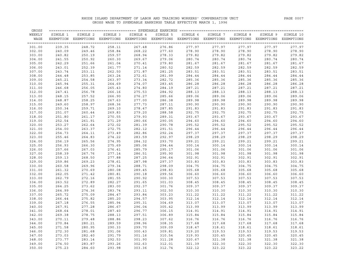## RHODE ISLAND DEPARTMENT OF LABOR AND TRAINING WORKERS' COMPENSATION UNIT PAGE 0007 GROSS WAGE TO SPENDABLE EARNINGS TABLE EFFECTIVE MARCH 1, 1996

| GROSS       |          |                                                                                                              |          |          |          |          |          |          |          |           |
|-------------|----------|--------------------------------------------------------------------------------------------------------------|----------|----------|----------|----------|----------|----------|----------|-----------|
| WEEKLY      | SINGLE 1 | SINGLE 2                                                                                                     | SINGLE 3 | SINGLE 4 | SINGLE 5 | SINGLE 6 | SINGLE 7 | SINGLE 8 | SINGLE 9 | SINGLE 10 |
| <b>WAGE</b> |          | EXEMPTION EXEMPTIONS EXEMPTIONS EXEMPTIONS EXEMPTIONS EXEMPTIONS EXEMPTIONS EXEMPTIONS EXEMPTIONS EXEMPTIONS |          |          |          |          |          |          |          |           |
|             |          |                                                                                                              |          |          |          |          |          |          |          |           |
| 301.00      | 239.35   | 248.72                                                                                                       | 258.11   | 267.48   | 276.86   | 277.97   | 277.97   | 277.97   | 277.97   | 277.97    |
| 302.00      | 240.09   | 249.46                                                                                                       | 258.84   | 268.22   | 277.60   | 278.90   | 278.90   | 278.90   | 278.90   | 278.90    |
| 303.00      | 240.82   | 250.19                                                                                                       | 259.57   | 268.94   | 278.33   | 279.82   | 279.82   | 279.82   | 279.82   | 279.82    |
| 304.00      | 241.55   | 250.92                                                                                                       | 260.30   | 269.67   | 279.06   | 280.74   | 280.74   | 280.74   | 280.74   | 280.74    |
| 305.00      | 242.29   | 251.66                                                                                                       | 261.04   | 270.41   | 279.80   | 281.67   | 281.67   | 281.67   | 281.67   | 281.67    |
| 306.00      | 243.01   | 252.39                                                                                                       | 261.77   | 271.14   | 280.52   | 282.59   | 282.59   | 282.59   | 282.59   | 282.59    |
| 307.00      | 243.74   | 253.11                                                                                                       | 262.50   | 271.87   | 281.25   | 283.51   | 283.51   | 283.51   | 283.51   | 283.51    |
| 308.00      | 244.48   |                                                                                                              | 263.24   | 272.61   | 281.99   |          | 284.44   | 284.44   |          |           |
|             |          | 253.85                                                                                                       |          |          |          | 284.44   |          |          | 284.44   | 284.44    |
| 309.00      | 245.21   | 254.58                                                                                                       | 263.97   | 273.34   | 282.72   | 285.36   | 285.36   | 285.36   | 285.36   | 285.36    |
| 310.00      | 245.94   | 255.31                                                                                                       | 264.69   | 274.07   | 283.45   | 286.28   | 286.28   | 286.28   | 286.28   | 286.28    |
| 311.00      | 246.68   | 256.05                                                                                                       | 265.43   | 274.80   | 284.19   | 287.21   | 287.21   | 287.21   | 287.21   | 287.21    |
| 312.00      | 247.41   | 256.78                                                                                                       | 266.16   | 275.53   | 284.92   | 288.13   | 288.13   | 288.13   | 288.13   | 288.13    |
| 313.00      | 248.15   | 257.52                                                                                                       | 266.90   | 276.27   | 285.66   | 289.06   | 289.06   | 289.06   | 289.06   | 289.06    |
| 314.00      | 248.87   | 258.25                                                                                                       | 267.63   | 277.00   | 286.38   | 289.98   | 289.98   | 289.98   | 289.98   | 289.98    |
| 315.00      | 249.60   | 258.97                                                                                                       | 268.36   | 277.73   | 287.11   | 290.90   | 290.90   | 290.90   | 290.90   | 290.90    |
| 316.00      | 250.34   | 259.71                                                                                                       | 269.10   | 278.47   | 287.85   | 291.83   | 291.83   | 291.83   | 291.83   | 291.83    |
| 317.00      | 251.07   | 260.44                                                                                                       | 269.83   | 279.20   | 288.58   | 292.75   | 292.75   | 292.75   | 292.75   | 292.75    |
| 318.00      | 251.80   | 261.17                                                                                                       | 270.55   | 279.93   | 289.31   | 293.67   | 293.67   | 293.67   | 293.67   | 293.67    |
| 319.00      | 252.54   | 261.91                                                                                                       | 271.29   | 280.66   | 290.05   | 294.60   | 294.60   | 294.60   | 294.60   | 294.60    |
| 320.00      | 253.27   | 262.64                                                                                                       | 272.02   | 281.39   | 290.78   | 295.52   | 295.52   | 295.52   | 295.52   | 295.52    |
| 321.00      | 254.00   | 263.37                                                                                                       | 272.75   | 282.12   | 291.51   | 296.44   | 296.44   | 296.44   | 296.44   | 296.44    |
| 322.00      | 254.73   | 264.11                                                                                                       | 273.49   | 282.86   | 292.24   | 297.37   | 297.37   | 297.37   | 297.37   | 297.37    |
| 323.00      | 255.46   | 264.83                                                                                                       | 274.22   | 283.59   | 292.97   | 298.29   | 298.29   | 298.29   | 298.29   | 298.29    |
| 324.00      | 256.19   | 265.56                                                                                                       | 274.95   | 284.32   | 293.70   | 299.21   | 299.21   | 299.21   | 299.21   | 299.21    |
| 325.00      | 256.93   | 266.30                                                                                                       | 275.69   | 285.06   | 294.44   | 300.14   | 300.14   | 300.14   | 300.14   | 300.14    |
| 326.00      | 257.66   | 267.03                                                                                                       | 276.41   | 285.79   | 295.17   | 301.06   | 301.06   | 301.06   | 301.06   | 301.06    |
| 327.00      | 258.39   | 267.76                                                                                                       | 277.14   | 286.51   | 295.90   | 301.98   | 301.98   | 301.98   | 301.98   | 301.98    |
| 328.00      | 259.13   | 268.50                                                                                                       | 277.88   | 287.25   | 296.64   | 302.91   | 302.91   | 302.91   | 302.91   | 302.91    |
| 329.00      | 259.86   | 269.23                                                                                                       | 278.61   | 287.98   | 297.37   | 303.83   | 303.83   | 303.83   | 303.83   | 303.83    |
| 330.00      | 260.58   | 269.96                                                                                                       | 279.34   | 288.71   | 298.09   | 304.75   | 304.75   | 304.75   | 304.75   | 304.75    |
| 331.00      | 261.32   | 270.69                                                                                                       | 280.08   | 289.45   | 298.83   | 305.68   | 305.68   | 305.68   | 305.68   | 305.68    |
| 332.00      | 262.05   | 271.42                                                                                                       | 280.81   | 290.18   | 299.56   | 306.60   | 306.60   | 306.60   | 306.60   | 306.60    |
| 333.00      | 262.79   | 272.16                                                                                                       | 281.55   | 290.92   | 300.30   | 307.53   | 307.53   | 307.53   | 307.53   | 307.53    |
| 334.00      | 263.52   | 272.89                                                                                                       | 282.27   | 291.65   | 301.03   | 308.45   | 308.45   | 308.45   | 308.45   | 308.45    |
| 335.00      | 264.25   | 273.62                                                                                                       | 283.00   | 292.37   | 301.76   | 309.37   | 309.37   | 309.37   | 309.37   | 309.37    |
| 336.00      | 264.99   | 274.36                                                                                                       | 283.74   | 293.11   | 302.50   | 310.30   | 310.30   | 310.30   | 310.30   | 310.30    |
| 337.00      | 265.72   | 275.09                                                                                                       | 284.47   | 293.84   | 303.23   | 311.22   | 311.22   | 311.22   | 311.22   | 311.22    |
| 338.00      | 266.44   | 275.82                                                                                                       | 285.20   | 294.57   | 303.95   | 312.14   | 312.14   | 312.14   | 312.14   | 312.14    |
| 339.00      | 267.18   | 276.55                                                                                                       | 285.94   | 295.31   | 304.69   | 313.07   | 313.07   | 313.07   | 313.07   | 313.07    |
| 340.00      | 267.91   | 277.28                                                                                                       | 286.67   | 296.04   | 305.42   | 313.99   | 313.99   | 313.99   | 313.99   | 313.99    |
| 341.00      | 268.64   | 278.01                                                                                                       | 287.40   | 296.77   | 306.15   | 314.91   | 314.91   | 314.91   | 314.91   | 314.91    |
| 342.00      | 269.38   | 278.75                                                                                                       | 288.13   | 297.51   | 306.89   | 315.84   | 315.84   | 315.84   | 315.84   | 315.84    |
|             |          |                                                                                                              |          |          |          |          |          |          |          |           |
| 343.00      | 270.11   | 279.48                                                                                                       | 288.86   | 298.23   | 307.62   | 316.76   | 316.76   | 316.76   | 316.76   | 316.76    |
| 344.00      | 270.84   | 280.21                                                                                                       | 289.59   | 298.96   | 308.35   | 317.68   | 317.68   | 317.68   | 317.68   | 317.68    |
| 345.00      | 271.58   | 280.95                                                                                                       | 290.33   | 299.70   | 309.09   | 318.47   | 318.61   | 318.61   | 318.61   | 318.61    |
| 346.00      | 272.30   | 281.68                                                                                                       | 291.06   | 300.43   | 309.81   | 319.20   | 319.53   | 319.53   | 319.53   | 319.53    |
| 347.00      | 273.03   | 282.40                                                                                                       | 291.79   | 301.16   | 310.54   | 319.93   | 320.45   | 320.45   | 320.45   | 320.45    |
| 348.00      | 273.77   | 283.14                                                                                                       | 292.53   | 301.90   | 311.28   | 320.67   | 321.38   | 321.38   | 321.38   | 321.38    |
| 349.00      | 274.50   | 283.87                                                                                                       | 293.26   | 302.63   | 312.01   | 321.39   | 322.30   | 322.30   | 322.30   | 322.30    |
| 350.00      | 275.23   | 284.60                                                                                                       | 293.98   | 303.36   | 312.74   | 322.12   | 323.22   | 323.22   | 323.22   | 323.22    |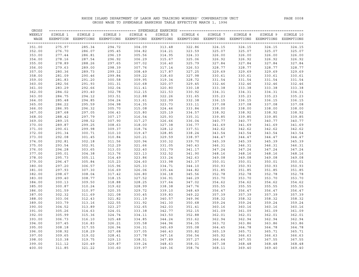| GROSS       |          |                                                                                                              |          |          |          |          |          |          |          |           |
|-------------|----------|--------------------------------------------------------------------------------------------------------------|----------|----------|----------|----------|----------|----------|----------|-----------|
| WEEKLY      | SINGLE 1 | SINGLE 2                                                                                                     | SINGLE 3 | SINGLE 4 | SINGLE 5 | SINGLE 6 | SINGLE 7 | SINGLE 8 | SINGLE 9 | SINGLE 10 |
| <b>WAGE</b> |          | EXEMPTION EXEMPTIONS EXEMPTIONS EXEMPTIONS EXEMPTIONS EXEMPTIONS EXEMPTIONS EXEMPTIONS EXEMPTIONS EXEMPTIONS |          |          |          |          |          |          |          |           |
|             |          |                                                                                                              |          |          |          |          |          |          |          |           |
| 351.00      | 275.97   | 285.34                                                                                                       | 294.72   | 304.09   | 313.48   | 322.86   | 324.15   | 324.15   | 324.15   | 324.15    |
| 352.00      | 276.70   | 286.07                                                                                                       | 295.45   | 304.82   | 314.21   | 323.59   | 325.07   | 325.07   | 325.07   | 325.07    |
| 353.00      | 277.44   | 286.81                                                                                                       | 296.19   | 305.56   | 314.95   | 324.33   | 326.00   | 326.00   | 326.00   | 326.00    |
| 354.00      | 278.16   | 287.54                                                                                                       | 296.92   | 306.29   | 315.67   | 325.06   | 326.92   | 326.92   | 326.92   | 326.92    |
| 355.00      | 278.89   | 288.26                                                                                                       | 297.65   | 307.02   | 316.40   | 325.79   | 327.84   | 327.84   | 327.84   | 327.84    |
| 356.00      | 279.63   | 289.00                                                                                                       | 298.39   | 307.76   | 317.14   | 326.53   | 328.77   | 328.77   | 328.77   | 328.77    |
| 357.00      | 280.36   | 289.73                                                                                                       | 299.12   | 308.49   | 317.87   | 327.25   | 329.69   | 329.69   | 329.69   | 329.69    |
| 358.00      | 281.09   | 290.46                                                                                                       | 299.84   | 309.22   | 318.60   | 327.98   | 330.61   | 330.61   | 330.61   | 330.61    |
|             |          |                                                                                                              |          |          |          | 328.72   |          |          |          |           |
| 359.00      | 281.83   | 291.20                                                                                                       | 300.58   | 309.95   | 319.34   |          | 331.54   | 331.54   | 331.54   | 331.54    |
| 360.00      | 282.56   | 291.93                                                                                                       | 301.31   | 310.68   | 320.07   | 329.45   | 332.46   | 332.46   | 332.46   | 332.46    |
| 361.00      | 283.29   | 292.66                                                                                                       | 302.04   | 311.41   | 320.80   | 330.18   | 333.38   | 333.38   | 333.38   | 333.38    |
| 362.00      | 284.02   | 293.40                                                                                                       | 302.78   | 312.15   | 321.53   | 330.92   | 334.31   | 334.31   | 334.31   | 334.31    |
| 363.00      | 284.75   | 294.12                                                                                                       | 303.51   | 312.88   | 322.26   | 331.65   | 335.23   | 335.23   | 335.23   | 335.23    |
| 364.00      | 285.48   | 294.85                                                                                                       | 304.24   | 313.61   | 322.99   | 332.38   | 336.15   | 336.15   | 336.15   | 336.15    |
| 365.00      | 286.22   | 295.59                                                                                                       | 304.98   | 314.35   | 323.73   | 333.11   | 337.08   | 337.08   | 337.08   | 337.08    |
| 366.00      | 286.95   | 296.32                                                                                                       | 305.70   | 315.08   | 324.46   | 333.84   | 338.00   | 338.00   | 338.00   | 338.00    |
| 367.00      | 287.68   | 297.05                                                                                                       | 306.43   | 315.80   | 325.19   | 334.57   | 338.92   | 338.92   | 338.92   | 338.92    |
| 368.00      | 288.42   | 297.79                                                                                                       | 307.17   | 316.54   | 325.93   | 335.31   | 339.85   | 339.85   | 339.85   | 339.85    |
| 369.00      | 289.15   | 298.52                                                                                                       | 307.90   | 317.27   | 326.66   | 336.04   | 340.77   | 340.77   | 340.77   | 340.77    |
| 370.00      | 289.87   | 299.25                                                                                                       | 308.63   | 318.00   | 327.38   | 336.77   | 341.69   | 341.69   | 341.69   | 341.69    |
| 371.00      | 290.61   | 299.98                                                                                                       | 309.37   | 318.74   | 328.12   | 337.51   | 342.62   | 342.62   | 342.62   | 342.62    |
| 372.00      | 291.34   | 300.71                                                                                                       | 310.10   | 319.47   | 328.85   | 338.24   | 343.54   | 343.54   | 343.54   | 343.54    |
| 373.00      | 292.08   | 301.45                                                                                                       | 310.84   | 320.21   | 329.59   | 338.97   | 344.47   | 344.47   | 344.47   | 344.47    |
| 374.00      | 292.81   | 302.18                                                                                                       | 311.56   | 320.94   | 330.32   | 339.70   | 345.39   | 345.39   | 345.39   | 345.39    |
| 375.00      | 293.54   | 302.91                                                                                                       | 312.29   | 321.66   | 331.05   | 340.43   | 346.31   | 346.31   | 346.31   | 346.31    |
| 376.00      | 294.28   | 303.65                                                                                                       | 313.03   | 322.40   | 331.79   | 341.17   | 347.24   | 347.24   | 347.24   | 347.24    |
| 377.00      | 295.01   | 304.38                                                                                                       | 313.76   | 323.13   | 332.52   | 341.90   | 348.16   | 348.16   | 348.16   | 348.16    |
| 378.00      | 295.73   | 305.11                                                                                                       | 314.49   | 323.86   | 333.24   | 342.63   | 349.08   | 349.08   | 349.08   | 349.08    |
| 379.00      | 296.47   | 305.84                                                                                                       | 315.23   | 324.60   | 333.98   | 343.37   | 350.01   | 350.01   | 350.01   | 350.01    |
| 380.00      | 297.20   | 306.57                                                                                                       | 315.96   | 325.33   | 334.71   | 344.10   | 350.93   | 350.93   | 350.93   | 350.93    |
| 381.00      | 297.93   | 307.30                                                                                                       | 316.69   | 326.06   | 335.44   | 344.82   | 351.85   | 351.85   | 351.85   | 351.85    |
| 382.00      | 298.67   | 308.04                                                                                                       | 317.42   | 326.80   | 336.18   | 345.56   | 352.78   | 352.78   | 352.78   | 352.78    |
| 383.00      | 299.40   | 308.77                                                                                                       | 318.15   | 327.52   | 336.91   | 346.29   | 353.70   | 353.70   | 353.70   | 353.70    |
| 384.00      | 300.13   | 309.50                                                                                                       | 318.88   | 328.25   | 337.64   | 347.02   | 354.62   | 354.62   | 354.62   | 354.62    |
| 385.00      | 300.87   | 310.24                                                                                                       | 319.62   | 328.99   | 338.38   | 347.76   | 355.55   | 355.55   | 355.55   | 355.55    |
| 386.00      | 301.59   | 310.97                                                                                                       | 320.35   | 329.72   | 339.10   | 348.49   | 356.47   | 356.47   | 356.47   | 356.47    |
| 387.00      | 302.32   | 311.69                                                                                                       | 321.08   | 330.45   | 339.83   | 349.22   | 357.39   | 357.39   | 357.39   | 357.39    |
| 388.00      | 303.06   | 312.43                                                                                                       | 321.82   | 331.19   | 340.57   | 349.96   | 358.32   | 358.32   | 358.32   | 358.32    |
| 389.00      | 303.79   | 313.16                                                                                                       | 322.55   | 331.92   | 341.30   | 350.68   | 359.24   | 359.24   | 359.24   | 359.24    |
| 390.00      | 304.52   | 313.89                                                                                                       | 323.27   | 332.65   | 342.03   | 351.41   | 360.16   | 360.16   | 360.16   | 360.16    |
| 391.00      | 305.26   | 314.63                                                                                                       | 324.01   | 333.38   | 342.77   | 352.15   | 361.09   | 361.09   | 361.09   | 361.09    |
| 392.00      | 305.99   | 315.36                                                                                                       | 324.74   | 334.11   | 343.50   | 352.88   | 362.01   | 362.01   | 362.01   | 362.01    |
| 393.00      | 306.73   | 316.10                                                                                                       | 325.48   | 334.85   | 344.24   | 353.62   | 362.94   | 362.94   | 362.94   | 362.94    |
| 394.00      | 307.45   | 316.83                                                                                                       | 326.21   | 335.58   | 344.96   | 354.35   | 363.72   | 363.86   | 363.86   | 363.86    |
| 395.00      | 308.18   | 317.55                                                                                                       | 326.94   | 336.31   | 345.69   | 355.08   | 364.45   | 364.78   | 364.78   | 364.78    |
| 396.00      | 308.92   | 318.29                                                                                                       | 327.68   | 337.05   | 346.43   | 355.82   | 365.19   | 365.71   | 365.71   | 365.71    |
| 397.00      | 309.65   | 319.02                                                                                                       | 328.41   | 337.78   | 347.16   | 356.54   | 365.92   | 366.63   | 366.63   | 366.63    |
| 398.00      | 310.38   | 319.75                                                                                                       | 329.13   | 338.51   | 347.89   | 357.27   | 366.64   | 367.55   | 367.55   | 367.55    |
|             |          |                                                                                                              | 329.87   |          |          |          |          |          |          |           |
| 399.00      | 311.12   | 320.49                                                                                                       |          | 339.24   | 348.63   | 358.01   | 367.38   | 368.48   | 368.48   | 368.48    |
| 400.00      | 311.85   | 321.22                                                                                                       | 330.60   | 339.97   | 349.36   | 358.74   | 368.11   | 369.40   | 369.40   | 369.40    |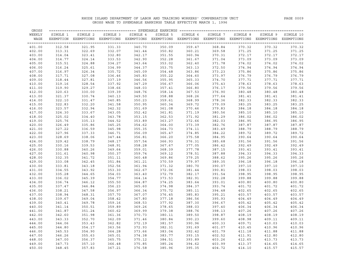| GROSS  |          |                                                                                                              |          |          |          |          |          |          |          |           |
|--------|----------|--------------------------------------------------------------------------------------------------------------|----------|----------|----------|----------|----------|----------|----------|-----------|
| WEEKLY | SINGLE 1 | SINGLE 2                                                                                                     | SINGLE 3 | SINGLE 4 | SINGLE 5 | SINGLE 6 | SINGLE 7 | SINGLE 8 | SINGLE 9 | SINGLE 10 |
| WAGE   |          | EXEMPTION EXEMPTIONS EXEMPTIONS EXEMPTIONS EXEMPTIONS EXEMPTIONS EXEMPTIONS EXEMPTIONS EXEMPTIONS EXEMPTIONS |          |          |          |          |          |          |          |           |
|        |          |                                                                                                              |          |          |          |          |          |          |          |           |
| 401.00 | 312.58   | 321.95                                                                                                       | 331.33   | 340.70   | 350.09   | 359.47   | 368.84   | 370.32   | 370.32   | 370.32    |
| 402.00 | 313.31   | 322.69                                                                                                       | 332.07   | 341.44   | 350.82   | 360.21   | 369.58   | 371.25   | 371.25   | 371.25    |
| 403.00 | 314.04   | 323.41                                                                                                       | 332.80   | 342.17   | 351.55   | 360.94   | 370.31   | 372.17   | 372.17   | 372.17    |
| 404.00 | 314.77   | 324.14                                                                                                       | 333.53   | 342.90   | 352.28   | 361.67   | 371.04   | 373.09   | 373.09   | 373.09    |
| 405.00 | 315.51   | 324.88                                                                                                       | 334.27   | 343.64   | 353.02   | 362.40   | 371.78   | 374.02   | 374.02   | 374.02    |
| 406.00 | 316.24   | 325.61                                                                                                       | 334.99   | 344.37   | 353.75   | 363.13   | 372.50   | 374.94   | 374.94   | 374.94    |
| 407.00 | 316.97   | 326.34                                                                                                       | 335.72   | 345.09   | 354.48   | 363.86   | 373.23   | 375.86   | 375.86   | 375.86    |
| 408.00 | 317.71   | 327.08                                                                                                       | 336.46   | 345.83   | 355.22   | 364.60   | 373.97   | 376.79   | 376.79   | 376.79    |
| 409.00 | 318.44   | 327.81                                                                                                       | 337.19   | 346.56   | 355.95   | 365.33   | 374.70   | 377.71   | 377.71   | 377.71    |
| 410.00 | 319.16   | 328.54                                                                                                       | 337.92   | 347.29   | 356.67   | 366.06   | 375.43   | 378.63   | 378.63   | 378.63    |
| 411.00 | 319.90   | 329.27                                                                                                       | 338.66   | 348.03   | 357.41   | 366.80   | 376.17   | 379.56   | 379.56   | 379.56    |
| 412.00 | 320.63   | 330.00                                                                                                       | 339.39   | 348.76   | 358.14   | 367.53   | 376.90   | 380.48   | 380.48   | 380.48    |
| 413.00 | 321.37   | 330.74                                                                                                       | 340.13   | 349.50   | 358.88   | 368.26   | 377.64   | 381.41   | 381.41   | 381.41    |
| 414.00 | 322.10   | 331.47                                                                                                       | 340.85   | 350.23   | 359.61   | 368.99   | 378.36   | 382.33   | 382.33   | 382.33    |
| 415.00 | 322.83   | 332.20                                                                                                       | 341.58   | 350.95   | 360.34   | 369.72   | 379.09   | 383.25   | 383.25   | 383.25    |
| 416.00 | 323.57   | 332.94                                                                                                       | 342.32   | 351.69   | 361.08   | 370.46   | 379.83   | 384.18   | 384.18   | 384.18    |
| 417.00 | 324.30   | 333.67                                                                                                       | 343.05   | 352.42   |          | 371.19   | 380.56   | 385.10   | 385.10   | 385.10    |
| 418.00 | 325.02   |                                                                                                              | 343.78   | 353.15   | 361.81   | 371.92   | 381.29   | 386.02   | 386.02   | 386.02    |
|        |          | 334.40                                                                                                       |          |          | 362.53   |          |          |          |          |           |
| 419.00 | 325.76   | 335.13                                                                                                       | 344.52   | 353.89   | 363.27   | 372.66   | 382.03   | 386.95   | 386.95   | 386.95    |
| 420.00 | 326.49   | 335.86                                                                                                       | 345.25   | 354.62   | 364.00   | 373.39   | 382.76   | 387.87   | 387.87   | 387.87    |
| 421.00 | 327.22   | 336.59                                                                                                       | 345.98   | 355.35   | 364.73   | 374.11   | 383.49   | 388.79   | 388.79   | 388.79    |
| 422.00 | 327.96   | 337.33                                                                                                       | 346.71   | 356.09   | 365.47   | 374.85   | 384.22   | 389.72   | 389.72   | 389.72    |
| 423.00 | 328.69   | 338.06                                                                                                       | 347.44   | 356.81   | 366.20   | 375.58   | 384.95   | 390.64   | 390.64   | 390.64    |
| 424.00 | 329.42   | 338.79                                                                                                       | 348.17   | 357.54   | 366.93   | 376.31   | 385.68   | 391.56   | 391.56   | 391.56    |
| 425.00 | 330.16   | 339.53                                                                                                       | 348.91   | 358.28   | 367.67   | 377.05   | 386.42   | 392.49   | 392.49   | 392.49    |
| 426.00 | 330.88   | 340.26                                                                                                       | 349.64   | 359.01   | 368.39   | 377.78   | 387.15   | 393.41   | 393.41   | 393.41    |
| 427.00 | 331.61   | 340.98                                                                                                       | 350.37   | 359.74   | 369.12   | 378.51   | 387.88   | 394.33   | 394.33   | 394.33    |
| 428.00 | 332.35   | 341.72                                                                                                       | 351.11   | 360.48   | 369.86   | 379.25   | 388.62   | 395.26   | 395.26   | 395.26    |
| 429.00 | 333.08   | 342.45                                                                                                       | 351.84   | 361.21   | 370.59   | 379.97   | 389.35   | 396.18   | 396.18   | 396.18    |
| 430.00 | 333.81   | 343.18                                                                                                       | 352.56   | 361.94   | 371.32   | 380.70   | 390.07   | 397.10   | 397.10   | 397.10    |
| 431.00 | 334.55   | 343.92                                                                                                       | 353.30   | 362.67   | 372.06   | 381.44   | 390.81   | 398.03   | 398.03   | 398.03    |
| 432.00 | 335.28   | 344.65                                                                                                       | 354.03   | 363.40   | 372.79   | 382.17   | 391.54   | 398.95   | 398.95   | 398.95    |
| 433.00 | 336.02   | 345.39                                                                                                       | 354.77   | 364.14   | 373.53   | 382.91   | 392.28   | 399.88   | 399.88   | 399.88    |
| 434.00 | 336.74   | 346.12                                                                                                       | 355.50   | 364.87   | 374.25   | 383.64   | 393.01   | 400.80   | 400.80   | 400.80    |
| 435.00 | 337.47   | 346.84                                                                                                       | 356.23   | 365.60   | 374.98   | 384.37   | 393.74   | 401.72   | 401.72   | 401.72    |
| 436.00 | 338.21   | 347.58                                                                                                       | 356.97   | 366.34   | 375.72   | 385.11   | 394.48   | 402.65   | 402.65   | 402.65    |
| 437.00 | 338.94   | 348.31                                                                                                       | 357.70   | 367.07   | 376.45   | 385.83   | 395.21   | 403.57   | 403.57   | 403.57    |
| 438.00 | 339.67   | 349.04                                                                                                       | 358.42   | 367.80   | 377.18   | 386.56   | 395.93   | 404.49   | 404.49   | 404.49    |
| 439.00 | 340.41   | 349.78                                                                                                       | 359.16   | 368.53   | 377.92   | 387.30   | 396.67   | 405.42   | 405.42   | 405.42    |
| 440.00 | 341.14   | 350.51                                                                                                       | 359.89   | 369.26   | 378.65   | 388.03   | 397.40   | 406.34   | 406.34   | 406.34    |
| 441.00 | 341.87   | 351.24                                                                                                       | 360.62   | 369.99   | 379.38   | 388.76   | 398.13   | 407.26   | 407.26   | 407.26    |
| 442.00 | 342.60   | 351.98                                                                                                       | 361.36   | 370.73   | 380.11   | 389.50   | 398.87   | 408.19   | 408.19   | 408.19    |
| 443.00 | 343.33   | 352.70                                                                                                       | 362.09   | 371.46   | 380.84   | 390.23   | 399.60   | 408.98   | 409.11   | 409.11    |
| 444.00 | 344.06   | 353.43                                                                                                       | 362.82   | 372.19   | 381.57   | 390.96   | 400.33   | 409.71   | 410.03   | 410.03    |
| 445.00 | 344.80   | 354.17                                                                                                       | 363.56   | 372.93   | 382.31   | 391.69   | 401.07   | 410.45   | 410.96   | 410.96    |
| 446.00 | 345.53   | 354.90                                                                                                       | 364.28   | 373.66   | 383.04   | 392.42   | 401.79   | 411.18   | 411.88   | 411.88    |
| 447.00 | 346.26   | 355.63                                                                                                       | 365.01   | 374.38   | 383.77   | 393.15   | 402.52   | 411.91   | 412.80   | 412.80    |
| 448.00 | 347.00   | 356.37                                                                                                       | 365.75   | 375.12   | 384.51   | 393.89   | 403.26   | 412.65   | 413.73   | 413.73    |
| 449.00 | 347.73   | 357.10                                                                                                       | 366.48   | 375.85   | 385.24   | 394.62   | 403.99   | 413.37   | 414.65   | 414.65    |
| 450.00 | 348.45   | 357.83                                                                                                       | 367.21   | 376.58   | 385.96   | 395.35   | 404.72   | 414.10   | 415.57   | 415.57    |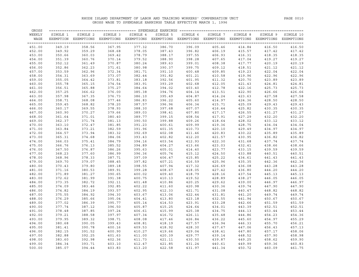| GROSS       |          |                                                                                                              |          |          |          |          |          |          |          |           |
|-------------|----------|--------------------------------------------------------------------------------------------------------------|----------|----------|----------|----------|----------|----------|----------|-----------|
| WEEKLY      | SINGLE 1 | SINGLE 2                                                                                                     | SINGLE 3 | SINGLE 4 | SINGLE 5 | SINGLE 6 | SINGLE 7 | SINGLE 8 | SINGLE 9 | SINGLE 10 |
| <b>WAGE</b> |          | EXEMPTION EXEMPTIONS EXEMPTIONS EXEMPTIONS EXEMPTIONS EXEMPTIONS EXEMPTIONS EXEMPTIONS EXEMPTIONS EXEMPTIONS |          |          |          |          |          |          |          |           |
|             |          |                                                                                                              |          |          |          |          |          |          |          |           |
| 451.00      | 349.19   | 358.56                                                                                                       | 367.95   | 377.32   | 386.70   | 396.09   | 405.46   | 414.84   | 416.50   | 416.50    |
| 452.00      | 349.92   | 359.29                                                                                                       | 368.68   | 378.05   | 387.43   | 396.82   | 406.19   | 415.57   | 417.42   | 417.42    |
| 453.00      | 350.66   | 360.03                                                                                                       | 369.42   | 378.79   | 388.17   | 397.55   | 406.93   | 416.31   | 418.35   | 418.35    |
| 454.00      | 351.39   | 360.76                                                                                                       | 370.14   | 379.52   | 388.90   | 398.28   | 407.65   | 417.04   | 419.27   | 419.27    |
| 455.00      | 352.12   | 361.49                                                                                                       | 370.87   | 380.24   | 389.63   | 399.01   | 408.38   | 417.77   | 420.19   | 420.19    |
| 456.00      | 352.86   | 362.23                                                                                                       | 371.61   | 380.98   | 390.37   | 399.75   | 409.12   | 418.51   | 421.12   | 421.12    |
| 457.00      | 353.59   | 362.96                                                                                                       | 372.34   | 381.71   | 391.10   | 400.48   | 409.85   | 419.23   | 422.04   | 422.04    |
| 458.00      | 354.31   | 363.69                                                                                                       | 373.07   | 382.44   | 391.82   | 401.21   | 410.58   | 419.96   | 422.96   | 422.96    |
| 459.00      | 355.05   | 364.42                                                                                                       | 373.81   | 383.18   | 392.56   | 401.95   | 411.32   | 420.70   | 423.89   | 423.89    |
| 460.00      | 355.78   | 365.15                                                                                                       | 374.54   | 383.91   | 393.29   | 402.68   | 412.05   | 421.43   | 424.81   | 424.81    |
| 461.00      | 356.51   | 365.88                                                                                                       | 375.27   | 384.64   | 394.02   | 403.40   | 412.78   | 422.16   | 425.73   | 425.73    |
| 462.00      | 357.25   | 366.62                                                                                                       | 376.00   | 385.38   | 394.76   | 404.14   | 413.51   | 422.90   | 426.66   | 426.66    |
| 463.00      | 357.98   | 367.35                                                                                                       | 376.73   | 386.10   | 395.49   | 404.87   | 414.24   | 423.63   | 427.58   | 427.58    |
| 464.00      | 358.71   | 368.08                                                                                                       | 377.46   | 386.83   | 396.22   | 405.60   | 414.97   | 424.36   | 428.50   | 428.50    |
| 465.00      | 359.45   | 368.82                                                                                                       | 378.20   | 387.57   | 396.96   | 406.34   | 415.71   | 425.09   | 429.43   | 429.43    |
| 466.00      | 360.17   | 369.55                                                                                                       | 378.93   | 388.30   | 397.68   | 407.07   | 416.44   | 425.82   | 430.35   | 430.35    |
| 467.00      | 360.90   | 370.27                                                                                                       | 379.66   | 389.03   | 398.41   | 407.80   | 417.17   | 426.55   | 431.27   | 431.27    |
| 468.00      | 361.64   | 371.01                                                                                                       | 380.40   | 389.77   | 399.15   | 408.54   | 417.91   | 427.29   | 432.20   | 432.20    |
| 469.00      | 362.37   | 371.74                                                                                                       | 381.13   | 390.50   | 399.88   | 409.26   | 418.64   | 428.02   | 433.12   | 433.12    |
| 470.00      | 363.10   | 372.47                                                                                                       | 381.85   | 391.23   | 400.61   | 409.99   | 419.36   | 428.75   | 434.04   | 434.04    |
| 471.00      | 363.84   | 373.21                                                                                                       | 382.59   | 391.96   | 401.35   | 410.73   | 420.10   | 429.49   | 434.97   | 434.97    |
| 472.00      | 364.57   | 373.94                                                                                                       | 383.32   | 392.69   | 402.08   | 411.46   | 420.83   | 430.22   | 435.89   | 435.89    |
| 473.00      | 365.31   | 374.68                                                                                                       | 384.06   | 393.43   | 402.82   | 412.20   | 421.57   | 430.95   | 436.82   | 436.82    |
| 474.00      | 366.03   | 375.41                                                                                                       | 384.79   | 394.16   | 403.54   | 412.93   | 422.30   | 431.68   | 437.74   | 437.74    |
| 475.00      | 366.76   | 376.13                                                                                                       | 385.52   | 394.89   | 404.27   | 413.66   | 423.03   | 432.41   | 438.66   | 438.66    |
| 476.00      | 367.50   | 376.87                                                                                                       | 386.26   | 395.63   | 405.01   | 414.40   | 423.77   | 433.15   | 439.59   | 439.59    |
| 477.00      | 368.23   | 377.60                                                                                                       | 386.99   | 396.36   | 405.74   | 415.12   | 424.50   | 433.88   | 440.51   | 440.51    |
| 478.00      | 368.96   | 378.33                                                                                                       | 387.71   | 397.09   | 406.47   | 415.85   | 425.22   | 434.61   | 441.43   | 441.43    |
| 479.00      | 369.70   | 379.07                                                                                                       | 388.45   | 397.82   | 407.21   | 416.59   | 425.96   | 435.35   | 442.36   | 442.36    |
| 480.00      | 370.43   | 379.80                                                                                                       | 389.18   | 398.55   | 407.94   | 417.32   | 426.69   | 436.08   | 443.28   | 443.28    |
| 481.00      | 371.16   | 380.53                                                                                                       | 389.91   | 399.28   | 408.67   | 418.05   | 427.42   | 436.80   | 444.20   | 444.20    |
| 482.00      | 371.89   | 381.27                                                                                                       | 390.65   | 400.02   | 409.40   | 418.79   | 428.16   | 437.54   | 445.13   | 445.13    |
| 483.00      | 372.62   | 381.99                                                                                                       | 391.38   | 400.75   | 410.13   | 419.52   | 428.89   | 438.27   | 446.05   | 446.05    |
| 484.00      | 373.35   | 382.72                                                                                                       | 392.11   | 401.48   | 410.86   | 420.25   | 429.62   | 439.00   | 446.97   | 446.97    |
| 485.00      | 374.09   | 383.46                                                                                                       | 392.85   | 402.22   | 411.60   | 420.98   | 430.36   | 439.74   | 447.90   | 447.90    |
| 486.00      | 374.82   | 384.19                                                                                                       | 393.57   | 402.95   | 412.33   | 421.71   | 431.08   | 440.47   | 448.82   | 448.82    |
| 487.00      | 375.55   | 384.92                                                                                                       | 394.30   | 403.67   | 413.06   | 422.44   | 431.81   | 441.20   | 449.74   | 449.74    |
| 488.00      | 376.29   | 385.66                                                                                                       | 395.04   | 404.41   | 413.80   | 423.18   | 432.55   | 441.94   | 450.67   | 450.67    |
| 489.00      | 377.02   | 386.39                                                                                                       | 395.77   | 405.14   | 414.53   | 423.91   | 433.28   | 442.66   | 451.59   | 451.59    |
| 490.00      | 377.74   | 387.12                                                                                                       | 396.50   | 405.87   | 415.25   | 424.64   | 434.01   | 443.39   | 452.51   | 452.51    |
| 491.00      | 378.48   | 387.85                                                                                                       | 397.24   | 406.61   | 415.99   | 425.38   | 434.75   | 444.13   | 453.44   | 453.44    |
| 492.00      | 379.21   | 388.58                                                                                                       | 397.97   | 407.34   | 416.72   | 426.11   | 435.48   | 444.86   | 454.23   | 454.36    |
| 493.00      | 379.95   | 389.32                                                                                                       | 398.71   | 408.08   | 417.46   | 426.84   | 436.22   | 445.60   | 454.97   | 455.29    |
| 494.00      | 380.68   | 390.05                                                                                                       | 399.43   | 408.81   | 418.19   | 427.57   | 436.94   | 446.33   | 455.70   | 456.21    |
| 495.00      | 381.41   | 390.78                                                                                                       | 400.16   | 409.53   | 418.92   | 428.30   | 437.67   | 447.06   | 456.43   | 457.13    |
| 496.00      | 382.15   | 391.52                                                                                                       | 400.90   | 410.27   | 419.66   | 429.04   | 438.41   | 447.80   | 457.17   | 458.06    |
| 497.00      | 382.88   | 392.25                                                                                                       | 401.63   | 411.00   | 420.39   | 429.77   | 439.14   | 448.52   | 457.90   | 458.98    |
| 498.00      | 383.60   | 392.98                                                                                                       | 402.36   | 411.73   | 421.11   | 430.50   | 439.87   | 449.25   | 458.62   | 459.90    |
| 499.00      | 384.34   | 393.71                                                                                                       | 403.10   | 412.47   | 421.85   | 431.24   | 440.61   | 449.99   | 459.36   | 460.83    |
| 500.00      | 385.07   | 394.44                                                                                                       | 403.83   | 413.20   | 422.58   | 431.97   | 441.34   | 450.72   | 460.09   | 461.75    |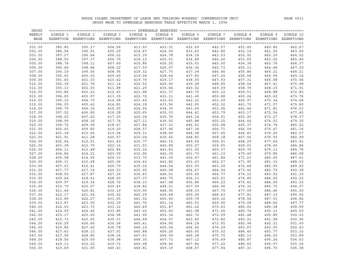| GROSS       |          |                                                                                                              |          |          |          |          |          |          |          |           |
|-------------|----------|--------------------------------------------------------------------------------------------------------------|----------|----------|----------|----------|----------|----------|----------|-----------|
| WEEKLY      | SINGLE 1 | SINGLE 2                                                                                                     | SINGLE 3 | SINGLE 4 | SINGLE 5 | SINGLE 6 | SINGLE 7 | SINGLE 8 | SINGLE 9 | SINGLE 10 |
| <b>WAGE</b> |          | EXEMPTION EXEMPTIONS EXEMPTIONS EXEMPTIONS EXEMPTIONS EXEMPTIONS EXEMPTIONS EXEMPTIONS EXEMPTIONS EXEMPTIONS |          |          |          |          |          |          |          |           |
|             |          |                                                                                                              |          |          |          |          |          |          |          |           |
| 501.00      | 385.80   | 395.17                                                                                                       | 404.56   | 413.93   | 423.31   | 432.69   | 442.07   | 451.45   | 460.82   | 462.67    |
| 502.00      | 386.54   | 395.91                                                                                                       | 405.29   | 414.67   | 424.05   | 433.43   | 442.80   | 452.19   | 461.56   | 463.60    |
| 503.00      | 387.27   | 396.64                                                                                                       | 406.02   | 415.39   | 424.78   | 434.16   | 443.53   | 452.92   | 462.29   | 464.52    |
| 504.00      | 388.00   | 397.37                                                                                                       | 406.75   | 416.12   | 425.51   | 434.89   | 444.26   | 453.65   | 463.02   | 465.44    |
| 505.00      | 388.74   | 398.11                                                                                                       | 407.49   | 416.86   | 426.25   | 435.63   | 445.00   | 454.38   | 463.76   | 466.37    |
| 506.00      | 389.46   | 398.84                                                                                                       | 408.22   | 417.59   | 426.97   | 436.36   | 445.73   | 455.11   | 464.48   | 467.29    |
| 507.00      | 390.19   | 399.56                                                                                                       | 408.95   | 418.32   | 427.70   | 437.09   | 446.46   | 455.84   | 465.21   | 468.21    |
| 508.00      | 390.93   | 400.30                                                                                                       | 409.69   | 419.06   | 428.44   | 437.83   | 447.20   | 456.58   | 465.95   | 469.14    |
|             | 391.66   |                                                                                                              |          | 419.79   | 429.17   | 438.55   | 447.93   |          | 466.68   | 470.06    |
| 509.00      |          | 401.03                                                                                                       | 410.42   |          |          |          |          | 457.31   |          |           |
| 510.00      | 392.39   | 401.76                                                                                                       | 411.14   | 420.52   | 429.90   | 439.28   | 448.65   | 458.04   | 467.41   | 470.98    |
| 511.00      | 393.13   | 402.50                                                                                                       | 411.88   | 421.25   | 430.64   | 440.02   | 449.39   | 458.78   | 468.15   | 471.91    |
| 512.00      | 393.86   | 403.23                                                                                                       | 412.61   | 421.98   | 431.37   | 440.75   | 450.12   | 459.51   | 468.88   | 472.83    |
| 513.00      | 394.60   | 403.97                                                                                                       | 413.35   | 422.72   | 432.11   | 441.49   | 450.86   | 460.24   | 469.62   | 473.76    |
| 514.00      | 395.32   | 404.70                                                                                                       | 414.08   | 423.45   | 432.83   | 442.22   | 451.59   | 460.97   | 470.34   | 474.68    |
| 515.00      | 396.05   | 405.42                                                                                                       | 414.81   | 424.18   | 433.56   | 442.95   | 452.32   | 461.70   | 471.07   | 475.60    |
| 516.00      | 396.79   | 406.16                                                                                                       | 415.55   | 424.92   | 434.30   | 443.69   | 453.06   | 462.44   | 471.81   | 476.53    |
| 517.00      | 397.52   | 406.89                                                                                                       | 416.28   | 425.65   | 435.03   | 444.41   | 453.79   | 463.17   | 472.54   | 477.45    |
| 518.00      | 398.25   | 407.62                                                                                                       | 417.00   | 426.38   | 435.76   | 445.14   | 454.51   | 463.90   | 473.27   | 478.37    |
| 519.00      | 398.99   | 408.36                                                                                                       | 417.74   | 427.11   | 436.50   | 445.88   | 455.25   | 464.64   | 474.01   | 479.30    |
| 520.00      | 399.72   | 409.09                                                                                                       | 418.47   | 427.84   | 437.23   | 446.61   | 455.98   | 465.37   | 474.74   | 480.22    |
| 521.00      | 400.45   | 409.82                                                                                                       | 419.20   | 428.57   | 437.96   | 447.34   | 456.71   | 466.09   | 475.47   | 481.14    |
| 522.00      | 401.18   | 410.56                                                                                                       | 419.94   | 429.31   | 438.69   | 448.08   | 457.45   | 466.83   | 476.20   | 482.07    |
| 523.00      | 401.91   | 411.28                                                                                                       | 420.67   | 430.04   | 439.42   | 448.81   | 458.18   | 467.56   | 476.93   | 482.99    |
| 524.00      | 402.64   | 412.01                                                                                                       | 421.40   | 430.77   | 440.15   | 449.54   | 458.91   | 468.29   | 477.66   | 483.91    |
| 525.00      | 403.38   | 412.75                                                                                                       | 422.14   | 431.51   | 440.89   | 450.27   | 459.65   | 469.03   | 478.40   | 484.84    |
| 526.00      | 404.11   | 413.48                                                                                                       | 422.86   | 432.24   | 441.62   | 451.00   | 460.37   | 469.76   | 479.13   | 485.76    |
| 527.00      | 404.84   | 414.21                                                                                                       | 423.59   | 432.96   | 442.35   | 451.73   | 461.10   | 470.49   | 479.86   | 486.68    |
| 528.00      | 405.58   | 414.95                                                                                                       | 424.33   | 433.70   | 443.09   | 452.47   | 461.84   | 471.23   | 480.60   | 487.61    |
| 529.00      | 406.31   | 415.68                                                                                                       | 425.06   | 434.43   | 443.82   | 453.20   | 462.57   | 471.95   | 481.33   | 488.53    |
| 530.00      | 407.03   | 416.41                                                                                                       | 425.79   | 435.16   | 444.54   | 453.93   | 463.30   | 472.68   | 482.05   | 489.45    |
| 531.00      | 407.77   | 417.14                                                                                                       | 426.53   | 435.90   | 445.28   | 454.67   | 464.04   | 473.42   | 482.79   | 490.38    |
| 532.00      | 408.50   | 417.87                                                                                                       | 427.26   | 436.63   | 446.01   | 455.40   | 464.77   | 474.15   | 483.52   | 491.30    |
| 533.00      | 409.24   | 418.61                                                                                                       | 428.00   | 437.37   | 446.75   | 456.13   | 465.51   | 474.89   | 484.26   | 492.23    |
| 534.00      | 409.97   | 419.34                                                                                                       | 428.72   | 438.10   | 447.48   | 456.86   | 466.23   | 475.62   | 484.99   | 493.15    |
| 535.00      | 410.70   | 420.07                                                                                                       | 429.45   | 438.82   | 448.21   | 457.59   | 466.96   | 476.35   | 485.72   | 494.07    |
| 536.00      | 411.44   | 420.81                                                                                                       | 430.19   | 439.56   | 448.95   | 458.33   | 467.70   | 477.09   | 486.46   | 495.00    |
| 537.00      | 412.17   | 421.54                                                                                                       | 430.92   | 440.29   | 449.68   | 459.06   | 468.43   | 477.81   | 487.19   | 495.92    |
| 538.00      | 412.89   | 422.27                                                                                                       | 431.65   | 441.02   | 450.40   | 459.79   | 469.16   | 478.54   | 487.91   | 496.84    |
| 539.00      | 413.47   | 423.00                                                                                                       | 432.39   | 441.76   | 451.14   | 460.53   | 469.90   | 479.28   | 488.65   | 497.77    |
| 540.00      | 414.03   | 423.73                                                                                                       | 433.12   | 442.49   | 451.87   | 461.26   | 470.63   | 480.01   | 489.38   | 498.69    |
| 541.00      | 414.59   | 424.46                                                                                                       | 433.85   | 443.22   | 452.60   | 461.98   | 471.36   | 480.74   | 490.11   | 499.50    |
| 542.00      | 415.17   | 425.20                                                                                                       | 434.58   | 443.96   | 453.34   | 462.72   | 472.09   | 481.48   | 490.85   | 500.23    |
| 543.00      | 415.73   | 425.93                                                                                                       | 435.31   | 444.68   | 454.07   | 463.45   | 472.82   | 482.21   | 491.58   | 500.96    |
| 544.00      | 416.29   | 426.66                                                                                                       | 436.04   | 445.41   | 454.80   | 464.18   | 473.55   | 482.94   | 492.31   | 501.69    |
|             | 416.86   |                                                                                                              | 436.78   | 446.15   |          |          |          |          |          | 502.43    |
| 545.00      |          | 427.40                                                                                                       |          |          | 455.54   | 464.92   | 474.29   | 483.67   | 493.05   |           |
| 546.00      | 417.43   | 428.13                                                                                                       | 437.51   | 446.88   | 456.26   | 465.65   | 475.02   | 484.40   | 493.77   | 503.16    |
| 547.00      | 417.99   | 428.85                                                                                                       | 438.24   | 447.61   | 456.99   | 466.38   | 475.75   | 485.13   | 494.50   | 503.89    |
| 548.00      | 418.56   | 429.59                                                                                                       | 438.98   | 448.35   | 457.73   | 467.12   | 476.49   | 485.87   | 495.24   | 504.63    |
| 549.00      | 419.13   | 430.32                                                                                                       | 439.71   | 449.08   | 458.46   | 467.84   | 477.22   | 486.60   | 495.97   | 505.36    |
| 550.00      | 419.69   | 431.05                                                                                                       | 440.43   | 449.81   | 459.19   | 468.57   | 477.94   | 487.33   | 496.70   | 506.08    |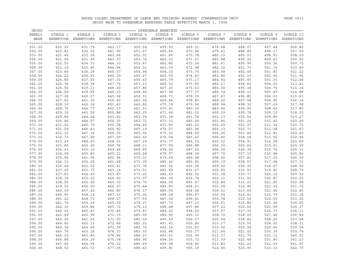| GROSS       |          |                                                                                                              |          |          |          |          |          |          |          |           |
|-------------|----------|--------------------------------------------------------------------------------------------------------------|----------|----------|----------|----------|----------|----------|----------|-----------|
| WEEKLY      | SINGLE 1 | SINGLE 2                                                                                                     | SINGLE 3 | SINGLE 4 | SINGLE 5 | SINGLE 6 | SINGLE 7 | SINGLE 8 | SINGLE 9 | SINGLE 10 |
| <b>WAGE</b> |          | EXEMPTION EXEMPTIONS EXEMPTIONS EXEMPTIONS EXEMPTIONS EXEMPTIONS EXEMPTIONS EXEMPTIONS EXEMPTIONS EXEMPTIONS |          |          |          |          |          |          |          |           |
|             |          |                                                                                                              |          |          |          |          |          |          |          |           |
| 551.00      | 420.26   | 431.79                                                                                                       | 441.17   | 450.54   | 459.93   | 469.31   | 478.68   | 488.07   | 497.44   | 506.82    |
| 552.00      | 420.83   | 432.52                                                                                                       | 441.90   | 451.27   | 460.66   | 470.04   | 479.41   | 488.80   | 498.17   | 507.55    |
| 553.00      | 421.40   | 433.26                                                                                                       | 442.64   | 452.01   | 461.40   | 470.78   | 480.15   | 489.53   | 498.91   | 508.29    |
| 554.00      | 421.96   | 433.99                                                                                                       | 443.37   | 452.74   | 462.12   | 471.51   | 480.88   | 490.26   | 499.63   | 509.02    |
| 555.00      | 422.52   | 434.71                                                                                                       | 444.10   | 453.47   | 462.85   | 472.24   | 481.61   | 490.99   | 500.36   | 509.75    |
| 556.00      | 423.10   | 435.45                                                                                                       | 444.84   | 454.21   | 463.59   | 472.98   | 482.35   | 491.73   | 501.10   | 510.49    |
| 557.00      | 423.66   | 436.18                                                                                                       | 445.57   | 454.94   | 464.32   | 473.70   | 483.08   | 492.46   | 501.83   | 511.22    |
| 558.00      | 424.22   | 436.91                                                                                                       | 446.29   | 455.67   | 465.05   | 474.43   | 483.80   | 493.19   | 502.56   | 511.94    |
| 559.00      | 424.80   | 437.65                                                                                                       | 447.03   | 456.40   | 465.79   | 475.17   | 484.54   | 493.93   | 503.30   | 512.68    |
| 560.00      | 425.36   | 438.38                                                                                                       | 447.76   | 457.13   | 466.52   | 475.90   | 485.27   | 494.66   | 504.03   | 513.41    |
| 561.00      | 425.92   | 439.11                                                                                                       | 448.49   | 457.86   | 467.25   | 476.63   | 486.00   | 495.38   | 504.76   | 514.14    |
| 562.00      | 426.50   | 439.85                                                                                                       | 449.23   | 458.60   | 467.98   | 477.37   | 486.74   | 496.12   | 505.49   | 514.88    |
| 563.00      | 427.06   | 440.57                                                                                                       | 449.96   | 459.33   | 468.71   | 478.10   | 487.47   | 496.85   | 506.22   | 515.61    |
| 564.00      | 427.62   | 441.30                                                                                                       | 450.69   | 460.06   | 469.44   | 478.83   | 488.20   | 497.58   | 506.95   | 516.34    |
|             | 428.19   | 442.04                                                                                                       | 451.43   | 460.80   | 470.18   | 479.56   | 488.94   | 498.32   | 507.69   | 517.08    |
| 565.00      |          |                                                                                                              |          |          |          |          |          |          |          |           |
| 566.00      | 428.76   | 442.77                                                                                                       | 452.15   | 461.53   | 470.91   | 480.29   | 489.66   | 499.05   | 508.42   | 517.80    |
| 567.00      | 429.32   | 443.50                                                                                                       | 452.88   | 462.25   | 471.64   | 481.02   | 490.39   | 499.78   | 509.15   | 518.53    |
| 568.00      | 429.89   | 444.24                                                                                                       | 453.62   | 462.99   | 472.38   | 481.76   | 491.13   | 500.52   | 509.89   | 519.27    |
| 569.00      | 430.46   | 444.97                                                                                                       | 454.35   | 463.72   | 473.11   | 482.49   | 491.86   | 501.24   | 510.62   | 520.00    |
| 570.00      | 431.02   | 445.70                                                                                                       | 455.08   | 464.45   | 473.83   | 483.22   | 492.59   | 501.97   | 511.34   | 520.73    |
| 571.00      | 431.59   | 446.43                                                                                                       | 455.82   | 465.19   | 474.57   | 483.96   | 493.33   | 502.71   | 512.08   | 521.47    |
| 572.00      | 432.16   | 447.16                                                                                                       | 456.55   | 465.92   | 475.30   | 484.69   | 494.06   | 503.44   | 512.81   | 522.20    |
| 573.00      | 432.73   | 447.90                                                                                                       | 457.29   | 466.66   | 476.04   | 485.42   | 494.80   | 504.18   | 513.55   | 522.94    |
| 574.00      | 433.29   | 448.63                                                                                                       | 458.01   | 467.39   | 476.77   | 486.15   | 495.52   | 504.91   | 514.28   | 523.66    |
| 575.00      | 433.85   | 449.36                                                                                                       | 458.74   | 468.11   | 477.50   | 486.88   | 496.25   | 505.64   | 515.01   | 524.39    |
| 576.00      | 434.43   | 450.10                                                                                                       | 459.48   | 468.85   | 478.24   | 487.62   | 496.99   | 506.38   | 515.75   | 525.13    |
| 577.00      | 434.99   | 450.83                                                                                                       | 460.21   | 469.58   | 478.97   | 488.35   | 497.72   | 507.10   | 516.48   | 525.86    |
| 578.00      | 435.55   | 451.56                                                                                                       | 460.94   | 470.31   | 479.69   | 489.08   | 498.45   | 507.83   | 517.20   | 526.59    |
| 579.00      | 436.13   | 452.29                                                                                                       | 461.68   | 471.05   | 480.43   | 489.82   | 499.19   | 508.57   | 517.94   | 527.33    |
| 580.00      | 436.69   | 453.02                                                                                                       | 462.41   | 471.78   | 481.16   | 490.55   | 499.92   | 509.30   | 518.67   | 528.06    |
| 581.00      | 437.25   | 453.75                                                                                                       | 463.14   | 472.51   | 481.89   | 491.27   | 500.65   | 510.03   | 519.40   | 528.79    |
| 582.00      | 437.83   | 454.49                                                                                                       | 463.87   | 473.25   | 482.63   | 492.01   | 501.38   | 510.77   | 520.14   | 529.52    |
| 583.00      | 438.39   | 455.22                                                                                                       | 464.60   | 473.97   | 483.36   | 492.74   | 502.11   | 511.50   | 520.87   | 530.25    |
| 584.00      | 438.95   | 455.95                                                                                                       | 465.33   | 474.70   | 484.09   | 493.47   | 502.84   | 512.23   | 521.60   | 530.98    |
| 585.00      | 439.52   | 456.69                                                                                                       | 466.07   | 475.44   | 484.83   | 494.21   | 503.58   | 512.96   | 522.34   | 531.72    |
| 586.00      | 440.09   | 457.42                                                                                                       | 466.80   | 476.17   | 485.55   | 494.94   | 504.31   | 513.69   | 523.06   | 532.45    |
| 587.00      | 440.65   | 458.14                                                                                                       | 467.53   | 476.90   | 486.28   | 495.67   | 505.04   | 514.42   | 523.79   | 533.18    |
| 588.00      | 441.22   | 458.73                                                                                                       | 468.27   | 477.64   | 487.02   | 496.41   | 505.78   | 515.16   | 524.53   | 533.92    |
| 589.00      | 441.79   | 459.29                                                                                                       | 469.00   | 478.37   | 487.75   | 497.13   | 506.51   | 515.89   | 525.26   | 534.65    |
| 590.00      | 442.35   | 459.86                                                                                                       | 469.72   | 479.10   | 488.48   | 497.86   | 507.23   | 516.62   | 525.99   | 535.37    |
| 591.00      | 442.92   | 460.43                                                                                                       | 470.46   | 479.83   | 489.22   | 498.60   | 507.97   | 517.36   | 526.73   | 536.11    |
| 592.00      | 443.49   | 460.99                                                                                                       | 471.19   | 480.56   | 489.95   | 499.33   | 508.70   | 518.09   | 527.46   | 536.84    |
| 593.00      | 444.06   | 461.56                                                                                                       | 471.93   | 481.30   | 490.69   | 500.07   | 509.44   | 518.82   | 528.20   | 537.58    |
| 594.00      | 444.62   | 462.13                                                                                                       | 472.66   | 482.03   | 491.41   | 500.80   | 510.17   | 519.55   | 528.92   | 538.31    |
| 595.00      | 445.18   | 462.69                                                                                                       | 473.39   | 482.76   | 492.14   | 501.53   | 510.90   | 520.28   | 529.65   | 539.04    |
| 596.00      | 445.76   | 463.26                                                                                                       | 474.13   | 483.50   | 492.88   | 502.27   | 511.64   | 521.02   | 530.39   | 539.78    |
| 597.00      | 446.32   | 463.83                                                                                                       | 474.86   | 484.23   | 493.61   | 502.99   | 512.37   | 521.75   | 531.12   | 540.51    |
| 598.00      | 446.88   | 464.39                                                                                                       | 475.58   | 484.96   | 494.34   | 503.72   | 513.09   | 522.48   | 531.85   | 541.23    |
| 599.00      | 447.46   | 464.96                                                                                                       | 476.32   | 485.69   | 495.08   | 504.46   | 513.83   | 523.22   | 532.59   | 541.97    |
| 600.00      | 448.02   | 465.53                                                                                                       | 477.05   | 486.42   | 495.81   | 505.19   | 514.56   | 523.95   | 533.32   | 542.70    |
|             |          |                                                                                                              |          |          |          |          |          |          |          |           |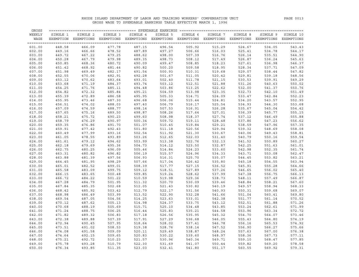## RHODE ISLAND DEPARTMENT OF LABOR AND TRAINING WORKERS' COMPENSATION UNIT PAGE 0013 GROSS WAGE TO SPENDABLE EARNINGS TABLE EFFECTIVE MARCH 1, 1996

| GROSS  |          |                                                                                                              |          |          |          |          |          |          |          |           |
|--------|----------|--------------------------------------------------------------------------------------------------------------|----------|----------|----------|----------|----------|----------|----------|-----------|
| WEEKLY | SINGLE 1 | SINGLE 2                                                                                                     | SINGLE 3 | SINGLE 4 | SINGLE 5 | SINGLE 6 | SINGLE 7 | SINGLE 8 | SINGLE 9 | SINGLE 10 |
| WAGE   |          | EXEMPTION EXEMPTIONS EXEMPTIONS EXEMPTIONS EXEMPTIONS EXEMPTIONS EXEMPTIONS EXEMPTIONS EXEMPTIONS EXEMPTIONS |          |          |          |          |          |          |          |           |
|        |          |                                                                                                              |          |          |          |          |          |          |          |           |
| 601.00 | 448.58   | 466.09                                                                                                       | 477.78   | 487.15   | 496.54   | 505.92   | 515.29   | 524.67   | 534.05   | 543.43    |
| 602.00 | 449.16   | 466.66                                                                                                       | 478.52   | 487.89   | 497.27   | 506.66   | 516.03   | 525.41   | 534.78   | 544.17    |
| 603.00 | 449.72   | 467.22                                                                                                       | 479.25   | 488.62   | 498.00   | 507.39   | 516.76   | 526.14   | 535.51   | 544.90    |
| 604.00 | 450.28   | 467.79                                                                                                       | 479.98   | 489.35   | 498.73   | 508.12   | 517.49   | 526.87   | 536.24   | 545.63    |
| 605.00 | 450.85   | 468.36                                                                                                       | 480.72   | 490.09   | 499.47   | 508.85   | 518.23   | 527.61   | 536.98   | 546.37    |
| 606.00 | 451.42   | 468.92                                                                                                       | 481.44   | 490.82   | 500.20   | 509.58   | 518.95   | 528.34   | 537.71   | 547.09    |
| 607.00 | 451.98   | 469.49                                                                                                       | 482.17   | 491.54   | 500.93   | 510.31   | 519.68   | 529.07   | 538.44   | 547.82    |
| 608.00 | 452.55   | 470.06                                                                                                       | 482.91   | 492.28   | 501.67   | 511.05   | 520.42   | 529.81   | 539.18   | 548.56    |
| 609.00 | 453.12   | 470.62                                                                                                       | 483.64   | 493.01   | 502.40   | 511.78   | 521.15   | 530.53   | 539.91   | 549.29    |
| 610.00 | 453.68   | 471.19                                                                                                       | 484.37   | 493.74   | 503.12   | 512.51   | 521.88   | 531.26   | 540.63   | 550.02    |
| 611.00 | 454.25   | 471.76                                                                                                       | 485.11   | 494.48   | 503.86   | 513.25   | 522.62   | 532.00   | 541.37   | 550.76    |
| 612.00 | 454.82   | 472.32                                                                                                       | 485.84   | 495.21   | 504.59   | 513.98   | 523.35   | 532.73   | 542.10   | 551.49    |
| 613.00 | 455.39   | 472.89                                                                                                       | 486.58   | 495.95   | 505.33   | 514.71   | 524.09   | 533.47   | 542.84   | 552.23    |
| 614.00 | 455.95   | 473.46                                                                                                       | 487.30   | 496.68   | 506.06   | 515.44   | 524.81   | 534.20   | 543.57   | 552.95    |
| 615.00 | 456.51   | 474.02                                                                                                       | 488.03   | 497.40   | 506.79   | 516.17   | 525.54   | 534.93   | 544.30   | 553.68    |
| 616.00 | 457.09   | 474.59                                                                                                       | 488.77   | 498.14   | 507.53   | 516.91   | 526.28   | 535.67   | 545.04   | 554.42    |
| 617.00 | 457.65   | 475.16                                                                                                       | 489.50   | 498.87   | 508.26   | 517.64   | 527.01   | 536.39   | 545.77   | 555.15    |
| 618.00 | 458.21   | 475.72                                                                                                       | 490.23   | 499.60   | 508.98   | 518.37   | 527.74   | 537.12   | 546.49   | 555.88    |
| 619.00 | 458.79   | 476.29                                                                                                       | 490.97   | 500.34   | 509.72   | 519.11   | 528.48   | 537.86   | 547.23   | 556.62    |
| 620.00 | 459.35   | 476.86                                                                                                       | 491.70   | 501.07   | 510.45   | 519.84   | 529.21   | 538.59   | 547.96   | 557.35    |
| 621.00 | 459.91   | 477.42                                                                                                       | 492.43   | 501.80   | 511.18   | 520.56   | 529.94   | 539.32   | 548.69   | 558.08    |
| 622.00 | 460.49   | 477.99                                                                                                       | 493.16   | 502.54   | 511.92   | 521.30   | 530.67   | 540.06   | 549.43   | 558.81    |
| 623.00 | 461.05   | 478.55                                                                                                       | 493.89   | 503.26   | 512.65   | 522.03   | 531.40   | 540.79   | 550.16   | 559.54    |
| 624.00 | 461.61   | 479.12                                                                                                       | 494.62   | 503.99   | 513.38   | 522.76   | 532.13   | 541.52   | 550.89   | 560.27    |
| 625.00 | 462.18   | 479.69                                                                                                       | 495.36   | 504.73   | 514.12   | 523.50   | 532.87   | 542.25   | 551.63   | 561.01    |
| 626.00 | 462.75   | 480.25                                                                                                       | 496.09   | 505.46   | 514.84   | 524.23   | 533.60   | 542.98   | 552.35   | 561.74    |
| 627.00 | 463.31   | 480.82                                                                                                       | 496.82   | 506.19   | 515.57   | 524.96   | 534.33   | 543.71   | 553.08   | 562.47    |
| 628.00 | 463.88   | 481.39                                                                                                       | 497.56   | 506.93   | 516.31   | 525.70   | 535.07   | 544.45   | 553.82   | 563.21    |
| 629.00 | 464.45   | 481.95                                                                                                       | 498.29   | 507.66   | 517.04   | 526.42   | 535.80   | 545.18   | 554.55   | 563.94    |
| 630.00 | 465.01   | 482.52                                                                                                       | 499.01   | 508.39   | 517.77   | 527.15   | 536.52   | 545.91   | 555.28   | 564.66    |
| 631.00 | 465.58   | 483.09                                                                                                       | 499.75   | 509.12   | 518.51   | 527.89   | 537.26   | 546.65   | 556.02   | 565.40    |
| 632.00 | 466.15   | 483.65                                                                                                       | 500.48   | 509.85   | 519.24   | 528.62   | 537.99   | 547.38   | 556.75   | 566.13    |
| 633.00 | 466.72   | 484.22                                                                                                       | 501.22   | 510.59   | 519.98   | 529.36   | 538.73   | 548.11   | 557.49   | 566.87    |
| 634.00 | 467.28   | 484.79                                                                                                       | 501.95   | 511.32   | 520.70   | 530.09   | 539.46   | 548.84   | 558.21   | 567.60    |
| 635.00 | 467.84   | 485.35                                                                                                       | 502.68   | 512.05   | 521.43   | 530.82   | 540.19   | 549.57   | 558.94   | 568.33    |
| 636.00 | 468.42   | 485.92                                                                                                       | 503.42   | 512.79   | 522.17   | 531.56   | 540.93   | 550.31   | 559.68   | 569.07    |
| 637.00 | 468.98   | 486.49                                                                                                       | 503.99   | 513.52   | 522.90   | 532.28   | 541.66   | 551.04   | 560.41   | 569.80    |
| 638.00 | 469.54   | 487.05                                                                                                       | 504.56   | 514.25   | 523.63   | 533.01   | 542.38   | 551.77   | 561.14   | 570.52    |
| 639.00 | 470.12   | 487.62                                                                                                       | 505.13   | 514.98   | 524.37   | 533.75   | 543.12   | 552.51   | 561.88   | 571.26    |
| 640.00 | 470.68   | 488.19                                                                                                       | 505.69   | 515.71   | 525.10   | 534.48   | 543.85   | 553.24   | 562.61   | 571.99    |
| 641.00 | 471.24   | 488.75                                                                                                       | 506.25   | 516.44   | 525.83   | 535.21   | 544.58   | 553.96   | 563.34   | 572.72    |
| 642.00 | 471.82   | 489.32                                                                                                       | 506.83   | 517.18   | 526.56   | 535.95   | 545.32   | 554.70   | 564.07   | 573.46    |
| 643.00 | 472.38   | 489.88                                                                                                       | 507.39   | 517.91   | 527.29   | 536.68   | 546.05   | 555.43   | 564.80   | 574.19    |
| 644.00 | 472.94   | 490.45                                                                                                       | 507.95   | 518.64   | 528.02   | 537.41   | 546.78   | 556.16   | 565.53   | 574.92    |
| 645.00 | 473.51   | 491.02                                                                                                       | 508.53   | 519.38   | 528.76   | 538.14   | 547.52   | 556.90   | 566.27   | 575.66    |
| 646.00 | 474.08   | 491.58                                                                                                       | 509.09   | 520.11   | 529.49   | 538.87   | 548.24   | 557.63   | 567.00   | 576.38    |
| 647.00 | 474.64   | 492.15                                                                                                       | 509.65   | 520.83   | 530.22   | 539.60   | 548.97   | 558.36   | 567.73   | 577.11    |
| 648.00 | 475.21   | 492.72                                                                                                       | 510.23   | 521.57   | 530.96   | 540.34   | 549.71   | 559.10   | 568.47   | 577.85    |
| 649.00 | 475.78   | 493.28                                                                                                       | 510.79   | 522.30   | 531.69   | 541.07   | 550.44   | 559.82   | 569.20   | 578.58    |
| 650.00 | 476.34   | 493.85                                                                                                       | 511.35   | 523.03   | 532.41   | 541.80   | 551.17   | 560.55   | 569.92   | 579.31    |
|        |          |                                                                                                              |          |          |          |          |          |          |          |           |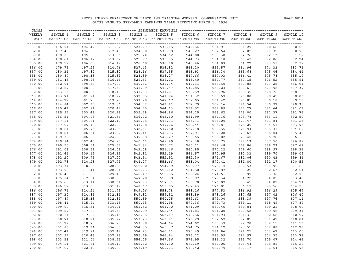| GROSS            |                  |                                                                                                              |                  |                  |                  |                  |                  |                  |                  |                  |
|------------------|------------------|--------------------------------------------------------------------------------------------------------------|------------------|------------------|------------------|------------------|------------------|------------------|------------------|------------------|
| WEEKLY           | SINGLE 1         | SINGLE 2                                                                                                     | SINGLE 3         | SINGLE 4         | SINGLE 5         | SINGLE 6         | SINGLE 7         | SINGLE 8         | SINGLE 9         | SINGLE 10        |
| WAGE             |                  | EXEMPTION EXEMPTIONS EXEMPTIONS EXEMPTIONS EXEMPTIONS EXEMPTIONS EXEMPTIONS EXEMPTIONS EXEMPTIONS EXEMPTIONS |                  |                  |                  |                  |                  |                  |                  |                  |
| 651.00           | 476.91           | 494.42                                                                                                       | 511.92           | 523.77           | 533.15           | 542.54           | 551.91           | 561.29           | 570.66           | 580.05           |
| 652.00           | 477.48           | 494.98                                                                                                       | 512.49           | 524.50           | 533.88           | 543.27           | 552.64           | 562.02           | 571.39           | 580.78           |
| 653.00           | 478.05           | 495.55                                                                                                       | 513.06           | 525.24           | 534.62           | 544.00           | 553.38           | 562.76           | 572.13           | 581.52           |
| 654.00           | 478.61           | 496.12                                                                                                       | 513.62           | 525.97           | 535.35           | 544.73           | 554.10           | 563.49           | 572.86           | 582.24           |
| 655.00           | 479.17           | 496.68                                                                                                       | 514.19           | 526.69           | 536.08           | 545.46           | 554.83           | 564.22           | 573.59           | 582.97           |
| 656.00           | 479.75           | 497.25                                                                                                       | 514.76           | 527.43           | 536.82           | 546.20           | 555.57           | 564.96           | 574.33           | 583.71           |
| 657.00           | 480.31           | 497.82                                                                                                       | 515.32           | 528.16           | 537.55           | 546.93           | 556.30           | 565.68           | 575.06           | 584.44           |
| 658.00           | 480.87           | 498.38                                                                                                       | 515.89           | 528.89           | 538.27           | 547.66           | 557.03           | 566.41           | 575.78           | 585.17           |
| 659.00           | 481.45           | 498.95                                                                                                       | 516.46           | 529.63           | 539.01           | 548.40           | 557.77           | 567.15           | 576.52           | 585.91           |
| 660.00           | 482.01           | 499.52                                                                                                       | 517.02           | 530.36           | 539.74           | 549.13           | 558.50           | 567.88           | 577.25           | 586.64           |
| 661.00           | 482.57           | 500.08                                                                                                       | 517.58           | 531.09           | 540.47           | 549.85           | 559.23           | 568.61           | 577.98           | 587.37           |
| 662.00           | 483.15           | 500.65                                                                                                       | 518.16           | 531.83           | 541.21           | 550.59           | 559.96           | 569.35           | 578.72           | 588.10           |
| 663.00           | 483.71           | 501.21                                                                                                       | 518.72           | 532.55           | 541.94           | 551.32           | 560.69           | 570.08           | 579.45           | 588.83           |
| 664.00           | 484.27           | 501.78                                                                                                       | 519.28           | 533.28           | 542.67           | 552.05           | 561.42           | 570.81           | 580.18           | 589.56           |
| 665.00           | 484.84           | 502.35                                                                                                       | 519.86           | 534.02           | 543.41           | 552.79           | 562.16           | 571.54           | 580.92           | 590.30           |
| 666.00           | 485.41           | 502.91                                                                                                       | 520.42           | 534.75           | 544.13           | 553.52           | 562.89           | 572.27           | 581.64           | 591.03           |
| 667.00           | 485.97           | 503.48                                                                                                       | 520.98           | 535.48           | 544.86           | 554.25           | 563.62           | 573.00           | 582.37           | 591.76           |
| 668.00           | 486.54           | 504.05                                                                                                       | 521.56           | 536.22           | 545.60           | 554.99           | 564.36           | 573.74           | 583.11           | 592.50           |
| 669.00           | 487.11           | 504.61                                                                                                       | 522.12           | 536.95           | 546.33           | 555.71           | 565.09           | 574.47           | 583.84           | 593.23           |
| 670.00           | 487.67           | 505.18                                                                                                       | 522.68           | 537.68           | 547.06           | 556.44           | 565.81           | 575.20           | 584.57           | 593.95           |
| 671.00           | 488.24           | 505.75                                                                                                       | 523.25           | 538.41           | 547.80           | 557.18           | 566.55           | 575.94           | 585.31           | 594.69           |
| 672.00           | 488.81           | 506.31                                                                                                       | 523.82           | 539.14           | 548.53           | 557.91           | 567.28           | 576.67           | 586.04           | 595.42           |
| 673.00           | 489.38           | 506.88                                                                                                       | 524.39           | 539.88           | 549.27           | 558.65           | 568.02           | 577.40           | 586.78           | 596.16           |
| 674.00           | 489.94           | 507.45                                                                                                       | 524.95           | 540.61           | 549.99           | 559.38           | 568.75           | 578.13           | 587.50           | 596.89           |
| 675.00           | 490.50           | 508.01                                                                                                       | 525.52           | 541.34           | 550.72           | 560.11           | 569.48           | 578.86           | 588.23           | 597.62           |
| 676.00           | 491.08           | 508.58                                                                                                       | 526.09           | 542.08           | 551.46           | 560.85           | 570.22           | 579.60           | 588.97           | 598.36           |
| 677.00           | 491.64           | 509.15                                                                                                       | 526.65           | 542.81           | 552.19           | 561.57           | 570.95           | 580.33           | 589.70           | 599.09           |
| 678.00           | 492.20           | 509.71                                                                                                       | 527.22           | 543.54           | 552.92           | 562.30           | 571.67           | 581.06           | 590.43           | 599.81           |
| 679.00           | 492.78           | 510.28                                                                                                       | 527.79           | 544.27           | 553.66           | 563.04           | 572.41           | 581.80           | 591.17           | 600.55           |
| 680.00           | 493.34           | 510.85                                                                                                       | 528.35           | 545.00           | 554.39           | 563.77           | 573.14           | 582.53           | 591.90           | 601.28           |
| 681.00           | 493.90           | 511.41                                                                                                       | 528.91           | 545.73           | 555.12           | 564.50           | 573.87           | 583.25           | 592.63           | 602.01           |
| 682.00           | 494.48           | 511.98                                                                                                       | 529.49           | 546.47           | 555.85           | 565.24           | 574.61           | 583.99           | 593.36           | 602.75           |
| 683.00           | 495.04           | 512.54                                                                                                       | 530.05           | 547.20           | 556.58           | 565.97           | 575.34           | 584.72           | 594.09           | 603.48           |
| 684.00<br>685.00 | 495.60           | 513.11<br>513.68                                                                                             | 530.61           | 547.93<br>548.67 | 557.31           | 566.70           | 576.07<br>576.81 | 585.45<br>586.19 | 594.82<br>595.56 | 604.21<br>604.95 |
|                  | 496.17<br>496.74 | 514.24                                                                                                       | 531.19<br>531.75 | 549.26           | 558.05           | 567.43<br>568.16 |                  | 586.92           | 596.29           | 605.67           |
| 686.00<br>687.00 | 497.30           | 514.81                                                                                                       | 532.31           | 549.82           | 558.78<br>559.51 | 568.89           | 577.53<br>578.26 | 587.65           | 597.02           | 606.40           |
| 688.00           | 497.87           | 515.38                                                                                                       | 532.89           | 550.39           | 560.25           | 569.63           | 579.00           | 588.39           | 597.76           | 607.14           |
| 689.00           | 498.44           | 515.94                                                                                                       | 533.45           | 550.95           | 560.98           | 570.36           | 579.73           | 589.11           | 598.49           | 607.87           |
| 690.00           | 499.00           | 516.51                                                                                                       | 534.01           | 551.52           | 561.70           | 571.09           | 580.46           | 589.84           | 599.21           | 608.60           |
| 691.00           | 499.57           | 517.08                                                                                                       | 534.58           | 552.09           | 562.44           | 571.83           | 581.20           | 590.58           | 599.95           | 609.34           |
| 692.00           | 500.14           | 517.64                                                                                                       | 535.15           | 552.65           | 563.17           | 572.56           | 581.93           | 591.31           | 600.68           | 610.07           |
| 693.00           | 500.71           | 518.21                                                                                                       | 535.72           | 553.23           | 563.91           | 573.29           | 582.67           | 592.05           | 601.42           | 610.81           |
| 694.00           | 501.27           | 518.78                                                                                                       | 536.28           | 553.79           | 564.64           | 574.02           | 583.39           | 592.78           | 602.15           | 611.53           |
| 695.00           | 501.83           | 519.34                                                                                                       | 536.85           | 554.35           | 565.37           | 574.75           | 584.12           | 593.51           | 602.88           | 612.26           |
| 696.00           | 502.41           | 519.91                                                                                                       | 537.42           | 554.93           | 566.11           | 575.49           | 584.86           | 594.25           | 603.62           | 613.00           |
| 697.00           | 502.97           | 520.48                                                                                                       | 537.98           | 555.49           | 566.84           | 576.22           | 585.59           | 594.97           | 604.35           | 613.73           |
| 698.00           | 503.53           | 521.04                                                                                                       | 538.55           | 556.05           | 567.56           | 576.95           | 586.32           | 595.70           | 605.07           | 614.46           |
| 699.00           | 504.11           | 521.61                                                                                                       | 539.12           | 556.62           | 568.30           | 577.69           | 587.06           | 596.44           | 605.81           | 615.20           |
| 700.00           | 504.67           | 522.18                                                                                                       | 539.68           | 557.19           | 569.03           | 578.42           | 587.79           | 597.17           | 606.54           | 615.93           |
|                  |                  |                                                                                                              |                  |                  |                  |                  |                  |                  |                  |                  |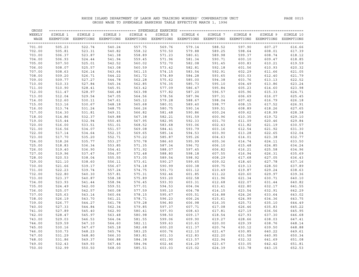## RHODE ISLAND DEPARTMENT OF LABOR AND TRAINING WORKERS' COMPENSATION UNIT PAGE 0015 GROSS WAGE TO SPENDABLE EARNINGS TABLE EFFECTIVE MARCH 1, 1996

| GROSS       |          |                                                                                                              |          |          |          |          |          |          |          |           |
|-------------|----------|--------------------------------------------------------------------------------------------------------------|----------|----------|----------|----------|----------|----------|----------|-----------|
| WEEKLY      | SINGLE 1 | SINGLE 2                                                                                                     | SINGLE 3 | SINGLE 4 | SINGLE 5 | SINGLE 6 | SINGLE 7 | SINGLE 8 | SINGLE 9 | SINGLE 10 |
| <b>WAGE</b> |          | EXEMPTION EXEMPTIONS EXEMPTIONS EXEMPTIONS EXEMPTIONS EXEMPTIONS EXEMPTIONS EXEMPTIONS EXEMPTIONS EXEMPTIONS |          |          |          |          |          |          |          |           |
|             |          |                                                                                                              |          |          |          |          |          |          |          |           |
| 701.00      | 505.23   | 522.74                                                                                                       | 540.24   | 557.75   | 569.76   | 579.14   | 588.52   | 597.90   | 607.27   | 616.66    |
| 702.00      | 505.81   | 523.31                                                                                                       | 540.82   | 558.32   | 570.50   | 579.88   | 589.25   | 598.64   | 608.01   | 617.39    |
| 703.00      | 506.37   | 523.87                                                                                                       | 541.38   | 558.89   | 571.23   | 580.61   | 589.98   | 599.37   | 608.74   | 618.12    |
| 704.00      | 506.93   | 524.44                                                                                                       | 541.94   | 559.45   | 571.96   | 581.34   | 590.71   | 600.10   | 609.47   | 618.85    |
| 705.00      | 507.50   | 525.01                                                                                                       | 542.52   | 560.02   | 572.70   | 582.08   | 591.45   | 600.83   | 610.21   | 619.59    |
| 706.00      | 508.07   | 525.57                                                                                                       | 543.08   | 560.59   | 573.42   | 582.81   | 592.18   | 601.56   | 610.93   | 620.32    |
| 707.00      | 508.63   | 526.14                                                                                                       | 543.64   | 561.15   | 574.15   | 583.54   | 592.91   | 602.29   | 611.66   | 621.05    |
| 708.00      | 509.20   | 526.71                                                                                                       | 544.22   | 561.72   | 574.89   | 584.28   | 593.65   | 603.03   |          | 621.79    |
|             |          |                                                                                                              |          |          |          |          |          |          | 612.40   |           |
| 709.00      | 509.77   | 527.27                                                                                                       | 544.78   | 562.28   | 575.62   | 585.00   | 594.38   | 603.76   | 613.13   | 622.52    |
| 710.00      | 510.33   | 527.84                                                                                                       | 545.34   | 562.85   | 576.35   | 585.73   | 595.10   | 604.49   | 613.86   | 623.24    |
| 711.00      | 510.90   | 528.41                                                                                                       | 545.91   | 563.42   | 577.09   | 586.47   | 595.84   | 605.23   | 614.60   | 623.98    |
| 712.00      | 511.47   | 528.97                                                                                                       | 546.48   | 563.98   | 577.82   | 587.20   | 596.57   | 605.96   | 615.33   | 624.71    |
| 713.00      | 512.04   | 529.54                                                                                                       | 547.05   | 564.56   | 578.56   | 587.94   | 597.31   | 606.69   | 616.07   | 625.45    |
| 714.00      | 512.60   | 530.11                                                                                                       | 547.61   | 565.12   | 579.28   | 588.67   | 598.04   | 607.42   | 616.79   | 626.18    |
| 715.00      | 513.16   | 530.67                                                                                                       | 548.18   | 565.68   | 580.01   | 589.40   | 598.77   | 608.15   | 617.52   | 626.91    |
| 716.00      | 513.74   | 531.24                                                                                                       | 548.75   | 566.26   | 580.75   | 590.14   | 599.51   | 608.89   | 618.26   | 627.65    |
| 717.00      | 514.30   | 531.81                                                                                                       | 549.31   | 566.82   | 581.48   | 590.86   | 600.24   | 609.62   | 618.99   | 628.38    |
| 718.00      | 514.86   | 532.37                                                                                                       | 549.88   | 567.38   | 582.21   | 591.59   | 600.96   | 610.35   | 619.72   | 629.10    |
| 719.00      | 515.44   | 532.94                                                                                                       | 550.45   | 567.95   | 582.95   | 592.33   | 601.70   | 611.09   | 620.46   | 629.84    |
| 720.00      | 516.00   | 533.51                                                                                                       | 551.01   | 568.52   | 583.68   | 593.06   | 602.43   | 611.82   | 621.19   | 630.57    |
| 721.00      | 516.56   | 534.07                                                                                                       | 551.57   | 569.08   | 584.41   | 593.79   | 603.16   | 612.54   | 621.92   | 631.30    |
| 722.00      | 517.14   | 534.64                                                                                                       | 552.15   | 569.65   | 585.14   | 594.53   | 603.90   | 613.28   | 622.65   | 632.04    |
| 723.00      | 517.70   | 535.20                                                                                                       | 552.71   | 570.22   | 585.87   | 595.26   | 604.63   | 614.01   | 623.38   | 632.77    |
| 724.00      | 518.26   | 535.77                                                                                                       | 553.27   | 570.78   | 586.60   | 595.99   | 605.36   | 614.74   | 624.11   | 633.50    |
| 725.00      | 518.83   | 536.34                                                                                                       | 553.85   | 571.35   | 587.34   | 596.72   | 606.10   | 615.48   | 624.85   | 634.24    |
| 726.00      | 519.40   | 536.90                                                                                                       | 554.41   | 571.92   | 588.07   | 597.45   | 606.82   | 616.21   | 625.58   | 634.96    |
| 727.00      | 519.96   | 537.47                                                                                                       | 554.97   | 572.48   | 588.80   | 598.18   | 607.55   | 616.94   | 626.31   | 635.69    |
| 728.00      | 520.53   | 538.04                                                                                                       | 555.55   | 573.05   | 589.54   | 598.92   | 608.29   | 617.68   | 627.05   | 636.43    |
| 729.00      | 521.10   | 538.60                                                                                                       | 556.11   | 573.61   | 590.27   | 599.65   | 609.02   | 618.40   | 627.78   | 637.16    |
| 730.00      | 521.66   | 539.17                                                                                                       | 556.67   | 574.18   | 590.99   | 600.38   | 609.75   | 619.13   | 628.50   | 637.89    |
| 731.00      | 522.23   | 539.74                                                                                                       | 557.24   | 574.75   | 591.73   | 601.12   | 610.49   | 619.87   | 629.24   | 638.63    |
| 732.00      | 522.80   | 540.30                                                                                                       | 557.81   | 575.31   | 592.46   | 601.85   | 611.22   | 620.60   | 629.97   | 639.36    |
| 733.00      | 523.37   | 540.87                                                                                                       | 558.38   | 575.89   | 593.20   | 602.58   | 611.96   | 621.34   | 630.71   | 640.10    |
| 734.00      | 523.93   | 541.44                                                                                                       | 558.94   | 576.45   | 593.93   | 603.31   | 612.68   | 622.07   | 631.44   | 640.82    |
| 735.00      | 524.49   | 542.00                                                                                                       | 559.51   | 577.01   | 594.53   | 604.04   | 613.41   | 622.80   | 632.17   | 641.55    |
| 736.00      | 525.07   | 542.57                                                                                                       | 560.08   | 577.59   | 595.10   | 604.78   | 614.15   | 623.54   | 632.91   | 642.29    |
| 737.00      | 525.63   | 543.14                                                                                                       | 560.64   | 578.15   | 595.67   | 605.51   | 614.88   | 624.26   | 633.64   | 643.02    |
|             |          |                                                                                                              |          |          |          |          |          |          |          |           |
| 738.00      | 526.19   | 543.70                                                                                                       | 561.21   | 578.71   | 596.23   | 606.24   | 615.61   | 624.99   | 634.36   | 643.75    |
| 739.00      | 526.77   | 544.27                                                                                                       | 561.78   | 579.28   | 596.80   | 606.98   | 616.35   | 625.73   | 635.10   | 644.49    |
| 740.00      | 527.33   | 544.84                                                                                                       | 562.34   | 579.85   | 597.37   | 607.71   | 617.08   | 626.46   | 635.83   | 645.22    |
| 741.00      | 527.89   | 545.40                                                                                                       | 562.90   | 580.41   | 597.93   | 608.43   | 617.81   | 627.19   | 636.56   | 645.95    |
| 742.00      | 528.47   | 545.97                                                                                                       | 563.48   | 580.98   | 598.50   | 609.17   | 618.54   | 627.93   | 637.30   | 646.68    |
| 743.00      | 529.03   | 546.53                                                                                                       | 564.04   | 581.55   | 599.06   | 609.90   | 619.27   | 628.66   | 638.03   | 647.41    |
| 744.00      | 529.59   | 547.10                                                                                                       | 564.60   | 582.11   | 599.63   | 610.63   | 620.00   | 629.39   | 638.76   | 648.14    |
| 745.00      | 530.16   | 547.67                                                                                                       | 565.18   | 582.68   | 600.20   | 611.37   | 620.74   | 630.12   | 639.50   | 648.88    |
| 746.00      | 530.73   | 548.23                                                                                                       | 565.74   | 583.25   | 600.76   | 612.10   | 621.47   | 630.85   | 640.22   | 649.61    |
| 747.00      | 531.29   | 548.80                                                                                                       | 566.30   | 583.81   | 601.33   | 612.83   | 622.20   | 631.58   | 640.95   | 650.34    |
| 748.00      | 531.86   | 549.37                                                                                                       | 566.88   | 584.38   | 601.90   | 613.57   | 622.94   | 632.32   | 641.69   | 651.08    |
| 749.00      | 532.43   | 549.93                                                                                                       | 567.44   | 584.94   | 602.46   | 614.29   | 623.67   | 633.05   | 642.42   | 651.81    |
| 750.00      | 532.99   | 550.50                                                                                                       | 568.00   | 585.51   | 603.03   | 615.02   | 624.39   | 633.78   | 643.15   | 652.53    |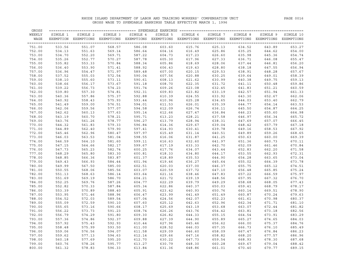| GROSS            |                  |                                                                                                              |                  |                  |                  |                  |                  |                  |                  |                  |
|------------------|------------------|--------------------------------------------------------------------------------------------------------------|------------------|------------------|------------------|------------------|------------------|------------------|------------------|------------------|
| WEEKLY           | SINGLE 1         | SINGLE 2                                                                                                     | SINGLE 3         | SINGLE 4         | SINGLE 5         | SINGLE 6         | SINGLE 7         | SINGLE 8         | SINGLE 9         | SINGLE 10        |
| <b>WAGE</b>      |                  | EXEMPTION EXEMPTIONS EXEMPTIONS EXEMPTIONS EXEMPTIONS EXEMPTIONS EXEMPTIONS EXEMPTIONS EXEMPTIONS EXEMPTIONS |                  |                  |                  |                  |                  |                  |                  |                  |
| 751.00           | 533.56           | 551.07                                                                                                       | 568.57           | 586.08           | 603.60           | 615.76           | 625.13           | 634.52           | 643.89           | 653.27           |
| 752.00           | 534.13           | 551.63                                                                                                       | 569.14           | 586.64           | 604.16           | 616.49           | 625.86           | 635.25           | 644.62           | 654.00           |
| 753.00           | 534.70           | 552.20                                                                                                       | 569.71           | 587.22           | 604.73           | 617.23           | 626.60           | 635.98           | 645.36           | 654.74           |
| 754.00           | 535.26           | 552.77                                                                                                       | 570.27           | 587.78           | 605.30           | 617.96           | 627.33           | 636.71           | 646.08           | 655.47           |
| 755.00           | 535.82           | 553.33                                                                                                       | 570.84           | 588.34           | 605.86           | 618.69           | 628.06           | 637.44           | 646.81           | 656.20           |
| 756.00           | 536.40           | 553.90                                                                                                       | 571.41           | 588.92           | 606.43           | 619.43           | 628.80           | 638.18           | 647.55           | 656.94           |
| 757.00           | 536.96           | 554.47                                                                                                       | 571.97           | 589.48           | 607.00           | 620.15           | 629.53           | 638.91           | 648.28           | 657.67           |
| 758.00           | 537.52           | 555.03                                                                                                       | 572.54           | 590.04           | 607.56           | 620.88           | 630.25           | 639.64           | 649.01           | 658.39           |
| 759.00           | 538.10           | 555.60                                                                                                       | 573.11           | 590.61           | 608.13           | 621.62           | 630.99           | 640.38           | 649.75           | 659.13           |
| 760.00           | 538.66           | 556.17                                                                                                       | 573.67           | 591.18           | 608.70           | 622.35           | 631.72           | 641.11           | 650.48           | 659.86           |
| 761.00           | 539.22           | 556.73                                                                                                       | 574.23           | 591.74           | 609.26           | 623.08           | 632.45           | 641.83           | 651.21           | 660.59           |
| 762.00           | 539.80           | 557.30                                                                                                       | 574.81           | 592.31           | 609.83           | 623.82           | 633.19           | 642.57           | 651.94           | 661.33           |
| 763.00           | 540.36           | 557.86                                                                                                       | 575.37           | 592.88           | 610.39           | 624.55           | 633.92           | 643.30           | 652.67           | 662.06           |
| 764.00           | 540.92           | 558.43                                                                                                       | 575.93           | 593.44           | 610.96           | 625.28           | 634.65           | 644.03           | 653.40           | 662.79           |
| 765.00           | 541.49           | 559.00                                                                                                       | 576.51           | 594.01           | 611.53           | 626.01           | 635.39           | 644.77           | 654.14           | 663.53           |
| 766.00           | 542.06           | 559.56                                                                                                       | 577.07           | 594.58           | 612.09           | 626.74           | 636.11           | 645.50           | 654.87           | 664.25           |
| 767.00           | 542.62           | 560.13                                                                                                       | 577.63           | 595.14           | 612.66           | 627.47           | 636.84           | 646.23           | 655.60           | 664.98           |
| 768.00           | 543.19           | 560.70                                                                                                       | 578.21           | 595.71           | 613.23           | 628.21           | 637.58           | 646.97           | 656.34           | 665.72           |
| 769.00           | 543.76           | 561.26                                                                                                       | 578.77           | 596.27           | 613.79           | 628.94           | 638.31           | 647.69           | 657.07           | 666.45           |
| 770.00           | 544.32           | 561.83                                                                                                       | 579.33           | 596.84           | 614.36           | 629.67           | 639.04           | 648.42           | 657.79           | 667.18           |
| 771.00           | 544.89           | 562.40                                                                                                       | 579.90           | 597.41           | 614.93           | 630.41           | 639.78           | 649.16           | 658.53           | 667.92           |
| 772.00           | 545.46           | 562.96                                                                                                       | 580.47           | 597.97           | 615.49           | 631.14           | 640.51           | 649.89           | 659.26           | 668.65           |
| 773.00           | 546.03           | 563.53                                                                                                       | 581.04           | 598.55           | 616.06           | 631.87           | 641.25           | 650.63           | 660.00           | 669.39           |
| 774.00           | 546.59           | 564.10                                                                                                       | 581.60           | 599.11           | 616.63           | 632.60           | 641.97           | 651.36           | 660.73           | 670.11           |
| 775.00           | 547.15           | 564.66                                                                                                       | 582.17           | 599.67           | 617.19           | 633.33           | 642.70           | 652.09           | 661.46           | 670.84           |
| 776.00           | 547.73           | 565.23                                                                                                       | 582.74           | 600.25           | 617.76           | 634.07           | 643.44           | 652.83           | 662.20           | 671.58           |
| 777.00           | 548.29           | 565.80                                                                                                       | 583.30           | 600.81           | 618.33           | 634.80           | 644.17           | 653.55           | 662.93           | 672.31           |
| 778.00           | 548.85           | 566.36                                                                                                       | 583.87           | 601.37           | 618.89           | 635.53           | 644.90           | 654.28           | 663.65           | 673.04           |
| 779.00           | 549.43           | 566.93                                                                                                       | 584.44           | 601.94           | 619.46           | 636.27           | 645.64           | 655.02           | 664.39           | 673.78           |
| 780.00           | 549.99           | 567.50                                                                                                       | 585.00           | 602.51           | 620.03           | 637.00           | 646.37           | 655.75           | 665.12           | 674.51           |
| 781.00           | 550.55           | 568.06                                                                                                       | 585.56           | 603.07           | 620.59           | 637.72           | 647.10           | 656.48           | 665.85           | 675.24           |
| 782.00           | 551.13           | 568.63                                                                                                       | 586.14           | 603.64           | 621.16           | 638.46           | 647.83           | 657.22           | 666.59           | 675.97           |
| 783.00           | 551.69           | 569.19                                                                                                       | 586.70           | 604.21           | 621.72           | 639.19           | 648.56           | 657.95           | 667.32           | 676.70           |
| 784.00           | 552.25           | 569.76                                                                                                       | 587.26           | 604.77           | 622.29           | 639.79           | 649.29           | 658.68           | 668.05           | 677.43           |
| 785.00           | 552.82           | 570.33                                                                                                       | 587.84           | 605.34           | 622.86           | 640.37           | 650.03           | 659.41           | 668.79           | 678.17           |
| 786.00           | 553.39           | 570.89                                                                                                       | 588.40           | 605.91           | 623.42           | 640.93           | 650.76           | 660.14           | 669.51           | 678.90           |
| 787.00           | 553.95           | 571.46                                                                                                       | 588.96           | 606.47           | 623.99           | 641.49           | 651.49           | 660.87           | 670.24           | 679.63           |
| 788.00           | 554.52           | 572.03                                                                                                       | 589.54           | 607.04           | 624.56           | 642.07           | 652.23           | 661.61           | 670.98           | 680.37           |
| 789.00<br>790.00 | 555.09<br>555.65 | 572.59<br>573.16                                                                                             | 590.10<br>590.66 | 607.60<br>608.17 | 625.12<br>625.69 | 642.63<br>643.19 | 652.96<br>653.68 | 662.34<br>663.07 | 671.71<br>672.44 | 681.10<br>681.82 |
| 791.00           | 556.22           | 573.73                                                                                                       | 591.23           | 608.74           | 626.26           | 643.76           | 654.42           | 663.81           | 673.18           | 682.56           |
| 792.00           | 556.79           | 574.29                                                                                                       | 591.80           | 609.30           | 626.82           | 644.33           | 655.15           | 664.54           | 673.91           | 683.29           |
| 793.00           | 557.36           | 574.86                                                                                                       | 592.37           | 609.88           | 627.39           | 644.90           | 655.89           | 665.27           | 674.65           | 684.03           |
| 794.00           | 557.92           | 575.43                                                                                                       | 592.93           | 610.44           | 627.96           | 645.46           | 656.62           | 666.00           | 675.37           | 684.76           |
| 795.00           | 558.48           | 575.99                                                                                                       | 593.50           | 611.00           | 628.52           | 646.03           | 657.35           | 666.73           | 676.10           | 685.49           |
| 796.00           | 559.06           | 576.56                                                                                                       | 594.07           | 611.58           | 629.09           | 646.60           | 658.09           | 667.47           | 676.84           | 686.23           |
| 797.00           | 559.62           | 577.13                                                                                                       | 594.63           | 612.14           | 629.66           | 647.16           | 658.82           | 668.20           | 677.57           | 686.96           |
| 798.00           | 560.18           | 577.69                                                                                                       | 595.20           | 612.70           | 630.22           | 647.73           | 659.54           | 668.93           | 678.30           | 687.68           |
| 799.00           | 560.76           | 578.26                                                                                                       | 595.77           | 613.27           | 630.79           | 648.30           | 660.28           | 669.67           | 679.04           | 688.42           |
| 800.00           | 561.32           | 578.83                                                                                                       | 596.33           | 613.84           | 631.36           | 648.86           | 661.01           | 670.40           | 679.77           | 689.15           |
|                  |                  |                                                                                                              |                  |                  |                  |                  |                  |                  |                  |                  |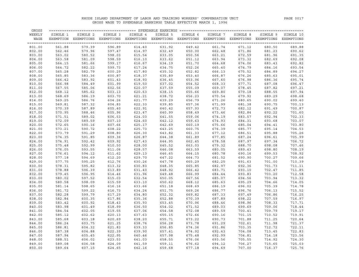| GROSS       |          |                                                                                                              |          |          |          |          |          |          |          |           |
|-------------|----------|--------------------------------------------------------------------------------------------------------------|----------|----------|----------|----------|----------|----------|----------|-----------|
| WEEKLY      | SINGLE 1 | SINGLE 2                                                                                                     | SINGLE 3 | SINGLE 4 | SINGLE 5 | SINGLE 6 | SINGLE 7 | SINGLE 8 | SINGLE 9 | SINGLE 10 |
| <b>WAGE</b> |          | EXEMPTION EXEMPTIONS EXEMPTIONS EXEMPTIONS EXEMPTIONS EXEMPTIONS EXEMPTIONS EXEMPTIONS EXEMPTIONS EXEMPTIONS |          |          |          |          |          |          |          |           |
|             |          |                                                                                                              |          |          |          |          |          |          |          |           |
| 801.00      | 561.88   | 579.39                                                                                                       | 596.89   | 614.40   | 631.92   | 649.42   | 661.74   | 671.12   | 680.50   | 689.88    |
| 802.00      | 562.46   | 579.96                                                                                                       | 597.47   | 614.97   | 632.49   | 650.00   | 662.48   | 671.86   | 681.23   | 690.62    |
| 803.00      | 563.02   | 580.52                                                                                                       | 598.03   | 615.54   | 633.05   | 650.56   | 663.21   | 672.59   | 681.96   | 691.35    |
| 804.00      | 563.58   | 581.09                                                                                                       | 598.59   | 616.10   | 633.62   | 651.12   | 663.94   | 673.32   | 682.69   | 692.08    |
| 805.00      | 564.15   | 581.66                                                                                                       | 599.17   | 616.67   | 634.19   | 651.70   | 664.68   | 674.06   | 683.43   | 692.82    |
| 806.00      | 564.72   | 582.22                                                                                                       | 599.73   | 617.24   | 634.75   | 652.26   | 665.40   | 674.79   | 684.16   | 693.54    |
| 807.00      | 565.28   | 582.79                                                                                                       | 600.29   | 617.80   | 635.32   | 652.82   | 666.13   | 675.52   | 684.89   | 694.27    |
| 808.00      | 565.85   | 583.36                                                                                                       | 600.87   | 618.37   | 635.89   | 653.40   | 666.87   | 676.26   | 685.63   | 695.01    |
| 809.00      | 566.42   | 583.92                                                                                                       | 601.43   | 618.93   | 636.45   | 653.96   | 667.60   | 676.98   | 686.36   | 695.74    |
| 810.00      | 566.98   | 584.49                                                                                                       | 601.99   | 619.50   | 637.02   | 654.52   | 668.33   | 677.71   | 687.08   | 696.47    |
| 811.00      | 567.55   | 585.06                                                                                                       | 602.56   | 620.07   | 637.59   | 655.09   | 669.07   | 678.45   | 687.82   | 697.21    |
| 812.00      | 568.12   | 585.62                                                                                                       | 603.13   | 620.63   | 638.15   | 655.66   | 669.80   | 679.18   | 688.55   | 697.94    |
| 813.00      | 568.69   | 586.19                                                                                                       | 603.70   | 621.21   | 638.72   | 656.23   | 670.54   | 679.92   | 689.29   | 698.68    |
| 814.00      | 569.25   | 586.76                                                                                                       | 604.26   | 621.77   | 639.29   | 656.79   | 671.26   | 680.65   | 690.02   | 699.40    |
| 815.00      | 569.81   | 587.32                                                                                                       | 604.83   | 622.33   | 639.85   | 657.36   | 671.99   | 681.38   | 690.75   | 700.13    |
| 816.00      | 570.39   | 587.89                                                                                                       | 605.40   | 622.91   | 640.42   | 657.93   | 672.73   | 682.12   | 691.49   | 700.87    |
| 817.00      | 570.95   | 588.46                                                                                                       | 605.96   | 623.47   | 640.99   | 658.49   | 673.46   | 682.84   | 692.22   | 701.60    |
| 818.00      | 571.51   | 589.02                                                                                                       | 606.53   | 624.03   | 641.55   | 659.06   | 674.19   | 683.57   | 692.94   | 702.33    |
| 819.00      | 572.09   | 589.59                                                                                                       | 607.10   | 624.60   | 642.12   | 659.63   | 674.93   | 684.31   | 693.68   | 703.07    |
| 820.00      | 572.65   | 590.16                                                                                                       | 607.66   | 625.17   | 642.69   | 660.19   | 675.66   | 685.04   | 694.41   | 703.80    |
| 821.00      | 573.21   | 590.72                                                                                                       | 608.22   | 625.73   | 643.25   | 660.75   | 676.39   | 685.77   | 695.14   | 704.53    |
| 822.00      | 573.79   | 591.29                                                                                                       | 608.80   | 626.30   | 643.82   | 661.33   | 677.12   | 686.51   | 695.88   | 705.26    |
| 823.00      | 574.35   | 591.85                                                                                                       | 609.36   | 626.87   | 644.38   | 661.89   | 677.85   | 687.24   | 696.61   | 705.99    |
| 824.00      | 574.91   | 592.42                                                                                                       | 609.92   | 627.43   | 644.95   | 662.45   | 678.58   | 687.97   | 697.34   | 706.72    |
| 825.00      | 575.48   | 592.99                                                                                                       | 610.50   | 628.00   | 645.52   | 663.03   | 679.32   | 688.70   | 698.08   | 707.46    |
| 826.00      | 576.05   | 593.55                                                                                                       | 611.06   | 628.57   | 646.08   | 663.59   | 680.05   | 689.43   | 698.80   | 708.19    |
| 827.00      | 576.61   | 594.12                                                                                                       | 611.62   | 629.13   | 646.65   | 664.15   | 680.78   | 690.16   | 699.53   | 708.92    |
| 828.00      | 577.18   | 594.69                                                                                                       | 612.20   | 629.70   | 647.22   | 664.73   | 681.52   | 690.90   | 700.27   | 709.66    |
| 829.00      | 577.75   | 595.25                                                                                                       | 612.76   | 630.26   | 647.78   | 665.29   | 682.25   | 691.63   | 701.00   | 710.39    |
| 830.00      | 578.31   | 595.82                                                                                                       | 613.32   | 630.83   | 648.35   | 665.85   | 682.97   | 692.36   | 701.73   | 711.11    |
| 831.00      | 578.88   | 596.39                                                                                                       | 613.89   | 631.40   | 648.92   | 666.42   | 683.71   | 693.10   | 702.47   | 711.85    |
| 832.00      | 579.45   | 596.95                                                                                                       | 614.46   | 631.96   | 649.48   | 666.99   | 684.44   | 693.83   | 703.20   | 712.58    |
| 833.00      | 580.02   | 597.52                                                                                                       | 615.03   | 632.54   | 650.05   | 667.56   | 685.07   | 694.56   | 703.94   | 713.32    |
| 834.00      | 580.58   | 598.09                                                                                                       | 615.59   | 633.10   | 650.62   | 668.12   | 685.63   | 695.29   | 704.66   | 714.05    |
| 835.00      | 581.14   | 598.65                                                                                                       | 616.16   | 633.66   | 651.18   | 668.69   | 686.19   | 696.02   | 705.39   | 714.78    |
| 836.00      | 581.72   | 599.22                                                                                                       | 616.73   | 634.24   | 651.75   | 669.26   | 686.77   | 696.76   | 706.13   | 715.52    |
| 837.00      | 582.28   | 599.79                                                                                                       | 617.29   | 634.80   | 652.32   | 669.82   | 687.33   | 697.49   | 706.86   | 716.25    |
| 838.00      | 582.84   | 600.35                                                                                                       | 617.86   | 635.36   | 652.88   | 670.39   | 687.89   | 698.22   | 707.59   | 716.97    |
| 839.00      | 583.42   | 600.92                                                                                                       | 618.43   | 635.93   | 653.45   | 670.96   | 688.46   | 698.96   | 708.33   | 717.71    |
| 840.00      | 583.98   | 601.49                                                                                                       | 618.99   | 636.50   | 654.02   | 671.52   | 689.03   | 699.69   | 709.06   | 718.44    |
| 841.00      | 584.54   | 602.05                                                                                                       | 619.55   | 637.06   | 654.58   | 672.08   | 689.59   | 700.41   | 709.79   | 719.17    |
| 842.00      | 585.12   | 602.62                                                                                                       | 620.13   | 637.63   | 655.15   | 672.66   | 690.16   | 701.15   | 710.52   | 719.91    |
| 843.00      | 585.68   | 603.18                                                                                                       | 620.69   | 638.20   | 655.71   | 673.22   | 690.73   | 701.88   | 711.25   | 720.64    |
| 844.00      | 586.24   | 603.75                                                                                                       | 621.25   | 638.76   | 656.28   | 673.78   | 691.29   | 702.61   | 711.98   | 721.37    |
| 845.00      | 586.81   | 604.32                                                                                                       | 621.83   | 639.33   | 656.85   | 674.36   | 691.86   | 703.35   | 712.72   | 722.11    |
| 846.00      | 587.38   | 604.88                                                                                                       | 622.39   | 639.90   | 657.41   | 674.92   | 692.43   | 704.08   | 713.45   | 722.83    |
| 847.00      | 587.94   | 605.45                                                                                                       | 622.95   | 640.46   | 657.98   | 675.48   | 692.99   | 704.81   | 714.18   | 723.56    |
| 848.00      | 588.51   | 606.02                                                                                                       | 623.53   | 641.03   | 658.55   | 676.06   | 693.56   | 705.55   | 714.92   | 724.30    |
| 849.00      | 589.08   | 606.58                                                                                                       | 624.09   | 641.59   | 659.11   | 676.62   | 694.12   | 706.27   | 715.65   | 725.03    |
| 850.00      | 589.64   | 607.15                                                                                                       | 624.65   | 642.16   | 659.68   | 677.18   | 694.69   | 707.00   | 716.37   | 725.76    |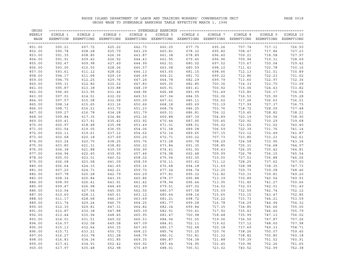## RHODE ISLAND DEPARTMENT OF LABOR AND TRAINING WORKERS' COMPENSATION UNIT PAGE 0018 GROSS WAGE TO SPENDABLE EARNINGS TABLE EFFECTIVE MARCH 1, 1996

| GROSS       |          |                                                                                                              |          |          |          |          |          |          |          |           |
|-------------|----------|--------------------------------------------------------------------------------------------------------------|----------|----------|----------|----------|----------|----------|----------|-----------|
| WEEKLY      | SINGLE 1 | SINGLE 2                                                                                                     | SINGLE 3 | SINGLE 4 | SINGLE 5 | SINGLE 6 | SINGLE 7 | SINGLE 8 | SINGLE 9 | SINGLE 10 |
| <b>WAGE</b> |          | EXEMPTION EXEMPTIONS EXEMPTIONS EXEMPTIONS EXEMPTIONS EXEMPTIONS EXEMPTIONS EXEMPTIONS EXEMPTIONS EXEMPTIONS |          |          |          |          |          |          |          |           |
|             |          |                                                                                                              |          |          |          |          |          |          |          |           |
| 851.00      | 590.21   | 607.72                                                                                                       | 625.22   | 642.73   | 660.25   | 677.75   | 695.26   | 707.74   | 717.11   | 726.50    |
| 852.00      | 590.78   | 608.28                                                                                                       | 625.79   | 643.29   | 660.81   | 678.32   | 695.82   | 708.47   | 717.84   | 727.23    |
| 853.00      | 591.35   | 608.85                                                                                                       | 626.36   | 643.87   | 661.38   | 678.89   | 696.40   | 709.21   | 718.58   | 727.97    |
| 854.00      | 591.91   | 609.42                                                                                                       | 626.92   | 644.43   | 661.95   | 679.45   | 696.96   | 709.94   | 719.31   | 728.69    |
| 855.00      | 592.47   | 609.98                                                                                                       | 627.49   | 644.99   | 662.51   | 680.02   | 697.52   | 710.67   | 720.04   | 729.42    |
| 856.00      | 593.05   | 610.55                                                                                                       | 628.06   | 645.57   | 663.08   | 680.59   | 698.10   | 711.41   | 720.78   | 730.16    |
| 857.00      | 593.61   | 611.12                                                                                                       | 628.62   | 646.13   | 663.65   | 681.15   | 698.66   | 712.13   | 721.51   | 730.89    |
| 858.00      | 594.17   | 611.68                                                                                                       | 629.19   | 646.69   | 664.21   | 681.72   | 699.22   | 712.86   | 722.23   | 731.62    |
|             |          |                                                                                                              |          |          |          |          |          |          |          |           |
| 859.00      | 594.75   | 612.25                                                                                                       | 629.76   | 647.26   | 664.78   | 682.29   | 699.79   | 713.60   | 722.97   | 732.36    |
| 860.00      | 595.31   | 612.82                                                                                                       | 630.32   | 647.83   | 665.35   | 682.85   | 700.36   | 714.33   | 723.70   | 733.09    |
| 861.00      | 595.87   | 613.38                                                                                                       | 630.88   | 648.39   | 665.91   | 683.41   | 700.92   | 715.06   | 724.43   | 733.82    |
| 862.00      | 596.45   | 613.95                                                                                                       | 631.46   | 648.96   | 666.48   | 683.99   | 701.49   | 715.80   | 725.17   | 734.55    |
| 863.00      | 597.01   | 614.51                                                                                                       | 632.02   | 649.53   | 667.04   | 684.55   | 702.06   | 716.53   | 725.90   | 735.28    |
| 864.00      | 597.57   | 615.08                                                                                                       | 632.58   | 650.09   | 667.61   | 685.11   | 702.62   | 717.26   | 726.63   | 736.01    |
| 865.00      | 598.14   | 615.65                                                                                                       | 633.16   | 650.66   | 668.18   | 685.69   | 703.19   | 717.99   | 727.37   | 736.75    |
| 866.00      | 598.71   | 616.21                                                                                                       | 633.72   | 651.23   | 668.74   | 686.25   | 703.76   | 718.72   | 728.09   | 737.48    |
| 867.00      | 599.27   | 616.78                                                                                                       | 634.28   | 651.79   | 669.31   | 686.81   | 704.32   | 719.45   | 728.82   | 738.21    |
| 868.00      | 599.84   | 617.35                                                                                                       | 634.86   | 652.36   | 669.88   | 687.39   | 704.89   | 720.19   | 729.56   | 738.95    |
| 869.00      | 600.41   | 617.91                                                                                                       | 635.42   | 652.92   | 670.44   | 687.95   | 705.45   | 720.92   | 730.29   | 739.68    |
| 870.00      | 600.97   | 618.48                                                                                                       | 635.98   | 653.49   | 671.01   | 688.51   | 706.02   | 721.65   | 731.02   | 740.40    |
| 871.00      | 601.54   | 619.05                                                                                                       | 636.55   | 654.06   | 671.58   | 689.08   | 706.59   | 722.39   | 731.76   | 741.14    |
| 872.00      | 602.11   | 619.61                                                                                                       | 637.12   | 654.62   | 672.14   | 689.65   | 707.15   | 723.12   | 732.49   | 741.87    |
| 873.00      | 602.68   | 620.18                                                                                                       | 637.69   | 655.20   | 672.71   | 690.22   | 707.73   | 723.85   | 733.23   | 742.61    |
| 874.00      | 603.24   | 620.75                                                                                                       | 638.25   | 655.76   | 673.28   | 690.78   | 708.29   | 724.58   | 733.95   | 743.34    |
| 875.00      | 603.80   | 621.31                                                                                                       | 638.82   | 656.32   | 673.84   | 691.35   | 708.85   | 725.31   | 734.68   | 744.07    |
| 876.00      | 604.38   | 621.88                                                                                                       | 639.39   | 656.90   | 674.41   | 691.92   | 709.43   | 726.05   | 735.42   | 744.81    |
| 877.00      | 604.94   | 622.45                                                                                                       | 639.95   | 657.46   | 674.98   | 692.48   | 709.99   | 726.78   | 736.15   | 745.54    |
| 878.00      | 605.50   | 623.01                                                                                                       | 640.52   | 658.02   | 675.54   | 693.05   | 710.55   | 727.51   | 736.88   | 746.26    |
| 879.00      | 606.08   | 623.58                                                                                                       | 641.09   | 658.59   | 676.11   | 693.62   | 711.12   | 728.25   | 737.62   | 747.00    |
| 880.00      | 606.64   | 624.15                                                                                                       | 641.65   | 659.16   | 676.68   | 694.18   | 711.69   | 728.98   | 738.35   | 747.73    |
| 881.00      | 607.20   | 624.71                                                                                                       | 642.21   | 659.72   | 677.24   | 694.74   | 712.25   | 729.70   | 739.08   | 748.46    |
| 882.00      | 607.78   | 625.28                                                                                                       | 642.79   | 660.29   | 677.81   | 695.32   | 712.82   | 730.33   | 739.81   | 749.20    |
| 883.00      | 608.34   | 625.84                                                                                                       | 643.35   | 660.86   | 678.37   | 695.88   | 713.39   | 730.89   | 740.54   | 749.93    |
| 884.00      | 608.90   | 626.41                                                                                                       | 643.91   | 661.42   | 678.94   | 696.44   | 713.95   | 731.45   | 741.27   | 750.66    |
| 885.00      | 609.47   | 626.98                                                                                                       | 644.49   | 661.99   | 679.51   | 697.02   | 714.52   | 732.03   | 742.01   | 751.40    |
| 886.00      | 610.04   | 627.54                                                                                                       | 645.05   | 662.56   | 680.07   | 697.58   | 715.09   | 732.59   | 742.74   | 752.12    |
| 887.00      | 610.60   | 628.11                                                                                                       | 645.61   | 663.12   | 680.64   | 698.14   | 715.65   | 733.15   | 743.47   | 752.85    |
| 888.00      | 611.17   | 628.68                                                                                                       | 646.19   | 663.69   | 681.21   | 698.72   | 716.22   | 733.73   | 744.21   | 753.59    |
| 889.00      | 611.74   | 629.24                                                                                                       | 646.75   | 664.25   | 681.77   | 699.28   | 716.78   | 734.29   | 744.94   | 754.32    |
|             |          |                                                                                                              |          |          |          |          |          |          |          |           |
| 890.00      | 612.30   | 629.81                                                                                                       | 647.31   | 664.82   | 682.34   | 699.84   | 717.35   | 734.85   | 745.66   | 755.05    |
| 891.00      | 612.87   | 630.38                                                                                                       | 647.88   | 665.39   | 682.91   | 700.41   | 717.92   | 735.43   | 746.40   | 755.79    |
| 892.00      | 613.44   | 630.94                                                                                                       | 648.45   | 665.95   | 683.47   | 700.98   | 718.48   | 735.99   | 747.13   | 756.52    |
| 893.00      | 614.01   | 631.51                                                                                                       | 649.02   | 666.53   | 684.04   | 701.55   | 719.06   | 736.56   | 747.87   | 757.26    |
| 894.00      | 614.57   | 632.08                                                                                                       | 649.58   | 667.09   | 684.61   | 702.11   | 719.62   | 737.12   | 748.60   | 757.98    |
| 895.00      | 615.13   | 632.64                                                                                                       | 650.15   | 667.65   | 685.17   | 702.68   | 720.18   | 737.69   | 749.33   | 758.71    |
| 896.00      | 615.71   | 633.21                                                                                                       | 650.72   | 668.23   | 685.74   | 703.25   | 720.76   | 738.26   | 750.07   | 759.45    |
| 897.00      | 616.27   | 633.78                                                                                                       | 651.28   | 668.79   | 686.31   | 703.81   | 721.32   | 738.82   | 750.80   | 760.18    |
| 898.00      | 616.83   | 634.34                                                                                                       | 651.85   | 669.35   | 686.87   | 704.38   | 721.88   | 739.39   | 751.52   | 760.91    |
| 899.00      | 617.41   | 634.91                                                                                                       | 652.42   | 669.92   | 687.44   | 704.95   | 722.45   | 739.96   | 752.26   | 761.65    |
| 900.00      | 617.97   | 635.48                                                                                                       | 652.98   | 670.49   | 688.01   | 705.51   | 723.02   | 740.52   | 752.99   | 762.38    |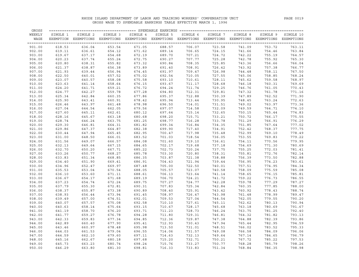| GROSS       |          |                                                                                                              |          |          |          |          |          |          |          |           |
|-------------|----------|--------------------------------------------------------------------------------------------------------------|----------|----------|----------|----------|----------|----------|----------|-----------|
| WEEKLY      | SINGLE 1 | SINGLE 2                                                                                                     | SINGLE 3 | SINGLE 4 | SINGLE 5 | SINGLE 6 | SINGLE 7 | SINGLE 8 | SINGLE 9 | SINGLE 10 |
| <b>WAGE</b> |          | EXEMPTION EXEMPTIONS EXEMPTIONS EXEMPTIONS EXEMPTIONS EXEMPTIONS EXEMPTIONS EXEMPTIONS EXEMPTIONS EXEMPTIONS |          |          |          |          |          |          |          |           |
|             |          |                                                                                                              |          |          |          |          |          |          |          |           |
| 901.00      | 618.53   | 636.04                                                                                                       | 653.54   | 671.05   | 688.57   | 706.07   | 723.58   | 741.09   | 753.72   | 763.11    |
| 902.00      | 619.11   | 636.61                                                                                                       | 654.12   | 671.62   | 689.14   | 706.65   | 724.15   | 741.66   | 754.46   | 763.84    |
| 903.00      | 619.67   | 637.17                                                                                                       | 654.68   | 672.19   | 689.70   | 707.21   | 724.72   | 742.22   | 755.19   | 764.57    |
| 904.00      | 620.23   | 637.74                                                                                                       | 655.24   | 672.75   | 690.27   | 707.77   | 725.28   | 742.78   | 755.92   | 765.30    |
| 905.00      | 620.80   | 638.31                                                                                                       | 655.82   | 673.32   | 690.84   | 708.35   | 725.85   | 743.36   | 756.66   | 766.04    |
| 906.00      | 621.37   | 638.87                                                                                                       | 656.38   | 673.89   | 691.40   | 708.91   | 726.42   | 743.92   | 757.38   | 766.77    |
| 907.00      | 621.93   | 639.44                                                                                                       | 656.94   | 674.45   | 691.97   | 709.47   | 726.98   | 744.48   | 758.11   | 767.50    |
| 908.00      | 622.50   | 640.01                                                                                                       | 657.52   | 675.02   | 692.54   | 710.05   | 727.55   | 745.06   | 758.85   | 768.24    |
|             |          |                                                                                                              |          |          |          |          |          |          |          |           |
| 909.00      | 623.07   | 640.57                                                                                                       | 658.08   | 675.58   | 693.10   | 710.61   | 728.11   | 745.62   | 759.58   | 768.97    |
| 910.00      | 623.63   | 641.14                                                                                                       | 658.64   | 676.15   | 693.67   | 711.17   | 728.68   | 746.18   | 760.31   | 769.69    |
| 911.00      | 624.20   | 641.71                                                                                                       | 659.21   | 676.72   | 694.24   | 711.74   | 729.25   | 746.76   | 761.05   | 770.43    |
| 912.00      | 624.77   | 642.27                                                                                                       | 659.78   | 677.28   | 694.80   | 712.31   | 729.81   | 747.32   | 761.78   | 771.16    |
| 913.00      | 625.34   | 642.84                                                                                                       | 660.35   | 677.86   | 695.37   | 712.88   | 730.39   | 747.89   | 762.52   | 771.90    |
| 914.00      | 625.90   | 643.41                                                                                                       | 660.91   | 678.42   | 695.94   | 713.44   | 730.95   | 748.45   | 763.24   | 772.63    |
| 915.00      | 626.46   | 643.97                                                                                                       | 661.48   | 678.98   | 696.50   | 714.01   | 731.51   | 749.02   | 763.97   | 773.36    |
| 916.00      | 627.04   | 644.54                                                                                                       | 662.05   | 679.56   | 697.07   | 714.58   | 732.09   | 749.59   | 764.71   | 774.10    |
| 917.00      | 627.60   | 645.11                                                                                                       | 662.61   | 680.12   | 697.64   | 715.14   | 732.65   | 750.15   | 765.44   | 774.83    |
| 918.00      | 628.16   | 645.67                                                                                                       | 663.18   | 680.68   | 698.20   | 715.71   | 733.21   | 750.72   | 766.17   | 775.55    |
| 919.00      | 628.74   | 646.24                                                                                                       | 663.75   | 681.25   | 698.77   | 716.28   | 733.78   | 751.29   | 766.91   | 776.29    |
| 920.00      | 629.30   | 646.81                                                                                                       | 664.31   | 681.82   | 699.34   | 716.84   | 734.35   | 751.85   | 767.64   | 777.02    |
| 921.00      | 629.86   | 647.37                                                                                                       | 664.87   | 682.38   | 699.90   | 717.40   | 734.91   | 752.42   | 768.37   | 777.75    |
| 922.00      | 630.44   | 647.94                                                                                                       | 665.45   | 682.95   | 700.47   | 717.98   | 735.48   | 752.99   | 769.10   | 778.49    |
| 923.00      | 631.00   | 648.50                                                                                                       | 666.01   | 683.52   | 701.03   | 718.54   | 736.05   | 753.55   | 769.83   | 779.22    |
| 924.00      | 631.56   | 649.07                                                                                                       | 666.57   | 684.08   | 701.60   | 719.10   | 736.61   | 754.11   | 770.56   | 779.95    |
| 925.00      | 632.13   | 649.64                                                                                                       | 667.15   | 684.65   | 702.17   | 719.68   | 737.18   | 754.69   | 771.30   | 780.69    |
| 926.00      | 632.70   | 650.20                                                                                                       | 667.71   | 685.22   | 702.73   | 720.24   | 737.75   | 755.25   | 772.03   | 781.41    |
| 927.00      | 633.26   | 650.77                                                                                                       | 668.27   | 685.78   | 703.30   | 720.80   | 738.31   | 755.81   | 772.76   | 782.14    |
| 928.00      | 633.83   | 651.34                                                                                                       | 668.85   | 686.35   | 703.87   | 721.38   | 738.88   | 756.39   | 773.50   | 782.88    |
| 929.00      | 634.40   | 651.90                                                                                                       | 669.41   | 686.91   | 704.43   | 721.94   | 739.44   | 756.95   | 774.23   | 783.61    |
| 930.00      | 634.96   | 652.47                                                                                                       | 669.97   | 687.48   | 705.00   | 722.50   | 740.01   | 757.51   | 774.95   | 784.34    |
| 931.00      | 635.53   | 653.04                                                                                                       | 670.54   | 688.05   | 705.57   | 723.07   | 740.58   | 758.09   | 775.59   | 785.08    |
| 932.00      | 636.10   | 653.60                                                                                                       | 671.11   | 688.61   | 706.13   | 723.64   | 741.14   | 758.65   | 776.15   | 785.81    |
| 933.00      | 636.67   | 654.17                                                                                                       | 671.68   | 689.19   | 706.70   | 724.21   | 741.72   | 759.22   | 776.73   | 786.55    |
| 934.00      | 637.23   | 654.74                                                                                                       | 672.24   | 689.75   | 707.27   | 724.77   | 742.28   | 759.78   | 777.29   | 787.27    |
| 935.00      | 637.79   | 655.30                                                                                                       | 672.81   | 690.31   | 707.83   | 725.34   | 742.84   | 760.35   | 777.85   | 788.00    |
| 936.00      | 638.37   | 655.87                                                                                                       | 673.38   | 690.89   | 708.40   | 725.91   | 743.42   | 760.92   | 778.43   | 788.74    |
| 937.00      | 638.93   | 656.44                                                                                                       | 673.94   | 691.45   | 708.97   | 726.47   | 743.98   | 761.48   | 778.99   | 789.47    |
|             |          |                                                                                                              |          |          |          |          |          |          |          |           |
| 938.00      | 639.49   | 657.00                                                                                                       | 674.51   | 692.01   | 709.53   | 727.04   | 744.54   | 762.05   | 779.55   | 790.20    |
| 939.00      | 640.07   | 657.57                                                                                                       | 675.08   | 692.58   | 710.10   | 727.61   | 745.11   | 762.62   | 780.13   | 790.94    |
| 940.00      | 640.63   | 658.14                                                                                                       | 675.64   | 693.15   | 710.67   | 728.17   | 745.68   | 763.18   | 780.69   | 791.67    |
| 941.00      | 641.19   | 658.70                                                                                                       | 676.20   | 693.71   | 711.23   | 728.73   | 746.24   | 763.75   | 781.25   | 792.40    |
| 942.00      | 641.77   | 659.27                                                                                                       | 676.78   | 694.28   | 711.80   | 729.31   | 746.81   | 764.32   | 781.82   | 793.13    |
| 943.00      | 642.33   | 659.83                                                                                                       | 677.34   | 694.85   | 712.36   | 729.87   | 747.38   | 764.88   | 782.39   | 793.86    |
| 944.00      | 642.89   | 660.40                                                                                                       | 677.90   | 695.41   | 712.93   | 730.43   | 747.94   | 765.44   | 782.95   | 794.59    |
| 945.00      | 643.46   | 660.97                                                                                                       | 678.48   | 695.98   | 713.50   | 731.01   | 748.51   | 766.02   | 783.52   | 795.33    |
| 946.00      | 644.03   | 661.53                                                                                                       | 679.04   | 696.55   | 714.06   | 731.57   | 749.08   | 766.58   | 784.09   | 796.06    |
| 947.00      | 644.59   | 662.10                                                                                                       | 679.60   | 697.11   | 714.63   | 732.13   | 749.64   | 767.14   | 784.65   | 796.79    |
| 948.00      | 645.16   | 662.67                                                                                                       | 680.18   | 697.68   | 715.20   | 732.71   | 750.21   | 767.72   | 785.22   | 797.53    |
| 949.00      | 645.73   | 663.23                                                                                                       | 680.74   | 698.24   | 715.76   | 733.27   | 750.77   | 768.28   | 785.79   | 798.26    |
| 950.00      | 646.29   | 663.80                                                                                                       | 681.30   | 698.81   | 716.33   | 733.83   | 751.34   | 768.84   | 786.35   | 798.98    |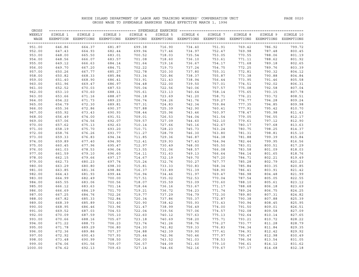| GROSS   |          |                                                                                                              |          |          |          |          |          |          |          |           |
|---------|----------|--------------------------------------------------------------------------------------------------------------|----------|----------|----------|----------|----------|----------|----------|-----------|
| WEEKLY  | SINGLE 1 | SINGLE 2                                                                                                     | SINGLE 3 | SINGLE 4 | SINGLE 5 | SINGLE 6 | SINGLE 7 | SINGLE 8 | SINGLE 9 | SINGLE 10 |
| WAGE    |          | EXEMPTION EXEMPTIONS EXEMPTIONS EXEMPTIONS EXEMPTIONS EXEMPTIONS EXEMPTIONS EXEMPTIONS EXEMPTIONS EXEMPTIONS |          |          |          |          |          |          |          |           |
| 951.00  | 646.86   | 664.37                                                                                                       | 681.87   | 699.38   | 716.90   | 734.40   | 751.91   | 769.42   | 786.92   | 799.72    |
| 952.00  | 647.43   | 664.93                                                                                                       | 682.44   | 699.94   | 717.46   | 734.97   | 752.47   | 769.98   | 787.48   | 800.45    |
| 953.00  | 648.00   | 665.50                                                                                                       | 683.01   | 700.52   | 718.03   | 735.54   | 753.05   | 770.55   | 788.06   | 801.19    |
| 954.00  | 648.56   | 666.07                                                                                                       | 683.57   | 701.08   | 718.60   | 736.10   | 753.61   | 771.11   | 788.62   | 801.92    |
| 955.00  | 649.12   | 666.63                                                                                                       | 684.14   | 701.64   | 719.16   | 736.67   | 754.17   | 771.68   | 789.18   | 802.65    |
| 956.00  | 649.70   | 667.20                                                                                                       | 684.71   | 702.22   | 719.73   | 737.24   | 754.75   | 772.25   | 789.76   | 803.39    |
| 957.00  | 650.26   | 667.77                                                                                                       | 685.27   | 702.78   | 720.30   | 737.80   | 755.31   | 772.81   | 790.32   | 804.12    |
| 958.00  | 650.82   | 668.33                                                                                                       | 685.84   | 703.34   | 720.86   | 738.37   | 755.87   | 773.38   | 790.88   | 804.84    |
| 959.00  | 651.40   | 668.90                                                                                                       | 686.41   | 703.91   | 721.43   | 738.94   | 756.44   | 773.95   | 791.46   | 805.58    |
| 960.00  | 651.96   | 669.47                                                                                                       | 686.97   | 704.48   | 722.00   | 739.50   | 757.01   | 774.51   | 792.02   | 806.31    |
| 961.00  | 652.52   | 670.03                                                                                                       | 687.53   | 705.04   | 722.56   | 740.06   | 757.57   | 775.08   | 792.58   | 807.04    |
| 962.00  | 653.10   | 670.60                                                                                                       | 688.11   | 705.61   | 723.13   | 740.64   | 758.14   | 775.65   | 793.15   | 807.78    |
| 963.00  | 653.66   | 671.16                                                                                                       | 688.67   | 706.18   | 723.69   | 741.20   | 758.71   | 776.21   | 793.72   | 808.51    |
| 964.00  | 654.22   | 671.73                                                                                                       | 689.23   | 706.74   | 724.26   | 741.76   | 759.27   | 776.77   | 794.28   | 809.24    |
| 965.00  | 654.79   | 672.30                                                                                                       | 689.81   | 707.31   | 724.83   | 742.34   | 759.84   | 777.35   | 794.85   | 809.98    |
| 966.00  | 655.36   | 672.86                                                                                                       | 690.37   | 707.88   | 725.39   | 742.90   | 760.41   | 777.91   | 795.42   | 810.70    |
| 967.00  | 655.92   | 673.43                                                                                                       | 690.93   | 708.44   | 725.96   | 743.46   | 760.97   | 778.47   | 795.98   | 811.43    |
| 968.00  | 656.49   | 674.00                                                                                                       | 691.51   | 709.01   | 726.53   | 744.04   | 761.54   | 779.05   | 796.55   | 812.17    |
| 969.00  | 657.06   | 674.56                                                                                                       | 692.07   | 709.57   | 727.09   | 744.60   | 762.10   | 779.61   | 797.12   | 812.90    |
| 970.00  | 657.62   | 675.13                                                                                                       | 692.63   | 710.14   | 727.66   | 745.16   | 762.67   | 780.17   | 797.68   | 813.63    |
| 971.00  | 658.19   | 675.70                                                                                                       | 693.20   | 710.71   | 728.23   | 745.73   | 763.24   | 780.75   | 798.25   | 814.37    |
| 972.00  | 658.76   | 676.26                                                                                                       | 693.77   | 711.27   | 728.79   | 746.30   | 763.80   | 781.31   | 798.81   | 815.10    |
| 973.00  | 659.33   | 676.83                                                                                                       | 694.34   | 711.85   | 729.36   | 746.87   | 764.38   | 781.88   | 799.39   | 815.84    |
| 974.00  | 659.89   | 677.40                                                                                                       | 694.90   | 712.41   | 729.93   | 747.43   | 764.94   | 782.44   | 799.95   | 816.56    |
| 975.00  | 660.45   | 677.96                                                                                                       | 695.47   | 712.97   | 730.49   | 748.00   | 765.50   | 783.01   | 800.51   | 817.29    |
| 976.00  | 661.03   | 678.53                                                                                                       | 696.04   | 713.55   | 731.06   | 748.57   | 766.08   | 783.58   | 801.09   | 818.03    |
| 977.00  | 661.59   | 679.10                                                                                                       | 696.60   | 714.11   | 731.63   | 749.13   | 766.64   | 784.14   | 801.65   | 818.76    |
| 978.00  | 662.15   | 679.66                                                                                                       | 697.17   | 714.67   | 732.19   | 749.70   | 767.20   | 784.71   | 802.21   | 819.49    |
| 979.00  | 662.73   | 680.23                                                                                                       | 697.74   | 715.24   | 732.76   | 750.27   | 767.77   | 785.28   | 802.79   | 820.23    |
| 980.00  | 663.29   | 680.80                                                                                                       | 698.30   | 715.81   | 733.33   | 750.83   | 768.34   | 785.84   | 803.35   | 820.85    |
| 981.00  | 663.85   | 681.36                                                                                                       | 698.86   | 716.37   | 733.89   | 751.39   | 768.90   | 786.41   | 803.91   | 821.42    |
| 982.00  | 664.43   | 681.93                                                                                                       | 699.44   | 716.94   | 734.46   | 751.97   | 769.47   | 786.98   | 804.48   | 821.99    |
| 983.00  | 664.99   | 682.49                                                                                                       | 700.00   | 717.51   | 735.02   | 752.53   | 770.04   | 787.54   | 805.05   | 822.55    |
| 984.00  | 665.55   | 683.06                                                                                                       | 700.56   | 718.07   | 735.59   | 753.09   | 770.60   | 788.10   | 805.61   | 823.12    |
| 985.00  | 666.12   | 683.63                                                                                                       | 701.14   | 718.64   | 736.16   | 753.67   | 771.17   | 788.68   | 806.18   | 823.69    |
| 986.00  | 666.69   | 684.19                                                                                                       | 701.70   | 719.21   | 736.72   | 754.23   | 771.74   | 789.24   | 806.75   | 824.25    |
| 987.00  | 667.25   | 684.76                                                                                                       | 702.26   | 719.77   | 737.29   | 754.79   | 772.30   | 789.80   | 807.31   | 824.82    |
| 988.00  | 667.82   | 685.33                                                                                                       | 702.84   | 720.34   | 737.86   | 755.37   | 772.87   | 790.38   | 807.88   | 825.39    |
| 989.00  | 668.39   | 685.89                                                                                                       | 703.40   | 720.90   | 738.42   | 755.93   | 773.43   | 790.94   | 808.45   | 825.95    |
| 990.00  | 668.95   | 686.46                                                                                                       | 703.96   | 721.47   | 738.99   | 756.49   | 774.00   | 791.50   | 809.01   | 826.51    |
| 991.00  | 669.52   | 687.03                                                                                                       | 704.53   | 722.04   | 739.56   | 757.06   | 774.57   | 792.08   | 809.58   | 827.09    |
| 992.00  | 670.09   | 687.59                                                                                                       | 705.10   | 722.60   | 740.12   | 757.63   | 775.13   | 792.64   | 810.14   | 827.65    |
| 993.00  | 670.66   | 688.16                                                                                                       | 705.67   | 723.18   | 740.69   | 758.20   | 775.71   | 793.21   | 810.72   | 828.22    |
| 994.00  | 671.22   | 688.73                                                                                                       | 706.23   | 723.74   | 741.26   | 758.76   | 776.27   | 793.77   | 811.28   | 828.79    |
| 995.00  | 671.78   | 689.29                                                                                                       | 706.80   | 724.30   | 741.82   | 759.33   | 776.83   | 794.34   | 811.84   | 829.35    |
| 996.00  | 672.36   | 689.86                                                                                                       | 707.37   | 724.88   | 742.39   | 759.90   | 777.41   | 794.91   | 812.42   | 829.92    |
| 997.00  | 672.92   | 690.43                                                                                                       | 707.93   | 725.44   | 742.96   | 760.46   | 777.97   | 795.47   | 812.98   | 830.49    |
| 998.00  | 673.48   | 690.99                                                                                                       | 708.50   | 726.00   | 743.52   | 761.03   | 778.53   | 796.04   | 813.54   | 831.05    |
| 999.00  | 674.06   | 691.56                                                                                                       | 709.07   | 726.57   | 744.09   | 761.60   | 779.10   | 796.61   | 814.12   | 831.62    |
| 1000.00 | 674.62   | 692.13                                                                                                       | 709.63   | 727.14   | 744.66   | 762.16   | 779.67   | 797.17   | 814.68   | 832.18    |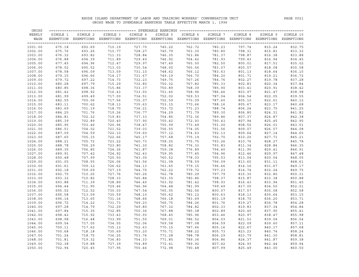## RHODE ISLAND DEPARTMENT OF LABOR AND TRAINING WORKERS' COMPENSATION UNIT PAGE 0021 GROSS WAGE TO SPENDABLE EARNINGS TABLE EFFECTIVE MARCH 1, 1996

| GROSS   |          |                                                                                                              |          |          |          |          |          |          |          |           |
|---------|----------|--------------------------------------------------------------------------------------------------------------|----------|----------|----------|----------|----------|----------|----------|-----------|
| WEEKLY  | SINGLE 1 | SINGLE 2                                                                                                     | SINGLE 3 | SINGLE 4 | SINGLE 5 | SINGLE 6 | SINGLE 7 | SINGLE 8 | SINGLE 9 | SINGLE 10 |
| WAGE    |          | EXEMPTION EXEMPTIONS EXEMPTIONS EXEMPTIONS EXEMPTIONS EXEMPTIONS EXEMPTIONS EXEMPTIONS EXEMPTIONS EXEMPTIONS |          |          |          |          |          |          |          |           |
|         |          |                                                                                                              |          |          |          |          |          |          |          |           |
| 1001.00 | 675.18   | 692.69                                                                                                       | 710.19   | 727.70   | 745.22   | 762.72   | 780.23   | 797.74   | 815.24   | 832.75    |
| 1002.00 | 675.76   | 693.26                                                                                                       | 710.77   | 728.27   | 745.79   | 763.30   | 780.80   | 798.31   | 815.81   | 833.32    |
| 1003.00 | 676.32   | 693.82                                                                                                       | 711.33   | 728.84   | 746.35   | 763.86   | 781.37   | 798.87   | 816.38   | 833.88    |
| 1004.00 | 676.88   | 694.39                                                                                                       | 711.89   | 729.40   | 746.92   | 764.42   | 781.93   | 799.43   | 816.94   | 834.45    |
| 1005.00 | 677.45   | 694.96                                                                                                       | 712.47   | 729.97   | 747.49   | 765.00   | 782.50   | 800.01   | 817.51   | 835.02    |
| 1006.00 | 678.02   | 695.52                                                                                                       | 713.03   | 730.54   | 748.05   | 765.56   | 783.07   | 800.57   | 818.08   | 835.58    |
| 1007.00 | 678.58   | 696.09                                                                                                       | 713.59   | 731.10   | 748.62   | 766.12   | 783.63   | 801.13   | 818.64   | 836.15    |
| 1008.00 | 679.15   | 696.66                                                                                                       | 714.17   | 731.67   | 749.19   | 766.70   | 784.20   | 801.71   | 819.21   | 836.72    |
| 1009.00 | 679.72   | 697.22                                                                                                       | 714.73   | 732.23   | 749.75   | 767.26   | 784.76   | 802.27   | 819.78   | 837.28    |
| 1010.00 | 680.28   | 697.79                                                                                                       | 715.29   | 732.80   | 750.32   | 767.82   | 785.33   | 802.83   | 820.34   | 837.84    |
| 1011.00 | 680.85   | 698.36                                                                                                       | 715.86   | 733.37   | 750.89   | 768.39   | 785.90   | 803.41   | 820.91   | 838.42    |
| 1012.00 | 681.42   | 698.92                                                                                                       | 716.43   | 733.93   | 751.45   | 768.96   | 786.46   | 803.97   | 821.47   | 838.98    |
| 1013.00 | 681.99   | 699.49                                                                                                       | 717.00   | 734.51   | 752.02   | 769.53   | 787.04   | 804.54   | 822.05   | 839.55    |
| 1014.00 | 682.55   | 700.06                                                                                                       | 717.56   | 735.07   | 752.59   | 770.09   | 787.60   | 805.10   | 822.61   | 840.12    |
| 1015.00 | 683.11   | 700.62                                                                                                       | 718.13   | 735.63   | 753.15   | 770.66   | 788.16   | 805.67   | 823.17   | 840.68    |
| 1016.00 | 683.69   | 701.19                                                                                                       | 718.70   | 736.21   | 753.72   | 771.23   | 788.74   | 806.24   | 823.75   | 841.25    |
| 1017.00 | 684.25   | 701.76                                                                                                       | 719.26   | 736.77   | 754.29   | 771.79   | 789.30   | 806.80   | 824.31   | 841.82    |
| 1018.00 | 684.81   | 702.32                                                                                                       | 719.83   | 737.33   | 754.85   | 772.36   | 789.86   | 807.37   | 824.87   | 842.38    |
| 1019.00 | 685.39   | 702.89                                                                                                       | 720.40   | 737.90   | 755.42   | 772.93   | 790.43   | 807.94   | 825.45   | 842.95    |
| 1020.00 | 685.95   | 703.46                                                                                                       | 720.96   | 738.47   | 755.99   | 773.49   | 791.00   | 808.50   | 826.01   | 843.51    |
| 1021.00 | 686.51   | 704.02                                                                                                       | 721.52   | 739.03   | 756.55   | 774.05   | 791.56   | 809.07   | 826.57   | 844.08    |
| 1022.00 | 687.09   | 704.59                                                                                                       | 722.10   | 739.60   | 757.12   | 774.63   | 792.13   | 809.64   | 827.14   | 844.65    |
| 1023.00 | 687.65   | 705.15                                                                                                       | 722.66   | 740.17   | 757.68   | 775.19   | 792.70   | 810.20   | 827.71   | 845.21    |
| 1024.00 | 688.21   | 705.72                                                                                                       | 723.22   | 740.73   | 758.25   | 775.75   | 793.26   | 810.76   | 828.27   | 845.78    |
| 1025.00 | 688.78   | 706.29                                                                                                       | 723.80   | 741.30   | 758.82   | 776.33   | 793.83   | 811.34   | 828.84   | 846.35    |
| 1026.00 | 689.35   | 706.85                                                                                                       | 724.36   | 741.87   | 759.38   | 776.89   | 794.40   | 811.90   | 829.41   | 846.91    |
| 1027.00 | 689.91   | 707.42                                                                                                       | 724.92   | 742.43   | 759.95   | 777.45   | 794.96   | 812.46   | 829.97   | 847.48    |
| 1028.00 | 690.48   | 707.99                                                                                                       | 725.50   | 743.00   | 760.52   | 778.03   | 795.53   | 813.04   | 830.54   | 848.05    |
| 1029.00 | 691.05   | 708.55                                                                                                       | 726.06   | 743.56   | 761.08   | 778.59   | 796.09   | 813.60   | 831.11   | 848.61    |
| 1030.00 | 691.61   | 709.12                                                                                                       | 726.62   | 744.13   | 761.65   | 779.15   | 796.66   | 814.16   | 831.67   | 849.17    |
| 1031.00 | 692.18   | 709.69                                                                                                       | 727.19   | 744.70   | 762.22   | 779.72   | 797.23   | 814.74   | 832.24   | 849.75    |
| 1032.00 | 692.75   | 710.25                                                                                                       | 727.76   | 745.26   | 762.78   | 780.29   | 797.79   | 815.30   | 832.80   | 850.31    |
| 1033.00 | 693.32   | 710.82                                                                                                       | 728.33   | 745.84   | 763.35   | 780.86   | 798.37   | 815.87   | 833.38   | 850.88    |
| 1034.00 | 693.88   | 711.39                                                                                                       | 728.89   | 746.40   | 763.92   | 781.42   | 798.93   | 816.43   | 833.94   | 851.45    |
| 1035.00 | 694.44   | 711.95                                                                                                       | 729.46   | 746.96   | 764.48   | 781.99   | 799.49   | 817.00   | 834.50   | 852.01    |
| 1036.00 | 695.02   | 712.52                                                                                                       | 730.03   | 747.54   | 765.05   | 782.56   | 800.07   | 817.57   | 835.08   | 852.58    |
| 1037.00 | 695.58   | 713.09                                                                                                       | 730.59   | 748.10   | 765.62   | 783.12   | 800.63   | 818.13   | 835.64   | 853.15    |
| 1038.00 | 696.14   | 713.65                                                                                                       | 731.16   | 748.66   | 766.18   | 783.69   | 801.19   | 818.70   | 836.20   | 853.71    |
| 1039.00 | 696.72   | 714.22                                                                                                       | 731.73   | 749.23   | 766.75   | 784.26   | 801.76   | 819.27   | 836.78   | 854.28    |
| 1040.00 | 697.28   | 714.79                                                                                                       | 732.29   | 749.80   | 767.32   | 784.82   | 802.33   | 819.83   | 837.34   | 854.84    |
| 1041.00 | 697.84   | 715.35                                                                                                       | 732.85   | 750.36   | 767.88   | 785.38   | 802.89   | 820.40   | 837.90   | 855.41    |
| 1042.00 | 698.42   | 715.92                                                                                                       | 733.43   | 750.93   | 768.45   | 785.96   | 803.46   | 820.97   | 838.47   | 855.98    |
| 1043.00 | 698.98   | 716.48                                                                                                       | 733.99   | 751.50   | 769.01   | 786.52   | 804.03   | 821.53   | 839.04   | 856.54    |
| 1044.00 | 699.54   | 717.05                                                                                                       | 734.55   | 752.06   | 769.58   | 787.08   | 804.59   | 822.09   | 839.60   | 857.11    |
| 1045.00 | 700.11   | 717.62                                                                                                       | 735.13   | 752.63   | 770.15   | 787.66   | 805.16   | 822.67   | 840.17   | 857.68    |
| 1046.00 | 700.68   | 718.18                                                                                                       | 735.69   | 753.20   | 770.71   | 788.22   | 805.73   | 823.23   | 840.74   | 858.24    |
| 1047.00 | 701.24   | 718.75                                                                                                       | 736.25   | 753.76   | 771.28   | 788.78   | 806.29   | 823.79   | 841.30   | 858.81    |
| 1048.00 | 701.81   | 719.32                                                                                                       | 736.83   | 754.33   | 771.85   | 789.36   | 806.86   | 824.37   | 841.87   | 859.38    |
| 1049.00 | 702.38   | 719.88                                                                                                       | 737.39   | 754.89   | 772.41   | 789.92   | 807.42   | 824.93   | 842.44   | 859.94    |
| 1050.00 | 702.94   | 720.45                                                                                                       | 737.95   | 755.46   | 772.98   | 790.48   | 807.99   | 825.49   | 843.00   | 860.50    |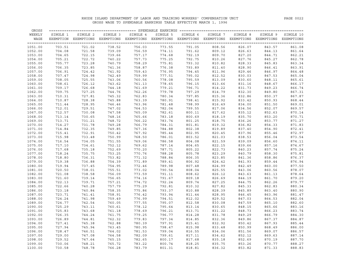| GROSS   |          |                                                                                                              |          |          |          |          |          |          |          |           |
|---------|----------|--------------------------------------------------------------------------------------------------------------|----------|----------|----------|----------|----------|----------|----------|-----------|
| WEEKLY  | SINGLE 1 | SINGLE 2                                                                                                     | SINGLE 3 | SINGLE 4 | SINGLE 5 | SINGLE 6 | SINGLE 7 | SINGLE 8 | SINGLE 9 | SINGLE 10 |
| WAGE    |          | EXEMPTION EXEMPTIONS EXEMPTIONS EXEMPTIONS EXEMPTIONS EXEMPTIONS EXEMPTIONS EXEMPTIONS EXEMPTIONS EXEMPTIONS |          |          |          |          |          |          |          |           |
|         |          |                                                                                                              |          |          |          |          |          |          |          |           |
| 1051.00 | 703.51   | 721.02                                                                                                       | 738.52   | 756.03   | 773.55   | 791.05   | 808.56   | 826.07   | 843.57   | 861.08    |
| 1052.00 | 704.08   | 721.58                                                                                                       | 739.09   | 756.59   | 774.11   | 791.62   | 809.12   | 826.63   | 844.13   | 861.64    |
| 1053.00 | 704.65   | 722.15                                                                                                       | 739.66   | 757.17   | 774.68   | 792.19   | 809.70   | 827.20   | 844.71   | 862.21    |
| 1054.00 | 705.21   | 722.72                                                                                                       | 740.22   | 757.73   | 775.25   | 792.75   | 810.26   | 827.76   | 845.27   | 862.78    |
| 1055.00 | 705.77   | 723.28                                                                                                       | 740.79   | 758.29   | 775.81   | 793.32   | 810.82   | 828.33   | 845.83   | 863.34    |
| 1056.00 | 706.35   | 723.85                                                                                                       | 741.36   | 758.87   | 776.38   | 793.89   | 811.40   | 828.90   | 846.41   | 863.91    |
| 1057.00 | 706.91   | 724.42                                                                                                       | 741.92   | 759.43   | 776.95   | 794.45   | 811.96   | 829.46   | 846.97   | 864.48    |
| 1058.00 | 707.47   | 724.98                                                                                                       | 742.49   | 759.99   | 777.51   | 795.02   | 812.52   | 830.03   | 847.53   | 865.04    |
| 1059.00 | 708.05   | 725.55                                                                                                       | 743.06   | 760.56   | 778.08   | 795.59   | 813.09   | 830.60   | 848.11   | 865.61    |
| 1060.00 | 708.61   | 726.12                                                                                                       | 743.62   | 761.13   | 778.65   | 796.15   | 813.66   | 831.16   | 848.67   | 866.17    |
| 1061.00 | 709.17   | 726.68                                                                                                       | 744.18   | 761.69   | 779.21   | 796.71   | 814.22   | 831.73   | 849.23   | 866.74    |
| 1062.00 | 709.75   | 727.25                                                                                                       | 744.76   | 762.26   | 779.78   | 797.29   | 814.79   | 832.30   | 849.80   | 867.31    |
| 1063.00 | 710.31   | 727.81                                                                                                       | 745.32   | 762.83   | 780.34   | 797.85   | 815.36   | 832.86   | 850.37   | 867.87    |
| 1064.00 | 710.87   | 728.38                                                                                                       | 745.88   | 763.39   | 780.91   | 798.41   | 815.92   | 833.42   | 850.93   | 868.44    |
| 1065.00 | 711.44   | 728.95                                                                                                       | 746.46   | 763.96   | 781.48   | 798.99   | 816.49   | 834.00   | 851.50   | 869.01    |
| 1066.00 | 712.01   | 729.51                                                                                                       | 747.02   | 764.53   | 782.04   | 799.55   | 817.06   | 834.56   | 852.07   | 869.57    |
| 1067.00 | 712.57   | 730.08                                                                                                       | 747.58   | 765.09   | 782.61   | 800.11   | 817.62   | 835.12   | 852.63   | 870.14    |
| 1068.00 | 713.14   | 730.65                                                                                                       | 748.16   | 765.66   | 783.18   | 800.69   | 818.19   | 835.70   | 853.20   | 870.71    |
| 1069.00 | 713.71   | 731.21                                                                                                       | 748.72   | 766.22   | 783.74   | 801.25   | 818.75   | 836.26   | 853.77   | 871.27    |
| 1070.00 | 714.27   | 731.78                                                                                                       | 749.28   | 766.79   | 784.31   | 801.81   | 819.32   | 836.82   | 854.33   | 871.83    |
| 1071.00 | 714.84   | 732.35                                                                                                       | 749.85   | 767.36   | 784.88   | 802.38   | 819.89   | 837.40   | 854.90   | 872.41    |
| 1072.00 | 715.41   | 732.91                                                                                                       | 750.42   | 767.92   | 785.44   | 802.95   | 820.45   | 837.96   | 855.46   | 872.97    |
| 1073.00 | 715.98   | 733.48                                                                                                       | 750.99   | 768.50   | 786.01   | 803.52   | 821.03   | 838.53   | 856.04   | 873.54    |
| 1074.00 | 716.54   | 734.05                                                                                                       | 751.55   | 769.06   | 786.58   | 804.08   | 821.59   | 839.09   | 856.60   | 874.11    |
| 1075.00 | 717.10   | 734.61                                                                                                       | 752.12   | 769.62   | 787.14   | 804.65   | 822.15   | 839.66   | 857.16   | 874.67    |
| 1076.00 | 717.68   | 735.18                                                                                                       | 752.69   | 770.20   | 787.71   | 805.22   | 822.73   | 840.23   | 857.74   | 875.24    |
| 1077.00 | 718.24   | 735.75                                                                                                       | 753.25   | 770.76   | 788.28   | 805.78   | 823.29   | 840.79   | 858.30   | 875.81    |
| 1078.00 | 718.80   | 736.31                                                                                                       | 753.82   | 771.32   | 788.84   | 806.35   | 823.85   | 841.36   | 858.86   | 876.37    |
| 1079.00 | 719.38   | 736.88                                                                                                       | 754.39   | 771.89   | 789.41   | 806.92   | 824.42   | 841.93   | 859.44   | 876.94    |
| 1080.00 | 719.94   | 737.45                                                                                                       | 754.95   | 772.46   | 789.98   | 807.48   | 824.99   | 842.49   | 860.00   | 877.50    |
| 1081.00 | 720.50   | 738.01                                                                                                       | 755.51   | 773.02   | 790.54   | 808.04   | 825.55   | 843.06   | 860.56   | 878.07    |
| 1082.00 | 721.08   | 738.58                                                                                                       | 756.09   | 773.59   | 791.11   | 808.62   | 826.12   | 843.63   | 861.13   | 878.64    |
| 1083.00 | 721.60   | 739.14                                                                                                       | 756.65   | 774.16   | 791.67   | 809.18   | 826.69   | 844.19   | 861.70   | 879.20    |
| 1084.00 | 722.13   | 739.71                                                                                                       | 757.21   | 774.72   | 792.24   | 809.74   | 827.25   | 844.75   | 862.26   | 879.77    |
| 1085.00 | 722.66   | 740.28                                                                                                       | 757.79   | 775.29   | 792.81   | 810.32   | 827.82   | 845.33   | 862.83   | 880.34    |
| 1086.00 | 723.18   | 740.84                                                                                                       | 758.35   | 775.86   | 793.37   | 810.88   | 828.39   | 845.89   | 863.40   | 880.90    |
| 1087.00 | 723.71   | 741.41                                                                                                       | 758.91   | 776.42   | 793.94   | 811.44   | 828.95   | 846.45   | 863.96   | 881.47    |
| 1088.00 | 724.24   | 741.98                                                                                                       | 759.49   | 776.99   | 794.51   | 812.02   | 829.52   | 847.03   | 864.53   | 882.04    |
| 1089.00 | 724.77   | 742.54                                                                                                       | 760.05   | 777.55   | 795.07   | 812.58   | 830.08   | 847.59   | 865.10   | 882.60    |
| 1090.00 | 725.29   | 743.11                                                                                                       | 760.61   | 778.12   | 795.64   | 813.14   | 830.65   | 848.15   | 865.66   | 883.16    |
| 1091.00 | 725.83   | 743.68                                                                                                       | 761.18   | 778.69   | 796.21   | 813.71   | 831.22   | 848.73   | 866.23   | 883.74    |
| 1092.00 | 726.35   | 744.24                                                                                                       | 761.75   | 779.25   | 796.77   | 814.28   | 831.78   | 849.29   | 866.79   | 884.30    |
| 1093.00 | 726.89   | 744.81                                                                                                       | 762.32   | 779.83   | 797.34   | 814.85   | 832.36   | 849.86   | 867.37   | 884.87    |
| 1094.00 | 727.41   | 745.38                                                                                                       | 762.88   | 780.39   | 797.91   | 815.41   | 832.92   | 850.42   | 867.93   | 885.44    |
| 1095.00 | 727.94   | 745.94                                                                                                       | 763.45   | 780.95   | 798.47   | 815.98   | 833.48   | 850.99   | 868.49   | 886.00    |
| 1096.00 | 728.47   | 746.51                                                                                                       | 764.02   | 781.53   | 799.04   | 816.55   | 834.06   | 851.56   | 869.07   | 886.57    |
| 1097.00 | 729.00   | 747.08                                                                                                       | 764.58   | 782.09   | 799.61   | 817.11   | 834.62   | 852.12   | 869.63   | 887.14    |
| 1098.00 | 729.52   | 747.64                                                                                                       | 765.15   | 782.65   | 800.17   | 817.68   | 835.18   | 852.69   | 870.19   | 887.70    |
| 1099.00 | 730.06   | 748.21                                                                                                       | 765.72   | 783.22   | 800.74   | 818.25   | 835.75   | 853.26   | 870.77   | 888.27    |
| 1100.00 | 730.58   | 748.78                                                                                                       | 766.28   | 783.79   | 801.31   | 818.81   | 836.32   | 853.82   | 871.33   | 888.83    |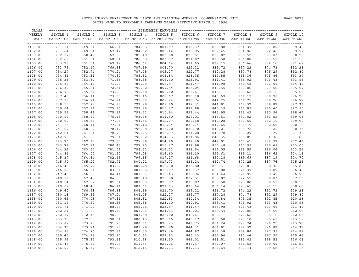| GROSS   |          |          |          |          |          |                                                                                                              |          |          |          |           |
|---------|----------|----------|----------|----------|----------|--------------------------------------------------------------------------------------------------------------|----------|----------|----------|-----------|
| WEEKLY  | SINGLE 1 | SINGLE 2 | SINGLE 3 | SINGLE 4 | SINGLE 5 | SINGLE 6                                                                                                     | SINGLE 7 | SINGLE 8 | SINGLE 9 | SINGLE 10 |
| WAGE    |          |          |          |          |          | EXEMPTION EXEMPTIONS EXEMPTIONS EXEMPTIONS EXEMPTIONS EXEMPTIONS EXEMPTIONS EXEMPTIONS EXEMPTIONS EXEMPTIONS |          |          |          |           |
|         |          |          |          |          |          |                                                                                                              |          |          |          |           |
| 1101.00 | 731.11   | 749.34   | 766.84   | 784.35   | 801.87   | 819.37                                                                                                       | 836.88   | 854.39   | 871.89   | 889.40    |
| 1102.00 | 731.64   | 749.91   | 767.42   | 784.92   | 802.44   | 819.95                                                                                                       | 837.45   | 854.96   | 872.46   | 889.97    |
| 1103.00 | 732.17   | 750.47   | 767.98   | 785.49   | 803.00   | 820.51                                                                                                       | 838.02   | 855.52   | 873.03   | 890.53    |
| 1104.00 | 732.69   | 751.04   | 768.54   | 786.05   | 803.57   | 821.07                                                                                                       | 838.58   | 856.08   | 873.59   | 891.10    |
| 1105.00 | 733.23   | 751.61   | 769.12   | 786.62   | 804.14   | 821.65                                                                                                       | 839.15   | 856.66   | 874.16   | 891.67    |
| 1106.00 | 733.75   | 752.17   | 769.68   | 787.19   | 804.70   | 822.21                                                                                                       | 839.72   | 857.22   | 874.73   | 892.23    |
| 1107.00 | 734.27   | 752.74   | 770.24   | 787.75   | 805.27   | 822.77                                                                                                       | 840.28   | 857.78   | 875.29   | 892.80    |
| 1108.00 | 734.81   | 753.31   | 770.82   | 788.32   | 805.84   | 823.35                                                                                                       | 840.85   | 858.36   | 875.86   | 893.37    |
| 1109.00 | 735.33   | 753.87   | 771.38   | 788.88   | 806.40   | 823.91                                                                                                       | 841.41   | 858.92   | 876.43   | 893.93    |
| 1110.00 | 735.86   | 754.44   | 771.94   | 789.45   | 806.97   | 824.47                                                                                                       | 841.98   | 859.48   | 876.99   | 894.49    |
| 1111.00 | 736.39   | 755.01   | 772.51   | 790.02   | 807.54   | 825.04                                                                                                       | 842.55   | 860.06   | 877.56   | 895.07    |
| 1112.00 | 736.92   | 755.57   | 773.08   | 790.58   | 808.10   | 825.61                                                                                                       | 843.11   | 860.62   | 878.12   | 895.63    |
| 1113.00 | 737.45   | 756.14   | 773.65   | 791.16   | 808.67   | 826.18                                                                                                       | 843.69   | 861.19   | 878.70   | 896.20    |
| 1114.00 | 737.98   | 756.71   | 774.21   | 791.72   | 809.24   | 826.74                                                                                                       | 844.25   | 861.75   | 879.26   | 896.77    |
| 1115.00 | 738.50   | 757.27   | 774.78   | 792.28   | 809.80   | 827.31                                                                                                       | 844.81   | 862.32   | 879.82   | 897.33    |
| 1116.00 | 739.04   | 757.84   | 775.35   | 792.86   | 810.37   | 827.88                                                                                                       | 845.39   | 862.89   | 880.40   | 897.90    |
| 1117.00 | 739.56   | 758.41   | 775.91   | 793.42   | 810.94   | 828.44                                                                                                       | 845.95   | 863.45   | 880.96   | 898.47    |
| 1118.00 | 740.09   | 758.97   | 776.48   | 793.98   | 811.50   | 829.01                                                                                                       | 846.51   | 864.02   | 881.52   | 899.03    |
| 1119.00 | 740.62   | 759.54   | 777.05   | 794.55   | 812.07   | 829.58                                                                                                       | 847.08   | 864.59   | 882.10   | 899.60    |
| 1120.00 | 741.15   | 760.11   | 777.61   | 795.12   | 812.64   | 830.14                                                                                                       | 847.65   | 865.15   | 882.66   | 900.16    |
| 1121.00 | 741.67   | 760.67   | 778.17   | 795.68   | 813.20   | 830.70                                                                                                       | 848.21   | 865.72   | 883.22   | 900.73    |
|         | 742.21   |          | 778.75   |          |          |                                                                                                              |          |          |          |           |
| 1122.00 | 742.73   | 761.24   |          | 796.25   | 813.77   | 831.28                                                                                                       | 848.78   | 866.29   | 883.79   | 901.30    |
| 1123.00 |          | 761.80   | 779.31   | 796.82   | 814.33   | 831.84                                                                                                       | 849.35   | 866.85   | 884.36   | 901.86    |
| 1124.00 | 743.26   | 762.37   | 779.87   | 797.38   | 814.90   | 832.40                                                                                                       | 849.91   | 867.41   | 884.92   | 902.43    |
| 1125.00 | 743.79   | 762.94   | 780.45   | 797.95   | 815.47   | 832.98                                                                                                       | 850.48   | 867.99   | 885.49   | 903.00    |
| 1126.00 | 744.31   | 763.50   | 781.01   | 798.52   | 816.03   | 833.54                                                                                                       | 851.05   | 868.55   | 886.06   | 903.56    |
| 1127.00 | 744.84   | 764.07   | 781.57   | 799.08   | 816.60   | 834.10                                                                                                       | 851.61   | 869.11   | 886.62   | 904.13    |
| 1128.00 | 745.37   | 764.64   | 782.15   | 799.65   | 817.17   | 834.68                                                                                                       | 852.18   | 869.69   | 887.19   | 904.70    |
| 1129.00 | 745.90   | 765.20   | 782.71   | 800.21   | 817.73   | 835.24                                                                                                       | 852.74   | 870.25   | 887.76   | 905.26    |
| 1130.00 | 746.42   | 765.77   | 783.27   | 800.78   | 818.30   | 835.80                                                                                                       | 853.31   | 870.81   | 888.32   | 905.82    |
| 1131.00 | 746.96   | 766.34   | 783.84   | 801.35   | 818.87   | 836.37                                                                                                       | 853.88   | 871.39   | 888.89   | 906.40    |
| 1132.00 | 747.48   | 766.86   | 784.41   | 801.91   | 819.43   | 836.94                                                                                                       | 854.44   | 871.95   | 889.45   | 906.96    |
| 1133.00 | 748.02   | 767.40   | 784.98   | 802.49   | 820.00   | 837.51                                                                                                       | 855.02   | 872.52   | 890.03   | 907.53    |
| 1134.00 | 748.54   | 767.92   | 785.54   | 803.05   | 820.57   | 838.07                                                                                                       | 855.58   | 873.08   | 890.59   | 908.10    |
| 1135.00 | 749.07   | 768.45   | 786.11   | 803.61   | 821.13   | 838.64                                                                                                       | 856.14   | 873.65   | 891.15   | 908.66    |
| 1136.00 | 749.60   | 768.98   | 786.68   | 804.19   | 821.70   | 839.21                                                                                                       | 856.72   | 874.22   | 891.73   | 909.23    |
| 1137.00 | 750.13   | 769.51   | 787.24   | 804.75   | 822.27   | 839.77                                                                                                       | 857.28   | 874.78   | 892.29   | 909.80    |
| 1138.00 | 750.65   | 770.03   | 787.81   | 805.31   | 822.83   | 840.34                                                                                                       | 857.84   | 875.35   | 892.85   | 910.36    |
| 1139.00 | 751.19   | 770.57   | 788.38   | 805.88   | 823.40   | 840.91                                                                                                       | 858.41   | 875.92   | 893.43   | 910.93    |
| 1140.00 | 751.71   | 771.09   | 788.94   | 806.45   | 823.97   | 841.47                                                                                                       | 858.98   | 876.48   | 893.99   | 911.49    |
| 1141.00 | 752.24   | 771.62   | 789.50   | 807.01   | 824.53   | 842.03                                                                                                       | 859.54   | 877.05   | 894.55   | 912.06    |
| 1142.00 | 752.77   | 772.15   | 790.08   | 807.58   | 825.10   | 842.61                                                                                                       | 860.11   | 877.62   | 895.12   | 912.63    |
| 1143.00 | 753.30   | 772.68   | 790.64   | 808.15   | 825.66   | 843.17                                                                                                       | 860.68   | 878.18   | 895.69   | 913.19    |
| 1144.00 | 753.82   | 773.20   | 791.20   | 808.71   | 826.23   | 843.73                                                                                                       | 861.24   | 878.74   | 896.25   | 913.76    |
| 1145.00 | 754.36   | 773.74   | 791.78   | 809.28   | 826.80   | 844.31                                                                                                       | 861.81   | 879.32   | 896.82   | 914.33    |
| 1146.00 | 754.88   | 774.26   | 792.34   | 809.85   | 827.36   | 844.87                                                                                                       | 862.38   | 879.88   | 897.39   | 914.89    |
| 1147.00 | 755.40   | 774.78   | 792.90   | 810.41   | 827.93   | 845.43                                                                                                       | 862.94   | 880.44   | 897.95   | 915.46    |
| 1148.00 | 755.94   | 775.32   | 793.48   | 810.98   | 828.50   | 846.01                                                                                                       | 863.51   | 881.02   | 898.52   | 916.03    |
| 1149.00 | 756.46   | 775.84   | 794.04   | 811.54   | 829.06   | 846.57                                                                                                       | 864.07   | 881.58   | 899.09   | 916.59    |
| 1150.00 | 756.99   | 776.37   | 794.60   | 812.11   | 829.63   | 847.13                                                                                                       | 864.64   | 882.14   | 899.65   | 917.15    |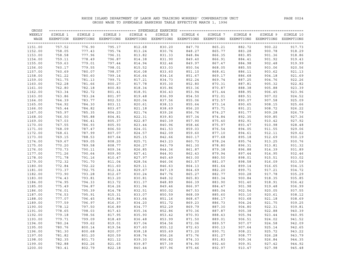#### RHODE ISLAND DEPARTMENT OF LABOR AND TRAINING WORKERS' COMPENSATION UNIT PAGE 0024 GROSS WAGE TO SPENDABLE EARNINGS TABLE EFFECTIVE MARCH 1, 1996

| GROSS   |          |                                                                                                              |          |          |          |          |          |          |          |           |
|---------|----------|--------------------------------------------------------------------------------------------------------------|----------|----------|----------|----------|----------|----------|----------|-----------|
| WEEKLY  | SINGLE 1 | SINGLE 2                                                                                                     | SINGLE 3 | SINGLE 4 | SINGLE 5 | SINGLE 6 | SINGLE 7 | SINGLE 8 | SINGLE 9 | SINGLE 10 |
| WAGE    |          | EXEMPTION EXEMPTIONS EXEMPTIONS EXEMPTIONS EXEMPTIONS EXEMPTIONS EXEMPTIONS EXEMPTIONS EXEMPTIONS EXEMPTIONS |          |          |          |          |          |          |          |           |
|         |          |                                                                                                              |          |          |          |          |          |          |          |           |
| 1151.00 | 757.52   | 776.90                                                                                                       | 795.17   | 812.68   | 830.20   | 847.70   | 865.21   | 882.72   | 900.22   | 917.73    |
| 1152.00 | 758.05   | 777.43                                                                                                       | 795.74   | 813.24   | 830.76   | 848.27   | 865.77   | 883.28   | 900.78   | 918.29    |
| 1153.00 | 758.58   | 777.96                                                                                                       | 796.31   | 813.82   | 831.33   | 848.84   | 866.35   | 883.85   | 901.36   | 918.86    |
| 1154.00 | 759.11   | 778.49                                                                                                       | 796.87   | 814.38   | 831.90   | 849.40   | 866.91   | 884.41   | 901.92   | 919.43    |
| 1155.00 | 759.63   | 779.01                                                                                                       | 797.44   | 814.94   | 832.46   | 849.97   | 867.47   | 884.98   | 902.48   | 919.99    |
| 1156.00 | 760.17   | 779.55                                                                                                       | 798.01   | 815.52   | 833.03   | 850.54   | 868.05   | 885.55   | 903.06   | 920.56    |
| 1157.00 | 760.69   | 780.07                                                                                                       | 798.57   | 816.08   | 833.60   | 851.10   | 868.61   | 886.11   | 903.62   | 921.13    |
| 1158.00 | 761.22   | 780.60                                                                                                       | 799.14   | 816.64   | 834.16   | 851.67   | 869.17   | 886.68   | 904.18   | 921.69    |
| 1159.00 | 761.75   | 781.13                                                                                                       | 799.71   | 817.21   | 834.73   | 852.24   | 869.74   | 887.25   | 904.76   | 922.26    |
| 1160.00 | 762.28   | 781.66                                                                                                       | 800.27   | 817.78   | 835.30   | 852.80   | 870.31   | 887.81   | 905.32   | 922.82    |
| 1161.00 | 762.80   | 782.18                                                                                                       | 800.83   | 818.34   | 835.86   | 853.36   | 870.87   | 888.38   | 905.88   | 923.39    |
| 1162.00 | 763.34   | 782.72                                                                                                       | 801.41   | 818.91   | 836.43   | 853.94   | 871.44   | 888.95   | 906.45   | 923.96    |
| 1163.00 | 763.86   | 783.24                                                                                                       | 801.97   | 819.48   | 836.99   | 854.50   | 872.01   | 889.51   | 907.02   | 924.52    |
| 1164.00 | 764.39   | 783.77                                                                                                       | 802.53   | 820.04   | 837.56   | 855.06   | 872.57   | 890.07   | 907.58   | 925.09    |
| 1165.00 | 764.92   | 784.30                                                                                                       | 803.11   | 820.61   | 838.13   | 855.64   | 873.14   | 890.65   | 908.15   | 925.66    |
| 1166.00 | 765.44   | 784.82                                                                                                       | 803.67   | 821.18   | 838.69   | 856.20   | 873.71   | 891.21   | 908.72   | 926.22    |
| 1167.00 | 765.97   | 785.35                                                                                                       | 804.23   | 821.74   | 839.26   | 856.76   | 874.27   | 891.77   | 909.28   | 926.79    |
| 1168.00 | 766.50   | 785.88                                                                                                       | 804.81   | 822.31   | 839.83   | 857.34   | 874.84   | 892.35   | 909.85   | 927.36    |
| 1169.00 | 767.03   | 786.41                                                                                                       | 805.37   | 822.87   | 840.39   | 857.90   | 875.40   | 892.91   | 910.42   | 927.92    |
| 1170.00 | 767.55   | 786.93                                                                                                       | 805.93   | 823.44   | 840.96   | 858.46   | 875.97   | 893.47   | 910.98   | 928.48    |
| 1171.00 | 768.09   | 787.47                                                                                                       | 806.50   | 824.01   | 841.53   | 859.03   | 876.54   | 894.05   | 911.55   | 929.06    |
| 1172.00 | 768.61   | 787.99                                                                                                       | 807.07   | 824.57   | 842.09   | 859.60   | 877.10   | 894.61   | 912.11   | 929.62    |
| 1173.00 | 769.15   | 788.53                                                                                                       | 807.64   | 825.15   | 842.66   | 860.17   | 877.68   | 895.18   | 912.69   | 930.19    |
| 1174.00 | 769.67   | 789.05                                                                                                       | 808.20   | 825.71   | 843.23   | 860.73   | 878.24   | 895.74   | 913.25   | 930.76    |
| 1175.00 | 770.20   | 789.58                                                                                                       | 808.77   | 826.27   | 843.79   | 861.30   | 878.80   | 896.31   | 913.81   | 931.32    |
| 1176.00 | 770.73   | 790.11                                                                                                       | 809.34   | 826.85   | 844.36   | 861.87   | 879.38   | 896.88   | 914.39   | 931.89    |
| 1177.00 | 771.26   | 790.64                                                                                                       | 809.90   | 827.41   | 844.93   | 862.43   | 879.94   | 897.44   | 914.95   | 932.46    |
| 1178.00 | 771.78   | 791.16                                                                                                       | 810.47   | 827.97   | 845.49   | 863.00   | 880.50   | 898.01   | 915.51   | 933.02    |
| 1179.00 | 772.32   | 791.70                                                                                                       | 811.04   | 828.54   | 846.06   | 863.57   | 881.07   | 898.58   | 916.09   | 933.59    |
| 1180.00 | 772.84   | 792.22                                                                                                       | 811.60   | 829.11   | 846.63   | 864.13   | 881.64   | 899.14   | 916.65   | 934.15    |
| 1181.00 | 773.37   | 792.75                                                                                                       | 812.14   | 829.67   | 847.19   | 864.69   | 882.20   | 899.71   | 917.21   | 934.72    |
| 1182.00 | 773.90   | 793.28                                                                                                       | 812.67   | 830.24   | 847.76   | 865.27   | 882.77   | 900.28   | 917.78   | 935.29    |
| 1183.00 | 774.43   | 793.81                                                                                                       | 813.20   | 830.81   | 848.32   | 865.83   | 883.34   | 900.84   | 918.35   | 935.85    |
| 1184.00 | 774.95   | 794.33                                                                                                       | 813.72   | 831.37   | 848.89   | 866.39   | 883.90   | 901.40   | 918.91   | 936.42    |
| 1185.00 | 775.49   | 794.87                                                                                                       | 814.26   | 831.94   | 849.46   | 866.97   | 884.47   | 901.98   | 919.48   | 936.99    |
| 1186.00 | 776.01   | 795.39                                                                                                       | 814.78   | 832.51   | 850.02   | 867.53   | 885.04   | 902.54   | 920.05   | 937.55    |
| 1187.00 | 776.53   | 795.91                                                                                                       | 815.31   | 833.07   | 850.59   | 868.09   | 885.60   | 903.10   | 920.61   | 938.12    |
| 1188.00 | 777.07   | 796.45                                                                                                       | 815.84   | 833.64   | 851.16   | 868.67   | 886.17   | 903.68   | 921.18   | 938.69    |
| 1189.00 | 777.59   | 796.97                                                                                                       | 816.37   | 834.20   | 851.72   | 869.23   | 886.73   | 904.24   | 921.75   | 939.25    |
| 1190.00 | 778.12   | 797.50                                                                                                       | 816.89   | 834.77   | 852.29   | 869.79   | 887.30   | 904.80   | 922.31   | 939.81    |
| 1191.00 | 778.65   | 798.03                                                                                                       | 817.43   | 835.34   | 852.86   | 870.36   | 887.87   | 905.38   | 922.88   | 940.39    |
| 1192.00 | 779.18   | 798.56                                                                                                       | 817.95   | 835.90   | 853.42   | 870.93   | 888.43   | 905.94   | 923.44   | 940.95    |
| 1193.00 | 779.71   | 799.09                                                                                                       | 818.49   | 836.48   | 853.99   | 871.50   | 889.01   | 906.51   | 924.02   | 941.52    |
| 1194.00 | 780.24   | 799.62                                                                                                       | 819.01   | 837.04   | 854.56   | 872.06   | 889.57   | 907.07   | 924.58   | 942.09    |
| 1195.00 | 780.76   | 800.14                                                                                                       | 819.54   | 837.60   | 855.12   | 872.63   | 890.13   | 907.64   | 925.14   | 942.65    |
| 1196.00 | 781.30   | 800.68                                                                                                       | 820.07   | 838.18   | 855.69   | 873.20   | 890.71   | 908.21   | 925.72   | 943.22    |
| 1197.00 | 781.82   | 801.20                                                                                                       | 820.59   | 838.74   | 856.26   | 873.76   | 891.27   | 908.77   | 926.28   | 943.79    |
| 1198.00 | 782.35   | 801.73                                                                                                       | 821.12   | 839.30   | 856.82   | 874.33   | 891.83   | 909.34   | 926.84   | 944.35    |
| 1199.00 | 782.88   | 802.26                                                                                                       | 821.65   | 839.87   | 857.39   | 874.90   | 892.40   | 909.91   | 927.42   | 944.92    |
| 1200.00 | 783.41   | 802.79                                                                                                       | 822.18   | 840.44   | 857.96   | 875.46   | 892.97   | 910.47   | 927.98   | 945.48    |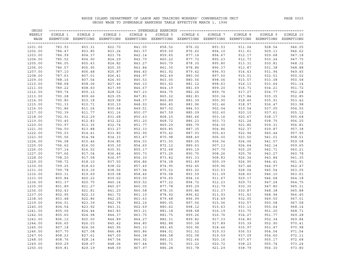| GROSS   |          |                                                                                                              |          |          |          |          |          |          |          |           |
|---------|----------|--------------------------------------------------------------------------------------------------------------|----------|----------|----------|----------|----------|----------|----------|-----------|
| WEEKLY  | SINGLE 1 | SINGLE 2                                                                                                     | SINGLE 3 | SINGLE 4 | SINGLE 5 | SINGLE 6 | SINGLE 7 | SINGLE 8 | SINGLE 9 | SINGLE 10 |
| WAGE    |          | EXEMPTION EXEMPTIONS EXEMPTIONS EXEMPTIONS EXEMPTIONS EXEMPTIONS EXEMPTIONS EXEMPTIONS EXEMPTIONS EXEMPTIONS |          |          |          |          |          |          |          |           |
|         |          |                                                                                                              |          |          |          |          |          |          |          |           |
| 1201.00 | 783.93   | 803.31                                                                                                       | 822.70   | 841.00   | 858.52   | 876.02   | 893.53   | 911.04   | 928.54   | 946.05    |
| 1202.00 | 784.47   | 803.85                                                                                                       | 823.24   | 841.57   | 859.09   | 876.60   | 894.10   | 911.61   | 929.11   | 946.62    |
| 1203.00 | 784.99   | 804.37                                                                                                       | 823.76   | 842.14   | 859.65   | 877.16   | 894.67   | 912.17   | 929.68   | 947.18    |
| 1204.00 | 785.52   | 804.90                                                                                                       | 824.29   | 842.70   | 860.22   | 877.72   | 895.23   | 912.73   | 930.24   | 947.75    |
| 1205.00 | 786.05   | 805.43                                                                                                       | 824.82   | 843.27   | 860.79   | 878.30   | 895.80   | 913.31   | 930.81   | 948.32    |
| 1206.00 | 786.57   | 805.95                                                                                                       | 825.35   | 843.84   | 861.35   | 878.86   | 896.37   | 913.87   | 931.38   | 948.88    |
| 1207.00 | 787.10   | 806.48                                                                                                       | 825.87   | 844.40   | 861.92   | 879.42   | 896.93   | 914.43   | 931.94   | 949.45    |
| 1208.00 | 787.63   | 807.01                                                                                                       | 826.41   | 844.97   | 862.49   | 880.00   | 897.50   | 915.01   | 932.51   | 950.02    |
| 1209.00 | 788.16   | 807.54                                                                                                       | 826.93   | 845.53   | 863.05   | 880.56   | 898.06   | 915.57   | 933.08   | 950.58    |
| 1210.00 | 788.68   | 808.06                                                                                                       | 827.46   | 846.10   | 863.62   | 881.12   | 898.63   | 916.13   | 933.64   | 951.14    |
| 1211.00 | 789.22   | 808.60                                                                                                       | 827.99   | 846.67   | 864.19   | 881.69   | 899.20   | 916.71   | 934.21   | 951.72    |
| 1212.00 | 789.74   | 809.12                                                                                                       | 828.52   | 847.23   | 864.75   | 882.26   | 899.76   | 917.27   | 934.77   | 952.28    |
| 1213.00 | 790.28   | 809.66                                                                                                       | 829.05   | 847.81   | 865.32   | 882.83   | 900.34   | 917.84   | 935.35   | 952.85    |
| 1214.00 | 790.80   | 810.18                                                                                                       | 829.58   | 848.37   | 865.89   | 883.39   | 900.90   | 918.40   | 935.91   | 953.42    |
| 1215.00 | 791.33   | 810.71                                                                                                       | 830.10   | 848.93   | 866.45   | 883.96   | 901.46   | 918.97   | 936.47   | 953.98    |
| 1216.00 | 791.86   | 811.24                                                                                                       | 830.64   | 849.51   | 867.02   | 884.53   | 902.04   | 919.54   | 937.05   | 954.55    |
| 1217.00 | 792.39   | 811.77                                                                                                       | 831.16   | 850.07   | 867.59   | 885.09   | 902.60   | 920.10   | 937.61   | 955.12    |
| 1218.00 | 792.91   | 812.29                                                                                                       | 831.68   | 850.63   | 868.15   | 885.66   | 903.16   | 920.67   | 938.17   | 955.68    |
| 1219.00 | 793.45   | 812.83                                                                                                       | 832.22   | 851.20   | 868.72   | 886.23   | 903.73   | 921.24   | 938.75   | 956.25    |
| 1220.00 | 793.97   | 813.35                                                                                                       | 832.74   | 851.77   | 869.29   | 886.79   | 904.30   | 921.80   | 939.31   | 956.81    |
| 1221.00 | 794.50   | 813.88                                                                                                       | 833.27   | 852.33   | 869.85   | 887.35   | 904.86   | 922.37   | 939.87   | 957.38    |
| 1222.00 | 795.03   | 814.41                                                                                                       | 833.80   | 852.90   | 870.42   | 887.93   | 905.43   | 922.94   | 940.44   | 957.95    |
| 1223.00 | 795.56   | 814.94                                                                                                       | 834.33   | 853.47   | 870.98   | 888.49   | 906.00   | 923.50   | 941.01   | 958.51    |
| 1224.00 | 796.08   | 815.46                                                                                                       | 834.85   | 854.03   | 871.55   | 889.05   | 906.56   | 924.06   | 941.57   | 959.08    |
| 1225.00 | 796.62   | 816.00                                                                                                       | 835.39   | 854.60   | 872.12   | 889.63   | 907.13   | 924.64   | 942.14   | 959.65    |
| 1226.00 | 797.14   | 816.52                                                                                                       | 835.91   | 855.17   | 872.68   | 890.19   | 907.70   | 925.20   | 942.71   | 960.21    |
| 1227.00 | 797.66   | 817.04                                                                                                       | 836.44   | 855.73   | 873.25   | 890.75   | 908.26   | 925.76   | 943.27   | 960.78    |
| 1228.00 | 798.20   | 817.58                                                                                                       | 836.97   | 856.30   | 873.82   | 891.33   | 908.83   | 926.34   | 943.84   | 961.35    |
| 1229.00 | 798.72   | 818.10                                                                                                       | 837.50   | 856.86   | 874.38   | 891.89   | 909.39   | 926.90   | 944.41   | 961.91    |
| 1230.00 | 799.25   | 818.63                                                                                                       | 838.02   | 857.40   | 874.95   | 892.45   | 909.96   | 927.46   | 944.97   | 962.47    |
| 1231.00 | 799.78   | 819.16                                                                                                       | 838.56   | 857.94   | 875.52   | 893.02   | 910.53   | 928.04   | 945.54   | 963.05    |
| 1232.00 | 800.31   | 819.69                                                                                                       | 839.08   | 858.46   | 876.08   | 893.59   | 911.09   | 928.60   | 946.10   | 963.61    |
| 1233.00 | 800.84   | 820.22                                                                                                       | 839.62   | 859.00   | 876.65   | 894.16   | 911.67   | 929.17   | 946.68   | 964.18    |
| 1234.00 | 801.37   | 820.75                                                                                                       | 840.14   | 859.52   | 877.22   | 894.72   | 912.23   | 929.73   | 947.24   | 964.75    |
| 1235.00 | 801.89   | 821.27                                                                                                       | 840.67   | 860.05   | 877.78   | 895.29   | 912.79   | 930.30   | 947.80   | 965.31    |
| 1236.00 | 802.43   | 821.81                                                                                                       | 841.20   | 860.58   | 878.35   | 895.86   | 913.37   | 930.87   | 948.38   | 965.88    |
| 1237.00 | 802.95   | 822.33                                                                                                       | 841.72   | 861.10   | 878.92   | 896.42   | 913.93   | 931.43   | 948.94   | 966.45    |
| 1238.00 | 803.48   | 822.86                                                                                                       | 842.25   | 861.63   | 879.48   | 896.99   | 914.49   | 932.00   | 949.50   | 967.01    |
| 1239.00 | 804.01   | 823.39                                                                                                       | 842.78   | 862.16   | 880.05   | 897.56   | 915.06   | 932.57   | 950.08   | 967.58    |
| 1240.00 | 804.54   | 823.92                                                                                                       | 843.31   | 862.69   | 880.62   | 898.12   | 915.63   | 933.13   | 950.64   | 968.14    |
| 1241.00 | 805.06   | 824.44                                                                                                       | 843.83   | 863.21   | 881.18   | 898.68   | 916.19   | 933.70   | 951.20   | 968.71    |
| 1242.00 | 805.60   | 824.98                                                                                                       | 844.37   | 863.75   | 881.75   | 899.26   | 916.76   | 934.27   | 951.77   | 969.28    |
| 1243.00 | 806.12   | 825.50                                                                                                       | 844.89   | 864.27   | 882.31   | 899.82   | 917.33   | 934.83   | 952.34   | 969.84    |
| 1244.00 | 806.65   | 826.03                                                                                                       | 845.42   | 864.80   | 882.88   | 900.38   | 917.89   | 935.39   | 952.90   | 970.41    |
| 1245.00 | 807.18   | 826.56                                                                                                       | 845.95   | 865.33   | 883.45   | 900.96   | 918.46   | 935.97   | 953.47   | 970.98    |
| 1246.00 | 807.70   | 827.08                                                                                                       | 846.48   | 865.86   | 884.01   | 901.52   | 919.03   | 936.53   | 954.04   | 971.54    |
| 1247.00 | 808.23   | 827.61                                                                                                       | 847.00   | 866.38   | 884.58   | 902.08   | 919.59   | 937.09   | 954.60   | 972.11    |
| 1248.00 | 808.76   | 828.14                                                                                                       | 847.54   | 866.92   | 885.15   | 902.66   | 920.16   | 937.67   | 955.17   | 972.68    |
| 1249.00 | 809.29   | 828.67                                                                                                       | 848.06   | 867.44   | 885.71   | 903.22   | 920.72   | 938.23   | 955.74   | 973.24    |
| 1250.00 | 809.81   | 829.19                                                                                                       | 848.59   | 867.97   | 886.28   | 903.78   | 921.29   | 938.79   | 956.30   | 973.80    |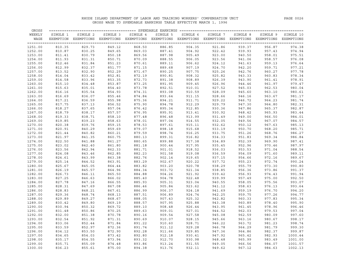| GROSS   |                  |                                                                                                              |                  |                  |                  |                  |                  |                  |          |                  |
|---------|------------------|--------------------------------------------------------------------------------------------------------------|------------------|------------------|------------------|------------------|------------------|------------------|----------|------------------|
| WEEKLY  | SINGLE 1         | SINGLE 2                                                                                                     | SINGLE 3         | SINGLE 4         | SINGLE 5         | SINGLE 6         | SINGLE 7         | SINGLE 8         | SINGLE 9 | SINGLE 10        |
| WAGE    |                  | EXEMPTION EXEMPTIONS EXEMPTIONS EXEMPTIONS EXEMPTIONS EXEMPTIONS EXEMPTIONS EXEMPTIONS EXEMPTIONS EXEMPTIONS |                  |                  |                  |                  |                  |                  |          |                  |
|         |                  |                                                                                                              |                  |                  |                  |                  |                  |                  |          |                  |
| 1251.00 | 810.35           | 829.73                                                                                                       | 849.12           | 868.50           | 886.85           | 904.35           | 921.86           | 939.37           | 956.87   | 974.38           |
| 1252.00 | 810.87           | 830.25                                                                                                       | 849.65           | 869.03           | 887.41           | 904.92           | 922.42           | 939.93           | 957.43   | 974.94           |
| 1253.00 | 811.41           | 830.79                                                                                                       | 850.18           | 869.56           | 887.98           | 905.49           | 923.00           | 940.50           | 958.01   | 975.51           |
| 1254.00 | 811.93           | 831.31                                                                                                       | 850.71           | 870.09           | 888.55           | 906.05           | 923.56           | 941.06           | 958.57   | 976.08           |
| 1255.00 | 812.46           | 831.84                                                                                                       | 851.23           | 870.61           | 889.11           | 906.62           | 924.12           | 941.63           | 959.13   | 976.64           |
| 1256.00 | 812.99           | 832.37                                                                                                       | 851.77<br>852.29 | 871.15           | 889.68<br>890.25 | 907.19<br>907.75 | 924.70<br>925.26 | 942.20<br>942.76 | 959.71   | 977.21<br>977.78 |
| 1257.00 | 813.52           | 832.90                                                                                                       |                  | 871.67           |                  |                  |                  |                  | 960.27   |                  |
| 1258.00 | 814.04           | 833.42                                                                                                       | 852.81           | 872.19           | 890.81           | 908.32           | 925.82           | 943.33           | 960.83   | 978.34           |
| 1259.00 | 814.58           | 833.96                                                                                                       | 853.35           | 872.73           | 891.38           | 908.89           | 926.39           | 943.90           | 961.41   | 978.91           |
| 1260.00 | 815.10           | 834.48                                                                                                       | 853.87           | 873.25           | 891.95           | 909.45           | 926.96           | 944.46           | 961.97   | 979.47           |
| 1261.00 | 815.63           | 835.01                                                                                                       | 854.40           | 873.78           | 892.51           | 910.01           | 927.52           | 945.03           | 962.53   | 980.04           |
| 1262.00 | 816.16           | 835.54                                                                                                       | 854.93           | 874.31           | 893.08           | 910.59           | 928.09           | 945.60           | 963.10   | 980.61           |
| 1263.00 | 816.69           | 836.07                                                                                                       | 855.46           | 874.84           | 893.64           | 911.15           | 928.66           | 946.16           | 963.67   | 981.17           |
| 1264.00 | 817.21           | 836.59                                                                                                       | 855.98           | 875.36           | 894.21           | 911.71           | 929.22           | 946.72           | 964.23   | 981.74           |
| 1265.00 | 817.75           | 837.13                                                                                                       | 856.52           | 875.90           | 894.78           | 912.29           | 929.79           | 947.30           | 964.80   | 982.31           |
| 1266.00 | 818.27           | 837.65                                                                                                       | 857.04           | 876.42           | 895.34           | 912.85           | 930.36           | 947.86           | 965.37   | 982.87           |
| 1267.00 | 818.79           | 838.17                                                                                                       | 857.57           | 876.95           | 895.91           | 913.41           | 930.92           | 948.42           | 965.93   | 983.44           |
| 1268.00 | 819.33           | 838.71                                                                                                       | 858.10           | 877.48           | 896.48           | 913.99           | 931.49           | 949.00           | 966.50   | 984.01           |
| 1269.00 | 819.85           | 839.23                                                                                                       | 858.63           | 878.01           | 897.04           | 914.55           | 932.05           | 949.56           | 967.07   | 984.57           |
| 1270.00 | 820.38           | 839.76                                                                                                       | 859.15           | 878.53           | 897.61           | 915.11           | 932.62           | 950.12           | 967.63   | 985.13           |
| 1271.00 | 820.91           | 840.29                                                                                                       | 859.69           | 879.07           | 898.18           | 915.68           | 933.19           | 950.70           | 968.20   | 985.71           |
| 1272.00 | 821.44           | 840.82                                                                                                       | 860.21           | 879.59           | 898.74           | 916.25           | 933.75           | 951.26           | 968.76   | 986.27           |
| 1273.00 | 821.97           | 841.35                                                                                                       | 860.75           | 880.13           | 899.31           | 916.82           | 934.33           | 951.83           | 969.34   | 986.84           |
| 1274.00 | 822.50           | 841.88                                                                                                       | 861.27           | 880.65           | 899.88           | 917.38           | 934.89           | 952.39           | 969.90   | 987.41           |
| 1275.00 | 823.02           | 842.40                                                                                                       | 861.80           | 881.18           | 900.44           | 917.95           | 935.45           | 952.96           | 970.46   | 987.97           |
| 1276.00 | 823.56           | 842.94                                                                                                       | 862.33           | 881.71           | 901.01           | 918.52           | 936.03           | 953.53           | 971.04   | 988.54           |
| 1277.00 | 824.08           | 843.46                                                                                                       | 862.85           | 882.23           | 901.58           | 919.08           | 936.59           | 954.09           | 971.60   | 989.11           |
| 1278.00 | 824.61           | 843.99                                                                                                       | 863.38           | 882.76           | 902.14           | 919.65           | 937.15           | 954.66           | 972.16   | 989.67           |
| 1279.00 | 825.14           | 844.52                                                                                                       | 863.91           | 883.29           | 902.67           | 920.22           | 937.72           | 955.23           | 972.74   | 990.24           |
| 1280.00 | 825.67           | 845.05                                                                                                       | 864.44           | 883.82           | 903.20           | 920.78           | 938.29           | 955.79           | 973.30   | 990.80           |
| 1281.00 | 826.19           | 845.57                                                                                                       | 864.96           | 884.34           | 903.72           | 921.34           | 938.85           | 956.36           | 973.86   | 991.37           |
| 1282.00 | 826.73           | 846.11                                                                                                       | 865.50           | 884.88           | 904.26           | 921.92           | 939.42           | 956.93           | 974.43   | 991.94           |
| 1283.00 | 827.25           | 846.63                                                                                                       | 866.02           | 885.40           | 904.78           | 922.48           | 939.99           | 957.49           | 975.00   | 992.50           |
| 1284.00 | 827.78<br>828.31 | 847.16                                                                                                       | 866.55<br>867.08 | 885.93<br>886.46 | 905.31<br>905.84 | 923.04<br>923.62 | 940.55<br>941.12 | 958.05<br>958.63 | 975.56   | 993.07           |
| 1285.00 |                  | 847.69                                                                                                       |                  |                  |                  |                  |                  |                  | 976.13   | 993.64           |
| 1286.00 | 828.83           | 848.21                                                                                                       | 867.61           | 886.99           | 906.37           | 924.18           | 941.69           | 959.19           | 976.70   | 994.20           |
| 1287.00 | 829.36           | 848.74                                                                                                       | 868.13           | 887.51           | 906.89           | 924.74           | 942.25           | 959.75           | 977.26   | 994.77           |
| 1288.00 | 829.89           | 849.27                                                                                                       | 868.67           | 888.05           | 907.43           | 925.32           | 942.82           | 960.33           | 977.83   | 995.34           |
| 1289.00 | 830.42           | 849.80                                                                                                       | 869.19           | 888.57           | 907.95           | 925.88           | 943.38           | 960.89           | 978.40   | 995.90           |
| 1290.00 | 830.94           | 850.32                                                                                                       | 869.72           | 889.10           | 908.48           | 926.44           | 943.95           | 961.45           | 978.96   | 996.46           |
| 1291.00 | 831.48           | 850.86                                                                                                       | 870.25           | 889.63           | 909.01           | 927.01           | 944.52           | 962.03           | 979.53   | 997.04           |
| 1292.00 | 832.00           | 851.38                                                                                                       | 870.78           | 890.16           | 909.54           | 927.58           | 945.08           | 962.59           | 980.09   | 997.60           |
| 1293.00 | 832.54           | 851.92                                                                                                       | 871.31           | 890.69           | 910.07           | 928.15           | 945.66           | 963.16           | 980.67   | 998.17           |
| 1294.00 | 833.06           | 852.44                                                                                                       | 871.84           | 891.22           | 910.60           | 928.71           | 946.22           | 963.72           | 981.23   | 998.74           |
| 1295.00 | 833.59           | 852.97                                                                                                       | 872.36           | 891.74           | 911.12           | 929.28           | 946.78           | 964.29           | 981.79   | 999.30           |
| 1296.00 | 834.12           | 853.50                                                                                                       | 872.90           | 892.28           | 911.66           | 929.85           | 947.36           | 964.86           | 982.37   | 999.87           |
| 1297.00 | 834.65           | 854.03                                                                                                       | 873.42           | 892.80           | 912.18           | 930.41           | 947.92           | 965.42           | 982.93   | 1000.44          |
| 1298.00 | 835.17           | 854.55                                                                                                       | 873.94           | 893.32           | 912.70           | 930.98           | 948.48           | 965.99           | 983.49   | 1001.00          |
| 1299.00 | 835.71           | 855.09                                                                                                       | 874.48           | 893.86           | 913.24           | 931.55           | 949.05           | 966.56           | 984.07   | 1001.57          |
| 1300.00 | 836.23           | 855.61                                                                                                       | 875.00           | 894.38           | 913.76           | 932.11           | 949.62           | 967.12           | 984.63   | 1002.13          |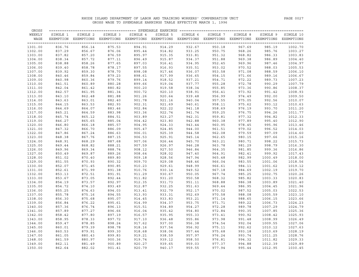| GROSS   |          |                                                                                                              |          |          |          |          |          |          |          |           |
|---------|----------|--------------------------------------------------------------------------------------------------------------|----------|----------|----------|----------|----------|----------|----------|-----------|
| WEEKLY  | SINGLE 1 | SINGLE 2                                                                                                     | SINGLE 3 | SINGLE 4 | SINGLE 5 | SINGLE 6 | SINGLE 7 | SINGLE 8 | SINGLE 9 | SINGLE 10 |
| WAGE    |          | EXEMPTION EXEMPTIONS EXEMPTIONS EXEMPTIONS EXEMPTIONS EXEMPTIONS EXEMPTIONS EXEMPTIONS EXEMPTIONS EXEMPTIONS |          |          |          |          |          |          |          |           |
| 1301.00 | 836.76   | 856.14                                                                                                       | 875.53   | 894.91   | 914.29   | 932.67   | 950.18   | 967.69   | 985.19   | 1002.70   |
| 1302.00 | 837.29   | 856.67                                                                                                       | 876.06   | 895.44   | 914.82   | 933.25   | 950.75   | 968.26   | 985.76   | 1003.27   |
| 1303.00 | 837.82   | 857.20                                                                                                       | 876.59   | 895.97   | 915.35   | 933.81   | 951.32   | 968.82   | 986.33   | 1003.83   |
| 1304.00 | 838.34   | 857.72                                                                                                       | 877.11   | 896.49   | 915.87   | 934.37   | 951.88   | 969.38   | 986.89   | 1004.40   |
| 1305.00 | 838.88   | 858.26                                                                                                       | 877.65   | 897.03   | 916.41   | 934.95   | 952.45   | 969.96   | 987.46   | 1004.97   |
| 1306.00 | 839.40   | 858.78                                                                                                       | 878.17   | 897.55   | 916.93   | 935.51   | 953.02   | 970.52   | 988.03   | 1005.53   |
| 1307.00 | 839.92   | 859.30                                                                                                       | 878.70   | 898.08   | 917.46   | 936.07   | 953.58   | 971.08   | 988.59   | 1006.10   |
| 1308.00 | 840.46   | 859.84                                                                                                       | 879.23   | 898.61   | 917.99   | 936.65   | 954.15   | 971.66   | 989.16   | 1006.67   |
| 1309.00 | 840.98   | 860.36                                                                                                       | 879.76   | 899.14   | 918.52   | 937.21   | 954.71   | 972.22   | 989.73   | 1007.23   |
| 1310.00 | 841.51   | 860.89                                                                                                       | 880.28   | 899.66   | 919.04   | 937.77   | 955.28   | 972.78   | 990.29   | 1007.79   |
| 1311.00 | 842.04   | 861.42                                                                                                       | 880.82   | 900.20   | 919.58   | 938.34   | 955.85   | 973.36   | 990.86   | 1008.37   |
| 1312.00 | 842.57   | 861.95                                                                                                       | 881.34   | 900.72   | 920.10   | 938.91   | 956.41   | 973.92   | 991.42   | 1008.93   |
| 1313.00 | 843.10   | 862.48                                                                                                       | 881.88   | 901.26   | 920.64   | 939.48   | 956.99   | 974.49   | 992.00   | 1009.50   |
| 1314.00 | 843.63   | 863.01                                                                                                       | 882.40   | 901.78   | 921.16   | 940.04   | 957.55   | 975.05   | 992.56   | 1010.07   |
| 1315.00 | 844.15   | 863.53                                                                                                       | 882.93   | 902.31   | 921.69   | 940.61   | 958.11   | 975.62   | 993.12   | 1010.63   |
| 1316.00 | 844.69   | 864.07                                                                                                       | 883.46   | 902.84   | 922.22   | 941.18   | 958.69   | 976.19   | 993.70   | 1011.20   |
| 1317.00 | 845.21   | 864.59                                                                                                       | 883.98   | 903.36   | 922.74   | 941.74   | 959.25   | 976.75   | 994.26   | 1011.77   |
| 1318.00 | 845.74   | 865.12                                                                                                       | 884.51   | 903.89   | 923.27   | 942.31   | 959.81   | 977.32   | 994.82   | 1012.33   |
| 1319.00 | 846.27   | 865.65                                                                                                       | 885.04   | 904.42   | 923.80   | 942.88   | 960.38   | 977.89   | 995.40   | 1012.90   |
| 1320.00 | 846.80   | 866.18                                                                                                       | 885.57   | 904.95   | 924.33   | 943.44   | 960.95   | 978.45   | 995.96   | 1013.46   |
| 1321.00 | 847.32   | 866.70                                                                                                       | 886.09   | 905.47   | 924.85   | 944.00   | 961.51   | 979.02   | 996.52   | 1014.03   |
| 1322.00 | 847.86   | 867.24                                                                                                       | 886.63   | 906.01   | 925.39   | 944.58   | 962.08   | 979.59   | 997.09   | 1014.60   |
| 1323.00 | 848.38   | 867.76                                                                                                       | 887.15   | 906.53   | 925.91   | 945.14   | 962.65   | 980.15   | 997.66   | 1015.16   |
| 1324.00 | 848.91   | 868.29                                                                                                       | 887.68   | 907.06   | 926.44   | 945.70   | 963.21   | 980.71   | 998.22   | 1015.73   |
| 1325.00 | 849.44   | 868.82                                                                                                       | 888.21   | 907.59   | 926.97   | 946.28   | 963.78   | 981.29   | 998.79   | 1016.30   |
| 1326.00 | 849.96   | 869.34                                                                                                       | 888.74   | 908.12   | 927.50   | 946.84   | 964.35   | 981.85   | 999.36   | 1016.86   |
| 1327.00 | 850.49   | 869.87                                                                                                       | 889.26   | 908.64   | 928.02   | 947.40   | 964.91   | 982.41   | 999.92   | 1017.43   |
| 1328.00 | 851.02   | 870.40                                                                                                       | 889.80   | 909.18   | 928.56   | 947.94   | 965.48   | 982.99   | 1000.49  | 1018.00   |
| 1329.00 | 851.55   | 870.93                                                                                                       | 890.32   | 909.70   | 929.08   | 948.46   | 966.04   | 983.55   | 1001.06  | 1018.56   |
| 1330.00 | 852.07   | 871.45                                                                                                       | 890.85   | 910.23   | 929.61   | 948.99   | 966.61   | 984.11   | 1001.62  | 1019.12   |
| 1331.00 | 852.61   | 871.99                                                                                                       | 891.38   | 910.76   | 930.14   | 949.52   | 967.18   | 984.69   | 1002.19  | 1019.70   |
| 1332.00 | 853.13   | 872.51                                                                                                       | 891.91   | 911.29   | 930.67   | 950.05   | 967.74   | 985.25   | 1002.75  | 1020.26   |
| 1333.00 | 853.67   | 873.05                                                                                                       | 892.44   | 911.82   | 931.20   | 950.58   | 968.32   | 985.82   | 1003.33  | 1020.83   |
| 1334.00 | 854.19   | 873.57                                                                                                       | 892.97   | 912.35   | 931.73   | 951.11   | 968.88   | 986.38   | 1003.89  | 1021.40   |
| 1335.00 | 854.72   | 874.10                                                                                                       | 893.49   | 912.87   | 932.25   | 951.63   | 969.44   | 986.95   | 1004.45  | 1021.96   |
| 1336.00 | 855.25   | 874.63                                                                                                       | 894.03   | 913.41   | 932.79   | 952.17   | 970.02   | 987.52   | 1005.03  | 1022.53   |
| 1337.00 | 855.78   | 875.16                                                                                                       | 894.55   | 913.93   | 933.31   | 952.69   | 970.58   | 988.08   | 1005.59  | 1023.10   |
| 1338.00 | 856.30   | 875.68                                                                                                       | 895.07   | 914.45   | 933.83   | 953.21   | 971.14   | 988.65   | 1006.15  | 1023.66   |
| 1339.00 | 856.84   | 876.22                                                                                                       | 895.61   | 914.99   | 934.37   | 953.75   | 971.71   | 989.22   | 1006.73  | 1024.23   |
| 1340.00 | 857.36   | 876.74                                                                                                       | 896.13   | 915.51   | 934.89   | 954.27   | 972.28   | 989.78   | 1007.29  | 1024.79   |
| 1341.00 | 857.89   | 877.27                                                                                                       | 896.66   | 916.04   | 935.42   | 954.80   | 972.84   | 990.35   | 1007.85  | 1025.36   |
| 1342.00 | 858.42   | 877.80                                                                                                       | 897.19   | 916.57   | 935.95   | 955.33   | 973.41   | 990.92   | 1008.42  | 1025.93   |
| 1343.00 | 858.95   | 878.33                                                                                                       | 897.72   | 917.10   | 936.48   | 955.86   | 973.98   | 991.48   | 1008.99  | 1026.49   |
| 1344.00 | 859.47   | 878.85                                                                                                       | 898.24   | 917.62   | 937.00   | 956.38   | 974.54   | 992.04   | 1009.55  | 1027.06   |
| 1345.00 | 860.01   | 879.39                                                                                                       | 898.78   | 918.16   | 937.54   | 956.92   | 975.11   | 992.62   | 1010.12  | 1027.63   |
| 1346.00 | 860.53   | 879.91                                                                                                       | 899.30   | 918.68   | 938.06   | 957.44   | 975.68   | 993.18   | 1010.69  | 1028.19   |
| 1347.00 | 861.05   | 880.43                                                                                                       | 899.83   | 919.21   | 938.59   | 957.97   | 976.24   | 993.74   | 1011.25  | 1028.76   |
| 1348.00 | 861.59   | 880.97                                                                                                       | 900.36   | 919.74   | 939.12   | 958.50   | 976.81   | 994.32   | 1011.82  | 1029.33   |
| 1349.00 | 862.11   | 881.49                                                                                                       | 900.89   | 920.27   | 939.65   | 959.03   | 977.37   | 994.88   | 1012.39  | 1029.89   |
| 1350.00 | 862.64   | 882.02                                                                                                       | 901.41   | 920.79   | 940.17   | 959.55   | 977.94   | 995.44   | 1012.95  | 1030.45   |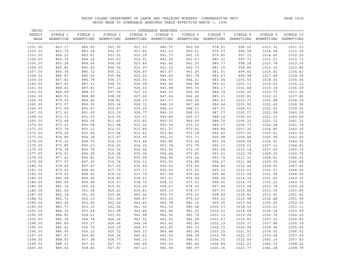| GROSS       |          |                                                                                                              |          |          |          |          |          |          |          |           |
|-------------|----------|--------------------------------------------------------------------------------------------------------------|----------|----------|----------|----------|----------|----------|----------|-----------|
| WEEKLY      | SINGLE 1 | SINGLE 2                                                                                                     | SINGLE 3 | SINGLE 4 | SINGLE 5 | SINGLE 6 | SINGLE 7 | SINGLE 8 | SINGLE 9 | SINGLE 10 |
| <b>WAGE</b> |          | EXEMPTION EXEMPTIONS EXEMPTIONS EXEMPTIONS EXEMPTIONS EXEMPTIONS EXEMPTIONS EXEMPTIONS EXEMPTIONS EXEMPTIONS |          |          |          |          |          |          |          |           |
|             |          |                                                                                                              |          |          |          |          |          |          |          |           |
| 1351.00     | 863.17   | 882.55                                                                                                       | 901.95   | 921.33   | 940.71   | 960.09   | 978.51   | 996.02   | 1013.52  | 1031.03   |
| 1352.00     | 863.70   | 883.08                                                                                                       | 902.47   | 921.85   | 941.23   | 960.61   | 979.07   | 996.58   | 1014.08  | 1031.59   |
| 1353.00     | 864.23   | 883.61                                                                                                       | 903.01   | 922.39   | 941.77   | 961.15   | 979.65   | 997.15   | 1014.66  | 1032.16   |
| 1354.00     | 864.76   | 884.14                                                                                                       | 903.53   | 922.91   | 942.29   | 961.67   | 980.21   | 997.71   | 1015.22  | 1032.73   |
| 1355.00     | 865.28   | 884.66                                                                                                       | 904.06   | 923.44   | 942.82   | 962.20   | 980.77   | 998.28   | 1015.78  | 1033.29   |
| 1356.00     | 865.82   | 885.20                                                                                                       | 904.59   | 923.97   | 943.35   | 962.73   | 981.35   | 998.85   | 1016.36  | 1033.86   |
| 1357.00     | 866.34   | 885.72                                                                                                       | 905.11   | 924.49   | 943.87   | 963.25   | 981.91   | 999.41   | 1016.92  | 1034.43   |
| 1358.00     | 866.87   | 886.25                                                                                                       | 905.64   | 925.02   | 944.40   | 963.78   | 982.47   | 999.98   | 1017.48  | 1034.99   |
| 1359.00     | 867.40   | 886.78                                                                                                       | 906.17   | 925.55   | 944.93   | 964.31   | 983.04   | 1000.55  | 1018.06  | 1035.56   |
| 1360.00     | 867.93   | 887.31                                                                                                       | 906.70   | 926.08   | 945.46   | 964.84   | 983.61   | 1001.11  | 1018.62  | 1036.12   |
| 1361.00     | 868.45   | 887.83                                                                                                       | 907.22   | 926.60   | 945.98   | 965.36   | 984.17   | 1001.68  | 1019.18  | 1036.69   |
| 1362.00     | 868.99   | 888.37                                                                                                       | 907.76   | 927.14   | 946.52   | 965.90   | 984.74   | 1002.25  | 1019.75  | 1037.26   |
| 1363.00     | 869.51   | 888.89                                                                                                       | 908.28   | 927.66   | 947.04   | 966.42   | 985.31   | 1002.81  | 1020.32  | 1037.82   |
| 1364.00     | 870.04   | 889.42                                                                                                       | 908.81   | 928.19   | 947.57   | 966.95   | 985.87   | 1003.37  | 1020.88  | 1038.39   |
| 1365.00     | 870.57   | 889.95                                                                                                       | 909.34   | 928.72   | 948.10   | 967.48   | 986.44   | 1003.95  | 1021.45  | 1038.96   |
| 1366.00     | 871.09   | 890.47                                                                                                       | 909.87   | 929.25   | 948.63   | 968.01   | 987.01   | 1004.51  | 1022.02  | 1039.52   |
| 1367.00     | 871.62   | 891.00                                                                                                       | 910.39   | 929.77   | 949.15   | 968.53   | 987.57   | 1005.07  | 1022.58  | 1040.09   |
| 1368.00     | 872.15   | 891.53                                                                                                       | 910.93   | 930.31   | 949.69   | 969.07   | 988.14   | 1005.65  | 1023.15  | 1040.66   |
| 1369.00     | 872.68   | 892.06                                                                                                       | 911.45   | 930.83   | 950.21   | 969.59   | 988.70   | 1006.21  | 1023.72  |           |
|             |          |                                                                                                              |          |          |          |          |          |          |          | 1041.22   |
| 1370.00     | 873.20   | 892.58                                                                                                       | 911.98   | 931.36   | 950.74   | 970.12   | 989.27   | 1006.77  | 1024.28  | 1041.78   |
| 1371.00     | 873.74   | 893.12                                                                                                       | 912.51   | 931.89   | 951.27   | 970.65   | 989.84   | 1007.35  | 1024.85  | 1042.36   |
| 1372.00     | 874.26   | 893.64                                                                                                       | 913.04   | 932.42   | 951.80   | 971.18   | 990.40   | 1007.91  | 1025.41  | 1042.92   |
| 1373.00     | 874.80   | 894.18                                                                                                       | 913.57   | 932.95   | 952.33   | 971.71   | 990.98   | 1008.48  | 1025.99  | 1043.49   |
| 1374.00     | 875.32   | 894.70                                                                                                       | 914.10   | 933.48   | 952.86   | 972.24   | 991.54   | 1009.04  | 1026.55  | 1044.06   |
| 1375.00     | 875.85   | 895.23                                                                                                       | 914.62   | 934.00   | 953.38   | 972.76   | 992.10   | 1009.61  | 1027.11  | 1044.62   |
| 1376.00     | 876.38   | 895.76                                                                                                       | 915.16   | 934.54   | 953.92   | 973.30   | 992.68   | 1010.18  | 1027.69  | 1045.19   |
| 1377.00     | 876.91   | 896.29                                                                                                       | 915.68   | 935.06   | 954.44   | 973.82   | 993.21   | 1010.74  | 1028.25  | 1045.76   |
| 1378.00     | 877.43   | 896.81                                                                                                       | 916.20   | 935.58   | 954.96   | 974.34   | 993.74   | 1011.31  | 1028.81  | 1046.32   |
| 1379.00     | 877.97   | 897.35                                                                                                       | 916.74   | 936.12   | 955.50   | 974.88   | 994.27   | 1011.88  | 1029.39  | 1046.89   |
| 1380.00     | 878.49   | 897.87                                                                                                       | 917.26   | 936.64   | 956.02   | 975.40   | 994.80   | 1012.44  | 1029.95  | 1047.45   |
| 1381.00     | 879.02   | 898.40                                                                                                       | 917.79   | 937.17   | 956.55   | 975.93   | 995.32   | 1013.01  | 1030.51  | 1048.02   |
| 1382.00     | 879.55   | 898.93                                                                                                       | 918.32   | 937.70   | 957.08   | 976.46   | 995.86   | 1013.58  | 1031.08  | 1048.59   |
| 1383.00     | 880.08   | 899.46                                                                                                       | 918.85   | 938.23   | 957.61   | 976.99   | 996.38   | 1014.14  | 1031.65  | 1049.15   |
| 1384.00     | 880.60   | 899.98                                                                                                       | 919.37   | 938.75   | 958.13   | 977.51   | 996.91   | 1014.70  | 1032.21  | 1049.72   |
| 1385.00     | 881.14   | 900.52                                                                                                       | 919.91   | 939.29   | 958.67   | 978.05   | 997.44   | 1015.28  | 1032.78  | 1050.29   |
| 1386.00     | 881.66   | 901.04                                                                                                       | 920.43   | 939.81   | 959.19   | 978.57   | 997.97   | 1015.84  | 1033.35  | 1050.85   |
| 1387.00     | 882.18   | 901.56                                                                                                       | 920.96   | 940.34   | 959.72   | 979.10   | 998.49   | 1016.40  | 1033.91  | 1051.42   |
| 1388.00     | 882.72   | 902.10                                                                                                       | 921.49   | 940.87   | 960.25   | 979.63   | 999.02   | 1016.98  | 1034.48  | 1051.99   |
| 1389.00     | 883.24   | 902.62                                                                                                       | 922.02   | 941.40   | 960.78   | 980.16   | 999.55   | 1017.54  | 1035.05  | 1052.55   |
| 1390.00     | 883.77   | 903.15                                                                                                       | 922.54   | 941.92   | 961.30   | 980.68   | 1000.07  | 1018.10  | 1035.61  | 1053.11   |
| 1391.00     | 884.30   | 903.68                                                                                                       | 923.08   | 942.46   | 961.84   | 981.22   | 1000.61  | 1018.68  | 1036.18  | 1053.69   |
| 1392.00     | 884.83   | 904.21                                                                                                       | 923.60   | 942.98   | 962.36   | 981.74   | 1001.13  | 1019.24  | 1036.74  | 1054.25   |
| 1393.00     | 885.36   | 904.74                                                                                                       | 924.14   | 943.52   | 962.90   | 982.28   | 1001.67  | 1019.81  | 1037.32  | 1054.82   |
| 1394.00     | 885.89   | 905.27                                                                                                       | 924.66   | 944.04   | 963.42   | 982.80   | 1002.19  | 1020.37  | 1037.88  | 1055.39   |
| 1395.00     | 886.41   | 905.79                                                                                                       | 925.19   | 944.57   | 963.95   | 983.33   | 1002.72  | 1020.94  | 1038.44  | 1055.95   |
| 1396.00     | 886.95   | 906.33                                                                                                       | 925.72   | 945.10   | 964.48   | 983.86   | 1003.25  | 1021.51  | 1039.02  | 1056.52   |
| 1397.00     | 887.47   | 906.85                                                                                                       | 926.24   | 945.62   | 965.00   | 984.38   | 1003.78  | 1022.07  | 1039.58  | 1057.09   |
| 1398.00     | 888.00   | 907.38                                                                                                       | 926.77   | 946.15   | 965.53   | 984.91   | 1004.30  | 1022.64  | 1040.14  | 1057.65   |
| 1399.00     | 888.53   | 907.91                                                                                                       | 927.30   | 946.68   | 966.06   | 985.44   | 1004.84  | 1023.21  | 1040.72  | 1058.22   |
| 1400.00     | 889.06   | 908.44                                                                                                       | 927.83   | 947.21   | 966.59   | 985.97   | 1005.36  | 1023.77  | 1041.28  | 1058.78   |
|             |          |                                                                                                              |          |          |          |          |          |          |          |           |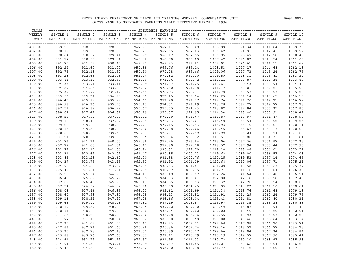## RHODE ISLAND DEPARTMENT OF LABOR AND TRAINING WORKERS' COMPENSATION UNIT PAGE 0029 GROSS WAGE TO SPENDABLE EARNINGS TABLE EFFECTIVE MARCH 1, 1996

| GROSS       |          |                                                                                                              |          |          |          |          |          |          |          |           |
|-------------|----------|--------------------------------------------------------------------------------------------------------------|----------|----------|----------|----------|----------|----------|----------|-----------|
| WEEKLY      | SINGLE 1 | SINGLE 2                                                                                                     | SINGLE 3 | SINGLE 4 | SINGLE 5 | SINGLE 6 | SINGLE 7 | SINGLE 8 | SINGLE 9 | SINGLE 10 |
| <b>WAGE</b> |          | EXEMPTION EXEMPTIONS EXEMPTIONS EXEMPTIONS EXEMPTIONS EXEMPTIONS EXEMPTIONS EXEMPTIONS EXEMPTIONS EXEMPTIONS |          |          |          |          |          |          |          |           |
|             |          |                                                                                                              |          |          |          |          |          |          |          |           |
| 1401.00     | 889.58   | 908.96                                                                                                       | 928.35   | 947.73   | 967.11   | 986.49   | 1005.89  | 1024.34  | 1041.84  | 1059.35   |
| 1402.00     | 890.12   | 909.50                                                                                                       | 928.89   | 948.27   | 967.65   | 987.03   | 1006.42  | 1024.91  | 1042.41  | 1059.92   |
| 1403.00     | 890.64   | 910.02                                                                                                       | 929.41   | 948.79   | 968.17   | 987.55   | 1006.95  | 1025.47  | 1042.98  | 1060.48   |
| 1404.00     | 891.17   | 910.55                                                                                                       | 929.94   | 949.32   | 968.70   | 988.08   | 1007.47  | 1026.03  | 1043.54  | 1061.05   |
| 1405.00     | 891.70   | 911.08                                                                                                       | 930.47   | 949.85   | 969.23   | 988.61   | 1008.01  | 1026.61  | 1044.11  | 1061.62   |
| 1406.00     | 892.22   | 911.60                                                                                                       | 931.00   | 950.38   | 969.76   | 989.14   | 1008.53  | 1027.17  | 1044.68  | 1062.18   |
| 1407.00     | 892.75   | 912.13                                                                                                       | 931.52   | 950.90   | 970.28   | 989.66   | 1009.06  | 1027.73  | 1045.24  | 1062.75   |
| 1408.00     | 893.28   | 912.66                                                                                                       | 932.06   | 951.44   | 970.82   | 990.20   | 1009.59  | 1028.31  | 1045.81  | 1063.32   |
| 1409.00     | 893.81   | 913.19                                                                                                       | 932.58   | 951.96   | 971.34   | 990.72   | 1010.11  | 1028.87  | 1046.38  | 1063.88   |
| 1410.00     | 894.33   | 913.71                                                                                                       | 933.11   | 952.49   | 971.87   | 991.25   | 1010.64  | 1029.43  | 1046.94  | 1064.44   |
| 1411.00     | 894.87   | 914.25                                                                                                       | 933.64   | 953.02   | 972.40   | 991.78   | 1011.17  | 1030.01  | 1047.51  | 1065.02   |
| 1412.00     | 895.39   | 914.77                                                                                                       | 934.17   | 953.55   | 972.93   | 992.31   | 1011.70  | 1030.57  | 1048.07  | 1065.58   |
| 1413.00     | 895.93   | 915.31                                                                                                       | 934.70   | 954.08   | 973.46   | 992.84   | 1012.23  | 1031.14  | 1048.65  | 1066.15   |
| 1414.00     | 896.45   | 915.83                                                                                                       | 935.23   | 954.61   | 973.99   | 993.37   | 1012.76  | 1031.70  | 1049.21  | 1066.72   |
| 1415.00     | 896.98   | 916.36                                                                                                       | 935.75   | 955.13   | 974.51   | 993.89   | 1013.28  | 1032.27  | 1049.77  | 1067.28   |
| 1416.00     | 897.51   | 916.89                                                                                                       | 936.29   | 955.67   | 975.05   | 994.43   | 1013.82  | 1032.84  | 1050.35  | 1067.85   |
| 1417.00     | 898.04   | 917.42                                                                                                       | 936.81   | 956.19   | 975.57   | 994.95   | 1014.34  | 1033.40  | 1050.91  | 1068.42   |
| 1418.00     | 898.56   | 917.94                                                                                                       | 937.33   | 956.71   | 976.09   | 995.47   | 1014.87  | 1033.97  | 1051.47  | 1068.98   |
| 1419.00     | 899.10   | 918.48                                                                                                       | 937.87   | 957.25   | 976.63   | 996.01   |          | 1034.54  |          |           |
|             |          |                                                                                                              |          | 957.77   |          |          | 1015.40  |          | 1052.05  | 1069.55   |
| 1420.00     | 899.62   | 919.00                                                                                                       | 938.39   |          | 977.15   | 996.53   | 1015.93  | 1035.10  | 1052.61  | 1070.11   |
| 1421.00     | 900.15   | 919.53                                                                                                       | 938.92   | 958.30   | 977.68   | 997.06   | 1016.45  | 1035.67  | 1053.17  | 1070.68   |
| 1422.00     | 900.68   | 920.06                                                                                                       | 939.45   | 958.83   | 978.21   | 997.59   | 1016.99  | 1036.24  | 1053.74  | 1071.25   |
| 1423.00     | 901.21   | 920.59                                                                                                       | 939.98   | 959.36   | 978.74   | 998.12   | 1017.51  | 1036.80  | 1054.31  | 1071.81   |
| 1424.00     | 901.73   | 921.11                                                                                                       | 940.50   | 959.88   | 979.26   | 998.64   | 1018.04  | 1037.36  | 1054.87  | 1072.38   |
| 1425.00     | 902.27   | 921.65                                                                                                       | 941.04   | 960.42   | 979.80   | 999.18   | 1018.57  | 1037.94  | 1055.44  | 1072.95   |
| 1426.00     | 902.79   | 922.17                                                                                                       | 941.56   | 960.94   | 980.32   | 999.70   | 1019.10  | 1038.48  | 1056.01  | 1073.51   |
| 1427.00     | 903.31   | 922.69                                                                                                       | 942.09   | 961.47   | 980.85   | 1000.23  | 1019.62  | 1039.00  | 1056.57  | 1074.08   |
| 1428.00     | 903.85   | 923.23                                                                                                       | 942.62   | 962.00   | 981.38   | 1000.76  | 1020.15  | 1039.53  | 1057.14  | 1074.65   |
| 1429.00     | 904.37   | 923.75                                                                                                       | 943.15   | 962.53   | 981.91   | 1001.29  | 1020.68  | 1040.06  | 1057.71  | 1075.21   |
| 1430.00     | 904.90   | 924.28                                                                                                       | 943.67   | 963.05   | 982.43   | 1001.81  | 1021.20  | 1040.58  | 1058.27  | 1075.77   |
| 1431.00     | 905.43   | 924.81                                                                                                       | 944.21   | 963.59   | 982.97   | 1002.35  | 1021.74  | 1041.12  | 1058.84  | 1076.35   |
| 1432.00     | 905.96   | 925.34                                                                                                       | 944.73   | 964.11   | 983.49   | 1002.87  | 1022.26  | 1041.64  | 1059.40  | 1076.91   |
| 1433.00     | 906.49   | 925.87                                                                                                       | 945.27   | 964.65   | 984.03   | 1003.41  | 1022.80  | 1042.18  | 1059.98  | 1077.48   |
| 1434.00     | 907.02   | 926.40                                                                                                       | 945.79   | 965.17   | 984.55   | 1003.93  | 1023.32  | 1042.70  | 1060.54  | 1078.05   |
| 1435.00     | 907.54   | 926.92                                                                                                       | 946.32   | 965.70   | 985.08   | 1004.46  | 1023.85  | 1043.23  | 1061.10  | 1078.61   |
| 1436.00     | 908.08   | 927.46                                                                                                       | 946.85   | 966.23   | 985.61   | 1004.99  | 1024.38  | 1043.76  | 1061.68  | 1079.18   |
| 1437.00     | 908.60   | 927.98                                                                                                       | 947.37   | 966.75   | 986.13   | 1005.51  | 1024.91  | 1044.29  | 1062.24  | 1079.75   |
| 1438.00     | 909.13   | 928.51                                                                                                       | 947.90   | 967.28   | 986.66   | 1006.04  | 1025.43  | 1044.81  | 1062.80  | 1080.31   |
| 1439.00     | 909.66   | 929.04                                                                                                       | 948.43   | 967.81   | 987.19   | 1006.57  | 1025.97  | 1045.35  | 1063.38  | 1080.88   |
| 1440.00     | 910.19   | 929.57                                                                                                       | 948.96   | 968.34   | 987.72   | 1007.10  | 1026.49  | 1045.87  | 1063.94  | 1081.44   |
| 1441.00     | 910.71   | 930.09                                                                                                       | 949.48   | 968.86   | 988.24   | 1007.62  | 1027.02  | 1046.40  | 1064.50  | 1082.01   |
| 1442.00     | 911.25   | 930.63                                                                                                       | 950.02   | 969.40   | 988.78   | 1008.16  | 1027.55  | 1046.93  | 1065.07  | 1082.58   |
| 1443.00     | 911.77   | 931.15                                                                                                       | 950.54   | 969.92   | 989.30   | 1008.68  | 1028.08  | 1047.46  | 1065.64  | 1083.14   |
| 1444.00     | 912.30   | 931.68                                                                                                       | 951.07   | 970.45   | 989.83   | 1009.21  | 1028.60  | 1047.98  | 1066.20  | 1083.71   |
| 1445.00     | 912.83   | 932.21                                                                                                       | 951.60   | 970.98   | 990.36   | 1009.74  | 1029.14  | 1048.52  | 1066.77  | 1084.28   |
| 1446.00     | 913.35   | 932.73                                                                                                       | 952.13   | 971.51   | 990.89   | 1010.27  | 1029.66  | 1049.04  | 1067.34  | 1084.84   |
| 1447.00     | 913.88   | 933.26                                                                                                       | 952.65   | 972.03   | 991.41   | 1010.79  | 1030.19  | 1049.57  | 1067.90  | 1085.41   |
| 1448.00     | 914.41   | 933.79                                                                                                       | 953.19   | 972.57   | 991.95   | 1011.33  | 1030.72  | 1050.10  | 1068.47  | 1085.98   |
| 1449.00     | 914.94   | 934.32                                                                                                       | 953.71   | 973.09   | 992.47   | 1011.85  | 1031.24  | 1050.62  | 1069.04  | 1086.54   |
| 1450.00     | 915.46   | 934.84                                                                                                       | 954.24   | 973.62   | 993.00   | 1012.38  | 1031.77  | 1051.15  | 1069.60  | 1087.10   |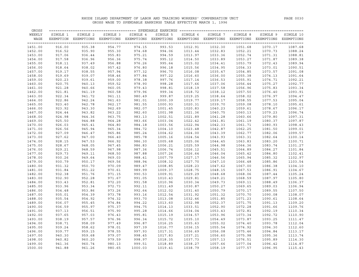#### RHODE ISLAND DEPARTMENT OF LABOR AND TRAINING WORKERS' COMPENSATION UNIT PAGE 0030 GROSS WAGE TO SPENDABLE EARNINGS TABLE EFFECTIVE MARCH 1, 1996

| GROSS   |          |                                                                                                              |          |          |          |          |          |          |          |           |
|---------|----------|--------------------------------------------------------------------------------------------------------------|----------|----------|----------|----------|----------|----------|----------|-----------|
| WEEKLY  | SINGLE 1 | SINGLE 2                                                                                                     | SINGLE 3 | SINGLE 4 | SINGLE 5 | SINGLE 6 | SINGLE 7 | SINGLE 8 | SINGLE 9 | SINGLE 10 |
| WAGE    |          | EXEMPTION EXEMPTIONS EXEMPTIONS EXEMPTIONS EXEMPTIONS EXEMPTIONS EXEMPTIONS EXEMPTIONS EXEMPTIONS EXEMPTIONS |          |          |          |          |          |          |          |           |
|         |          |                                                                                                              |          |          |          |          |          |          |          |           |
| 1451.00 | 916.00   | 935.38                                                                                                       | 954.77   | 974.15   | 993.53   | 1012.91  | 1032.30  | 1051.68  | 1070.17  | 1087.68   |
| 1452.00 | 916.52   | 935.90                                                                                                       | 955.30   | 974.68   | 994.06   | 1013.44  | 1032.83  | 1052.21  | 1070.73  | 1088.24   |
| 1453.00 | 917.06   | 936.44                                                                                                       | 955.83   | 975.21   | 994.59   | 1013.97  | 1033.36  | 1052.74  | 1071.31  | 1088.81   |
| 1454.00 | 917.58   | 936.96                                                                                                       | 956.36   | 975.74   | 995.12   | 1014.50  | 1033.89  | 1053.27  | 1071.87  | 1089.38   |
| 1455.00 | 918.11   | 937.49                                                                                                       | 956.88   | 976.26   | 995.64   | 1015.02  | 1034.41  | 1053.79  | 1072.43  | 1089.94   |
| 1456.00 | 918.64   | 938.02                                                                                                       | 957.42   | 976.80   | 996.18   | 1015.56  | 1034.95  | 1054.33  | 1073.01  | 1090.51   |
| 1457.00 | 919.17   | 938.55                                                                                                       | 957.94   | 977.32   | 996.70   | 1016.08  | 1035.47  | 1054.85  | 1073.57  | 1091.08   |
| 1458.00 | 919.69   | 939.07                                                                                                       | 958.46   | 977.84   | 997.22   | 1016.60  | 1036.00  | 1055.38  | 1074.13  | 1091.64   |
| 1459.00 | 920.23   | 939.61                                                                                                       | 959.00   | 978.38   | 997.76   | 1017.14  | 1036.53  | 1055.91  | 1074.71  | 1092.21   |
| 1460.00 | 920.75   | 940.13                                                                                                       | 959.52   | 978.90   | 998.28   | 1017.66  | 1037.06  | 1056.44  | 1075.27  | 1092.77   |
| 1461.00 | 921.28   | 940.66                                                                                                       | 960.05   | 979.43   | 998.81   | 1018.19  | 1037.58  | 1056.96  | 1075.83  | 1093.34   |
| 1462.00 | 921.81   | 941.19                                                                                                       | 960.58   | 979.96   | 999.34   | 1018.72  | 1038.12  | 1057.50  | 1076.40  | 1093.91   |
| 1463.00 | 922.34   | 941.72                                                                                                       | 961.11   | 980.49   | 999.87   | 1019.25  | 1038.64  | 1058.02  | 1076.97  | 1094.47   |
| 1464.00 | 922.86   | 942.24                                                                                                       | 961.63   | 981.01   | 1000.39  | 1019.77  | 1039.17  | 1058.55  | 1077.53  | 1095.04   |
| 1465.00 | 923.40   | 942.78                                                                                                       | 962.17   | 981.55   | 1000.93  | 1020.31  | 1039.70  | 1059.08  | 1078.10  | 1095.61   |
| 1466.00 | 923.92   | 943.30                                                                                                       | 962.69   | 982.07   | 1001.45  | 1020.83  | 1040.23  | 1059.61  | 1078.67  | 1096.17   |
| 1467.00 | 924.44   | 943.82                                                                                                       | 963.22   | 982.60   | 1001.98  | 1021.36  | 1040.75  | 1060.13  | 1079.23  | 1096.74   |
| 1468.00 | 924.98   | 944.36                                                                                                       | 963.75   | 983.13   | 1002.51  | 1021.89  | 1041.28  | 1060.66  | 1079.80  | 1097.31   |
| 1469.00 | 925.50   | 944.88                                                                                                       | 964.28   | 983.66   | 1003.04  | 1022.42  | 1041.81  | 1061.19  | 1080.37  | 1097.87   |
| 1470.00 | 926.03   | 945.41                                                                                                       | 964.80   | 984.18   | 1003.56  | 1022.94  | 1042.33  | 1061.71  | 1080.93  | 1098.43   |
| 1471.00 | 926.56   | 945.94                                                                                                       | 965.34   | 984.72   | 1004.10  | 1023.48  | 1042.87  | 1062.25  | 1081.50  | 1099.01   |
| 1472.00 | 927.09   | 946.47                                                                                                       | 965.86   | 985.24   | 1004.62  | 1024.00  | 1043.39  | 1062.77  | 1082.06  | 1099.57   |
| 1473.00 | 927.62   | 947.00                                                                                                       | 966.40   | 985.78   | 1005.16  | 1024.54  | 1043.93  | 1063.31  | 1082.64  | 1100.14   |
| 1474.00 | 928.15   | 947.53                                                                                                       | 966.92   | 986.30   | 1005.68  | 1025.06  | 1044.45  | 1063.83  | 1083.20  | 1100.71   |
| 1475.00 | 928.67   | 948.05                                                                                                       | 967.45   | 986.83   | 1006.21  | 1025.59  | 1044.98  | 1064.36  | 1083.74  | 1101.27   |
| 1476.00 | 929.21   | 948.59                                                                                                       | 967.98   | 987.36   | 1006.74  | 1026.12  | 1045.51  | 1064.89  | 1084.27  | 1101.84   |
| 1477.00 | 929.73   | 949.11                                                                                                       | 968.50   | 987.88   | 1007.26  | 1026.64  | 1046.04  | 1065.42  | 1084.80  | 1102.41   |
| 1478.00 | 930.26   | 949.64                                                                                                       | 969.03   | 988.41   | 1007.79  | 1027.17  | 1046.56  | 1065.94  | 1085.32  | 1102.97   |
| 1479.00 | 930.79   | 950.17                                                                                                       | 969.56   | 988.94   | 1008.32  | 1027.70  | 1047.10  | 1066.48  | 1085.86  | 1103.54   |
| 1480.00 | 931.32   | 950.70                                                                                                       | 970.09   | 989.47   | 1008.85  | 1028.23  | 1047.62  | 1067.00  | 1086.38  | 1104.10   |
| 1481.00 | 931.84   | 951.22                                                                                                       | 970.61   | 989.99   | 1009.37  | 1028.75  | 1048.15  | 1067.53  | 1086.91  | 1104.67   |
| 1482.00 | 932.38   | 951.76                                                                                                       | 971.15   | 990.53   | 1009.91  | 1029.29  | 1048.68  | 1068.06  | 1087.44  | 1105.24   |
| 1483.00 | 932.90   | 952.28                                                                                                       | 971.67   | 991.05   | 1010.43  | 1029.81  | 1049.21  | 1068.59  | 1087.97  | 1105.80   |
| 1484.00 | 933.43   | 952.81                                                                                                       | 972.20   | 991.58   | 1010.96  | 1030.34  | 1049.73  | 1069.11  | 1088.49  | 1106.37   |
| 1485.00 | 933.96   | 953.34                                                                                                       | 972.73   | 992.11   | 1011.49  | 1030.87  | 1050.27  | 1069.65  | 1089.03  | 1106.94   |
| 1486.00 | 934.48   | 953.86                                                                                                       | 973.26   | 992.64   | 1012.02  | 1031.40  | 1050.79  | 1070.17  | 1089.55  | 1107.50   |
| 1487.00 | 935.01   | 954.39                                                                                                       | 973.78   | 993.16   | 1012.54  | 1031.92  | 1051.32  | 1070.70  | 1090.08  | 1108.07   |
| 1488.00 | 935.54   | 954.92                                                                                                       | 974.32   | 993.70   | 1013.08  | 1032.46  | 1051.85  | 1071.23  | 1090.61  | 1108.64   |
| 1489.00 | 936.07   | 955.45                                                                                                       | 974.84   | 994.22   | 1013.60  | 1032.98  | 1052.37  | 1071.75  | 1091.13  | 1109.20   |
| 1490.00 | 936.59   | 955.97                                                                                                       | 975.37   | 994.75   | 1014.13  | 1033.51  | 1052.90  | 1072.28  | 1091.66  | 1109.76   |
| 1491.00 | 937.13   | 956.51                                                                                                       | 975.90   | 995.28   | 1014.66  | 1034.04  | 1053.43  | 1072.81  | 1092.19  | 1110.34   |
| 1492.00 | 937.65   | 957.03                                                                                                       | 976.43   | 995.81   | 1015.19  | 1034.57  | 1053.96  | 1073.34  | 1092.72  | 1110.90   |
| 1493.00 | 938.19   | 957.57                                                                                                       | 976.96   | 996.34   | 1015.72  | 1035.10  | 1054.49  | 1073.87  | 1093.25  | 1111.47   |
| 1494.00 | 938.71   | 958.09                                                                                                       | 977.49   | 996.87   | 1016.25  | 1035.63  | 1055.02  | 1074.40  | 1093.78  | 1112.04   |
| 1495.00 | 939.24   | 958.62                                                                                                       | 978.01   | 997.39   | 1016.77  | 1036.15  | 1055.54  | 1074.92  | 1094.30  | 1112.60   |
| 1496.00 | 939.77   | 959.15                                                                                                       | 978.55   | 997.93   | 1017.31  | 1036.69  | 1056.08  | 1075.46  | 1094.84  | 1113.17   |
| 1497.00 | 940.30   | 959.68                                                                                                       | 979.07   | 998.45   | 1017.83  | 1037.21  | 1056.60  | 1075.98  | 1095.36  | 1113.74   |
| 1498.00 | 940.82   | 960.20                                                                                                       | 979.59   | 998.97   | 1018.35  | 1037.73  | 1057.13  | 1076.51  | 1095.89  | 1114.30   |
| 1499.00 | 941.36   | 960.74                                                                                                       | 980.13   | 999.51   | 1018.89  | 1038.27  | 1057.66  | 1077.04  | 1096.42  | 1114.87   |
| 1500.00 | 941.88   | 961.26                                                                                                       | 980.65   | 1000.03  | 1019.41  | 1038.79  | 1058.19  | 1077.57  | 1096.95  | 1115.43   |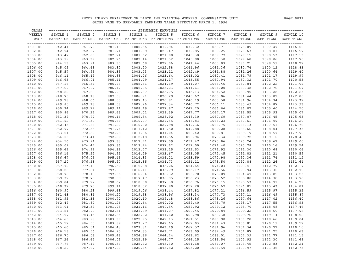## RHODE ISLAND DEPARTMENT OF LABOR AND TRAINING WORKERS' COMPENSATION UNIT PAGE 0031 GROSS WAGE TO SPENDABLE EARNINGS TABLE EFFECTIVE MARCH 1, 1996

| GROSS   |          |                                                                                                              |          |          |          |          |          |          |          |           |
|---------|----------|--------------------------------------------------------------------------------------------------------------|----------|----------|----------|----------|----------|----------|----------|-----------|
| WEEKLY  | SINGLE 1 | SINGLE 2                                                                                                     | SINGLE 3 | SINGLE 4 | SINGLE 5 | SINGLE 6 | SINGLE 7 | SINGLE 8 | SINGLE 9 | SINGLE 10 |
| WAGE    |          | EXEMPTION EXEMPTIONS EXEMPTIONS EXEMPTIONS EXEMPTIONS EXEMPTIONS EXEMPTIONS EXEMPTIONS EXEMPTIONS EXEMPTIONS |          |          |          |          |          |          |          |           |
|         |          |                                                                                                              |          |          |          |          |          |          |          |           |
| 1501.00 | 942.41   | 961.79                                                                                                       | 981.18   | 1000.56  | 1019.94  | 1039.32  | 1058.71  | 1078.09  | 1097.47  | 1116.00   |
| 1502.00 | 942.94   | 962.32                                                                                                       | 981.71   | 1001.09  | 1020.47  | 1039.85  | 1059.25  | 1078.63  | 1098.01  | 1116.57   |
| 1503.00 | 943.47   | 962.85                                                                                                       | 982.24   | 1001.62  | 1021.00  | 1040.38  | 1059.77  | 1079.15  | 1098.53  | 1117.13   |
| 1504.00 | 943.99   | 963.37                                                                                                       | 982.76   | 1002.14  | 1021.52  | 1040.90  | 1060.30  | 1079.68  | 1099.06  | 1117.70   |
| 1505.00 | 944.53   | 963.91                                                                                                       | 983.30   | 1002.68  | 1022.06  | 1041.44  | 1060.83  | 1080.21  | 1099.59  | 1118.27   |
| 1506.00 | 945.05   | 964.43                                                                                                       | 983.82   | 1003.20  | 1022.58  | 1041.96  | 1061.36  | 1080.74  | 1100.12  | 1118.83   |
| 1507.00 | 945.57   | 964.95                                                                                                       | 984.35   | 1003.73  | 1023.11  | 1042.49  | 1061.88  | 1081.26  | 1100.64  | 1119.40   |
| 1508.00 | 946.11   | 965.49                                                                                                       | 984.88   | 1004.26  | 1023.64  | 1043.02  | 1062.41  | 1081.79  | 1101.17  | 1119.97   |
| 1509.00 | 946.63   | 966.01                                                                                                       | 985.41   | 1004.79  | 1024.17  | 1043.55  | 1062.94  | 1082.32  | 1101.70  | 1120.53   |
| 1510.00 | 947.16   | 966.54                                                                                                       | 985.93   | 1005.31  | 1024.69  | 1044.07  | 1063.46  | 1082.84  | 1102.22  | 1121.09   |
| 1511.00 | 947.69   | 967.07                                                                                                       | 986.47   | 1005.85  | 1025.23  | 1044.61  | 1064.00  | 1083.38  | 1102.76  | 1121.67   |
| 1512.00 | 948.22   | 967.60                                                                                                       | 986.99   | 1006.37  | 1025.75  | 1045.13  | 1064.52  | 1083.90  | 1103.28  | 1122.23   |
| 1513.00 | 948.75   | 968.13                                                                                                       | 987.53   | 1006.91  | 1026.29  | 1045.67  | 1065.06  | 1084.44  | 1103.82  | 1122.80   |
| 1514.00 | 949.28   | 968.66                                                                                                       | 988.05   | 1007.43  | 1026.81  | 1046.19  | 1065.58  | 1084.96  | 1104.34  | 1123.37   |
| 1515.00 | 949.80   | 969.18                                                                                                       | 988.58   | 1007.96  | 1027.34  | 1046.72  | 1066.11  | 1085.49  | 1104.87  | 1123.93   |
|         |          |                                                                                                              |          |          |          |          |          |          |          | 1124.50   |
| 1516.00 | 950.34   | 969.72                                                                                                       | 989.11   | 1008.49  | 1027.87  | 1047.25  | 1066.64  | 1086.02  | 1105.40  |           |
| 1517.00 | 950.86   | 970.24                                                                                                       | 989.63   | 1009.01  | 1028.39  | 1047.77  | 1067.17  | 1086.55  | 1105.93  | 1125.07   |
| 1518.00 | 951.39   | 970.77                                                                                                       | 990.16   | 1009.54  | 1028.92  | 1048.30  | 1067.69  | 1087.07  | 1106.45  | 1125.63   |
| 1519.00 | 951.92   | 971.30                                                                                                       | 990.69   | 1010.07  | 1029.45  | 1048.83  | 1068.23  | 1087.61  | 1106.99  | 1126.20   |
| 1520.00 | 952.45   | 971.83                                                                                                       | 991.22   | 1010.60  | 1029.98  | 1049.36  | 1068.75  | 1088.13  | 1107.51  | 1126.76   |
| 1521.00 | 952.97   | 972.35                                                                                                       | 991.74   | 1011.12  | 1030.50  | 1049.88  | 1069.28  | 1088.66  | 1108.04  | 1127.33   |
| 1522.00 | 953.51   | 972.89                                                                                                       | 992.28   | 1011.66  | 1031.04  | 1050.42  | 1069.81  | 1089.19  | 1108.57  | 1127.90   |
| 1523.00 | 954.03   | 973.41                                                                                                       | 992.80   | 1012.18  | 1031.56  | 1050.94  | 1070.34  | 1089.72  | 1109.10  | 1128.46   |
| 1524.00 | 954.56   | 973.94                                                                                                       | 993.33   | 1012.71  | 1032.09  | 1051.47  | 1070.86  | 1090.24  | 1109.62  | 1129.00   |
| 1525.00 | 955.09   | 974.47                                                                                                       | 993.86   | 1013.24  | 1032.62  | 1052.00  | 1071.40  | 1090.78  | 1110.16  | 1129.54   |
| 1526.00 | 955.61   | 974.99                                                                                                       | 994.39   | 1013.77  | 1033.15  | 1052.53  | 1071.92  | 1091.30  | 1110.68  | 1130.06   |
| 1527.00 | 956.14   | 975.52                                                                                                       | 994.91   | 1014.29  | 1033.67  | 1053.05  | 1072.45  | 1091.83  | 1111.21  | 1130.59   |
| 1528.00 | 956.67   | 976.05                                                                                                       | 995.45   | 1014.83  | 1034.21  | 1053.59  | 1072.98  | 1092.36  | 1111.74  | 1131.12   |
| 1529.00 | 957.20   | 976.58                                                                                                       | 995.97   | 1015.35  | 1034.73  | 1054.11  | 1073.50  | 1092.88  | 1112.26  | 1131.64   |
| 1530.00 | 957.72   | 977.10                                                                                                       | 996.50   | 1015.88  | 1035.26  | 1054.64  | 1074.03  | 1093.41  | 1112.79  | 1132.17   |
| 1531.00 | 958.26   | 977.64                                                                                                       | 997.03   | 1016.41  | 1035.79  | 1055.17  | 1074.56  | 1093.94  | 1113.32  | 1132.70   |
| 1532.00 | 958.78   | 978.16                                                                                                       | 997.56   | 1016.94  | 1036.32  | 1055.70  | 1075.09  | 1094.47  | 1113.85  | 1133.23   |
| 1533.00 | 959.32   | 978.70                                                                                                       | 998.09   | 1017.47  | 1036.85  | 1056.23  | 1075.62  | 1095.00  | 1114.38  | 1133.76   |
| 1534.00 | 959.84   | 979.22                                                                                                       | 998.62   | 1018.00  | 1037.38  | 1056.76  | 1076.15  | 1095.53  | 1114.91  | 1134.29   |
| 1535.00 | 960.37   | 979.75                                                                                                       | 999.14   | 1018.52  | 1037.90  | 1057.28  | 1076.67  | 1096.05  | 1115.43  | 1134.81   |
| 1536.00 | 960.90   | 980.28                                                                                                       | 999.68   | 1019.06  | 1038.44  | 1057.82  | 1077.21  | 1096.59  | 1115.97  | 1135.35   |
| 1537.00 | 961.43   | 980.81                                                                                                       | 1000.20  | 1019.58  | 1038.96  | 1058.34  | 1077.73  | 1097.11  | 1116.49  | 1135.87   |
| 1538.00 | 961.95   | 981.33                                                                                                       | 1000.72  | 1020.10  | 1039.48  | 1058.86  | 1078.26  | 1097.64  | 1117.02  | 1136.40   |
| 1539.00 | 962.49   | 981.87                                                                                                       | 1001.26  | 1020.64  | 1040.02  | 1059.40  | 1078.79  | 1098.17  | 1117.55  | 1136.93   |
| 1540.00 | 963.01   | 982.39                                                                                                       | 1001.78  | 1021.16  | 1040.54  | 1059.92  | 1079.32  | 1098.70  | 1118.08  | 1137.46   |
| 1541.00 | 963.54   | 982.92                                                                                                       | 1002.31  | 1021.69  | 1041.07  | 1060.45  | 1079.84  | 1099.22  | 1118.60  | 1137.98   |
| 1542.00 | 964.07   | 983.45                                                                                                       | 1002.84  | 1022.22  | 1041.60  | 1060.98  | 1080.38  | 1099.76  | 1119.14  | 1138.52   |
| 1543.00 | 964.60   | 983.98                                                                                                       | 1003.37  | 1022.75  | 1042.13  | 1061.51  | 1080.90  | 1100.28  | 1119.66  | 1139.04   |
| 1544.00 | 965.12   | 984.50                                                                                                       | 1003.89  | 1023.27  | 1042.65  | 1062.03  | 1081.43  | 1100.81  | 1120.19  | 1139.57   |
| 1545.00 | 965.66   | 985.04                                                                                                       | 1004.43  | 1023.81  | 1043.19  | 1062.57  | 1081.96  | 1101.34  | 1120.72  | 1140.10   |
| 1546.00 | 966.18   | 985.56                                                                                                       | 1004.95  | 1024.33  | 1043.71  | 1063.09  | 1082.49  | 1101.87  | 1121.25  | 1140.63   |
| 1547.00 | 966.70   | 986.08                                                                                                       | 1005.48  | 1024.86  | 1044.24  | 1063.62  | 1083.01  | 1102.39  | 1121.77  | 1141.15   |
| 1548.00 | 967.24   | 986.62                                                                                                       | 1006.01  | 1025.39  | 1044.77  | 1064.15  | 1083.54  | 1102.92  | 1122.30  | 1141.68   |
| 1549.00 | 967.76   | 987.14                                                                                                       | 1006.54  | 1025.92  | 1045.30  | 1064.68  | 1084.07  | 1103.45  | 1122.83  | 1142.21   |
| 1550.00 | 968.29   | 987.67                                                                                                       | 1007.06  | 1026.44  | 1045.82  | 1065.20  | 1084.59  | 1103.97  | 1123.35  | 1142.73   |
|         |          |                                                                                                              |          |          |          |          |          |          |          |           |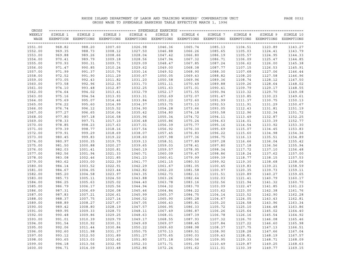#### RHODE ISLAND DEPARTMENT OF LABOR AND TRAINING WORKERS' COMPENSATION UNIT PAGE 0032 GROSS WAGE TO SPENDABLE EARNINGS TABLE EFFECTIVE MARCH 1, 1996

| GROSS   |          |                                                                                                              |          |          |          |          |          |          |          |           |
|---------|----------|--------------------------------------------------------------------------------------------------------------|----------|----------|----------|----------|----------|----------|----------|-----------|
| WEEKLY  | SINGLE 1 | SINGLE 2                                                                                                     | SINGLE 3 | SINGLE 4 | SINGLE 5 | SINGLE 6 | SINGLE 7 | SINGLE 8 | SINGLE 9 | SINGLE 10 |
| WAGE    |          | EXEMPTION EXEMPTIONS EXEMPTIONS EXEMPTIONS EXEMPTIONS EXEMPTIONS EXEMPTIONS EXEMPTIONS EXEMPTIONS EXEMPTIONS |          |          |          |          |          |          |          |           |
|         |          |                                                                                                              |          |          |          |          |          |          |          |           |
| 1551.00 | 968.82   | 988.20                                                                                                       | 1007.60  | 1026.98  | 1046.36  | 1065.74  | 1085.13  | 1104.51  | 1123.89  | 1143.27   |
| 1552.00 | 969.35   | 988.73                                                                                                       | 1008.12  | 1027.50  | 1046.88  | 1066.26  | 1085.65  | 1105.03  | 1124.41  | 1143.79   |
| 1553.00 | 969.88   | 989.26                                                                                                       | 1008.66  | 1028.04  | 1047.42  | 1066.80  | 1086.19  | 1105.57  | 1124.95  | 1144.33   |
| 1554.00 | 970.41   | 989.79                                                                                                       | 1009.18  | 1028.56  | 1047.94  | 1067.32  | 1086.71  | 1106.09  | 1125.47  | 1144.85   |
| 1555.00 | 970.93   | 990.31                                                                                                       | 1009.71  | 1029.09  | 1048.47  | 1067.85  | 1087.24  | 1106.62  | 1126.00  | 1145.38   |
| 1556.00 | 971.47   | 990.85                                                                                                       | 1010.24  | 1029.62  | 1049.00  | 1068.38  | 1087.77  | 1107.15  | 1126.53  | 1145.91   |
| 1557.00 | 971.99   | 991.37                                                                                                       | 1010.76  | 1030.14  | 1049.52  | 1068.90  | 1088.30  | 1107.68  | 1127.06  | 1146.44   |
| 1558.00 | 972.52   | 991.90                                                                                                       | 1011.29  | 1030.67  | 1050.05  | 1069.43  | 1088.82  | 1108.20  | 1127.58  | 1146.96   |
| 1559.00 | 973.05   | 992.43                                                                                                       | 1011.82  | 1031.20  | 1050.58  | 1069.96  | 1089.36  | 1108.74  | 1128.12  | 1147.50   |
| 1560.00 | 973.58   | 992.96                                                                                                       | 1012.35  | 1031.73  | 1051.11  | 1070.49  | 1089.88  | 1109.26  | 1128.64  | 1148.02   |
| 1561.00 | 974.10   | 993.48                                                                                                       | 1012.87  | 1032.25  | 1051.63  | 1071.01  | 1090.41  | 1109.79  | 1129.17  | 1148.55   |
| 1562.00 | 974.64   | 994.02                                                                                                       | 1013.41  | 1032.79  | 1052.17  | 1071.55  | 1090.94  | 1110.32  | 1129.70  | 1149.08   |
| 1563.00 | 975.16   | 994.54                                                                                                       | 1013.93  | 1033.31  | 1052.69  | 1072.07  | 1091.47  | 1110.85  | 1130.23  | 1149.61   |
| 1564.00 | 975.69   | 995.07                                                                                                       | 1014.46  | 1033.84  | 1053.22  | 1072.60  | 1091.99  | 1111.37  | 1130.75  | 1150.13   |
| 1565.00 | 976.22   | 995.60                                                                                                       | 1014.99  | 1034.37  | 1053.75  | 1073.13  | 1092.53  | 1111.91  | 1131.29  | 1150.67   |
| 1566.00 | 976.74   | 996.12                                                                                                       | 1015.52  | 1034.90  | 1054.28  | 1073.66  | 1093.05  | 1112.43  | 1131.81  | 1151.19   |
| 1567.00 | 977.27   | 996.65                                                                                                       | 1016.04  | 1035.42  | 1054.80  | 1074.18  | 1093.58  | 1112.96  | 1132.34  | 1151.72   |
| 1568.00 | 977.80   | 997.18                                                                                                       | 1016.58  | 1035.96  | 1055.34  | 1074.72  | 1094.11  | 1113.49  | 1132.87  | 1152.25   |
| 1569.00 | 978.33   | 997.71                                                                                                       | 1017.10  | 1036.48  | 1055.86  | 1075.24  | 1094.63  | 1114.01  | 1133.39  | 1152.77   |
| 1570.00 | 978.85   | 998.23                                                                                                       | 1017.63  | 1037.01  | 1056.39  | 1075.77  | 1095.16  | 1114.54  | 1133.92  | 1153.30   |
| 1571.00 | 979.39   | 998.77                                                                                                       | 1018.16  | 1037.54  | 1056.92  | 1076.30  | 1095.69  | 1115.07  | 1134.45  | 1153.83   |
| 1572.00 | 979.91   | 999.29                                                                                                       | 1018.69  | 1038.07  | 1057.45  | 1076.83  | 1096.22  | 1115.60  | 1134.98  | 1154.36   |
| 1573.00 | 980.45   | 999.83                                                                                                       | 1019.22  | 1038.60  | 1057.98  | 1077.36  | 1096.75  | 1116.13  | 1135.51  | 1154.89   |
| 1574.00 | 980.97   | 1000.35                                                                                                      | 1019.75  | 1039.13  | 1058.51  | 1077.89  | 1097.28  | 1116.66  | 1136.04  | 1155.42   |
| 1575.00 | 981.50   | 1000.88                                                                                                      | 1020.27  | 1039.65  | 1059.03  | 1078.41  | 1097.80  | 1117.18  | 1136.56  | 1155.94   |
| 1576.00 | 982.03   | 1001.41                                                                                                      | 1020.81  | 1040.19  | 1059.57  | 1078.95  | 1098.34  | 1117.72  | 1137.10  | 1156.48   |
| 1577.00 | 982.56   | 1001.94                                                                                                      | 1021.33  | 1040.71  | 1060.09  | 1079.47  | 1098.86  | 1118.24  | 1137.62  | 1157.00   |
| 1578.00 | 983.08   | 1002.46                                                                                                      | 1021.85  | 1041.23  | 1060.61  | 1079.99  | 1099.39  | 1118.77  | 1138.15  | 1157.53   |
| 1579.00 | 983.62   | 1003.00                                                                                                      | 1022.39  | 1041.77  | 1061.15  | 1080.53  | 1099.92  | 1119.30  | 1138.68  | 1158.06   |
| 1580.00 | 984.14   | 1003.52                                                                                                      | 1022.91  | 1042.29  | 1061.67  | 1081.05  | 1100.45  | 1119.83  | 1139.21  | 1158.59   |
| 1581.00 | 984.67   | 1004.05                                                                                                      | 1023.44  | 1042.82  | 1062.20  | 1081.58  | 1100.97  | 1120.35  | 1139.73  | 1159.11   |
| 1582.00 | 985.20   | 1004.58                                                                                                      | 1023.97  | 1043.35  | 1062.73  | 1082.11  | 1101.51  | 1120.89  | 1140.27  | 1159.65   |
| 1583.00 | 985.73   | 1005.11                                                                                                      | 1024.50  | 1043.88  | 1063.26  | 1082.64  | 1102.03  | 1121.41  | 1140.79  | 1160.17   |
| 1584.00 | 986.25   | 1005.63                                                                                                      | 1025.02  | 1044.40  | 1063.78  | 1083.16  | 1102.56  | 1121.94  | 1141.32  | 1160.70   |
| 1585.00 | 986.79   | 1006.17                                                                                                      | 1025.56  | 1044.94  | 1064.32  | 1083.70  | 1103.09  | 1122.47  | 1141.85  | 1161.23   |
| 1586.00 | 987.31   | 1006.69                                                                                                      | 1026.08  | 1045.46  | 1064.84  | 1084.22  | 1103.62  | 1123.00  | 1142.38  | 1161.76   |
| 1587.00 | 987.83   | 1007.21                                                                                                      | 1026.61  | 1045.99  | 1065.37  | 1084.75  | 1104.14  | 1123.52  | 1142.90  | 1162.28   |
| 1588.00 | 988.37   | 1007.75                                                                                                      | 1027.14  | 1046.52  | 1065.90  | 1085.28  | 1104.67  | 1124.05  | 1143.43  | 1162.81   |
| 1589.00 | 988.89   | 1008.27                                                                                                      | 1027.67  | 1047.05  | 1066.43  | 1085.81  | 1105.20  | 1124.58  | 1143.96  | 1163.34   |
| 1590.00 | 989.42   | 1008.80                                                                                                      | 1028.19  | 1047.57  | 1066.95  | 1086.33  | 1105.72  | 1125.10  | 1144.48  | 1163.86   |
| 1591.00 | 989.95   | 1009.33                                                                                                      | 1028.73  | 1048.11  | 1067.49  | 1086.87  | 1106.26  | 1125.64  | 1145.02  | 1164.40   |
| 1592.00 | 990.48   | 1009.86                                                                                                      | 1029.25  | 1048.63  | 1068.01  | 1087.39  | 1106.78  | 1126.16  | 1145.54  | 1164.92   |
| 1593.00 | 991.01   | 1010.39                                                                                                      | 1029.79  | 1049.17  | 1068.55  | 1087.93  | 1107.32  | 1126.70  | 1146.08  | 1165.46   |
| 1594.00 | 991.54   | 1010.92                                                                                                      | 1030.31  | 1049.69  | 1069.07  | 1088.45  | 1107.84  | 1127.22  | 1146.60  | 1165.98   |
| 1595.00 | 992.06   | 1011.44                                                                                                      | 1030.84  | 1050.22  | 1069.60  | 1088.98  | 1108.37  | 1127.75  | 1147.13  | 1166.51   |
| 1596.00 | 992.60   | 1011.98                                                                                                      | 1031.37  | 1050.75  | 1070.13  | 1089.51  | 1108.90  | 1128.28  | 1147.66  | 1167.04   |
| 1597.00 | 993.12   | 1012.50                                                                                                      | 1031.89  | 1051.27  | 1070.65  | 1090.03  | 1109.43  | 1128.81  | 1148.19  | 1167.57   |
| 1598.00 | 993.65   | 1013.03                                                                                                      | 1032.42  | 1051.80  | 1071.18  | 1090.56  | 1109.95  | 1129.33  | 1148.71  | 1168.09   |
| 1599.00 | 994.18   | 1013.56                                                                                                      | 1032.95  | 1052.33  | 1071.71  | 1091.09  | 1110.49  | 1129.87  | 1149.25  | 1168.63   |
| 1600.00 | 994.71   | 1014.09                                                                                                      | 1033.48  | 1052.86  | 1072.24  | 1091.62  | 1111.01  | 1130.39  | 1149.77  | 1169.15   |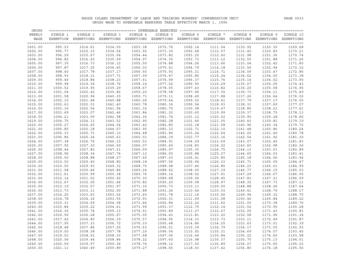| GROSS   |          |                                                                                                              |          |          |          |          |          |          |          |           |
|---------|----------|--------------------------------------------------------------------------------------------------------------|----------|----------|----------|----------|----------|----------|----------|-----------|
| WEEKLY  | SINGLE 1 | SINGLE 2                                                                                                     | SINGLE 3 | SINGLE 4 | SINGLE 5 | SINGLE 6 | SINGLE 7 | SINGLE 8 | SINGLE 9 | SINGLE 10 |
| WAGE    |          | EXEMPTION EXEMPTIONS EXEMPTIONS EXEMPTIONS EXEMPTIONS EXEMPTIONS EXEMPTIONS EXEMPTIONS EXEMPTIONS EXEMPTIONS |          |          |          |          |          |          |          |           |
|         |          |                                                                                                              |          |          |          |          |          |          |          |           |
| 1601.00 | 995.23   | 1014.61                                                                                                      | 1034.00  | 1053.38  | 1072.76  | 1092.14  | 1111.54  | 1130.92  | 1150.30  | 1169.68   |
| 1602.00 | 995.77   | 1015.15                                                                                                      | 1034.54  | 1053.92  | 1073.30  | 1092.68  | 1112.07  | 1131.45  | 1150.83  | 1170.21   |
| 1603.00 | 996.29   | 1015.67                                                                                                      | 1035.06  | 1054.44  | 1073.82  | 1093.20  | 1112.60  | 1131.98  | 1151.36  | 1170.74   |
| 1604.00 | 996.82   | 1016.20                                                                                                      | 1035.59  | 1054.97  | 1074.35  | 1093.73  | 1113.12  | 1132.50  | 1151.88  | 1171.26   |
| 1605.00 | 997.35   | 1016.73                                                                                                      | 1036.12  | 1055.50  | 1074.88  | 1094.26  | 1113.66  | 1133.04  | 1152.42  | 1171.80   |
| 1606.00 | 997.87   | 1017.25                                                                                                      | 1036.65  | 1056.03  | 1075.41  | 1094.79  | 1114.18  | 1133.56  | 1152.94  | 1172.32   |
| 1607.00 | 998.40   | 1017.78                                                                                                      | 1037.17  | 1056.55  | 1075.93  | 1095.31  | 1114.71  | 1134.09  | 1153.47  | 1172.85   |
| 1608.00 | 998.93   | 1018.31                                                                                                      | 1037.71  | 1057.09  | 1076.47  | 1095.85  | 1115.24  | 1134.62  | 1154.00  | 1173.38   |
| 1609.00 | 999.46   | 1018.84                                                                                                      | 1038.23  | 1057.61  | 1076.99  | 1096.37  | 1115.76  | 1135.14  | 1154.52  | 1173.90   |
| 1610.00 | 999.98   | 1019.36                                                                                                      | 1038.76  | 1058.14  | 1077.52  | 1096.90  | 1116.29  | 1135.67  | 1155.05  | 1174.43   |
| 1611.00 | 1000.52  | 1019.90                                                                                                      | 1039.29  | 1058.67  | 1078.05  | 1097.43  | 1116.82  | 1136.20  | 1155.58  | 1174.96   |
| 1612.00 | 1001.04  | 1020.42                                                                                                      | 1039.82  | 1059.20  | 1078.58  | 1097.96  | 1117.35  | 1136.73  | 1156.11  | 1175.49   |
| 1613.00 |          | 1020.96                                                                                                      | 1040.35  | 1059.73  | 1079.11  | 1098.49  | 1117.88  | 1137.26  |          | 1176.02   |
|         | 1001.58  |                                                                                                              |          |          |          |          |          |          | 1156.64  |           |
| 1614.00 | 1002.10  | 1021.48                                                                                                      | 1040.88  | 1060.26  | 1079.64  | 1099.02  | 1118.41  | 1137.79  | 1157.17  | 1176.55   |
| 1615.00 | 1002.63  | 1022.01                                                                                                      | 1041.40  | 1060.78  | 1080.16  | 1099.54  | 1118.93  | 1138.31  | 1157.69  | 1177.07   |
| 1616.00 | 1003.16  | 1022.54                                                                                                      | 1041.94  | 1061.32  | 1080.70  | 1100.08  | 1119.47  | 1138.85  | 1158.23  | 1177.61   |
| 1617.00 | 1003.69  | 1023.07                                                                                                      | 1042.46  | 1061.84  | 1081.22  | 1100.60  | 1119.99  | 1139.37  | 1158.75  | 1178.13   |
| 1618.00 | 1004.21  | 1023.59                                                                                                      | 1042.98  | 1062.36  | 1081.74  | 1101.12  | 1120.52  | 1139.90  | 1159.28  | 1178.66   |
| 1619.00 | 1004.75  | 1024.13                                                                                                      | 1043.52  | 1062.90  | 1082.28  | 1101.66  | 1121.05  | 1140.43  | 1159.81  | 1179.19   |
| 1620.00 | 1005.27  | 1024.65                                                                                                      | 1044.04  | 1063.42  | 1082.80  | 1102.18  | 1121.58  | 1140.96  | 1160.34  | 1179.72   |
| 1621.00 | 1005.80  | 1025.18                                                                                                      | 1044.57  | 1063.95  | 1083.33  | 1102.71  | 1122.10  | 1141.48  | 1160.86  | 1180.24   |
| 1622.00 | 1006.33  | 1025.71                                                                                                      | 1045.10  | 1064.48  | 1083.86  | 1103.24  | 1122.64  | 1142.02  | 1161.40  | 1180.78   |
| 1623.00 | 1006.86  | 1026.24                                                                                                      | 1045.63  | 1065.01  | 1084.39  | 1103.77  | 1123.16  | 1142.54  | 1161.92  | 1181.30   |
| 1624.00 | 1007.38  | 1026.76                                                                                                      | 1046.15  | 1065.53  | 1084.91  | 1104.29  | 1123.69  | 1143.07  | 1162.45  | 1181.83   |
| 1625.00 | 1007.92  | 1027.30                                                                                                      | 1046.69  | 1066.07  | 1085.45  | 1104.83  | 1124.22  | 1143.60  | 1162.98  | 1182.36   |
| 1626.00 | 1008.44  | 1027.82                                                                                                      | 1047.21  | 1066.59  | 1085.97  | 1105.35  | 1124.75  | 1144.13  | 1163.51  | 1182.89   |
| 1627.00 | 1008.96  | 1028.34                                                                                                      | 1047.74  | 1067.12  | 1086.50  | 1105.88  | 1125.27  | 1144.65  | 1164.03  | 1183.41   |
| 1628.00 | 1009.50  | 1028.88                                                                                                      | 1048.27  | 1067.65  | 1087.03  | 1106.41  | 1125.80  | 1145.18  | 1164.56  | 1183.94   |
| 1629.00 | 1010.02  | 1029.40                                                                                                      | 1048.80  | 1068.18  | 1087.56  | 1106.94  | 1126.33  | 1145.71  | 1165.09  | 1184.47   |
| 1630.00 | 1010.55  | 1029.93                                                                                                      | 1049.32  | 1068.70  | 1088.08  | 1107.46  | 1126.85  | 1146.23  | 1165.61  | 1184.99   |
| 1631.00 | 1011.08  | 1030.46                                                                                                      | 1049.86  | 1069.24  | 1088.62  | 1108.00  | 1127.39  | 1146.77  | 1166.15  | 1185.53   |
| 1632.00 | 1011.61  | 1030.99                                                                                                      | 1050.38  | 1069.76  | 1089.14  | 1108.52  | 1127.91  | 1147.29  | 1166.67  | 1186.05   |
| 1633.00 | 1012.14  | 1031.52                                                                                                      | 1050.92  | 1070.30  | 1089.68  | 1109.06  | 1128.45  | 1147.83  | 1167.21  | 1186.59   |
|         |          | 1032.05                                                                                                      |          | 1070.82  | 1090.20  | 1109.58  |          |          | 1167.73  | 1187.11   |
| 1634.00 | 1012.67  |                                                                                                              | 1051.44  |          |          |          | 1128.97  | 1148.35  |          |           |
| 1635.00 | 1013.19  | 1032.57                                                                                                      | 1051.97  | 1071.35  | 1090.73  | 1110.11  | 1129.50  | 1148.88  | 1168.26  | 1187.64   |
| 1636.00 | 1013.73  | 1033.11                                                                                                      | 1052.50  | 1071.88  | 1091.26  | 1110.64  | 1130.03  | 1149.41  | 1168.79  | 1188.17   |
| 1637.00 | 1014.25  | 1033.63                                                                                                      | 1053.02  | 1072.40  | 1091.78  | 1111.16  | 1130.56  | 1149.94  | 1169.32  | 1188.70   |
| 1638.00 | 1014.78  | 1034.16                                                                                                      | 1053.55  | 1072.93  | 1092.31  | 1111.69  | 1131.08  | 1150.46  | 1169.84  | 1189.22   |
| 1639.00 | 1015.31  | 1034.69                                                                                                      | 1054.08  | 1073.46  | 1092.84  | 1112.22  | 1131.62  | 1151.00  | 1170.38  | 1189.76   |
| 1640.00 | 1015.84  | 1035.22                                                                                                      | 1054.61  | 1073.99  | 1093.37  | 1112.75  | 1132.14  | 1151.52  | 1170.90  | 1190.28   |
| 1641.00 | 1016.36  | 1035.74                                                                                                      | 1055.13  | 1074.51  | 1093.89  | 1113.27  | 1132.67  | 1152.05  | 1171.43  | 1190.81   |
| 1642.00 | 1016.90  | 1036.28                                                                                                      | 1055.67  | 1075.05  | 1094.43  | 1113.81  | 1133.20  | 1152.58  | 1171.96  | 1191.34   |
| 1643.00 | 1017.42  | 1036.80                                                                                                      | 1056.19  | 1075.57  | 1094.95  | 1114.33  | 1133.73  | 1153.11  | 1172.49  | 1191.87   |
| 1644.00 | 1017.95  | 1037.33                                                                                                      | 1056.72  | 1076.10  | 1095.48  | 1114.86  | 1134.25  | 1153.63  | 1173.01  | 1192.39   |
| 1645.00 | 1018.48  | 1037.86                                                                                                      | 1057.25  | 1076.63  | 1096.01  | 1115.39  | 1134.79  | 1154.17  | 1173.55  | 1192.93   |
| 1646.00 | 1019.00  | 1038.38                                                                                                      | 1057.78  | 1077.16  | 1096.54  | 1115.92  | 1135.31  | 1154.69  | 1174.07  | 1193.45   |
| 1647.00 | 1019.53  | 1038.91                                                                                                      | 1058.30  | 1077.68  | 1097.06  | 1116.44  | 1135.84  | 1155.22  | 1174.60  | 1193.98   |
| 1648.00 | 1020.06  | 1039.44                                                                                                      | 1058.84  | 1078.22  | 1097.60  | 1116.98  | 1136.37  | 1155.75  | 1175.13  | 1194.51   |
| 1649.00 | 1020.59  | 1039.97                                                                                                      | 1059.36  | 1078.74  | 1098.12  | 1117.50  | 1136.89  | 1156.27  | 1175.65  | 1195.03   |
| 1650.00 | 1021.11  | 1040.49                                                                                                      | 1059.89  | 1079.27  | 1098.65  | 1118.03  | 1137.42  | 1156.80  | 1176.18  | 1195.56   |
|         |          |                                                                                                              |          |          |          |          |          |          |          |           |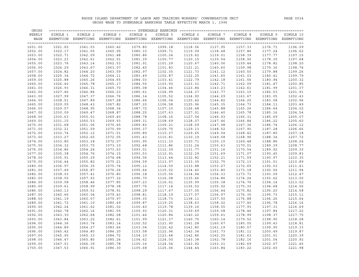### RHODE ISLAND DEPARTMENT OF LABOR AND TRAINING WORKERS' COMPENSATION UNIT PAGE 0034 GROSS WAGE TO SPENDABLE EARNINGS TABLE EFFECTIVE MARCH 1, 1996

| GROSS   |          |                                                                                                              |          |          |          |          |          |          |          |           |
|---------|----------|--------------------------------------------------------------------------------------------------------------|----------|----------|----------|----------|----------|----------|----------|-----------|
| WEEKLY  | SINGLE 1 | SINGLE 2                                                                                                     | SINGLE 3 | SINGLE 4 | SINGLE 5 | SINGLE 6 | SINGLE 7 | SINGLE 8 | SINGLE 9 | SINGLE 10 |
| WAGE    |          | EXEMPTION EXEMPTIONS EXEMPTIONS EXEMPTIONS EXEMPTIONS EXEMPTIONS EXEMPTIONS EXEMPTIONS EXEMPTIONS EXEMPTIONS |          |          |          |          |          |          |          |           |
|         |          |                                                                                                              |          |          |          |          |          |          |          |           |
| 1651.00 | 1021.65  | 1041.03                                                                                                      | 1060.42  | 1079.80  | 1099.18  | 1118.56  | 1137.95  | 1157.33  | 1176.71  | 1196.09   |
| 1652.00 | 1022.17  | 1041.55                                                                                                      | 1060.95  | 1080.33  | 1099.71  | 1119.09  | 1138.48  | 1157.86  | 1177.24  | 1196.62   |
| 1653.00 | 1022.71  | 1042.09                                                                                                      | 1061.48  | 1080.86  | 1100.24  | 1119.62  | 1139.01  | 1158.39  | 1177.77  | 1197.15   |
| 1654.00 | 1023.23  | 1042.61                                                                                                      | 1062.01  | 1081.39  | 1100.77  | 1120.15  | 1139.54  | 1158.92  | 1178.30  | 1197.68   |
| 1655.00 | 1023.76  | 1043.14                                                                                                      | 1062.53  | 1081.91  | 1101.29  | 1120.67  | 1140.06  | 1159.44  | 1178.82  | 1198.20   |
| 1656.00 | 1024.29  | 1043.67                                                                                                      | 1063.07  | 1082.45  | 1101.83  | 1121.21  | 1140.60  | 1159.98  | 1179.36  | 1198.74   |
| 1657.00 | 1024.82  | 1044.20                                                                                                      | 1063.59  | 1082.97  | 1102.35  | 1121.73  | 1141.12  | 1160.50  | 1179.88  | 1199.26   |
| 1658.00 | 1025.34  | 1044.72                                                                                                      | 1064.11  | 1083.49  | 1102.87  | 1122.25  | 1141.65  | 1161.03  | 1180.41  | 1199.79   |
| 1659.00 | 1025.88  | 1045.26                                                                                                      | 1064.65  | 1084.03  | 1103.41  | 1122.79  | 1142.18  | 1161.56  | 1180.94  | 1200.32   |
| 1660.00 | 1026.40  | 1045.78                                                                                                      | 1065.17  | 1084.55  | 1103.93  | 1123.31  | 1142.71  | 1162.09  | 1181.47  | 1200.85   |
| 1661.00 | 1026.93  | 1046.31                                                                                                      | 1065.70  | 1085.08  | 1104.46  | 1123.84  | 1143.23  | 1162.61  | 1181.99  | 1201.37   |
| 1662.00 | 1027.46  | 1046.84                                                                                                      | 1066.23  | 1085.61  | 1104.99  | 1124.37  | 1143.77  | 1163.15  | 1182.53  | 1201.91   |
| 1663.00 | 1027.99  | 1047.37                                                                                                      | 1066.76  | 1086.14  | 1105.52  | 1124.90  | 1144.29  | 1163.67  | 1183.05  | 1202.43   |
| 1664.00 | 1028.51  | 1047.89                                                                                                      | 1067.28  | 1086.66  | 1106.04  | 1125.42  | 1144.82  | 1164.20  | 1183.58  | 1202.96   |
| 1665.00 | 1029.05  | 1048.43                                                                                                      | 1067.82  | 1087.20  | 1106.58  | 1125.96  | 1145.35  | 1164.73  | 1184.11  | 1203.49   |
| 1666.00 | 1029.57  | 1048.95                                                                                                      | 1068.34  | 1087.72  | 1107.10  | 1126.48  | 1145.88  | 1165.26  | 1184.64  | 1204.02   |
| 1667.00 | 1030.09  | 1049.47                                                                                                      | 1068.87  | 1088.25  | 1107.63  | 1127.01  | 1146.40  | 1165.78  | 1185.16  | 1204.54   |
| 1668.00 | 1030.63  | 1050.01                                                                                                      | 1069.40  | 1088.78  | 1108.16  | 1127.54  | 1146.93  | 1166.31  | 1185.69  | 1205.07   |
| 1669.00 | 1031.15  | 1050.53                                                                                                      | 1069.93  | 1089.31  | 1108.69  | 1128.07  | 1147.46  | 1166.84  | 1186.22  | 1205.60   |
| 1670.00 | 1031.68  | 1051.06                                                                                                      | 1070.45  | 1089.83  | 1109.21  | 1128.59  | 1147.98  | 1167.36  | 1186.74  | 1206.12   |
| 1671.00 | 1032.21  | 1051.59                                                                                                      | 1070.99  | 1090.37  | 1109.75  | 1129.13  | 1148.52  | 1167.90  | 1187.28  | 1206.66   |
| 1672.00 | 1032.74  | 1052.12                                                                                                      | 1071.51  | 1090.89  | 1110.27  | 1129.65  | 1149.04  | 1168.42  | 1187.80  | 1207.18   |
| 1673.00 | 1033.27  | 1052.65                                                                                                      | 1072.05  | 1091.43  | 1110.81  | 1130.19  | 1149.58  | 1168.96  | 1188.34  | 1207.72   |
| 1674.00 | 1033.80  | 1053.18                                                                                                      | 1072.57  | 1091.95  | 1111.33  | 1130.71  | 1150.10  | 1169.48  | 1188.86  | 1208.24   |
| 1675.00 | 1034.32  | 1053.70                                                                                                      | 1073.10  | 1092.48  | 1111.86  | 1131.24  | 1150.63  | 1170.01  | 1189.39  | 1208.77   |
| 1676.00 | 1034.86  | 1054.24                                                                                                      | 1073.63  | 1093.01  | 1112.39  | 1131.77  | 1151.16  | 1170.54  | 1189.92  | 1209.30   |
| 1677.00 | 1035.38  | 1054.76                                                                                                      | 1074.15  | 1093.53  | 1112.91  | 1132.29  | 1151.69  | 1171.07  | 1190.45  | 1209.83   |
| 1678.00 | 1035.91  | 1055.29                                                                                                      | 1074.68  | 1094.06  | 1113.44  | 1132.82  | 1152.21  | 1171.59  | 1190.97  | 1210.35   |
| 1679.00 | 1036.44  | 1055.82                                                                                                      | 1075.21  | 1094.59  | 1113.97  | 1133.35  | 1152.75  | 1172.13  | 1191.51  | 1210.89   |
| 1680.00 | 1036.97  | 1056.35                                                                                                      | 1075.74  | 1095.12  | 1114.50  | 1133.88  | 1153.27  | 1172.65  | 1192.03  | 1211.41   |
| 1681.00 | 1037.49  | 1056.87                                                                                                      | 1076.26  | 1095.64  | 1115.02  | 1134.40  | 1153.80  | 1173.18  | 1192.56  | 1211.94   |
| 1682.00 | 1038.03  | 1057.41                                                                                                      | 1076.80  | 1096.18  | 1115.56  | 1134.94  | 1154.33  | 1173.71  | 1193.09  | 1212.47   |
| 1683.00 | 1038.55  | 1057.93                                                                                                      | 1077.32  | 1096.70  | 1116.08  | 1135.46  | 1154.86  | 1174.24  | 1193.62  | 1213.00   |
| 1684.00 | 1039.08  | 1058.46                                                                                                      | 1077.85  | 1097.23  | 1116.61  | 1135.99  | 1155.38  | 1174.76  | 1194.14  | 1213.52   |
| 1685.00 | 1039.61  | 1058.99                                                                                                      | 1078.38  | 1097.76  | 1117.14  | 1136.52  | 1155.92  | 1175.30  | 1194.68  | 1214.06   |
| 1686.00 | 1040.13  | 1059.51                                                                                                      | 1078.91  | 1098.29  | 1117.67  | 1137.05  | 1156.44  | 1175.82  | 1195.20  | 1214.58   |
| 1687.00 | 1040.66  | 1060.04                                                                                                      | 1079.43  | 1098.81  | 1118.19  | 1137.57  | 1156.97  | 1176.35  | 1195.73  | 1215.11   |
| 1688.00 | 1041.19  | 1060.57                                                                                                      | 1079.97  | 1099.35  | 1118.73  | 1138.11  | 1157.50  | 1176.88  | 1196.26  | 1215.64   |
| 1689.00 | 1041.72  | 1061.10                                                                                                      | 1080.49  | 1099.87  | 1119.25  | 1138.63  | 1158.02  | 1177.40  | 1196.78  | 1216.16   |
| 1690.00 | 1042.24  | 1061.62                                                                                                      | 1081.02  | 1100.40  | 1119.78  | 1139.16  | 1158.55  | 1177.93  | 1197.31  | 1216.69   |
| 1691.00 | 1042.78  | 1062.16                                                                                                      | 1081.55  | 1100.93  | 1120.31  | 1139.69  | 1159.08  | 1178.46  | 1197.84  | 1217.22   |
| 1692.00 | 1043.30  | 1062.68                                                                                                      | 1082.08  | 1101.46  | 1120.84  | 1140.22  | 1159.61  | 1178.99  | 1198.37  | 1217.75   |
| 1693.00 | 1043.84  | 1063.22                                                                                                      | 1082.61  | 1101.99  | 1121.37  | 1140.75  | 1160.14  | 1179.52  | 1198.90  | 1218.28   |
| 1694.00 | 1044.36  | 1063.74                                                                                                      | 1083.14  | 1102.52  | 1121.90  | 1141.28  | 1160.67  | 1180.05  | 1199.43  | 1218.81   |
| 1695.00 | 1044.89  | 1064.27                                                                                                      | 1083.66  | 1103.04  | 1122.42  | 1141.80  | 1161.19  | 1180.57  | 1199.95  | 1219.33   |
| 1696.00 | 1045.42  | 1064.80                                                                                                      | 1084.20  | 1103.58  | 1122.96  | 1142.34  | 1161.73  | 1181.11  | 1200.49  | 1219.87   |
| 1697.00 | 1045.95  | 1065.33                                                                                                      | 1084.72  | 1104.10  | 1123.48  | 1142.86  | 1162.25  | 1181.63  | 1201.01  | 1220.39   |
| 1698.00 | 1046.47  | 1065.85                                                                                                      | 1085.24  | 1104.62  | 1124.00  | 1143.38  | 1162.78  | 1182.16  | 1201.54  | 1220.92   |
| 1699.00 | 1047.01  | 1066.39                                                                                                      | 1085.78  | 1105.16  | 1124.54  | 1143.92  | 1163.31  | 1182.69  | 1202.07  | 1221.45   |
| 1700.00 | 1047.53  | 1066.91                                                                                                      | 1086.30  | 1105.68  | 1125.06  | 1144.44  | 1163.84  | 1183.22  | 1202.60  | 1221.98   |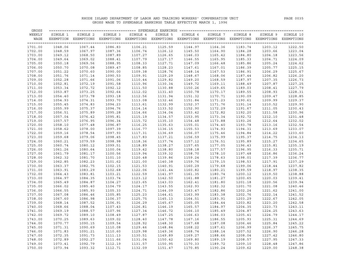### RHODE ISLAND DEPARTMENT OF LABOR AND TRAINING WORKERS' COMPENSATION UNIT PAGE 0035 GROSS WAGE TO SPENDABLE EARNINGS TABLE EFFECTIVE MARCH 1, 1996

| GROSS   |          |                                                                                                              |          |          |          |          |          |          |          |           |
|---------|----------|--------------------------------------------------------------------------------------------------------------|----------|----------|----------|----------|----------|----------|----------|-----------|
| WEEKLY  | SINGLE 1 | SINGLE 2                                                                                                     | SINGLE 3 | SINGLE 4 | SINGLE 5 | SINGLE 6 | SINGLE 7 | SINGLE 8 | SINGLE 9 | SINGLE 10 |
| WAGE    |          | EXEMPTION EXEMPTIONS EXEMPTIONS EXEMPTIONS EXEMPTIONS EXEMPTIONS EXEMPTIONS EXEMPTIONS EXEMPTIONS EXEMPTIONS |          |          |          |          |          |          |          |           |
|         |          |                                                                                                              |          |          |          |          |          |          |          |           |
| 1701.00 | 1048.06  | 1067.44                                                                                                      | 1086.83  | 1106.21  | 1125.59  | 1144.97  | 1164.36  | 1183.74  | 1203.12  | 1222.50   |
| 1702.00 | 1048.59  | 1067.97                                                                                                      | 1087.36  | 1106.74  | 1126.12  | 1145.50  | 1164.90  | 1184.28  | 1203.66  | 1223.04   |
| 1703.00 | 1049.12  | 1068.50                                                                                                      | 1087.89  | 1107.27  | 1126.65  | 1146.03  | 1165.42  | 1184.80  | 1204.18  | 1223.56   |
| 1704.00 | 1049.64  | 1069.02                                                                                                      | 1088.41  | 1107.79  | 1127.17  | 1146.55  | 1165.95  | 1185.33  | 1204.71  | 1224.09   |
| 1705.00 | 1050.18  | 1069.56                                                                                                      | 1088.95  | 1108.33  | 1127.71  | 1147.09  | 1166.48  | 1185.86  | 1205.24  | 1224.62   |
| 1706.00 | 1050.70  | 1070.08                                                                                                      | 1089.47  | 1108.85  | 1128.23  | 1147.61  | 1167.01  | 1186.39  | 1205.77  | 1225.15   |
| 1707.00 | 1051.22  | 1070.60                                                                                                      | 1090.00  | 1109.38  | 1128.76  | 1148.14  | 1167.53  | 1186.91  | 1206.29  | 1225.67   |
| 1708.00 | 1051.76  | 1071.14                                                                                                      | 1090.53  | 1109.91  | 1129.29  | 1148.67  | 1168.06  | 1187.44  | 1206.82  | 1226.20   |
| 1709.00 | 1052.28  | 1071.66                                                                                                      | 1091.06  | 1110.44  | 1129.82  | 1149.20  | 1168.59  | 1187.97  | 1207.35  | 1226.73   |
| 1710.00 | 1052.81  | 1072.19                                                                                                      | 1091.58  | 1110.96  | 1130.34  | 1149.72  | 1169.11  | 1188.49  | 1207.87  | 1227.25   |
| 1711.00 | 1053.34  | 1072.72                                                                                                      | 1092.12  | 1111.50  | 1130.88  | 1150.26  | 1169.65  | 1189.03  | 1208.41  | 1227.79   |
| 1712.00 | 1053.87  | 1073.25                                                                                                      | 1092.64  | 1112.02  | 1131.40  | 1150.78  | 1170.17  | 1189.55  | 1208.93  | 1228.31   |
| 1713.00 | 1054.40  | 1073.78                                                                                                      | 1093.18  | 1112.56  | 1131.94  | 1151.32  | 1170.71  | 1190.09  | 1209.47  | 1228.85   |
| 1714.00 | 1054.93  | 1074.31                                                                                                      | 1093.70  | 1113.08  | 1132.46  | 1151.84  | 1171.23  | 1190.61  | 1209.99  | 1229.37   |
| 1715.00 | 1055.45  | 1074.83                                                                                                      | 1094.23  | 1113.61  | 1132.99  | 1152.37  | 1171.76  | 1191.14  | 1210.52  | 1229.90   |
| 1716.00 | 1055.99  | 1075.37                                                                                                      | 1094.76  | 1114.14  | 1133.52  | 1152.90  | 1172.29  | 1191.67  | 1211.05  | 1230.43   |
| 1717.00 | 1056.51  | 1075.89                                                                                                      | 1095.28  | 1114.66  | 1134.04  | 1153.42  | 1172.82  | 1192.20  | 1211.58  | 1230.96   |
| 1718.00 | 1057.04  | 1076.42                                                                                                      | 1095.81  | 1115.19  | 1134.57  | 1153.95  | 1173.34  | 1192.72  | 1212.10  | 1231.48   |
| 1719.00 | 1057.57  | 1076.95                                                                                                      | 1096.34  | 1115.72  | 1135.10  | 1154.48  | 1173.88  | 1193.26  | 1212.64  | 1232.02   |
| 1720.00 | 1058.10  | 1077.48                                                                                                      | 1096.87  | 1116.25  | 1135.63  | 1155.01  | 1174.40  | 1193.78  | 1213.16  | 1232.54   |
| 1721.00 | 1058.62  | 1078.00                                                                                                      | 1097.39  | 1116.77  | 1136.15  | 1155.53  | 1174.93  | 1194.31  | 1213.69  | 1233.07   |
| 1722.00 | 1059.16  | 1078.54                                                                                                      | 1097.93  | 1117.31  | 1136.69  | 1156.07  | 1175.46  | 1194.84  | 1214.22  | 1233.60   |
| 1723.00 | 1059.68  | 1079.06                                                                                                      | 1098.45  | 1117.83  | 1137.21  | 1156.59  | 1175.99  | 1195.37  | 1214.75  | 1234.13   |
| 1724.00 | 1060.21  | 1079.59                                                                                                      | 1098.98  | 1118.36  | 1137.74  | 1157.12  | 1176.51  | 1195.89  | 1215.27  | 1234.65   |
| 1725.00 | 1060.74  | 1080.12                                                                                                      | 1099.51  | 1118.89  | 1138.27  | 1157.65  | 1177.05  | 1196.43  | 1215.81  | 1235.19   |
| 1726.00 | 1061.26  | 1080.64                                                                                                      | 1100.04  | 1119.42  | 1138.80  | 1158.18  | 1177.57  | 1196.95  | 1216.33  | 1235.71   |
| 1727.00 | 1061.79  | 1081.17                                                                                                      | 1100.56  | 1119.94  | 1139.32  | 1158.70  | 1178.10  | 1197.48  | 1216.86  | 1236.24   |
| 1728.00 | 1062.32  | 1081.70                                                                                                      | 1101.10  | 1120.48  | 1139.86  | 1159.24  | 1178.63  | 1198.01  | 1217.39  | 1236.77   |
| 1729.00 | 1062.85  | 1082.23                                                                                                      | 1101.62  | 1121.00  | 1140.38  | 1159.76  | 1179.15  | 1198.53  | 1217.91  | 1237.29   |
| 1730.00 | 1063.37  | 1082.75                                                                                                      | 1102.15  | 1121.53  | 1140.91  | 1160.29  | 1179.68  | 1199.06  | 1218.44  | 1237.82   |
| 1731.00 | 1063.91  | 1083.29                                                                                                      | 1102.68  | 1122.06  | 1141.44  | 1160.82  | 1180.21  | 1199.59  | 1218.97  | 1238.35   |
| 1732.00 | 1064.43  | 1083.81                                                                                                      | 1103.21  | 1122.59  | 1141.97  | 1161.35  | 1180.74  | 1200.12  | 1219.50  | 1238.88   |
| 1733.00 | 1064.97  | 1084.35                                                                                                      | 1103.74  | 1123.12  | 1142.50  | 1161.88  | 1181.27  | 1200.65  | 1220.03  | 1239.41   |
| 1734.00 | 1065.49  | 1084.87                                                                                                      | 1104.27  | 1123.65  | 1143.03  | 1162.41  | 1181.80  | 1201.18  | 1220.56  | 1239.94   |
| 1735.00 | 1066.02  | 1085.40                                                                                                      | 1104.79  | 1124.17  | 1143.55  | 1162.93  | 1182.32  | 1201.70  | 1221.08  | 1240.46   |
| 1736.00 | 1066.55  | 1085.93                                                                                                      | 1105.33  | 1124.71  | 1144.09  | 1163.47  | 1182.86  | 1202.24  | 1221.62  | 1241.00   |
| 1737.00 | 1067.08  | 1086.46                                                                                                      | 1105.85  | 1125.23  | 1144.61  | 1163.99  | 1183.38  | 1202.76  | 1222.14  | 1241.52   |
| 1738.00 | 1067.60  | 1086.98                                                                                                      | 1106.37  | 1125.75  | 1145.13  | 1164.51  | 1183.91  | 1203.29  | 1222.67  | 1242.05   |
| 1739.00 | 1068.14  | 1087.52                                                                                                      | 1106.91  | 1126.29  | 1145.67  | 1165.05  | 1184.44  | 1203.82  | 1223.20  | 1242.58   |
| 1740.00 | 1068.66  | 1088.04                                                                                                      | 1107.43  | 1126.81  | 1146.19  | 1165.57  | 1184.97  | 1204.35  | 1223.73  | 1243.11   |
| 1741.00 | 1069.19  | 1088.57                                                                                                      | 1107.96  | 1127.34  | 1146.72  | 1166.10  | 1185.49  | 1204.87  | 1224.25  | 1243.63   |
| 1742.00 | 1069.72  | 1089.10                                                                                                      | 1108.49  | 1127.87  | 1147.25  | 1166.63  | 1186.03  | 1205.41  | 1224.79  | 1244.17   |
| 1743.00 | 1070.25  | 1089.63                                                                                                      | 1109.02  | 1128.40  | 1147.78  | 1167.16  | 1186.55  | 1205.93  | 1225.31  | 1244.69   |
| 1744.00 | 1070.77  | 1090.15                                                                                                      | 1109.54  | 1128.92  | 1148.30  | 1167.68  | 1187.08  | 1206.46  | 1225.84  | 1245.22   |
| 1745.00 | 1071.31  | 1090.69                                                                                                      | 1110.08  | 1129.46  | 1148.84  | 1168.22  | 1187.61  | 1206.99  | 1226.37  | 1245.75   |
| 1746.00 | 1071.83  | 1091.21                                                                                                      | 1110.60  | 1129.98  | 1149.36  | 1168.74  | 1188.14  | 1207.52  | 1226.90  | 1246.28   |
| 1747.00 | 1072.35  | 1091.73                                                                                                      | 1111.13  | 1130.51  | 1149.89  | 1169.27  | 1188.66  | 1208.04  | 1227.42  | 1246.80   |
| 1748.00 | 1072.89  | 1092.27                                                                                                      | 1111.66  | 1131.04  | 1150.42  | 1169.80  | 1189.19  | 1208.57  | 1227.95  | 1247.33   |
| 1749.00 | 1073.41  | 1092.79                                                                                                      | 1112.19  | 1131.57  | 1150.95  | 1170.33  | 1189.72  | 1209.10  | 1228.48  | 1247.86   |
| 1750.00 | 1073.94  | 1093.32                                                                                                      | 1112.71  | 1132.09  | 1151.47  | 1170.85  | 1190.24  | 1209.62  | 1229.00  | 1248.38   |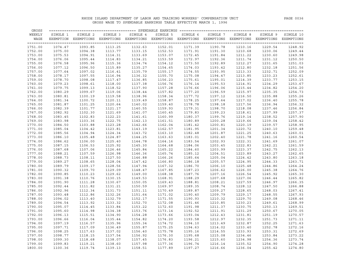| GROSS   |          |                                                                                                              |          |          |          |          |          |          |          |           |
|---------|----------|--------------------------------------------------------------------------------------------------------------|----------|----------|----------|----------|----------|----------|----------|-----------|
| WEEKLY  | SINGLE 1 | SINGLE 2                                                                                                     | SINGLE 3 | SINGLE 4 | SINGLE 5 | SINGLE 6 | SINGLE 7 | SINGLE 8 | SINGLE 9 | SINGLE 10 |
| WAGE    |          | EXEMPTION EXEMPTIONS EXEMPTIONS EXEMPTIONS EXEMPTIONS EXEMPTIONS EXEMPTIONS EXEMPTIONS EXEMPTIONS EXEMPTIONS |          |          |          |          |          |          |          |           |
|         |          |                                                                                                              |          |          |          |          |          |          |          |           |
| 1751.00 | 1074.47  | 1093.85                                                                                                      | 1113.25  | 1132.63  | 1152.01  | 1171.39  | 1190.78  | 1210.16  | 1229.54  | 1248.92   |
| 1752.00 | 1075.00  | 1094.38                                                                                                      | 1113.77  | 1133.15  | 1152.53  | 1171.91  | 1191.30  | 1210.68  | 1230.06  | 1249.44   |
| 1753.00 | 1075.53  | 1094.91                                                                                                      | 1114.31  | 1133.69  | 1153.07  | 1172.45  | 1191.84  | 1211.22  | 1230.60  | 1249.98   |
| 1754.00 | 1076.06  | 1095.44                                                                                                      | 1114.83  | 1134.21  | 1153.59  | 1172.97  | 1192.36  | 1211.74  | 1231.12  | 1250.50   |
| 1755.00 | 1076.58  | 1095.96                                                                                                      | 1115.36  | 1134.74  | 1154.12  | 1173.50  | 1192.89  | 1212.27  | 1231.65  | 1251.03   |
| 1756.00 | 1077.12  | 1096.50                                                                                                      | 1115.89  | 1135.27  | 1154.65  | 1174.03  | 1193.42  | 1212.80  | 1232.18  | 1251.56   |
| 1757.00 | 1077.64  | 1097.02                                                                                                      | 1116.41  | 1135.79  | 1155.17  | 1174.55  | 1193.95  | 1213.33  | 1232.71  | 1252.09   |
| 1758.00 | 1078.17  | 1097.55                                                                                                      | 1116.94  | 1136.32  | 1155.70  | 1175.08  | 1194.47  | 1213.85  | 1233.23  | 1252.61   |
| 1759.00 | 1078.70  | 1098.08                                                                                                      | 1117.47  | 1136.85  | 1156.23  | 1175.61  | 1195.01  | 1214.39  | 1233.77  | 1253.15   |
| 1760.00 | 1079.23  | 1098.61                                                                                                      | 1118.00  | 1137.38  | 1156.76  | 1176.14  | 1195.53  | 1214.91  | 1234.29  | 1253.67   |
| 1761.00 | 1079.75  | 1099.13                                                                                                      | 1118.52  | 1137.90  | 1157.28  | 1176.66  | 1196.06  | 1215.44  | 1234.82  | 1254.20   |
| 1762.00 | 1080.29  | 1099.67                                                                                                      | 1119.06  | 1138.44  | 1157.82  | 1177.20  | 1196.59  | 1215.97  | 1235.35  | 1254.73   |
| 1763.00 | 1080.81  | 1100.19                                                                                                      | 1119.58  | 1138.96  | 1158.34  | 1177.72  | 1197.12  | 1216.50  | 1235.88  | 1255.26   |
| 1764.00 | 1081.34  | 1100.72                                                                                                      | 1120.11  | 1139.49  | 1158.87  | 1178.25  | 1197.64  | 1217.02  | 1236.40  | 1255.78   |
| 1765.00 | 1081.87  | 1101.25                                                                                                      | 1120.64  | 1140.02  | 1159.40  | 1178.78  | 1198.18  | 1217.56  | 1236.94  | 1256.32   |
| 1766.00 | 1082.39  | 1101.77                                                                                                      | 1121.17  | 1140.55  | 1159.93  | 1179.31  | 1198.70  | 1218.08  | 1237.46  | 1256.84   |
| 1767.00 | 1082.92  | 1102.30                                                                                                      | 1121.69  | 1141.07  | 1160.45  | 1179.83  | 1199.23  | 1218.61  | 1237.99  | 1257.37   |
| 1768.00 | 1083.45  | 1102.83                                                                                                      | 1122.23  | 1141.61  | 1160.99  | 1180.37  | 1199.76  | 1219.14  | 1238.52  | 1257.90   |
| 1769.00 | 1083.98  | 1103.36                                                                                                      | 1122.75  | 1142.13  | 1161.51  | 1180.89  | 1200.28  | 1219.66  | 1239.04  | 1258.42   |
| 1770.00 | 1084.50  | 1103.88                                                                                                      | 1123.28  | 1142.66  | 1162.04  | 1181.42  | 1200.81  | 1220.19  | 1239.57  | 1258.95   |
| 1771.00 | 1085.04  | 1104.42                                                                                                      | 1123.81  | 1143.19  | 1162.57  | 1181.95  | 1201.34  | 1220.72  | 1240.10  | 1259.48   |
| 1772.00 | 1085.56  | 1104.94                                                                                                      | 1124.34  | 1143.72  | 1163.10  | 1182.48  | 1201.87  | 1221.25  | 1240.63  | 1260.01   |
| 1773.00 | 1086.10  | 1105.48                                                                                                      | 1124.87  | 1144.25  | 1163.63  | 1183.01  | 1202.40  | 1221.78  | 1241.16  | 1260.54   |
| 1774.00 | 1086.62  | 1106.00                                                                                                      | 1125.40  | 1144.78  | 1164.16  | 1183.54  | 1202.93  | 1222.31  | 1241.69  | 1261.07   |
| 1775.00 | 1087.15  | 1106.53                                                                                                      | 1125.92  | 1145.30  | 1164.68  | 1184.06  | 1203.45  | 1222.83  | 1242.21  | 1261.59   |
| 1776.00 | 1087.68  | 1107.06                                                                                                      | 1126.46  | 1145.84  | 1165.22  | 1184.60  | 1203.99  | 1223.37  | 1242.75  | 1262.13   |
| 1777.00 | 1088.21  | 1107.59                                                                                                      | 1126.98  | 1146.36  | 1165.74  | 1185.12  | 1204.51  | 1223.89  | 1243.27  | 1262.65   |
| 1778.00 | 1088.73  | 1108.11                                                                                                      | 1127.50  | 1146.88  | 1166.26  | 1185.64  | 1205.04  | 1224.42  | 1243.80  | 1263.18   |
| 1779.00 | 1089.27  | 1108.65                                                                                                      | 1128.04  | 1147.42  | 1166.80  | 1186.18  | 1205.57  | 1224.95  | 1244.33  | 1263.71   |
| 1780.00 | 1089.79  | 1109.17                                                                                                      | 1128.56  | 1147.94  | 1167.32  | 1186.70  | 1206.10  | 1225.48  | 1244.86  | 1264.24   |
| 1781.00 | 1090.32  | 1109.70                                                                                                      | 1129.09  | 1148.47  | 1167.85  | 1187.23  | 1206.62  | 1226.00  | 1245.38  | 1264.76   |
| 1782.00 | 1090.85  | 1110.23                                                                                                      | 1129.62  | 1149.00  | 1168.38  | 1187.76  | 1207.16  | 1226.54  | 1245.92  | 1265.30   |
| 1783.00 | 1091.38  | 1110.76                                                                                                      | 1130.15  | 1149.53  | 1168.91  | 1188.29  | 1207.68  | 1227.06  | 1246.44  | 1265.82   |
| 1784.00 | 1091.90  | 1111.28                                                                                                      | 1130.67  | 1150.05  | 1169.43  | 1188.81  | 1208.21  | 1227.59  | 1246.97  | 1266.35   |
| 1785.00 | 1092.44  | 1111.82                                                                                                      | 1131.21  | 1150.59  | 1169.97  | 1189.35  | 1208.74  | 1228.12  | 1247.50  | 1266.88   |
| 1786.00 | 1092.96  | 1112.34                                                                                                      | 1131.73  | 1151.11  | 1170.49  | 1189.87  | 1209.27  | 1228.65  | 1248.03  | 1267.41   |
| 1787.00 | 1093.48  | 1112.86                                                                                                      | 1132.26  | 1151.64  | 1171.02  | 1190.40  | 1209.79  | 1229.17  | 1248.55  | 1267.93   |
| 1788.00 | 1094.02  | 1113.40                                                                                                      | 1132.79  | 1152.17  | 1171.55  | 1190.93  | 1210.32  | 1229.70  | 1249.08  | 1268.46   |
| 1789.00 | 1094.54  | 1113.92                                                                                                      | 1133.32  | 1152.70  | 1172.08  | 1191.46  | 1210.85  | 1230.23  | 1249.61  | 1268.99   |
| 1790.00 | 1095.07  | 1114.45                                                                                                      | 1133.84  | 1153.22  | 1172.60  | 1191.98  | 1211.37  | 1230.75  | 1250.13  | 1269.51   |
| 1791.00 | 1095.60  | 1114.98                                                                                                      | 1134.38  | 1153.76  | 1173.14  | 1192.52  | 1211.91  | 1231.29  | 1250.67  | 1270.05   |
| 1792.00 | 1096.13  | 1115.51                                                                                                      | 1134.90  | 1154.28  | 1173.66  | 1193.04  | 1212.43  | 1231.81  | 1251.19  | 1270.57   |
| 1793.00 | 1096.66  | 1116.04                                                                                                      | 1135.44  | 1154.82  | 1174.20  | 1193.58  | 1212.97  | 1232.35  | 1251.73  | 1271.11   |
| 1794.00 | 1097.19  | 1116.57                                                                                                      | 1135.96  | 1155.34  | 1174.72  | 1194.10  | 1213.49  | 1232.87  | 1252.25  | 1271.63   |
| 1795.00 | 1097.71  | 1117.09                                                                                                      | 1136.49  | 1155.87  | 1175.25  | 1194.63  | 1214.02  | 1233.40  | 1252.78  | 1272.16   |
| 1796.00 | 1098.25  | 1117.63                                                                                                      | 1137.02  | 1156.40  | 1175.78  | 1195.16  | 1214.55  | 1233.93  | 1253.31  | 1272.69   |
| 1797.00 | 1098.77  | 1118.15                                                                                                      | 1137.54  | 1156.92  | 1176.30  | 1195.68  | 1215.08  | 1234.46  | 1253.84  | 1273.22   |
| 1798.00 | 1099.30  | 1118.68                                                                                                      | 1138.07  | 1157.45  | 1176.83  | 1196.21  | 1215.60  | 1234.98  | 1254.36  | 1273.74   |
| 1799.00 | 1099.83  | 1119.21                                                                                                      | 1138.60  | 1157.98  | 1177.36  | 1196.74  | 1216.14  | 1235.52  | 1254.90  | 1274.28   |
| 1800.00 | 1100.36  | 1119.74                                                                                                      | 1139.13  | 1158.51  | 1177.89  | 1197.27  | 1216.66  | 1236.04  | 1255.42  | 1274.80   |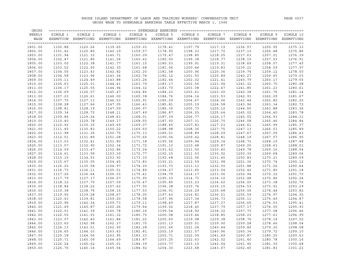### RHODE ISLAND DEPARTMENT OF LABOR AND TRAINING WORKERS' COMPENSATION UNIT PAGE 0037 GROSS WAGE TO SPENDABLE EARNINGS TABLE EFFECTIVE MARCH 1, 1996

| GROSS   |          |                                                                                                              |          |          |          |          |          |          |          |           |
|---------|----------|--------------------------------------------------------------------------------------------------------------|----------|----------|----------|----------|----------|----------|----------|-----------|
| WEEKLY  | SINGLE 1 | SINGLE 2                                                                                                     | SINGLE 3 | SINGLE 4 | SINGLE 5 | SINGLE 6 | SINGLE 7 | SINGLE 8 | SINGLE 9 | SINGLE 10 |
| WAGE    |          | EXEMPTION EXEMPTIONS EXEMPTIONS EXEMPTIONS EXEMPTIONS EXEMPTIONS EXEMPTIONS EXEMPTIONS EXEMPTIONS EXEMPTIONS |          |          |          |          |          |          |          |           |
|         |          |                                                                                                              |          |          |          |          |          |          |          |           |
| 1801.00 | 1100.88  | 1120.26                                                                                                      | 1139.65  | 1159.03  | 1178.41  | 1197.79  | 1217.19  | 1236.57  | 1255.95  | 1275.33   |
| 1802.00 | 1101.42  | 1120.80                                                                                                      | 1140.19  | 1159.57  | 1178.95  | 1198.33  | 1217.72  | 1237.10  | 1256.48  | 1275.86   |
| 1803.00 | 1101.94  | 1121.32                                                                                                      | 1140.71  | 1160.09  | 1179.47  | 1198.85  | 1218.25  | 1237.63  | 1257.01  | 1276.39   |
| 1804.00 | 1102.47  | 1121.85                                                                                                      | 1141.24  | 1160.62  | 1180.00  | 1199.38  | 1218.77  | 1238.15  | 1257.53  | 1276.91   |
| 1805.00 | 1103.00  | 1122.38                                                                                                      | 1141.77  | 1161.15  | 1180.53  | 1199.91  | 1219.31  | 1238.69  | 1258.07  | 1277.45   |
| 1806.00 | 1103.52  | 1122.90                                                                                                      | 1142.30  | 1161.68  | 1181.06  | 1200.44  | 1219.83  | 1239.21  | 1258.59  | 1277.97   |
| 1807.00 | 1104.05  | 1123.43                                                                                                      | 1142.82  | 1162.20  | 1181.58  | 1200.96  | 1220.36  | 1239.74  | 1259.12  | 1278.50   |
| 1808.00 | 1104.58  | 1123.96                                                                                                      | 1143.36  | 1162.74  | 1182.12  | 1201.50  | 1220.89  | 1240.27  | 1259.65  | 1279.03   |
| 1809.00 | 1105.11  | 1124.49                                                                                                      | 1143.88  | 1163.26  | 1182.64  | 1202.02  | 1221.41  | 1240.79  | 1260.17  | 1279.55   |
| 1810.00 | 1105.63  | 1125.01                                                                                                      | 1144.41  | 1163.79  | 1183.17  | 1202.55  | 1221.94  | 1241.32  | 1260.70  | 1280.08   |
| 1811.00 | 1106.17  | 1125.55                                                                                                      | 1144.94  | 1164.32  | 1183.70  | 1203.08  | 1222.47  | 1241.85  | 1261.23  | 1280.61   |
| 1812.00 | 1106.69  | 1126.07                                                                                                      | 1145.47  | 1164.85  | 1184.23  | 1203.61  | 1223.00  | 1242.38  | 1261.76  | 1281.14   |
| 1813.00 | 1107.23  | 1126.61                                                                                                      | 1146.00  | 1165.38  | 1184.76  | 1204.14  | 1223.53  | 1242.91  | 1262.29  | 1281.67   |
| 1814.00 | 1107.75  | 1127.13                                                                                                      | 1146.53  | 1165.91  | 1185.29  | 1204.67  | 1224.06  | 1243.44  | 1262.82  | 1282.20   |
| 1815.00 | 1108.28  | 1127.66                                                                                                      | 1147.05  | 1166.43  | 1185.81  | 1205.19  | 1224.58  | 1243.96  | 1263.34  | 1282.72   |
| 1816.00 | 1108.81  | 1128.19                                                                                                      | 1147.59  | 1166.97  | 1186.35  | 1205.73  | 1225.12  | 1244.50  | 1263.88  | 1283.26   |
| 1817.00 | 1109.34  | 1128.72                                                                                                      | 1148.11  | 1167.49  | 1186.87  | 1206.25  | 1225.64  | 1245.02  | 1264.40  | 1283.78   |
| 1818.00 | 1109.86  | 1129.24                                                                                                      | 1148.63  | 1168.01  | 1187.39  | 1206.77  | 1226.17  | 1245.55  | 1264.93  | 1284.31   |
| 1819.00 | 1110.40  | 1129.78                                                                                                      | 1149.17  | 1168.55  | 1187.93  | 1207.31  | 1226.70  | 1246.08  | 1265.46  | 1284.84   |
| 1820.00 | 1110.92  | 1130.30                                                                                                      | 1149.69  | 1169.07  | 1188.45  | 1207.83  | 1227.23  | 1246.61  | 1265.99  | 1285.37   |
| 1821.00 | 1111.45  | 1130.83                                                                                                      | 1150.22  | 1169.60  | 1188.98  | 1208.36  | 1227.75  | 1247.13  | 1266.51  | 1285.89   |
| 1822.00 | 1111.98  | 1131.36                                                                                                      | 1150.75  | 1170.13  | 1189.51  | 1208.89  | 1228.29  | 1247.67  | 1267.05  | 1286.43   |
| 1823.00 | 1112.51  | 1131.89                                                                                                      | 1151.28  | 1170.66  | 1190.04  | 1209.42  | 1228.81  | 1248.19  | 1267.57  | 1286.95   |
| 1824.00 | 1113.03  | 1132.41                                                                                                      | 1151.80  | 1171.18  | 1190.56  | 1209.94  | 1229.34  | 1248.72  | 1268.10  | 1287.48   |
| 1825.00 | 1113.57  | 1132.95                                                                                                      | 1152.34  | 1171.72  | 1191.10  | 1210.48  | 1229.87  | 1249.25  | 1268.63  | 1288.01   |
| 1826.00 | 1114.09  | 1133.47                                                                                                      | 1152.86  | 1172.24  | 1191.62  | 1211.00  | 1230.40  | 1249.78  | 1269.16  | 1288.54   |
| 1827.00 | 1114.61  | 1133.99                                                                                                      | 1153.39  | 1172.77  | 1192.15  | 1211.53  | 1230.92  | 1250.30  | 1269.68  | 1289.06   |
| 1828.00 | 1115.15  | 1134.53                                                                                                      | 1153.92  | 1173.30  | 1192.68  | 1212.06  | 1231.45  | 1250.83  | 1270.21  | 1289.59   |
| 1829.00 | 1115.67  | 1135.05                                                                                                      | 1154.45  | 1173.83  | 1193.21  | 1212.59  | 1231.98  | 1251.36  | 1270.74  | 1290.12   |
| 1830.00 | 1116.20  | 1135.58                                                                                                      | 1154.97  | 1174.35  | 1193.73  | 1213.11  | 1232.50  | 1251.88  | 1271.26  | 1290.64   |
| 1831.00 | 1116.73  | 1136.11                                                                                                      | 1155.51  | 1174.89  | 1194.27  | 1213.65  | 1233.04  | 1252.42  | 1271.80  | 1291.18   |
| 1832.00 | 1117.26  | 1136.64                                                                                                      | 1156.03  | 1175.41  | 1194.79  | 1214.17  | 1233.56  | 1252.94  | 1272.32  | 1291.70   |
| 1833.00 | 1117.79  | 1137.17                                                                                                      | 1156.57  | 1175.95  | 1195.33  | 1214.71  | 1234.10  | 1253.48  | 1272.86  | 1292.24   |
| 1834.00 | 1118.32  | 1137.70                                                                                                      | 1157.09  | 1176.47  | 1195.85  | 1215.23  | 1234.62  | 1254.00  | 1273.38  | 1292.76   |
| 1835.00 | 1118.84  | 1138.22                                                                                                      | 1157.62  | 1177.00  | 1196.38  | 1215.76  | 1235.15  | 1254.53  | 1273.91  | 1293.29   |
| 1836.00 | 1119.38  | 1138.76                                                                                                      | 1158.15  | 1177.53  | 1196.91  | 1216.29  | 1235.68  | 1255.06  | 1274.44  | 1293.82   |
| 1837.00 | 1119.90  | 1139.28                                                                                                      | 1158.67  | 1178.05  | 1197.43  | 1216.81  | 1236.21  | 1255.59  | 1274.97  | 1294.35   |
| 1838.00 | 1120.43  | 1139.81                                                                                                      | 1159.20  | 1178.58  | 1197.96  | 1217.34  | 1236.73  | 1256.11  | 1275.49  | 1294.87   |
| 1839.00 | 1120.96  | 1140.34                                                                                                      | 1159.73  | 1179.11  | 1198.49  | 1217.87  | 1237.27  | 1256.65  | 1276.03  | 1295.41   |
| 1840.00 | 1121.49  | 1140.87                                                                                                      | 1160.26  | 1179.64  | 1199.02  | 1218.40  | 1237.79  | 1257.17  | 1276.55  | 1295.93   |
| 1841.00 | 1122.01  | 1141.39                                                                                                      | 1160.78  | 1180.16  | 1199.54  | 1218.92  | 1238.32  | 1257.70  | 1277.08  | 1296.46   |
| 1842.00 | 1122.55  | 1141.93                                                                                                      | 1161.32  | 1180.70  | 1200.08  | 1219.46  | 1238.85  | 1258.23  | 1277.61  | 1296.99   |
| 1843.00 | 1123.07  | 1142.45                                                                                                      | 1161.84  | 1181.22  | 1200.60  | 1219.98  | 1239.38  | 1258.76  | 1278.14  | 1297.52   |
| 1844.00 | 1123.60  | 1142.98                                                                                                      | 1162.37  | 1181.75  | 1201.13  | 1220.51  | 1239.90  | 1259.28  | 1278.66  | 1298.04   |
| 1845.00 | 1124.13  | 1143.51                                                                                                      | 1162.90  | 1182.28  | 1201.66  | 1221.04  | 1240.44  | 1259.82  | 1279.20  | 1298.58   |
| 1846.00 | 1124.65  | 1144.03                                                                                                      | 1163.43  | 1182.81  | 1202.19  | 1221.57  | 1240.96  | 1260.34  | 1279.72  | 1299.10   |
| 1847.00 | 1125.18  | 1144.56                                                                                                      | 1163.95  | 1183.33  | 1202.71  | 1222.09  | 1241.49  | 1260.87  | 1280.25  | 1299.63   |
| 1848.00 | 1125.71  | 1145.09                                                                                                      | 1164.49  | 1183.87  | 1203.25  | 1222.63  | 1242.02  | 1261.40  | 1280.78  | 1300.16   |
| 1849.00 | 1126.24  | 1145.62                                                                                                      | 1165.01  | 1184.39  | 1203.77  | 1223.15  | 1242.54  | 1261.92  | 1281.30  | 1300.68   |
| 1850.00 | 1126.76  | 1146.14                                                                                                      | 1165.54  | 1184.92  | 1204.30  | 1223.68  | 1243.07  | 1262.45  | 1281.83  | 1301.21   |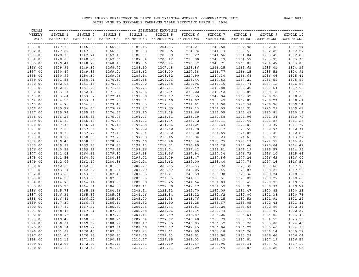# RHODE ISLAND DEPARTMENT OF LABOR AND TRAINING WORKERS' COMPENSATION UNIT PAGE 0038 GROSS WAGE TO SPENDABLE EARNINGS TABLE EFFECTIVE MARCH 1, 1996

| GROSS   |          |                                                                                                              |          |          |          |          |          |          |          |           |
|---------|----------|--------------------------------------------------------------------------------------------------------------|----------|----------|----------|----------|----------|----------|----------|-----------|
| WEEKLY  | SINGLE 1 | SINGLE 2                                                                                                     | SINGLE 3 | SINGLE 4 | SINGLE 5 | SINGLE 6 | SINGLE 7 | SINGLE 8 | SINGLE 9 | SINGLE 10 |
| WAGE    |          | EXEMPTION EXEMPTIONS EXEMPTIONS EXEMPTIONS EXEMPTIONS EXEMPTIONS EXEMPTIONS EXEMPTIONS EXEMPTIONS EXEMPTIONS |          |          |          |          |          |          |          |           |
|         |          |                                                                                                              |          |          |          |          |          |          |          |           |
| 1851.00 | 1127.30  | 1146.68                                                                                                      | 1166.07  | 1185.45  | 1204.83  | 1224.21  | 1243.60  | 1262.98  | 1282.36  | 1301.74   |
| 1852.00 | 1127.82  | 1147.20                                                                                                      | 1166.60  | 1185.98  | 1205.36  | 1224.74  | 1244.13  | 1263.51  | 1282.89  | 1302.27   |
| 1853.00 | 1128.36  | 1147.74                                                                                                      | 1167.13  | 1186.51  | 1205.89  | 1225.27  | 1244.66  | 1264.04  | 1283.42  | 1302.80   |
| 1854.00 | 1128.88  | 1148.26                                                                                                      | 1167.66  | 1187.04  | 1206.42  | 1225.80  | 1245.19  | 1264.57  | 1283.95  | 1303.33   |
| 1855.00 | 1129.41  | 1148.79                                                                                                      | 1168.18  | 1187.56  | 1206.94  | 1226.32  | 1245.71  | 1265.09  | 1284.47  | 1303.85   |
| 1856.00 | 1129.94  | 1149.32                                                                                                      | 1168.72  | 1188.10  | 1207.48  | 1226.86  | 1246.25  | 1265.63  | 1285.01  | 1304.39   |
| 1857.00 | 1130.47  | 1149.85                                                                                                      | 1169.24  | 1188.62  | 1208.00  | 1227.38  | 1246.77  | 1266.15  | 1285.53  | 1304.91   |
| 1858.00 | 1130.99  | 1150.37                                                                                                      | 1169.76  | 1189.14  | 1208.52  | 1227.90  | 1247.30  | 1266.68  | 1286.06  | 1305.44   |
| 1859.00 | 1131.53  | 1150.91                                                                                                      | 1170.30  | 1189.68  | 1209.06  | 1228.44  | 1247.83  | 1267.21  | 1286.59  | 1305.97   |
| 1860.00 | 1132.05  | 1151.43                                                                                                      | 1170.82  | 1190.20  | 1209.58  | 1228.96  | 1248.36  | 1267.74  | 1287.12  | 1306.50   |
| 1861.00 | 1132.58  | 1151.96                                                                                                      | 1171.35  | 1190.73  | 1210.11  | 1229.49  | 1248.88  | 1268.26  | 1287.64  | 1307.02   |
| 1862.00 | 1133.11  | 1152.49                                                                                                      | 1171.88  | 1191.26  | 1210.64  | 1230.02  | 1249.42  | 1268.80  | 1288.18  | 1307.56   |
| 1863.00 | 1133.64  | 1153.02                                                                                                      | 1172.41  | 1191.79  | 1211.17  | 1230.55  | 1249.94  | 1269.32  | 1288.70  | 1308.08   |
| 1864.00 | 1134.16  | 1153.54                                                                                                      | 1172.93  | 1192.31  | 1211.69  | 1231.07  | 1250.47  | 1269.85  | 1289.23  | 1308.61   |
| 1865.00 | 1134.70  | 1154.08                                                                                                      | 1173.47  | 1192.85  | 1212.23  | 1231.61  | 1251.00  | 1270.38  | 1289.76  | 1309.14   |
| 1866.00 | 1135.22  | 1154.60                                                                                                      | 1173.99  | 1193.37  | 1212.75  | 1232.13  | 1251.53  | 1270.91  | 1290.29  | 1309.67   |
| 1867.00 | 1135.74  | 1155.12                                                                                                      | 1174.52  | 1193.90  | 1213.28  | 1232.66  | 1252.05  | 1271.43  | 1290.81  | 1310.19   |
| 1868.00 | 1136.28  | 1155.66                                                                                                      | 1175.05  | 1194.43  | 1213.81  | 1233.19  | 1252.58  | 1271.96  | 1291.34  | 1310.72   |
| 1869.00 |          |                                                                                                              | 1175.58  |          |          |          | 1253.11  | 1272.49  |          | 1311.25   |
|         | 1136.80  | 1156.18                                                                                                      |          | 1194.96  | 1214.34  | 1233.72  |          |          | 1291.87  |           |
| 1870.00 | 1137.33  | 1156.71                                                                                                      | 1176.10  | 1195.48  | 1214.86  | 1234.24  | 1253.63  | 1273.01  | 1292.39  | 1311.77   |
| 1871.00 | 1137.86  | 1157.24                                                                                                      | 1176.64  | 1196.02  | 1215.40  | 1234.78  | 1254.17  | 1273.55  | 1292.93  | 1312.31   |
| 1872.00 | 1138.39  | 1157.77                                                                                                      | 1177.16  | 1196.54  | 1215.92  | 1235.30  | 1254.69  | 1274.07  | 1293.45  | 1312.83   |
| 1873.00 | 1138.92  | 1158.30                                                                                                      | 1177.70  | 1197.08  | 1216.46  | 1235.84  | 1255.23  | 1274.61  | 1293.99  | 1313.37   |
| 1874.00 | 1139.45  | 1158.83                                                                                                      | 1178.22  | 1197.60  | 1216.98  | 1236.36  | 1255.75  | 1275.13  | 1294.51  | 1313.89   |
| 1875.00 | 1139.97  | 1159.35                                                                                                      | 1178.75  | 1198.13  | 1217.51  | 1236.89  | 1256.28  | 1275.66  | 1295.04  | 1314.42   |
| 1876.00 | 1140.51  | 1159.89                                                                                                      | 1179.28  | 1198.66  | 1218.04  | 1237.42  | 1256.81  | 1276.19  | 1295.57  | 1314.95   |
| 1877.00 | 1141.03  | 1160.41                                                                                                      | 1179.80  | 1199.18  | 1218.56  | 1237.94  | 1257.34  | 1276.72  | 1296.10  | 1315.48   |
| 1878.00 | 1141.56  | 1160.94                                                                                                      | 1180.33  | 1199.71  | 1219.09  | 1238.47  | 1257.86  | 1277.24  | 1296.62  | 1316.00   |
| 1879.00 | 1142.09  | 1161.47                                                                                                      | 1180.86  | 1200.24  | 1219.62  | 1239.00  | 1258.40  | 1277.78  | 1297.16  | 1316.54   |
| 1880.00 | 1142.62  | 1162.00                                                                                                      | 1181.39  | 1200.77  | 1220.15  | 1239.53  | 1258.92  | 1278.30  | 1297.68  | 1317.06   |
| 1881.00 | 1143.14  | 1162.52                                                                                                      | 1181.91  | 1201.29  | 1220.67  | 1240.05  | 1259.45  | 1278.83  | 1298.21  | 1317.59   |
| 1882.00 | 1143.68  | 1163.06                                                                                                      | 1182.45  | 1201.83  | 1221.21  | 1240.59  | 1259.98  | 1279.36  | 1298.74  | 1318.12   |
| 1883.00 | 1144.20  | 1163.58                                                                                                      | 1182.97  | 1202.35  | 1221.73  | 1241.11  | 1260.51  | 1279.89  | 1299.27  | 1318.65   |
| 1884.00 | 1144.73  | 1164.11                                                                                                      | 1183.50  | 1202.88  | 1222.26  | 1241.64  | 1261.03  | 1280.41  | 1299.79  | 1319.17   |
| 1885.00 | 1145.26  | 1164.64                                                                                                      | 1184.03  | 1203.41  | 1222.79  | 1242.17  | 1261.57  | 1280.95  | 1300.33  | 1319.71   |
| 1886.00 | 1145.78  | 1165.16                                                                                                      | 1184.56  | 1203.94  | 1223.32  | 1242.70  | 1262.09  | 1281.47  | 1300.85  | 1320.23   |
| 1887.00 | 1146.31  | 1165.69                                                                                                      | 1185.08  | 1204.46  | 1223.84  | 1243.22  | 1262.62  | 1282.00  | 1301.38  | 1320.76   |
| 1888.00 | 1146.84  | 1166.22                                                                                                      | 1185.62  | 1205.00  | 1224.38  | 1243.76  | 1263.15  | 1282.53  | 1301.91  | 1321.29   |
| 1889.00 | 1147.37  | 1166.75                                                                                                      | 1186.14  | 1205.52  | 1224.90  | 1244.28  | 1263.67  | 1283.05  | 1302.43  | 1321.81   |
| 1890.00 | 1147.89  | 1167.27                                                                                                      | 1186.67  | 1206.05  | 1225.43  | 1244.81  | 1264.20  | 1283.58  | 1302.96  | 1322.34   |
| 1891.00 | 1148.43  | 1167.81                                                                                                      | 1187.20  | 1206.58  | 1225.96  | 1245.34  | 1264.73  | 1284.11  | 1303.49  | 1322.87   |
| 1892.00 | 1148.95  | 1168.33                                                                                                      | 1187.73  | 1207.11  | 1226.49  | 1245.87  | 1265.26  | 1284.64  | 1304.02  | 1323.40   |
| 1893.00 | 1149.49  | 1168.87                                                                                                      | 1188.26  | 1207.64  | 1227.02  | 1246.40  | 1265.79  | 1285.17  | 1304.55  | 1323.93   |
| 1894.00 | 1150.01  | 1169.39                                                                                                      | 1188.79  | 1208.17  | 1227.55  | 1246.93  | 1266.32  | 1285.70  | 1305.08  | 1324.46   |
| 1895.00 | 1150.54  | 1169.92                                                                                                      | 1189.31  | 1208.69  | 1228.07  | 1247.45  | 1266.84  | 1286.22  | 1305.60  | 1324.98   |
| 1896.00 | 1151.07  | 1170.45                                                                                                      | 1189.85  | 1209.23  | 1228.61  | 1247.99  | 1267.38  | 1286.76  | 1306.14  | 1325.52   |
| 1897.00 | 1151.60  | 1170.98                                                                                                      | 1190.37  | 1209.75  | 1229.13  | 1248.51  | 1267.90  | 1287.28  | 1306.66  | 1326.04   |
| 1898.00 | 1152.12  | 1171.50                                                                                                      | 1190.89  | 1210.27  | 1229.65  | 1249.03  | 1268.43  | 1287.81  | 1307.19  | 1326.57   |
| 1899.00 | 1152.66  | 1172.04                                                                                                      | 1191.43  | 1210.81  | 1230.19  | 1249.57  | 1268.96  | 1288.34  | 1307.72  | 1327.10   |
| 1900.00 | 1153.18  | 1172.56                                                                                                      | 1191.95  | 1211.33  | 1230.71  | 1250.09  | 1269.49  | 1288.87  | 1308.25  | 1327.63   |
|         |          |                                                                                                              |          |          |          |          |          |          |          |           |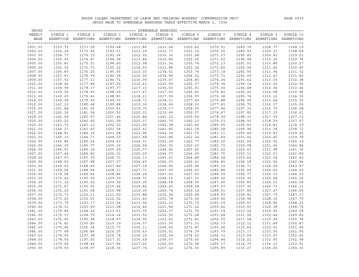| GROSS   |          |                                                                                                              |          |          |          |          |          |          |          |           |
|---------|----------|--------------------------------------------------------------------------------------------------------------|----------|----------|----------|----------|----------|----------|----------|-----------|
| WEEKLY  | SINGLE 1 | SINGLE 2                                                                                                     | SINGLE 3 | SINGLE 4 | SINGLE 5 | SINGLE 6 | SINGLE 7 | SINGLE 8 | SINGLE 9 | SINGLE 10 |
| WAGE    |          | EXEMPTION EXEMPTIONS EXEMPTIONS EXEMPTIONS EXEMPTIONS EXEMPTIONS EXEMPTIONS EXEMPTIONS EXEMPTIONS EXEMPTIONS |          |          |          |          |          |          |          |           |
|         |          |                                                                                                              |          |          |          |          |          |          |          |           |
| 1901.00 | 1153.71  | 1173.09                                                                                                      | 1192.48  | 1211.86  | 1231.24  | 1250.62  | 1270.01  | 1289.39  | 1308.77  | 1328.15   |
| 1902.00 | 1154.24  | 1173.62                                                                                                      | 1193.01  | 1212.39  | 1231.77  | 1251.15  | 1270.55  | 1289.93  | 1309.31  | 1328.69   |
| 1903.00 | 1154.77  | 1174.15                                                                                                      | 1193.54  | 1212.92  | 1232.30  | 1251.68  | 1271.07  | 1290.45  | 1309.83  | 1329.21   |
| 1904.00 | 1155.29  | 1174.67                                                                                                      | 1194.06  | 1213.44  | 1232.82  | 1252.20  | 1271.60  | 1290.98  | 1310.36  | 1329.74   |
| 1905.00 | 1155.83  | 1175.21                                                                                                      | 1194.60  | 1213.98  | 1233.36  | 1252.74  | 1272.13  | 1291.51  | 1310.89  | 1330.27   |
| 1906.00 | 1156.35  | 1175.73                                                                                                      | 1195.12  | 1214.50  | 1233.88  | 1253.26  | 1272.66  | 1292.04  | 1311.42  | 1330.80   |
| 1907.00 | 1156.87  | 1176.25                                                                                                      | 1195.65  | 1215.03  | 1234.41  | 1253.79  | 1273.18  | 1292.56  | 1311.94  | 1331.32   |
| 1908.00 | 1157.41  | 1176.79                                                                                                      | 1196.18  | 1215.56  | 1234.94  | 1254.32  | 1273.71  | 1293.09  | 1312.47  | 1331.85   |
| 1909.00 | 1157.93  | 1177.31                                                                                                      | 1196.71  | 1216.09  | 1235.47  | 1254.85  | 1274.24  | 1293.62  | 1313.00  | 1332.38   |
| 1910.00 | 1158.46  | 1177.84                                                                                                      | 1197.23  | 1216.61  | 1235.99  | 1255.37  | 1274.76  | 1294.14  | 1313.52  | 1332.90   |
| 1911.00 | 1158.99  | 1178.37                                                                                                      | 1197.77  | 1217.15  | 1236.53  | 1255.91  | 1275.30  | 1294.68  | 1314.06  | 1333.44   |
| 1912.00 | 1159.52  | 1178.90                                                                                                      | 1198.29  | 1217.67  | 1237.05  | 1256.43  | 1275.82  | 1295.20  | 1314.58  | 1333.96   |
| 1913.00 | 1160.05  | 1179.43                                                                                                      | 1198.83  | 1218.21  | 1237.59  | 1256.97  | 1276.36  | 1295.74  | 1315.12  | 1334.50   |
| 1914.00 | 1160.58  | 1179.96                                                                                                      | 1199.35  | 1218.73  | 1238.11  | 1257.49  | 1276.88  | 1296.26  | 1315.64  | 1335.02   |
| 1915.00 | 1161.10  | 1180.48                                                                                                      | 1199.88  | 1219.26  | 1238.64  | 1258.02  | 1277.41  | 1296.79  | 1316.17  | 1335.55   |
| 1916.00 | 1161.64  | 1181.02                                                                                                      | 1200.41  | 1219.79  | 1239.17  | 1258.55  | 1277.94  | 1297.32  | 1316.70  | 1336.08   |
| 1917.00 | 1162.16  | 1181.54                                                                                                      | 1200.93  | 1220.31  | 1239.69  | 1259.07  | 1278.47  | 1297.85  | 1317.23  | 1336.61   |
| 1918.00 | 1162.69  | 1182.07                                                                                                      | 1201.46  | 1220.84  | 1240.22  | 1259.60  | 1278.99  | 1298.37  | 1317.75  | 1337.13   |
| 1919.00 | 1163.22  | 1182.60                                                                                                      | 1201.99  | 1221.37  | 1240.75  | 1260.13  | 1279.53  | 1298.91  | 1318.29  | 1337.67   |
| 1920.00 | 1163.75  | 1183.13                                                                                                      | 1202.52  | 1221.90  | 1241.28  | 1260.66  | 1280.05  | 1299.43  | 1318.81  | 1338.19   |
| 1921.00 | 1164.27  | 1183.65                                                                                                      | 1203.04  | 1222.42  | 1241.80  | 1261.18  | 1280.58  | 1299.96  | 1319.34  | 1338.72   |
| 1922.00 | 1164.81  | 1184.19                                                                                                      | 1203.58  | 1222.96  | 1242.34  | 1261.72  | 1281.11  | 1300.49  | 1319.87  | 1339.25   |
| 1923.00 | 1165.33  | 1184.71                                                                                                      | 1204.10  | 1223.48  | 1242.86  | 1262.24  | 1281.64  | 1301.02  | 1320.40  | 1339.78   |
| 1924.00 | 1165.86  | 1185.24                                                                                                      | 1204.63  | 1224.01  | 1243.39  | 1262.77  | 1282.16  | 1301.54  | 1320.92  | 1340.30   |
| 1925.00 | 1166.39  | 1185.77                                                                                                      | 1205.16  | 1224.54  | 1243.92  | 1263.30  | 1282.70  | 1302.08  | 1321.46  | 1340.84   |
| 1926.00 | 1166.91  | 1186.29                                                                                                      | 1205.69  | 1225.07  | 1244.45  | 1263.83  | 1283.22  | 1302.60  | 1321.98  | 1341.36   |
| 1927.00 | 1167.44  | 1186.82                                                                                                      | 1206.21  | 1225.59  | 1244.97  | 1264.35  | 1283.75  | 1303.13  | 1322.51  | 1341.89   |
| 1928.00 | 1167.97  | 1187.35                                                                                                      | 1206.75  | 1226.13  | 1245.51  | 1264.89  | 1284.28  | 1303.66  | 1323.04  | 1342.42   |
| 1929.00 | 1168.50  | 1187.88                                                                                                      | 1207.27  | 1226.65  | 1246.03  | 1265.41  | 1284.80  | 1304.18  | 1323.56  | 1342.94   |
| 1930.00 | 1169.02  | 1188.40                                                                                                      | 1207.80  | 1227.18  | 1246.56  | 1265.94  | 1285.33  | 1304.71  | 1324.09  | 1343.47   |
| 1931.00 | 1169.56  | 1188.94                                                                                                      | 1208.33  | 1227.71  | 1247.09  | 1266.47  | 1285.86  | 1305.24  | 1324.62  | 1344.00   |
| 1932.00 | 1170.08  | 1189.46                                                                                                      | 1208.86  | 1228.24  | 1247.62  | 1267.00  | 1286.39  | 1305.77  | 1325.15  | 1344.53   |
| 1933.00 | 1170.62  | 1190.00                                                                                                      | 1209.39  | 1228.77  | 1248.15  | 1267.53  | 1286.92  | 1306.30  | 1325.68  | 1345.06   |
| 1934.00 | 1171.14  | 1190.52                                                                                                      | 1209.92  | 1229.30  | 1248.68  | 1268.06  | 1287.45  | 1306.83  | 1326.21  | 1345.59   |
| 1935.00 | 1171.67  | 1191.05                                                                                                      | 1210.44  | 1229.82  | 1249.20  | 1268.58  | 1287.97  | 1307.35  | 1326.73  | 1346.11   |
| 1936.00 | 1172.20  | 1191.58                                                                                                      | 1210.98  | 1230.36  | 1249.74  | 1269.12  | 1288.51  | 1307.89  | 1327.27  | 1346.65   |
| 1937.00 | 1172.73  | 1192.11                                                                                                      | 1211.50  | 1230.88  | 1250.26  | 1269.64  | 1289.03  | 1308.41  | 1327.79  | 1347.17   |
| 1938.00 | 1173.25  | 1192.63                                                                                                      | 1212.02  | 1231.40  | 1250.78  | 1270.16  | 1289.56  | 1308.94  | 1328.32  | 1347.70   |
| 1939.00 | 1173.79  | 1193.17                                                                                                      | 1212.56  | 1231.94  | 1251.32  | 1270.70  | 1290.09  | 1309.47  | 1328.85  | 1348.23   |
| 1940.00 | 1174.31  | 1193.69                                                                                                      | 1213.08  | 1232.46  | 1251.84  | 1271.22  | 1290.62  | 1310.00  | 1329.38  | 1348.76   |
| 1941.00 | 1174.84  | 1194.22                                                                                                      | 1213.61  | 1232.99  | 1252.37  | 1271.75  | 1291.14  | 1310.52  | 1329.90  | 1349.28   |
| 1942.00 | 1175.37  | 1194.75                                                                                                      | 1214.14  | 1233.52  | 1252.90  | 1272.28  | 1291.68  | 1311.06  | 1330.44  | 1349.82   |
| 1943.00 | 1175.90  | 1195.28                                                                                                      | 1214.67  | 1234.05  | 1253.43  | 1272.81  | 1292.20  | 1311.58  | 1330.96  | 1350.34   |
| 1944.00 | 1176.42  | 1195.80                                                                                                      | 1215.19  | 1234.57  | 1253.95  | 1273.33  | 1292.73  | 1312.11  | 1331.49  | 1350.87   |
| 1945.00 | 1176.96  | 1196.34                                                                                                      | 1215.73  | 1235.11  | 1254.49  | 1273.87  | 1293.26  | 1312.64  | 1332.02  | 1351.40   |
| 1946.00 | 1177.48  | 1196.86                                                                                                      | 1216.25  | 1235.63  | 1255.01  | 1274.39  | 1293.79  | 1313.17  | 1332.55  | 1351.93   |
| 1947.00 | 1178.00  | 1197.38                                                                                                      | 1216.78  | 1236.16  | 1255.54  | 1274.92  | 1294.31  | 1313.69  | 1333.07  | 1352.45   |
| 1948.00 | 1178.54  | 1197.92                                                                                                      | 1217.31  | 1236.69  | 1256.07  | 1275.45  | 1294.84  | 1314.22  | 1333.60  | 1352.98   |
| 1949.00 | 1179.06  | 1198.44                                                                                                      | 1217.84  | 1237.22  | 1256.60  | 1275.98  | 1295.37  | 1314.75  | 1334.13  | 1353.51   |
| 1950.00 | 1179.59  | 1198.97                                                                                                      | 1218.36  | 1237.74  | 1257.12  | 1276.50  | 1295.89  | 1315.27  | 1334.65  | 1354.03   |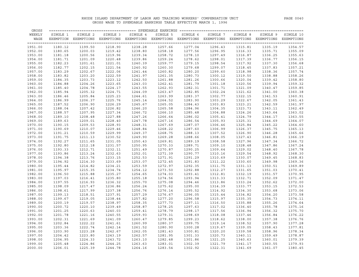### RHODE ISLAND DEPARTMENT OF LABOR AND TRAINING WORKERS' COMPENSATION UNIT PAGE 0040 GROSS WAGE TO SPENDABLE EARNINGS TABLE EFFECTIVE MARCH 1, 1996

| GROSS   |          |                                                                                                              |          |          |          |          |          |          |          |           |
|---------|----------|--------------------------------------------------------------------------------------------------------------|----------|----------|----------|----------|----------|----------|----------|-----------|
| WEEKLY  | SINGLE 1 | SINGLE 2                                                                                                     | SINGLE 3 | SINGLE 4 | SINGLE 5 | SINGLE 6 | SINGLE 7 | SINGLE 8 | SINGLE 9 | SINGLE 10 |
| WAGE    |          | EXEMPTION EXEMPTIONS EXEMPTIONS EXEMPTIONS EXEMPTIONS EXEMPTIONS EXEMPTIONS EXEMPTIONS EXEMPTIONS EXEMPTIONS |          |          |          |          |          |          |          |           |
|         |          |                                                                                                              |          |          |          |          |          |          |          |           |
| 1951.00 | 1180.12  | 1199.50                                                                                                      | 1218.90  | 1238.28  | 1257.66  | 1277.04  | 1296.43  | 1315.81  | 1335.19  | 1354.57   |
| 1952.00 | 1180.65  | 1200.03                                                                                                      | 1219.42  | 1238.80  | 1258.18  | 1277.56  | 1296.95  | 1316.33  | 1335.71  | 1355.09   |
| 1953.00 | 1181.18  | 1200.56                                                                                                      | 1219.96  | 1239.34  | 1258.72  | 1278.10  | 1297.49  | 1316.87  | 1336.25  | 1355.63   |
| 1954.00 | 1181.71  | 1201.09                                                                                                      | 1220.48  | 1239.86  | 1259.24  | 1278.62  | 1298.01  | 1317.39  | 1336.77  | 1356.15   |
| 1955.00 | 1182.23  | 1201.61                                                                                                      | 1221.01  | 1240.39  | 1259.77  | 1279.15  | 1298.54  | 1317.92  | 1337.30  | 1356.68   |
| 1956.00 | 1182.77  | 1202.15                                                                                                      | 1221.54  | 1240.92  | 1260.30  | 1279.68  | 1299.07  | 1318.45  | 1337.83  | 1357.21   |
| 1957.00 | 1183.29  | 1202.67                                                                                                      | 1222.06  | 1241.44  | 1260.82  | 1280.20  | 1299.60  | 1318.98  | 1338.36  | 1357.74   |
| 1958.00 | 1183.82  | 1203.20                                                                                                      | 1222.59  | 1241.97  | 1261.35  | 1280.73  | 1300.12  | 1319.50  | 1338.88  | 1358.26   |
| 1959.00 | 1184.35  | 1203.73                                                                                                      | 1223.12  | 1242.50  | 1261.88  | 1281.26  | 1300.66  | 1320.04  | 1339.42  | 1358.80   |
| 1960.00 | 1184.88  | 1204.26                                                                                                      | 1223.65  | 1243.03  | 1262.41  | 1281.79  | 1301.18  | 1320.56  | 1339.94  | 1359.32   |
| 1961.00 | 1185.40  | 1204.78                                                                                                      | 1224.17  | 1243.55  | 1262.93  | 1282.31  | 1301.71  | 1321.09  | 1340.47  | 1359.85   |
| 1962.00 | 1185.94  | 1205.32                                                                                                      | 1224.71  | 1244.09  | 1263.47  | 1282.85  | 1302.24  | 1321.62  | 1341.00  | 1360.38   |
| 1963.00 | 1186.46  | 1205.84                                                                                                      | 1225.23  | 1244.61  | 1263.99  | 1283.37  | 1302.77  | 1322.15  | 1341.53  | 1360.91   |
| 1964.00 | 1186.99  | 1206.37                                                                                                      | 1225.76  | 1245.14  | 1264.52  | 1283.90  | 1303.29  | 1322.67  | 1342.05  | 1361.43   |
| 1965.00 | 1187.52  | 1206.90                                                                                                      | 1226.29  | 1245.67  | 1265.05  | 1284.43  | 1303.83  | 1323.21  | 1342.59  | 1361.97   |
| 1966.00 | 1188.04  | 1207.42                                                                                                      | 1226.82  | 1246.20  | 1265.58  | 1284.96  | 1304.35  | 1323.73  | 1343.11  | 1362.49   |
| 1967.00 | 1188.57  | 1207.95                                                                                                      | 1227.34  | 1246.72  | 1266.10  | 1285.48  | 1304.88  | 1324.26  | 1343.64  | 1363.02   |
| 1968.00 | 1189.10  | 1208.48                                                                                                      | 1227.88  | 1247.26  | 1266.64  | 1286.02  | 1305.41  | 1324.79  | 1344.17  | 1363.55   |
| 1969.00 | 1189.63  | 1209.01                                                                                                      | 1228.40  | 1247.78  | 1267.16  | 1286.54  | 1305.93  | 1325.31  | 1344.69  | 1364.07   |
| 1970.00 | 1190.15  | 1209.53                                                                                                      | 1228.93  | 1248.31  | 1267.69  | 1287.07  | 1306.46  | 1325.84  | 1345.22  | 1364.60   |
| 1971.00 | 1190.69  | 1210.07                                                                                                      | 1229.46  | 1248.84  | 1268.22  | 1287.60  | 1306.99  | 1326.37  | 1345.75  | 1365.13   |
| 1972.00 | 1191.21  | 1210.59                                                                                                      | 1229.99  | 1249.37  | 1268.75  | 1288.13  | 1307.52  | 1326.90  | 1346.28  | 1365.66   |
| 1973.00 | 1191.75  | 1211.13                                                                                                      | 1230.52  | 1249.90  | 1269.28  | 1288.66  | 1308.05  | 1327.43  | 1346.81  | 1366.19   |
| 1974.00 | 1192.27  | 1211.65                                                                                                      | 1231.05  | 1250.43  | 1269.81  | 1289.19  | 1308.58  | 1327.96  | 1347.34  | 1366.72   |
| 1975.00 | 1192.80  | 1212.18                                                                                                      | 1231.57  | 1250.95  | 1270.33  | 1289.71  | 1309.10  | 1328.48  | 1347.86  | 1367.24   |
| 1976.00 | 1193.33  | 1212.71                                                                                                      | 1232.11  | 1251.49  | 1270.87  | 1290.25  | 1309.64  | 1329.02  | 1348.40  | 1367.78   |
| 1977.00 | 1193.86  | 1213.24                                                                                                      | 1232.63  | 1252.01  | 1271.39  | 1290.77  | 1310.16  | 1329.54  | 1348.92  | 1368.30   |
| 1978.00 | 1194.38  | 1213.76                                                                                                      | 1233.15  | 1252.53  | 1271.91  | 1291.29  | 1310.69  | 1330.07  | 1349.45  | 1368.83   |
| 1979.00 | 1194.92  | 1214.30                                                                                                      | 1233.69  | 1253.07  | 1272.45  | 1291.83  | 1311.22  | 1330.60  | 1349.98  | 1369.36   |
| 1980.00 | 1195.44  | 1214.82                                                                                                      | 1234.21  | 1253.59  | 1272.97  | 1292.35  | 1311.75  | 1331.13  | 1350.51  | 1369.89   |
| 1981.00 | 1195.97  | 1215.35                                                                                                      | 1234.74  | 1254.12  | 1273.50  | 1292.88  | 1312.27  | 1331.65  | 1351.03  | 1370.41   |
| 1982.00 | 1196.50  | 1215.88                                                                                                      | 1235.27  | 1254.65  | 1274.03  | 1293.41  | 1312.81  | 1332.19  | 1351.57  | 1370.95   |
| 1983.00 | 1197.03  | 1216.41                                                                                                      | 1235.80  | 1255.18  | 1274.56  | 1293.94  | 1313.33  | 1332.71  | 1352.09  | 1371.47   |
| 1984.00 | 1197.55  | 1216.93                                                                                                      | 1236.32  | 1255.70  | 1275.08  | 1294.46  | 1313.86  | 1333.24  | 1352.62  | 1372.00   |
| 1985.00 | 1198.09  | 1217.47                                                                                                      | 1236.86  | 1256.24  | 1275.62  | 1295.00  | 1314.39  | 1333.77  | 1353.15  | 1372.53   |
| 1986.00 | 1198.61  | 1217.99                                                                                                      | 1237.38  | 1256.76  | 1276.14  | 1295.52  | 1314.92  | 1334.30  | 1353.68  | 1373.06   |
| 1987.00 | 1199.13  | 1218.51                                                                                                      | 1237.91  | 1257.29  | 1276.67  | 1296.05  | 1315.44  | 1334.82  | 1354.20  | 1373.58   |
| 1988.00 | 1199.67  | 1219.05                                                                                                      | 1238.44  | 1257.82  | 1277.20  | 1296.58  | 1315.97  | 1335.35  | 1354.73  | 1374.11   |
| 1989.00 | 1200.19  | 1219.57                                                                                                      | 1238.97  | 1258.35  | 1277.73  | 1297.11  | 1316.50  | 1335.88  | 1355.26  | 1374.64   |
| 1990.00 | 1200.72  | 1220.10                                                                                                      | 1239.49  | 1258.87  | 1278.25  | 1297.63  | 1317.02  | 1336.40  | 1355.78  | 1375.16   |
| 1991.00 | 1201.25  | 1220.63                                                                                                      | 1240.03  | 1259.41  | 1278.79  | 1298.17  | 1317.56  | 1336.94  | 1356.32  | 1375.70   |
| 1992.00 | 1201.78  | 1221.16                                                                                                      | 1240.55  | 1259.93  | 1279.31  | 1298.69  | 1318.08  | 1337.46  | 1356.84  | 1376.22   |
| 1993.00 | 1202.31  | 1221.69                                                                                                      | 1241.09  | 1260.47  | 1279.85  | 1299.23  | 1318.62  | 1338.00  | 1357.38  | 1376.76   |
| 1994.00 | 1202.84  | 1222.22                                                                                                      | 1241.61  | 1260.99  | 1280.37  | 1299.75  | 1319.14  | 1338.52  | 1357.90  | 1377.28   |
| 1995.00 | 1203.36  | 1222.74                                                                                                      | 1242.14  | 1261.52  | 1280.90  | 1300.28  | 1319.67  | 1339.05  | 1358.43  | 1377.81   |
| 1996.00 | 1203.90  | 1223.28                                                                                                      | 1242.67  | 1262.05  | 1281.43  | 1300.81  | 1320.20  | 1339.58  | 1358.96  | 1378.34   |
| 1997.00 | 1204.42  | 1223.80                                                                                                      | 1243.19  | 1262.57  | 1281.95  | 1301.33  | 1320.73  | 1340.11  | 1359.49  | 1378.87   |
| 1998.00 | 1204.95  | 1224.33                                                                                                      | 1243.72  | 1263.10  | 1282.48  | 1301.86  | 1321.25  | 1340.63  | 1360.01  | 1379.39   |
| 1999.00 | 1205.48  | 1224.86                                                                                                      | 1244.25  | 1263.63  | 1283.01  | 1302.39  | 1321.79  | 1341.17  | 1360.55  | 1379.93   |
| 2000.00 | 1206.01  | 1225.39                                                                                                      | 1244.78  | 1264.16  | 1283.54  | 1302.92  | 1322.31  | 1341.69  | 1361.07  | 1380.45   |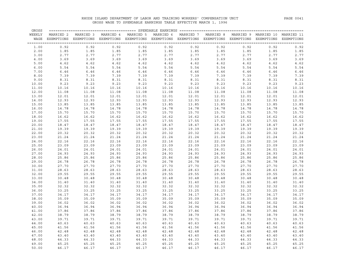### RHODE ISLAND DEPARTMENT OF LABOR AND TRAINING WORKERS' COMPENSATION UNIT PAGE 0041 GROSS WAGE TO SPENDABLE EARNINGS TABLE EFFECTIVE MARCH 1, 1996

| GROSS  |           |                                                                                                               |           |                  |       |                     |           |       |                                 |        |
|--------|-----------|---------------------------------------------------------------------------------------------------------------|-----------|------------------|-------|---------------------|-----------|-------|---------------------------------|--------|
| WEEKLY | MARRIED 2 | MARRIED 3                                                                                                     | MARRIED 4 | MARRIED 5        |       | MARRIED 6 MARRIED 7 | MARRIED 8 |       | MARRIED 9 MARRIED 10 MARRIED 11 |        |
| WAGE   |           | EXEMPTIONS EXEMPTIONS EXEMPTIONS EXEMPTIONS EXEMPTIONS EXEMPTIONS EXEMPTIONS EXEMPTIONS EXEMPTIONS EXEMPTIONS |           |                  |       |                     |           |       |                                 |        |
|        |           |                                                                                                               |           |                  |       |                     |           |       |                                 | $====$ |
| 1.00   | 0.92      | 0.92                                                                                                          | 0.92      | 0.92             | 0.92  | 0.92                | 0.92      | 0.92  | 0.92                            | 0.92   |
| 2.00   | 1.85      | 1.85                                                                                                          | 1.85      | 1.85             | 1.85  | 1.85                | 1.85      | 1.85  | 1.85                            | 1.85   |
| 3.00   | 2.77      | 2.77                                                                                                          | 2.77      | 2.77             | 2.77  | 2.77                | 2.77      | 2.77  | 2.77                            | 2.77   |
| 4.00   | 3.69      | 3.69                                                                                                          | 3.69      | 3.69             | 3.69  | 3.69                | 3.69      | 3.69  | 3.69                            | 3.69   |
| 5.00   | 4.62      | 4.62                                                                                                          | 4.62      | 4.62             | 4.62  | 4.62                | 4.62      | 4.62  | 4.62                            | 4.62   |
| 6.00   | 5.54      | 5.54                                                                                                          | 5.54      | 5.54             | 5.54  | 5.54                | 5.54      | 5.54  | 5.54                            | 5.54   |
| 7.00   | 6.46      | 6.46                                                                                                          | 6.46      | 6.46             | 6.46  | 6.46                | 6.46      | 6.46  | 6.46                            | 6.46   |
| 8.00   | 7.39      | 7.39                                                                                                          | 7.39      | 7.39             | 7.39  | 7.39                | 7.39      | 7.39  | 7.39                            | 7.39   |
| 9.00   | 8.31      | 8.31                                                                                                          | 8.31      | 8.31             | 8.31  | 8.31                | 8.31      | 8.31  | 8.31                            | 8.31   |
| 10.00  | 9.23      | 9.23                                                                                                          | 9.23      | $8.31$<br>$9.23$ | 9.23  | 9.23                | 9.23      | 9.23  | 9.23                            | 9.23   |
| 11.00  | 10.16     | 10.16                                                                                                         | 10.16     | 10.16            | 10.16 | 10.16               | 10.16     | 10.16 | 10.16                           | 10.16  |
| 12.00  | 11.08     | 11.08                                                                                                         | 11.08     | 11.08            | 11.08 | 11.08               | 11.08     | 11.08 | 11.08                           | 11.08  |
| 13.00  | 12.01     | 12.01                                                                                                         | 12.01     | 12.01            | 12.01 | 12.01               | 12.01     | 12.01 | 12.01                           | 12.01  |
| 14.00  | 12.93     | 12.93                                                                                                         | 12.93     | 12.93            | 12.93 | 12.93               | 12.93     | 12.93 | 12.93                           | 12.93  |
| 15.00  | 13.85     | 13.85                                                                                                         | 13.85     | 13.85            | 13.85 | 13.85               | 13.85     | 13.85 | 13.85                           | 13.85  |
|        |           |                                                                                                               |           |                  |       |                     |           |       |                                 |        |
| 16.00  | 14.78     | 14.78                                                                                                         | 14.78     | 14.78            | 14.78 | 14.78               | 14.78     | 14.78 | 14.78                           | 14.78  |
| 17.00  | 15.70     | 15.70                                                                                                         | 15.70     | 15.70            | 15.70 | 15.70               | 15.70     | 15.70 | 15.70                           | 15.70  |
| 18.00  | 16.62     | 16.62                                                                                                         | 16.62     | 16.62            | 16.62 | 16.62               | 16.62     | 16.62 | 16.62                           | 16.62  |
| 19.00  | 17.55     | 17.55                                                                                                         | 17.55     | 17.55            | 17.55 | 17.55               | 17.55     | 17.55 | 17.55                           | 17.55  |
| 20.00  | 18.47     | 18.47                                                                                                         | 18.47     | 18.47            | 18.47 | 18.47               | 18.47     | 18.47 | 18.47                           | 18.47  |
| 21.00  | 19.39     | 19.39                                                                                                         | 19.39     | 19.39            | 19.39 | 19.39               | 19.39     | 19.39 | 19.39                           | 19.39  |
| 22.00  | 20.32     | 20.32                                                                                                         | 20.32     | 20.32            | 20.32 | 20.32               | 20.32     | 20.32 | 20.32                           | 20.32  |
| 23.00  | 21.24     | 21.24                                                                                                         | 21.24     | 21.24            | 21.24 | 21.24               | 21.24     | 21.24 | 21.24                           | 21.24  |
| 24.00  | 22.16     | 22.16                                                                                                         | 22.16     | 22.16            | 22.16 | 22.16               | 22.16     | 22.16 | 22.16                           | 22.16  |
| 25.00  | 23.09     | 23.09                                                                                                         | 23.09     | 23.09            | 23.09 | 23.09               | 23.09     | 23.09 | 23.09                           | 23.09  |
| 26.00  | 24.01     | 24.01                                                                                                         | 24.01     | 24.01            | 24.01 | 24.01               | 24.01     | 24.01 | 24.01                           | 24.01  |
| 27.00  | 24.93     | 24.93                                                                                                         | 24.93     | 24.93            | 24.93 | 24.93               | 24.93     | 24.93 | 24.93                           | 24.93  |
| 28.00  | 25.86     | 25.86                                                                                                         | 25.86     | 25.86            | 25.86 | 25.86               | 25.86     | 25.86 | 25.86                           | 25.86  |
| 29.00  | 26.78     | 26.78                                                                                                         | 26.78     | 26.78            | 26.78 | 26.78               | 26.78     | 26.78 | 26.78                           | 26.78  |
| 30.00  | 27.70     | 27.70                                                                                                         | 27.70     | 27.70            | 27.70 | 27.70               | 27.70     | 27.70 | 27.70                           | 27.70  |
| 31.00  | 28.63     | 28.63                                                                                                         | 28.63     | 28.63            | 28.63 | 28.63               | 28.63     | 28.63 | 28.63                           | 28.63  |
| 32.00  | 29.55     | 29.55                                                                                                         | 29.55     | 29.55            | 29.55 | 29.55               | 29.55     | 29.55 | 29.55                           | 29.55  |
| 33.00  | 30.48     | 30.48                                                                                                         | 30.48     | 30.48            | 30.48 | 30.48               | 30.48     | 30.48 | 30.48                           | 30.48  |
| 34.00  | 31.40     | 31.40                                                                                                         | 31.40     | 31.40            | 31.40 | 31.40               | 31.40     | 31.40 | 31.40                           | 31.40  |
| 35.00  | 32.32     | 32.32                                                                                                         | 32.32     | 32.32            | 32.32 | 32.32               | 32.32     | 32.32 | 32.32                           | 32.32  |
| 36.00  | 33.25     | 33.25                                                                                                         | 33.25     | 33.25            | 33.25 | 33.25               | 33.25     | 33.25 | 33.25                           | 33.25  |
| 37.00  | 34.17     | 34.17                                                                                                         | 34.17     | 34.17            | 34.17 | 34.17               | 34.17     | 34.17 | 34.17                           | 34.17  |
| 38.00  | 35.09     | 35.09                                                                                                         | 35.09     | 35.09            | 35.09 | 35.09               | 35.09     | 35.09 | 35.09                           | 35.09  |
| 39.00  | 36.02     | 36.02                                                                                                         | 36.02     | 36.02            | 36.02 | 36.02               | 36.02     | 36.02 | 36.02                           | 36.02  |
| 40.00  | 36.94     | 36.94                                                                                                         | 36.94     | 36.94            | 36.94 | 36.94               | 36.94     | 36.94 | 36.94                           | 36.94  |
| 41.00  | 37.86     | 37.86                                                                                                         | 37.86     | 37.86            | 37.86 | 37.86               | 37.86     | 37.86 | 37.86                           | 37.86  |
| 42.00  | 38.79     | 38.79                                                                                                         | 38.79     | 38.79            | 38.79 | 38.79               | 38.79     | 38.79 | 38.79                           | 38.79  |
| 43.00  | 39.71     | 39.71                                                                                                         | 39.71     | 39.71            | 39.71 | 39.71               | 39.71     | 39.71 | 39.71                           | 39.71  |
| 44.00  | 40.63     | 40.63                                                                                                         | 40.63     | 40.63            | 40.63 | 40.63               | 40.63     | 40.63 | 40.63                           | 40.63  |
| 45.00  | 41.56     | 41.56                                                                                                         | 41.56     | 41.56            | 41.56 | 41.56               | 41.56     | 41.56 | 41.56                           | 41.56  |
| 46.00  | 42.48     | 42.48                                                                                                         | 42.48     | 42.48            | 42.48 | 42.48               | 42.48     | 42.48 | 42.48                           | 42.48  |
| 47.00  | 43.40     | 43.40                                                                                                         | 43.40     | 43.40            | 43.40 | 43.40               | 43.40     | 43.40 | 43.40                           | 43.40  |
| 48.00  | 44.33     | 44.33                                                                                                         | 44.33     | 44.33            | 44.33 | 44.33               | 44.33     | 44.33 | 44.33                           | 44.33  |
| 49.00  | 45.25     | 45.25                                                                                                         | 45.25     | 45.25            | 45.25 | 45.25               | 45.25     | 45.25 | 45.25                           | 45.25  |
| 50.00  | 46.17     | 46.17                                                                                                         | 46.17     | 46.17            | 46.17 | 46.17               | 46.17     | 46.17 | 46.17                           | 46.17  |
|        |           |                                                                                                               |           |                  |       |                     |           |       |                                 |        |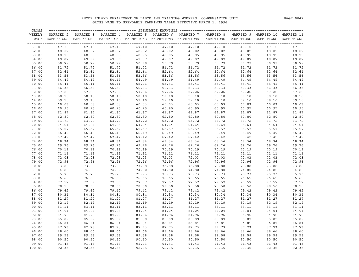### RHODE ISLAND DEPARTMENT OF LABOR AND TRAINING WORKERS' COMPENSATION UNIT PAGE 0042 GROSS WAGE TO SPENDABLE EARNINGS TABLE EFFECTIVE MARCH 1, 1996

| GROSS  |           |                                                                                                                    |           |           |           |           |           |       |                                 |       |
|--------|-----------|--------------------------------------------------------------------------------------------------------------------|-----------|-----------|-----------|-----------|-----------|-------|---------------------------------|-------|
| WEEKLY | MARRIED 2 | MARRIED 3                                                                                                          | MARRIED 4 | MARRIED 5 | MARRIED 6 | MARRIED 7 | MARRIED 8 |       | MARRIED 9 MARRIED 10 MARRIED 11 |       |
|        |           | WAGE EXEMPTIONS EXEMPTIONS EXEMPTIONS EXEMPTIONS EXEMPTIONS EXEMPTIONS EXEMPTIONS EXEMPTIONS EXEMPTIONS EXEMPTIONS |           |           |           |           |           |       |                                 |       |
| 51.00  | 47.10     | 47.10                                                                                                              | 47.10     | 47.10     | 47.10     | 47.10     | 47.10     | 47.10 | 47.10                           | 47.10 |
| 52.00  | 48.02     | 48.02                                                                                                              | 48.02     | 48.02     | 48.02     | 48.02     | 48.02     | 48.02 | 48.02                           | 48.02 |
| 53.00  | 48.95     | 48.95                                                                                                              | 48.95     | 48.95     | 48.95     | 48.95     | 48.95     | 48.95 | 48.95                           | 48.95 |
| 54.00  | 49.87     | 49.87                                                                                                              | 49.87     | 49.87     | 49.87     | 49.87     | 49.87     | 49.87 | 49.87                           | 49.87 |
| 55.00  | 50.79     | 50.79                                                                                                              | 50.79     | 50.79     | 50.79     | 50.79     | 50.79     | 50.79 | 50.79                           | 50.79 |
| 56.00  | 51.72     | 51.72                                                                                                              | 51.72     | 51.72     | 51.72     | 51.72     | 51.72     | 51.72 | 51.72                           | 51.72 |
| 57.00  | 52.64     | 52.64                                                                                                              | 52.64     | 52.64     | 52.64     | 52.64     | 52.64     | 52.64 | 52.64                           | 52.64 |
| 58.00  | 53.56     | 53.56                                                                                                              | 53.56     | 53.56     | 53.56     | 53.56     | 53.56     | 53.56 | 53.56                           | 53.56 |
| 59.00  | 54.49     | 54.49                                                                                                              | 54.49     | 54.49     | 54.49     | 54.49     | 54.49     | 54.49 | 54.49                           | 54.49 |
| 60.00  | 55.41     | 55.41                                                                                                              | 55.41     | 55.41     | 55.41     | 55.41     | 55.41     | 55.41 | 55.41                           | 55.41 |
| 61.00  | 56.33     | 56.33                                                                                                              | 56.33     | 56.33     | 56.33     | 56.33     | 56.33     | 56.33 | 56.33                           | 56.33 |
| 62.00  | 57.26     | 57.26                                                                                                              | 57.26     | 57.26     | 57.26     | 57.26     | 57.26     | 57.26 | 57.26                           | 57.26 |
| 63.00  | 58.18     | 58.18                                                                                                              | 58.18     | 58.18     | 58.18     | 58.18     | 58.18     | 58.18 | 58.18                           | 58.18 |
| 64.00  | 59.10     | 59.10                                                                                                              | 59.10     | 59.10     | 59.10     | 59.10     | 59.10     | 59.10 | 59.10                           | 59.10 |
| 65.00  | 60.03     | 60.03                                                                                                              | 60.03     | 60.03     | 60.03     | 60.03     | 60.03     | 60.03 | 60.03                           | 60.03 |
| 66.00  | 60.95     | 60.95                                                                                                              | 60.95     | 60.95     | 60.95     | 60.95     | 60.95     | 60.95 | 60.95                           | 60.95 |
| 67.00  | 61.87     | 61.87                                                                                                              | 61.87     | 61.87     | 61.87     | 61.87     | 61.87     | 61.87 | 61.87                           | 61.87 |
| 68.00  | 62.80     | 62.80                                                                                                              | 62.80     | 62.80     | 62.80     | 62.80     | 62.80     | 62.80 | 62.80                           | 62.80 |
| 69.00  | 63.72     | 63.72                                                                                                              | 63.72     | 63.72     | 63.72     | 63.72     | 63.72     | 63.72 | 63.72                           | 63.72 |
| 70.00  | 64.64     | 64.64                                                                                                              | 64.64     | 64.64     | 64.64     | 64.64     | 64.64     | 64.64 | 64.64                           | 64.64 |
| 71.00  | 65.57     | 65.57                                                                                                              | 65.57     | 65.57     | 65.57     | 65.57     | 65.57     | 65.57 | 65.57                           | 65.57 |
| 72.00  | 66.49     | 66.49                                                                                                              | 66.49     | 66.49     | 66.49     | 66.49     | 66.49     | 66.49 | 66.49                           | 66.49 |
| 73.00  | 67.42     | 67.42                                                                                                              | 67.42     | 67.42     | 67.42     | 67.42     | 67.42     | 67.42 | 67.42                           | 67.42 |
| 74.00  | 68.34     | 68.34                                                                                                              | 68.34     | 68.34     | 68.34     | 68.34     | 68.34     | 68.34 | 68.34                           | 68.34 |
| 75.00  | 69.26     | 69.26                                                                                                              | 69.26     | 69.26     | 69.26     | 69.26     | 69.26     | 69.26 | 69.26                           | 69.26 |
| 76.00  | 70.19     | 70.19                                                                                                              | 70.19     | 70.19     | 70.19     | 70.19     | 70.19     | 70.19 | 70.19                           | 70.19 |
| 77.00  | 71.11     | 71.11                                                                                                              | 71.11     | 71.11     | 71.11     | 71.11     | 71.11     | 71.11 | 71.11                           | 71.11 |
| 78.00  | 72.03     | 72.03                                                                                                              | 72.03     | 72.03     | 72.03     | 72.03     | 72.03     | 72.03 | 72.03                           | 72.03 |
| 79.00  | 72.96     | 72.96                                                                                                              | 72.96     | 72.96     | 72.96     | 72.96     | 72.96     | 72.96 | 72.96                           | 72.96 |
| 80.00  | 73.88     | 73.88                                                                                                              | 73.88     | 73.88     | 73.88     | 73.88     | 73.88     | 73.88 | 73.88                           | 73.88 |
| 81.00  | 74.80     | 74.80                                                                                                              | 74.80     | 74.80     | 74.80     | 74.80     | $74\,.80$ | 74.80 | 74.80                           | 74.80 |
| 82.00  | 75.73     | 75.73                                                                                                              | 75.73     | 75.73     | 75.73     | 75.73     | 75.73     | 75.73 | 75.73                           | 75.73 |
| 83.00  | 76.65     | 76.65                                                                                                              | 76.65     | 76.65     | 76.65     | 76.65     | 76.65     | 76.65 | 76.65                           | 76.65 |
| 84.00  | 77.57     | 77.57                                                                                                              | 77.57     | 77.57     | 77.57     | 77.57     | 77.57     | 77.57 | 77.57                           | 77.57 |
| 85.00  | 78.50     | 78.50                                                                                                              | 78.50     | 78.50     | 78.50     | 78.50     | 78.50     | 78.50 | 78.50                           | 78.50 |
| 86.00  | 79.42     | 79.42                                                                                                              | 79.42     | 79.42     | 79.42     | 79.42     | 79.42     | 79.42 | 79.42                           | 79.42 |
| 87.00  | 80.34     | 80.34                                                                                                              | 80.34     | 80.34     | 80.34     | 80.34     | 80.34     | 80.34 | 80.34                           | 80.34 |
| 88.00  | 81.27     | 81.27                                                                                                              | 81.27     | 81.27     | 81.27     | 81.27     | 81.27     | 81.27 | 81.27                           | 81.27 |
| 89.00  | 82.19     | 82.19                                                                                                              | 82.19     | 82.19     | 82.19     | 82.19     | 82.19     | 82.19 | 82.19                           | 82.19 |
| 90.00  | 83.11     | 83.11                                                                                                              | 83.11     | 83.11     | 83.11     | 83.11     | 83.11     | 83.11 | 83.11                           | 83.11 |
| 91.00  | 84.04     | 84.04                                                                                                              | 84.04     | 84.04     | 84.04     | 84.04     | 84.04     | 84.04 | 84.04                           | 84.04 |
| 92.00  | 84.96     | 84.96                                                                                                              | 84.96     | 84.96     | 84.96     | 84.96     | 84.96     | 84.96 | 84.96                           | 84.96 |
| 93.00  | 85.89     | 85.89                                                                                                              | 85.89     | 85.89     | 85.89     | 85.89     | 85.89     | 85.89 | 85.89                           | 85.89 |
| 94.00  | 86.81     | 86.81                                                                                                              | 86.81     | 86.81     | 86.81     | 86.81     | 86.81     | 86.81 | 86.81                           | 86.81 |
| 95.00  | 87.73     | 87.73                                                                                                              | 87.73     | 87.73     | 87.73     | 87.73     | 87.73     | 87.73 | 87.73                           | 87.73 |
| 96.00  | 88.66     | 88.66                                                                                                              | 88.66     | 88.66     | 88.66     | 88.66     | 88.66     | 88.66 | 88.66                           | 88.66 |
| 97.00  | 89.58     | 89.58                                                                                                              | 89.58     | 89.58     | 89.58     | 89.58     | 89.58     | 89.58 | 89.58                           | 89.58 |
| 98.00  | 90.50     | 90.50                                                                                                              | 90.50     | 90.50     | 90.50     | 90.50     | 90.50     | 90.50 | 90.50                           | 90.50 |
| 99.00  | 91.43     | 91.43                                                                                                              | 91.43     | 91.43     | 91.43     | 91.43     | 91.43     | 91.43 | 91.43                           | 91.43 |
| 100.00 | 92.35     | 92.35                                                                                                              | 92.35     | 92.35     | 92.35     | 92.35     | 92.35     | 92.35 | 92.35                           | 92.35 |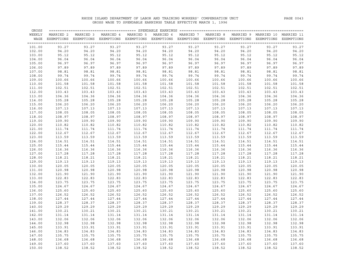### RHODE ISLAND DEPARTMENT OF LABOR AND TRAINING WORKERS' COMPENSATION UNIT PAGE 0043 GROSS WAGE TO SPENDABLE EARNINGS TABLE EFFECTIVE MARCH 1, 1996

| GROSS  |           |                                                                                                               |           |           |           |           |           |        |                                 |        |
|--------|-----------|---------------------------------------------------------------------------------------------------------------|-----------|-----------|-----------|-----------|-----------|--------|---------------------------------|--------|
| WEEKLY | MARRIED 2 | MARRIED 3                                                                                                     | MARRIED 4 | MARRIED 5 | MARRIED 6 | MARRIED 7 | MARRIED 8 |        | MARRIED 9 MARRIED 10 MARRIED 11 |        |
| WAGE   |           | EXEMPTIONS EXEMPTIONS EXEMPTIONS EXEMPTIONS EXEMPTIONS EXEMPTIONS EXEMPTIONS EXEMPTIONS EXEMPTIONS EXEMPTIONS |           |           |           |           |           |        |                                 |        |
|        |           |                                                                                                               |           |           |           |           |           |        |                                 |        |
| 101.00 | 93.27     | 93.27                                                                                                         | 93.27     | 93.27     | 93.27     | 93.27     | 93.27     | 93.27  | 93.27                           | 93.27  |
| 102.00 | 94.20     | 94.20                                                                                                         | 94.20     | 94.20     | 94.20     | 94.20     | 94.20     | 94.20  | 94.20                           | 94.20  |
| 103.00 | 95.12     | 95.12                                                                                                         | 95.12     | 95.12     | 95.12     | 95.12     | 95.12     | 95.12  | 95.12                           | 95.12  |
| 104.00 | 96.04     | 96.04                                                                                                         | 96.04     | 96.04     | 96.04     | 96.04     | 96.04     | 96.04  | 96.04                           | 96.04  |
| 105.00 | 96.97     | 96.97                                                                                                         | 96.97     | 96.97     | 96.97     | 96.97     | 96.97     | 96.97  | 96.97                           | 96.97  |
| 106.00 | 97.89     | 97.89                                                                                                         | 97.89     | 97.89     | 97.89     | 97.89     | 97.89     | 97.89  | 97.89                           | 97.89  |
| 107.00 | 98.81     | 98.81                                                                                                         | 98.81     | 98.81     | 98.81     | 98.81     | 98.81     | 98.81  | 98.81                           | 98.81  |
| 108.00 | 99.74     | 99.74                                                                                                         | 99.74     | 99.74     | 99.74     | 99.74     | 99.74     | 99.74  | 99.74                           | 99.74  |
| 109.00 | 100.66    | 100.66                                                                                                        | 100.66    | 100.66    | 100.66    | 100.66    | 100.66    | 100.66 | 100.66                          | 100.66 |
| 110.00 | 101.58    | 101.58                                                                                                        | 101.58    | 101.58    | 101.58    | 101.58    | 101.58    | 101.58 | 101.58                          | 101.58 |
| 111.00 | 102.51    | 102.51                                                                                                        | 102.51    | 102.51    | 102.51    | 102.51    | 102.51    | 102.51 | 102.51                          | 102.51 |
| 112.00 | 103.43    | 103.43                                                                                                        | 103.43    | 103.43    | 103.43    | 103.43    | 103.43    | 103.43 | 103.43                          | 103.43 |
| 113.00 | 104.36    | 104.36                                                                                                        | 104.36    | 104.36    | 104.36    | 104.36    | 104.36    | 104.36 | 104.36                          | 104.36 |
| 114.00 | 105.28    | 105.28                                                                                                        | 105.28    | 105.28    | 105.28    | 105.28    | 105.28    | 105.28 | 105.28                          | 105.28 |
| 115.00 | 106.20    | 106.20                                                                                                        | 106.20    | 106.20    | 106.20    | 106.20    | 106.20    | 106.20 | 106.20                          | 106.20 |
| 116.00 | 107.13    | 107.13                                                                                                        | 107.13    | 107.13    | 107.13    | 107.13    | 107.13    | 107.13 | 107.13                          | 107.13 |
| 117.00 | 108.05    | 108.05                                                                                                        | 108.05    | 108.05    | 108.05    | 108.05    | 108.05    | 108.05 | 108.05                          | 108.05 |
| 118.00 | 108.97    | 108.97                                                                                                        | 108.97    | 108.97    | 108.97    | 108.97    | 108.97    | 108.97 | 108.97                          | 108.97 |
| 119.00 | 109.90    | 109.90                                                                                                        | 109.90    | 109.90    | 109.90    | 109.90    | 109.90    | 109.90 | 109.90                          | 109.90 |
| 120.00 | 110.82    | 110.82                                                                                                        | 110.82    | 110.82    | 110.82    | 110.82    | 110.82    | 110.82 | 110.82                          | 110.82 |
| 121.00 | 111.74    | 111.74                                                                                                        | 111.74    | 111.74    | 111.74    | 111.74    | 111.74    | 111.74 | 111.74                          | 111.74 |
| 122.00 | 112.67    | 112.67                                                                                                        | 112.67    | 112.67    | 112.67    | 112.67    | 112.67    | 112.67 | 112.67                          | 112.67 |
| 123.00 | 113.59    | 113.59                                                                                                        | 113.59    | 113.59    | 113.59    | 113.59    | 113.59    | 113.59 | 113.59                          | 113.59 |
| 124.00 | 114.51    | 114.51                                                                                                        | 114.51    | 114.51    | 114.51    | 114.51    | 114.51    | 114.51 | 114.51                          | 114.51 |
| 125.00 | 115.44    | 115.44                                                                                                        | 115.44    | 115.44    | 115.44    | 115.44    | 115.44    | 115.44 | 115.44                          | 115.44 |
| 126.00 | 116.36    | 116.36                                                                                                        | 116.36    | 116.36    | 116.36    | 116.36    | 116.36    | 116.36 | 116.36                          | 116.36 |
| 127.00 | 117.28    | 117.28                                                                                                        | 117.28    | 117.28    | 117.28    | 117.28    | 117.28    | 117.28 | 117.28                          | 117.28 |
| 128.00 | 118.21    | 118.21                                                                                                        | 118.21    | 118.21    | 118.21    | 118.21    | 118.21    | 118.21 | 118.21                          | 118.21 |
| 129.00 | 119.13    | 119.13                                                                                                        | 119.13    | 119.13    | 119.13    | 119.13    | 119.13    | 119.13 | 119.13                          | 119.13 |
| 130.00 | 120.05    | 120.05                                                                                                        | 120.05    | 120.05    | 120.05    | 120.05    | 120.05    | 120.05 | 120.05                          | 120.05 |
| 131.00 | 120.98    | 120.98                                                                                                        | 120.98    | 120.98    | 120.98    | 120.98    | 120.98    | 120.98 | 120.98                          | 120.98 |
| 132.00 | 121.90    | 121.90                                                                                                        | 121.90    | 121.90    | 121.90    | 121.90    | 121.90    | 121.90 | 121.90                          | 121.90 |
| 133.00 | 122.83    | 122.83                                                                                                        | 122.83    | 122.83    | 122.83    | 122.83    | 122.83    | 122.83 | 122.83                          | 122.83 |
| 134.00 | 123.75    | 123.75                                                                                                        | 123.75    | 123.75    | 123.75    | 123.75    | 123.75    | 123.75 | 123.75                          | 123.75 |
| 135.00 | 124.67    | 124.67                                                                                                        | 124.67    | 124.67    | 124.67    | 124.67    | 124.67    | 124.67 | 124.67                          | 124.67 |
| 136.00 | 125.60    | 125.60                                                                                                        | 125.60    | 125.60    | 125.60    | 125.60    | 125.60    | 125.60 | 125.60                          | 125.60 |
| 137.00 | 126.52    | 126.52                                                                                                        | 126.52    | 126.52    | 126.52    | 126.52    | 126.52    | 126.52 | 126.52                          | 126.52 |
| 138.00 | 127.44    | 127.44                                                                                                        | 127.44    | 127.44    | 127.44    | 127.44    | 127.44    | 127.44 | 127.44                          | 127.44 |
| 139.00 | 128.37    | 128.37                                                                                                        | 128.37    | 128.37    | 128.37    | 128.37    | 128.37    | 128.37 | 128.37                          | 128.37 |
| 140.00 | 129.29    | 129.29                                                                                                        | 129.29    | 129.29    | 129.29    | 129.29    | 129.29    | 129.29 | 129.29                          | 129.29 |
| 141.00 | 130.21    | 130.21                                                                                                        | 130.21    | 130.21    | 130.21    | 130.21    | 130.21    | 130.21 | 130.21                          | 130.21 |
| 142.00 | 131.14    | 131.14                                                                                                        | 131.14    | 131.14    | 131.14    | 131.14    | 131.14    | 131.14 | 131.14                          | 131.14 |
| 143.00 | 132.06    | 132.06                                                                                                        | 132.06    | 132.06    | 132.06    | 132.06    | 132.06    | 132.06 | 132.06                          | 132.06 |
| 144.00 | 132.98    | 132.98                                                                                                        | 132.98    | 132.98    | 132.98    | 132.98    | 132.98    | 132.98 | 132.98                          | 132.98 |
| 145.00 | 133.91    | 133.91                                                                                                        | 133.91    | 133.91    | 133.91    | 133.91    | 133.91    | 133.91 | 133.91                          | 133.91 |
| 146.00 | 134.83    | 134.83                                                                                                        | 134.83    | 134.83    | 134.83    | 134.83    | 134.83    | 134.83 | 134.83                          | 134.83 |
| 147.00 | 135.75    | 135.75                                                                                                        | 135.75    | 135.75    | 135.75    | 135.75    | 135.75    | 135.75 | 135.75                          | 135.75 |
| 148.00 | 136.68    | 136.68                                                                                                        | 136.68    | 136.68    | 136.68    | 136.68    | 136.68    | 136.68 | 136.68                          | 136.68 |
| 149.00 | 137.60    | 137.60                                                                                                        | 137.60    | 137.60    | 137.60    | 137.60    | 137.60    | 137.60 | 137.60                          | 137.60 |
| 150.00 | 138.52    | 138.52                                                                                                        | 138.52    | 138.52    | 138.52    | 138.52    | 138.52    | 138.52 | 138.52                          | 138.52 |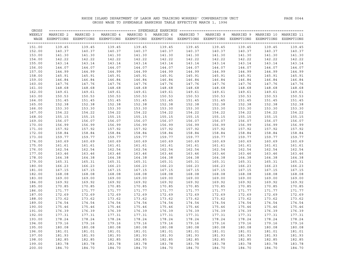### RHODE ISLAND DEPARTMENT OF LABOR AND TRAINING WORKERS' COMPENSATION UNIT PAGE 0044 GROSS WAGE TO SPENDABLE EARNINGS TABLE EFFECTIVE MARCH 1, 1996

| GROSS  |           |                                                                                                                    |           |           |           |           |           |        |                                 |        |
|--------|-----------|--------------------------------------------------------------------------------------------------------------------|-----------|-----------|-----------|-----------|-----------|--------|---------------------------------|--------|
| WEEKLY | MARRIED 2 | MARRIED 3                                                                                                          | MARRIED 4 | MARRIED 5 | MARRIED 6 | MARRIED 7 | MARRIED 8 |        | MARRIED 9 MARRIED 10 MARRIED 11 |        |
|        |           | WAGE EXEMPTIONS EXEMPTIONS EXEMPTIONS EXEMPTIONS EXEMPTIONS EXEMPTIONS EXEMPTIONS EXEMPTIONS EXEMPTIONS EXEMPTIONS |           |           |           |           |           |        |                                 |        |
| 151.00 | 139.45    | 139.45                                                                                                             | 139.45    | 139.45    | 139.45    | 139.45    | 139.45    | 139.45 | 139.45                          | 139.45 |
| 152.00 | 140.37    | 140.37                                                                                                             | 140.37    | 140.37    | 140.37    | 140.37    | 140.37    | 140.37 | 140.37                          | 140.37 |
| 153.00 | 141.30    | 141.30                                                                                                             | 141.30    | 141.30    | 141.30    | 141.30    | 141.30    | 141.30 | 141.30                          | 141.30 |
| 154.00 | 142.22    | 142.22                                                                                                             | 142.22    | 142.22    | 142.22    | 142.22    | 142.22    | 142.22 | 142.22                          | 142.22 |
| 155.00 | 143.14    | 143.14                                                                                                             | 143.14    | 143.14    | 143.14    | 143.14    | 143.14    | 143.14 | 143.14                          | 143.14 |
| 156.00 | 144.07    | 144.07                                                                                                             | 144.07    | 144.07    | 144.07    | 144.07    | 144.07    | 144.07 | 144.07                          | 144.07 |
| 157.00 | 144.99    | 144.99                                                                                                             | 144.99    | 144.99    | 144.99    | 144.99    | 144.99    | 144.99 | 144.99                          | 144.99 |
| 158.00 | 145.91    | 145.91                                                                                                             | 145.91    | 145.91    | 145.91    | 145.91    | 145.91    | 145.91 | 145.91                          | 145.91 |
| 159.00 | 146.84    | 146.84                                                                                                             | 146.84    | 146.84    | 146.84    | 146.84    | 146.84    | 146.84 | 146.84                          | 146.84 |
| 160.00 | 147.76    | 147.76                                                                                                             | 147.76    | 147.76    | 147.76    | 147.76    | 147.76    | 147.76 | 147.76                          | 147.76 |
| 161.00 | 148.68    | 148.68                                                                                                             | 148.68    | 148.68    | 148.68    | 148.68    | 148.68    | 148.68 | 148.68                          | 148.68 |
| 162.00 | 149.61    | 149.61                                                                                                             | 149.61    | 149.61    | 149.61    | 149.61    | 149.61    | 149.61 | 149.61                          | 149.61 |
| 163.00 | 150.53    | 150.53                                                                                                             | 150.53    | 150.53    | 150.53    | 150.53    | 150.53    | 150.53 | 150.53                          | 150.53 |
| 164.00 | 151.45    | 151.45                                                                                                             | 151.45    | 151.45    | 151.45    | 151.45    | 151.45    | 151.45 | 151.45                          | 151.45 |
| 165.00 | 152.38    | 152.38                                                                                                             | 152.38    | 152.38    | 152.38    | 152.38    | 152.38    | 152.38 | 152.38                          | 152.38 |
| 166.00 | 153.30    | 153.30                                                                                                             | 153.30    | 153.30    | 153.30    | 153.30    | 153.30    | 153.30 | 153.30                          | 153.30 |
| 167.00 | 154.22    | 154.22                                                                                                             | 154.22    | 154.22    | 154.22    | 154.22    | 154.22    | 154.22 | 154.22                          | 154.22 |
| 168.00 | 155.15    | 155.15                                                                                                             | 155.15    | 155.15    | 155.15    | 155.15    | 155.15    | 155.15 | 155.15                          | 155.15 |
| 169.00 | 156.07    | 156.07                                                                                                             | 156.07    | 156.07    | 156.07    | 156.07    | 156.07    | 156.07 | 156.07                          | 156.07 |
| 170.00 | 156.99    | 156.99                                                                                                             | 156.99    | 156.99    | 156.99    | 156.99    | 156.99    | 156.99 | 156.99                          | 156.99 |
| 171.00 | 157.92    | 157.92                                                                                                             | 157.92    | 157.92    | 157.92    | 157.92    | 157.92    | 157.92 | 157.92                          | 157.92 |
| 172.00 | 158.84    | 158.84                                                                                                             | 158.84    | 158.84    | 158.84    | 158.84    | 158.84    | 158.84 | 158.84                          | 158.84 |
| 173.00 | 159.77    | 159.77                                                                                                             | 159.77    | 159.77    | 159.77    | 159.77    | 159.77    | 159.77 | 159.77                          | 159.77 |
| 174.00 | 160.69    | 160.69                                                                                                             | 160.69    | 160.69    | 160.69    | 160.69    | 160.69    | 160.69 | 160.69                          | 160.69 |
| 175.00 | 161.61    | 161.61                                                                                                             | 161.61    | 161.61    | 161.61    | 161.61    | 161.61    | 161.61 | 161.61                          | 161.61 |
| 176.00 | 162.54    | 162.54                                                                                                             | 162.54    | 162.54    | 162.54    | 162.54    | 162.54    | 162.54 | 162.54                          | 162.54 |
| 177.00 | 163.46    | 163.46                                                                                                             | 163.46    | 163.46    | 163.46    | 163.46    | 163.46    | 163.46 | 163.46                          | 163.46 |
| 178.00 | 164.38    | 164.38                                                                                                             | 164.38    | 164.38    | 164.38    | 164.38    | 164.38    | 164.38 | 164.38                          | 164.38 |
| 179.00 | 165.31    | 165.31                                                                                                             | 165.31    | 165.31    | 165.31    | 165.31    | 165.31    | 165.31 | 165.31                          | 165.31 |
| 180.00 | 166.23    | 166.23                                                                                                             | 166.23    | 166.23    | 166.23    | 166.23    | 166.23    | 166.23 | 166.23                          | 166.23 |
| 181.00 | 167.15    | 167.15                                                                                                             | 167.15    | 167.15    | 167.15    | 167.15    | 167.15    | 167.15 | 167.15                          | 167.15 |
| 182.00 | 168.08    | 168.08                                                                                                             | 168.08    | 168.08    | 168.08    | 168.08    | 168.08    | 168.08 | 168.08                          | 168.08 |
| 183.00 | 169.00    | 169.00                                                                                                             | 169.00    | 169.00    | 169.00    | 169.00    | 169.00    | 169.00 | 169.00                          | 169.00 |
| 184.00 | 169.92    | 169.92                                                                                                             | 169.92    | 169.92    | 169.92    | 169.92    | 169.92    | 169.92 | 169.92                          | 169.92 |
| 185.00 | 170.85    | 170.85                                                                                                             | 170.85    | 170.85    | 170.85    | 170.85    | 170.85    | 170.85 | 170.85                          | 170.85 |
| 186.00 | 171.77    | 171.77                                                                                                             | 171.77    | 171.77    | 171.77    | 171.77    | 171.77    | 171.77 | 171.77                          | 171.77 |
| 187.00 | 172.69    | 172.69                                                                                                             | 172.69    | 172.69    | 172.69    | 172.69    | 172.69    | 172.69 | 172.69                          | 172.69 |
| 188.00 | 173.62    | 173.62                                                                                                             | 173.62    | 173.62    | 173.62    | 173.62    | 173.62    | 173.62 | 173.62                          | 173.62 |
| 189.00 | 174.54    | 174.54                                                                                                             | 174.54    | 174.54    | 174.54    | 174.54    | 174.54    | 174.54 | 174.54                          | 174.54 |
| 190.00 | 175.46    | 175.46                                                                                                             | 175.46    | 175.46    | 175.46    | 175.46    | 175.46    | 175.46 | 175.46                          | 175.46 |
| 191.00 | 176.39    | 176.39                                                                                                             | 176.39    | 176.39    | 176.39    | 176.39    | 176.39    | 176.39 | 176.39                          | 176.39 |
| 192.00 | 177.31    | 177.31                                                                                                             | 177.31    | 177.31    | 177.31    | 177.31    | 177.31    | 177.31 | 177.31                          | 177.31 |
| 193.00 | 178.24    | 178.24                                                                                                             | 178.24    | 178.24    | 178.24    | 178.24    | 178.24    | 178.24 | 178.24                          | 178.24 |
| 194.00 | 179.16    | 179.16                                                                                                             | 179.16    | 179.16    | 179.16    | 179.16    | 179.16    | 179.16 | 179.16                          | 179.16 |
| 195.00 | 180.08    | 180.08                                                                                                             | 180.08    | 180.08    | 180.08    | 180.08    | 180.08    | 180.08 | 180.08                          | 180.08 |
| 196.00 | 181.01    | 181.01                                                                                                             | 181.01    | 181.01    | 181.01    | 181.01    | 181.01    | 181.01 | 181.01                          | 181.01 |
| 197.00 | 181.93    | 181.93                                                                                                             | 181.93    | 181.93    | 181.93    | 181.93    | 181.93    | 181.93 | 181.93                          | 181.93 |
| 198.00 | 182.85    | 182.85                                                                                                             | 182.85    | 182.85    | 182.85    | 182.85    | 182.85    | 182.85 | 182.85                          | 182.85 |
| 199.00 | 183.78    | 183.78                                                                                                             | 183.78    | 183.78    | 183.78    | 183.78    | 183.78    | 183.78 | 183.78                          | 183.78 |
| 200.00 | 184.70    | 184.70                                                                                                             | 184.70    | 184.70    | 184.70    | 184.70    | 184.70    | 184.70 | 184.70                          | 184.70 |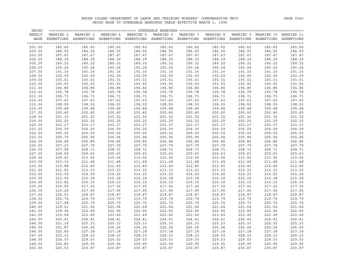# RHODE ISLAND DEPARTMENT OF LABOR AND TRAINING WORKERS' COMPENSATION UNIT PAGE 0045 GROSS WAGE TO SPENDABLE EARNINGS TABLE EFFECTIVE MARCH 1, 1996

| GROSS  |                  |                                                                                                                    |                  |                  |           |                  |                  |                  |                                 |                  |
|--------|------------------|--------------------------------------------------------------------------------------------------------------------|------------------|------------------|-----------|------------------|------------------|------------------|---------------------------------|------------------|
| WEEKLY | MARRIED 2        | MARRIED 3                                                                                                          | MARRIED 4        | MARRIED 5        | MARRIED 6 | MARRIED 7        | MARRIED 8        |                  | MARRIED 9 MARRIED 10 MARRIED 11 |                  |
|        |                  | WAGE EXEMPTIONS EXEMPTIONS EXEMPTIONS EXEMPTIONS EXEMPTIONS EXEMPTIONS EXEMPTIONS EXEMPTIONS EXEMPTIONS EXEMPTIONS |                  |                  |           |                  |                  |                  |                                 |                  |
|        |                  |                                                                                                                    |                  |                  |           |                  |                  |                  |                                 |                  |
| 201.00 | 185.62           | 185.62                                                                                                             | 185.62           | 185.62           | 185.62    | 185.62           | 185.62           | 185.62           | 185.62                          | 185.62           |
| 202.00 | 186.55           | 186.55                                                                                                             | 186.55           | 186.55           | 186.55    | 186.55           | 186.55           | 186.55           | 186.55                          | 186.55           |
| 203.00 | 187.47           | 187.47                                                                                                             | 187.47           | 187.47           | 187.47    | 187.47           | 187.47           | 187.47           | 187.47                          | 187.47           |
| 204.00 | 188.39           | 188.39                                                                                                             | 188.39           | 188.39           | 188.39    | 188.39           | 188.39           | 188.39           | 188.39                          | 188.39           |
| 205.00 | 189.32           | 189.32                                                                                                             | 189.32           | 189.32           | 189.32    | 189.32           | 189.32           | 189.32           | 189.32                          | 189.32           |
| 206.00 | 190.24           | 190.24                                                                                                             | 190.24           | 190.24           | 190.24    | 190.24           | 190.24           | 190.24           | 190.24                          | 190.24           |
| 207.00 | 191.16           | 191.16                                                                                                             | 191.16           | 191.16           | 191.16    | 191.16           | 191.16           | 191.16           | 191.16                          | 191.16           |
| 208.00 | 192.09           | 192.09                                                                                                             | 192.09           | 192.09           | 192.09    | 192.09           | 192.09           | 192.09           | 192.09                          | 192.09           |
| 209.00 | 193.01           | 193.01                                                                                                             | 193.01           | 193.01           | 193.01    | 193.01           | 193.01           | 193.01           | 193.01                          | 193.01           |
| 210.00 | 193.93           | 193.93                                                                                                             | 193.93           | 193.93           | 193.93    | 193.93           | 193.93           | 193.93           | 193.93                          | 193.93           |
| 211.00 | 194.86           | 194.86                                                                                                             | 194.86           | 194.86           | 194.86    | 194.86           | 194.86           | 194.86           | 194.86                          | 194.86           |
| 212.00 | 195.78           | 195.78                                                                                                             | 195.78           | 195.78           | 195.78    | 195.78           | 195.78           | 195.78           | 195.78                          | 195.78           |
| 213.00 | 196.71           | 196.71                                                                                                             | 196.71           | 196.71           | 196.71    | 196.71           | 196.71           | 196.71           | 196.71                          | 196.71           |
| 214.00 | 197.63           | 197.63                                                                                                             | 197.63           | 197.63           | 197.63    | 197.63           | 197.63           | 197.63           | 197.63                          | 197.63           |
| 215.00 | 198.55           | 198.55                                                                                                             | 198.55           | 198.55           | 198.55    | 198.55           | 198.55           | 198.55           | 198.55                          | 198.55           |
| 216.00 | 199.48           | 199.48                                                                                                             | 199.48           | 199.48           | 199.48    | 199.48           | 199.48           | 199.48           | 199.48                          | 199.48           |
| 217.00 | 200.40           | 200.40                                                                                                             | 200.40           | 200.40           | 200.40    | 200.40           | 200.40           | 200.40           | 200.40                          | 200.40           |
| 218.00 | 201.32           | 201.32                                                                                                             | 201.32           | 201.32           | 201.32    | 201.32           | 201.32           | 201.32           | 201.32                          | 201.32           |
| 219.00 | 202.25           | 202.25                                                                                                             | 202.25           | 202.25           | 202.25    | 202.25           | 202.25           | 202.25           | 202.25                          | 202.25           |
| 220.00 | 203.17           | 203.17                                                                                                             | 203.17           | 203.17           | 203.17    | 203.17           | 203.17           | 203.17           | 203.17                          | 203.17           |
| 221.00 | 204.09           | 204.09                                                                                                             | 204.09           | 204.09           | 204.09    | 204.09           | 204.09           | 204.09           | 204.09                          | 204.09           |
| 222.00 | 205.02           | 205.02                                                                                                             | 205.02           | 205.02           | 205.02    | 205.02           | 205.02           | 205.02           | 205.02                          | 205.02           |
| 223.00 | 205.76           | 205.94                                                                                                             | 205.94           | 205.94           | 205.94    | 205.94           | 205.94           | 205.94           | 205.94                          | 205.94           |
| 224.00 | 206.49           | 206.86                                                                                                             | 206.86           | 206.86           | 206.86    | 206.86           | 206.86           | 206.86           | 206.86                          | 206.86           |
| 225.00 | 207.23           | 207.79                                                                                                             | 207.79           | 207.79           | 207.79    | 207.79           | 207.79           | 207.79           | 207.79                          | 207.79           |
|        |                  |                                                                                                                    | 208.71           |                  |           |                  | 208.71           |                  |                                 | 208.71           |
| 226.00 | 207.96           | 208.71                                                                                                             |                  | 208.71<br>209.63 | 208.71    | 208.71           |                  | 208.71           | 208.71                          |                  |
| 227.00 | 208.69<br>209.43 | 209.63                                                                                                             | 209.63<br>210.56 | 210.56           | 209.63    | 209.63<br>210.56 | 209.63<br>210.56 | 209.63<br>210.56 | 209.63                          | 209.63<br>210.56 |
| 228.00 |                  | 210.56                                                                                                             |                  |                  | 210.56    |                  |                  |                  | 210.56                          |                  |
| 229.00 | 210.15           | 211.48                                                                                                             | 211.48           | 211.48           | 211.48    | 211.48           | 211.48           | 211.48           | 211.48                          | 211.48           |
| 230.00 | 210.88           | 212.40                                                                                                             | 212.40           | 212.40           | 212.40    | 212.40           | 212.40           | 212.40           | 212.40                          | 212.40           |
| 231.00 | 211.62           | 213.33                                                                                                             | 213.33           | 213.33           | 213.33    | 213.33           | 213.33           | 213.33           | 213.33                          | 213.33           |
| 232.00 | 212.35           | 214.25                                                                                                             | 214.25           | 214.25           | 214.25    | 214.25           | 214.25           | 214.25           | 214.25                          | 214.25           |
| 233.00 | 213.09           | 215.18                                                                                                             | 215.18           | 215.18           | 215.18    | 215.18           | 215.18           | 215.18           | 215.18                          | 215.18           |
| 234.00 | 213.82           | 216.10                                                                                                             | 216.10           | 216.10           | 216.10    | 216.10           | 216.10           | 216.10           | 216.10                          | 216.10           |
| 235.00 | 214.55           | 217.02                                                                                                             | 217.02           | 217.02           | 217.02    | 217.02           | 217.02           | 217.02           | 217.02                          | 217.02           |
| 236.00 | 215.29           | 217.95                                                                                                             | 217.95           | 217.95           | 217.95    | 217.95           | 217.95           | 217.95           | 217.95                          | 217.95           |
| 237.00 | 216.01           | 218.87                                                                                                             | 218.87           | 218.87           | 218.87    | 218.87           | 218.87           | 218.87           | 218.87                          | 218.87           |
| 238.00 | 216.74           | 219.79                                                                                                             | 219.79           | 219.79           | 219.79    | 219.79           | 219.79           | 219.79           | 219.79                          | 219.79           |
| 239.00 | 217.48           | 220.72                                                                                                             | 220.72           | 220.72           | 220.72    | 220.72           | 220.72           | 220.72           | 220.72                          | 220.72           |
| 240.00 | 218.21           | 221.64                                                                                                             | 221.64           | 221.64           | 221.64    | 221.64           | 221.64           | 221.64           | 221.64                          | 221.64           |
| 241.00 | 218.94           | 222.56                                                                                                             | 222.56           | 222.56           | 222.56    | 222.56           | 222.56           | 222.56           | 222.56                          | 222.56           |
| 242.00 | 219.68           | 223.49                                                                                                             | 223.49           | 223.49           | 223.49    | 223.49           | 223.49           | 223.49           | 223.49                          | 223.49           |
| 243.00 | 220.41           | 224.41                                                                                                             | 224.41           | 224.41           | 224.41    | 224.41           | 224.41           | 224.41           | 224.41                          | 224.41           |
| 244.00 | 221.14           | 225.33                                                                                                             | 225.33           | 225.33           | 225.33    | 225.33           | 225.33           | 225.33           | 225.33                          | 225.33           |
| 245.00 | 221.87           | 226.26                                                                                                             | 226.26           | 226.26           | 226.26    | 226.26           | 226.26           | 226.26           | 226.26                          | 226.26           |
| 246.00 | 222.60           | 227.18                                                                                                             | 227.18           | 227.18           | 227.18    | 227.18           | 227.18           | 227.18           | 227.18                          | 227.18           |
| 247.00 | 223.33           | 228.10                                                                                                             | 228.10           | 228.10           | 228.10    | 228.10           | 228.10           | 228.10           | 228.10                          | 228.10           |
| 248.00 | 224.07           | 229.03                                                                                                             | 229.03           | 229.03           | 229.03    | 229.03           | 229.03           | 229.03           | 229.03                          | 229.03           |
| 249.00 | 224.80           | 229.95                                                                                                             | 229.95           | 229.95           | 229.95    | 229.95           | 229.95           | 229.95           | 229.95                          | 229.95           |
| 250.00 | 225.53           | 230.87                                                                                                             | 230.87           | 230.87           | 230.87    | 230.87           | 230.87           | 230.87           | 230.87                          | 230.87           |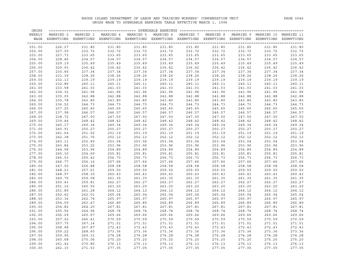# RHODE ISLAND DEPARTMENT OF LABOR AND TRAINING WORKERS' COMPENSATION UNIT PAGE 0046 GROSS WAGE TO SPENDABLE EARNINGS TABLE EFFECTIVE MARCH 1, 1996

| GROSS            |           |           |           |           |           |           |           |        |                                                                                                                    |        |
|------------------|-----------|-----------|-----------|-----------|-----------|-----------|-----------|--------|--------------------------------------------------------------------------------------------------------------------|--------|
| WEEKLY           | MARRIED 2 | MARRIED 3 | MARRIED 4 | MARRIED 5 | MARRIED 6 | MARRIED 7 | MARRIED 8 |        | MARRIED 9 MARRIED 10 MARRIED 11                                                                                    |        |
|                  |           |           |           |           |           |           |           |        | WAGE EXEMPTIONS EXEMPTIONS EXEMPTIONS EXEMPTIONS EXEMPTIONS EXEMPTIONS EXEMPTIONS EXEMPTIONS EXEMPTIONS EXEMPTIONS |        |
|                  |           |           |           |           |           |           |           |        |                                                                                                                    |        |
| 251.00           | 226.27    | 231.80    | 231.80    | 231.80    | 231.80    | 231.80    | 231.80    | 231.80 | 231.80                                                                                                             | 231.80 |
| 252.00           | 227.00    | 232.72    | 232.72    | 232.72    | 232.72    | 232.72    | 232.72    | 232.72 | 232.72                                                                                                             | 232.72 |
| 253.00           | 227.73    | 233.65    | 233.65    | 233.65    | 233.65    | 233.65    | 233.65    | 233.65 | 233.65                                                                                                             | 233.65 |
| 254.00           | 228.46    | 234.57    | 234.57    | 234.57    | 234.57    | 234.57    | 234.57    | 234.57 | 234.57                                                                                                             | 234.57 |
| 255.00           | 229.19    | 235.49    | 235.49    | 235.49    | 235.49    | 235.49    | 235.49    | 235.49 | 235.49                                                                                                             | 235.49 |
| 256.00           | 229.93    | 236.42    | 236.42    | 236.42    | 236.42    | 236.42    | 236.42    | 236.42 | 236.42                                                                                                             | 236.42 |
| 257.00           | 230.66    | 237.34    | 237.34    | 237.34    | 237.34    | 237.34    | 237.34    | 237.34 | 237.34                                                                                                             | 237.34 |
| 258.00           | 231.39    | 238.26    | 238.26    | 238.26    | 238.26    | 238.26    | 238.26    | 238.26 | 238.26                                                                                                             | 238.26 |
| 259.00           | 232.13    | 239.19    | 239.19    | 239.19    | 239.19    | 239.19    | 239.19    | 239.19 | 239.19                                                                                                             | 239.19 |
| 260.00           | 232.86    | 240.11    | 240.11    | 240.11    | 240.11    | 240.11    | 240.11    | 240.11 | 240.11                                                                                                             | 240.11 |
| 261.00           | 233.58    | 241.03    | 241.03    | 241.03    | 241.03    | 241.03    | 241.03    | 241.03 | 241.03                                                                                                             | 241.03 |
| 262.00           | 234.32    | 241.96    | 241.96    | 241.96    | 241.96    | 241.96    | 241.96    | 241.96 | 241.96                                                                                                             | 241.96 |
| 263.00           | 235.05    | 242.88    | 242.88    | 242.88    | 242.88    | 242.88    | 242.88    | 242.88 | 242.88                                                                                                             | 242.88 |
| 264.00           | 235.78    | 243.80    | 243.80    | 243.80    | 243.80    | 243.80    | 243.80    | 243.80 | 243.80                                                                                                             | 243.80 |
| 265.00           | 236.52    | 244.73    | 244.73    | 244.73    | 244.73    | 244.73    | 244.73    | 244.73 | 244.73                                                                                                             | 244.73 |
| 266.00           | 237.25    | 245.65    | 245.65    | 245.65    | 245.65    | 245.65    | 245.65    | 245.65 | 245.65                                                                                                             | 245.65 |
| 267.00           | 237.98    | 246.57    | 246.57    | 246.57    | 246.57    | 246.57    | 246.57    | 246.57 | 246.57                                                                                                             | 246.57 |
| 268.00           | 238.72    | 247.50    | 247.50    | 247.50    | 247.50    | 247.50    | 247.50    | 247.50 | 247.50                                                                                                             | 247.50 |
| 269.00           | 239.44    | 248.42    | 248.42    | 248.42    | 248.42    | 248.42    | 248.42    | 248.42 | 248.42                                                                                                             | 248.42 |
| 270.00           | 240.17    | 249.34    | 249.34    | 249.34    | 249.34    | 249.34    | 249.34    | 249.34 | 249.34                                                                                                             | 249.34 |
| 271.00           | 240.91    | 250.27    | 250.27    | 250.27    | 250.27    | 250.27    | 250.27    | 250.27 | 250.27                                                                                                             | 250.27 |
| 272.00           | 241.64    | 251.02    | 251.19    | 251.19    | 251.19    | 251.19    | 251.19    | 251.19 | 251.19                                                                                                             | 251.19 |
|                  | 242.38    | 251.76    | 252.12    | 252.12    | 252.12    | 252.12    | 252.12    | 252.12 | 252.12                                                                                                             | 252.12 |
| 273.00<br>274.00 | 243.11    | 252.49    | 253.04    | 253.04    | 253.04    | 253.04    | 253.04    | 253.04 | 253.04                                                                                                             | 253.04 |
|                  |           |           |           |           |           |           |           |        |                                                                                                                    |        |
| 275.00           | 243.84    | 253.22    | 253.96    | 253.96    | 253.96    | 253.96    | 253.96    | 253.96 | 253.96                                                                                                             | 253.96 |
| 276.00           | 244.58    | 253.96    | 254.89    | 254.89    | 254.89    | 254.89    | 254.89    | 254.89 | 254.89                                                                                                             | 254.89 |
| 277.00           | 245.30    | 254.69    | 255.81    | 255.81    | 255.81    | 255.81    | 255.81    | 255.81 | 255.81                                                                                                             | 255.81 |
| 278.00           | 246.03    | 255.42    | 256.73    | 256.73    | 256.73    | 256.73    | 256.73    | 256.73 | 256.73                                                                                                             | 256.73 |
| 279.00           | 246.77    | 256.16    | 257.66    | 257.66    | 257.66    | 257.66    | 257.66    | 257.66 | 257.66                                                                                                             | 257.66 |
| 280.00           | 247.50    | 256.88    | 258.58    | 258.58    | 258.58    | 258.58    | 258.58    | 258.58 | 258.58                                                                                                             | 258.58 |
| 281.00           | 248.23    | 257.61    | 259.50    | 259.50    | 259.50    | 259.50    | 259.50    | 259.50 | 259.50                                                                                                             | 259.50 |
| 282.00           | 248.97    | 258.35    | 260.43    | 260.43    | 260.43    | 260.43    | 260.43    | 260.43 | 260.43                                                                                                             | 260.43 |
| 283.00           | 249.70    | 259.08    | 261.35    | 261.35    | 261.35    | 261.35    | 261.35    | 261.35 | 261.35                                                                                                             | 261.35 |
| 284.00           | 250.43    | 259.81    | 262.27    | 262.27    | 262.27    | 262.27    | 262.27    | 262.27 | 262.27                                                                                                             | 262.27 |
| 285.00           | 251.16    | 260.55    | 263.20    | 263.20    | 263.20    | 263.20    | 263.20    | 263.20 | 263.20                                                                                                             | 263.20 |
| 286.00           | 251.89    | 261.28    | 264.12    | 264.12    | 264.12    | 264.12    | 264.12    | 264.12 | 264.12                                                                                                             | 264.12 |
| 287.00           | 252.62    | 262.01    | 265.04    | 265.04    | 265.04    | 265.04    | 265.04    | 265.04 | 265.04                                                                                                             | 265.04 |
| 288.00           | 253.36    | 262.74    | 265.97    | 265.97    | 265.97    | 265.97    | 265.97    | 265.97 | 265.97                                                                                                             | 265.97 |
| 289.00           | 254.09    | 263.47    | 266.89    | 266.89    | 266.89    | 266.89    | 266.89    | 266.89 | 266.89                                                                                                             | 266.89 |
| 290.00           | 254.82    | 264.20    | 267.81    | 267.81    | 267.81    | 267.81    | 267.81    | 267.81 | 267.81                                                                                                             | 267.81 |
| 291.00           | 255.56    | 264.94    | 268.74    | 268.74    | 268.74    | 268.74    | 268.74    | 268.74 | 268.74                                                                                                             | 268.74 |
| 292.00           | 256.29    | 265.67    | 269.66    | 269.66    | 269.66    | 269.66    | 269.66    | 269.66 | 269.66                                                                                                             | 269.66 |
| 293.00           | 257.02    | 266.41    | 270.59    | 270.59    | 270.59    | 270.59    | 270.59    | 270.59 | 270.59                                                                                                             | 270.59 |
| 294.00           | 257.75    | 267.14    | 271.51    | 271.51    | 271.51    | 271.51    | 271.51    | 271.51 | 271.51                                                                                                             | 271.51 |
| 295.00           | 258.48    | 267.87    | 272.43    | 272.43    | 272.43    | 272.43    | 272.43    | 272.43 | 272.43                                                                                                             | 272.43 |
| 296.00           | 259.22    | 268.60    | 273.36    | 273.36    | 273.36    | 273.36    | 273.36    | 273.36 | 273.36                                                                                                             | 273.36 |
| 297.00           | 259.95    | 269.33    | 274.28    | 274.28    | 274.28    | 274.28    | 274.28    | 274.28 | 274.28                                                                                                             | 274.28 |
| 298.00           | 260.68    | 270.06    | 275.20    | 275.20    | 275.20    | 275.20    | 275.20    | 275.20 | 275.20                                                                                                             | 275.20 |
| 299.00           | 261.42    | 270.80    | 276.13    | 276.13    | 276.13    | 276.13    | 276.13    | 276.13 | 276.13                                                                                                             | 276.13 |
| 300.00           | 262.15    | 271.53    | 277.05    | 277.05    | 277.05    | 277.05    | 277.05    | 277.05 | 277.05                                                                                                             | 277.05 |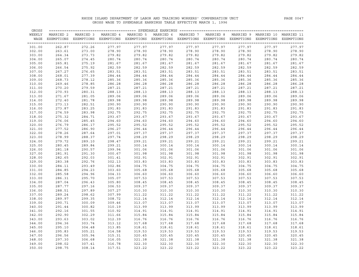### RHODE ISLAND DEPARTMENT OF LABOR AND TRAINING WORKERS' COMPENSATION UNIT PAGE 0047 GROSS WAGE TO SPENDABLE EARNINGS TABLE EFFECTIVE MARCH 1, 1996

| GROSS            |                  |                                                                                                                    |                  |                  |                  |                  |                  |                  |                                 |                  |
|------------------|------------------|--------------------------------------------------------------------------------------------------------------------|------------------|------------------|------------------|------------------|------------------|------------------|---------------------------------|------------------|
| WEEKLY           | MARRIED 2        | MARRIED 3                                                                                                          | MARRIED 4        | MARRIED 5        | MARRIED 6        | MARRIED 7        | MARRIED 8        |                  | MARRIED 9 MARRIED 10 MARRIED 11 |                  |
|                  |                  | WAGE EXEMPTIONS EXEMPTIONS EXEMPTIONS EXEMPTIONS EXEMPTIONS EXEMPTIONS EXEMPTIONS EXEMPTIONS EXEMPTIONS EXEMPTIONS |                  |                  |                  |                  |                  |                  |                                 |                  |
|                  |                  |                                                                                                                    |                  |                  |                  |                  |                  |                  |                                 |                  |
| 301.00           | 262.87           | 272.26                                                                                                             | 277.97           | 277.97           | 277.97           | 277.97           | 277.97           | 277.97           | 277.97                          | 277.97           |
| 302.00           | 263.61           | 273.00                                                                                                             | 278.90           | 278.90           | 278.90           | 278.90           | 278.90           | 278.90           | 278.90                          | 278.90           |
| 303.00           | 264.34           | 273.73                                                                                                             | 279.82           | 279.82           | 279.82           | 279.82           | 279.82           | 279.82           | 279.82                          | 279.82           |
| 304.00           | 265.07           | 274.45                                                                                                             | 280.74           | 280.74           | 280.74           | 280.74           | 280.74           | 280.74           | 280.74                          | 280.74           |
| 305.00           | 265.81           | 275.19                                                                                                             | 281.67           | 281.67           | 281.67           | 281.67           | 281.67           | 281.67           | 281.67                          | 281.67           |
| 306.00           | 266.54           | 275.92<br>276.65                                                                                                   | 282.59<br>283.51 | 282.59           | 282.59<br>283.51 | 282.59           | 282.59<br>283.51 | 282.59           | 282.59                          | 282.59           |
| 307.00           | 267.27           |                                                                                                                    |                  | 283.51           |                  | 283.51           |                  | 283.51           | 283.51                          | 283.51           |
| 308.00           | 268.01           | 277.39                                                                                                             | 284.44           | 284.44           | 284.44           | 284.44           | 284.44           | 284.44           | 284.44                          | 284.44           |
| 309.00           | 268.73           | 278.12                                                                                                             | 285.36           | 285.36           | 285.36           | 285.36           | 285.36           | 285.36           | 285.36                          | 285.36           |
| 310.00           | 269.46           | 278.85                                                                                                             | 286.28           | 286.28           | 286.28           | 286.28           | 286.28           | 286.28           | 286.28                          | 286.28           |
| 311.00           | 270.20           | 279.59                                                                                                             | 287.21           | 287.21           | 287.21           | 287.21           | 287.21           | 287.21           | 287.21                          | 287.21           |
| 312.00           | 270.93           | 280.31                                                                                                             | 288.13           | 288.13           | 288.13           | 288.13           | 288.13           | 288.13           | 288.13                          | 288.13           |
| 313.00           | 271.67           | 281.05                                                                                                             | 289.06           | 289.06           | 289.06           | 289.06           | 289.06           | 289.06           | 289.06                          | 289.06           |
| 314.00           | 272.40           | 281.78                                                                                                             | 289.98           | 289.98           | 289.98           | 289.98           | 289.98           | 289.98           | 289.98                          | 289.98           |
| 315.00           | 273.13           | 282.51                                                                                                             | 290.90           | 290.90           | 290.90           | 290.90           | 290.90           | 290.90           | 290.90                          | 290.90           |
| 316.00           | 273.87           | 283.25                                                                                                             | 291.83           | 291.83           | 291.83           | 291.83           | 291.83           | 291.83           | 291.83                          | 291.83           |
| 317.00           | 274.59           | 283.98                                                                                                             | 292.75           | 292.75           | 292.75           | 292.75           | 292.75           | 292.75           | 292.75                          | 292.75           |
| 318.00           | 275.32           | 284.71                                                                                                             | 293.67           | 293.67           | 293.67           | 293.67           | 293.67           | 293.67           | 293.67                          | 293.67           |
| 319.00           | 276.06           | 285.45                                                                                                             | 294.60           | 294.60           | 294.60           | 294.60           | 294.60           | 294.60           | 294.60                          | 294.60           |
| 320.00           | 276.79           | 286.17                                                                                                             | 295.52           | 295.52           | 295.52           | 295.52           | 295.52           | 295.52           | 295.52                          | 295.52           |
| 321.00           | 277.52           | 286.90                                                                                                             | 296.27           | 296.44           | 296.44           | 296.44           | 296.44           | 296.44           | 296.44                          | 296.44           |
| 322.00           | 278.26           | 287.64                                                                                                             | 297.01           | 297.37           | 297.37           | 297.37           | 297.37           | 297.37           | 297.37                          | 297.37           |
| 323.00           | 278.99           | 288.37                                                                                                             | 297.74           | 298.29           | 298.29           | 298.29           | 298.29           | 298.29           | 298.29                          | 298.29           |
| 324.00           | 279.72           | 289.10                                                                                                             | 298.47           | 299.21<br>300.14 | 299.21           | 299.21           | 299.21           | 299.21           | 299.21                          | 299.21           |
| 325.00           | 280.45           | 289.84                                                                                                             | 299.21           |                  | 300.14           | 300.14           | 300.14           | 300.14           | 300.14                          | 300.14           |
| 326.00           | 281.18           | 290.57                                                                                                             | 299.94           | 301.06           | 301.06           | 301.06           | 301.06           | 301.06           | 301.06                          | 301.06           |
| 327.00           | 281.91           | 291.30                                                                                                             | 300.67           | 301.98           | 301.98           | 301.98           | 301.98           | 301.98           | 301.98                          | 301.98           |
| 328.00           | 282.65           | 292.03                                                                                                             | 301.41           | 302.91           | 302.91           | 302.91           | 302.91           | 302.91           | 302.91                          | 302.91           |
| 329.00           | 283.38           | 292.76                                                                                                             | 302.13           | 303.83           | 303.83           | 303.83           | 303.83           | 303.83           | 303.83                          | 303.83           |
| 330.00           | 284.11           | 293.49                                                                                                             | 302.86           | 304.75           | 304.75           | 304.75           | 304.75           | 304.75           | 304.75                          | 304.75           |
| 331.00           | 284.85           | 294.23                                                                                                             | 303.60           | 305.68           | 305.68           | 305.68           | 305.68           | 305.68           | 305.68                          | 305.68           |
| 332.00           | 285.58           | 294.96                                                                                                             | 304.33           | 306.60           | 306.60           | 306.60           | 306.60           | 306.60           | 306.60                          | 306.60           |
| 333.00           | 286.31           | 295.70                                                                                                             | 305.07           | 307.53           | 307.53           | 307.53           | 307.53           | 307.53           | 307.53                          | 307.53           |
| 334.00<br>335.00 | 287.04<br>287.77 | 296.43<br>297.16                                                                                                   | 305.80<br>306.53 | 308.45<br>309.37 | 308.45<br>309.37 | 308.45<br>309.37 | 308.45<br>309.37 | 308.45<br>309.37 | 308.45<br>309.37                | 308.45<br>309.37 |
| 336.00           | 288.51           | 297.89                                                                                                             | 307.27           | 310.30           | 310.30           | 310.30           | 310.30           | 310.30           | 310.30                          | 310.30           |
| 337.00           | 289.24           | 298.62                                                                                                             | 307.99           | 311.22           | 311.22           | 311.22           | 311.22           | 311.22           | 311.22                          | 311.22           |
| 338.00           | 289.97           | 299.35                                                                                                             | 308.72           | 312.14           | 312.14           | 312.14           | 312.14           | 312.14           | 312.14                          | 312.14           |
| 339.00           | 290.71           | 300.09                                                                                                             | 309.46           | 313.07           | 313.07           | 313.07           | 313.07           |                  |                                 |                  |
| 340.00           | 291.44           | 300.82                                                                                                             | 310.19           | 313.99           | 313.99           | 313.99           | 313.99           | 313.07<br>313.99 | 313.07<br>313.99                | 313.07<br>313.99 |
| 341.00           |                  |                                                                                                                    | 310.92           | 314.91           | 314.91           | 314.91           |                  |                  | 314.91                          | 314.91           |
|                  | 292.16<br>292.90 | 301.55                                                                                                             | 311.66           | 315.84           |                  | 315.84           | 314.91           | 314.91           |                                 | 315.84           |
| 342.00           |                  | 302.29                                                                                                             |                  | 316.76           | 315.84           |                  | 315.84           | 315.84           | 315.84                          |                  |
| 343.00           | 293.63<br>294.36 | 303.02<br>303.74                                                                                                   | 312.39<br>313.12 | 317.68           | 316.76           | 316.76<br>317.68 | 316.76<br>317.68 | 316.76<br>317.68 | 316.76<br>317.68                | 316.76<br>317.68 |
| 344.00           | 295.10           | 304.48                                                                                                             | 313.85           | 318.61           | 317.68<br>318.61 | 318.61           | 318.61           |                  | 318.61                          | 318.61           |
| 345.00<br>346.00 | 295.83           | 305.21                                                                                                             | 314.58           | 319.53           | 319.53           | 319.53           | 319.53           | 318.61<br>319.53 | 319.53                          | 319.53           |
|                  | 296.56           | 305.94                                                                                                             | 315.31           | 320.45           | 320.45           | 320.45           | 320.45           | 320.45           |                                 | 320.45           |
| 347.00<br>348.00 | 297.30           | 306.68                                                                                                             | 316.05           | 321.38           | 321.38           | 321.38           | 321.38           | 321.38           | 320.45<br>321.38                | 321.38           |
| 349.00           | 298.02           | 307.41                                                                                                             | 316.78           | 322.30           | 322.30           | 322.30           | 322.30           | 322.30           | 322.30                          | 322.30           |
| 350.00           | 298.75           | 308.14                                                                                                             | 317.51           | 323.22           | 323.22           | 323.22           | 323.22           | 323.22           | 323.22                          |                  |
|                  |                  |                                                                                                                    |                  |                  |                  |                  |                  |                  |                                 | 323.22           |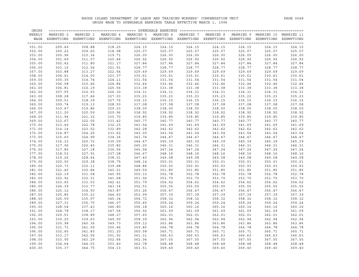# RHODE ISLAND DEPARTMENT OF LABOR AND TRAINING WORKERS' COMPENSATION UNIT PAGE 0048 GROSS WAGE TO SPENDABLE EARNINGS TABLE EFFECTIVE MARCH 1, 1996

| GROSS  |           |           |           |           |           |           |           |        |                                                                                                               |        |
|--------|-----------|-----------|-----------|-----------|-----------|-----------|-----------|--------|---------------------------------------------------------------------------------------------------------------|--------|
| WEEKLY | MARRIED 2 | MARRIED 3 | MARRIED 4 | MARRIED 5 | MARRIED 6 | MARRIED 7 | MARRIED 8 |        | MARRIED 9 MARRIED 10 MARRIED 11                                                                               |        |
| WAGE   |           |           |           |           |           |           |           |        | EXEMPTIONS EXEMPTIONS EXEMPTIONS EXEMPTIONS EXEMPTIONS EXEMPTIONS EXEMPTIONS EXEMPTIONS EXEMPTIONS EXEMPTIONS |        |
|        |           |           |           |           |           |           |           |        |                                                                                                               |        |
| 351.00 | 299.49    | 308.88    | 318.25    | 324.15    | 324.15    | 324.15    | 324.15    | 324.15 | 324.15                                                                                                        | 324.15 |
| 352.00 | 300.22    | 309.60    | 318.98    | 325.07    | 325.07    | 325.07    | 325.07    | 325.07 | 325.07                                                                                                        | 325.07 |
| 353.00 | 300.96    | 310.34    | 319.71    | 326.00    | 326.00    | 326.00    | 326.00    | 326.00 | 326.00                                                                                                        | 326.00 |
| 354.00 | 301.69    | 311.07    | 320.44    | 326.92    | 326.92    | 326.92    | 326.92    | 326.92 | 326.92                                                                                                        | 326.92 |
| 355.00 | 302.42    | 311.80    | 321.17    | 327.84    | 327.84    | 327.84    | 327.84    | 327.84 | 327.84                                                                                                        | 327.84 |
| 356.00 | 303.16    | 312.54    | 321.91    | 328.77    | 328.77    | 328.77    | 328.77    | 328.77 | 328.77                                                                                                        | 328.77 |
|        |           |           |           |           |           |           |           |        |                                                                                                               |        |
| 357.00 | 303.88    | 313.27    | 322.64    | 329.69    | 329.69    | 329.69    | 329.69    | 329.69 | 329.69                                                                                                        | 329.69 |
| 358.00 | 304.61    | 314.00    | 323.37    | 330.61    | 330.61    | 330.61    | 330.61    | 330.61 | 330.61                                                                                                        | 330.61 |
| 359.00 | 305.35    | 314.74    | 324.11    | 331.54    | 331.54    | 331.54    | 331.54    | 331.54 | 331.54                                                                                                        | 331.54 |
| 360.00 | 306.08    | 315.46    | 324.84    | 332.46    | 332.46    | 332.46    | 332.46    | 332.46 | 332.46                                                                                                        | 332.46 |
| 361.00 | 306.81    | 316.19    | 325.56    | 333.38    | 333.38    | 333.38    | 333.38    | 333.38 | 333.38                                                                                                        | 333.38 |
| 362.00 | 307.55    | 316.93    | 326.30    | 334.31    | 334.31    | 334.31    | 334.31    | 334.31 | 334.31                                                                                                        | 334.31 |
| 363.00 | 308.28    | 317.66    | 327.03    | 335.23    | 335.23    | 335.23    | 335.23    | 335.23 | 335.23                                                                                                        | 335.23 |
| 364.00 | 309.01    | 318.39    | 327.76    | 336.15    | 336.15    | 336.15    | 336.15    | 336.15 | 336.15                                                                                                        | 336.15 |
| 365.00 | 309.74    | 319.13    | 328.50    | 337.08    | 337.08    | 337.08    | 337.08    | 337.08 | 337.08                                                                                                        | 337.08 |
| 366.00 | 310.47    | 319.86    | 329.23    | 338.00    | 338.00    | 338.00    | 338.00    | 338.00 | 338.00                                                                                                        | 338.00 |
| 367.00 | 311.20    | 320.59    | 329.96    | 338.92    | 338.92    | 338.92    | 338.92    | 338.92 | 338.92                                                                                                        | 338.92 |
| 368.00 | 311.94    | 321.32    | 330.70    | 339.85    | 339.85    | 339.85    | 339.85    | 339.85 | 339.85                                                                                                        | 339.85 |
| 369.00 | 312.67    | 322.05    | 331.42    | 340.77    | 340.77    | 340.77    | 340.77    | 340.77 | 340.77                                                                                                        | 340.77 |
| 370.00 | 313.40    | 322.78    | 332.15    | 341.54    | 341.69    | 341.69    | 341.69    | 341.69 | 341.69                                                                                                        | 341.69 |
| 371.00 | 314.14    | 323.52    | 332.89    | 342.28    | 342.62    | 342.62    | 342.62    | 342.62 | 342.62                                                                                                        | 342.62 |
| 372.00 | 314.87    | 324.25    | 333.62    | 343.00    | 343.54    | 343.54    | 343.54    | 343.54 | 343.54                                                                                                        | 343.54 |
| 373.00 | 315.60    | 324.99    | 334.36    | 343.74    | 344.47    | 344.47    | 344.47    | 344.47 | 344.47                                                                                                        | 344.47 |
| 374.00 | 316.33    | 325.72    | 335.09    | 344.47    | 345.39    | 345.39    | 345.39    | 345.39 | 345.39                                                                                                        | 345.39 |
| 375.00 | 317.06    | 326.45    | 335.82    | 345.20    | 346.31    | 346.31    | 346.31    | 346.31 | 346.31                                                                                                        | 346.31 |
| 376.00 | 317.80    | 327.18    | 336.56    | 345.94    | 347.24    | 347.24    | 347.24    | 347.24 | 347.24                                                                                                        | 347.24 |
| 377.00 | 318.53    | 327.91    | 337.28    | 346.67    | 348.16    | 348.16    | 348.16    | 348.16 | 348.16                                                                                                        | 348.16 |
| 378.00 | 319.26    | 328.64    | 338.01    | 347.40    | 349.08    | 349.08    | 349.08    | 349.08 | 349.08                                                                                                        | 349.08 |
| 379.00 | 320.00    | 329.38    | 338.75    | 348.14    | 350.01    | 350.01    | 350.01    | 350.01 | 350.01                                                                                                        | 350.01 |
| 380.00 | 320.73    | 330.11    | 339.48    | 348.86    | 350.93    | 350.93    | 350.93    | 350.93 | 350.93                                                                                                        | 350.93 |
| 381.00 | 321.45    | 330.84    | 340.21    | 349.59    | 351.85    | 351.85    | 351.85    | 351.85 | 351.85                                                                                                        | 351.85 |
| 382.00 | 322.19    | 331.58    | 340.95    | 350.33    | 352.78    | 352.78    | 352.78    | 352.78 | 352.78                                                                                                        | 352.78 |
| 383.00 | 322.92    | 332.31    | 341.68    | 351.06    | 353.70    | 353.70    | 353.70    | 353.70 | 353.70                                                                                                        | 353.70 |
| 384.00 | 323.65    | 333.03    | 342.41    | 351.79    | 354.62    | 354.62    | 354.62    | 354.62 | 354.62                                                                                                        | 354.62 |
| 385.00 | 324.39    | 333.77    | 343.14    | 352.53    | 355.55    | 355.55    | 355.55    | 355.55 | 355.55                                                                                                        | 355.55 |
| 386.00 | 325.12    | 334.50    | 343.87    | 353.26    | 356.47    | 356.47    | 356.47    | 356.47 | 356.47                                                                                                        | 356.47 |
| 387.00 | 325.85    | 335.23    | 344.60    | 353.99    | 357.39    | 357.39    | 357.39    | 357.39 | 357.39                                                                                                        | 357.39 |
|        |           |           |           |           |           |           |           |        |                                                                                                               |        |
| 388.00 | 326.59    | 335.97    | 345.34    | 354.72    | 358.32    | 358.32    | 358.32    | 358.32 | 358.32                                                                                                        | 358.32 |
| 389.00 | 327.31    | 336.70    | 346.07    | 355.45    | 359.24    | 359.24    | 359.24    | 359.24 | 359.24                                                                                                        | 359.24 |
| 390.00 | 328.04    | 337.43    | 346.80    | 356.18    | 360.16    | 360.16    | 360.16    | 360.16 | 360.16                                                                                                        | 360.16 |
| 391.00 | 328.78    | 338.17    | 347.54    | 356.92    | 361.09    | 361.09    | 361.09    | 361.09 | 361.09                                                                                                        | 361.09 |
| 392.00 | 329.51    | 338.89    | 348.27    | 357.65    | 362.01    | 362.01    | 362.01    | 362.01 | 362.01                                                                                                        | 362.01 |
| 393.00 | 330.25    | 339.63    | 349.00    | 358.39    | 362.94    | 362.94    | 362.94    | 362.94 | 362.94                                                                                                        | 362.94 |
| 394.00 | 330.98    | 340.36    | 349.73    | 359.12    | 363.86    | 363.86    | 363.86    | 363.86 | 363.86                                                                                                        | 363.86 |
| 395.00 | 331.71    | 341.09    | 350.46    | 359.85    | 364.78    | 364.78    | 364.78    | 364.78 | 364.78                                                                                                        | 364.78 |
| 396.00 | 332.45    | 341.83    | 351.20    | 360.58    | 365.71    | 365.71    | 365.71    | 365.71 | 365.71                                                                                                        | 365.71 |
| 397.00 | 333.17    | 342.56    | 351.93    | 361.31    | 366.63    | 366.63    | 366.63    | 366.63 | 366.63                                                                                                        | 366.63 |
| 398.00 | 333.90    | 343.29    | 352.66    | 362.04    | 367.55    | 367.55    | 367.55    | 367.55 | 367.55                                                                                                        | 367.55 |
| 399.00 | 334.64    | 344.03    | 353.40    | 362.78    | 368.48    | 368.48    | 368.48    | 368.48 | 368.48                                                                                                        | 368.48 |
| 400.00 | 335.37    | 344.75    | 354.13    | 363.51    | 369.40    | 369.40    | 369.40    | 369.40 | 369.40                                                                                                        | 369.40 |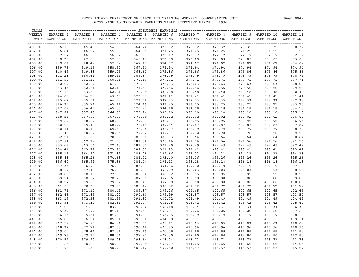### RHODE ISLAND DEPARTMENT OF LABOR AND TRAINING WORKERS' COMPENSATION UNIT PAGE 0049 GROSS WAGE TO SPENDABLE EARNINGS TABLE EFFECTIVE MARCH 1, 1996

| GROSS  |           |                                                                                                               |           |           |           |           |           |        |                                 |        |
|--------|-----------|---------------------------------------------------------------------------------------------------------------|-----------|-----------|-----------|-----------|-----------|--------|---------------------------------|--------|
| WEEKLY | MARRIED 2 | MARRIED 3                                                                                                     | MARRIED 4 | MARRIED 5 | MARRIED 6 | MARRIED 7 | MARRIED 8 |        | MARRIED 9 MARRIED 10 MARRIED 11 |        |
| WAGE   |           | EXEMPTIONS EXEMPTIONS EXEMPTIONS EXEMPTIONS EXEMPTIONS EXEMPTIONS EXEMPTIONS EXEMPTIONS EXEMPTIONS EXEMPTIONS |           |           |           |           |           |        |                                 |        |
|        |           |                                                                                                               |           |           |           |           |           |        |                                 |        |
| 401.00 | 336.10    | 345.48                                                                                                        | 354.85    | 364.24    | 370.32    | 370.32    | 370.32    | 370.32 | 370.32                          | 370.32 |
| 402.00 | 336.84    | 346.22                                                                                                        | 355.59    | 364.98    | 371.25    | 371.25    | 371.25    | 371.25 | 371.25                          | 371.25 |
| 403.00 | 337.57    | 346.95                                                                                                        | 356.32    | 365.71    | 372.17    | 372.17    | 372.17    | 372.17 | 372.17                          | 372.17 |
| 404.00 | 338.30    | 347.68                                                                                                        | 357.05    | 366.43    | 373.09    | 373.09    | 373.09    | 373.09 | 373.09                          | 373.09 |
| 405.00 | 339.03    | 348.42                                                                                                        | 357.79    | 367.17    | 374.02    | 374.02    | 374.02    | 374.02 | 374.02                          | 374.02 |
| 406.00 | 339.76    | 349.15                                                                                                        | 358.52    | 367.90    | 374.94    | 374.94    | 374.94    | 374.94 | 374.94                          | 374.94 |
| 407.00 | 340.49    | 349.88                                                                                                        | 359.25    | 368.63    | 375.86    | 375.86    | 375.86    | 375.86 | 375.86                          | 375.86 |
| 408.00 | 341.23    | 350.61                                                                                                        | 359.99    | 369.37    | 376.79    | 376.79    | 376.79    | 376.79 | 376.79                          | 376.79 |
| 409.00 | 341.96    | 351.34                                                                                                        | 360.71    | 370.10    | 377.71    | 377.71    | 377.71    | 377.71 | 377.71                          | 377.71 |
| 410.00 | 342.69    | 352.07                                                                                                        | 361.44    | 370.83    | 378.63    | 378.63    | 378.63    | 378.63 | 378.63                          | 378.63 |
| 411.00 | 343.43    | 352.81                                                                                                        | 362.18    | 371.57    | 379.56    | 379.56    | 379.56    | 379.56 | 379.56                          | 379.56 |
| 412.00 | 344.16    | 353.54                                                                                                        | 362.91    | 372.29    | 380.48    | 380.48    | 380.48    | 380.48 | 380.48                          | 380.48 |
| 413.00 | 344.89    | 354.28                                                                                                        | 363.65    | 373.03    | 381.41    | 381.41    | 381.41    | 381.41 | 381.41                          | 381.41 |
| 414.00 | 345.62    | 355.01                                                                                                        | 364.38    | 373.76    | 382.33    | 382.33    | 382.33    | 382.33 | 382.33                          | 382.33 |
| 415.00 | 346.35    | 355.74                                                                                                        | 365.11    | 374.49    | 383.25    | 383.25    | 383.25    | 383.25 | 383.25                          | 383.25 |
| 416.00 | 347.09    | 356.47                                                                                                        | 365.85    | 375.23    | 384.18    | 384.18    | 384.18    | 384.18 | 384.18                          | 384.18 |
| 417.00 | 347.82    | 357.20                                                                                                        | 366.57    | 375.96    | 385.10    | 385.10    | 385.10    | 385.10 | 385.10                          | 385.10 |
| 418.00 | 348.55    | 357.93                                                                                                        | 367.30    | 376.69    | 386.02    | 386.02    | 386.02    | 386.02 | 386.02                          | 386.02 |
| 419.00 | 349.29    | 358.67                                                                                                        | 368.04    | 377.43    | 386.81    | 386.95    | 386.95    | 386.95 | 386.95                          | 386.95 |
| 420.00 | 350.02    | 359.40                                                                                                        | 368.77    | 378.15    | 387.54    | 387.87    | 387.87    | 387.87 | 387.87                          | 387.87 |
| 421.00 | 350.74    | 360.13                                                                                                        | 369.50    | 378.88    | 388.27    | 388.79    | 388.79    | 388.79 | 388.79                          | 388.79 |
| 422.00 | 351.48    | 360.87                                                                                                        | 370.24    | 379.62    | 389.01    | 389.72    | 389.72    | 389.72 | 389.72                          | 389.72 |
| 423.00 | 352.21    | 361.60                                                                                                        | 370.97    | 380.35    | 389.73    | 390.64    | 390.64    | 390.64 | 390.64                          | 390.64 |
| 424.00 | 352.94    | 362.32                                                                                                        | 371.70    | 381.08    | 390.46    | 391.56    | 391.56    | 391.56 | 391.56                          | 391.56 |
| 425.00 | 353.68    | 363.06                                                                                                        | 372.43    | 381.82    | 391.20    | 392.49    | 392.49    | 392.49 | 392.49                          | 392.49 |
| 426.00 | 354.41    | 363.79                                                                                                        | 373.16    | 382.55    | 391.93    | 393.41    | 393.41    | 393.41 | 393.41                          | 393.41 |
| 427.00 | 355.14    | 364.52                                                                                                        | 373.89    | 383.28    | 392.66    | 394.33    | 394.33    | 394.33 | 394.33                          | 394.33 |
| 428.00 | 355.88    | 365.26                                                                                                        | 374.63    | 384.01    | 393.40    | 395.26    | 395.26    | 395.26 | 395.26                          | 395.26 |
| 429.00 | 356.60    | 365.99                                                                                                        | 375.36    | 384.74    | 394.13    | 396.18    | 396.18    | 396.18 | 396.18                          | 396.18 |
| 430.00 | 357.33    | 366.72                                                                                                        | 376.09    | 385.47    | 394.86    | 397.10    | 397.10    | 397.10 | 397.10                          | 397.10 |
| 431.00 | 358.07    | 367.46                                                                                                        | 376.83    | 386.21    | 395.59    | 398.03    | 398.03    | 398.03 | 398.03                          | 398.03 |
| 432.00 | 358.80    | 368.18                                                                                                        | 377.56    | 386.94    | 396.32    | 398.95    | 398.95    | 398.95 | 398.95                          | 398.95 |
| 433.00 | 359.54    | 368.92                                                                                                        | 378.29    | 387.68    | 397.06    | 399.88    | 399.88    | 399.88 | 399.88                          | 399.88 |
| 434.00 | 360.27    | 369.65                                                                                                        | 379.02    | 388.41    | 397.79    | 400.80    | 400.80    | 400.80 | 400.80                          | 400.80 |
| 435.00 | 361.00    | 370.38                                                                                                        | 379.75    | 389.14    | 398.52    | 401.72    | 401.72    | 401.72 | 401.72                          | 401.72 |
| 436.00 | 361.74    | 371.12                                                                                                        | 380.49    | 389.87    | 399.26    | 402.65    | 402.65    | 402.65 | 402.65                          | 402.65 |
| 437.00 | 362.46    | 371.85                                                                                                        | 381.22    | 390.60    | 399.99    | 403.57    | 403.57    | 403.57 | 403.57                          | 403.57 |
| 438.00 | 363.19    | 372.58                                                                                                        | 381.95    | 391.33    | 400.72    | 404.49    | 404.49    | 404.49 | 404.49                          | 404.49 |
| 439.00 | 363.93    | 373.32                                                                                                        | 382.69    | 392.07    | 401.45    | 405.42    | 405.42    | 405.42 | 405.42                          | 405.42 |
| 440.00 | 364.66    | 374.04                                                                                                        | 383.42    | 392.80    | 402.18    | 406.34    | 406.34    | 406.34 | 406.34                          | 406.34 |
| 441.00 | 365.39    | 374.77                                                                                                        | 384.14    | 393.53    | 402.91    | 407.26    | 407.26    | 407.26 | 407.26                          | 407.26 |
| 442.00 | 366.13    | 375.51                                                                                                        | 384.88    | 394.27    | 403.65    | 408.19    | 408.19    | 408.19 | 408.19                          | 408.19 |
| 443.00 | 366.86    | 376.24                                                                                                        | 385.61    | 395.00    | 404.38    | 409.11    | 409.11    | 409.11 | 409.11                          | 409.11 |
| 444.00 | 367.59    | 376.97                                                                                                        | 386.34    | 395.72    | 405.11    | 410.03    | 410.03    | 410.03 | 410.03                          | 410.03 |
| 445.00 | 368.32    | 377.71                                                                                                        | 387.08    | 396.46    | 405.85    | 410.96    | 410.96    | 410.96 | 410.96                          | 410.96 |
| 446.00 | 369.05    | 378.44                                                                                                        | 387.81    | 397.19    | 406.58    | 411.88    | 411.88    | 411.88 | 411.88                          | 411.88 |
| 447.00 | 369.78    | 379.17                                                                                                        | 388.54    | 397.92    | 407.30    | 412.80    | 412.80    | 412.80 | 412.80                          | 412.80 |
| 448.00 | 370.52    | 379.90                                                                                                        | 389.28    | 398.66    | 408.04    | 413.73    | 413.73    | 413.73 | 413.73                          | 413.73 |
| 449.00 | 371.25    | 380.63                                                                                                        | 390.00    | 399.39    | 408.77    | 414.65    | 414.65    | 414.65 | 414.65                          | 414.65 |
| 450.00 | 371.98    | 381.36                                                                                                        | 390.73    | 400.12    | 409.50    | 415.57    | 415.57    | 415.57 | 415.57                          | 415.57 |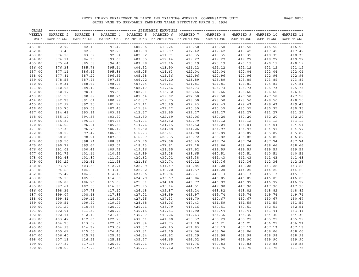### RHODE ISLAND DEPARTMENT OF LABOR AND TRAINING WORKERS' COMPENSATION UNIT PAGE 0050 GROSS WAGE TO SPENDABLE EARNINGS TABLE EFFECTIVE MARCH 1, 1996

| GROSS  |           |                                                                                                                    |           |           |           |           |           |        |                                 |        |
|--------|-----------|--------------------------------------------------------------------------------------------------------------------|-----------|-----------|-----------|-----------|-----------|--------|---------------------------------|--------|
| WEEKLY | MARRIED 2 | MARRIED 3                                                                                                          | MARRIED 4 | MARRIED 5 | MARRIED 6 | MARRIED 7 | MARRIED 8 |        | MARRIED 9 MARRIED 10 MARRIED 11 |        |
|        |           | WAGE EXEMPTIONS EXEMPTIONS EXEMPTIONS EXEMPTIONS EXEMPTIONS EXEMPTIONS EXEMPTIONS EXEMPTIONS EXEMPTIONS EXEMPTIONS |           |           |           |           |           |        |                                 |        |
| 451.00 | 372.72    | 382.10                                                                                                             | 391.47    | 400.86    | 410.24    | 416.50    | 416.50    | 416.50 | 416.50                          | 416.50 |
| 452.00 | 373.45    | 382.83                                                                                                             | 392.20    | 401.58    | 410.97    | 417.42    | 417.42    | 417.42 | 417.42                          | 417.42 |
| 453.00 | 374.18    | 383.57                                                                                                             | 392.94    | 402.32    | 411.71    | 418.35    | 418.35    | 418.35 | 418.35                          | 418.35 |
| 454.00 | 374.91    | 384.30                                                                                                             | 393.67    | 403.05    | 412.44    | 419.27    | 419.27    | 419.27 | 419.27                          | 419.27 |
| 455.00 | 375.64    | 385.03                                                                                                             | 394.40    | 403.78    | 413.16    | 420.19    | 420.19    | 420.19 | 420.19                          | 420.19 |
| 456.00 | 376.38    | 385.76                                                                                                             | 395.14    | 404.52    | 413.90    | 421.12    | 421.12    | 421.12 | 421.12                          | 421.12 |
| 457.00 | 377.11    | 386.49                                                                                                             | 395.86    | 405.25    | 414.63    | 422.04    | 422.04    | 422.04 | 422.04                          | 422.04 |
| 458.00 | 377.84    | 387.22                                                                                                             | 396.59    | 405.98    | 415.36    | 422.96    | 422.96    | 422.96 | 422.96                          | 422.96 |
| 459.00 | 378.58    | 387.96                                                                                                             | 397.33    | 406.72    | 416.10    | 423.89    | 423.89    | 423.89 | 423.89                          | 423.89 |
| 460.00 | 379.31    | 388.69                                                                                                             | 398.06    | 407.44    | 416.83    | 424.81    | 424.81    | 424.81 | 424.81                          | 424.81 |
| 461.00 | 380.03    | 389.42                                                                                                             | 398.79    | 408.17    | 417.56    | 425.73    | 425.73    | 425.73 | 425.73                          | 425.73 |
| 462.00 | 380.77    | 390.16                                                                                                             | 399.53    | 408.91    | 418.30    | 426.66    | 426.66    | 426.66 | 426.66                          | 426.66 |
| 463.00 | 381.50    | 390.89                                                                                                             | 400.26    | 409.64    | 419.02    | 427.58    | 427.58    | 427.58 | 427.58                          | 427.58 |
| 464.00 | 382.23    | 391.61                                                                                                             | 400.99    | 410.37    | 419.75    | 428.50    | 428.50    | 428.50 | 428.50                          | 428.50 |
| 465.00 | 382.97    | 392.35                                                                                                             | 401.72    | 411.11    | 420.49    | 429.43    | 429.43    | 429.43 | 429.43                          | 429.43 |
| 466.00 | 383.70    | 393.08                                                                                                             | 402.45    | 411.84    | 421.22    | 430.35    | 430.35    | 430.35 | 430.35                          | 430.35 |
| 467.00 | 384.43    | 393.81                                                                                                             | 403.18    | 412.57    | 421.95    | 431.27    | 431.27    | 431.27 | 431.27                          | 431.27 |
| 468.00 | 385.17    | 394.55                                                                                                             | 403.92    | 413.30    | 422.69    | 432.06    | 432.20    | 432.20 | 432.20                          | 432.20 |
| 469.00 | 385.89    | 395.28                                                                                                             | 404.65    | 414.03    | 423.42    | 432.79    | 433.12    | 433.12 | 433.12                          | 433.12 |
| 470.00 | 386.62    | 396.01                                                                                                             | 405.38    | 414.76    | 424.15    | 433.52    | 434.04    | 434.04 | 434.04                          | 434.04 |
| 471.00 | 387.36    | 396.75                                                                                                             | 406.12    | 415.50    | 424.88    | 434.26    | 434.97    | 434.97 | 434.97                          | 434.97 |
| 472.00 | 388.09    | 397.47                                                                                                             | 406.85    | 416.23    | 425.61    | 434.98    | 435.89    | 435.89 | 435.89                          | 435.89 |
| 473.00 | 388.83    | 398.21                                                                                                             | 407.58    | 416.97    | 426.35    | 435.72    | 436.82    | 436.82 | 436.82                          | 436.82 |
| 474.00 | 389.56    | 398.94                                                                                                             | 408.31    | 417.70    | 427.08    | 436.45    | 437.74    | 437.74 | 437.74                          | 437.74 |
| 475.00 | 390.29    | 399.67                                                                                                             | 409.04    | 418.43    | 427.81    | 437.18    | 438.66    | 438.66 | 438.66                          | 438.66 |
| 476.00 | 391.03    | 400.41                                                                                                             | 409.78    | 419.16    | 428.55    | 437.92    | 439.59    | 439.59 | 439.59                          | 439.59 |
| 477.00 | 391.75    | 401.14                                                                                                             | 410.51    | 419.89    | 429.28    | 438.65    | 440.51    | 440.51 | 440.51                          | 440.51 |
| 478.00 | 392.48    | 401.87                                                                                                             | 411.24    | 420.62    | 430.01    | 439.38    | 441.43    | 441.43 | 441.43                          | 441.43 |
| 479.00 | 393.22    | 402.61                                                                                                             | 411.98    | 421.36    | 430.74    | 440.12    | 442.36    | 442.36 | 442.36                          | 442.36 |
| 480.00 | 393.95    | 403.33                                                                                                             | 412.71    | 422.09    | 431.47    | 440.84    | 443.28    | 443.28 | 443.28                          | 443.28 |
| 481.00 | 394.68    | 404.06                                                                                                             | 413.43    | 422.82    | 432.20    | 441.57    | 444.20    | 444.20 | 444.20                          | 444.20 |
| 482.00 | 395.42    | 404.80                                                                                                             | 414.17    | 423.56    | 432.94    | 442.31    | 445.13    | 445.13 | 445.13                          | 445.13 |
| 483.00 | 396.15    | 405.53                                                                                                             | 414.90    | 424.29    | 433.67    | 443.04    | 446.05    | 446.05 | 446.05                          | 446.05 |
| 484.00 | 396.88    | 406.26                                                                                                             | 415.63    | 425.01    | 434.40    | 443.77    | 446.97    | 446.97 | 446.97                          | 446.97 |
| 485.00 | 397.61    | 407.00                                                                                                             | 416.37    | 425.75    | 435.14    | 444.51    | 447.90    | 447.90 | 447.90                          | 447.90 |
| 486.00 | 398.34    | 407.73                                                                                                             | 417.10    | 426.48    | 435.87    | 445.24    | 448.82    | 448.82 | 448.82                          | 448.82 |
| 487.00 | 399.07    | 408.46                                                                                                             | 417.83    | 427.21    | 436.59    | 445.97    | 449.74    | 449.74 | 449.74                          | 449.74 |
| 488.00 | 399.81    | 409.19                                                                                                             | 418.57    | 427.95    | 437.33    | 446.70    | 450.67    | 450.67 | 450.67                          | 450.67 |
| 489.00 | 400.54    | 409.92                                                                                                             | 419.29    | 428.68    | 438.06    | 447.43    | 451.59    | 451.59 | 451.59                          | 451.59 |
| 490.00 | 401.27    | 410.65                                                                                                             | 420.02    | 429.41    | 438.79    | 448.16    | 452.51    | 452.51 | 452.51                          | 452.51 |
| 491.00 | 402.01    | 411.39                                                                                                             | 420.76    | 430.15    | 439.53    | 448.90    | 453.44    | 453.44 | 453.44                          | 453.44 |
| 492.00 | 402.74    | 412.12                                                                                                             | 421.49    | 430.87    | 440.26    | 449.63    | 454.36    | 454.36 | 454.36                          | 454.36 |
| 493.00 | 403.47    | 412.86                                                                                                             | 422.23    | 431.61    | 441.00    | 450.37    | 455.29    | 455.29 | 455.29                          | 455.29 |
| 494.00 | 404.20    | 413.59                                                                                                             | 422.96    | 432.34    | 441.73    | 451.10    | 456.21    | 456.21 | 456.21                          | 456.21 |
| 495.00 | 404.93    | 414.32                                                                                                             | 423.69    | 433.07    | 442.45    | 451.83    | 457.13    | 457.13 | 457.13                          | 457.13 |
| 496.00 | 405.67    | 415.05                                                                                                             | 424.43    | 433.81    | 443.19    | 452.56    | 458.06    | 458.06 | 458.06                          | 458.06 |
| 497.00 | 406.40    | 415.78                                                                                                             | 425.15    | 434.54    | 443.92    | 453.29    | 458.98    | 458.98 | 458.98                          | 458.98 |
| 498.00 | 407.13    | 416.51                                                                                                             | 425.88    | 435.27    | 444.65    | 454.02    | 459.90    | 459.90 | 459.90                          | 459.90 |
| 499.00 | 407.87    | 417.25                                                                                                             | 426.62    | 436.01    | 445.39    | 454.76    | 460.83    | 460.83 | 460.83                          | 460.83 |
| 500.00 | 408.60    | 417.98                                                                                                             | 427.35    | 436.73    | 446.12    | 455.49    | 461.75    | 461.75 | 461.75                          | 461.75 |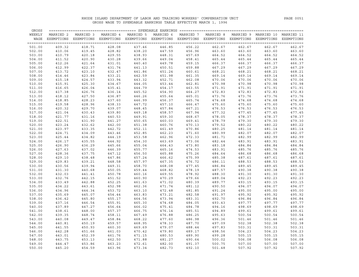### RHODE ISLAND DEPARTMENT OF LABOR AND TRAINING WORKERS' COMPENSATION UNIT PAGE 0051 GROSS WAGE TO SPENDABLE EARNINGS TABLE EFFECTIVE MARCH 1, 1996

| GROSS  |           |                                                                                                                    |           |           |           |           |           |        |                                 |        |
|--------|-----------|--------------------------------------------------------------------------------------------------------------------|-----------|-----------|-----------|-----------|-----------|--------|---------------------------------|--------|
| WEEKLY | MARRIED 2 | MARRIED 3                                                                                                          | MARRIED 4 | MARRIED 5 | MARRIED 6 | MARRIED 7 | MARRIED 8 |        | MARRIED 9 MARRIED 10 MARRIED 11 |        |
|        |           | WAGE EXEMPTIONS EXEMPTIONS EXEMPTIONS EXEMPTIONS EXEMPTIONS EXEMPTIONS EXEMPTIONS EXEMPTIONS EXEMPTIONS EXEMPTIONS |           |           |           |           |           |        |                                 |        |
| 501.00 | 409.32    | 418.71                                                                                                             | 428.08    | 437.46    | 446.85    | 456.22    | 462.67    | 462.67 | 462.67                          | 462.67 |
| 502.00 | 410.06    | 419.45                                                                                                             | 428.82    | 438.20    | 447.59    | 456.96    | 463.60    | 463.60 | 463.60                          | 463.60 |
| 503.00 | 410.79    | 420.18                                                                                                             | 429.55    | 438.93    | 448.31    | 457.69    | 464.52    | 464.52 | 464.52                          | 464.52 |
| 504.00 | 411.52    | 420.90                                                                                                             | 430.28    | 439.66    | 449.04    | 458.41    | 465.44    | 465.44 | 465.44                          | 465.44 |
| 505.00 | 412.26    | 421.64                                                                                                             | 431.01    | 440.40    | 449.78    | 459.15    | 466.37    | 466.37 | 466.37                          | 466.37 |
| 506.00 | 412.99    | 422.37                                                                                                             | 431.74    | 441.13    | 450.51    | 459.88    | 467.29    | 467.29 | 467.29                          | 467.29 |
| 507.00 | 413.72    | 423.10                                                                                                             | 432.47    | 441.86    | 451.24    | 460.61    | 468.21    | 468.21 | 468.21                          | 468.21 |
| 508.00 | 414.46    | 423.84                                                                                                             | 433.21    | 442.59    | 451.98    | 461.35    | 469.14    | 469.14 | 469.14                          | 469.14 |
| 509.00 | 415.18    | 424.57                                                                                                             | 433.94    | 443.32    | 452.71    | 462.08    | 470.06    | 470.06 | 470.06                          | 470.06 |
| 510.00 | 415.91    | 425.30                                                                                                             | 434.67    | 444.05    | 453.44    | 462.81    | 470.98    | 470.98 | 470.98                          | 470.98 |
| 511.00 | 416.65    | 426.04                                                                                                             | 435.41    | 444.79    | 454.17    | 463.55    | 471.91    | 471.91 | 471.91                          | 471.91 |
| 512.00 | 417.38    | 426.76                                                                                                             | 436.14    | 445.52    | 454.90    | 464.27    | 472.83    | 472.83 | 472.83                          | 472.83 |
| 513.00 | 418.12    | 427.50                                                                                                             | 436.87    | 446.26    | 455.64    | 465.01    | 473.76    | 473.76 | 473.76                          | 473.76 |
| 514.00 | 418.85    | 428.23                                                                                                             | 437.60    | 446.99    | 456.37    | 465.74    | 474.68    | 474.68 | 474.68                          | 474.68 |
| 515.00 | 419.58    | 428.96                                                                                                             | 438.33    | 447.72    | 457.10    | 466.47    | 475.60    | 475.60 | 475.60                          | 475.60 |
| 516.00 | 420.32    | 429.70                                                                                                             | 439.07    | 448.45    | 457.84    | 467.21    | 476.53    | 476.53 | 476.53                          | 476.53 |
| 517.00 | 421.04    | 430.43                                                                                                             | 439.80    | 449.18    | 458.57    | 467.94    | 477.32    | 477.45 | 477.45                          | 477.45 |
| 518.00 | 421.77    | 431.16                                                                                                             | 440.53    | 449.91    | 459.30    | 468.67    | 478.05    | 478.37 | 478.37                          | 478.37 |
| 519.00 | 422.51    | 431.90                                                                                                             | 441.27    | 450.65    | 460.03    | 469.41    | 478.79    | 479.30 | 479.30                          | 479.30 |
| 520.00 | 423.24    | 432.62                                                                                                             | 442.00    | 451.38    | 460.76    | 470.13    | 479.52    | 480.22 | 480.22                          | 480.22 |
| 521.00 | 423.97    | 433.35                                                                                                             | 442.72    | 452.11    | 461.49    | 470.86    | 480.25    | 481.14 | 481.14                          | 481.14 |
| 522.00 | 424.71    | 434.09                                                                                                             | 443.46    | 452.85    | 462.23    | 471.60    | 480.99    | 482.07 | 482.07                          | 482.07 |
| 523.00 | 425.44    | 434.82                                                                                                             | 444.19    | 453.58    | 462.96    | 472.33    | 481.71    | 482.99 | 482.99                          | 482.99 |
| 524.00 | 426.17    | 435.55                                                                                                             | 444.92    | 454.30    | 463.69    | 473.06    | 482.44    | 483.91 | 483.91                          | 483.91 |
| 525.00 | 426.90    | 436.29                                                                                                             | 445.66    | 455.04    | 464.43    | 473.80    | 483.18    | 484.84 | 484.84                          | 484.84 |
| 526.00 | 427.63    | 437.02                                                                                                             | 446.39    | 455.77    | 465.16    | 474.53    | 483.91    | 485.76 | 485.76                          | 485.76 |
| 527.00 | 428.36    | 437.75                                                                                                             | 447.12    | 456.50    | 465.88    | 475.26    | 484.64    | 486.68 | 486.68                          | 486.68 |
| 528.00 | 429.10    | 438.48                                                                                                             | 447.86    | 457.24    | 466.62    | 475.99    | 485.38    | 487.61 | 487.61                          | 487.61 |
| 529.00 | 429.83    | 439.21                                                                                                             | 448.58    | 457.97    | 467.35    | 476.72    | 486.11    | 488.53 | 488.53                          | 488.53 |
| 530.00 | 430.56    | 439.94                                                                                                             | 449.31    | 458.70    | 468.08    | 477.45    | 486.84    | 489.45 | 489.45                          | 489.45 |
| 531.00 | 431.30    | 440.68                                                                                                             | 450.05    | 459.44    | 468.82    | 478.19    | 487.57    | 490.38 | 490.38                          | 490.38 |
| 532.00 | 432.03    | 441.41                                                                                                             | 450.78    | 460.16    | 469.55    | 478.92    | 488.30    | 491.30 | 491.30                          | 491.30 |
| 533.00 | 432.76    | 442.15                                                                                                             | 451.52    | 460.90    | 470.29    | 479.66    | 489.04    | 492.23 | 492.23                          | 492.23 |
| 534.00 | 433.49    | 442.88                                                                                                             | 452.25    | 461.63    | 471.02    | 480.39    | 489.77    | 493.15 | 493.15                          | 493.15 |
| 535.00 | 434.22    | 443.61                                                                                                             | 452.98    | 462.36    | 471.74    | 481.12    | 490.50    | 494.07 | 494.07                          | 494.07 |
| 536.00 | 434.96    | 444.34                                                                                                             | 453.72    | 463.10    | 472.48    | 481.85    | 491.24    | 495.00 | 495.00                          | 495.00 |
| 537.00 | 435.69    | 445.07                                                                                                             | 454.44    | 463.83    | 473.21    | 482.58    | 491.97    | 495.92 | 495.92                          | 495.92 |
| 538.00 | 436.42    | 445.80                                                                                                             | 455.17    | 464.56    | 473.94    | 483.31    | 492.70    | 496.84 | 496.84                          | 496.84 |
| 539.00 | 437.16    | 446.54                                                                                                             | 455.91    | 465.30    | 474.68    | 484.05    | 493.43    | 497.77 | 497.77                          | 497.77 |
| 540.00 | 437.89    | 447.27                                                                                                             | 456.64    | 466.02    | 475.41    | 484.78    | 494.16    | 498.69 | 498.69                          | 498.69 |
| 541.00 | 438.61    | 448.00                                                                                                             | 457.37    | 466.75    | 476.14    | 485.51    | 494.89    | 499.61 | 499.61                          | 499.61 |
| 542.00 | 439.35    | 448.74                                                                                                             | 458.11    | 467.49    | 476.88    | 486.25    | 495.63    | 500.54 | 500.54                          | 500.54 |
| 543.00 | 440.08    | 449.47                                                                                                             | 458.84    | 468.22    | 477.60    | 486.98    | 496.36    | 501.46 | 501.46                          | 501.46 |
| 544.00 | 440.81    | 450.19                                                                                                             | 459.57    | 468.95    | 478.33    | 487.70    | 497.09    | 502.38 | 502.38                          | 502.38 |
| 545.00 | 441.55    | 450.93                                                                                                             | 460.30    | 469.69    | 479.07    | 488.44    | 497.83    | 503.31 | 503.31                          | 503.31 |
| 546.00 | 442.28    | 451.66                                                                                                             | 461.03    | 470.42    | 479.80    | 489.17    | 498.56    | 504.23 | 504.23                          | 504.23 |
| 547.00 | 443.01    | 452.39                                                                                                             | 461.76    | 471.15    | 480.53    | 489.90    | 499.28    | 505.15 | 505.15                          | 505.15 |
| 548.00 | 443.75    | 453.13                                                                                                             | 462.50    | 471.88    | 481.27    | 490.64    | 500.02    | 506.08 | 506.08                          | 506.08 |
| 549.00 | 444.47    | 453.86                                                                                                             | 463.23    | 472.61    | 482.00    | 491.37    | 500.75    | 507.00 | 507.00                          | 507.00 |
| 550.00 | 445.20    | 454.59                                                                                                             | 463.96    | 473.34    | 482.73    | 492.10    | 501.48    | 507.92 | 507.92                          | 507.92 |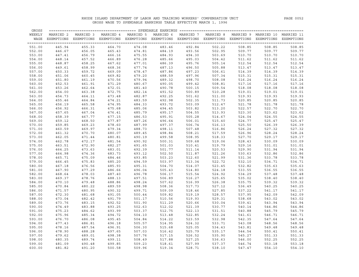# RHODE ISLAND DEPARTMENT OF LABOR AND TRAINING WORKERS' COMPENSATION UNIT PAGE 0052 GROSS WAGE TO SPENDABLE EARNINGS TABLE EFFECTIVE MARCH 1, 1996

| GROSS  |           |                                                                                                                    |           |           |           |           |           |        |                                 |        |
|--------|-----------|--------------------------------------------------------------------------------------------------------------------|-----------|-----------|-----------|-----------|-----------|--------|---------------------------------|--------|
| WEEKLY | MARRIED 2 | MARRIED 3                                                                                                          | MARRIED 4 | MARRIED 5 | MARRIED 6 | MARRIED 7 | MARRIED 8 |        | MARRIED 9 MARRIED 10 MARRIED 11 |        |
|        |           | WAGE EXEMPTIONS EXEMPTIONS EXEMPTIONS EXEMPTIONS EXEMPTIONS EXEMPTIONS EXEMPTIONS EXEMPTIONS EXEMPTIONS EXEMPTIONS |           |           |           |           |           |        |                                 |        |
|        |           |                                                                                                                    |           |           |           |           |           |        |                                 |        |
| 551.00 | 445.94    | 455.33                                                                                                             | 464.70    | 474.08    | 483.46    | 492.84    | 502.22    | 508.85 | 508.85                          | 508.85 |
| 552.00 | 446.67    | 456.05                                                                                                             | 465.43    | 474.81    | 484.19    | 493.56    | 502.95    | 509.77 | 509.77                          | 509.77 |
| 553.00 | 447.41    | 456.79                                                                                                             | 466.16    | 475.55    | 484.93    | 494.30    | 503.69    | 510.70 | 510.70                          | 510.70 |
| 554.00 | 448.14    | 457.52                                                                                                             | 466.89    | 476.28    | 485.66    | 495.03    | 504.42    | 511.62 | 511.62                          | 511.62 |
| 555.00 | 448.87    | 458.25                                                                                                             | 467.62    | 477.01    | 486.39    | 495.76    | 505.14    | 512.54 | 512.54                          | 512.54 |
| 556.00 | 449.61    | 458.99                                                                                                             | 468.36    | 477.74    | 487.13    | 496.50    | 505.88    | 513.47 | 513.47                          | 513.47 |
| 557.00 | 450.33    | 459.72                                                                                                             | 469.09    | 478.47    | 487.86    | 497.23    | 506.61    | 514.39 | 514.39                          | 514.39 |
| 558.00 | 451.06    | 460.45                                                                                                             | 469.82    | 479.20    | 488.59    | 497.96    | 507.34    | 515.31 | 515.31                          | 515.31 |
| 559.00 | 451.80    | 461.19                                                                                                             | 470.56    | 479.94    | 489.32    | 498.70    | 508.08    | 516.24 | 516.24                          | 516.24 |
| 560.00 | 452.53    | 461.91                                                                                                             | 471.29    | 480.67    | 490.05    | 499.42    | 508.81    | 517.16 | 517.16                          | 517.16 |
| 561.00 | 453.26    | 462.64                                                                                                             | 472.01    | 481.40    | 490.78    | 500.15    | 509.54    | 518.08 | 518.08                          | 518.08 |
| 562.00 | 454.00    | 463.38                                                                                                             | 472.75    | 482.14    | 491.52    | 500.89    | 510.28    | 519.01 | 519.01                          | 519.01 |
| 563.00 | 454.73    | 464.11                                                                                                             | 473.48    | 482.87    | 492.25    | 501.62    | 511.00    | 519.93 | 519.93                          | 519.93 |
| 564.00 | 455.46    | 464.84                                                                                                             | 474.21    | 483.59    | 492.98    | 502.35    | 511.73    | 520.85 | 520.85                          | 520.85 |
| 565.00 | 456.19    | 465.58                                                                                                             | 474.95    | 484.33    | 493.72    | 503.09    | 512.47    | 521.78 | 521.78                          | 521.78 |
| 566.00 | 456.92    | 466.31                                                                                                             | 475.68    | 485.06    | 494.45    | 503.82    | 513.20    | 522.57 | 522.70                          | 522.70 |
| 567.00 | 457.65    | 467.04                                                                                                             | 476.41    | 485.79    | 495.17    | 504.55    | 513.93    | 523.30 | 523.62                          | 523.62 |
| 568.00 | 458.39    | 467.77                                                                                                             | 477.15    | 486.53    | 495.91    | 505.28    | 514.67    | 524.04 | 524.55                          | 524.55 |
| 569.00 | 459.12    | 468.50                                                                                                             | 477.87    | 487.26    | 496.64    | 506.01    | 515.40    | 524.77 | 525.47                          | 525.47 |
| 570.00 | 459.85    | 469.23                                                                                                             | 478.60    | 487.99    | 497.37    | 506.74    | 516.13    | 525.50 | 526.39                          | 526.39 |
| 571.00 | 460.59    | 469.97                                                                                                             | 479.34    | 488.73    | 498.11    | 507.48    | 516.86    | 526.24 | 527.32                          | 527.32 |
| 572.00 | 461.32    | 470.70                                                                                                             | 480.07    | 489.45    | 498.84    | 508.21    | 517.59    | 526.96 | 528.24                          | 528.24 |
| 573.00 | 462.05    | 471.44                                                                                                             | 480.81    | 490.19    | 499.58    | 508.95    | 518.33    | 527.70 | 529.17                          | 529.17 |
| 574.00 | 462.78    | 472.17                                                                                                             | 481.54    | 490.92    | 500.31    | 509.68    | 519.06    | 528.43 | 530.09                          | 530.09 |
| 575.00 | 463.51    | 472.90                                                                                                             | 482.27    | 491.65    | 501.03    | 510.41    | 519.79    | 529.16 | 531.01                          | 531.01 |
| 576.00 | 464.25    | 473.63                                                                                                             | 483.01    | 492.39    | 501.77    | 511.14    | 520.53    | 529.90 | 531.94                          | 531.94 |
| 577.00 | 464.98    | 474.36                                                                                                             | 483.73    | 493.12    | 502.50    | 511.87    | 521.26    | 530.63 | 532.86                          | 532.86 |
| 578.00 | 465.71    | 475.09                                                                                                             | 484.46    | 493.85    | 503.23    | 512.60    | 521.99    | 531.36 | 533.78                          | 533.78 |
| 579.00 | 466.45    | 475.83                                                                                                             | 485.20    | 494.59    | 503.97    | 513.34    | 522.72    | 532.10 | 534.71                          | 534.71 |
| 580.00 | 467.18    | 476.56                                                                                                             | 485.93    | 495.31    | 504.70    | 514.07    | 523.45    | 532.82 | 535.63                          | 535.63 |
| 581.00 | 467.90    | 477.29                                                                                                             | 486.66    | 496.04    | 505.43    | 514.80    | 524.18    | 533.55 | 536.55                          | 536.55 |
| 582.00 | 468.64    | 478.03                                                                                                             | 487.40    | 496.78    | 506.17    | 515.54    | 524.92    | 534.29 | 537.48                          | 537.48 |
| 583.00 | 469.37    | 478.76                                                                                                             | 488.13    | 497.51    | 506.89    | 516.27    | 525.65    | 535.02 | 538.40                          | 538.40 |
| 584.00 | 470.10    | 479.48                                                                                                             | 488.86    | 498.24    | 507.62    | 516.99    | 526.38    | 535.75 | 539.32                          | 539.32 |
| 585.00 | 470.84    | 480.22                                                                                                             | 489.59    | 498.98    | 508.36    | 517.73    | 527.12    | 536.49 | 540.25                          | 540.25 |
| 586.00 | 471.57    | 480.95                                                                                                             | 490.32    | 499.71    | 509.09    | 518.46    | 527.85    | 537.22 | 541.17                          | 541.17 |
| 587.00 | 472.30    | 481.68                                                                                                             | 491.05    | 500.44    | 509.82    | 519.19    | 528.57    | 537.95 | 542.09                          | 542.09 |
| 588.00 | 473.04    | 482.42                                                                                                             | 491.79    | 501.17    | 510.56    | 519.93    | 529.31    | 538.68 | 543.02                          | 543.02 |
| 589.00 | 473.76    | 483.15                                                                                                             | 492.52    | 501.90    | 511.29    | 520.66    | 530.04    | 539.41 | 543.94                          | 543.94 |
| 590.00 | 474.49    | 483.88                                                                                                             | 493.25    | 502.63    | 512.02    | 521.39    | 530.77    | 540.14 | 544.86                          | 544.86 |
| 591.00 | 475.23    | 484.62                                                                                                             | 493.99    | 503.37    | 512.75    | 522.13    | 531.51    | 540.88 | 545.79                          | 545.79 |
| 592.00 | 475.96    | 485.34                                                                                                             | 494.72    | 504.10    | 513.48    | 522.85    | 532.24    | 541.61 | 546.71                          | 546.71 |
| 593.00 | 476.70    | 486.08                                                                                                             | 495.45    | 504.84    | 514.22    | 523.59    | 532.98    | 542.35 | 547.64                          | 547.64 |
| 594.00 | 477.43    | 486.81                                                                                                             | 496.18    | 505.57    | 514.95    | 524.32    | 533.71    | 543.08 | 548.56                          | 548.56 |
| 595.00 | 478.16    | 487.54                                                                                                             | 496.91    | 506.30    | 515.68    | 525.05    | 534.43    | 543.81 | 549.48                          | 549.48 |
| 596.00 | 478.90    | 488.28                                                                                                             | 497.65    | 507.03    | 516.42    | 525.79    | 535.17    | 544.54 | 550.41                          | 550.41 |
| 597.00 | 479.62    | 489.01                                                                                                             | 498.38    | 507.76    | 517.15    | 526.52    | 535.90    | 545.27 | 551.33                          | 551.33 |
| 598.00 | 480.35    | 489.74                                                                                                             | 499.11    | 508.49    | 517.88    | 527.25    | 536.63    | 546.00 | 552.25                          | 552.25 |
| 599.00 | 481.09    | 490.48                                                                                                             | 499.85    | 509.23    | 518.61    | 527.99    | 537.37    | 546.74 | 553.18                          | 553.18 |
| 600.00 | 481.82    | 491.20                                                                                                             | 500.58    | 509.96    | 519.34    | 528.71    | 538.10    | 547.47 | 554.10                          | 554.10 |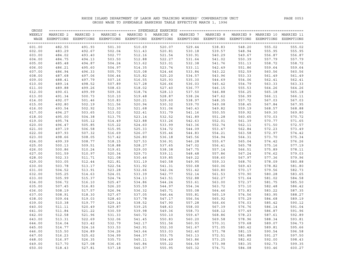# RHODE ISLAND DEPARTMENT OF LABOR AND TRAINING WORKERS' COMPENSATION UNIT PAGE 0053 GROSS WAGE TO SPENDABLE EARNINGS TABLE EFFECTIVE MARCH 1, 1996

| GROSS  |           |                                                                                                                    |           |           |           |           |           |        |                                 |        |
|--------|-----------|--------------------------------------------------------------------------------------------------------------------|-----------|-----------|-----------|-----------|-----------|--------|---------------------------------|--------|
| WEEKLY | MARRIED 2 | MARRIED 3                                                                                                          | MARRIED 4 | MARRIED 5 | MARRIED 6 | MARRIED 7 | MARRIED 8 |        | MARRIED 9 MARRIED 10 MARRIED 11 |        |
|        |           | WAGE EXEMPTIONS EXEMPTIONS EXEMPTIONS EXEMPTIONS EXEMPTIONS EXEMPTIONS EXEMPTIONS EXEMPTIONS EXEMPTIONS EXEMPTIONS |           |           |           |           |           |        |                                 |        |
|        |           |                                                                                                                    |           |           |           |           |           |        |                                 |        |
| 601.00 | 482.55    | 491.93                                                                                                             | 501.30    | 510.69    | 520.07    | 529.44    | 538.83    | 548.20 | 555.02                          | 555.02 |
| 602.00 | 483.29    | 492.67                                                                                                             | 502.04    | 511.43    | 520.81    | 530.18    | 539.57    | 548.94 | 555.95                          | 555.95 |
| 603.00 | 484.02    | 493.40                                                                                                             | 502.77    | 512.16    | 521.54    | 530.91    | 540.29    | 549.67 | 556.87                          | 556.87 |
| 604.00 | 484.75    | 494.13                                                                                                             | 503.50    | 512.88    | 522.27    | 531.64    | 541.02    | 550.39 | 557.79                          | 557.79 |
| 605.00 | 485.48    | 494.87                                                                                                             | 504.24    | 513.62    | 523.01    | 532.38    | 541.76    | 551.13 | 558.72                          | 558.72 |
| 606.00 | 486.21    | 495.60                                                                                                             | 504.97    | 514.35    | 523.74    | 533.11    | 542.49    | 551.86 | 559.64                          | 559.64 |
| 607.00 | 486.94    | 496.33                                                                                                             | 505.70    | 515.08    | 524.46    | 533.84    | 543.22    | 552.59 | 560.56                          | 560.56 |
| 608.00 | 487.68    | 497.06                                                                                                             | 506.44    | 515.82    | 525.20    | 534.57    | 543.96    | 553.33 | 561.49                          | 561.49 |
| 609.00 | 488.41    | 497.79                                                                                                             | 507.16    | 516.55    | 525.93    | 535.30    | 544.69    | 554.06 | 562.41                          | 562.41 |
| 610.00 | 489.14    | 498.52                                                                                                             | 507.89    | 517.28    | 526.66    | 536.03    | 545.42    | 554.79 | 563.33                          | 563.33 |
| 611.00 | 489.88    | 499.26                                                                                                             | 508.63    | 518.02    | 527.40    | 536.77    | 546.15    | 555.53 | 564.26                          | 564.26 |
| 612.00 | 490.61    | 499.99                                                                                                             | 509.36    | 518.74    | 528.13    | 537.50    | 546.88    | 556.25 | 565.18                          | 565.18 |
| 613.00 | 491.34    | 500.73                                                                                                             | 510.10    | 519.48    | 528.87    | 538.24    | 547.62    | 556.99 | 566.11                          | 566.11 |
| 614.00 | 492.07    | 501.46                                                                                                             | 510.83    | 520.21    | 529.60    | 538.97    | 548.35    | 557.72 | 567.03                          | 567.03 |
| 615.00 | 492.80    | 502.19                                                                                                             | 511.56    | 520.94    | 530.32    | 539.70    | 549.08    | 558.45 | 567.84                          | 567.95 |
| 616.00 | 493.54    | 502.92                                                                                                             | 512.30    | 521.68    | 531.06    | 540.43    | 549.82    | 559.19 | 568.57                          | 568.88 |
| 617.00 | 494.27    | 503.65                                                                                                             | 513.02    | 522.41    | 531.79    | 541.16    | 550.55    | 559.92 | 569.30                          | 569.80 |
| 618.00 | 495.00    | 504.38                                                                                                             | 513.75    | 523.14    | 532.52    | 541.89    | 551.28    | 560.65 | 570.03                          | 570.72 |
| 619.00 | 495.74    | 505.12                                                                                                             | 514.49    | 523.88    | 533.26    | 542.63    | 552.01    | 561.39 | 570.77                          | 571.65 |
| 620.00 | 496.47    | 505.85                                                                                                             | 515.22    | 524.60    | 533.99    | 543.36    | 552.74    | 562.11 | 571.50                          | 572.57 |
| 621.00 | 497.19    | 506.58                                                                                                             | 515.95    | 525.33    | 534.72    | 544.09    | 553.47    | 562.84 | 572.23                          | 573.49 |
| 622.00 | 497.93    | 507.32                                                                                                             | 516.69    | 526.07    | 535.46    | 544.83    | 554.21    | 563.58 | 572.97                          | 574.42 |
| 623.00 | 498.66    | 508.05                                                                                                             | 517.42    | 526.80    | 536.18    | 545.56    | 554.94    | 564.31 | 573.70                          | 575.34 |
| 624.00 | 499.39    | 508.77                                                                                                             | 518.15    | 527.53    | 536.91    | 546.28    | 555.67    | 565.04 | 574.42                          | 576.26 |
| 625.00 | 500.13    | 509.51                                                                                                             | 518.88    | 528.27    | 537.65    | 547.02    | 556.41    | 565.78 | 575.16                          | 577.19 |
| 626.00 | 500.86    | 510.24                                                                                                             | 519.61    | 529.00    | 538.38    | 547.75    | 557.14    | 566.51 | 575.89                          | 578.11 |
| 627.00 | 501.59    | 510.97                                                                                                             | 520.34    | 529.73    | 539.11    | 548.48    | 557.86    | 567.24 | 576.62                          | 579.03 |
| 628.00 | 502.33    | 511.71                                                                                                             | 521.08    | 530.46    | 539.85    | 549.22    | 558.60    | 567.97 | 577.36                          | 579.96 |
| 629.00 | 503.05    | 512.44                                                                                                             | 521.81    | 531.19    | 540.58    | 549.95    | 559.33    | 568.70 | 578.09                          | 580.88 |
| 630.00 | 503.78    | 513.17                                                                                                             | 522.54    | 531.92    | 541.31    | 550.68    | 560.06    | 569.43 | 578.82                          | 581.80 |
| 631.00 | 504.52    | 513.91                                                                                                             | 523.28    | 532.66    | 542.04    | 551.42    | 560.80    | 570.17 | 579.56                          | 582.73 |
| 632.00 | 505.25    | 514.63                                                                                                             | 524.01    | 533.39    | 542.77    | 552.14    | 561.53    | 570.90 | 580.28                          | 583.65 |
| 633.00 | 505.99    | 515.37                                                                                                             | 524.74    | 534.13    | 543.51    | 552.88    | 562.27    | 571.64 | 581.02                          | 584.58 |
| 634.00 | 506.72    | 516.10                                                                                                             | 525.47    | 534.86    | 544.24    | 553.61    | 563.00    | 572.37 | 581.75                          | 585.50 |
| 635.00 | 507.45    | 516.83                                                                                                             | 526.20    | 535.59    | 544.97    | 554.34    | 563.72    | 573.10 | 582.48                          | 586.42 |
| 636.00 | 508.19    | 517.57                                                                                                             | 526.94    | 536.32    | 545.71    | 555.08    | 564.46    | 573.83 | 583.22                          | 587.35 |
| 637.00 | 508.91    | 518.30                                                                                                             | 527.67    | 537.05    | 546.44    | 555.81    | 565.19    | 574.56 | 583.95                          | 588.27 |
|        | 509.64    | 519.03                                                                                                             | 528.40    | 537.78    | 547.17    | 556.54    | 565.92    | 575.29 |                                 | 589.19 |
| 638.00 |           |                                                                                                                    |           |           |           |           |           |        | 584.68                          |        |
| 639.00 | 510.38    | 519.77                                                                                                             | 529.14    | 538.52    | 547.90    | 557.28    | 566.66    | 576.03 | 585.42                          | 590.12 |
| 640.00 | 511.11    | 520.49                                                                                                             | 529.87    | 539.25    | 548.63    | 558.00    | 567.39    | 576.76 | 586.14                          | 591.04 |
| 641.00 | 511.84    | 521.22                                                                                                             | 530.59    | 539.98    | 549.36    | 558.73    | 568.12    | 577.49 | 586.87                          | 591.96 |
| 642.00 | 512.58    | 521.96                                                                                                             | 531.33    | 540.72    | 550.10    | 559.47    | 568.86    | 578.23 | 587.61                          | 592.89 |
| 643.00 | 513.31    | 522.69                                                                                                             | 532.06    | 541.45    | 550.83    | 560.20    | 569.58    | 578.96 | 588.34                          | 593.81 |
| 644.00 | 514.04    | 523.42                                                                                                             | 532.79    | 542.17    | 551.56    | 560.93    | 570.31    | 579.68 | 589.07                          | 594.73 |
| 645.00 | 514.77    | 524.16                                                                                                             | 533.53    | 542.91    | 552.30    | 561.67    | 571.05    | 580.42 | 589.81                          | 595.66 |
| 646.00 | 515.50    | 524.89                                                                                                             | 534.26    | 543.64    | 553.03    | 562.40    | 571.78    | 581.15 | 590.54                          | 596.58 |
| 647.00 | 516.23    | 525.62                                                                                                             | 534.99    | 544.37    | 553.75    | 563.13    | 572.51    | 581.88 | 591.27                          | 597.50 |
| 648.00 | 516.97    | 526.35                                                                                                             | 535.73    | 545.11    | 554.49    | 563.86    | 573.25    | 582.62 | 592.00                          | 598.43 |
| 649.00 | 517.70    | 527.08                                                                                                             | 536.45    | 545.84    | 555.22    | 564.59    | 573.98    | 583.35 | 592.73                          | 599.35 |
| 650.00 | 518.43    | 527.81                                                                                                             | 537.18    | 546.57    | 555.95    | 565.32    | 574.71    | 584.08 | 593.46                          | 600.27 |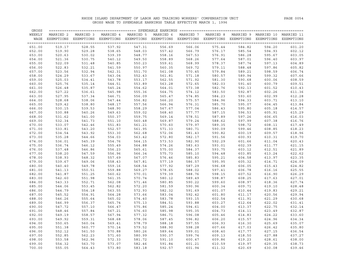### RHODE ISLAND DEPARTMENT OF LABOR AND TRAINING WORKERS' COMPENSATION UNIT PAGE 0054 GROSS WAGE TO SPENDABLE EARNINGS TABLE EFFECTIVE MARCH 1, 1996

| GROSS  |           |                                                                                                               |           |           |           |           |           |        |                                 |        |
|--------|-----------|---------------------------------------------------------------------------------------------------------------|-----------|-----------|-----------|-----------|-----------|--------|---------------------------------|--------|
| WEEKLY | MARRIED 2 | MARRIED 3                                                                                                     | MARRIED 4 | MARRIED 5 | MARRIED 6 | MARRIED 7 | MARRIED 8 |        | MARRIED 9 MARRIED 10 MARRIED 11 |        |
| WAGE   |           | EXEMPTIONS EXEMPTIONS EXEMPTIONS EXEMPTIONS EXEMPTIONS EXEMPTIONS EXEMPTIONS EXEMPTIONS EXEMPTIONS EXEMPTIONS |           |           |           |           |           |        |                                 |        |
|        |           |                                                                                                               |           |           |           |           |           |        |                                 |        |
| 651.00 | 519.17    | 528.55                                                                                                        | 537.92    | 547.31    | 556.69    | 566.06    | 575.44    | 584.82 | 594.20                          | 601.20 |
| 652.00 | 519.90    | 529.28                                                                                                        | 538.65    | 548.03    | 557.42    | 566.79    | 576.17    | 585.54 | 594.93                          | 602.12 |
| 653.00 | 520.63    | 530.02                                                                                                        | 539.39    | 548.77    | 558.16    | 567.53    | 576.91    | 586.28 | 595.67                          | 603.05 |
| 654.00 | 521.36    | 530.75                                                                                                        | 540.12    | 549.50    | 558.89    | 568.26    | 577.64    | 587.01 | 596.40                          | 603.97 |
| 655.00 | 522.09    | 531.48                                                                                                        | 540.85    | 550.23    | 559.61    | 568.99    | 578.37    | 587.74 | 597.13                          | 604.89 |
| 656.00 | 522.83    | 532.21                                                                                                        | 541.59    | 550.97    | 560.35    | 569.72    | 579.11    | 588.48 | 597.86                          | 605.82 |
| 657.00 | 523.56    | 532.94                                                                                                        | 542.31    | 551.70    | 561.08    | 570.45    | 579.84    | 589.21 | 598.59                          | 606.74 |
| 658.00 | 524.29    | 533.67                                                                                                        | 543.04    | 552.43    | 561.81    | 571.18    | 580.57    | 589.94 | 599.32                          | 607.66 |
| 659.00 | 525.03    | 534.41                                                                                                        | 543.78    | 553.17    | 562.55    | 571.92    | 581.30    | 590.68 | 600.06                          | 608.59 |
| 660.00 | 525.76    | 535.14                                                                                                        | 544.51    | 553.89    | 563.28    | 572.65    | 582.03    | 591.40 | 600.79                          | 609.51 |
| 661.00 | 526.48    | 535.87                                                                                                        | 545.24    | 554.62    | 564.01    | 573.38    | 582.76    | 592.13 | 601.52                          | 610.43 |
| 662.00 | 527.22    | 536.61                                                                                                        | 545.98    | 555.36    | 564.75    | 574.12    | 583.50    | 592.87 | 602.26                          | 611.36 |
| 663.00 | 527.95    | 537.34                                                                                                        | 546.71    | 556.09    | 565.47    | 574.85    | 584.23    | 593.60 | 602.99                          | 612.28 |
| 664.00 | 528.68    | 538.06                                                                                                        | 547.44    | 556.82    | 566.20    | 575.57    | 584.96    | 594.33 | 603.71                          | 613.10 |
| 665.00 | 529.42    | 538.80                                                                                                        | 548.17    | 557.56    | 566.94    | 576.31    | 585.70    | 595.07 | 604.45                          | 613.84 |
| 666.00 | 530.15    | 539.53                                                                                                        | 548.90    | 558.29    | 567.67    | 577.04    | 586.43    | 595.80 | 605.18                          | 614.57 |
| 667.00 | 530.88    | 540.26                                                                                                        | 549.63    | 559.02    | 568.40    | 577.77    | 587.15    | 596.53 | 605.91                          | 615.29 |
| 668.00 | 531.62    | 541.00                                                                                                        | 550.37    | 559.75    | 569.14    | 578.51    | 587.89    | 597.26 | 606.65                          | 616.03 |
| 669.00 | 532.34    | 541.73                                                                                                        | 551.10    | 560.48    | 569.87    | 579.24    | 588.62    | 597.99 | 607.38                          | 616.76 |
| 670.00 | 533.07    | 542.46                                                                                                        | 551.83    | 561.21    | 570.60    | 579.97    | 589.35    | 598.72 | 608.11                          | 617.49 |
| 671.00 | 533.81    | 543.20                                                                                                        | 552.57    | 561.95    | 571.33    | 580.71    | 590.09    | 599.46 | 608.85                          | 618.23 |
| 672.00 | 534.54    | 543.92                                                                                                        | 553.30    | 562.68    | 572.06    | 581.43    | 590.82    | 600.19 | 609.57                          | 618.96 |
| 673.00 | 535.28    | 544.66                                                                                                        | 554.03    | 563.42    | 572.80    | 582.17    | 591.56    | 600.93 | 610.31                          | 619.70 |
| 674.00 | 536.01    | 545.39                                                                                                        | 554.76    | 564.15    | 573.53    | 582.90    | 592.29    | 601.66 | 611.04                          | 620.43 |
| 675.00 | 536.74    | 546.12                                                                                                        | 555.49    | 564.88    | 574.26    | 583.63    | 593.01    | 602.39 | 611.77                          | 621.15 |
| 676.00 | 537.48    | 546.86                                                                                                        | 556.23    | 565.61    | 575.00    | 584.37    | 593.75    | 603.12 | 612.51                          | 621.89 |
| 677.00 | 538.20    | 547.59                                                                                                        | 556.96    | 566.34    | 575.73    | 585.10    | 594.48    | 603.85 | 613.24                          | 622.62 |
| 678.00 | 538.93    | 548.32                                                                                                        | 557.69    | 567.07    | 576.46    | 585.83    | 595.21    | 604.58 | 613.97                          | 623.35 |
| 679.00 | 539.67    | 549.06                                                                                                        | 558.43    | 567.81    | 577.19    | 586.57    | 595.95    | 605.32 | 614.71                          | 624.09 |
| 680.00 | 540.40    | 549.78                                                                                                        | 559.16    | 568.54    | 577.92    | 587.29    | 596.68    | 606.05 | 615.43                          | 624.82 |
| 681.00 | 541.13    | 550.51                                                                                                        | 559.88    | 569.27    | 578.65    | 588.02    | 597.41    | 606.78 | 616.16                          | 625.55 |
| 682.00 | 541.87    | 551.25                                                                                                        | 560.62    | 570.01    | 579.39    | 588.76    | 598.15    | 607.52 | 616.90                          | 626.29 |
| 683.00 | 542.60    | 551.98                                                                                                        | 561.35    | 570.74    | 580.12    | 589.49    | 598.87    | 608.25 | 617.63                          | 627.01 |
| 684.00 | 543.33    | 552.71                                                                                                        | 562.08    | 571.46    | 580.85    | 590.22    | 599.60    | 608.97 | 618.36                          | 627.74 |
| 685.00 | 544.06    | 553.45                                                                                                        | 562.82    | 572.20    | 581.59    | 590.96    | 600.34    | 609.71 | 619.10                          | 628.48 |
| 686.00 | 544.79    | 554.18                                                                                                        | 563.55    | 572.93    | 582.32    | 591.69    | 601.07    | 610.44 | 619.83                          | 629.21 |
| 687.00 | 545.52    | 554.91                                                                                                        | 564.28    | 573.66    | 583.04    | 592.42    | 601.80    | 611.17 | 620.56                          | 629.94 |
| 688.00 | 546.26    | 555.64                                                                                                        | 565.02    | 574.40    | 583.78    | 593.15    | 602.54    | 611.91 | 621.29                          | 630.68 |
| 689.00 | 546.99    | 556.37                                                                                                        | 565.74    | 575.13    | 584.51    | 593.88    | 603.27    | 612.64 | 622.02                          | 631.41 |
| 690.00 | 547.72    | 557.10                                                                                                        | 566.47    | 575.86    | 585.24    | 594.61    | 604.00    | 613.37 | 622.75                          | 632.14 |
| 691.00 | 548.46    | 557.84                                                                                                        | 567.21    | 576.60    | 585.98    | 595.35    | 604.73    | 614.11 | 623.49                          | 632.87 |
| 692.00 | 549.19    | 558.57                                                                                                        | 567.94    | 577.32    | 586.71    | 596.08    | 605.46    | 614.83 | 624.22                          | 633.60 |
| 693.00 | 549.92    | 559.31                                                                                                        | 568.68    | 578.06    | 587.45    | 596.82    | 606.20    | 615.57 | 624.96                          | 634.34 |
| 694.00 | 550.65    | 560.04                                                                                                        | 569.41    | 578.79    | 588.18    | 597.55    | 606.93    | 616.30 | 625.69                          | 635.07 |
| 695.00 | 551.38    | 560.77                                                                                                        | 570.14    | 579.52    | 588.90    | 598.28    | 607.66    | 617.03 | 626.42                          | 635.80 |
| 696.00 | 552.12    | 561.50                                                                                                        | 570.88    | 580.26    | 589.64    | 599.01    | 608.40    | 617.77 | 627.15                          | 636.54 |
| 697.00 | 552.85    | 562.23                                                                                                        | 571.60    | 580.99    | 590.37    | 599.74    | 609.13    | 618.50 | 627.88                          | 637.27 |
| 698.00 | 553.58    | 562.96                                                                                                        | 572.33    | 581.72    | 591.10    | 600.47    | 609.86    | 619.23 | 628.61                          | 638.00 |
| 699.00 | 554.32    | 563.70                                                                                                        | 573.07    | 582.46    | 591.84    | 601.21    | 610.59    | 619.97 | 629.35                          | 638.73 |
| 700.00 | 555.05    | 564.43                                                                                                        | 573.80    | 583.18    | 592.57    | 601.94    | 611.32    | 620.69 | 630.08                          | 639.46 |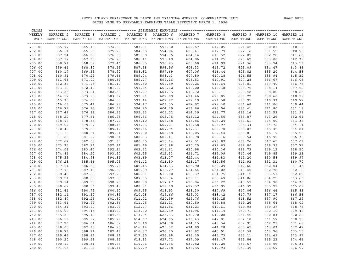# RHODE ISLAND DEPARTMENT OF LABOR AND TRAINING WORKERS' COMPENSATION UNIT PAGE 0055 GROSS WAGE TO SPENDABLE EARNINGS TABLE EFFECTIVE MARCH 1, 1996

| WEEKLY<br>MARRIED 2<br>MARRIED 3<br>MARRIED 4<br>MARRIED 5<br>MARRIED 6<br>MARRIED 7<br>MARRIED 8<br>MARRIED 9 MARRIED 10 MARRIED 11<br>WAGE<br>EXEMPTIONS EXEMPTIONS EXEMPTIONS EXEMPTIONS EXEMPTIONS EXEMPTIONS EXEMPTIONS EXEMPTIONS EXEMPTIONS EXEMPTIONS<br>602.67<br>701.00<br>555.77<br>565.16<br>574.53<br>583.91<br>593.30<br>612.05<br>621.42<br>630.81<br>640.19<br>702.00<br>556.51<br>565.90<br>575.27<br>584.65<br>594.04<br>603.41<br>612.79<br>622.16<br>631.55<br>640.93<br>703.00<br>557.24<br>566.63<br>576.00<br>585.38<br>594.76<br>604.14<br>613.52<br>622.89<br>632.28<br>641.66<br>604.86<br>704.00<br>557.97<br>567.35<br>576.73<br>586.11<br>595.49<br>614.25<br>623.62<br>633.00<br>642.39<br>705.00<br>558.71<br>568.09<br>577.46<br>586.85<br>596.23<br>605.60<br>614.99<br>624.36<br>633.74<br>643.13<br>706.00<br>559.44<br>568.82<br>578.19<br>587.58<br>596.96<br>606.33<br>615.72<br>625.09<br>634.47<br>643.86<br>707.00<br>560.17<br>569.55<br>578.92<br>588.31<br>597.69<br>607.06<br>616.44<br>625.82<br>635.20<br>644.58<br>708.00<br>560.91<br>579.66<br>589.04<br>598.43<br>607.80<br>626.55<br>645.32<br>570.29<br>617.18<br>635.94<br>709.00<br>561.63<br>571.02<br>580.39<br>589.77<br>599.16<br>608.53<br>617.91<br>627.28<br>636.67<br>646.05<br>581.12<br>590.50<br>710.00<br>562.36<br>571.75<br>599.89<br>609.26<br>618.64<br>628.01<br>637.40<br>646.78<br>711.00<br>563.10<br>572.49<br>581.86<br>591.24<br>600.62<br>610.00<br>619.38<br>628.75<br>638.14<br>647.52<br>712.00<br>563.83<br>573.21<br>582.59<br>591.97<br>601.35<br>610.72<br>629.48<br>638.86<br>648.25<br>620.11<br>713.00<br>564.57<br>573.95<br>583.32<br>592.71<br>602.09<br>611.46<br>620.85<br>630.22<br>639.60<br>648.99<br>565.30<br>574.68<br>584.05<br>593.44<br>602.82<br>612.19<br>621.58<br>630.95<br>640.33<br>649.72<br>714.00<br>566.03<br>584.78<br>594.17<br>603.55<br>612.92<br>622.30<br>641.06<br>715.00<br>575.41<br>631.68<br>650.44<br>716.00<br>566.77<br>576.15<br>585.52<br>594.90<br>604.29<br>613.66<br>623.04<br>632.41<br>641.80<br>651.18<br>717.00<br>567.49<br>576.88<br>586.25<br>595.63<br>605.02<br>614.39<br>623.77<br>633.14<br>642.53<br>651.91<br>568.22<br>586.98<br>596.36<br>605.75<br>615.12<br>633.87<br>652.64<br>718.00<br>577.61<br>624.50<br>643.26<br>719.00<br>568.96<br>578.35<br>587.72<br>597.10<br>606.48<br>615.86<br>625.24<br>634.61<br>644.00<br>653.38<br>720.00<br>569.69<br>579.07<br>588.45<br>597.83<br>607.21<br>616.58<br>625.97<br>635.34<br>644.72<br>654.11<br>570.42<br>589.17<br>598.56<br>607.94<br>617.31<br>636.07<br>654.84<br>721.00<br>579.80<br>626.70<br>645.45<br>722.00<br>571.16<br>589.91<br>599.30<br>608.68<br>618.05<br>627.44<br>636.81<br>646.19<br>655.58<br>580.54<br>723.00<br>571.89<br>581.27<br>590.64<br>600.03<br>609.41<br>618.78<br>628.16<br>637.54<br>646.92<br>656.30<br>572.62<br>582.00<br>591.37<br>600.75<br>610.14<br>619.51<br>628.89<br>638.26<br>647.65<br>657.03<br>724.00<br>573.35<br>592.11<br>601.49<br>620.25<br>639.00<br>725.00<br>582.74<br>610.88<br>629.63<br>648.39<br>657.77<br>574.08<br>583.47<br>592.84<br>602.22<br>611.61<br>620.98<br>630.36<br>639.73<br>649.12<br>658.50<br>726.00<br>621.71<br>640.46<br>659.23<br>727.00<br>574.81<br>584.20<br>593.57<br>602.95<br>612.33<br>631.09<br>649.85<br>728.00<br>575.55<br>584.93<br>594.31<br>603.69<br>613.07<br>622.44<br>631.83<br>641.20<br>650.58<br>659.97<br>576.28<br>595.03<br>604.42<br>623.17<br>660.70<br>729.00<br>585.66<br>613.80<br>632.56<br>641.93<br>651.31<br>595.76<br>605.15<br>623.90<br>642.66<br>730.00<br>577.01<br>586.39<br>614.53<br>633.29<br>652.04<br>661.43<br>731.00<br>577.75<br>587.13<br>596.50<br>605.89<br>615.27<br>624.64<br>634.02<br>643.40<br>652.78<br>662.16<br>732.00<br>578.48<br>597.23<br>606.61<br>616.00<br>625.37<br>634.75<br>644.12<br>653.51<br>662.89<br>587.86<br>733.00<br>579.21<br>588.60<br>597.97<br>607.35<br>616.74<br>626.11<br>635.49<br>644.86<br>654.25<br>663.63<br>626.84<br>645.59<br>664.36<br>734.00<br>579.94<br>589.33<br>598.70<br>608.08<br>617.47<br>636.22<br>654.98<br>627.57<br>735.00<br>580.67<br>590.06<br>599.43<br>608.81<br>618.19<br>636.95<br>646.32<br>655.71<br>665.09<br>665.83<br>736.00<br>581.41<br>590.79<br>600.17<br>609.55<br>618.93<br>628.30<br>637.69<br>647.06<br>656.44<br>610.28<br>629.03<br>647.79<br>737.00<br>582.14<br>591.52<br>600.89<br>619.66<br>638.42<br>657.17<br>666.56<br>582.87<br>592.25<br>601.62<br>611.01<br>620.39<br>629.76<br>639.15<br>648.52<br>657.90<br>667.29<br>738.00<br>611.75<br>630.50<br>649.26<br>668.02<br>739.00<br>583.61<br>592.99<br>602.36<br>621.13<br>639.88<br>658.64<br>740.00<br>584.34<br>593.72<br>603.09<br>612.47<br>621.86<br>631.23<br>640.61<br>649.98<br>659.37<br>668.75<br>585.06<br>594.45<br>603.82<br>613.20<br>622.59<br>631.96<br>641.34<br>650.71<br>660.10<br>741.00<br>669.48<br>742.00<br>585.80<br>595.19<br>604.56<br>613.94<br>623.33<br>632.70<br>642.08<br>651.45<br>660.84<br>670.22<br>743.00<br>586.53<br>595.92<br>605.29<br>614.67<br>624.05<br>633.43<br>642.81<br>652.18<br>661.57<br>670.95<br>744.00<br>587.26<br>596.64<br>606.02<br>615.40<br>624.78<br>634.15<br>643.54<br>652.91<br>662.29<br>671.68<br>745.00<br>588.00<br>597.38<br>606.75<br>616.14<br>625.52<br>634.89<br>644.28<br>653.65<br>663.03<br>672.42<br>607.48<br>616.87<br>626.25<br>635.62<br>654.38<br>663.76<br>673.15<br>746.00<br>588.73<br>598.11<br>645.01<br>747.00<br>589.46<br>598.84<br>608.21<br>617.60<br>626.98<br>636.35<br>645.73<br>655.11<br>664.49<br>673.87<br>748.00<br>590.20<br>599.58<br>608.95<br>618.33<br>627.72<br>637.09<br>646.47<br>655.84<br>665.23<br>674.61<br>749.00<br>590.92<br>600.31<br>609.68<br>619.06<br>628.45<br>637.82<br>647.20<br>656.57<br>665.96<br>675.34<br>750.00<br>591.65<br>601.04<br>610.41<br>619.79<br>629.18<br>638.55<br>647.93<br>657.30<br>666.69<br>676.07 | GROSS |  |  |  |  |  |
|-------------------------------------------------------------------------------------------------------------------------------------------------------------------------------------------------------------------------------------------------------------------------------------------------------------------------------------------------------------------------------------------------------------------------------------------------------------------------------------------------------------------------------------------------------------------------------------------------------------------------------------------------------------------------------------------------------------------------------------------------------------------------------------------------------------------------------------------------------------------------------------------------------------------------------------------------------------------------------------------------------------------------------------------------------------------------------------------------------------------------------------------------------------------------------------------------------------------------------------------------------------------------------------------------------------------------------------------------------------------------------------------------------------------------------------------------------------------------------------------------------------------------------------------------------------------------------------------------------------------------------------------------------------------------------------------------------------------------------------------------------------------------------------------------------------------------------------------------------------------------------------------------------------------------------------------------------------------------------------------------------------------------------------------------------------------------------------------------------------------------------------------------------------------------------------------------------------------------------------------------------------------------------------------------------------------------------------------------------------------------------------------------------------------------------------------------------------------------------------------------------------------------------------------------------------------------------------------------------------------------------------------------------------------------------------------------------------------------------------------------------------------------------------------------------------------------------------------------------------------------------------------------------------------------------------------------------------------------------------------------------------------------------------------------------------------------------------------------------------------------------------------------------------------------------------------------------------------------------------------------------------------------------------------------------------------------------------------------------------------------------------------------------------------------------------------------------------------------------------------------------------------------------------------------------------------------------------------------------------------------------------------------------------------------------------------------------------------------------------------------------------------------------------------------------------------------------------------------------------------------------------------------------------------------------------------------------------------------------------------------------------------------------------------------------------------------------------------------------------------------------------------------------------------------------------------------------------------------------------------------------------------------------------------------------------------------------------------------------------------------------------------------------------------------------------------------------------------------------------------------------------------------------------------------------------------------------------------------------------------------------------------------------------------------------------------------------------------------------------------------------------------------------------------------------------------------------------------------------------------------------------------------------------------------------------------------------------------------------------------------------------------------------------------------------------------------------------------------------------------------------------------------------------------------------------------------------------------------------------------------------------------------------------------------------------------------------------------------------------------------------------------------------------------------------------------------------------------------------------------------------------------------------------------------------------------------------------------------------------------------------------------------------------------------------------------------------------------------------------------------------------------------------------------------------------------------------------------------------------------------------------------------------------------------------------------------------------------------------------------|-------|--|--|--|--|--|
|                                                                                                                                                                                                                                                                                                                                                                                                                                                                                                                                                                                                                                                                                                                                                                                                                                                                                                                                                                                                                                                                                                                                                                                                                                                                                                                                                                                                                                                                                                                                                                                                                                                                                                                                                                                                                                                                                                                                                                                                                                                                                                                                                                                                                                                                                                                                                                                                                                                                                                                                                                                                                                                                                                                                                                                                                                                                                                                                                                                                                                                                                                                                                                                                                                                                                                                                                                                                                                                                                                                                                                                                                                                                                                                                                                                                                                                                                                                                                                                                                                                                                                                                                                                                                                                                                                                                                                                                                                                                                                                                                                                                                                                                                                                                                                                                                                                                                                                                                                                                                                                                                                                                                                                                                                                                                                                                                                                                                                                                                                                                                                                                                                                                                                                                                                                                                                                                                                                                                                                           |       |  |  |  |  |  |
|                                                                                                                                                                                                                                                                                                                                                                                                                                                                                                                                                                                                                                                                                                                                                                                                                                                                                                                                                                                                                                                                                                                                                                                                                                                                                                                                                                                                                                                                                                                                                                                                                                                                                                                                                                                                                                                                                                                                                                                                                                                                                                                                                                                                                                                                                                                                                                                                                                                                                                                                                                                                                                                                                                                                                                                                                                                                                                                                                                                                                                                                                                                                                                                                                                                                                                                                                                                                                                                                                                                                                                                                                                                                                                                                                                                                                                                                                                                                                                                                                                                                                                                                                                                                                                                                                                                                                                                                                                                                                                                                                                                                                                                                                                                                                                                                                                                                                                                                                                                                                                                                                                                                                                                                                                                                                                                                                                                                                                                                                                                                                                                                                                                                                                                                                                                                                                                                                                                                                                                           |       |  |  |  |  |  |
|                                                                                                                                                                                                                                                                                                                                                                                                                                                                                                                                                                                                                                                                                                                                                                                                                                                                                                                                                                                                                                                                                                                                                                                                                                                                                                                                                                                                                                                                                                                                                                                                                                                                                                                                                                                                                                                                                                                                                                                                                                                                                                                                                                                                                                                                                                                                                                                                                                                                                                                                                                                                                                                                                                                                                                                                                                                                                                                                                                                                                                                                                                                                                                                                                                                                                                                                                                                                                                                                                                                                                                                                                                                                                                                                                                                                                                                                                                                                                                                                                                                                                                                                                                                                                                                                                                                                                                                                                                                                                                                                                                                                                                                                                                                                                                                                                                                                                                                                                                                                                                                                                                                                                                                                                                                                                                                                                                                                                                                                                                                                                                                                                                                                                                                                                                                                                                                                                                                                                                                           |       |  |  |  |  |  |
|                                                                                                                                                                                                                                                                                                                                                                                                                                                                                                                                                                                                                                                                                                                                                                                                                                                                                                                                                                                                                                                                                                                                                                                                                                                                                                                                                                                                                                                                                                                                                                                                                                                                                                                                                                                                                                                                                                                                                                                                                                                                                                                                                                                                                                                                                                                                                                                                                                                                                                                                                                                                                                                                                                                                                                                                                                                                                                                                                                                                                                                                                                                                                                                                                                                                                                                                                                                                                                                                                                                                                                                                                                                                                                                                                                                                                                                                                                                                                                                                                                                                                                                                                                                                                                                                                                                                                                                                                                                                                                                                                                                                                                                                                                                                                                                                                                                                                                                                                                                                                                                                                                                                                                                                                                                                                                                                                                                                                                                                                                                                                                                                                                                                                                                                                                                                                                                                                                                                                                                           |       |  |  |  |  |  |
|                                                                                                                                                                                                                                                                                                                                                                                                                                                                                                                                                                                                                                                                                                                                                                                                                                                                                                                                                                                                                                                                                                                                                                                                                                                                                                                                                                                                                                                                                                                                                                                                                                                                                                                                                                                                                                                                                                                                                                                                                                                                                                                                                                                                                                                                                                                                                                                                                                                                                                                                                                                                                                                                                                                                                                                                                                                                                                                                                                                                                                                                                                                                                                                                                                                                                                                                                                                                                                                                                                                                                                                                                                                                                                                                                                                                                                                                                                                                                                                                                                                                                                                                                                                                                                                                                                                                                                                                                                                                                                                                                                                                                                                                                                                                                                                                                                                                                                                                                                                                                                                                                                                                                                                                                                                                                                                                                                                                                                                                                                                                                                                                                                                                                                                                                                                                                                                                                                                                                                                           |       |  |  |  |  |  |
|                                                                                                                                                                                                                                                                                                                                                                                                                                                                                                                                                                                                                                                                                                                                                                                                                                                                                                                                                                                                                                                                                                                                                                                                                                                                                                                                                                                                                                                                                                                                                                                                                                                                                                                                                                                                                                                                                                                                                                                                                                                                                                                                                                                                                                                                                                                                                                                                                                                                                                                                                                                                                                                                                                                                                                                                                                                                                                                                                                                                                                                                                                                                                                                                                                                                                                                                                                                                                                                                                                                                                                                                                                                                                                                                                                                                                                                                                                                                                                                                                                                                                                                                                                                                                                                                                                                                                                                                                                                                                                                                                                                                                                                                                                                                                                                                                                                                                                                                                                                                                                                                                                                                                                                                                                                                                                                                                                                                                                                                                                                                                                                                                                                                                                                                                                                                                                                                                                                                                                                           |       |  |  |  |  |  |
|                                                                                                                                                                                                                                                                                                                                                                                                                                                                                                                                                                                                                                                                                                                                                                                                                                                                                                                                                                                                                                                                                                                                                                                                                                                                                                                                                                                                                                                                                                                                                                                                                                                                                                                                                                                                                                                                                                                                                                                                                                                                                                                                                                                                                                                                                                                                                                                                                                                                                                                                                                                                                                                                                                                                                                                                                                                                                                                                                                                                                                                                                                                                                                                                                                                                                                                                                                                                                                                                                                                                                                                                                                                                                                                                                                                                                                                                                                                                                                                                                                                                                                                                                                                                                                                                                                                                                                                                                                                                                                                                                                                                                                                                                                                                                                                                                                                                                                                                                                                                                                                                                                                                                                                                                                                                                                                                                                                                                                                                                                                                                                                                                                                                                                                                                                                                                                                                                                                                                                                           |       |  |  |  |  |  |
|                                                                                                                                                                                                                                                                                                                                                                                                                                                                                                                                                                                                                                                                                                                                                                                                                                                                                                                                                                                                                                                                                                                                                                                                                                                                                                                                                                                                                                                                                                                                                                                                                                                                                                                                                                                                                                                                                                                                                                                                                                                                                                                                                                                                                                                                                                                                                                                                                                                                                                                                                                                                                                                                                                                                                                                                                                                                                                                                                                                                                                                                                                                                                                                                                                                                                                                                                                                                                                                                                                                                                                                                                                                                                                                                                                                                                                                                                                                                                                                                                                                                                                                                                                                                                                                                                                                                                                                                                                                                                                                                                                                                                                                                                                                                                                                                                                                                                                                                                                                                                                                                                                                                                                                                                                                                                                                                                                                                                                                                                                                                                                                                                                                                                                                                                                                                                                                                                                                                                                                           |       |  |  |  |  |  |
|                                                                                                                                                                                                                                                                                                                                                                                                                                                                                                                                                                                                                                                                                                                                                                                                                                                                                                                                                                                                                                                                                                                                                                                                                                                                                                                                                                                                                                                                                                                                                                                                                                                                                                                                                                                                                                                                                                                                                                                                                                                                                                                                                                                                                                                                                                                                                                                                                                                                                                                                                                                                                                                                                                                                                                                                                                                                                                                                                                                                                                                                                                                                                                                                                                                                                                                                                                                                                                                                                                                                                                                                                                                                                                                                                                                                                                                                                                                                                                                                                                                                                                                                                                                                                                                                                                                                                                                                                                                                                                                                                                                                                                                                                                                                                                                                                                                                                                                                                                                                                                                                                                                                                                                                                                                                                                                                                                                                                                                                                                                                                                                                                                                                                                                                                                                                                                                                                                                                                                                           |       |  |  |  |  |  |
|                                                                                                                                                                                                                                                                                                                                                                                                                                                                                                                                                                                                                                                                                                                                                                                                                                                                                                                                                                                                                                                                                                                                                                                                                                                                                                                                                                                                                                                                                                                                                                                                                                                                                                                                                                                                                                                                                                                                                                                                                                                                                                                                                                                                                                                                                                                                                                                                                                                                                                                                                                                                                                                                                                                                                                                                                                                                                                                                                                                                                                                                                                                                                                                                                                                                                                                                                                                                                                                                                                                                                                                                                                                                                                                                                                                                                                                                                                                                                                                                                                                                                                                                                                                                                                                                                                                                                                                                                                                                                                                                                                                                                                                                                                                                                                                                                                                                                                                                                                                                                                                                                                                                                                                                                                                                                                                                                                                                                                                                                                                                                                                                                                                                                                                                                                                                                                                                                                                                                                                           |       |  |  |  |  |  |
|                                                                                                                                                                                                                                                                                                                                                                                                                                                                                                                                                                                                                                                                                                                                                                                                                                                                                                                                                                                                                                                                                                                                                                                                                                                                                                                                                                                                                                                                                                                                                                                                                                                                                                                                                                                                                                                                                                                                                                                                                                                                                                                                                                                                                                                                                                                                                                                                                                                                                                                                                                                                                                                                                                                                                                                                                                                                                                                                                                                                                                                                                                                                                                                                                                                                                                                                                                                                                                                                                                                                                                                                                                                                                                                                                                                                                                                                                                                                                                                                                                                                                                                                                                                                                                                                                                                                                                                                                                                                                                                                                                                                                                                                                                                                                                                                                                                                                                                                                                                                                                                                                                                                                                                                                                                                                                                                                                                                                                                                                                                                                                                                                                                                                                                                                                                                                                                                                                                                                                                           |       |  |  |  |  |  |
|                                                                                                                                                                                                                                                                                                                                                                                                                                                                                                                                                                                                                                                                                                                                                                                                                                                                                                                                                                                                                                                                                                                                                                                                                                                                                                                                                                                                                                                                                                                                                                                                                                                                                                                                                                                                                                                                                                                                                                                                                                                                                                                                                                                                                                                                                                                                                                                                                                                                                                                                                                                                                                                                                                                                                                                                                                                                                                                                                                                                                                                                                                                                                                                                                                                                                                                                                                                                                                                                                                                                                                                                                                                                                                                                                                                                                                                                                                                                                                                                                                                                                                                                                                                                                                                                                                                                                                                                                                                                                                                                                                                                                                                                                                                                                                                                                                                                                                                                                                                                                                                                                                                                                                                                                                                                                                                                                                                                                                                                                                                                                                                                                                                                                                                                                                                                                                                                                                                                                                                           |       |  |  |  |  |  |
|                                                                                                                                                                                                                                                                                                                                                                                                                                                                                                                                                                                                                                                                                                                                                                                                                                                                                                                                                                                                                                                                                                                                                                                                                                                                                                                                                                                                                                                                                                                                                                                                                                                                                                                                                                                                                                                                                                                                                                                                                                                                                                                                                                                                                                                                                                                                                                                                                                                                                                                                                                                                                                                                                                                                                                                                                                                                                                                                                                                                                                                                                                                                                                                                                                                                                                                                                                                                                                                                                                                                                                                                                                                                                                                                                                                                                                                                                                                                                                                                                                                                                                                                                                                                                                                                                                                                                                                                                                                                                                                                                                                                                                                                                                                                                                                                                                                                                                                                                                                                                                                                                                                                                                                                                                                                                                                                                                                                                                                                                                                                                                                                                                                                                                                                                                                                                                                                                                                                                                                           |       |  |  |  |  |  |
|                                                                                                                                                                                                                                                                                                                                                                                                                                                                                                                                                                                                                                                                                                                                                                                                                                                                                                                                                                                                                                                                                                                                                                                                                                                                                                                                                                                                                                                                                                                                                                                                                                                                                                                                                                                                                                                                                                                                                                                                                                                                                                                                                                                                                                                                                                                                                                                                                                                                                                                                                                                                                                                                                                                                                                                                                                                                                                                                                                                                                                                                                                                                                                                                                                                                                                                                                                                                                                                                                                                                                                                                                                                                                                                                                                                                                                                                                                                                                                                                                                                                                                                                                                                                                                                                                                                                                                                                                                                                                                                                                                                                                                                                                                                                                                                                                                                                                                                                                                                                                                                                                                                                                                                                                                                                                                                                                                                                                                                                                                                                                                                                                                                                                                                                                                                                                                                                                                                                                                                           |       |  |  |  |  |  |
|                                                                                                                                                                                                                                                                                                                                                                                                                                                                                                                                                                                                                                                                                                                                                                                                                                                                                                                                                                                                                                                                                                                                                                                                                                                                                                                                                                                                                                                                                                                                                                                                                                                                                                                                                                                                                                                                                                                                                                                                                                                                                                                                                                                                                                                                                                                                                                                                                                                                                                                                                                                                                                                                                                                                                                                                                                                                                                                                                                                                                                                                                                                                                                                                                                                                                                                                                                                                                                                                                                                                                                                                                                                                                                                                                                                                                                                                                                                                                                                                                                                                                                                                                                                                                                                                                                                                                                                                                                                                                                                                                                                                                                                                                                                                                                                                                                                                                                                                                                                                                                                                                                                                                                                                                                                                                                                                                                                                                                                                                                                                                                                                                                                                                                                                                                                                                                                                                                                                                                                           |       |  |  |  |  |  |
|                                                                                                                                                                                                                                                                                                                                                                                                                                                                                                                                                                                                                                                                                                                                                                                                                                                                                                                                                                                                                                                                                                                                                                                                                                                                                                                                                                                                                                                                                                                                                                                                                                                                                                                                                                                                                                                                                                                                                                                                                                                                                                                                                                                                                                                                                                                                                                                                                                                                                                                                                                                                                                                                                                                                                                                                                                                                                                                                                                                                                                                                                                                                                                                                                                                                                                                                                                                                                                                                                                                                                                                                                                                                                                                                                                                                                                                                                                                                                                                                                                                                                                                                                                                                                                                                                                                                                                                                                                                                                                                                                                                                                                                                                                                                                                                                                                                                                                                                                                                                                                                                                                                                                                                                                                                                                                                                                                                                                                                                                                                                                                                                                                                                                                                                                                                                                                                                                                                                                                                           |       |  |  |  |  |  |
|                                                                                                                                                                                                                                                                                                                                                                                                                                                                                                                                                                                                                                                                                                                                                                                                                                                                                                                                                                                                                                                                                                                                                                                                                                                                                                                                                                                                                                                                                                                                                                                                                                                                                                                                                                                                                                                                                                                                                                                                                                                                                                                                                                                                                                                                                                                                                                                                                                                                                                                                                                                                                                                                                                                                                                                                                                                                                                                                                                                                                                                                                                                                                                                                                                                                                                                                                                                                                                                                                                                                                                                                                                                                                                                                                                                                                                                                                                                                                                                                                                                                                                                                                                                                                                                                                                                                                                                                                                                                                                                                                                                                                                                                                                                                                                                                                                                                                                                                                                                                                                                                                                                                                                                                                                                                                                                                                                                                                                                                                                                                                                                                                                                                                                                                                                                                                                                                                                                                                                                           |       |  |  |  |  |  |
|                                                                                                                                                                                                                                                                                                                                                                                                                                                                                                                                                                                                                                                                                                                                                                                                                                                                                                                                                                                                                                                                                                                                                                                                                                                                                                                                                                                                                                                                                                                                                                                                                                                                                                                                                                                                                                                                                                                                                                                                                                                                                                                                                                                                                                                                                                                                                                                                                                                                                                                                                                                                                                                                                                                                                                                                                                                                                                                                                                                                                                                                                                                                                                                                                                                                                                                                                                                                                                                                                                                                                                                                                                                                                                                                                                                                                                                                                                                                                                                                                                                                                                                                                                                                                                                                                                                                                                                                                                                                                                                                                                                                                                                                                                                                                                                                                                                                                                                                                                                                                                                                                                                                                                                                                                                                                                                                                                                                                                                                                                                                                                                                                                                                                                                                                                                                                                                                                                                                                                                           |       |  |  |  |  |  |
|                                                                                                                                                                                                                                                                                                                                                                                                                                                                                                                                                                                                                                                                                                                                                                                                                                                                                                                                                                                                                                                                                                                                                                                                                                                                                                                                                                                                                                                                                                                                                                                                                                                                                                                                                                                                                                                                                                                                                                                                                                                                                                                                                                                                                                                                                                                                                                                                                                                                                                                                                                                                                                                                                                                                                                                                                                                                                                                                                                                                                                                                                                                                                                                                                                                                                                                                                                                                                                                                                                                                                                                                                                                                                                                                                                                                                                                                                                                                                                                                                                                                                                                                                                                                                                                                                                                                                                                                                                                                                                                                                                                                                                                                                                                                                                                                                                                                                                                                                                                                                                                                                                                                                                                                                                                                                                                                                                                                                                                                                                                                                                                                                                                                                                                                                                                                                                                                                                                                                                                           |       |  |  |  |  |  |
|                                                                                                                                                                                                                                                                                                                                                                                                                                                                                                                                                                                                                                                                                                                                                                                                                                                                                                                                                                                                                                                                                                                                                                                                                                                                                                                                                                                                                                                                                                                                                                                                                                                                                                                                                                                                                                                                                                                                                                                                                                                                                                                                                                                                                                                                                                                                                                                                                                                                                                                                                                                                                                                                                                                                                                                                                                                                                                                                                                                                                                                                                                                                                                                                                                                                                                                                                                                                                                                                                                                                                                                                                                                                                                                                                                                                                                                                                                                                                                                                                                                                                                                                                                                                                                                                                                                                                                                                                                                                                                                                                                                                                                                                                                                                                                                                                                                                                                                                                                                                                                                                                                                                                                                                                                                                                                                                                                                                                                                                                                                                                                                                                                                                                                                                                                                                                                                                                                                                                                                           |       |  |  |  |  |  |
|                                                                                                                                                                                                                                                                                                                                                                                                                                                                                                                                                                                                                                                                                                                                                                                                                                                                                                                                                                                                                                                                                                                                                                                                                                                                                                                                                                                                                                                                                                                                                                                                                                                                                                                                                                                                                                                                                                                                                                                                                                                                                                                                                                                                                                                                                                                                                                                                                                                                                                                                                                                                                                                                                                                                                                                                                                                                                                                                                                                                                                                                                                                                                                                                                                                                                                                                                                                                                                                                                                                                                                                                                                                                                                                                                                                                                                                                                                                                                                                                                                                                                                                                                                                                                                                                                                                                                                                                                                                                                                                                                                                                                                                                                                                                                                                                                                                                                                                                                                                                                                                                                                                                                                                                                                                                                                                                                                                                                                                                                                                                                                                                                                                                                                                                                                                                                                                                                                                                                                                           |       |  |  |  |  |  |
|                                                                                                                                                                                                                                                                                                                                                                                                                                                                                                                                                                                                                                                                                                                                                                                                                                                                                                                                                                                                                                                                                                                                                                                                                                                                                                                                                                                                                                                                                                                                                                                                                                                                                                                                                                                                                                                                                                                                                                                                                                                                                                                                                                                                                                                                                                                                                                                                                                                                                                                                                                                                                                                                                                                                                                                                                                                                                                                                                                                                                                                                                                                                                                                                                                                                                                                                                                                                                                                                                                                                                                                                                                                                                                                                                                                                                                                                                                                                                                                                                                                                                                                                                                                                                                                                                                                                                                                                                                                                                                                                                                                                                                                                                                                                                                                                                                                                                                                                                                                                                                                                                                                                                                                                                                                                                                                                                                                                                                                                                                                                                                                                                                                                                                                                                                                                                                                                                                                                                                                           |       |  |  |  |  |  |
|                                                                                                                                                                                                                                                                                                                                                                                                                                                                                                                                                                                                                                                                                                                                                                                                                                                                                                                                                                                                                                                                                                                                                                                                                                                                                                                                                                                                                                                                                                                                                                                                                                                                                                                                                                                                                                                                                                                                                                                                                                                                                                                                                                                                                                                                                                                                                                                                                                                                                                                                                                                                                                                                                                                                                                                                                                                                                                                                                                                                                                                                                                                                                                                                                                                                                                                                                                                                                                                                                                                                                                                                                                                                                                                                                                                                                                                                                                                                                                                                                                                                                                                                                                                                                                                                                                                                                                                                                                                                                                                                                                                                                                                                                                                                                                                                                                                                                                                                                                                                                                                                                                                                                                                                                                                                                                                                                                                                                                                                                                                                                                                                                                                                                                                                                                                                                                                                                                                                                                                           |       |  |  |  |  |  |
|                                                                                                                                                                                                                                                                                                                                                                                                                                                                                                                                                                                                                                                                                                                                                                                                                                                                                                                                                                                                                                                                                                                                                                                                                                                                                                                                                                                                                                                                                                                                                                                                                                                                                                                                                                                                                                                                                                                                                                                                                                                                                                                                                                                                                                                                                                                                                                                                                                                                                                                                                                                                                                                                                                                                                                                                                                                                                                                                                                                                                                                                                                                                                                                                                                                                                                                                                                                                                                                                                                                                                                                                                                                                                                                                                                                                                                                                                                                                                                                                                                                                                                                                                                                                                                                                                                                                                                                                                                                                                                                                                                                                                                                                                                                                                                                                                                                                                                                                                                                                                                                                                                                                                                                                                                                                                                                                                                                                                                                                                                                                                                                                                                                                                                                                                                                                                                                                                                                                                                                           |       |  |  |  |  |  |
|                                                                                                                                                                                                                                                                                                                                                                                                                                                                                                                                                                                                                                                                                                                                                                                                                                                                                                                                                                                                                                                                                                                                                                                                                                                                                                                                                                                                                                                                                                                                                                                                                                                                                                                                                                                                                                                                                                                                                                                                                                                                                                                                                                                                                                                                                                                                                                                                                                                                                                                                                                                                                                                                                                                                                                                                                                                                                                                                                                                                                                                                                                                                                                                                                                                                                                                                                                                                                                                                                                                                                                                                                                                                                                                                                                                                                                                                                                                                                                                                                                                                                                                                                                                                                                                                                                                                                                                                                                                                                                                                                                                                                                                                                                                                                                                                                                                                                                                                                                                                                                                                                                                                                                                                                                                                                                                                                                                                                                                                                                                                                                                                                                                                                                                                                                                                                                                                                                                                                                                           |       |  |  |  |  |  |
|                                                                                                                                                                                                                                                                                                                                                                                                                                                                                                                                                                                                                                                                                                                                                                                                                                                                                                                                                                                                                                                                                                                                                                                                                                                                                                                                                                                                                                                                                                                                                                                                                                                                                                                                                                                                                                                                                                                                                                                                                                                                                                                                                                                                                                                                                                                                                                                                                                                                                                                                                                                                                                                                                                                                                                                                                                                                                                                                                                                                                                                                                                                                                                                                                                                                                                                                                                                                                                                                                                                                                                                                                                                                                                                                                                                                                                                                                                                                                                                                                                                                                                                                                                                                                                                                                                                                                                                                                                                                                                                                                                                                                                                                                                                                                                                                                                                                                                                                                                                                                                                                                                                                                                                                                                                                                                                                                                                                                                                                                                                                                                                                                                                                                                                                                                                                                                                                                                                                                                                           |       |  |  |  |  |  |
|                                                                                                                                                                                                                                                                                                                                                                                                                                                                                                                                                                                                                                                                                                                                                                                                                                                                                                                                                                                                                                                                                                                                                                                                                                                                                                                                                                                                                                                                                                                                                                                                                                                                                                                                                                                                                                                                                                                                                                                                                                                                                                                                                                                                                                                                                                                                                                                                                                                                                                                                                                                                                                                                                                                                                                                                                                                                                                                                                                                                                                                                                                                                                                                                                                                                                                                                                                                                                                                                                                                                                                                                                                                                                                                                                                                                                                                                                                                                                                                                                                                                                                                                                                                                                                                                                                                                                                                                                                                                                                                                                                                                                                                                                                                                                                                                                                                                                                                                                                                                                                                                                                                                                                                                                                                                                                                                                                                                                                                                                                                                                                                                                                                                                                                                                                                                                                                                                                                                                                                           |       |  |  |  |  |  |
|                                                                                                                                                                                                                                                                                                                                                                                                                                                                                                                                                                                                                                                                                                                                                                                                                                                                                                                                                                                                                                                                                                                                                                                                                                                                                                                                                                                                                                                                                                                                                                                                                                                                                                                                                                                                                                                                                                                                                                                                                                                                                                                                                                                                                                                                                                                                                                                                                                                                                                                                                                                                                                                                                                                                                                                                                                                                                                                                                                                                                                                                                                                                                                                                                                                                                                                                                                                                                                                                                                                                                                                                                                                                                                                                                                                                                                                                                                                                                                                                                                                                                                                                                                                                                                                                                                                                                                                                                                                                                                                                                                                                                                                                                                                                                                                                                                                                                                                                                                                                                                                                                                                                                                                                                                                                                                                                                                                                                                                                                                                                                                                                                                                                                                                                                                                                                                                                                                                                                                                           |       |  |  |  |  |  |
|                                                                                                                                                                                                                                                                                                                                                                                                                                                                                                                                                                                                                                                                                                                                                                                                                                                                                                                                                                                                                                                                                                                                                                                                                                                                                                                                                                                                                                                                                                                                                                                                                                                                                                                                                                                                                                                                                                                                                                                                                                                                                                                                                                                                                                                                                                                                                                                                                                                                                                                                                                                                                                                                                                                                                                                                                                                                                                                                                                                                                                                                                                                                                                                                                                                                                                                                                                                                                                                                                                                                                                                                                                                                                                                                                                                                                                                                                                                                                                                                                                                                                                                                                                                                                                                                                                                                                                                                                                                                                                                                                                                                                                                                                                                                                                                                                                                                                                                                                                                                                                                                                                                                                                                                                                                                                                                                                                                                                                                                                                                                                                                                                                                                                                                                                                                                                                                                                                                                                                                           |       |  |  |  |  |  |
|                                                                                                                                                                                                                                                                                                                                                                                                                                                                                                                                                                                                                                                                                                                                                                                                                                                                                                                                                                                                                                                                                                                                                                                                                                                                                                                                                                                                                                                                                                                                                                                                                                                                                                                                                                                                                                                                                                                                                                                                                                                                                                                                                                                                                                                                                                                                                                                                                                                                                                                                                                                                                                                                                                                                                                                                                                                                                                                                                                                                                                                                                                                                                                                                                                                                                                                                                                                                                                                                                                                                                                                                                                                                                                                                                                                                                                                                                                                                                                                                                                                                                                                                                                                                                                                                                                                                                                                                                                                                                                                                                                                                                                                                                                                                                                                                                                                                                                                                                                                                                                                                                                                                                                                                                                                                                                                                                                                                                                                                                                                                                                                                                                                                                                                                                                                                                                                                                                                                                                                           |       |  |  |  |  |  |
|                                                                                                                                                                                                                                                                                                                                                                                                                                                                                                                                                                                                                                                                                                                                                                                                                                                                                                                                                                                                                                                                                                                                                                                                                                                                                                                                                                                                                                                                                                                                                                                                                                                                                                                                                                                                                                                                                                                                                                                                                                                                                                                                                                                                                                                                                                                                                                                                                                                                                                                                                                                                                                                                                                                                                                                                                                                                                                                                                                                                                                                                                                                                                                                                                                                                                                                                                                                                                                                                                                                                                                                                                                                                                                                                                                                                                                                                                                                                                                                                                                                                                                                                                                                                                                                                                                                                                                                                                                                                                                                                                                                                                                                                                                                                                                                                                                                                                                                                                                                                                                                                                                                                                                                                                                                                                                                                                                                                                                                                                                                                                                                                                                                                                                                                                                                                                                                                                                                                                                                           |       |  |  |  |  |  |
|                                                                                                                                                                                                                                                                                                                                                                                                                                                                                                                                                                                                                                                                                                                                                                                                                                                                                                                                                                                                                                                                                                                                                                                                                                                                                                                                                                                                                                                                                                                                                                                                                                                                                                                                                                                                                                                                                                                                                                                                                                                                                                                                                                                                                                                                                                                                                                                                                                                                                                                                                                                                                                                                                                                                                                                                                                                                                                                                                                                                                                                                                                                                                                                                                                                                                                                                                                                                                                                                                                                                                                                                                                                                                                                                                                                                                                                                                                                                                                                                                                                                                                                                                                                                                                                                                                                                                                                                                                                                                                                                                                                                                                                                                                                                                                                                                                                                                                                                                                                                                                                                                                                                                                                                                                                                                                                                                                                                                                                                                                                                                                                                                                                                                                                                                                                                                                                                                                                                                                                           |       |  |  |  |  |  |
|                                                                                                                                                                                                                                                                                                                                                                                                                                                                                                                                                                                                                                                                                                                                                                                                                                                                                                                                                                                                                                                                                                                                                                                                                                                                                                                                                                                                                                                                                                                                                                                                                                                                                                                                                                                                                                                                                                                                                                                                                                                                                                                                                                                                                                                                                                                                                                                                                                                                                                                                                                                                                                                                                                                                                                                                                                                                                                                                                                                                                                                                                                                                                                                                                                                                                                                                                                                                                                                                                                                                                                                                                                                                                                                                                                                                                                                                                                                                                                                                                                                                                                                                                                                                                                                                                                                                                                                                                                                                                                                                                                                                                                                                                                                                                                                                                                                                                                                                                                                                                                                                                                                                                                                                                                                                                                                                                                                                                                                                                                                                                                                                                                                                                                                                                                                                                                                                                                                                                                                           |       |  |  |  |  |  |
|                                                                                                                                                                                                                                                                                                                                                                                                                                                                                                                                                                                                                                                                                                                                                                                                                                                                                                                                                                                                                                                                                                                                                                                                                                                                                                                                                                                                                                                                                                                                                                                                                                                                                                                                                                                                                                                                                                                                                                                                                                                                                                                                                                                                                                                                                                                                                                                                                                                                                                                                                                                                                                                                                                                                                                                                                                                                                                                                                                                                                                                                                                                                                                                                                                                                                                                                                                                                                                                                                                                                                                                                                                                                                                                                                                                                                                                                                                                                                                                                                                                                                                                                                                                                                                                                                                                                                                                                                                                                                                                                                                                                                                                                                                                                                                                                                                                                                                                                                                                                                                                                                                                                                                                                                                                                                                                                                                                                                                                                                                                                                                                                                                                                                                                                                                                                                                                                                                                                                                                           |       |  |  |  |  |  |
|                                                                                                                                                                                                                                                                                                                                                                                                                                                                                                                                                                                                                                                                                                                                                                                                                                                                                                                                                                                                                                                                                                                                                                                                                                                                                                                                                                                                                                                                                                                                                                                                                                                                                                                                                                                                                                                                                                                                                                                                                                                                                                                                                                                                                                                                                                                                                                                                                                                                                                                                                                                                                                                                                                                                                                                                                                                                                                                                                                                                                                                                                                                                                                                                                                                                                                                                                                                                                                                                                                                                                                                                                                                                                                                                                                                                                                                                                                                                                                                                                                                                                                                                                                                                                                                                                                                                                                                                                                                                                                                                                                                                                                                                                                                                                                                                                                                                                                                                                                                                                                                                                                                                                                                                                                                                                                                                                                                                                                                                                                                                                                                                                                                                                                                                                                                                                                                                                                                                                                                           |       |  |  |  |  |  |
|                                                                                                                                                                                                                                                                                                                                                                                                                                                                                                                                                                                                                                                                                                                                                                                                                                                                                                                                                                                                                                                                                                                                                                                                                                                                                                                                                                                                                                                                                                                                                                                                                                                                                                                                                                                                                                                                                                                                                                                                                                                                                                                                                                                                                                                                                                                                                                                                                                                                                                                                                                                                                                                                                                                                                                                                                                                                                                                                                                                                                                                                                                                                                                                                                                                                                                                                                                                                                                                                                                                                                                                                                                                                                                                                                                                                                                                                                                                                                                                                                                                                                                                                                                                                                                                                                                                                                                                                                                                                                                                                                                                                                                                                                                                                                                                                                                                                                                                                                                                                                                                                                                                                                                                                                                                                                                                                                                                                                                                                                                                                                                                                                                                                                                                                                                                                                                                                                                                                                                                           |       |  |  |  |  |  |
|                                                                                                                                                                                                                                                                                                                                                                                                                                                                                                                                                                                                                                                                                                                                                                                                                                                                                                                                                                                                                                                                                                                                                                                                                                                                                                                                                                                                                                                                                                                                                                                                                                                                                                                                                                                                                                                                                                                                                                                                                                                                                                                                                                                                                                                                                                                                                                                                                                                                                                                                                                                                                                                                                                                                                                                                                                                                                                                                                                                                                                                                                                                                                                                                                                                                                                                                                                                                                                                                                                                                                                                                                                                                                                                                                                                                                                                                                                                                                                                                                                                                                                                                                                                                                                                                                                                                                                                                                                                                                                                                                                                                                                                                                                                                                                                                                                                                                                                                                                                                                                                                                                                                                                                                                                                                                                                                                                                                                                                                                                                                                                                                                                                                                                                                                                                                                                                                                                                                                                                           |       |  |  |  |  |  |
|                                                                                                                                                                                                                                                                                                                                                                                                                                                                                                                                                                                                                                                                                                                                                                                                                                                                                                                                                                                                                                                                                                                                                                                                                                                                                                                                                                                                                                                                                                                                                                                                                                                                                                                                                                                                                                                                                                                                                                                                                                                                                                                                                                                                                                                                                                                                                                                                                                                                                                                                                                                                                                                                                                                                                                                                                                                                                                                                                                                                                                                                                                                                                                                                                                                                                                                                                                                                                                                                                                                                                                                                                                                                                                                                                                                                                                                                                                                                                                                                                                                                                                                                                                                                                                                                                                                                                                                                                                                                                                                                                                                                                                                                                                                                                                                                                                                                                                                                                                                                                                                                                                                                                                                                                                                                                                                                                                                                                                                                                                                                                                                                                                                                                                                                                                                                                                                                                                                                                                                           |       |  |  |  |  |  |
|                                                                                                                                                                                                                                                                                                                                                                                                                                                                                                                                                                                                                                                                                                                                                                                                                                                                                                                                                                                                                                                                                                                                                                                                                                                                                                                                                                                                                                                                                                                                                                                                                                                                                                                                                                                                                                                                                                                                                                                                                                                                                                                                                                                                                                                                                                                                                                                                                                                                                                                                                                                                                                                                                                                                                                                                                                                                                                                                                                                                                                                                                                                                                                                                                                                                                                                                                                                                                                                                                                                                                                                                                                                                                                                                                                                                                                                                                                                                                                                                                                                                                                                                                                                                                                                                                                                                                                                                                                                                                                                                                                                                                                                                                                                                                                                                                                                                                                                                                                                                                                                                                                                                                                                                                                                                                                                                                                                                                                                                                                                                                                                                                                                                                                                                                                                                                                                                                                                                                                                           |       |  |  |  |  |  |
|                                                                                                                                                                                                                                                                                                                                                                                                                                                                                                                                                                                                                                                                                                                                                                                                                                                                                                                                                                                                                                                                                                                                                                                                                                                                                                                                                                                                                                                                                                                                                                                                                                                                                                                                                                                                                                                                                                                                                                                                                                                                                                                                                                                                                                                                                                                                                                                                                                                                                                                                                                                                                                                                                                                                                                                                                                                                                                                                                                                                                                                                                                                                                                                                                                                                                                                                                                                                                                                                                                                                                                                                                                                                                                                                                                                                                                                                                                                                                                                                                                                                                                                                                                                                                                                                                                                                                                                                                                                                                                                                                                                                                                                                                                                                                                                                                                                                                                                                                                                                                                                                                                                                                                                                                                                                                                                                                                                                                                                                                                                                                                                                                                                                                                                                                                                                                                                                                                                                                                                           |       |  |  |  |  |  |
|                                                                                                                                                                                                                                                                                                                                                                                                                                                                                                                                                                                                                                                                                                                                                                                                                                                                                                                                                                                                                                                                                                                                                                                                                                                                                                                                                                                                                                                                                                                                                                                                                                                                                                                                                                                                                                                                                                                                                                                                                                                                                                                                                                                                                                                                                                                                                                                                                                                                                                                                                                                                                                                                                                                                                                                                                                                                                                                                                                                                                                                                                                                                                                                                                                                                                                                                                                                                                                                                                                                                                                                                                                                                                                                                                                                                                                                                                                                                                                                                                                                                                                                                                                                                                                                                                                                                                                                                                                                                                                                                                                                                                                                                                                                                                                                                                                                                                                                                                                                                                                                                                                                                                                                                                                                                                                                                                                                                                                                                                                                                                                                                                                                                                                                                                                                                                                                                                                                                                                                           |       |  |  |  |  |  |
|                                                                                                                                                                                                                                                                                                                                                                                                                                                                                                                                                                                                                                                                                                                                                                                                                                                                                                                                                                                                                                                                                                                                                                                                                                                                                                                                                                                                                                                                                                                                                                                                                                                                                                                                                                                                                                                                                                                                                                                                                                                                                                                                                                                                                                                                                                                                                                                                                                                                                                                                                                                                                                                                                                                                                                                                                                                                                                                                                                                                                                                                                                                                                                                                                                                                                                                                                                                                                                                                                                                                                                                                                                                                                                                                                                                                                                                                                                                                                                                                                                                                                                                                                                                                                                                                                                                                                                                                                                                                                                                                                                                                                                                                                                                                                                                                                                                                                                                                                                                                                                                                                                                                                                                                                                                                                                                                                                                                                                                                                                                                                                                                                                                                                                                                                                                                                                                                                                                                                                                           |       |  |  |  |  |  |
|                                                                                                                                                                                                                                                                                                                                                                                                                                                                                                                                                                                                                                                                                                                                                                                                                                                                                                                                                                                                                                                                                                                                                                                                                                                                                                                                                                                                                                                                                                                                                                                                                                                                                                                                                                                                                                                                                                                                                                                                                                                                                                                                                                                                                                                                                                                                                                                                                                                                                                                                                                                                                                                                                                                                                                                                                                                                                                                                                                                                                                                                                                                                                                                                                                                                                                                                                                                                                                                                                                                                                                                                                                                                                                                                                                                                                                                                                                                                                                                                                                                                                                                                                                                                                                                                                                                                                                                                                                                                                                                                                                                                                                                                                                                                                                                                                                                                                                                                                                                                                                                                                                                                                                                                                                                                                                                                                                                                                                                                                                                                                                                                                                                                                                                                                                                                                                                                                                                                                                                           |       |  |  |  |  |  |
|                                                                                                                                                                                                                                                                                                                                                                                                                                                                                                                                                                                                                                                                                                                                                                                                                                                                                                                                                                                                                                                                                                                                                                                                                                                                                                                                                                                                                                                                                                                                                                                                                                                                                                                                                                                                                                                                                                                                                                                                                                                                                                                                                                                                                                                                                                                                                                                                                                                                                                                                                                                                                                                                                                                                                                                                                                                                                                                                                                                                                                                                                                                                                                                                                                                                                                                                                                                                                                                                                                                                                                                                                                                                                                                                                                                                                                                                                                                                                                                                                                                                                                                                                                                                                                                                                                                                                                                                                                                                                                                                                                                                                                                                                                                                                                                                                                                                                                                                                                                                                                                                                                                                                                                                                                                                                                                                                                                                                                                                                                                                                                                                                                                                                                                                                                                                                                                                                                                                                                                           |       |  |  |  |  |  |
|                                                                                                                                                                                                                                                                                                                                                                                                                                                                                                                                                                                                                                                                                                                                                                                                                                                                                                                                                                                                                                                                                                                                                                                                                                                                                                                                                                                                                                                                                                                                                                                                                                                                                                                                                                                                                                                                                                                                                                                                                                                                                                                                                                                                                                                                                                                                                                                                                                                                                                                                                                                                                                                                                                                                                                                                                                                                                                                                                                                                                                                                                                                                                                                                                                                                                                                                                                                                                                                                                                                                                                                                                                                                                                                                                                                                                                                                                                                                                                                                                                                                                                                                                                                                                                                                                                                                                                                                                                                                                                                                                                                                                                                                                                                                                                                                                                                                                                                                                                                                                                                                                                                                                                                                                                                                                                                                                                                                                                                                                                                                                                                                                                                                                                                                                                                                                                                                                                                                                                                           |       |  |  |  |  |  |
|                                                                                                                                                                                                                                                                                                                                                                                                                                                                                                                                                                                                                                                                                                                                                                                                                                                                                                                                                                                                                                                                                                                                                                                                                                                                                                                                                                                                                                                                                                                                                                                                                                                                                                                                                                                                                                                                                                                                                                                                                                                                                                                                                                                                                                                                                                                                                                                                                                                                                                                                                                                                                                                                                                                                                                                                                                                                                                                                                                                                                                                                                                                                                                                                                                                                                                                                                                                                                                                                                                                                                                                                                                                                                                                                                                                                                                                                                                                                                                                                                                                                                                                                                                                                                                                                                                                                                                                                                                                                                                                                                                                                                                                                                                                                                                                                                                                                                                                                                                                                                                                                                                                                                                                                                                                                                                                                                                                                                                                                                                                                                                                                                                                                                                                                                                                                                                                                                                                                                                                           |       |  |  |  |  |  |
|                                                                                                                                                                                                                                                                                                                                                                                                                                                                                                                                                                                                                                                                                                                                                                                                                                                                                                                                                                                                                                                                                                                                                                                                                                                                                                                                                                                                                                                                                                                                                                                                                                                                                                                                                                                                                                                                                                                                                                                                                                                                                                                                                                                                                                                                                                                                                                                                                                                                                                                                                                                                                                                                                                                                                                                                                                                                                                                                                                                                                                                                                                                                                                                                                                                                                                                                                                                                                                                                                                                                                                                                                                                                                                                                                                                                                                                                                                                                                                                                                                                                                                                                                                                                                                                                                                                                                                                                                                                                                                                                                                                                                                                                                                                                                                                                                                                                                                                                                                                                                                                                                                                                                                                                                                                                                                                                                                                                                                                                                                                                                                                                                                                                                                                                                                                                                                                                                                                                                                                           |       |  |  |  |  |  |
|                                                                                                                                                                                                                                                                                                                                                                                                                                                                                                                                                                                                                                                                                                                                                                                                                                                                                                                                                                                                                                                                                                                                                                                                                                                                                                                                                                                                                                                                                                                                                                                                                                                                                                                                                                                                                                                                                                                                                                                                                                                                                                                                                                                                                                                                                                                                                                                                                                                                                                                                                                                                                                                                                                                                                                                                                                                                                                                                                                                                                                                                                                                                                                                                                                                                                                                                                                                                                                                                                                                                                                                                                                                                                                                                                                                                                                                                                                                                                                                                                                                                                                                                                                                                                                                                                                                                                                                                                                                                                                                                                                                                                                                                                                                                                                                                                                                                                                                                                                                                                                                                                                                                                                                                                                                                                                                                                                                                                                                                                                                                                                                                                                                                                                                                                                                                                                                                                                                                                                                           |       |  |  |  |  |  |
|                                                                                                                                                                                                                                                                                                                                                                                                                                                                                                                                                                                                                                                                                                                                                                                                                                                                                                                                                                                                                                                                                                                                                                                                                                                                                                                                                                                                                                                                                                                                                                                                                                                                                                                                                                                                                                                                                                                                                                                                                                                                                                                                                                                                                                                                                                                                                                                                                                                                                                                                                                                                                                                                                                                                                                                                                                                                                                                                                                                                                                                                                                                                                                                                                                                                                                                                                                                                                                                                                                                                                                                                                                                                                                                                                                                                                                                                                                                                                                                                                                                                                                                                                                                                                                                                                                                                                                                                                                                                                                                                                                                                                                                                                                                                                                                                                                                                                                                                                                                                                                                                                                                                                                                                                                                                                                                                                                                                                                                                                                                                                                                                                                                                                                                                                                                                                                                                                                                                                                                           |       |  |  |  |  |  |
|                                                                                                                                                                                                                                                                                                                                                                                                                                                                                                                                                                                                                                                                                                                                                                                                                                                                                                                                                                                                                                                                                                                                                                                                                                                                                                                                                                                                                                                                                                                                                                                                                                                                                                                                                                                                                                                                                                                                                                                                                                                                                                                                                                                                                                                                                                                                                                                                                                                                                                                                                                                                                                                                                                                                                                                                                                                                                                                                                                                                                                                                                                                                                                                                                                                                                                                                                                                                                                                                                                                                                                                                                                                                                                                                                                                                                                                                                                                                                                                                                                                                                                                                                                                                                                                                                                                                                                                                                                                                                                                                                                                                                                                                                                                                                                                                                                                                                                                                                                                                                                                                                                                                                                                                                                                                                                                                                                                                                                                                                                                                                                                                                                                                                                                                                                                                                                                                                                                                                                                           |       |  |  |  |  |  |
|                                                                                                                                                                                                                                                                                                                                                                                                                                                                                                                                                                                                                                                                                                                                                                                                                                                                                                                                                                                                                                                                                                                                                                                                                                                                                                                                                                                                                                                                                                                                                                                                                                                                                                                                                                                                                                                                                                                                                                                                                                                                                                                                                                                                                                                                                                                                                                                                                                                                                                                                                                                                                                                                                                                                                                                                                                                                                                                                                                                                                                                                                                                                                                                                                                                                                                                                                                                                                                                                                                                                                                                                                                                                                                                                                                                                                                                                                                                                                                                                                                                                                                                                                                                                                                                                                                                                                                                                                                                                                                                                                                                                                                                                                                                                                                                                                                                                                                                                                                                                                                                                                                                                                                                                                                                                                                                                                                                                                                                                                                                                                                                                                                                                                                                                                                                                                                                                                                                                                                                           |       |  |  |  |  |  |
|                                                                                                                                                                                                                                                                                                                                                                                                                                                                                                                                                                                                                                                                                                                                                                                                                                                                                                                                                                                                                                                                                                                                                                                                                                                                                                                                                                                                                                                                                                                                                                                                                                                                                                                                                                                                                                                                                                                                                                                                                                                                                                                                                                                                                                                                                                                                                                                                                                                                                                                                                                                                                                                                                                                                                                                                                                                                                                                                                                                                                                                                                                                                                                                                                                                                                                                                                                                                                                                                                                                                                                                                                                                                                                                                                                                                                                                                                                                                                                                                                                                                                                                                                                                                                                                                                                                                                                                                                                                                                                                                                                                                                                                                                                                                                                                                                                                                                                                                                                                                                                                                                                                                                                                                                                                                                                                                                                                                                                                                                                                                                                                                                                                                                                                                                                                                                                                                                                                                                                                           |       |  |  |  |  |  |
|                                                                                                                                                                                                                                                                                                                                                                                                                                                                                                                                                                                                                                                                                                                                                                                                                                                                                                                                                                                                                                                                                                                                                                                                                                                                                                                                                                                                                                                                                                                                                                                                                                                                                                                                                                                                                                                                                                                                                                                                                                                                                                                                                                                                                                                                                                                                                                                                                                                                                                                                                                                                                                                                                                                                                                                                                                                                                                                                                                                                                                                                                                                                                                                                                                                                                                                                                                                                                                                                                                                                                                                                                                                                                                                                                                                                                                                                                                                                                                                                                                                                                                                                                                                                                                                                                                                                                                                                                                                                                                                                                                                                                                                                                                                                                                                                                                                                                                                                                                                                                                                                                                                                                                                                                                                                                                                                                                                                                                                                                                                                                                                                                                                                                                                                                                                                                                                                                                                                                                                           |       |  |  |  |  |  |
|                                                                                                                                                                                                                                                                                                                                                                                                                                                                                                                                                                                                                                                                                                                                                                                                                                                                                                                                                                                                                                                                                                                                                                                                                                                                                                                                                                                                                                                                                                                                                                                                                                                                                                                                                                                                                                                                                                                                                                                                                                                                                                                                                                                                                                                                                                                                                                                                                                                                                                                                                                                                                                                                                                                                                                                                                                                                                                                                                                                                                                                                                                                                                                                                                                                                                                                                                                                                                                                                                                                                                                                                                                                                                                                                                                                                                                                                                                                                                                                                                                                                                                                                                                                                                                                                                                                                                                                                                                                                                                                                                                                                                                                                                                                                                                                                                                                                                                                                                                                                                                                                                                                                                                                                                                                                                                                                                                                                                                                                                                                                                                                                                                                                                                                                                                                                                                                                                                                                                                                           |       |  |  |  |  |  |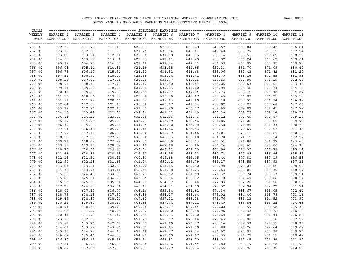### RHODE ISLAND DEPARTMENT OF LABOR AND TRAINING WORKERS' COMPENSATION UNIT PAGE 0056 GROSS WAGE TO SPENDABLE EARNINGS TABLE EFFECTIVE MARCH 1, 1996

| GROSS  |           |                                                                                                                    |           |           |           |           |           |        |                                 |        |
|--------|-----------|--------------------------------------------------------------------------------------------------------------------|-----------|-----------|-----------|-----------|-----------|--------|---------------------------------|--------|
| WEEKLY | MARRIED 2 | MARRIED 3                                                                                                          | MARRIED 4 | MARRIED 5 | MARRIED 6 | MARRIED 7 | MARRIED 8 |        | MARRIED 9 MARRIED 10 MARRIED 11 |        |
|        |           | WAGE EXEMPTIONS EXEMPTIONS EXEMPTIONS EXEMPTIONS EXEMPTIONS EXEMPTIONS EXEMPTIONS EXEMPTIONS EXEMPTIONS EXEMPTIONS |           |           |           |           |           |        |                                 |        |
| 751.00 | 592.39    | 601.78                                                                                                             | 611.15    | 620.53    | 629.91    | 639.29    | 648.67    | 658.04 | 667.43                          | 676.81 |
| 752.00 | 593.12    | 602.50                                                                                                             | 611.88    | 621.26    | 630.64    | 640.01    | 649.40    | 658.77 | 668.15                          | 677.54 |
| 753.00 | 593.86    | 603.24                                                                                                             | 612.61    | 622.00    | 631.38    | 640.75    | 650.14    | 659.51 | 668.89                          | 678.28 |
| 754.00 | 594.59    | 603.97                                                                                                             | 613.34    | 622.73    | 632.11    | 641.48    | 650.87    | 660.24 | 669.62                          | 679.01 |
| 755.00 | 595.32    | 604.70                                                                                                             | 614.07    | 623.46    | 632.84    | 642.21    | 651.59    | 660.97 | 670.35                          | 679.73 |
| 756.00 | 596.06    | 605.44                                                                                                             | 614.81    | 624.19    | 633.58    | 642.95    | 652.33    | 661.70 | 671.09                          | 680.47 |
| 757.00 | 596.78    | 606.17                                                                                                             | 615.54    | 624.92    | 634.31    | 643.68    | 653.06    | 662.43 | 671.82                          | 681.20 |
| 758.00 | 597.51    | 606.90                                                                                                             | 616.27    | 625.65    | 635.04    | 644.41    | 653.79    | 663.16 | 672.55                          | 681.93 |
| 759.00 | 598.25    | 607.64                                                                                                             | 617.01    | 626.39    | 635.77    | 645.15    | 654.53    | 663.90 | 673.29                          | 682.67 |
| 760.00 | 598.98    | 608.36                                                                                                             | 617.74    | 627.12    | 636.50    | 645.87    | 655.26    | 664.63 | 674.01                          | 683.40 |
| 761.00 | 599.71    | 609.09                                                                                                             | 618.46    | 627.85    | 637.23    | 646.60    | 655.99    | 665.36 | 674.74                          | 684.13 |
| 762.00 | 600.45    | 609.83                                                                                                             | 619.20    | 628.59    | 637.97    | 647.34    | 656.73    | 666.10 | 675.48                          | 684.87 |
| 763.00 | 601.18    | 610.56                                                                                                             | 619.93    | 629.32    | 638.70    | 648.07    | 657.45    | 666.83 | 676.21                          | 685.59 |
| 764.00 | 601.91    | 611.29                                                                                                             | 620.66    | 630.04    | 639.43    | 648.80    | 658.18    | 667.55 | 676.94                          | 686.32 |
| 765.00 | 602.64    | 612.03                                                                                                             | 621.40    | 630.78    | 640.17    | 649.54    | 658.92    | 668.29 | 677.68                          | 687.06 |
| 766.00 | 603.37    | 612.76                                                                                                             | 622.13    | 631.51    | 640.90    | 650.27    | 659.65    | 669.02 | 678.41                          | 687.79 |
| 767.00 | 604.10    | 613.49                                                                                                             | 622.86    | 632.24    | 641.62    | 651.00    | 660.38    | 669.75 | 679.14                          | 688.52 |
| 768.00 | 604.84    | 614.22                                                                                                             | 623.60    | 632.98    | 642.36    | 651.73    | 661.12    | 670.49 | 679.87                          | 689.26 |
| 769.00 | 605.57    | 614.95                                                                                                             | 624.32    | 633.71    | 643.09    | 652.46    | 661.85    | 671.22 | 680.60                          | 689.99 |
| 770.00 | 606.30    | 615.68                                                                                                             | 625.05    | 634.44    | 643.82    | 653.19    | 662.58    | 671.95 | 681.33                          | 690.72 |
| 771.00 | 607.04    | 616.42                                                                                                             | 625.79    | 635.18    | 644.56    | 653.93    | 663.31    | 672.69 | 682.07                          | 691.45 |
| 772.00 | 607.77    | 617.15                                                                                                             | 626.52    | 635.90    | 645.29    | 654.66    | 664.04    | 673.41 | 682.80                          | 692.18 |
| 773.00 | 608.50    | 617.89                                                                                                             | 627.26    | 636.64    | 646.03    | 655.40    | 664.78    | 674.15 | 683.54                          | 692.92 |
| 774.00 | 609.23    | 618.62                                                                                                             | 627.99    | 637.37    | 646.76    | 656.13    | 665.51    | 674.88 | 684.27                          | 693.65 |
| 775.00 | 609.96    | 619.35                                                                                                             | 628.72    | 638.10    | 647.48    | 656.86    | 666.24    | 675.61 | 685.00                          | 694.38 |
| 776.00 | 610.70    | 620.08                                                                                                             | 629.46    | 638.84    | 648.22    | 657.59    | 666.98    | 676.35 | 685.73                          | 695.12 |
| 777.00 | 611.43    | 620.81                                                                                                             | 630.18    | 639.57    | 648.95    | 658.32    | 667.71    | 677.08 | 686.46                          | 695.85 |
| 778.00 | 612.16    | 621.54                                                                                                             | 630.91    | 640.30    | 649.68    | 659.05    | 668.44    | 677.81 | 687.19                          | 696.58 |
| 779.00 | 612.90    | 622.28                                                                                                             | 631.65    | 641.04    | 650.42    | 659.79    | 669.17    | 678.55 | 687.93                          | 697.31 |
| 780.00 | 613.63    | 623.01                                                                                                             | 632.38    | 641.76    | 651.15    | 660.52    | 669.90    | 679.27 | 688.66                          | 698.04 |
| 781.00 | 614.35    | 623.74                                                                                                             | 633.11    | 642.49    | 651.88    | 661.25    | 670.63    | 680.00 | 689.39                          | 698.77 |
| 782.00 | 615.09    | 624.48                                                                                                             | 633.85    | 643.23    | 652.62    | 661.99    | 671.37    | 680.74 | 690.13                          | 699.51 |
| 783.00 | 615.82    | 625.21                                                                                                             | 634.58    | 643.96    | 653.34    | 662.72    | 672.10    | 681.47 | 690.86                          | 700.24 |
| 784.00 | 616.55    | 625.93                                                                                                             | 635.31    | 644.69    | 654.07    | 663.44    | 672.83    | 682.20 | 691.58                          | 700.97 |
| 785.00 | 617.29    | 626.67                                                                                                             | 636.04    | 645.43    | 654.81    | 664.18    | 673.57    | 682.94 | 692.32                          | 701.71 |
| 786.00 | 618.02    | 627.40                                                                                                             | 636.77    | 646.16    | 655.54    | 664.91    | 674.30    | 683.67 | 693.05                          | 702.44 |
| 787.00 | 618.75    | 628.13                                                                                                             | 637.50    | 646.89    | 656.27    | 665.64    | 675.02    | 684.40 | 693.78                          | 703.16 |
| 788.00 | 619.49    | 628.87                                                                                                             | 638.24    | 647.62    | 657.01    | 666.38    | 675.76    | 685.13 | 694.52                          | 703.90 |
| 789.00 | 620.21    | 629.60                                                                                                             | 638.97    | 648.35    | 657.74    | 667.11    | 676.49    | 685.86 | 695.25                          | 704.63 |
| 790.00 | 620.94    | 630.33                                                                                                             | 639.70    | 649.08    | 658.47    | 667.84    | 677.22    | 686.59 | 695.98                          | 705.36 |
| 791.00 | 621.68    | 631.07                                                                                                             | 640.44    | 649.82    | 659.20    | 668.58    | 677.96    | 687.33 | 696.72                          | 706.10 |
| 792.00 | 622.41    | 631.79                                                                                                             | 641.17    | 650.55    | 659.93    | 669.30    | 678.69    | 688.06 | 697.44                          | 706.83 |
| 793.00 | 623.15    | 632.53                                                                                                             | 641.90    | 651.29    | 660.67    | 670.04    | 679.43    | 688.80 | 698.18                          | 707.57 |
| 794.00 | 623.88    | 633.26                                                                                                             | 642.63    | 652.02    | 661.40    | 670.77    | 680.16    | 689.53 | 698.91                          | 708.30 |
| 795.00 | 624.61    | 633.99                                                                                                             | 643.36    | 652.75    | 662.13    | 671.50    | 680.88    | 690.26 | 699.64                          | 709.02 |
| 796.00 | 625.35    | 634.73                                                                                                             | 644.10    | 653.48    | 662.87    | 672.24    | 681.62    | 690.99 | 700.38                          | 709.76 |
| 797.00 | 626.07    | 635.46                                                                                                             | 644.83    | 654.21    | 663.60    | 672.97    | 682.35    | 691.72 | 701.11                          | 710.49 |
| 798.00 | 626.80    | 636.19                                                                                                             | 645.56    | 654.94    | 664.33    | 673.70    | 683.08    | 692.45 | 701.84                          | 711.22 |
| 799.00 | 627.54    | 636.93                                                                                                             | 646.30    | 655.68    | 665.06    | 674.44    | 683.82    | 693.19 | 702.58                          | 711.96 |
| 800.00 | 628.27    | 637.65                                                                                                             | 647.03    | 656.41    | 665.79    | 675.16    | 684.55    | 693.92 | 703.30                          | 712.69 |
|        |           |                                                                                                                    |           |           |           |           |           |        |                                 |        |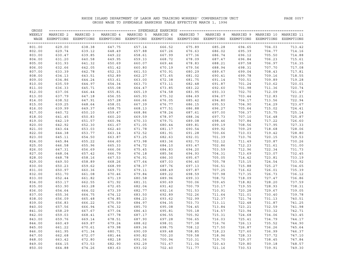### RHODE ISLAND DEPARTMENT OF LABOR AND TRAINING WORKERS' COMPENSATION UNIT PAGE 0057 GROSS WAGE TO SPENDABLE EARNINGS TABLE EFFECTIVE MARCH 1, 1996

| GROSS            |           |                                                                                                                    |           |           |                  |           |           |        |                                 |        |
|------------------|-----------|--------------------------------------------------------------------------------------------------------------------|-----------|-----------|------------------|-----------|-----------|--------|---------------------------------|--------|
| WEEKLY           | MARRIED 2 | MARRIED 3                                                                                                          | MARRIED 4 | MARRIED 5 | MARRIED 6        | MARRIED 7 | MARRIED 8 |        | MARRIED 9 MARRIED 10 MARRIED 11 |        |
|                  |           | WAGE EXEMPTIONS EXEMPTIONS EXEMPTIONS EXEMPTIONS EXEMPTIONS EXEMPTIONS EXEMPTIONS EXEMPTIONS EXEMPTIONS EXEMPTIONS |           |           |                  |           |           |        |                                 |        |
| 801.00           | 629.00    | 638.38                                                                                                             | 647.75    | 657.14    | 666.52           | 675.89    | 685.28    | 694.65 | 704.03                          | 713.42 |
| 802.00           | 629.74    | 639.12                                                                                                             | 648.49    | 657.88    | 667.26           | 676.63    | 686.02    | 695.39 | 704.77                          | 714.16 |
| 803.00           | 630.47    | 639.85                                                                                                             | 649.22    | 658.61    | 667.99           | 677.36    | 686.74    | 696.12 | 705.50                          | 714.88 |
| 804.00           | 631.20    | 640.58                                                                                                             | 649.95    | 659.33    | 668.72           | 678.09    | 687.47    | 696.84 | 706.23                          | 715.61 |
| 805.00           | 631.93    | 641.32                                                                                                             | 650.69    | 660.07    | 669.46           | 678.83    | 688.21    | 697.58 | 706.97                          | 716.35 |
| 806.00           | 632.66    | 642.05                                                                                                             | 651.42    | 660.80    | 670.19           | 679.56    | 688.94    | 698.31 | 707.70                          | 717.08 |
| 807.00           | 633.39    | 642.78                                                                                                             | 652.15    | 661.53    | 670.91           | 680.29    | 689.67    | 699.04 | 708.43                          | 717.81 |
| 808.00           | 634.13    | 643.51                                                                                                             | 652.89    | 662.27    | 671.65           | 681.02    | 690.41    | 699.78 | 709.16                          | 718.55 |
| 809.00           | 634.86    | 644.24                                                                                                             | 653.61    | 663.00    | 672.38           | 681.75    | 691.14    | 700.51 | 709.89                          | 719.28 |
| 810.00           | 635.59    | 644.97                                                                                                             | 654.34    | 663.73    | 673.11           | 682.48    | 691.87    | 701.24 | 710.62                          | 720.01 |
| 811.00           | 636.33    | 645.71                                                                                                             | 655.08    | 664.47    | 673.85           | 683.22    | 692.60    | 701.98 | 711.36                          | 720.74 |
| 812.00           | 637.06    | 646.44                                                                                                             | 655.81    | 665.19    | 674.58           | 683.95    | 693.33    | 702.70 | 712.09                          | 721.47 |
| 813.00           | 637.79    | 647.18                                                                                                             | 656.55    | 665.93    | 675.32           | 684.69    | 694.07    | 703.44 | 712.83                          | 722.21 |
| 814.00           | 638.52    | 647.91                                                                                                             | 657.28    | 666.66    | 676.05           | 685.42    | 694.80    | 704.17 | 713.56                          | 722.94 |
| 815.00           | 639.25    | 648.64                                                                                                             | 658.01    | 667.39    | 676.77           | 686.15    | 695.53    | 704.90 | 714.29                          | 723.67 |
| 816.00           | 639.99    | 649.37                                                                                                             | 658.75    | 668.13    | 677.51           | 686.88    | 696.27    | 705.64 | 715.02                          | 724.41 |
| 817.00           | 640.72    | 650.10                                                                                                             | 659.47    | 668.86    | 678.24           | 687.61    | 697.00    | 706.37 | 715.75                          | 725.14 |
| 818.00           | 641.45    | 650.83                                                                                                             | 660.20    | 669.59    | 678.97           | 688.34    | 697.73    | 707.10 | 716.48                          | 725.87 |
| 819.00           | 642.19    | 651.57                                                                                                             | 660.94    | 670.33    | 679.71           | 689.08    | 698.46    | 707.84 | 717.22                          | 726.60 |
| 820.00           | 642.92    | 652.30                                                                                                             | 661.67    | 671.05    | 680.44           | 689.81    | 699.19    | 708.56 | 717.95                          | 727.33 |
| 821.00           | 643.64    | 653.03                                                                                                             | 662.40    | 671.78    | 681.17           | 690.54    | 699.92    | 709.29 | 718.68                          | 728.06 |
| 822.00           | 644.38    | 653.77                                                                                                             | 663.14    | 672.52    | 681.91           | 691.28    | 700.66    | 710.03 | 719.42                          | 728.80 |
| 823.00           | 645.11    | 654.50                                                                                                             | 663.87    | 673.25    | 682.63           | 692.01    | 701.39    | 710.76 | 720.15                          | 729.53 |
| 824.00           | 645.84    | 655.22                                                                                                             | 664.60    | 673.98    | 683.36           | 692.73    | 702.12    | 711.49 | 720.87                          | 730.26 |
| 825.00           | 646.58    | 655.96                                                                                                             | 665.33    | 674.72    | 684.10           | 693.47    | 702.86    | 712.23 | 721.61                          | 731.00 |
| 826.00           | 647.31    | 656.69                                                                                                             | 666.06    | 675.45    | 684.83           | 694.20    | 703.59    | 712.96 | 722.34                          | 731.73 |
| 827.00           | 648.04    | 657.42                                                                                                             | 666.79    | 676.18    | 685.56           | 694.93    | 704.31    | 713.69 | 723.07                          | 732.45 |
| 828.00           | 648.78    | 658.16                                                                                                             | 667.53    | 676.91    | 686.30           | 695.67    | 705.05    | 714.42 | 723.81                          | 733.19 |
| 829.00           | 649.50    | 658.89                                                                                                             | 668.26    | 677.64    | 687.03           | 696.40    | 705.78    | 715.15 | 724.54                          | 733.92 |
| 830.00           | 650.23    | 659.62                                                                                                             | 668.99    | 678.37    | 687.76           | 697.13    | 706.51    | 715.88 | 725.27                          | 734.65 |
| 831.00           | 650.97    | 660.36                                                                                                             | 669.73    | 679.11    | 688.49           | 697.87    | 707.25    | 716.62 | 726.01                          | 735.39 |
| 832.00           | 651.70    | 661.08                                                                                                             | 670.46    | 679.84    | 689.22           | 698.59    | 707.98    | 717.35 | 726.73                          | 736.12 |
| 833.00           | 652.44    | 661.82                                                                                                             | 671.19    | 680.58    | 689.96           | 699.33    | 708.72    | 718.09 | 727.47                          | 736.86 |
| 834.00           | 653.17    | 662.55                                                                                                             | 671.92    | 681.31    | 690.69           | 700.06    | 709.45    | 718.82 | 728.20                          | 737.59 |
| 835.00           | 653.90    | 663.28                                                                                                             | 672.65    | 682.04    | 691.42           | 700.79    | 710.17    | 719.55 | 728.93                          | 738.31 |
| 836.00           | 654.64    | 664.02                                                                                                             | 673.39    | 682.77    | 692.16           | 701.53    | 710.91    | 720.28 | 729.67                          | 739.05 |
| 837.00           | 655.36    | 664.75                                                                                                             | 674.12    | 683.50    | 692.89           | 702.26    | 711.64    | 721.01 | 730.40                          | 739.78 |
| 838.00           | 656.09    | 665.48                                                                                                             | 674.85    | 684.23    | 693.62           | 702.99    | 712.37    | 721.74 | 731.13                          | 740.51 |
| 839.00           | 656.83    | 666.22                                                                                                             | 675.59    | 684.97    | 694.35           | 703.73    | 713.11    | 722.48 | 731.87                          | 741.25 |
| 840.00           | 657.56    | 666.94                                                                                                             | 676.32    | 685.70    | 695.08           | 704.45    | 713.84    | 723.21 | 732.59                          | 741.98 |
| 841.00           | 658.29    | 667.67                                                                                                             | 677.04    | 686.43    | 695.81           | 705.18    | 714.57    | 723.94 | 733.32                          | 742.71 |
| 842.00           | 659.03    | 668.41                                                                                                             | 677.78    | 687.17    | 696.55           | 705.92    | 715.31    | 724.68 | 734.06                          | 743.45 |
| 843.00           | 659.76    | 669.14                                                                                                             | 678.51    | 687.90    | 697.28           | 706.65    | 716.03    | 725.41 | 734.79                          | 744.17 |
|                  | 660.49    | 669.87                                                                                                             | 679.24    | 688.62    |                  | 707.38    | 716.76    | 726.13 | 735.52                          | 744.90 |
| 844.00<br>845.00 | 661.22    | 670.61                                                                                                             | 679.98    | 689.36    | 698.01<br>698.75 | 708.12    | 717.50    | 726.87 | 736.26                          | 745.64 |
| 846.00           | 661.95    | 671.34                                                                                                             | 680.71    | 690.09    | 699.48           | 708.85    | 718.23    | 727.60 | 736.99                          | 746.37 |
| 847.00           | 662.68    | 672.07                                                                                                             | 681.44    | 690.82    | 700.20           | 709.58    | 718.96    | 728.33 | 737.72                          | 747.10 |
| 848.00           | 663.42    | 672.80                                                                                                             | 682.18    | 691.56    | 700.94           | 710.31    | 719.70    | 729.07 | 738.45                          | 747.84 |
| 849.00           | 664.15    | 673.53                                                                                                             | 682.90    | 692.29    | 701.67           | 711.04    | 720.43    | 729.80 | 739.18                          | 748.57 |
| 850.00           | 664.88    | 674.26                                                                                                             | 683.63    | 693.02    | 702.40           | 711.77    | 721.16    | 730.53 |                                 | 749.30 |
|                  |           |                                                                                                                    |           |           |                  |           |           |        | 739.91                          |        |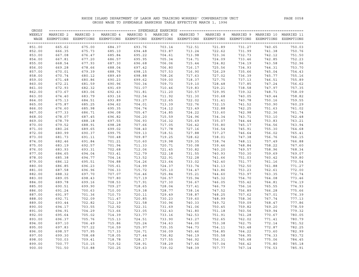### RHODE ISLAND DEPARTMENT OF LABOR AND TRAINING WORKERS' COMPENSATION UNIT PAGE 0058 GROSS WAGE TO SPENDABLE EARNINGS TABLE EFFECTIVE MARCH 1, 1996

| GROSS  |           |                                                                                                    |           |           |           |           |           |        |                      |            |
|--------|-----------|----------------------------------------------------------------------------------------------------|-----------|-----------|-----------|-----------|-----------|--------|----------------------|------------|
| WEEKLY | MARRIED 2 | MARRIED 3                                                                                          | MARRIED 4 | MARRIED 5 | MARRIED 6 | MARRIED 7 | MARRIED 8 |        | MARRIED 9 MARRIED 10 | MARRIED 11 |
| WAGE   |           | EXEMPTIONS EXEMPTIONS EXEMPTIONS EXEMPTIONS EXEMPTIONS EXEMPTIONS EXEMPTIONS EXEMPTIONS EXEMPTIONS |           |           |           |           |           |        |                      | EXEMPTIONS |
|        |           |                                                                                                    |           |           |           |           |           |        |                      |            |
| 851.00 | 665.62    | 675.00                                                                                             | 684.37    | 693.76    | 703.14    | 712.51    | 721.89    | 731.27 | 740.65               | 750.03     |
| 852.00 | 666.35    | 675.73                                                                                             | 685.10    | 694.48    | 703.87    | 713.24    | 722.62    | 731.99 | 741.38               | 750.76     |
| 853.00 | 667.08    | 676.47                                                                                             | 685.84    | 695.22    | 704.61    | 713.98    | 723.36    | 732.73 | 742.12               | 751.50     |
| 854.00 | 667.81    | 677.20                                                                                             | 686.57    | 695.95    | 705.34    | 714.71    | 724.09    | 733.46 | 742.85               | 752.23     |
| 855.00 | 668.54    | 677.93                                                                                             | 687.30    | 696.68    | 706.06    | 715.44    | 724.82    | 734.19 | 743.58               | 752.96     |
| 856.00 | 669.28    | 678.66                                                                                             | 688.04    | 697.42    | 706.80    | 716.17    | 725.56    | 734.93 | 744.31               | 753.70     |
| 857.00 | 670.01    | 679.39                                                                                             | 688.76    | 698.15    | 707.53    | 716.90    | 726.29    | 735.66 | 745.04               | 754.43     |
| 858.00 | 670.74    | 680.12                                                                                             | 689.49    | 698.88    | 708.26    | 717.63    | 727.02    | 736.39 | 745.77               | 755.16     |
| 859.00 | 671.48    | 680.86                                                                                             | 690.23    | 699.62    | 709.00    | 718.37    | 727.75    | 737.13 | 746.51               | 755.89     |
| 860.00 | 672.21    | 681.59                                                                                             | 690.96    | 700.34    | 709.73    | 719.10    | 728.48    | 737.85 | 747.24               | 756.62     |
| 861.00 | 672.93    | 682.32                                                                                             | 691.69    | 701.07    | 710.46    | 719.83    | 729.21    | 738.58 | 747.97               | 757.35     |
| 862.00 | 673.67    | 683.06                                                                                             | 692.43    | 701.81    | 711.20    | 720.57    | 729.95    | 739.32 | 748.71               | 758.09     |
| 863.00 | 674.40    | 683.79                                                                                             | 693.16    | 702.54    | 711.92    | 721.30    | 730.68    | 740.05 | 749.44               | 758.82     |
| 864.00 | 675.13    | 684.51                                                                                             | 693.89    | 703.27    | 712.65    | 722.02    | 731.41    | 740.78 | 750.16               | 759.55     |
| 865.00 | 675.87    | 685.25                                                                                             | 694.62    | 704.01    | 713.39    | 722.76    | 732.15    | 741.52 | 750.90               | 760.29     |
| 866.00 | 676.60    | 685.98                                                                                             | 695.35    | 704.74    | 714.12    | 723.49    | 732.88    | 742.25 | 751.63               | 761.02     |
| 867.00 | 677.33    | 686.71                                                                                             | 696.08    | 705.47    | 714.85    | 724.22    | 733.60    | 742.98 | 752.36               | 761.74     |
| 868.00 | 678.07    | 687.45                                                                                             | 696.82    | 706.20    | 715.59    | 724.96    | 734.34    | 743.71 | 753.10               | 762.48     |
| 869.00 | 678.79    | 688.18                                                                                             | 697.55    | 706.93    | 716.32    | 725.69    | 735.07    | 744.44 | 753.83               | 763.21     |
| 870.00 | 679.52    | 688.91                                                                                             | 698.28    | 707.66    | 717.05    | 726.42    | 735.80    | 745.17 | 754.56               | 763.94     |
| 871.00 | 680.26    | 689.65                                                                                             | 699.02    | 708.40    | 717.78    | 727.16    | 736.54    | 745.91 | 755.30               | 764.68     |
| 872.00 | 680.99    | 690.37                                                                                             | 699.75    | 709.13    | 718.51    | 727.88    | 737.27    | 746.64 | 756.02               | 765.41     |
| 873.00 | 681.73    | 691.11                                                                                             | 700.48    | 709.87    | 719.25    | 728.62    | 738.01    | 747.38 | 756.76               | 766.15     |
| 874.00 | 682.46    | 691.84                                                                                             | 701.21    | 710.60    | 719.98    | 729.35    | 738.74    | 748.11 | 757.49               | 766.88     |
| 875.00 | 683.19    | 692.57                                                                                             | 701.94    | 711.33    | 720.71    | 730.08    | 739.46    | 748.84 | 758.22               | 767.60     |
| 876.00 | 683.93    | 693.31                                                                                             | 702.68    | 712.06    | 721.45    | 730.82    | 740.20    | 749.57 | 758.96               | 768.34     |
| 877.00 | 684.65    | 694.04                                                                                             | 703.41    | 712.79    | 722.18    | 731.55    | 740.93    | 750.30 | 759.69               | 769.07     |
| 878.00 | 685.38    | 694.77                                                                                             | 704.14    | 713.52    | 722.91    | 732.28    | 741.66    | 751.03 | 760.42               | 769.80     |
| 879.00 | 686.12    | 695.51                                                                                             | 704.88    | 714.26    | 723.64    | 733.02    | 742.40    | 751.77 | 761.16               | 770.54     |
| 880.00 | 686.85    | 696.23                                                                                             | 705.61    | 714.99    | 724.37    | 733.74    | 743.13    | 752.50 | 761.88               | 771.27     |
| 881.00 | 687.58    | 696.96                                                                                             | 706.33    | 715.72    | 725.10    | 734.47    | 743.86    | 753.23 | 762.61               | 772.00     |
| 882.00 | 688.32    | 697.70                                                                                             | 707.07    | 716.46    | 725.84    | 735.21    | 744.60    | 753.97 | 763.35               | 772.74     |
| 883.00 | 689.05    | 698.43                                                                                             | 707.80    | 717.19    | 726.57    | 735.94    | 745.32    | 754.70 | 764.08               | 773.46     |
| 884.00 | 689.78    | 699.16                                                                                             | 708.53    | 717.91    | 727.30    | 736.67    | 746.05    | 755.42 | 764.81               | 774.19     |
| 885.00 | 690.51    | 699.90                                                                                             | 709.27    | 718.65    | 728.04    | 737.41    | 746.79    | 756.16 | 765.55               | 774.93     |
| 886.00 | 691.24    | 700.63                                                                                             | 710.00    | 719.38    | 728.77    | 738.14    | 747.52    | 756.89 | 766.28               | 775.66     |
| 887.00 | 691.97    | 701.36                                                                                             | 710.73    | 720.11    | 729.49    | 738.87    | 748.25    | 757.62 | 767.01               | 776.39     |
| 888.00 | 692.71    | 702.09                                                                                             | 711.47    | 720.85    | 730.23    | 739.60    | 748.99    | 758.36 | 767.74               | 777.13     |
| 889.00 | 693.44    | 702.82                                                                                             | 712.19    | 721.58    | 730.96    | 740.33    | 749.72    | 759.09 | 768.47               | 777.86     |
| 890.00 | 694.17    | 703.55                                                                                             | 712.92    | 722.31    | 731.69    | 741.06    | 750.45    | 759.82 | 769.20               | 778.59     |
| 891.00 | 694.91    | 704.29                                                                                             | 713.66    | 723.05    | 732.43    | 741.80    | 751.18    | 760.56 | 769.94               | 779.32     |
| 892.00 | 695.64    | 705.02                                                                                             | 714.39    | 723.77    | 733.16    | 742.53    | 751.91    | 761.28 | 770.67               | 780.05     |
| 893.00 | 696.37    | 705.76                                                                                             | 715.13    | 724.51    | 733.90    | 743.27    | 752.65    | 762.02 | 771.41               | 780.79     |
| 894.00 | 697.10    | 706.49                                                                                             | 715.86    | 725.24    | 734.63    | 744.00    | 753.38    | 762.75 | 772.14               | 781.52     |
| 895.00 | 697.83    | 707.22                                                                                             | 716.59    | 725.97    | 735.35    | 744.73    | 754.11    | 763.48 | 772.87               | 782.25     |
| 896.00 | 698.57    | 707.95                                                                                             | 717.33    | 726.71    | 736.09    | 745.46    | 754.85    | 764.22 | 773.60               | 782.99     |
| 897.00 | 699.30    | 708.68                                                                                             | 718.05    | 727.44    | 736.82    | 746.19    | 755.58    | 764.95 | 774.33               | 783.72     |
| 898.00 | 700.03    | 709.41                                                                                             | 718.78    | 728.17    | 737.55    | 746.92    | 756.31    | 765.68 | 775.06               | 784.45     |
| 899.00 | 700.77    | 710.15                                                                                             | 719.52    | 728.91    | 738.29    | 747.66    | 757.04    | 766.42 | 775.80               | 785.18     |
| 900.00 | 701.50    | 710.88                                                                                             | 720.25    | 729.63    | 739.02    | 748.39    | 757.77    | 767.14 | 776.53               | 785.91     |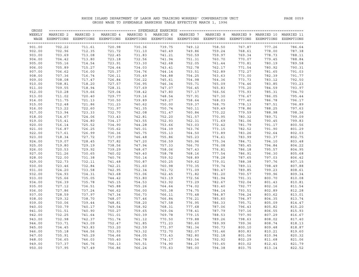### RHODE ISLAND DEPARTMENT OF LABOR AND TRAINING WORKERS' COMPENSATION UNIT PAGE 0059 GROSS WAGE TO SPENDABLE EARNINGS TABLE EFFECTIVE MARCH 1, 1996

| GROSS            |                  |                                                                                                    |                  |                  |                  |                  |                  |                  |                      |                  |
|------------------|------------------|----------------------------------------------------------------------------------------------------|------------------|------------------|------------------|------------------|------------------|------------------|----------------------|------------------|
| WEEKLY           | MARRIED 2        | MARRIED 3                                                                                          | MARRIED 4        | MARRIED 5        | MARRIED 6        | MARRIED 7        | MARRIED 8        |                  | MARRIED 9 MARRIED 10 | MARRIED 11       |
| WAGE             |                  | EXEMPTIONS EXEMPTIONS EXEMPTIONS EXEMPTIONS EXEMPTIONS EXEMPTIONS EXEMPTIONS EXEMPTIONS EXEMPTIONS |                  |                  |                  |                  |                  |                  |                      | EXEMPTIONS       |
| 901.00           | 702.22           | 711.61                                                                                             | 720.98           | 730.36           | 739.75           | 749.12           | 758.50           | 767.87           | 777.26               | 786.64           |
| 902.00           | 702.96           | 712.35                                                                                             | 721.72           | 731.10           | 740.49           | 749.86           | 759.24           | 768.61           | 778.00               | 787.38           |
| 903.00           | 703.69           | 713.08                                                                                             | 722.45           | 731.83           | 741.21           | 750.59           | 759.97           | 769.34           | 778.73               | 788.11           |
| 904.00           | 704.42           | 713.80                                                                                             | 723.18           | 732.56           | 741.94           | 751.31           | 760.70           | 770.07           | 779.45               | 788.84           |
| 905.00           | 705.16           | 714.54                                                                                             | 723.91           | 733.30           | 742.68           | 752.05           | 761.44           | 770.81           | 780.19               | 789.58           |
| 906.00           | 705.89           | 715.27                                                                                             | 724.64           | 734.03           | 743.41           | 752.78           | 762.17           | 771.54           | 780.92               | 790.31           |
| 907.00           | 706.62           | 716.00                                                                                             | 725.37           | 734.76           | 744.14           | 753.51           | 762.89           | 772.27           | 781.65               | 791.03           |
| 908.00           | 707.36           | 716.74                                                                                             | 726.11           | 735.49           | 744.88           | 754.25           | 763.63           | 773.00           | 782.39               | 791.77           |
| 909.00           | 708.08           | 717.47                                                                                             | 726.84           | 736.22           | 745.61           | 754.98           | 764.36           | 773.73           | 783.12               | 792.50           |
| 910.00           | 708.81           | 718.20                                                                                             | 727.57           | 736.95           | 746.34           | 755.71           | 765.09           | 774.46           | 783.85               | 793.23           |
| 911.00           | 709.55           | 718.94                                                                                             | 728.31           | 737.69           | 747.07           | 756.45           | 765.83           | 775.20           | 784.59               | 793.97           |
| 912.00           | 710.28           | 719.66                                                                                             | 729.04           | 738.42           | 747.80           | 757.17           | 766.56           | 775.93           | 785.31               | 794.70           |
| 913.00           | 711.02           | 720.40                                                                                             | 729.77           | 739.16           | 748.54           | 757.91           | 767.30           | 776.67           | 786.05               | 795.44           |
| 914.00           | 711.75           | 721.13                                                                                             | 730.50           | 739.89           | 749.27           | 758.64           | 768.03           | 777.40           | 786.78               | 796.17           |
| 915.00           | 712.48           | 721.86                                                                                             | 731.23           | 740.62           | 750.00           | 759.37           | 768.75           | 778.13           | 787.51               | 796.89           |
| 916.00           | 713.22           | 722.60                                                                                             | 731.97           | 741.35           | 750.74           | 760.11           | 769.49           | 778.86           | 788.25               | 797.63           |
| 917.00           | 713.94           | 723.33                                                                                             | 732.70           | 742.08           | 751.47           | 760.84           | 770.22           | 779.59           | 788.98               | 798.36           |
| 918.00           | 714.67           | 724.06                                                                                             | 733.43           | 742.81           | 752.20           | 761.57           | 770.95           | 780.32           | 789.71               | 799.09           |
| 919.00           | 715.41           | 724.80                                                                                             | 734.17           | 743.55           | 752.93           | 762.31           | 771.69           | 781.06           | 790.45               | 799.83           |
| 920.00           | 716.14           | 725.52                                                                                             | 734.90           | 744.28           | 753.66           | 763.03           | 772.42           | 781.79           | 791.17               | 800.56           |
| 921.00           | 716.87           | 726.25                                                                                             | 735.62           | 745.01           | 754.39           | 763.76           | 773.15           | 782.52           | 791.90               | 801.29           |
| 922.00           | 717.61           | 726.99                                                                                             | 736.36           | 745.75           | 755.13           | 764.50           | 773.89           | 783.26           | 792.64               | 802.03           |
| 923.00           | 718.34           | 727.72                                                                                             | 737.09           | 746.48           | 755.86           | 765.23           | 774.61           | 783.99           | 793.37               | 802.75           |
| 924.00           | 719.07           | 728.45                                                                                             | 737.82           | 747.20           | 756.59           | 765.96           | 775.34           | 784.71           | 794.10               | 803.48           |
| 925.00           | 719.80           | 729.19                                                                                             | 738.56           | 747.94           | 757.33           | 766.70           | 776.08           | 785.45           | 794.84               | 804.22           |
| 926.00           | 720.53           | 729.92                                                                                             | 739.29           | 748.67           | 758.06           | 767.43           | 776.81           | 786.18           | 795.57               | 804.95           |
| 927.00           | 721.26           | 730.65                                                                                             | 740.02           | 749.40           | 758.78           | 768.16           | 777.54           | 786.91           | 796.30               | 805.68           |
| 928.00           | 722.00           | 731.38                                                                                             | 740.76           | 750.14           | 759.52           | 768.89           | 778.28           | 787.65           | 797.03               | 806.42           |
| 929.00           | 722.73           | 732.11                                                                                             | 741.48           | 750.87           | 760.25           | 769.62           | 779.01           | 788.38           | 797.76               | 807.15           |
| 930.00           | 723.46           | 732.84                                                                                             | 742.21           | 751.60           | 760.98           | 770.35           | 779.74           | 789.11           | 798.49               | 807.88           |
| 931.00           | 724.20           | 733.58                                                                                             | 742.95           | 752.34           | 761.72           | 771.09           | 780.47           | 789.85           | 799.23               | 808.61           |
| 932.00           | 724.93           | 734.31                                                                                             | 743.68           | 753.06           | 762.45           | 771.82           | 781.20           | 790.57           | 799.96               | 809.34           |
| 933.00           | 725.66           | 735.05                                                                                             | 744.42           | 753.80           | 763.19           | 772.56           | 781.94           | 791.31           | 800.70               | 810.08           |
| 934.00           | 726.39           | 735.78                                                                                             | 745.15           | 754.53           | 763.92           | 773.29           | 782.67           | 792.04           | 801.43               | 810.81           |
| 935.00           | 727.12           | 736.51                                                                                             | 745.88           | 755.26           | 764.64           | 774.02           | 783.40           | 792.77           | 802.16               | 811.54           |
| 936.00           | 727.86           | 737.24                                                                                             | 746.62           | 756.00           | 765.38           | 774.75           | 784.14           | 793.51           | 802.89               | 812.28           |
| 937.00           | 728.59           | 737.97                                                                                             | 747.34           | 756.73           | 766.11           | 775.48           | 784.87           | 794.24           | 803.62               | 813.01           |
| 938.00           | 729.32           | 738.70                                                                                             | 748.07           | 757.46           | 766.84           | 776.21           | 785.60           | 794.97           | 804.35               | 813.74           |
| 939.00           | 730.06           | 739.44                                                                                             | 748.81           | 758.20           | 767.58           | 776.95           | 786.33           | 795.71           | 805.09               | 814.47           |
| 940.00           | 730.79           | 740.17                                                                                             | 749.54           | 758.92           | 768.31           | 777.68           | 787.06           | 796.43           | 805.82               | 815.20           |
| 941.00           | 731.51           | 740.90                                                                                             | 750.27           | 759.65           | 769.04           | 778.41           | 787.79           | 797.16           | 806.55               | 815.93           |
| 942.00           | 732.25           | 741.64                                                                                             | 751.01           | 760.39           | 769.78           | 779.15           | 788.53           | 797.90           | 807.29               | 816.67           |
| 943.00           | 732.98           | 742.37                                                                                             | 751.74           | 761.12           | 770.50           | 779.88           | 789.26           | 798.63           | 808.02               | 817.40           |
| 944.00           | 733.71           | 743.09                                                                                             | 752.47           | 761.85           | 771.23           | 780.60           | 789.99           | 799.36           | 808.74               | 818.13           |
| 945.00           | 734.45           | 743.83                                                                                             | 753.20           | 762.59           | 771.97           | 781.34           | 790.73           | 800.10           | 809.48               | 818.87           |
| 946.00           | 735.18           | 744.56                                                                                             | 753.93           | 763.32           | 772.70           | 782.07           | 791.46           | 800.83           | 810.21               | 819.60           |
| 947.00           | 735.91           | 745.29                                                                                             | 754.66           | 764.05           | 773.43           | 782.80           | 792.18           | 801.56           | 810.94               | 820.32           |
| 948.00<br>949.00 | 736.65<br>737.37 | 746.03<br>746.76                                                                                   | 755.40<br>756.13 | 764.78<br>765.51 | 774.17<br>774.90 | 783.54<br>784.27 | 792.92<br>793.65 | 802.29<br>803.02 | 811.68<br>812.41     | 821.06<br>821.79 |
| 950.00           |                  |                                                                                                    |                  |                  |                  | 785.00           |                  |                  |                      |                  |
|                  | 737.95           | 747.49                                                                                             | 756.86           | 766.24           | 775.63           |                  | 794.38           | 803.75           | 813.14               | 822.52           |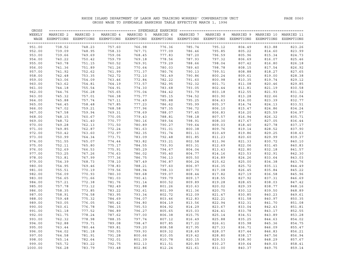### RHODE ISLAND DEPARTMENT OF LABOR AND TRAINING WORKERS' COMPENSATION UNIT PAGE 0060 GROSS WAGE TO SPENDABLE EARNINGS TABLE EFFECTIVE MARCH 1, 1996

| GROSS            |                  |                                                                                                               |                  |                  |                  |                  |                  |                  |                                 |                  |
|------------------|------------------|---------------------------------------------------------------------------------------------------------------|------------------|------------------|------------------|------------------|------------------|------------------|---------------------------------|------------------|
| WEEKLY           | MARRIED 2        | MARRIED 3                                                                                                     | MARRIED 4        | MARRIED 5        | MARRIED 6        | MARRIED 7        | MARRIED 8        |                  | MARRIED 9 MARRIED 10 MARRIED 11 |                  |
| WAGE             |                  | EXEMPTIONS EXEMPTIONS EXEMPTIONS EXEMPTIONS EXEMPTIONS EXEMPTIONS EXEMPTIONS EXEMPTIONS EXEMPTIONS EXEMPTIONS |                  |                  |                  |                  |                  |                  |                                 |                  |
|                  |                  |                                                                                                               |                  |                  |                  |                  |                  |                  |                                 |                  |
| 951.00           | 738.52           | 748.23                                                                                                        | 757.60           | 766.98           | 776.36           | 785.74           | 795.12           | 804.49           | 813.88                          | 823.26           |
| 952.00           | 739.09           | 748.95                                                                                                        | 758.33           | 767.71           | 777.09           | 786.46           | 795.85           | 805.22           | 814.60                          | 823.99           |
| 953.00           | 739.66           | 749.69                                                                                                        | 759.06           | 768.45           | 777.83           | 787.20           | 796.59           | 805.96           | 815.34                          | 824.73           |
| 954.00           | 740.22           | 750.42                                                                                                        | 759.79           | 769.18           | 778.56           | 787.93           | 797.32           | 806.69           | 816.07                          | 825.46           |
| 955.00           | 740.78           | 751.15                                                                                                        | 760.52           | 769.91           | 779.29           | 788.66           | 798.04           | 807.42           | 816.80                          | 826.18           |
| 956.00<br>957.00 | 741.36           | 751.89<br>752.62                                                                                              | 761.26<br>761.99 | 770.64<br>771.37 | 780.03<br>780.76 | 789.40<br>790.13 | 798.78<br>799.51 | 808.15<br>808.88 | 817.54                          | 826.92           |
|                  | 741.92           |                                                                                                               |                  |                  |                  |                  |                  |                  | 818.27                          | 827.65           |
| 958.00           | 742.48           | 753.35                                                                                                        | 762.72           | 772.10           | 781.49           | 790.86           | 800.24           | 809.61           | 819.00                          | 828.38           |
| 959.00           | 743.06           | 754.09                                                                                                        | 763.46           | 772.84           | 782.22           | 791.60           | 800.98           | 810.35           | 819.74                          | 829.12           |
| 960.00           | 743.62<br>744.18 | 754.81                                                                                                        | 764.19           | 773.57<br>774.30 | 782.95           | 792.32<br>793.05 | 801.71           | 811.08           | 820.46<br>821.19                | 829.85           |
| 961.00<br>962.00 | 744.76           | 755.54<br>756.28                                                                                              | 764.91<br>765.65 | 775.04           | 783.68<br>784.42 | 793.79           | 802.44<br>803.18 | 811.81<br>812.55 | 821.93                          | 830.58<br>831.32 |
|                  | 745.32           |                                                                                                               |                  | 775.77           |                  |                  | 803.90           | 813.28           |                                 |                  |
| 963.00           | 745.88           | 757.01<br>757.74                                                                                              | 766.38<br>767.11 | 776.49           | 785.15<br>785.88 | 794.52<br>795.25 | 804.63           |                  | 822.66<br>823.39                | 832.04<br>832.77 |
| 964.00           |                  |                                                                                                               |                  |                  |                  |                  |                  | 814.00           |                                 |                  |
| 965.00           | 746.45           | 758.48                                                                                                        | 767.85           | 777.23           | 786.62           | 795.99           | 805.37           | 814.74           | 824.13                          | 833.51           |
| 966.00<br>967.00 | 747.02<br>747.58 | 759.21<br>759.94                                                                                              | 768.58<br>769.31 | 777.96<br>778.69 | 787.35<br>788.07 | 796.72<br>797.45 | 806.10           | 815.47           | 824.86<br>825.59                | 834.24<br>834.97 |
| 968.00           | 748.15           | 760.67                                                                                                        | 770.05           | 779.43           | 788.81           | 798.18           | 806.83<br>807.57 | 816.20<br>816.94 | 826.32                          | 835.71           |
| 969.00           | 748.72           | 761.40                                                                                                        | 770.77           | 780.16           | 789.54           |                  | 808.30           |                  |                                 | 836.44           |
|                  |                  |                                                                                                               |                  | 780.89           |                  | 798.91           |                  | 817.67           | 827.05                          |                  |
| 970.00           | 749.28<br>749.85 | 762.13                                                                                                        | 771.50<br>772.24 | 781.63           | 790.27           | 799.64           | 809.03           | 818.40           | 827.78                          | 837.17           |
| 971.00           |                  | 762.87                                                                                                        |                  |                  | 791.01           | 800.38           | 809.76           | 819.14           | 828.52                          | 837.90           |
| 972.00           | 750.42           | 763.60                                                                                                        | 772.97           | 782.35           | 791.74           | 801.11           | 810.49<br>811.23 | 819.86           | 829.25                          | 838.63<br>839.37 |
| 973.00           | 750.99           | 764.34                                                                                                        | 773.71           | 783.09<br>783.82 | 792.48           | 801.85<br>802.58 |                  | 820.60           | 829.99                          | 840.10           |
| 974.00           | 751.55           | 765.07                                                                                                        | 774.44           | 784.55           | 793.21           |                  | 811.96           | 821.33           | 830.72                          |                  |
| 975.00           | 752.11<br>752.69 | 765.80<br>766.53                                                                                              | 775.17<br>775.91 | 785.29           | 793.93<br>794.67 | 803.31           | 812.69<br>813.43 | 822.06<br>822.80 | 831.45                          | 840.83<br>841.57 |
| 976.00           |                  |                                                                                                               |                  |                  |                  | 804.04           |                  |                  | 832.18                          |                  |
| 977.00           | 753.25           | 767.26                                                                                                        | 776.63           | 786.02           | 795.40           | 804.77           | 814.16           | 823.53           | 832.91                          | 842.30           |
| 978.00           | 753.81           | 767.99                                                                                                        | 777.36           | 786.75           | 796.13           | 805.50           | 814.89           | 824.26           | 833.64                          | 843.03           |
| 979.00<br>980.00 | 754.39<br>754.95 | 768.73<br>769.46                                                                                              | 778.10<br>778.83 | 787.49<br>788.21 | 796.87<br>797.60 | 806.24<br>806.97 | 815.62<br>816.35 | 825.00<br>825.72 | 834.38<br>835.11                | 843.76<br>844.49 |
| 981.00           | 755.51           | 770.19                                                                                                        | 779.56           | 788.94           | 798.33           | 807.70           | 817.08           | 826.45           | 835.84                          | 845.22           |
| 982.00           | 756.09           | 770.93                                                                                                        | 780.30           | 789.68           | 799.07           | 808.44           | 817.82           | 827.19           | 836.58                          | 845.96           |
| 983.00           | 756.65           |                                                                                                               | 781.03           | 790.41           | 799.79           | 809.17           | 818.55           | 827.92           | 837.31                          | 846.69           |
| 984.00           | 757.21           | 771.66<br>772.38                                                                                              | 781.76           | 791.14           | 800.52           | 809.89           | 819.28           | 828.65           | 838.03                          | 847.42           |
| 985.00           | 757.78           | 773.12                                                                                                        | 782.49           | 791.88           | 801.26           | 810.63           | 820.02           | 829.39           | 838.77                          | 848.16           |
| 986.00           | 758.35           | 773.85                                                                                                        | 783.22           | 792.61           | 801.99           | 811.36           | 820.75           | 830.12           | 839.50                          | 848.89           |
| 987.00           | 758.91           | 774.58                                                                                                        | 783.95           | 793.34           | 802.72           | 812.09           | 821.47           | 830.85           | 840.23                          | 849.61           |
| 988.00           | 759.48           | 775.32                                                                                                        | 784.69           | 794.07           | 803.46           | 812.83           | 822.21           | 831.58           | 840.97                          | 850.35           |
| 989.00           | 760.05           | 776.05                                                                                                        | 785.42           | 794.80           | 804.19           | 813.56           | 822.94           | 832.31           | 841.70                          | 851.08           |
| 990.00           | 760.61           | 776.78                                                                                                        | 786.15           | 795.53           | 804.92           | 814.29           | 823.67           | 833.04           | 842.43                          | 851.81           |
| 991.00           | 761.18           | 777.52                                                                                                        | 786.89           | 796.27           | 805.65           | 815.03           | 824.41           | 833.78           | 843.17                          | 852.55           |
| 992.00           | 761.75           | 778.24                                                                                                        | 787.62           | 797.00           | 806.38           | 815.75           | 825.14           | 834.51           | 843.89                          | 853.28           |
| 993.00           | 762.32           | 778.98                                                                                                        | 788.35           | 797.74           | 807.12           | 816.49           | 825.88           | 835.25           | 844.63                          | 854.02           |
| 994.00           | 762.88           | 779.71                                                                                                        | 789.08           | 798.47           | 807.85           | 817.22           | 826.61           | 835.98           | 845.36                          | 854.75           |
| 995.00           | 763.44           | 780.44                                                                                                        | 789.81           | 799.20           | 808.58           | 817.95           | 827.33           | 836.71           | 846.09                          | 855.47           |
| 996.00           | 764.02           | 781.18                                                                                                        | 790.55           | 799.93           | 809.32           | 818.69           | 828.07           | 837.44           | 846.83                          | 856.21           |
| 997.00           | 764.58           | 781.91                                                                                                        | 791.28           | 800.66           | 810.05           | 819.42           | 828.80           | 838.17           | 847.56                          | 856.94           |
| 998.00           | 765.14           | 782.64                                                                                                        | 792.01           | 801.39           | 810.78           | 820.15           | 829.53           | 838.90           | 848.29                          | 857.67           |
| 999.00           | 765.72           | 783.22                                                                                                        | 792.75           | 802.13           | 811.51           | 820.89           | 830.27           | 839.64           | 849.03                          | 858.41           |
| 1000.00          | 766.28           | 783.79                                                                                                        | 793.48           | 802.86           | 812.24           | 821.61           | 831.00           | 840.37           | 849.75                          | 859.14           |
|                  |                  |                                                                                                               |                  |                  |                  |                  |                  |                  |                                 |                  |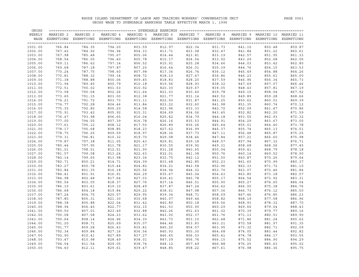### RHODE ISLAND DEPARTMENT OF LABOR AND TRAINING WORKERS' COMPENSATION UNIT PAGE 0061 GROSS WAGE TO SPENDABLE EARNINGS TABLE EFFECTIVE MARCH 1, 1996

| GROSS   |           |                                                                                                                    |           |           |           |           |           |        |                                 |        |
|---------|-----------|--------------------------------------------------------------------------------------------------------------------|-----------|-----------|-----------|-----------|-----------|--------|---------------------------------|--------|
| WEEKLY  | MARRIED 2 | MARRIED 3                                                                                                          | MARRIED 4 | MARRIED 5 | MARRIED 6 | MARRIED 7 | MARRIED 8 |        | MARRIED 9 MARRIED 10 MARRIED 11 |        |
|         |           | WAGE EXEMPTIONS EXEMPTIONS EXEMPTIONS EXEMPTIONS EXEMPTIONS EXEMPTIONS EXEMPTIONS EXEMPTIONS EXEMPTIONS EXEMPTIONS |           |           |           |           |           |        |                                 |        |
|         |           |                                                                                                                    |           |           |           |           |           |        |                                 |        |
| 1001.00 | 766.84    | 784.35                                                                                                             | 794.20    | 803.59    | 812.97    | 822.34    | 831.73    | 841.10 | 850.48                          | 859.87 |
| 1002.00 | 767.42    | 784.92                                                                                                             | 794.94    | 804.33    | 813.71    | 823.08    | 832.47    | 841.84 | 851.22                          | 860.61 |
| 1003.00 | 767.98    | 785.48                                                                                                             | 795.67    | 805.06    | 814.44    | 823.81    | 833.19    | 842.57 | 851.95                          | 861.33 |
| 1004.00 | 768.54    | 786.05                                                                                                             | 796.40    | 805.78    | 815.17    | 824.54    | 833.92    | 843.29 | 852.68                          | 862.06 |
| 1005.00 | 769.11    | 786.62                                                                                                             | 797.14    | 806.52    | 815.91    | 825.28    | 834.66    | 844.03 | 853.42                          | 862.80 |
| 1006.00 | 769.68    | 787.18                                                                                                             | 797.87    | 807.25    | 816.64    | 826.01    | 835.39    | 844.76 | 854.15                          | 863.53 |
| 1007.00 | 770.24    | 787.75                                                                                                             | 798.60    | 807.98    | 817.36    | 826.74    | 836.12    | 845.49 | 854.88                          | 864.26 |
| 1008.00 | 770.81    | 788.32                                                                                                             | 799.34    | 808.72    | 818.10    | 827.47    | 836.86    | 846.23 | 855.61                          | 865.00 |
| 1009.00 | 771.38    | 788.88                                                                                                             | 800.06    | 809.45    | 818.83    | 828.20    | 837.59    | 846.96 | 856.34                          | 865.73 |
| 1010.00 | 771.94    | 789.45                                                                                                             | 800.79    | 810.18    | 819.56    | 828.93    | 838.32    | 847.69 | 857.07                          | 866.46 |
| 1011.00 | 772.51    | 790.02                                                                                                             | 801.53    | 810.92    | 820.30    | 829.67    | 839.05    | 848.43 | 857.81                          | 867.19 |
| 1012.00 | 773.08    | 790.58                                                                                                             | 802.26    | 811.64    | 821.03    | 830.40    | 839.78    | 849.15 | 858.54                          | 867.92 |
| 1013.00 | 773.65    | 791.15                                                                                                             | 803.00    | 812.38    | 821.77    | 831.14    | 840.52    | 849.89 | 859.28                          | 868.66 |
| 1014.00 | 774.21    | 791.72                                                                                                             | 803.73    | 813.11    | 822.50    | 831.87    | 841.25    | 850.62 | 860.01                          | 869.39 |
| 1015.00 | 774.77    | 792.28                                                                                                             | 804.46    | 813.84    | 823.22    | 832.60    | 841.98    | 851.35 | 860.74                          | 870.12 |
| 1016.00 | 775.35    | 792.85                                                                                                             | 805.20    | 814.58    | 823.96    | 833.33    | 842.72    | 852.09 | 861.47                          | 870.86 |
| 1017.00 | 775.91    | 793.42                                                                                                             | 805.92    | 815.31    | 824.69    | 834.06    | 843.45    | 852.82 | 862.20                          | 871.59 |
| 1018.00 | 776.47    | 793.98                                                                                                             | 806.65    | 816.04    | 825.42    | 834.79    | 844.18    | 853.55 | 862.93                          | 872.32 |
| 1019.00 | 777.05    | 794.55                                                                                                             | 807.39    | 816.78    | 826.16    | 835.53    | 844.91    | 854.29 | 863.67                          | 873.05 |
| 1020.00 | 777.61    | 795.12                                                                                                             | 808.12    | 817.50    | 826.89    | 836.26    | 845.64    | 855.01 | 864.40                          | 873.78 |
| 1021.00 | 778.17    | 795.68                                                                                                             | 808.85    | 818.23    | 827.62    | 836.99    | 846.37    | 855.74 | 865.13                          | 874.51 |
| 1022.00 | 778.75    | 796.25                                                                                                             | 809.59    | 818.97    | 828.36    | 837.73    | 847.11    | 856.48 | 865.87                          | 875.25 |
| 1023.00 | 779.31    | 796.81                                                                                                             | 810.32    | 819.70    | 829.08    | 838.46    | 847.84    | 857.21 | 866.60                          | 875.98 |
| 1024.00 | 779.87    | 797.38                                                                                                             | 811.05    | 820.43    | 829.81    | 839.18    | 848.57    | 857.94 | 867.32                          | 876.71 |
| 1025.00 | 780.44    | 797.95                                                                                                             | 811.78    | 821.17    | 830.55    | 839.92    | 849.31    | 858.68 | 868.06                          | 877.45 |
| 1026.00 | 781.01    | 798.51                                                                                                             | 812.51    | 821.90    | 831.28    | 840.65    | 850.04    | 859.41 | 868.79                          | 878.18 |
| 1027.00 | 781.57    | 799.08                                                                                                             | 813.24    | 822.63    | 832.01    | 841.38    | 850.76    | 860.14 | 869.52                          | 878.90 |
| 1028.00 | 782.14    | 799.65                                                                                                             | 813.98    | 823.36    | 832.75    | 842.12    | 851.50    | 860.87 | 870.26                          | 879.64 |
| 1029.00 | 782.71    | 800.21                                                                                                             | 814.71    | 824.09    | 833.48    | 842.85    | 852.23    | 861.60 | 870.99                          | 880.37 |
| 1030.00 | 783.27    | 800.78                                                                                                             | 815.44    | 824.82    | 834.21    | 843.58    | 852.96    | 862.33 | 871.72                          | 881.10 |
| 1031.00 | 783.84    | 801.35                                                                                                             | 816.18    | 825.56    | 834.94    | 844.32    | 853.70    | 863.07 | 872.46                          | 881.84 |
| 1032.00 | 784.41    | 801.91                                                                                                             | 816.91    | 826.29    | 835.67    | 845.04    | 854.43    | 863.80 | 873.18                          | 882.57 |
| 1033.00 | 784.98    | 802.48                                                                                                             | 817.64    | 827.03    | 836.41    | 845.78    | 855.17    | 864.54 | 873.92                          | 883.31 |
| 1034.00 | 785.54    | 803.05                                                                                                             | 818.37    | 827.76    | 837.14    | 846.51    | 855.90    | 865.27 | 874.65                          | 884.04 |
| 1035.00 | 786.10    | 803.61                                                                                                             | 819.10    | 828.49    | 837.87    | 847.24    | 856.62    | 866.00 | 875.38                          | 884.76 |
| 1036.00 | 786.68    | 804.18                                                                                                             | 819.84    | 829.22    | 838.61    | 847.98    | 857.36    | 866.73 | 876.12                          | 885.50 |
| 1037.00 | 787.24    | 804.75                                                                                                             | 820.57    | 829.95    | 839.34    | 848.71    | 858.09    | 867.46 | 876.85                          | 886.23 |
| 1038.00 | 787.80    | 805.31                                                                                                             | 821.30    | 830.68    | 840.07    | 849.44    | 858.82    | 868.19 | 877.58                          | 886.96 |
| 1039.00 | 788.38    | 805.88                                                                                                             | 822.04    | 831.42    | 840.80    | 850.18    | 859.56    | 868.93 | 878.32                          | 887.70 |
| 1040.00 | 788.94    | 806.45                                                                                                             | 822.77    | 832.15    | 841.53    | 850.90    | 860.29    | 869.66 | 879.04                          | 888.43 |
| 1041.00 | 789.50    | 807.01                                                                                                             | 823.49    | 832.88    | 842.26    | 851.63    | 861.02    | 870.39 | 879.77                          | 889.16 |
| 1042.00 | 790.08    | 807.58                                                                                                             | 824.23    | 833.62    | 843.00    | 852.37    | 861.76    | 871.13 | 880.51                          | 889.90 |
| 1043.00 | 790.64    | 808.14                                                                                                             | 824.96    | 834.35    | 843.73    | 853.10    | 862.48    | 871.86 | 881.24                          | 890.62 |
| 1044.00 | 791.20    | 808.71                                                                                                             | 825.69    | 835.07    | 844.46    | 853.83    | 863.21    | 872.58 | 881.97                          | 891.35 |
| 1045.00 | 791.77    | 809.28                                                                                                             | 826.43    | 835.81    | 845.20    | 854.57    | 863.95    | 873.32 | 882.71                          | 892.09 |
| 1046.00 | 792.34    | 809.84                                                                                                             | 827.16    | 836.54    | 845.93    | 855.30    | 864.68    | 874.05 | 883.44                          | 892.82 |
| 1047.00 | 792.90    | 810.41                                                                                                             | 827.89    | 837.27    | 846.65    | 856.03    | 865.41    | 874.78 | 884.17                          | 893.55 |
| 1048.00 | 793.47    | 810.98                                                                                                             | 828.49    | 838.01    | 847.39    | 856.76    | 866.15    | 875.52 | 884.90                          | 894.29 |
| 1049.00 | 794.04    | 811.54                                                                                                             | 829.05    | 838.74    | 848.12    | 857.49    | 866.88    | 876.25 | 885.63                          | 895.02 |
| 1050.00 | 794.60    | 812.11                                                                                                             | 829.61    | 839.47    | 848.85    | 858.22    | 867.61    | 876.98 | 886.36                          | 895.75 |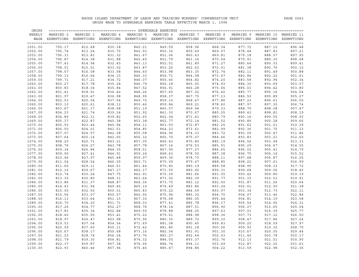# RHODE ISLAND DEPARTMENT OF LABOR AND TRAINING WORKERS' COMPENSATION UNIT PAGE 0062 GROSS WAGE TO SPENDABLE EARNINGS TABLE EFFECTIVE MARCH 1, 1996

| GROSS   |           |                                                                                                    |           |           |           |           |           |        |                                 |            |
|---------|-----------|----------------------------------------------------------------------------------------------------|-----------|-----------|-----------|-----------|-----------|--------|---------------------------------|------------|
| WEEKLY  | MARRIED 2 | MARRIED 3                                                                                          | MARRIED 4 | MARRIED 5 | MARRIED 6 | MARRIED 7 | MARRIED 8 |        | MARRIED 9 MARRIED 10 MARRIED 11 |            |
| WAGE    |           | EXEMPTIONS EXEMPTIONS EXEMPTIONS EXEMPTIONS EXEMPTIONS EXEMPTIONS EXEMPTIONS EXEMPTIONS EXEMPTIONS |           |           |           |           |           |        |                                 | EXEMPTIONS |
|         |           |                                                                                                    |           |           |           |           |           |        |                                 |            |
| 1051.00 | 795.17    | 812.68                                                                                             | 830.18    | 840.21    | 849.59    | 858.96    | 868.34    | 877.72 | 887.10                          | 896.48     |
| 1052.00 | 795.74    | 813.24                                                                                             | 830.75    | 840.93    | 850.32    | 859.69    | 869.07    | 878.44 | 887.83                          | 897.21     |
| 1053.00 | 796.31    | 813.81                                                                                             | 831.32    | 841.67    | 851.06    | 860.43    | 869.81    | 879.18 | 888.57                          | 897.95     |
| 1054.00 | 796.87    | 814.38                                                                                             | 831.88    | 842.40    | 851.79    | 861.16    | 870.54    | 879.91 | 889.30                          | 898.68     |
| 1055.00 | 797.43    | 814.94                                                                                             | 832.45    | 843.13    | 852.51    | 861.89    | 871.27    | 880.64 | 890.03                          | 899.41     |
| 1056.00 | 798.01    | 815.51                                                                                             | 833.02    | 843.87    | 853.25    | 862.62    | 872.01    | 881.38 | 890.76                          | 900.15     |
| 1057.00 | 798.57    | 816.08                                                                                             | 833.58    | 844.60    | 853.98    | 863.35    | 872.74    | 882.11 | 891.49                          | 900.88     |
| 1058.00 | 799.13    | 816.64                                                                                             | 834.15    | 845.33    | 854.71    | 864.08    | 873.47    | 882.84 | 892.22                          | 901.61     |
| 1059.00 | 799.71    | 817.21                                                                                             | 834.72    | 846.07    | 855.45    | 864.82    | 874.20    | 883.58 | 892.96                          | 902.34     |
| 1060.00 | 800.27    | 817.78                                                                                             | 835.28    | 846.79    | 856.18    | 865.55    | 874.93    | 884.30 | 893.69                          | 903.07     |
| 1061.00 | 800.83    | 818.34                                                                                             | 835.84    | 847.52    | 856.91    | 866.28    | 875.66    | 885.03 | 894.42                          | 903.80     |
| 1062.00 | 801.41    | 818.91                                                                                             | 836.42    | 848.26    | 857.65    | 867.02    | 876.40    | 885.77 | 895.16                          | 904.54     |
| 1063.00 | 801.97    | 819.47                                                                                             | 836.98    | 848.99    | 858.37    | 867.75    | 877.13    | 886.50 | 895.89                          | 905.27     |
| 1064.00 | 802.53    | 820.04                                                                                             | 837.54    | 849.72    | 859.10    | 868.47    | 877.86    | 887.23 | 896.61                          | 906.00     |
|         |           |                                                                                                    |           |           |           |           |           |        |                                 |            |
| 1065.00 | 803.10    | 820.61                                                                                             | 838.12    | 850.46    | 859.84    | 869.21    | 878.60    | 887.97 | 897.35                          | 906.74     |
| 1066.00 | 803.67    | 821.17                                                                                             | 838.68    | 851.19    | 860.57    | 869.94    | 879.33    | 888.70 | 898.08                          | 907.47     |
| 1067.00 | 804.23    | 821.74                                                                                             | 839.24    | 851.92    | 861.30    | 870.67    | 880.05    | 889.43 | 898.81                          | 908.19     |
| 1068.00 | 804.80    | 822.31                                                                                             | 839.82    | 852.65    | 862.04    | 871.41    | 880.79    | 890.16 | 899.55                          | 908.93     |
| 1069.00 | 805.37    | 822.87                                                                                             | 840.38    | 853.38    | 862.77    | 872.14    | 881.52    | 890.89 | 900.28                          | 909.66     |
| 1070.00 | 805.93    | 823.44                                                                                             | 840.94    | 854.11    | 863.50    | 872.87    | 882.25    | 891.62 | 901.01                          | 910.39     |
| 1071.00 | 806.50    | 824.01                                                                                             | 841.51    | 854.85    | 864.23    | 873.61    | 882.99    | 892.36 | 901.75                          | 911.13     |
| 1072.00 | 807.07    | 824.57                                                                                             | 842.08    | 855.58    | 864.96    | 874.33    | 883.72    | 893.09 | 902.47                          | 911.86     |
| 1073.00 | 807.64    | 825.14                                                                                             | 842.65    | 856.32    | 865.70    | 875.07    | 884.46    | 893.83 | 903.21                          | 912.60     |
| 1074.00 | 808.20    | 825.71                                                                                             | 843.21    | 857.05    | 866.43    | 875.80    | 885.19    | 894.56 | 903.94                          | 913.33     |
| 1075.00 | 808.76    | 826.27                                                                                             | 843.78    | 857.78    | 867.16    | 876.53    | 885.91    | 895.29 | 904.67                          | 914.05     |
| 1076.00 | 809.34    | 826.84                                                                                             | 844.35    | 858.51    | 867.90    | 877.27    | 886.65    | 896.02 | 905.41                          | 914.79     |
| 1077.00 | 809.90    | 827.41                                                                                             | 844.91    | 859.24    | 868.63    | 878.00    | 887.38    | 896.75 | 906.14                          | 915.52     |
| 1078.00 | 810.46    | 827.97                                                                                             | 845.48    | 859.97    | 869.36    | 878.73    | 888.11    | 897.48 | 906.87                          | 916.25     |
| 1079.00 | 811.04    | 828.54                                                                                             | 846.05    | 860.71    | 870.09    | 879.47    | 888.85    | 898.22 | 907.61                          | 916.99     |
| 1080.00 | 811.60    | 829.11                                                                                             | 846.61    | 861.44    | 870.82    | 880.19    | 889.58    | 898.95 | 908.33                          | 917.72     |
| 1081.00 | 812.16    | 829.67                                                                                             | 847.17    | 862.17    | 871.55    | 880.92    | 890.31    | 899.68 | 909.06                          | 918.45     |
| 1082.00 | 812.74    | 830.24                                                                                             | 847.75    | 862.91    | 872.29    | 881.66    | 891.05    | 900.42 | 909.80                          | 919.19     |
| 1083.00 | 813.30    | 830.80                                                                                             | 848.31    | 863.64    | 873.02    | 882.39    | 891.77    | 901.15 | 910.53                          | 919.91     |
| 1084.00 | 813.86    | 831.37                                                                                             | 848.87    | 864.36    | 873.75    | 883.12    | 892.50    | 901.87 | 911.26                          | 920.64     |
| 1085.00 | 814.43    | 831.94                                                                                             | 849.45    | 865.10    | 874.49    | 883.86    | 893.24    | 902.61 | 912.00                          | 921.38     |
| 1086.00 | 815.00    | 832.50                                                                                             | 850.01    | 865.83    | 875.22    | 884.59    | 893.97    | 903.34 | 912.73                          | 922.11     |
| 1087.00 | 815.56    | 833.07                                                                                             | 850.57    | 866.56    | 875.94    | 885.32    | 894.70    | 904.07 | 913.46                          | 922.84     |
| 1088.00 | 816.13    | 833.64                                                                                             | 851.15    | 867.30    | 876.68    | 886.05    | 895.44    | 904.81 | 914.19                          | 923.58     |
| 1089.00 | 816.70    | 834.20                                                                                             | 851.71    | 868.03    | 877.41    | 886.78    | 896.17    | 905.54 | 914.92                          | 924.31     |
| 1090.00 | 817.26    | 834.77                                                                                             | 852.27    | 868.76    | 878.14    | 887.51    | 896.90    | 906.27 | 915.65                          | 925.04     |
| 1091.00 | 817.83    | 835.34                                                                                             | 852.84    | 869.50    | 878.88    | 888.25    | 897.63    | 907.01 | 916.39                          | 925.77     |
| 1092.00 | 818.40    | 835.90                                                                                             | 853.41    | 870.22    | 879.61    | 888.98    | 898.36    | 907.73 | 917.12                          | 926.50     |
| 1093.00 | 818.97    | 836.47                                                                                             | 853.98    | 870.96    | 880.35    | 889.72    | 899.10    | 908.47 | 917.86                          | 927.24     |
| 1094.00 | 819.53    | 837.04                                                                                             | 854.54    | 871.69    | 881.08    | 890.45    | 899.83    | 909.20 | 918.59                          | 927.97     |
| 1095.00 | 820.09    | 837.60                                                                                             | 855.11    | 872.42    | 881.80    | 891.18    | 900.56    | 909.93 | 919.32                          | 928.70     |
| 1096.00 | 820.67    | 838.17                                                                                             | 855.68    | 873.16    | 882.54    | 891.91    | 901.30    | 910.67 | 920.05                          | 929.44     |
| 1097.00 | 821.23    | 838.74                                                                                             | 856.24    | 873.76    | 883.27    | 892.64    | 902.03    | 911.40 | 920.78                          | 930.17     |
| 1098.00 | 821.79    | 839.30                                                                                             | 856.81    | 874.32    | 884.00    | 893.37    | 902.76    | 912.13 | 921.51                          | 930.90     |
|         |           | 839.87                                                                                             |           |           |           |           |           | 912.87 |                                 |            |
| 1099.00 | 822.37    |                                                                                                    | 857.38    | 874.90    | 884.74    | 894.11    | 903.49    |        | 922.25                          | 931.63     |
| 1100.00 | 822.93    | 840.44                                                                                             | 857.94    | 875.46    | 885.47    | 894.84    | 904.22    | 913.59 | 922.98                          | 932.36     |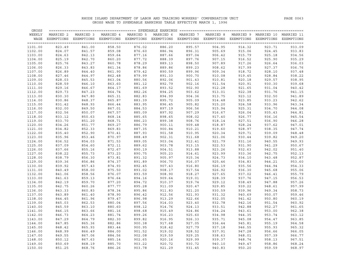# RHODE ISLAND DEPARTMENT OF LABOR AND TRAINING WORKERS' COMPENSATION UNIT PAGE 0063 GROSS WAGE TO SPENDABLE EARNINGS TABLE EFFECTIVE MARCH 1, 1996

| GROSS   |                  |                                                                                                               |                  |           |                  |                  |           |                  |                                 |        |
|---------|------------------|---------------------------------------------------------------------------------------------------------------|------------------|-----------|------------------|------------------|-----------|------------------|---------------------------------|--------|
| WEEKLY  | MARRIED 2        | MARRIED 3                                                                                                     | MARRIED 4        | MARRIED 5 | MARRIED 6        | MARRIED 7        | MARRIED 8 |                  | MARRIED 9 MARRIED 10 MARRIED 11 |        |
| WAGE    |                  | EXEMPTIONS EXEMPTIONS EXEMPTIONS EXEMPTIONS EXEMPTIONS EXEMPTIONS EXEMPTIONS EXEMPTIONS EXEMPTIONS EXEMPTIONS |                  |           |                  |                  |           |                  |                                 |        |
|         |                  |                                                                                                               |                  |           |                  |                  |           |                  |                                 |        |
| 1101.00 | 823.49           | 841.00                                                                                                        | 858.50           | 876.02    | 886.20           | 895.57           | 904.95    | 914.32           | 923.71                          | 933.09 |
| 1102.00 | 824.07           | 841.57                                                                                                        | 859.08           | 876.60    | 886.94           | 896.31           | 905.69    | 915.06           | 924.45                          | 933.83 |
| 1103.00 | 824.63           | 842.13                                                                                                        | 859.64           | 877.16    | 887.66           | 897.04           | 906.42    | 915.79           | 925.18                          | 934.56 |
| 1104.00 | 825.19           | 842.70                                                                                                        | 860.20           | 877.72    | 888.39           | 897.76           | 907.15    | 916.52           | 925.90                          | 935.29 |
| 1105.00 | 825.76           | 843.27                                                                                                        | 860.78           | 878.29    | 889.13           | 898.50           | 907.89    | 917.26           | 926.64                          | 936.03 |
| 1106.00 | 826.33           | 843.83                                                                                                        | 861.34           | 878.86    | 889.86           | 899.23           | 908.62    | 917.99           | 927.37                          | 936.76 |
| 1107.00 | 826.89           | 844.40                                                                                                        | 861.90           | 879.42    | 890.59           | 899.96           | 909.34    | 918.72           | 928.10                          | 937.48 |
| 1108.00 | 827.46           | 844.97                                                                                                        | 862.48           | 879.99    | 891.33           | 900.70           | 910.08    | 919.45           | 928.84                          | 938.22 |
| 1109.00 | 828.03           | 845.53                                                                                                        | 863.04           | 880.56    | 892.06           | 901.43           | 910.81    | 920.18           | 929.57                          | 938.95 |
| 1110.00 | 828.59           | 846.10                                                                                                        | 863.60           | 881.12    | 892.79           | 902.16           | 911.54    | 920.91           | 930.30                          | 939.68 |
| 1111.00 | 829.16           | 846.67                                                                                                        | 864.17           | 881.69    | 893.52           | 902.90           | 912.28    | 921.65           | 931.04                          | 940.42 |
| 1112.00 | 829.73           | 847.23                                                                                                        | 864.74           | 882.26    | 894.25           | 903.62           | 913.01    | 922.38           | 931.76                          | 941.15 |
| 1113.00 | 830.30           | 847.80                                                                                                        | 865.31           | 882.83    | 894.99           | 904.36           | 913.75    | 923.12           | 932.50                          | 941.89 |
| 1114.00 | 830.86           | 848.37                                                                                                        | 865.87           | 883.39    | 895.72           | 905.09           | 914.48    | 923.85           | 933.23                          | 942.62 |
| 1115.00 | 831.42           | 848.93                                                                                                        | 866.44           | 883.95    | 896.45           | 905.82           | 915.20    | 924.58           | 933.96                          | 943.34 |
| 1116.00 | 832.00           | 849.50                                                                                                        | 867.01           | 884.53    | 897.19           | 906.56           | 915.94    | 925.31           | 934.70                          | 944.08 |
| 1117.00 | 832.56           | 850.07                                                                                                        | 867.57           | 885.09    | 897.92           | 907.29           | 916.67    | 926.04           | 935.43                          | 944.81 |
| 1118.00 | 833.12           | 850.63                                                                                                        | 868.14           | 885.65    | 898.65           | 908.02           | 917.40    | 926.77           | 936.16                          | 945.54 |
| 1119.00 | 833.70           | 851.20                                                                                                        | 868.71           | 886.23    | 899.38           | 908.76           | 918.14    | 927.51           | 936.90                          | 946.28 |
| 1120.00 | 834.26           | 851.77                                                                                                        | 869.27           | 886.79    | 900.11           | 909.48           | 918.87    | 928.24           | 937.62                          | 947.01 |
| 1121.00 | 834.82           | 852.33                                                                                                        | 869.83           | 887.35    | 900.84           | 910.21           | 919.60    | 928.97           | 938.35                          | 947.74 |
| 1122.00 | 835.40           | 852.90                                                                                                        | 870.41           | 887.93    | 901.58           | 910.95           | 920.34    | 929.71           | 939.09                          | 948.48 |
|         | 835.96           |                                                                                                               | 870.97           | 888.49    | 902.31           |                  | 921.06    |                  |                                 | 949.20 |
| 1123.00 |                  | 853.46                                                                                                        |                  | 889.05    |                  | 911.68           |           | 930.44<br>931.16 | 939.82                          | 949.93 |
| 1124.00 | 836.52<br>837.09 | 854.03                                                                                                        | 871.53<br>872.11 | 889.62    | 903.04<br>903.78 | 912.41<br>913.15 | 921.79    | 931.90           | 940.55<br>941.29                | 950.67 |
| 1125.00 |                  | 854.60                                                                                                        |                  |           |                  |                  | 922.53    |                  |                                 |        |
| 1126.00 | 837.66           | 855.16                                                                                                        | 872.67           | 890.19    | 904.51           | 913.88           | 923.26    | 932.63           | 942.02                          | 951.40 |
| 1127.00 | 838.22           | 855.73                                                                                                        | 873.23           | 890.75    | 905.23           | 914.61           | 923.99    | 933.36           | 942.75                          | 952.13 |
| 1128.00 | 838.79           | 856.30                                                                                                        | 873.81           | 891.32    | 905.97           | 915.34           | 924.73    | 934.10           | 943.48                          | 952.87 |
| 1129.00 | 839.36           | 856.86                                                                                                        | 874.37           | 891.89    | 906.70           | 916.07           | 925.46    | 934.83           | 944.21                          | 953.60 |
| 1130.00 | 839.92           | 857.43                                                                                                        | 874.93           | 892.45    | 907.43           | 916.80           | 926.19    | 935.56           | 944.94                          | 954.33 |
| 1131.00 | 840.49           | 858.00                                                                                                        | 875.50           | 893.02    | 908.17           | 917.54           | 926.92    | 936.30           | 945.68                          | 955.06 |
| 1132.00 | 841.06           | 858.56                                                                                                        | 876.07           | 893.59    | 908.90           | 918.27           | 927.65    | 937.02           | 946.41                          | 955.79 |
| 1133.00 | 841.63           | 859.13                                                                                                        | 876.64           | 894.16    | 909.64           | 919.01           | 928.39    | 937.76           | 947.15                          | 956.53 |
| 1134.00 | 842.19           | 859.70                                                                                                        | 877.20           | 894.72    | 910.37           | 919.74           | 929.12    | 938.49           | 947.88                          | 957.26 |
| 1135.00 | 842.75           | 860.26                                                                                                        | 877.77           | 895.28    | 911.09           | 920.47           | 929.85    | 939.22           | 948.61                          | 957.99 |
| 1136.00 | 843.33           | 860.83                                                                                                        | 878.34           | 895.86    | 911.83           | 921.20           | 930.59    | 939.96           | 949.34                          | 958.73 |
| 1137.00 | 843.89           | 861.40                                                                                                        | 878.90           | 896.42    | 912.56           | 921.93           | 931.32    | 940.69           | 950.07                          | 959.46 |
| 1138.00 | 844.45           | 861.96                                                                                                        | 879.47           | 896.98    | 913.29           | 922.66           | 932.05    | 941.42           | 950.80                          | 960.19 |
| 1139.00 | 845.03           | 862.53                                                                                                        | 880.04           | 897.56    | 914.03           | 923.40           | 932.78    | 942.16           | 951.54                          | 960.92 |
| 1140.00 | 845.59           | 863.10                                                                                                        | 880.60           | 898.12    | 914.76           | 924.13           | 933.51    | 942.88           | 952.27                          | 961.65 |
| 1141.00 | 846.15           | 863.66                                                                                                        | 881.16           | 898.68    | 915.49           | 924.86           | 934.24    | 943.61           | 953.00                          | 962.38 |
| 1142.00 | 846.73           | 864.23                                                                                                        | 881.74           | 899.26    | 916.23           | 925.60           | 934.98    | 944.35           | 953.74                          | 963.12 |
| 1143.00 | 847.29           | 864.79                                                                                                        | 882.30           | 899.82    | 916.95           | 926.33           | 935.71    | 945.08           | 954.47                          | 963.85 |
| 1144.00 | 847.85           | 865.36                                                                                                        | 882.86           | 900.38    | 917.68           | 927.05           | 936.44    | 945.81           | 955.19                          | 964.58 |
| 1145.00 | 848.42           | 865.93                                                                                                        | 883.44           | 900.95    | 918.42           | 927.79           | 937.18    | 946.55           | 955.93                          | 965.32 |
| 1146.00 | 848.99           | 866.49                                                                                                        | 884.00           | 901.52    | 919.02           | 928.52           | 937.91    | 947.28           | 956.66                          | 966.05 |
| 1147.00 | 849.55           | 867.06                                                                                                        | 884.56           | 902.08    | 919.59           | 929.25           | 938.63    | 948.01           | 957.39                          | 966.77 |
| 1148.00 | 850.12           | 867.63                                                                                                        | 885.14           | 902.65    | 920.16           | 929.99           | 939.37    | 948.74           | 958.13                          | 967.51 |
| 1149.00 | 850.69           | 868.19                                                                                                        | 885.70           | 903.22    | 920.72           | 930.72           | 940.10    | 949.47           | 958.86                          | 968.24 |
| 1150.00 | 851.25           | 868.76                                                                                                        | 886.26           | 903.78    | 921.29           | 931.45           | 940.83    | 950.20           | 959.59                          | 968.97 |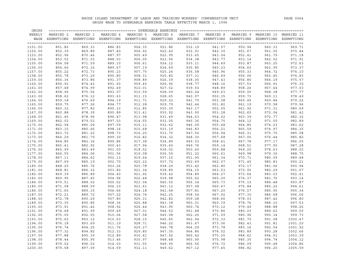# RHODE ISLAND DEPARTMENT OF LABOR AND TRAINING WORKERS' COMPENSATION UNIT PAGE 0064 GROSS WAGE TO SPENDABLE EARNINGS TABLE EFFECTIVE MARCH 1, 1996

| GROSS   |           |                                                                                                                    |           |           |           |           |           |        |                                 |         |
|---------|-----------|--------------------------------------------------------------------------------------------------------------------|-----------|-----------|-----------|-----------|-----------|--------|---------------------------------|---------|
| WEEKLY  | MARRIED 2 | MARRIED 3                                                                                                          | MARRIED 4 | MARRIED 5 | MARRIED 6 | MARRIED 7 | MARRIED 8 |        | MARRIED 9 MARRIED 10 MARRIED 11 |         |
|         |           | WAGE EXEMPTIONS EXEMPTIONS EXEMPTIONS EXEMPTIONS EXEMPTIONS EXEMPTIONS EXEMPTIONS EXEMPTIONS EXEMPTIONS EXEMPTIONS |           |           |           |           |           |        |                                 |         |
|         |           |                                                                                                                    |           |           |           |           |           |        |                                 |         |
| 1151.00 | 851.82    | 869.33                                                                                                             | 886.83    | 904.35    | 921.86    | 932.19    | 941.57    | 950.94 | 960.33                          | 969.71  |
| 1152.00 | 852.39    | 869.89                                                                                                             | 887.40    | 904.92    | 922.42    | 932.91    | 942.30    | 951.67 | 961.05                          | 970.44  |
| 1153.00 | 852.96    | 870.46                                                                                                             | 887.97    | 905.49    | 922.99    | 933.65    | 943.04    | 952.41 | 961.79                          | 971.18  |
| 1154.00 | 853.52    | 871.03                                                                                                             | 888.53    | 906.05    | 923.56    | 934.38    | 943.77    | 953.14 | 962.52                          | 971.91  |
| 1155.00 | 854.08    | 871.59                                                                                                             | 889.10    | 906.61    | 924.12    | 935.11    | 944.49    | 953.87 | 963.25                          | 972.63  |
| 1156.00 | 854.66    | 872.16                                                                                                             | 889.67    | 907.19    | 924.69    | 935.85    | 945.23    | 954.60 | 963.99                          | 973.37  |
| 1157.00 | 855.22    | 872.73                                                                                                             | 890.23    | 907.75    | 925.26    | 936.58    | 945.96    | 955.33 | 964.72                          | 974.10  |
| 1158.00 | 855.78    | 873.29                                                                                                             | 890.80    | 908.31    | 925.82    | 937.31    | 946.69    | 956.06 | 965.45                          | 974.83  |
| 1159.00 | 856.36    | 873.86                                                                                                             | 891.37    | 908.89    | 926.39    | 938.05    | 947.43    | 956.80 | 966.19                          | 975.57  |
| 1160.00 | 856.92    | 874.43                                                                                                             | 891.93    | 909.45    | 926.96    | 938.77    | 948.16    | 957.53 | 966.91                          | 976.30  |
| 1161.00 | 857.48    | 874.99                                                                                                             | 892.49    | 910.01    | 927.52    | 939.50    | 948.89    | 958.26 | 967.64                          | 977.03  |
| 1162.00 | 858.06    | 875.56                                                                                                             | 893.07    | 910.59    | 928.09    | 940.24    | 949.63    | 959.00 | 968.38                          | 977.77  |
| 1163.00 | 858.62    | 876.12                                                                                                             | 893.63    | 911.15    | 928.65    | 940.97    | 950.35    | 959.73 | 969.11                          | 978.49  |
| 1164.00 | 859.18    | 876.69                                                                                                             | 894.19    | 911.71    | 929.22    | 941.70    | 951.08    | 960.45 | 969.84                          | 979.22  |
| 1165.00 | 859.75    | 877.26                                                                                                             | 894.77    | 912.28    | 929.79    | 942.44    | 951.82    | 961.19 | 970.58                          | 979.96  |
| 1166.00 | 860.32    | 877.82                                                                                                             | 895.33    | 912.85    | 930.35    | 943.17    | 952.55    | 961.92 | 971.31                          | 980.69  |
| 1167.00 | 860.88    | 878.39                                                                                                             | 895.89    | 913.41    | 930.92    | 943.90    | 953.28    | 962.65 | 972.04                          | 981.42  |
| 1168.00 | 861.45    | 878.96                                                                                                             | 896.47    | 913.98    | 931.49    | 944.63    | 954.02    | 963.39 | 972.77                          | 982.16  |
| 1169.00 | 862.02    | 879.52                                                                                                             | 897.03    | 914.55    | 932.05    | 945.36    | 954.75    | 964.12 | 973.50                          | 982.89  |
| 1170.00 | 862.58    | 880.09                                                                                                             | 897.59    | 915.11    | 932.62    | 946.09    | 955.48    | 964.85 | 974.23                          | 983.62  |
| 1171.00 | 863.15    | 880.66                                                                                                             | 898.16    | 915.68    | 933.19    | 946.83    | 956.21    | 965.59 | 974.97                          | 984.35  |
| 1172.00 | 863.72    | 881.22                                                                                                             | 898.73    | 916.25    | 933.75    | 947.56    | 956.94    | 966.31 | 975.70                          | 985.08  |
| 1173.00 | 864.29    | 881.79                                                                                                             | 899.30    | 916.82    | 934.32    | 948.30    | 957.68    | 967.05 | 976.44                          | 985.82  |
| 1174.00 | 864.85    | 882.36                                                                                                             | 899.86    | 917.38    | 934.89    | 949.03    | 958.41    | 967.78 | 977.17                          | 986.55  |
| 1175.00 | 865.41    | 882.92                                                                                                             | 900.43    | 917.94    | 935.45    | 949.76    | 959.14    | 968.51 | 977.90                          | 987.28  |
| 1176.00 | 865.99    | 883.49                                                                                                             | 901.00    | 918.52    | 936.02    | 950.49    | 959.88    | 969.25 | 978.63                          | 988.02  |
| 1177.00 | 866.55    | 884.06                                                                                                             | 901.56    | 919.08    | 936.59    | 951.22    | 960.61    | 969.98 | 979.36                          | 988.75  |
| 1178.00 | 867.11    | 884.62                                                                                                             | 902.13    | 919.64    | 937.15    | 951.95    | 961.34    | 970.71 | 980.09                          | 989.48  |
| 1179.00 | 867.69    | 885.19                                                                                                             | 902.70    | 920.22    | 937.72    | 952.69    | 962.07    | 971.45 | 980.83                          | 990.21  |
| 1180.00 | 868.25    | 885.76                                                                                                             | 903.26    | 920.78    | 938.29    | 953.42    | 962.80    | 972.17 | 981.56                          | 990.94  |
| 1181.00 | 868.81    | 886.32                                                                                                             | 903.82    | 921.34    | 938.85    | 954.15    | 963.53    | 972.90 | 982.29                          | 991.67  |
| 1182.00 | 869.39    | 886.89                                                                                                             | 904.40    | 921.92    | 939.42    | 954.89    | 964.27    | 973.64 | 983.03                          | 992.41  |
| 1183.00 | 869.95    | 887.45                                                                                                             | 904.96    | 922.48    | 939.98    | 955.62    | 965.00    | 974.37 | 983.76                          | 993.14  |
| 1184.00 | 870.51    | 888.02                                                                                                             | 905.52    | 923.04    | 940.55    | 956.34    | 965.73    | 975.10 | 984.48                          | 993.87  |
| 1185.00 | 871.08    | 888.59                                                                                                             | 906.10    | 923.61    | 941.12    | 957.08    | 966.47    | 975.84 | 985.22                          | 994.61  |
| 1186.00 | 871.65    | 889.15                                                                                                             | 906.66    | 924.18    | 941.68    | 957.81    | 967.20    | 976.57 | 985.95                          | 995.34  |
| 1187.00 | 872.21    | 889.72                                                                                                             | 907.22    | 924.74    | 942.25    | 958.54    | 967.92    | 977.30 | 986.68                          | 996.06  |
| 1188.00 | 872.78    | 890.29                                                                                                             | 907.80    | 925.31    | 942.82    | 959.28    | 968.66    | 978.03 | 987.42                          | 996.80  |
| 1189.00 | 873.35    | 890.85                                                                                                             | 908.36    | 925.88    | 943.38    | 960.01    | 969.39    | 978.76 | 988.15                          | 997.53  |
| 1190.00 | 873.91    | 891.42                                                                                                             | 908.92    | 926.44    | 943.95    | 960.74    | 970.12    | 979.49 | 988.88                          | 998.26  |
| 1191.00 | 874.48    | 891.99                                                                                                             | 909.49    | 927.01    | 944.52    | 961.48    | 970.86    | 980.23 | 989.62                          | 999.00  |
|         | 875.05    | 892.55                                                                                                             | 910.06    | 927.58    | 945.08    | 962.20    | 971.59    | 980.96 |                                 | 999.73  |
| 1192.00 |           |                                                                                                                    |           |           |           |           |           |        | 990.34                          |         |
| 1193.00 | 875.62    | 893.12                                                                                                             | 910.63    | 928.15    | 945.65    | 962.94    | 972.33    | 981.70 | 991.08                          | 1000.47 |
| 1194.00 | 876.18    | 893.69                                                                                                             | 911.19    | 928.71    | 946.22    | 963.67    | 973.06    | 982.43 | 991.81                          | 1001.20 |
| 1195.00 | 876.74    | 894.25                                                                                                             | 911.76    | 929.27    | 946.78    | 964.29    | 973.78    | 983.16 | 992.54                          | 1001.92 |
| 1196.00 | 877.32    | 894.82                                                                                                             | 912.33    | 929.85    | 947.35    | 964.86    | 974.52    | 983.89 | 993.28                          | 1002.66 |
| 1197.00 | 877.88    | 895.39                                                                                                             | 912.89    | 930.41    | 947.92    | 965.42    | 975.25    | 984.62 | 994.01                          | 1003.39 |
| 1198.00 | 878.44    | 895.95                                                                                                             | 913.46    | 930.97    | 948.48    | 965.99    | 975.98    | 985.35 | 994.74                          | 1004.12 |
| 1199.00 | 879.02    | 896.52                                                                                                             | 914.03    | 931.55    | 949.05    | 966.56    | 976.72    | 986.09 | 995.48                          | 1004.86 |
| 1200.00 | 879.58    | 897.09                                                                                                             | 914.59    | 932.11    | 949.62    | 967.12    | 977.45    | 986.82 | 996.20                          | 1005.59 |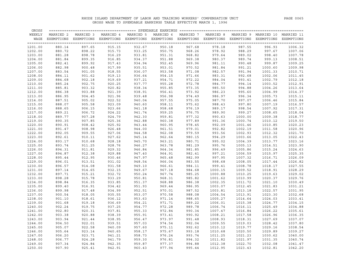# RHODE ISLAND DEPARTMENT OF LABOR AND TRAINING WORKERS' COMPENSATION UNIT PAGE 0065 GROSS WAGE TO SPENDABLE EARNINGS TABLE EFFECTIVE MARCH 1, 1996

| GROSS   |                  |                                                                                                               |                  |                  |                  |           |           |         |                                 |                    |
|---------|------------------|---------------------------------------------------------------------------------------------------------------|------------------|------------------|------------------|-----------|-----------|---------|---------------------------------|--------------------|
| WEEKLY  | MARRIED 2        | MARRIED 3                                                                                                     | MARRIED 4        | MARRIED 5        | MARRIED 6        | MARRIED 7 | MARRIED 8 |         | MARRIED 9 MARRIED 10 MARRIED 11 |                    |
| WAGE    |                  | EXEMPTIONS EXEMPTIONS EXEMPTIONS EXEMPTIONS EXEMPTIONS EXEMPTIONS EXEMPTIONS EXEMPTIONS EXEMPTIONS EXEMPTIONS |                  |                  |                  |           |           |         |                                 |                    |
|         |                  |                                                                                                               |                  |                  |                  |           |           |         |                                 |                    |
| 1201.00 | 880.14           | 897.65                                                                                                        | 915.15           | 932.67           | 950.18           | 967.68    | 978.18    | 987.55  | 996.93                          | 1006.32            |
| 1202.00 | 880.72           | 898.22                                                                                                        | 915.73           | 933.25           | 950.75           | 968.26    | 978.92    | 988.29  | 997.67                          | 1007.06            |
| 1203.00 | 881.28           | 898.78                                                                                                        | 916.29           | 933.81           | 951.31           | 968.82    | 979.64    | 989.02  | 998.40                          | 1007.78            |
| 1204.00 | 881.84           | 899.35                                                                                                        | 916.85           | 934.37           | 951.88           | 969.38    | 980.37    | 989.74  | 999.13                          | 1008.51            |
| 1205.00 | 882.41           | 899.92                                                                                                        | 917.43           | 934.94           | 952.45           | 969.96    | 981.11    | 990.48  | 999.87                          | 1009.25            |
| 1206.00 | 882.98           | 900.48                                                                                                        | 917.99           | 935.51           | 953.01           | 970.52    | 981.84    | 991.21  | 1000.60                         | 1009.98            |
| 1207.00 | 883.54           | 901.05                                                                                                        | 918.55           | 936.07           | 953.58           | 971.08    | 982.57    | 991.94  | 1001.33                         | 1010.71            |
| 1208.00 | 884.11           | 901.62                                                                                                        | 919.13           | 936.64           | 954.15           | 971.66    | 983.31    | 992.68  | 1002.06                         | 1011.45            |
| 1209.00 | 884.68           | 902.18                                                                                                        | 919.69           | 937.21           | 954.71           | 972.22    | 984.04    | 993.41  | 1002.79                         | 1012.18            |
| 1210.00 | 885.24           | 902.75                                                                                                        | 920.25           | 937.77           | 955.28           | 972.78    | 984.77    | 994.14  | 1003.52                         | 1012.91            |
| 1211.00 | 885.81           | 903.32                                                                                                        | 920.82           | 938.34           | 955.85           | 973.35    | 985.50    | 994.88  | 1004.26                         | 1013.64            |
| 1212.00 | 886.38           | 903.88                                                                                                        | 921.39           | 938.91           | 956.41           | 973.92    | 986.23    | 995.60  | 1004.99                         | 1014.37            |
| 1213.00 | 886.95           | 904.45                                                                                                        | 921.96           | 939.48           | 956.98           | 974.49    | 986.97    | 996.34  | 1005.73                         | 1015.11            |
| 1214.00 | 887.51           | 905.02                                                                                                        | 922.52           | 940.04           | 957.55           | 975.05    | 987.70    | 997.07  | 1006.46                         | 1015.84            |
| 1215.00 | 888.07           | 905.58                                                                                                        | 923.09           | 940.60           | 958.11           | 975.62    | 988.43    | 997.80  | 1007.19                         | 1016.57            |
| 1216.00 | 888.65           | 906.15                                                                                                        | 923.66           | 941.18           | 958.68           | 976.19    | 989.17    | 998.54  | 1007.92                         | 1017.31            |
| 1217.00 | 889.21           | 906.72                                                                                                        | 924.22           | 941.74           | 959.25           | 976.75    | 989.90    | 999.27  | 1008.65                         | 1018.04            |
| 1218.00 | 889.77           | 907.28                                                                                                        | 924.79           | 942.30           | 959.81           | 977.32    | 990.63    | 1000.00 | 1009.38                         | 1018.77            |
| 1219.00 | 890.35           | 907.85                                                                                                        | 925.36           | 942.88           | 960.38           | 977.89    | 991.36    | 1000.74 | 1010.12                         | 1019.50            |
| 1220.00 | 890.91           | 908.42                                                                                                        | 925.92           | 943.44           | 960.95           | 978.45    | 992.09    | 1001.46 | 1010.85                         | 1020.23            |
| 1221.00 | 891.47           | 908.98                                                                                                        | 926.48           | 944.00           | 961.51           | 979.01    | 992.82    | 1002.19 | 1011.58                         | 1020.96            |
| 1222.00 | 892.05           | 909.55                                                                                                        | 927.06           | 944.58           | 962.08           | 979.59    | 993.56    | 1002.93 | 1012.32                         | 1021.70            |
| 1223.00 | 892.61           | 910.11                                                                                                        | 927.62           | 945.14           | 962.64           | 980.15    | 994.29    | 1003.66 | 1013.05                         | 1022.43            |
| 1224.00 | 893.17           | 910.68                                                                                                        | 928.18           | 945.70           | 963.21           | 980.71    | 995.02    | 1004.39 | 1013.77                         | 1023.16            |
| 1225.00 | 893.74           | 911.25                                                                                                        | 928.76           | 946.27           | 963.78           | 981.29    | 995.76    | 1005.13 | 1014.51                         | 1023.90            |
|         |                  |                                                                                                               |                  |                  |                  |           |           |         |                                 |                    |
| 1226.00 | 894.31           | 911.81                                                                                                        | 929.32           | 946.84           | 964.34           | 981.85    | 996.49    | 1005.86 | 1015.24                         | 1024.63            |
| 1227.00 | 894.87           | 912.38                                                                                                        | 929.88           | 947.40           | 964.91           | 982.41    | 997.21    | 1006.59 | 1015.97                         | 1025.35            |
| 1228.00 | 895.44<br>896.01 | 912.95                                                                                                        | 930.46<br>931.02 | 947.97<br>948.54 | 965.48<br>966.04 | 982.99    | 997.95    | 1007.32 | 1016.71                         | 1026.09<br>1026.82 |
| 1229.00 |                  | 913.51                                                                                                        |                  | 949.10           |                  | 983.55    | 998.68    | 1008.05 | 1017.44                         | 1027.55            |
| 1230.00 | 896.57           | 914.08                                                                                                        | 931.58           |                  | 966.61           | 984.11    | 999.41    | 1008.78 | 1018.17                         |                    |
| 1231.00 | 897.14           | 914.65                                                                                                        | 932.15           | 949.67           | 967.18           | 984.68    | 1000.15   | 1009.52 | 1018.91                         | 1028.29            |
| 1232.00 | 897.71           | 915.21                                                                                                        | 932.72           | 950.24           | 967.74           | 985.25    | 1000.88   | 1010.25 | 1019.63                         | 1029.02            |
| 1233.00 | 898.28           | 915.78                                                                                                        | 933.29           | 950.81           | 968.31           | 985.82    | 1001.62   | 1010.99 | 1020.37                         | 1029.76            |
| 1234.00 | 898.84           | 916.35                                                                                                        | 933.85           | 951.37           | 968.88           | 986.38    | 1002.35   | 1011.72 | 1021.10                         | 1030.49            |
| 1235.00 | 899.40           | 916.91                                                                                                        | 934.42           | 951.93           | 969.44           | 986.95    | 1003.07   | 1012.45 | 1021.83                         | 1031.21            |
| 1236.00 | 899.98           | 917.48                                                                                                        | 934.99           | 952.51           | 970.01           | 987.52    | 1003.81   | 1013.18 | 1022.57                         | 1031.95            |
| 1237.00 | 900.54           | 918.05                                                                                                        | 935.55           | 953.07           | 970.58           | 988.08    | 1004.54   | 1013.91 | 1023.30                         | 1032.68            |
| 1238.00 | 901.10           | 918.61                                                                                                        | 936.12           | 953.63           | 971.14           | 988.65    | 1005.27   | 1014.64 | 1024.03                         | 1033.41            |
| 1239.00 | 901.68           | 919.18                                                                                                        | 936.69           | 954.21           | 971.71           | 989.22    | 1006.01   | 1015.38 | 1024.77                         | 1034.15            |
| 1240.00 | 902.24           | 919.75                                                                                                        | 937.25           | 954.77           | 972.28           | 989.78    | 1006.74   | 1016.11 | 1025.49                         | 1034.88            |
| 1241.00 | 902.80           | 920.31                                                                                                        | 937.81           | 955.33           | 972.84           | 990.34    | 1007.47   | 1016.84 | 1026.22                         | 1035.61            |
| 1242.00 | 903.38           | 920.88                                                                                                        | 938.39           | 955.91           | 973.41           | 990.92    | 1008.21   | 1017.58 | 1026.96                         | 1036.35            |
| 1243.00 | 903.94           | 921.44                                                                                                        | 938.95           | 956.47           | 973.97           | 991.48    | 1008.93   | 1018.31 | 1027.69                         | 1037.07            |
| 1244.00 | 904.50           | 922.01                                                                                                        | 939.51           | 957.03           | 974.54           | 992.04    | 1009.55   | 1019.03 | 1028.42                         | 1037.80            |
| 1245.00 | 905.07           | 922.58                                                                                                        | 940.09           | 957.60           | 975.11           | 992.62    | 1010.12   | 1019.77 | 1029.16                         | 1038.54            |
| 1246.00 | 905.64           | 923.14                                                                                                        | 940.65           | 958.17           | 975.67           | 993.18    | 1010.68   | 1020.50 | 1029.89                         | 1039.27            |
| 1247.00 | 906.20           | 923.71                                                                                                        | 941.21           | 958.73           | 976.24           | 993.74    | 1011.25   | 1021.23 | 1030.62                         | 1040.00            |
| 1248.00 | 906.77           | 924.28                                                                                                        | 941.79           | 959.30           | 976.81           | 994.32    | 1011.82   | 1021.97 | 1031.35                         | 1040.74            |
| 1249.00 | 907.34           | 924.84                                                                                                        | 942.35           | 959.87           | 977.37           | 994.88    | 1012.38   | 1022.70 | 1032.08                         | 1041.47            |
| 1250.00 | 907.90           | 925.41                                                                                                        | 942.91           | 960.43           | 977.94           | 995.44    | 1012.95   | 1023.43 | 1032.81                         | 1042.20            |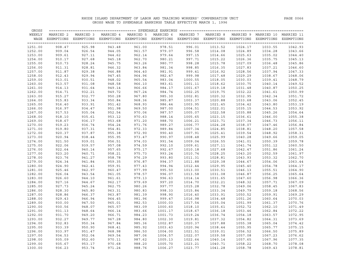# RHODE ISLAND DEPARTMENT OF LABOR AND TRAINING WORKERS' COMPENSATION UNIT PAGE 0066 GROSS WAGE TO SPENDABLE EARNINGS TABLE EFFECTIVE MARCH 1, 1996

| GROSS              |                  |                                                                                                                    |                  |                  |                  |           |           |                    |                                 |                    |
|--------------------|------------------|--------------------------------------------------------------------------------------------------------------------|------------------|------------------|------------------|-----------|-----------|--------------------|---------------------------------|--------------------|
| WEEKLY             | MARRIED 2        | MARRIED 3                                                                                                          | MARRIED 4        | MARRIED 5        | MARRIED 6        | MARRIED 7 | MARRIED 8 |                    | MARRIED 9 MARRIED 10 MARRIED 11 |                    |
|                    |                  | WAGE EXEMPTIONS EXEMPTIONS EXEMPTIONS EXEMPTIONS EXEMPTIONS EXEMPTIONS EXEMPTIONS EXEMPTIONS EXEMPTIONS EXEMPTIONS |                  |                  |                  |           |           |                    |                                 |                    |
|                    |                  |                                                                                                                    |                  |                  |                  |           |           |                    |                                 |                    |
| 1251.00            | 908.47           | 925.98                                                                                                             | 943.48           | 961.00           | 978.51           | 996.01    | 1013.52   | 1024.17            | 1033.55                         | 1042.93            |
| 1252.00            | 909.04           | 926.54                                                                                                             | 944.05           | 961.57           | 979.07           | 996.58    | 1014.08   | 1024.89            | 1034.28                         | 1043.66            |
| 1253.00            | 909.61           | 927.11                                                                                                             | 944.62           | 962.14           | 979.64           | 997.15    | 1014.66   | 1025.63            | 1035.02                         | 1044.40            |
| 1254.00            | 910.17           | 927.68                                                                                                             | 945.18           | 962.70           | 980.21           | 997.71    | 1015.22   | 1026.36            | 1035.75                         | 1045.13            |
| 1255.00            | 910.73           | 928.24                                                                                                             | 945.75           | 963.26           | 980.77           | 998.28    | 1015.78   | 1027.09            | 1036.48                         | 1045.86            |
| 1256.00            | 911.31           | 928.81                                                                                                             | 946.32           | 963.84           | 981.34           | 998.85    | 1016.35   | 1027.83            | 1037.21                         | 1046.60            |
| 1257.00            | 911.87           | 929.38                                                                                                             | 946.88           | 964.40           | 981.91           | 999.41    | 1016.92   | 1028.56            | 1037.94                         | 1047.33            |
| 1258.00            | 912.43           | 929.94                                                                                                             | 947.45           | 964.96           | 982.47           | 999.98    | 1017.48   | 1029.29            | 1038.67                         | 1048.06            |
| 1259.00            | 913.01           | 930.51                                                                                                             | 948.02           | 965.54           | 983.04           | 1000.55   | 1018.05   | 1030.03            | 1039.41                         | 1048.79            |
| 1260.00            | 913.57           | 931.08                                                                                                             | 948.58           | 966.10           | 983.61           | 1001.11   | 1018.62   | 1030.75            | 1040.14                         | 1049.52            |
| 1261.00            | 914.13           | 931.64                                                                                                             | 949.14           | 966.66           | 984.17           | 1001.67   | 1019.18   | 1031.48            | 1040.87                         | 1050.25            |
| 1262.00            | 914.71           | 932.21                                                                                                             | 949.72           | 967.24           | 984.74           | 1002.25   | 1019.75   | 1032.22            | 1041.61                         | 1050.99            |
| 1263.00            | 915.27           | 932.77                                                                                                             | 950.28           | 967.80           | 985.30           | 1002.81   | 1020.32   | 1032.95            | 1042.34                         | 1051.72            |
| 1264.00            | 915.83           | 933.34                                                                                                             | 950.84           | 968.36           | 985.87           | 1003.37   | 1020.88   | 1033.68            | 1043.06                         | 1052.45            |
| 1265.00            | 916.40           | 933.91                                                                                                             | 951.42           | 968.93           | 986.44           | 1003.95   | 1021.45   | 1034.42            | 1043.80                         | 1053.19            |
| 1266.00            | 916.97           | 934.47                                                                                                             | 951.98           | 969.50           | 987.00           | 1004.51   | 1022.01   | 1035.15            | 1044.53                         | 1053.92            |
| 1267.00            | 917.53           | 935.04                                                                                                             | 952.54           | 970.06           | 987.57           | 1005.07   | 1022.58   | 1035.88            | 1045.26                         | 1054.64            |
| 1268.00            | 918.10           | 935.61                                                                                                             | 953.12           | 970.63           | 988.14           | 1005.65   | 1023.15   | 1036.61            | 1046.00                         | 1055.38            |
| 1269.00            | 918.67           | 936.17                                                                                                             | 953.68           | 971.20           | 988.70           | 1006.21   | 1023.71   | 1037.34            | 1046.73                         | 1056.11            |
| 1270.00            | 919.23           | 936.74                                                                                                             | 954.24           | 971.76           | 989.27           | 1006.77   | 1024.28   | 1038.07            | 1047.46                         | 1056.84            |
| 1271.00            | 919.80           | 937.31                                                                                                             | 954.81           | 972.33           | 989.84           | 1007.34   | 1024.85   | 1038.81            | 1048.20                         | 1057.58            |
| 1272.00            | 920.37           | 937.87                                                                                                             | 955.38           | 972.90           | 990.40           | 1007.91   | 1025.41   | 1039.54            | 1048.92                         | 1058.31            |
| 1273.00            | 920.94           | 938.44                                                                                                             | 955.95           | 973.47           | 990.97           | 1008.48   | 1025.99   | 1040.28            | 1049.66                         | 1059.05            |
| 1274.00            | 921.50           | 939.01                                                                                                             | 956.51           | 974.03           | 991.54           | 1009.04   | 1026.55   | 1041.01            | 1050.39                         | 1059.78            |
| 1275.00            | 922.06           | 939.57                                                                                                             | 957.08           | 974.59           | 992.10           | 1009.61   | 1027.11   | 1041.74            | 1051.12                         | 1060.50            |
|                    |                  |                                                                                                                    |                  |                  |                  |           |           |                    |                                 | 1061.24            |
| 1276.00            | 922.64           | 940.14                                                                                                             | 957.65           | 975.17           | 992.67           | 1010.18   | 1027.68   | 1042.47            | 1051.86                         |                    |
| 1277.00            | 923.20<br>923.76 | 940.71                                                                                                             | 958.21           | 975.73<br>976.29 | 993.24           | 1010.74   | 1028.25   | 1043.20            | 1052.59                         | 1061.97<br>1062.70 |
| 1278.00<br>1279.00 | 924.34           | 941.27                                                                                                             | 958.78<br>959.35 | 976.87           | 993.80<br>994.37 | 1011.31   | 1028.81   | 1043.93<br>1044.67 | 1053.32                         |                    |
|                    |                  | 941.84                                                                                                             |                  |                  |                  | 1011.88   | 1029.38   |                    | 1054.06                         | 1063.44            |
| 1280.00            | 924.90           | 942.41                                                                                                             | 959.91           | 977.43           | 994.94           | 1012.44   | 1029.95   | 1045.40            | 1054.78                         | 1064.17            |
| 1281.00            | 925.46           | 942.97                                                                                                             | 960.47           | 977.99           | 995.50           | 1013.00   | 1030.51   | 1046.13            | 1055.51                         | 1064.90            |
| 1282.00            | 926.04           | 943.54                                                                                                             | 961.05           | 978.57           | 996.07           | 1013.58   | 1031.08   | 1046.87            | 1056.25                         | 1065.64            |
| 1283.00            | 926.60           | 944.10                                                                                                             | 961.61           | 979.13           | 996.63           | 1014.14   | 1031.65   | 1047.60            | 1056.98                         | 1066.36            |
| 1284.00            | 927.16           | 944.67                                                                                                             | 962.17           | 979.69           | 997.20           | 1014.70   | 1032.21   | 1048.32            | 1057.71                         | 1067.09            |
| 1285.00            | 927.73           | 945.24                                                                                                             | 962.75           | 980.26           | 997.77           | 1015.28   | 1032.78   | 1049.06            | 1058.45                         | 1067.83            |
| 1286.00            | 928.30           | 945.80                                                                                                             | 963.31           | 980.83           | 998.33           | 1015.84   | 1033.34   | 1049.79            | 1059.18                         | 1068.56            |
| 1287.00            | 928.86           | 946.37                                                                                                             | 963.87           | 981.39           | 998.90           | 1016.40   | 1033.91   | 1050.52            | 1059.91                         | 1069.29            |
| 1288.00            | 929.43           | 946.94                                                                                                             | 964.45           | 981.96           | 999.47           | 1016.98   | 1034.48   | 1051.26            | 1060.64                         | 1070.03            |
| 1289.00            | 930.00           | 947.50                                                                                                             | 965.01           | 982.53           | 1000.03          | 1017.54   | 1035.04   | 1051.99            | 1061.37                         | 1070.76            |
| 1290.00            | 930.56           | 948.07                                                                                                             | 965.57           | 983.09           | 1000.60          | 1018.10   | 1035.61   | 1052.72            | 1062.10                         | 1071.49            |
| 1291.00            | 931.13           | 948.64                                                                                                             | 966.14           | 983.66           | 1001.17          | 1018.67   | 1036.18   | 1053.46            | 1062.84                         | 1072.22            |
| 1292.00            | 931.70           | 949.20                                                                                                             | 966.71           | 984.23           | 1001.73          | 1019.24   | 1036.74   | 1054.18            | 1063.57                         | 1072.95            |
| 1293.00            | 932.27           | 949.77                                                                                                             | 967.28           | 984.80           | 1002.30          | 1019.81   | 1037.32   | 1054.82            | 1064.31                         | 1073.69            |
| 1294.00            | 932.83           | 950.34                                                                                                             | 967.84           | 985.36           | 1002.87          | 1020.37   | 1037.88   | 1055.38            | 1065.04                         | 1074.42            |
| 1295.00            | 933.39           | 950.90                                                                                                             | 968.41           | 985.92           | 1003.43          | 1020.94   | 1038.44   | 1055.95            | 1065.77                         | 1075.15            |
| 1296.00            | 933.97           | 951.47                                                                                                             | 968.98           | 986.50           | 1004.00          | 1021.51   | 1039.01   | 1056.52            | 1066.50                         | 1075.89            |
| 1297.00            | 934.53           | 952.04                                                                                                             | 969.54           | 987.06           | 1004.57          | 1022.07   | 1039.58   | 1057.08            | 1067.23                         | 1076.62            |
| 1298.00            | 935.09           | 952.60                                                                                                             | 970.11           | 987.62           | 1005.13          | 1022.64   | 1040.14   | 1057.65            | 1067.96                         | 1077.35            |
| 1299.00            | 935.67           | 953.17                                                                                                             | 970.68           | 988.20           | 1005.70          | 1023.21   | 1040.71   | 1058.22            | 1068.70                         | 1078.08            |
| 1300.00            | 936.23           | 953.74                                                                                                             | 971.24           | 988.76           | 1006.27          | 1023.77   | 1041.28   | 1058.78            | 1069.43                         | 1078.81            |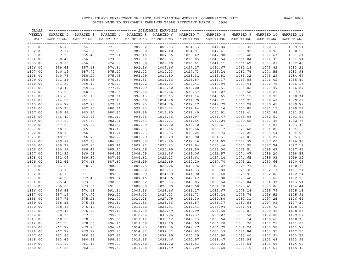# RHODE ISLAND DEPARTMENT OF LABOR AND TRAINING WORKERS' COMPENSATION UNIT PAGE 0067 GROSS WAGE TO SPENDABLE EARNINGS TABLE EFFECTIVE MARCH 1, 1996

| GROSS   |           |                                                                                                                    |           |           |           |           |           |         |                                 |         |
|---------|-----------|--------------------------------------------------------------------------------------------------------------------|-----------|-----------|-----------|-----------|-----------|---------|---------------------------------|---------|
| WEEKLY  | MARRIED 2 | MARRIED 3                                                                                                          | MARRIED 4 | MARRIED 5 | MARRIED 6 | MARRIED 7 | MARRIED 8 |         | MARRIED 9 MARRIED 10 MARRIED 11 |         |
|         |           | WAGE EXEMPTIONS EXEMPTIONS EXEMPTIONS EXEMPTIONS EXEMPTIONS EXEMPTIONS EXEMPTIONS EXEMPTIONS EXEMPTIONS EXEMPTIONS |           |           |           |           |           |         |                                 |         |
|         |           |                                                                                                                    |           |           |           |           |           |         |                                 |         |
| 1301.00 | 936.79    | 954.30                                                                                                             | 971.80    | 989.32    | 1006.83   | 1024.33   | 1041.84   | 1059.35 | 1070.16                         | 1079.54 |
| 1302.00 | 937.37    | 954.87                                                                                                             | 972.38    | 989.90    | 1007.40   | 1024.91   | 1042.41   | 1059.92 | 1070.90                         | 1080.28 |
| 1303.00 | 937.93    | 955.43                                                                                                             | 972.94    | 990.46    | 1007.96   | 1025.47   | 1042.98   | 1060.48 | 1071.63                         | 1081.01 |
| 1304.00 | 938.49    | 956.00                                                                                                             | 973.50    | 991.02    | 1008.53   | 1026.03   | 1043.54   | 1061.04 | 1072.35                         | 1081.74 |
| 1305.00 | 939.06    | 956.57                                                                                                             | 974.08    | 991.59    | 1009.10   | 1026.61   | 1044.11   | 1061.62 | 1073.09                         | 1082.48 |
| 1306.00 | 939.63    | 957.13                                                                                                             | 974.64    | 992.16    | 1009.66   | 1027.17   | 1044.67   | 1062.18 | 1073.82                         | 1083.21 |
| 1307.00 | 940.19    | 957.70                                                                                                             | 975.20    | 992.72    | 1010.23   | 1027.73   | 1045.24   | 1062.74 | 1074.55                         | 1083.93 |
| 1308.00 | 940.76    | 958.27                                                                                                             | 975.78    | 993.29    | 1010.80   | 1028.31   | 1045.81   | 1063.32 | 1075.29                         | 1084.67 |
| 1309.00 | 941.33    | 958.83                                                                                                             | 976.34    | 993.86    | 1011.36   | 1028.87   | 1046.37   | 1063.88 | 1076.02                         | 1085.40 |
| 1310.00 | 941.89    | 959.40                                                                                                             | 976.90    | 994.42    | 1011.93   | 1029.43   | 1046.94   | 1064.44 | 1076.75                         | 1086.13 |
| 1311.00 | 942.46    | 959.97                                                                                                             | 977.47    | 994.99    | 1012.50   | 1030.00   | 1047.51   | 1065.02 | 1077.49                         | 1086.87 |
| 1312.00 | 943.03    | 960.53                                                                                                             | 978.04    | 995.56    | 1013.06   | 1030.57   | 1048.07   | 1065.58 | 1078.21                         | 1087.60 |
| 1313.00 | 943.60    | 961.10                                                                                                             | 978.61    | 996.13    | 1013.63   | 1031.14   | 1048.65   | 1066.15 | 1078.95                         | 1088.34 |
| 1314.00 | 944.16    | 961.67                                                                                                             | 979.17    | 996.69    | 1014.20   | 1031.70   | 1049.21   | 1066.71 | 1079.68                         | 1089.07 |
| 1315.00 | 944.72    | 962.23                                                                                                             | 979.74    | 997.25    | 1014.76   | 1032.27   | 1049.77   | 1067.28 | 1080.41                         | 1089.79 |
| 1316.00 | 945.30    | 962.80                                                                                                             | 980.31    | 997.83    | 1015.33   | 1032.84   | 1050.34   | 1067.85 | 1081.15                         | 1090.53 |
| 1317.00 | 945.86    | 963.37                                                                                                             | 980.87    | 998.39    | 1015.90   | 1033.40   | 1050.91   | 1068.41 | 1081.88                         | 1091.26 |
| 1318.00 | 946.42    | 963.93                                                                                                             | 981.44    | 998.95    | 1016.46   | 1033.97   | 1051.47   | 1068.98 | 1082.61                         | 1091.99 |
| 1319.00 | 947.00    | 964.50                                                                                                             | 982.01    | 999.53    | 1017.03   | 1034.54   | 1052.04   | 1069.55 | 1083.35                         | 1092.73 |
| 1320.00 | 947.56    | 965.07                                                                                                             | 982.57    | 1000.09   | 1017.60   | 1035.10   | 1052.61   | 1070.11 | 1084.07                         | 1093.46 |
| 1321.00 | 948.12    | 965.63                                                                                                             | 983.13    | 1000.65   | 1018.16   | 1035.66   | 1053.17   | 1070.68 | 1084.80                         | 1094.19 |
| 1322.00 | 948.70    | 966.20                                                                                                             | 983.71    | 1001.23   | 1018.73   | 1036.24   | 1053.74   | 1071.25 | 1085.54                         | 1094.93 |
| 1323.00 | 949.26    | 966.76                                                                                                             | 984.27    | 1001.79   | 1019.29   | 1036.80   | 1054.31   | 1071.81 | 1086.27                         | 1095.65 |
| 1324.00 | 949.82    | 967.33                                                                                                             | 984.83    | 1002.35   | 1019.86   | 1037.36   | 1054.87   | 1072.37 | 1087.00                         | 1096.38 |
| 1325.00 | 950.39    | 967.90                                                                                                             | 985.41    | 1002.92   | 1020.43   | 1037.94   | 1055.44   | 1072.95 | 1087.74                         | 1097.12 |
| 1326.00 | 950.96    | 968.46                                                                                                             | 985.97    | 1003.49   | 1020.99   | 1038.50   | 1056.00   | 1073.51 | 1088.47                         | 1097.85 |
| 1327.00 | 951.52    | 969.03                                                                                                             | 986.53    | 1004.05   | 1021.56   | 1039.06   | 1056.57   | 1074.07 | 1089.20                         | 1098.58 |
| 1328.00 | 952.09    | 969.60                                                                                                             | 987.11    | 1004.62   | 1022.13   | 1039.64   | 1057.14   | 1074.65 | 1089.93                         | 1099.32 |
| 1329.00 | 952.66    | 970.16                                                                                                             | 987.67    | 1005.19   | 1022.69   | 1040.20   | 1057.70   | 1075.21 | 1090.66                         | 1100.05 |
| 1330.00 | 953.22    | 970.73                                                                                                             | 988.23    | 1005.75   | 1023.26   | 1040.76   | 1058.27   | 1075.77 | 1091.39                         | 1100.78 |
| 1331.00 | 953.79    | 971.30                                                                                                             | 988.80    | 1006.32   | 1023.83   | 1041.33   | 1058.84   | 1076.35 | 1092.13                         | 1101.51 |
| 1332.00 | 954.36    | 971.86                                                                                                             | 989.37    | 1006.89   | 1024.39   | 1041.90   | 1059.40   | 1076.91 | 1092.86                         | 1102.24 |
| 1333.00 | 954.93    | 972.43                                                                                                             | 989.94    | 1007.46   | 1024.96   | 1042.47   | 1059.98   | 1077.48 | 1093.60                         | 1102.98 |
| 1334.00 | 955.49    | 973.00                                                                                                             | 990.50    | 1008.02   | 1025.53   | 1043.03   | 1060.54   | 1078.04 | 1094.33                         | 1103.71 |
| 1335.00 | 956.05    | 973.56                                                                                                             | 991.07    | 1008.58   | 1026.09   | 1043.60   | 1061.10   | 1078.61 | 1095.06                         | 1104.44 |
| 1336.00 | 956.63    | 974.13                                                                                                             | 991.64    | 1009.16   | 1026.66   | 1044.17   | 1061.67   | 1079.18 | 1095.79                         | 1105.18 |
| 1337.00 | 957.19    | 974.70                                                                                                             | 992.20    | 1009.72   | 1027.23   | 1044.73   | 1062.24   | 1079.74 | 1096.52                         | 1105.91 |
| 1338.00 | 957.75    | 975.26                                                                                                             | 992.77    | 1010.28   | 1027.79   | 1045.30   | 1062.80   | 1080.31 | 1097.25                         | 1106.64 |
| 1339.00 | 958.33    | 975.83                                                                                                             | 993.34    | 1010.86   | 1028.36   | 1045.87   | 1063.37   | 1080.88 | 1097.99                         | 1107.37 |
| 1340.00 | 958.89    | 976.40                                                                                                             | 993.90    | 1011.42   | 1028.93   | 1046.43   | 1063.94   | 1081.44 | 1098.72                         | 1108.10 |
| 1341.00 | 959.45    | 976.96                                                                                                             | 994.46    | 1011.98   | 1029.49   | 1046.99   | 1064.50   | 1082.01 | 1099.45                         | 1108.83 |
| 1342.00 | 960.03    | 977.53                                                                                                             | 995.04    | 1012.56   | 1030.06   | 1047.57   | 1065.07   | 1082.58 | 1100.08                         | 1109.57 |
| 1343.00 | 960.59    | 978.09                                                                                                             | 995.60    | 1013.12   | 1030.62   | 1048.13   | 1065.64   | 1083.14 | 1100.65                         | 1110.30 |
| 1344.00 | 961.15    | 978.66                                                                                                             | 996.16    | 1013.68   | 1031.19   | 1048.69   | 1066.20   | 1083.70 | 1101.21                         | 1111.03 |
| 1345.00 | 961.72    | 979.23                                                                                                             | 996.74    | 1014.25   | 1031.76   | 1049.27   | 1066.77   | 1084.28 | 1101.78                         | 1111.77 |
| 1346.00 | 962.29    | 979.79                                                                                                             | 997.30    | 1014.82   | 1032.32   | 1049.83   | 1067.33   | 1084.84 | 1102.35                         | 1112.50 |
| 1347.00 | 962.85    | 980.36                                                                                                             | 997.86    | 1015.38   | 1032.89   | 1050.39   | 1067.90   | 1085.40 | 1102.91                         | 1113.22 |
| 1348.00 | 963.42    | 980.93                                                                                                             | 998.44    | 1015.95   | 1033.46   | 1050.97   | 1068.47   | 1085.98 | 1103.48                         | 1113.96 |
| 1349.00 | 963.99    | 981.49                                                                                                             | 999.00    | 1016.52   | 1034.02   | 1051.53   | 1069.03   | 1086.54 | 1104.05                         | 1114.69 |
| 1350.00 | 964.55    | 982.06                                                                                                             | 999.56    | 1017.08   | 1034.59   | 1052.09   | 1069.60   | 1087.10 | 1104.61                         | 1115.42 |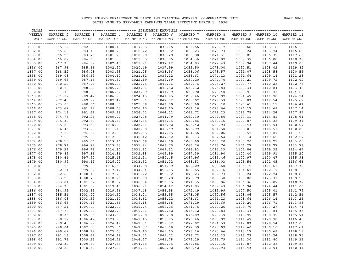#### RHODE ISLAND DEPARTMENT OF LABOR AND TRAINING WORKERS' COMPENSATION UNIT PAGE 0068 GROSS WAGE TO SPENDABLE EARNINGS TABLE EFFECTIVE MARCH 1, 1996

| GROSS   |           |                                                                                                                    |           |           |           |           |           |         |                                 |         |
|---------|-----------|--------------------------------------------------------------------------------------------------------------------|-----------|-----------|-----------|-----------|-----------|---------|---------------------------------|---------|
| WEEKLY  | MARRIED 2 | MARRIED 3                                                                                                          | MARRIED 4 | MARRIED 5 | MARRIED 6 | MARRIED 7 | MARRIED 8 |         | MARRIED 9 MARRIED 10 MARRIED 11 |         |
|         |           | WAGE EXEMPTIONS EXEMPTIONS EXEMPTIONS EXEMPTIONS EXEMPTIONS EXEMPTIONS EXEMPTIONS EXEMPTIONS EXEMPTIONS EXEMPTIONS |           |           |           |           |           |         |                                 |         |
|         |           |                                                                                                                    |           |           |           |           |           |         |                                 |         |
| 1351.00 | 965.12    | 982.63                                                                                                             | 1000.13   | 1017.65   | 1035.16   | 1052.66   | 1070.17   | 1087.68 | 1105.18                         | 1116.16 |
| 1352.00 | 965.69    | 983.19                                                                                                             | 1000.70   | 1018.22   | 1035.72   | 1053.23   | 1070.73   | 1088.24 | 1105.74                         | 1116.89 |
| 1353.00 | 966.26    | 983.76                                                                                                             | 1001.27   | 1018.79   | 1036.29   | 1053.80   | 1071.31   | 1088.81 | 1106.32                         | 1117.63 |
| 1354.00 | 966.82    | 984.33                                                                                                             | 1001.83   | 1019.35   | 1036.86   | 1054.36   | 1071.87   | 1089.37 | 1106.88                         | 1118.36 |
| 1355.00 | 967.38    | 984.89                                                                                                             | 1002.40   | 1019.91   | 1037.42   | 1054.93   | 1072.43   | 1089.94 | 1107.44                         | 1119.08 |
| 1356.00 | 967.96    | 985.46                                                                                                             | 1002.97   | 1020.49   | 1037.99   | 1055.50   | 1073.00   | 1090.51 | 1108.02                         | 1119.82 |
| 1357.00 | 968.52    | 986.03                                                                                                             | 1003.53   | 1021.05   | 1038.56   | 1056.06   | 1073.57   | 1091.07 | 1108.58                         | 1120.55 |
| 1358.00 | 969.08    | 986.59                                                                                                             | 1004.10   | 1021.61   | 1039.12   | 1056.63   | 1074.13   | 1091.64 | 1109.14                         | 1121.28 |
| 1359.00 | 969.66    | 987.16                                                                                                             | 1004.67   | 1022.19   | 1039.69   | 1057.20   | 1074.70   | 1092.21 | 1109.72                         | 1122.02 |
| 1360.00 | 970.22    | 987.73                                                                                                             | 1005.23   | 1022.75   | 1040.26   | 1057.76   | 1075.27   | 1092.77 | 1110.28                         | 1122.75 |
| 1361.00 | 970.78    | 988.29                                                                                                             | 1005.79   | 1023.31   | 1040.82   | 1058.32   | 1075.83   | 1093.34 | 1110.84                         | 1123.48 |
| 1362.00 | 971.36    | 988.86                                                                                                             | 1006.37   | 1023.89   | 1041.39   | 1058.90   | 1076.40   | 1093.91 | 1111.41                         | 1124.22 |
| 1363.00 | 971.92    | 989.42                                                                                                             | 1006.93   | 1024.45   | 1041.95   | 1059.46   | 1076.97   | 1094.47 | 1111.98                         | 1124.94 |
| 1364.00 | 972.48    | 989.99                                                                                                             | 1007.49   | 1025.01   | 1042.52   | 1060.02   | 1077.53   | 1095.03 | 1112.54                         | 1125.67 |
| 1365.00 | 973.05    | 990.56                                                                                                             | 1008.07   | 1025.58   | 1043.09   | 1060.60   | 1078.10   | 1095.61 | 1113.11                         | 1126.41 |
| 1366.00 | 973.62    | 991.12                                                                                                             | 1008.63   | 1026.15   | 1043.65   | 1061.16   | 1078.66   | 1096.17 | 1113.68                         | 1127.14 |
| 1367.00 | 974.18    | 991.69                                                                                                             | 1009.19   | 1026.71   | 1044.22   | 1061.72   | 1079.23   | 1096.73 | 1114.24                         | 1127.87 |
| 1368.00 | 974.75    | 992.26                                                                                                             | 1009.77   | 1027.28   | 1044.79   | 1062.30   | 1079.80   | 1097.31 | 1114.81                         | 1128.61 |
| 1369.00 | 975.32    | 992.82                                                                                                             | 1010.33   | 1027.85   | 1045.35   | 1062.86   | 1080.36   | 1097.87 | 1115.38                         | 1129.34 |
| 1370.00 | 975.88    | 993.39                                                                                                             | 1010.89   | 1028.41   | 1045.92   | 1063.42   | 1080.93   | 1098.43 | 1115.94                         | 1130.07 |
| 1371.00 | 976.45    | 993.96                                                                                                             | 1011.46   | 1028.98   | 1046.49   | 1063.99   | 1081.50   | 1099.01 | 1116.51                         | 1130.80 |
| 1372.00 | 977.02    | 994.52                                                                                                             | 1012.03   | 1029.55   | 1047.05   | 1064.56   | 1082.06   | 1099.57 | 1117.07                         | 1131.53 |
| 1373.00 | 977.59    | 995.09                                                                                                             | 1012.60   | 1030.12   | 1047.62   | 1065.13   | 1082.64   | 1100.14 | 1117.65                         | 1132.27 |
| 1374.00 | 978.15    | 995.66                                                                                                             | 1013.16   | 1030.68   | 1048.19   | 1065.69   | 1083.20   | 1100.70 | 1118.21                         | 1133.00 |
| 1375.00 | 978.71    | 996.22                                                                                                             | 1013.73   | 1031.24   | 1048.75   | 1066.26   | 1083.76   | 1101.27 | 1118.77                         | 1133.73 |
| 1376.00 | 979.29    | 996.79                                                                                                             | 1014.30   | 1031.82   | 1049.32   | 1066.83   | 1084.33   | 1101.84 | 1119.35                         | 1134.47 |
| 1377.00 | 979.85    | 997.36                                                                                                             | 1014.86   | 1032.38   | 1049.89   | 1067.39   | 1084.90   | 1102.40 | 1119.91                         | 1135.20 |
| 1378.00 | 980.41    | 997.92                                                                                                             | 1015.43   | 1032.94   | 1050.45   | 1067.96   | 1085.46   | 1102.97 | 1120.47                         | 1135.93 |
| 1379.00 | 980.99    | 998.49                                                                                                             | 1016.00   | 1033.52   | 1051.02   | 1068.53   | 1086.03   | 1103.54 | 1121.05                         | 1136.66 |
| 1380.00 | 981.55    | 999.06                                                                                                             | 1016.56   | 1034.08   | 1051.59   | 1069.09   | 1086.60   | 1104.10 | 1121.61                         | 1137.39 |
| 1381.00 | 982.11    | 999.62                                                                                                             | 1017.12   | 1034.64   | 1052.15   | 1069.65   | 1087.16   | 1104.67 | 1122.17                         | 1138.12 |
| 1382.00 | 982.69    | 1000.19                                                                                                            | 1017.70   | 1035.22   | 1052.72   | 1070.23   | 1087.73   | 1105.24 | 1122.74                         | 1138.86 |
| 1383.00 | 983.25    | 1000.75                                                                                                            | 1018.26   | 1035.78   | 1053.28   | 1070.79   | 1088.30   | 1105.80 | 1123.31                         | 1139.59 |
| 1384.00 | 983.81    | 1001.32                                                                                                            | 1018.82   | 1036.34   | 1053.85   | 1071.35   | 1088.86   | 1106.36 | 1123.87                         | 1140.32 |
| 1385.00 | 984.38    | 1001.89                                                                                                            | 1019.40   | 1036.91   | 1054.42   | 1071.93   | 1089.43   | 1106.94 | 1124.44                         | 1141.06 |
| 1386.00 | 984.95    | 1002.45                                                                                                            | 1019.96   | 1037.48   | 1054.98   | 1072.49   | 1089.99   | 1107.50 | 1125.01                         | 1141.79 |
| 1387.00 | 985.51    | 1003.02                                                                                                            | 1020.52   | 1038.04   | 1055.55   | 1073.05   | 1090.56   | 1108.06 | 1125.57                         | 1142.51 |
| 1388.00 | 986.08    | 1003.59                                                                                                            | 1021.10   | 1038.61   | 1056.12   | 1073.63   | 1091.13   | 1108.64 | 1126.14                         | 1143.25 |
| 1389.00 | 986.65    | 1004.15                                                                                                            | 1021.66   | 1039.18   | 1056.68   | 1074.19   | 1091.69   | 1109.20 | 1126.71                         | 1143.98 |
| 1390.00 | 987.21    | 1004.72                                                                                                            | 1022.22   | 1039.74   | 1057.25   | 1074.75   | 1092.26   | 1109.76 | 1127.27                         | 1144.71 |
| 1391.00 | 987.78    | 1005.29                                                                                                            | 1022.79   | 1040.31   | 1057.82   | 1075.32   | 1092.83   | 1110.34 | 1127.84                         | 1145.35 |
| 1392.00 | 988.35    | 1005.85                                                                                                            | 1023.36   | 1040.88   | 1058.38   | 1075.89   | 1093.39   | 1110.90 | 1128.40                         | 1145.91 |
| 1393.00 | 988.92    | 1006.42                                                                                                            | 1023.93   | 1041.45   | 1058.95   | 1076.46   | 1093.97   | 1111.47 | 1128.98                         | 1146.48 |
| 1394.00 | 989.48    | 1006.99                                                                                                            | 1024.49   | 1042.01   | 1059.52   | 1077.02   | 1094.53   | 1112.03 | 1129.54                         | 1147.05 |
| 1395.00 | 990.04    | 1007.55                                                                                                            | 1025.06   | 1042.57   | 1060.08   | 1077.59   | 1095.09   | 1112.60 | 1130.10                         | 1147.61 |
| 1396.00 | 990.62    | 1008.12                                                                                                            | 1025.63   | 1043.15   | 1060.65   | 1078.16   | 1095.66   | 1113.17 | 1130.68                         | 1148.18 |
| 1397.00 | 991.18    | 1008.69                                                                                                            | 1026.19   | 1043.71   | 1061.22   | 1078.72   | 1096.23   | 1113.73 | 1131.24                         | 1148.75 |
| 1398.00 | 991.74    | 1009.25                                                                                                            | 1026.76   | 1044.27   | 1061.78   | 1079.29   | 1096.79   | 1114.30 | 1131.80                         | 1149.31 |
| 1399.00 | 992.32    | 1009.82                                                                                                            | 1027.33   | 1044.85   | 1062.35   | 1079.86   | 1097.36   | 1114.87 | 1132.38                         | 1149.88 |
| 1400.00 | 992.88    | 1010.39                                                                                                            | 1027.89   | 1045.41   | 1062.92   | 1080.42   | 1097.93   | 1115.43 | 1132.94                         | 1150.44 |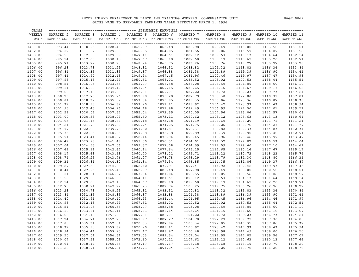# RHODE ISLAND DEPARTMENT OF LABOR AND TRAINING WORKERS' COMPENSATION UNIT PAGE 0069 GROSS WAGE TO SPENDABLE EARNINGS TABLE EFFECTIVE MARCH 1, 1996

| GROSS   |           |                                                                                                               |           |           |           |           |           |         |                                 |         |
|---------|-----------|---------------------------------------------------------------------------------------------------------------|-----------|-----------|-----------|-----------|-----------|---------|---------------------------------|---------|
| WEEKLY  | MARRIED 2 | MARRIED 3                                                                                                     | MARRIED 4 | MARRIED 5 | MARRIED 6 | MARRIED 7 | MARRIED 8 |         | MARRIED 9 MARRIED 10 MARRIED 11 |         |
| WAGE    |           | EXEMPTIONS EXEMPTIONS EXEMPTIONS EXEMPTIONS EXEMPTIONS EXEMPTIONS EXEMPTIONS EXEMPTIONS EXEMPTIONS EXEMPTIONS |           |           |           |           |           |         |                                 |         |
|         |           |                                                                                                               |           |           |           |           |           |         |                                 |         |
| 1401.00 | 993.44    | 1010.95                                                                                                       | 1028.45   | 1045.97   | 1063.48   | 1080.98   | 1098.49   | 1116.00 | 1133.50                         | 1151.01 |
| 1402.00 | 994.02    | 1011.52                                                                                                       | 1029.03   | 1046.55   | 1064.05   | 1081.56   | 1099.06   | 1116.57 | 1134.07                         | 1151.58 |
| 1403.00 | 994.58    | 1012.08                                                                                                       | 1029.59   | 1047.11   | 1064.61   | 1082.12   | 1099.63   | 1117.13 | 1134.64                         | 1152.14 |
| 1404.00 | 995.14    | 1012.65                                                                                                       | 1030.15   | 1047.67   | 1065.18   | 1082.68   | 1100.19   | 1117.69 | 1135.20                         | 1152.71 |
| 1405.00 | 995.71    | 1013.22                                                                                                       | 1030.73   | 1048.24   | 1065.75   | 1083.26   | 1100.76   | 1118.27 | 1135.77                         | 1153.28 |
| 1406.00 | 996.28    | 1013.78                                                                                                       | 1031.29   | 1048.81   | 1066.31   | 1083.82   | 1101.32   | 1118.83 | 1136.34                         | 1153.84 |
| 1407.00 | 996.84    | 1014.35                                                                                                       | 1031.85   | 1049.37   | 1066.88   | 1084.38   | 1101.89   | 1119.39 | 1136.90                         | 1154.41 |
| 1408.00 | 997.41    | 1014.92                                                                                                       | 1032.43   | 1049.94   | 1067.45   | 1084.96   | 1102.46   | 1119.97 | 1137.47                         | 1154.98 |
| 1409.00 | 997.98    | 1015.48                                                                                                       | 1032.99   | 1050.51   | 1068.01   | 1085.52   | 1103.02   | 1120.53 | 1138.04                         | 1155.54 |
| 1410.00 | 998.54    | 1016.05                                                                                                       | 1033.55   | 1051.07   | 1068.58   | 1086.08   | 1103.59   | 1121.09 | 1138.60                         | 1156.10 |
| 1411.00 | 999.11    | 1016.62                                                                                                       | 1034.12   | 1051.64   | 1069.15   | 1086.65   | 1104.16   | 1121.67 | 1139.17                         | 1156.68 |
| 1412.00 | 999.68    | 1017.18                                                                                                       | 1034.69   | 1052.21   | 1069.71   | 1087.22   | 1104.72   | 1122.23 | 1139.73                         | 1157.24 |
| 1413.00 | 1000.25   | 1017.75                                                                                                       | 1035.26   | 1052.78   | 1070.28   | 1087.79   | 1105.30   | 1122.80 | 1140.31                         | 1157.81 |
| 1414.00 | 1000.81   | 1018.32                                                                                                       | 1035.82   | 1053.34   | 1070.85   | 1088.35   | 1105.86   | 1123.36 | 1140.87                         | 1158.38 |
| 1415.00 | 1001.37   | 1018.88                                                                                                       | 1036.39   | 1053.90   | 1071.41   | 1088.92   | 1106.42   | 1123.93 | 1141.43                         | 1158.94 |
| 1416.00 | 1001.95   | 1019.45                                                                                                       | 1036.96   | 1054.48   | 1071.98   | 1089.49   | 1106.99   | 1124.50 | 1142.01                         | 1159.51 |
| 1417.00 | 1002.51   | 1020.02                                                                                                       | 1037.52   | 1055.04   | 1072.55   | 1090.05   | 1107.56   | 1125.06 | 1142.57                         | 1160.08 |
| 1418.00 | 1003.07   | 1020.58                                                                                                       | 1038.09   | 1055.60   | 1073.11   | 1090.62   | 1108.12   | 1125.63 | 1143.13                         | 1160.64 |
| 1419.00 | 1003.65   |                                                                                                               | 1038.66   | 1056.18   | 1073.68   | 1091.19   | 1108.69   | 1126.20 |                                 |         |
|         |           | 1021.15                                                                                                       |           |           |           |           |           |         | 1143.71                         | 1161.21 |
| 1420.00 | 1004.21   | 1021.72                                                                                                       | 1039.22   | 1056.74   | 1074.25   | 1091.75   | 1109.26   | 1126.76 | 1144.27                         | 1161.77 |
| 1421.00 | 1004.77   | 1022.28                                                                                                       | 1039.78   | 1057.30   | 1074.81   | 1092.31   | 1109.82   | 1127.33 | 1144.83                         | 1162.34 |
| 1422.00 | 1005.35   | 1022.85                                                                                                       | 1040.36   | 1057.88   | 1075.38   | 1092.89   | 1110.39   | 1127.90 | 1145.40                         | 1162.91 |
| 1423.00 | 1005.91   | 1023.41                                                                                                       | 1040.92   | 1058.44   | 1075.94   | 1093.45   | 1110.96   | 1128.46 | 1145.97                         | 1163.47 |
| 1424.00 | 1006.47   | 1023.98                                                                                                       | 1041.48   | 1059.00   | 1076.51   | 1094.01   | 1111.52   | 1129.02 | 1146.53                         | 1164.04 |
| 1425.00 | 1007.04   | 1024.55                                                                                                       | 1042.06   | 1059.57   | 1077.08   | 1094.59   | 1112.09   | 1129.60 | 1147.10                         | 1164.61 |
| 1426.00 | 1007.61   | 1025.11                                                                                                       | 1042.62   | 1060.14   | 1077.64   | 1095.15   | 1112.65   | 1130.16 | 1147.67                         | 1165.17 |
| 1427.00 | 1008.17   | 1025.68                                                                                                       | 1043.18   | 1060.70   | 1078.21   | 1095.71   | 1113.22   | 1130.72 | 1148.23                         | 1165.74 |
| 1428.00 | 1008.74   | 1026.25                                                                                                       | 1043.76   | 1061.27   | 1078.78   | 1096.29   | 1113.79   | 1131.30 | 1148.80                         | 1166.31 |
| 1429.00 | 1009.31   | 1026.81                                                                                                       | 1044.32   | 1061.84   | 1079.34   | 1096.85   | 1114.35   | 1131.86 | 1149.37                         | 1166.87 |
| 1430.00 | 1009.87   | 1027.38                                                                                                       | 1044.88   | 1062.40   | 1079.91   | 1097.41   | 1114.92   | 1132.42 | 1149.93                         | 1167.43 |
| 1431.00 | 1010.44   | 1027.95                                                                                                       | 1045.45   | 1062.97   | 1080.48   | 1097.98   | 1115.49   | 1133.00 | 1150.50                         | 1168.01 |
| 1432.00 | 1011.01   | 1028.51                                                                                                       | 1046.02   | 1063.54   | 1081.04   | 1098.55   | 1116.05   | 1133.56 | 1151.06                         | 1168.57 |
| 1433.00 | 1011.58   | 1029.08                                                                                                       | 1046.59   | 1064.11   | 1081.61   | 1099.12   | 1116.63   | 1134.13 | 1151.64                         | 1169.14 |
| 1434.00 | 1012.14   | 1029.65                                                                                                       | 1047.15   | 1064.67   | 1082.18   | 1099.68   | 1117.19   | 1134.69 | 1152.20                         | 1169.71 |
| 1435.00 | 1012.70   | 1030.21                                                                                                       | 1047.72   | 1065.23   | 1082.74   | 1100.25   | 1117.75   | 1135.26 | 1152.76                         | 1170.27 |
| 1436.00 | 1013.28   | 1030.78                                                                                                       | 1048.29   | 1065.81   | 1083.31   | 1100.82   | 1118.32   | 1135.83 | 1153.34                         | 1170.84 |
| 1437.00 | 1013.84   | 1031.35                                                                                                       | 1048.85   | 1066.37   | 1083.88   | 1101.38   | 1118.89   | 1136.39 | 1153.90                         | 1171.41 |
| 1438.00 | 1014.40   | 1031.91                                                                                                       | 1049.42   | 1066.93   | 1084.44   | 1101.95   | 1119.45   | 1136.96 | 1154.46                         | 1171.97 |
| 1439.00 | 1014.98   | 1032.48                                                                                                       | 1049.99   | 1067.51   | 1085.01   | 1102.52   | 1120.02   | 1137.53 | 1155.04                         | 1172.54 |
| 1440.00 | 1015.54   | 1033.05                                                                                                       | 1050.55   | 1068.07   | 1085.58   | 1103.08   | 1120.59   | 1138.09 | 1155.60                         | 1173.10 |
| 1441.00 | 1016.10   | 1033.61                                                                                                       | 1051.11   | 1068.63   | 1086.14   | 1103.64   | 1121.15   | 1138.66 | 1156.16                         | 1173.67 |
| 1442.00 | 1016.68   | 1034.18                                                                                                       | 1051.69   | 1069.21   | 1086.71   | 1104.22   | 1121.72   | 1139.23 | 1156.73                         | 1174.24 |
| 1443.00 | 1017.24   | 1034.74                                                                                                       | 1052.25   | 1069.77   | 1087.27   | 1104.78   | 1122.29   | 1139.79 | 1157.30                         | 1174.80 |
| 1444.00 | 1017.80   | 1035.31                                                                                                       | 1052.81   | 1070.33   | 1087.84   | 1105.34   | 1122.85   | 1140.35 | 1157.86                         | 1175.37 |
| 1445.00 | 1018.37   | 1035.88                                                                                                       | 1053.39   | 1070.90   | 1088.41   | 1105.92   | 1123.42   | 1140.93 | 1158.43                         | 1175.94 |
| 1446.00 | 1018.94   | 1036.44                                                                                                       | 1053.95   | 1071.47   | 1088.97   | 1106.48   | 1123.98   | 1141.49 | 1159.00                         | 1176.50 |
| 1447.00 | 1019.50   | 1037.01                                                                                                       | 1054.51   | 1072.03   | 1089.54   | 1107.04   | 1124.55   | 1142.05 | 1159.56                         | 1177.07 |
| 1448.00 | 1020.07   | 1037.58                                                                                                       | 1055.09   | 1072.60   | 1090.11   | 1107.62   | 1125.12   | 1142.63 | 1160.13                         | 1177.64 |
| 1449.00 | 1020.64   | 1038.14                                                                                                       | 1055.65   | 1073.17   | 1090.67   | 1108.18   | 1125.68   | 1143.19 | 1160.70                         | 1178.20 |
| 1450.00 | 1021.20   | 1038.71                                                                                                       | 1056.21   | 1073.73   | 1091.24   | 1108.74   | 1126.25   | 1143.75 | 1161.26                         | 1178.76 |
|         |           |                                                                                                               |           |           |           |           |           |         |                                 |         |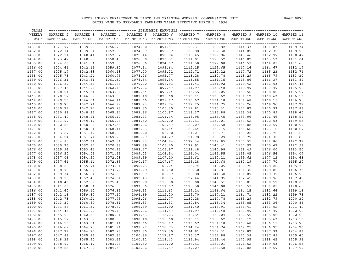### RHODE ISLAND DEPARTMENT OF LABOR AND TRAINING WORKERS' COMPENSATION UNIT PAGE 0070 GROSS WAGE TO SPENDABLE EARNINGS TABLE EFFECTIVE MARCH 1, 1996

| GROSS   |           |                                                                                                                    |           |           |           |           |           |         |                                 |         |
|---------|-----------|--------------------------------------------------------------------------------------------------------------------|-----------|-----------|-----------|-----------|-----------|---------|---------------------------------|---------|
| WEEKLY  | MARRIED 2 | MARRIED 3                                                                                                          | MARRIED 4 | MARRIED 5 | MARRIED 6 | MARRIED 7 | MARRIED 8 |         | MARRIED 9 MARRIED 10 MARRIED 11 |         |
|         |           | WAGE EXEMPTIONS EXEMPTIONS EXEMPTIONS EXEMPTIONS EXEMPTIONS EXEMPTIONS EXEMPTIONS EXEMPTIONS EXEMPTIONS EXEMPTIONS |           |           |           |           |           |         |                                 |         |
|         |           |                                                                                                                    |           |           |           |           |           |         |                                 |         |
| 1451.00 | 1021.77   | 1039.28                                                                                                            | 1056.78   | 1074.30   | 1091.81   | 1109.31   | 1126.82   | 1144.33 | 1161.83                         | 1179.34 |
| 1452.00 | 1022.34   | 1039.84                                                                                                            | 1057.35   | 1074.87   | 1092.37   | 1109.88   | 1127.38   | 1144.89 | 1162.39                         | 1179.90 |
| 1453.00 | 1022.91   | 1040.41                                                                                                            | 1057.92   | 1075.44   | 1092.94   | 1110.45   | 1127.96   | 1145.46 | 1162.97                         | 1180.47 |
| 1454.00 | 1023.47   | 1040.98                                                                                                            | 1058.48   | 1076.00   | 1093.51   | 1111.01   | 1128.52   | 1146.02 | 1163.53                         | 1181.04 |
| 1455.00 | 1024.03   | 1041.54                                                                                                            | 1059.05   | 1076.56   | 1094.07   | 1111.58   | 1129.08   | 1146.59 | 1164.09                         | 1181.60 |
| 1456.00 | 1024.61   | 1042.11                                                                                                            | 1059.62   | 1077.14   | 1094.64   | 1112.15   | 1129.65   | 1147.16 | 1164.67                         | 1182.17 |
| 1457.00 | 1025.17   | 1042.68                                                                                                            | 1060.18   | 1077.70   | 1095.21   | 1112.71   | 1130.22   | 1147.72 | 1165.23                         | 1182.74 |
| 1458.00 | 1025.73   | 1043.24                                                                                                            | 1060.75   | 1078.26   | 1095.77   | 1113.28   | 1130.78   | 1148.29 | 1165.79                         | 1183.30 |
| 1459.00 | 1026.31   | 1043.81                                                                                                            | 1061.32   | 1078.84   | 1096.34   | 1113.85   | 1131.35   | 1148.86 | 1166.37                         | 1183.87 |
| 1460.00 | 1026.87   | 1044.38                                                                                                            | 1061.88   | 1079.40   | 1096.91   | 1114.41   | 1131.92   | 1149.42 | 1166.93                         | 1184.43 |
| 1461.00 | 1027.43   | 1044.94                                                                                                            | 1062.44   | 1079.96   | 1097.47   | 1114.97   | 1132.48   | 1149.99 | 1167.49                         | 1185.00 |
| 1462.00 | 1028.01   | 1045.51                                                                                                            | 1063.02   | 1080.54   | 1098.04   | 1115.55   | 1133.05   | 1150.56 | 1168.06                         | 1185.57 |
| 1463.00 | 1028.57   | 1046.07                                                                                                            | 1063.58   | 1081.10   | 1098.60   | 1116.11   | 1133.62   | 1151.12 | 1168.63                         | 1186.13 |
| 1464.00 | 1029.13   | 1046.64                                                                                                            | 1064.14   | 1081.66   | 1099.17   | 1116.67   | 1134.18   | 1151.68 | 1169.19                         | 1186.70 |
| 1465.00 | 1029.70   | 1047.21                                                                                                            | 1064.72   | 1082.23   | 1099.74   | 1117.25   | 1134.75   | 1152.26 | 1169.76                         | 1187.27 |
| 1466.00 | 1030.27   | 1047.77                                                                                                            | 1065.28   | 1082.80   | 1100.30   | 1117.81   | 1135.31   | 1152.82 | 1170.33                         | 1187.83 |
| 1467.00 | 1030.83   | 1048.34                                                                                                            | 1065.84   | 1083.36   | 1100.87   | 1118.37   | 1135.88   | 1153.38 | 1170.89                         | 1188.40 |
| 1468.00 | 1031.40   | 1048.91                                                                                                            | 1066.42   | 1083.93   | 1101.44   | 1118.95   | 1136.45   | 1153.96 | 1171.46                         | 1188.97 |
| 1469.00 | 1031.97   | 1049.47                                                                                                            | 1066.98   | 1084.50   | 1102.00   | 1119.51   | 1137.01   | 1154.52 | 1172.03                         | 1189.53 |
| 1470.00 | 1032.53   | 1050.04                                                                                                            | 1067.54   | 1085.06   | 1102.57   | 1120.07   | 1137.58   | 1155.08 | 1172.59                         | 1190.09 |
| 1471.00 | 1033.10   | 1050.61                                                                                                            | 1068.11   | 1085.63   | 1103.14   | 1120.64   | 1138.15   | 1155.66 | 1173.16                         | 1190.67 |
| 1472.00 | 1033.67   | 1051.17                                                                                                            | 1068.68   | 1086.20   | 1103.70   | 1121.21   | 1138.71   | 1156.22 | 1173.72                         | 1191.23 |
| 1473.00 | 1034.24   | 1051.74                                                                                                            | 1069.25   | 1086.77   | 1104.27   | 1121.78   | 1139.29   | 1156.79 | 1174.30                         | 1191.80 |
| 1474.00 | 1034.80   | 1052.31                                                                                                            | 1069.81   | 1087.33   | 1104.84   | 1122.34   | 1139.85   | 1157.35 | 1174.86                         | 1192.37 |
| 1475.00 | 1035.36   | 1052.87                                                                                                            | 1070.38   | 1087.89   | 1105.40   | 1122.91   | 1140.41   | 1157.92 | 1175.42                         | 1192.93 |
| 1476.00 | 1035.94   | 1053.44                                                                                                            | 1070.95   | 1088.47   | 1105.97   | 1123.48   | 1140.98   | 1158.49 | 1176.00                         | 1193.50 |
| 1477.00 | 1036.50   | 1054.01                                                                                                            | 1071.51   | 1089.03   | 1106.54   | 1124.04   | 1141.55   | 1159.05 | 1176.56                         | 1194.07 |
| 1478.00 | 1037.06   | 1054.57                                                                                                            | 1072.08   | 1089.59   | 1107.10   | 1124.61   | 1142.11   | 1159.62 | 1177.12                         | 1194.63 |
| 1479.00 | 1037.64   | 1055.14                                                                                                            | 1072.65   | 1090.17   | 1107.67   | 1125.18   | 1142.68   | 1160.19 | 1177.70                         | 1195.20 |
| 1480.00 | 1038.20   | 1055.71                                                                                                            | 1073.21   | 1090.73   | 1108.24   | 1125.74   | 1143.25   | 1160.75 | 1178.26                         | 1195.76 |
| 1481.00 | 1038.76   | 1056.27                                                                                                            | 1073.77   | 1091.29   | 1108.80   | 1126.30   | 1143.81   | 1161.32 | 1178.82                         | 1196.33 |
| 1482.00 | 1039.34   | 1056.84                                                                                                            | 1074.35   | 1091.87   | 1109.37   | 1126.88   | 1144.38   | 1161.89 | 1179.39                         | 1196.90 |
| 1483.00 | 1039.90   | 1057.40                                                                                                            | 1074.91   | 1092.43   | 1109.93   | 1127.44   | 1144.95   | 1162.45 | 1179.96                         | 1197.46 |
| 1484.00 | 1040.46   | 1057.97                                                                                                            | 1075.47   | 1092.99   | 1110.50   | 1128.00   | 1145.51   | 1163.01 | 1180.52                         | 1198.03 |
| 1485.00 | 1041.03   | 1058.54                                                                                                            | 1076.05   | 1093.56   | 1111.07   | 1128.58   | 1146.08   | 1163.59 | 1181.09                         | 1198.60 |
| 1486.00 | 1041.60   | 1059.10                                                                                                            | 1076.61   | 1094.13   | 1111.63   | 1129.14   | 1146.64   | 1164.15 | 1181.66                         | 1199.16 |
| 1487.00 | 1042.16   | 1059.67                                                                                                            | 1077.17   | 1094.69   | 1112.20   | 1129.70   | 1147.21   | 1164.71 | 1182.22                         | 1199.73 |
| 1488.00 | 1042.73   | 1060.24                                                                                                            | 1077.75   | 1095.26   | 1112.77   | 1130.28   | 1147.78   | 1165.29 | 1182.79                         | 1200.30 |
| 1489.00 | 1043.30   | 1060.80                                                                                                            | 1078.31   | 1095.83   | 1113.33   | 1130.84   | 1148.34   | 1165.85 | 1183.36                         | 1200.86 |
| 1490.00 | 1043.86   | 1061.37                                                                                                            | 1078.87   | 1096.39   | 1113.90   | 1131.40   | 1148.91   | 1166.41 | 1183.92                         | 1201.42 |
| 1491.00 | 1044.43   | 1061.94                                                                                                            | 1079.44   | 1096.96   | 1114.47   | 1131.97   | 1149.48   | 1166.99 | 1184.49                         | 1202.00 |
| 1492.00 | 1045.00   | 1062.50                                                                                                            | 1080.01   | 1097.53   | 1115.03   | 1132.54   | 1150.04   | 1167.55 | 1185.05                         | 1202.56 |
| 1493.00 | 1045.57   | 1063.07                                                                                                            | 1080.58   | 1098.10   | 1115.60   | 1133.11   | 1150.62   | 1168.12 | 1185.63                         | 1203.13 |
| 1494.00 | 1046.13   | 1063.64                                                                                                            | 1081.14   | 1098.66   | 1116.17   | 1133.67   | 1151.18   | 1168.68 | 1186.19                         | 1203.70 |
| 1495.00 | 1046.69   | 1064.20                                                                                                            | 1081.71   | 1099.22   | 1116.73   | 1134.24   | 1151.74   | 1169.25 | 1186.75                         | 1204.26 |
| 1496.00 | 1047.27   | 1064.77                                                                                                            | 1082.28   | 1099.80   | 1117.30   | 1134.81   | 1152.31   | 1169.82 | 1187.33                         | 1204.83 |
| 1497.00 | 1047.83   | 1065.34                                                                                                            | 1082.84   | 1100.36   | 1117.87   | 1135.37   | 1152.88   | 1170.38 | 1187.89                         | 1205.40 |
| 1498.00 | 1048.39   | 1065.90                                                                                                            | 1083.41   | 1100.92   | 1118.43   | 1135.94   | 1153.44   | 1170.95 | 1188.45                         | 1205.96 |
| 1499.00 | 1048.97   | 1066.47                                                                                                            | 1083.98   | 1101.50   | 1119.00   | 1136.51   | 1154.01   | 1171.52 | 1189.03                         | 1206.53 |
| 1500.00 | 1049.53   | 1067.04                                                                                                            | 1084.54   | 1102.06   | 1119.57   | 1137.07   | 1154.58   | 1172.08 | 1189.59                         | 1207.09 |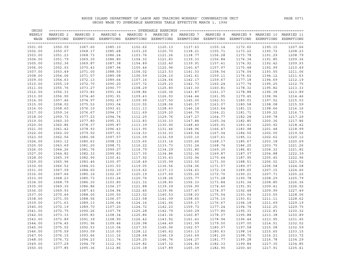### RHODE ISLAND DEPARTMENT OF LABOR AND TRAINING WORKERS' COMPENSATION UNIT PAGE 0071 GROSS WAGE TO SPENDABLE EARNINGS TABLE EFFECTIVE MARCH 1, 1996

| GROSS   |           |                                                                                                                    |           |           |           |           |           |         |                                 |         |
|---------|-----------|--------------------------------------------------------------------------------------------------------------------|-----------|-----------|-----------|-----------|-----------|---------|---------------------------------|---------|
| WEEKLY  | MARRIED 2 | MARRIED 3                                                                                                          | MARRIED 4 | MARRIED 5 | MARRIED 6 | MARRIED 7 | MARRIED 8 |         | MARRIED 9 MARRIED 10 MARRIED 11 |         |
|         |           | WAGE EXEMPTIONS EXEMPTIONS EXEMPTIONS EXEMPTIONS EXEMPTIONS EXEMPTIONS EXEMPTIONS EXEMPTIONS EXEMPTIONS EXEMPTIONS |           |           |           |           |           |         |                                 |         |
|         |           |                                                                                                                    |           |           |           |           |           |         |                                 |         |
| 1501.00 | 1050.09   | 1067.60                                                                                                            | 1085.10   | 1102.62   | 1120.13   | 1137.63   | 1155.14   | 1172.65 | 1190.15                         | 1207.66 |
| 1502.00 | 1050.67   | 1068.17                                                                                                            | 1085.68   | 1103.20   | 1120.70   | 1138.21   | 1155.71   | 1173.22 | 1190.72                         | 1208.23 |
| 1503.00 | 1051.23   | 1068.73                                                                                                            | 1086.24   | 1103.76   | 1121.26   | 1138.77   | 1156.28   | 1173.78 | 1191.29                         | 1208.79 |
| 1504.00 | 1051.79   | 1069.30                                                                                                            | 1086.80   | 1104.32   | 1121.83   | 1139.33   | 1156.84   | 1174.34 | 1191.85                         | 1209.36 |
| 1505.00 | 1052.36   | 1069.87                                                                                                            | 1087.38   | 1104.89   | 1122.40   | 1139.91   | 1157.41   | 1174.92 | 1192.42                         | 1209.93 |
| 1506.00 | 1052.93   | 1070.43                                                                                                            | 1087.94   | 1105.46   | 1122.96   | 1140.47   | 1157.97   | 1175.48 | 1192.99                         | 1210.49 |
| 1507.00 | 1053.49   | 1071.00                                                                                                            | 1088.50   | 1106.02   | 1123.53   | 1141.03   | 1158.54   | 1176.04 | 1193.55                         | 1211.06 |
| 1508.00 | 1054.06   | 1071.57                                                                                                            | 1089.08   | 1106.59   | 1124.10   | 1141.61   | 1159.11   | 1176.62 | 1194.12                         | 1211.63 |
| 1509.00 | 1054.63   | 1072.13                                                                                                            | 1089.64   | 1107.16   | 1124.66   | 1142.17   | 1159.67   | 1177.18 | 1194.69                         | 1212.19 |
| 1510.00 | 1055.19   | 1072.70                                                                                                            | 1090.20   | 1107.72   | 1125.23   | 1142.73   | 1160.24   | 1177.74 | 1195.25                         | 1212.75 |
| 1511.00 | 1055.76   | 1073.27                                                                                                            | 1090.77   | 1108.29   | 1125.80   | 1143.30   | 1160.81   | 1178.32 | 1195.82                         | 1213.33 |
| 1512.00 | 1056.33   | 1073.83                                                                                                            | 1091.34   | 1108.86   | 1126.36   | 1143.87   | 1161.37   | 1178.88 | 1196.38                         | 1213.89 |
| 1513.00 | 1056.90   | 1074.40                                                                                                            | 1091.91   | 1109.43   | 1126.93   | 1144.44   | 1161.95   | 1179.45 | 1196.96                         | 1214.46 |
| 1514.00 | 1057.46   | 1074.97                                                                                                            | 1092.47   | 1109.99   | 1127.50   | 1145.00   | 1162.51   | 1180.01 | 1197.52                         | 1215.03 |
| 1515.00 | 1058.02   | 1075.53                                                                                                            | 1093.04   | 1110.55   | 1128.06   | 1145.57   | 1163.07   | 1180.58 | 1198.08                         | 1215.59 |
| 1516.00 | 1058.60   | 1076.10                                                                                                            | 1093.61   | 1111.13   | 1128.63   | 1146.14   | 1163.64   | 1181.15 | 1198.66                         | 1216.16 |
| 1517.00 | 1059.16   | 1076.67                                                                                                            | 1094.17   | 1111.69   | 1129.20   | 1146.70   | 1164.21   | 1181.71 | 1199.22                         | 1216.73 |
| 1518.00 | 1059.72   | 1077.23                                                                                                            | 1094.74   | 1112.25   | 1129.76   | 1147.27   | 1164.77   | 1182.28 | 1199.78                         | 1217.29 |
| 1519.00 | 1060.30   | 1077.80                                                                                                            | 1095.31   | 1112.83   | 1130.33   | 1147.84   | 1165.34   | 1182.85 | 1200.36                         | 1217.86 |
| 1520.00 | 1060.86   | 1078.37                                                                                                            | 1095.87   | 1113.39   | 1130.90   | 1148.40   | 1165.91   | 1183.41 | 1200.92                         | 1218.42 |
| 1521.00 | 1061.42   | 1078.93                                                                                                            | 1096.43   | 1113.95   | 1131.46   | 1148.96   | 1166.47   | 1183.98 | 1201.48                         | 1218.99 |
| 1522.00 | 1062.00   | 1079.50                                                                                                            | 1097.01   | 1114.53   | 1132.03   | 1149.54   | 1167.04   | 1184.55 | 1202.05                         | 1219.56 |
| 1523.00 | 1062.56   | 1080.06                                                                                                            | 1097.57   | 1115.09   | 1132.59   | 1150.10   | 1167.61   | 1185.11 | 1202.62                         | 1220.12 |
| 1524.00 | 1063.12   | 1080.63                                                                                                            | 1098.13   | 1115.65   | 1133.16   | 1150.66   | 1168.17   | 1185.67 | 1203.18                         | 1220.69 |
| 1525.00 | 1063.69   | 1081.20                                                                                                            | 1098.71   | 1116.22   | 1133.73   | 1151.24   | 1168.74   | 1186.25 | 1203.75                         | 1221.26 |
| 1526.00 | 1064.26   | 1081.76                                                                                                            | 1099.27   | 1116.79   | 1134.29   | 1151.80   | 1169.30   | 1186.81 | 1204.32                         | 1221.82 |
| 1527.00 | 1064.82   | 1082.33                                                                                                            | 1099.83   | 1117.35   | 1134.86   | 1152.36   | 1169.87   | 1187.37 | 1204.88                         | 1222.39 |
| 1528.00 | 1065.39   | 1082.90                                                                                                            | 1100.41   | 1117.92   | 1135.43   | 1152.94   | 1170.44   | 1187.95 | 1205.45                         | 1222.96 |
| 1529.00 | 1065.96   | 1083.46                                                                                                            | 1100.97   | 1118.49   | 1135.99   | 1153.50   | 1171.00   | 1188.51 | 1206.02                         | 1223.52 |
| 1530.00 | 1066.52   | 1084.03                                                                                                            | 1101.53   | 1119.05   | 1136.56   | 1154.06   | 1171.57   | 1189.07 | 1206.58                         | 1224.08 |
| 1531.00 | 1067.09   | 1084.60                                                                                                            | 1102.10   | 1119.62   | 1137.13   | 1154.63   | 1172.14   | 1189.65 | 1207.15                         | 1224.66 |
| 1532.00 | 1067.66   | 1085.16                                                                                                            | 1102.67   | 1120.19   | 1137.69   | 1155.20   | 1172.70   | 1190.21 | 1207.71                         | 1225.22 |
| 1533.00 | 1068.23   | 1085.73                                                                                                            | 1103.24   | 1120.76   | 1138.26   | 1155.77   | 1173.28   | 1190.78 | 1208.29                         | 1225.79 |
| 1534.00 | 1068.79   | 1086.30                                                                                                            | 1103.80   | 1121.32   | 1138.83   | 1156.33   | 1173.84   | 1191.34 | 1208.85                         | 1226.36 |
| 1535.00 | 1069.35   | 1086.86                                                                                                            | 1104.37   | 1121.88   | 1139.39   | 1156.90   | 1174.40   | 1191.91 | 1209.41                         | 1226.92 |
| 1536.00 | 1069.93   | 1087.43                                                                                                            | 1104.94   | 1122.46   | 1139.96   | 1157.47   | 1174.97   | 1192.48 | 1209.99                         | 1227.49 |
| 1537.00 | 1070.49   | 1088.00                                                                                                            | 1105.50   | 1123.02   | 1140.53   | 1158.03   | 1175.54   | 1193.04 | 1210.55                         | 1228.06 |
| 1538.00 | 1071.05   | 1088.56                                                                                                            | 1106.07   | 1123.58   | 1141.09   | 1158.60   | 1176.10   | 1193.61 | 1211.11                         | 1228.62 |
| 1539.00 | 1071.63   | 1089.13                                                                                                            | 1106.64   | 1124.16   | 1141.66   | 1159.17   | 1176.67   | 1194.18 | 1211.69                         | 1229.19 |
| 1540.00 | 1072.19   | 1089.70                                                                                                            | 1107.20   | 1124.72   | 1142.23   | 1159.73   | 1177.24   | 1194.74 | 1212.25                         | 1229.75 |
| 1541.00 | 1072.75   | 1090.26                                                                                                            | 1107.76   | 1125.28   | 1142.79   | 1160.29   | 1177.80   | 1195.31 | 1212.81                         | 1230.32 |
| 1542.00 | 1073.33   | 1090.83                                                                                                            | 1108.34   | 1125.86   | 1143.36   | 1160.87   | 1178.37   | 1195.88 | 1213.38                         | 1230.89 |
| 1543.00 | 1073.89   | 1091.39                                                                                                            | 1108.90   | 1126.42   | 1143.92   | 1161.43   | 1178.94   | 1196.44 | 1213.95                         | 1231.45 |
| 1544.00 | 1074.45   | 1091.96                                                                                                            | 1109.46   | 1126.98   | 1144.49   | 1161.99   | 1179.50   | 1197.00 | 1214.51                         | 1232.02 |
| 1545.00 | 1075.02   | 1092.53                                                                                                            | 1110.04   | 1127.55   | 1145.06   | 1162.57   | 1180.07   | 1197.58 | 1215.08                         | 1232.59 |
| 1546.00 | 1075.59   | 1093.09                                                                                                            | 1110.60   | 1128.12   | 1145.62   | 1163.13   | 1180.63   | 1198.14 | 1215.65                         | 1233.15 |
| 1547.00 | 1076.15   | 1093.66                                                                                                            | 1111.16   | 1128.68   | 1146.19   | 1163.69   | 1181.20   | 1198.70 | 1216.21                         | 1233.72 |
| 1548.00 | 1076.72   | 1094.23                                                                                                            | 1111.74   | 1129.25   | 1146.76   | 1164.27   | 1181.77   | 1199.28 | 1216.78                         | 1234.29 |
| 1549.00 | 1077.29   | 1094.79                                                                                                            | 1112.30   | 1129.82   | 1147.32   | 1164.83   | 1182.33   | 1199.84 | 1217.35                         | 1234.85 |
| 1550.00 | 1077.85   | 1095.36                                                                                                            | 1112.86   | 1130.38   | 1147.89   | 1165.39   | 1182.90   | 1200.40 | 1217.91                         | 1235.41 |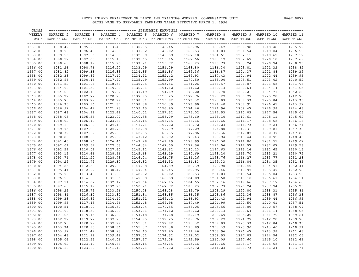# RHODE ISLAND DEPARTMENT OF LABOR AND TRAINING WORKERS' COMPENSATION UNIT PAGE 0072 GROSS WAGE TO SPENDABLE EARNINGS TABLE EFFECTIVE MARCH 1, 1996

| GROSS   |           |                                                                                                               |           |           |           |           |           |         |                                 |         |
|---------|-----------|---------------------------------------------------------------------------------------------------------------|-----------|-----------|-----------|-----------|-----------|---------|---------------------------------|---------|
| WEEKLY  | MARRIED 2 | MARRIED 3                                                                                                     | MARRIED 4 | MARRIED 5 | MARRIED 6 | MARRIED 7 | MARRIED 8 |         | MARRIED 9 MARRIED 10 MARRIED 11 |         |
| WAGE    |           | EXEMPTIONS EXEMPTIONS EXEMPTIONS EXEMPTIONS EXEMPTIONS EXEMPTIONS EXEMPTIONS EXEMPTIONS EXEMPTIONS EXEMPTIONS |           |           |           |           |           |         |                                 |         |
|         |           |                                                                                                               |           |           |           |           |           |         |                                 |         |
| 1551.00 | 1078.42   | 1095.93                                                                                                       | 1113.43   | 1130.95   | 1148.46   | 1165.96   | 1183.47   | 1200.98 | 1218.48                         | 1235.99 |
| 1552.00 | 1078.99   | 1096.49                                                                                                       | 1114.00   | 1131.52   | 1149.02   | 1166.53   | 1184.03   | 1201.54 | 1219.04                         | 1236.55 |
| 1553.00 | 1079.56   | 1097.06                                                                                                       | 1114.57   | 1132.09   | 1149.59   | 1167.10   | 1184.61   | 1202.11 | 1219.62                         | 1237.12 |
| 1554.00 | 1080.12   | 1097.63                                                                                                       | 1115.13   | 1132.65   | 1150.16   | 1167.66   | 1185.17   | 1202.67 | 1220.18                         | 1237.69 |
| 1555.00 | 1080.68   | 1098.19                                                                                                       | 1115.70   | 1133.21   | 1150.72   | 1168.23   | 1185.73   | 1203.24 | 1220.74                         | 1238.25 |
| 1556.00 | 1081.26   | 1098.76                                                                                                       | 1116.27   | 1133.79   | 1151.29   | 1168.80   | 1186.30   | 1203.81 | 1221.32                         | 1238.82 |
| 1557.00 | 1081.82   | 1099.33                                                                                                       | 1116.83   | 1134.35   | 1151.86   | 1169.36   | 1186.87   | 1204.37 | 1221.88                         | 1239.39 |
| 1558.00 | 1082.38   | 1099.89                                                                                                       | 1117.40   | 1134.91   | 1152.42   | 1169.93   | 1187.43   | 1204.94 | 1222.44                         | 1239.95 |
| 1559.00 | 1082.96   | 1100.46                                                                                                       | 1117.97   | 1135.49   | 1152.99   | 1170.50   | 1188.00   | 1205.51 | 1223.02                         | 1240.52 |
| 1560.00 | 1083.52   | 1101.03                                                                                                       | 1118.53   | 1136.05   | 1153.56   | 1171.06   | 1188.57   | 1206.07 | 1223.58                         | 1241.08 |
| 1561.00 | 1084.08   | 1101.59                                                                                                       | 1119.09   | 1136.61   | 1154.12   | 1171.62   | 1189.13   | 1206.64 | 1224.14                         | 1241.65 |
| 1562.00 | 1084.66   | 1102.16                                                                                                       | 1119.67   | 1137.19   | 1154.69   | 1172.20   | 1189.70   | 1207.21 | 1224.71                         | 1242.22 |
| 1563.00 | 1085.22   | 1102.72                                                                                                       | 1120.23   | 1137.75   | 1155.25   | 1172.76   | 1190.27   | 1207.77 | 1225.28                         | 1242.78 |
| 1564.00 | 1085.78   | 1103.29                                                                                                       | 1120.79   | 1138.31   | 1155.82   | 1173.32   | 1190.83   | 1208.33 | 1225.84                         | 1243.35 |
| 1565.00 | 1086.35   | 1103.86                                                                                                       | 1121.37   | 1138.88   | 1156.39   | 1173.90   | 1191.40   |         | 1226.41                         | 1243.92 |
|         |           |                                                                                                               |           |           |           |           |           | 1208.91 |                                 |         |
| 1566.00 | 1086.92   | 1104.42                                                                                                       | 1121.93   | 1139.45   | 1156.95   | 1174.46   | 1191.96   | 1209.47 | 1226.98                         | 1244.48 |
| 1567.00 | 1087.48   | 1104.99                                                                                                       | 1122.49   | 1140.01   | 1157.52   | 1175.02   | 1192.53   | 1210.03 | 1227.54                         | 1245.05 |
| 1568.00 | 1088.05   | 1105.56                                                                                                       | 1123.07   | 1140.58   | 1158.09   | 1175.60   | 1193.10   | 1210.61 | 1228.11                         | 1245.62 |
| 1569.00 | 1088.62   | 1106.12                                                                                                       | 1123.63   | 1141.15   | 1158.65   | 1176.16   | 1193.66   | 1211.17 | 1228.68                         | 1246.18 |
| 1570.00 | 1089.18   | 1106.69                                                                                                       | 1124.19   | 1141.71   | 1159.22   | 1176.72   | 1194.23   | 1211.73 | 1229.24                         | 1246.74 |
| 1571.00 | 1089.75   | 1107.26                                                                                                       | 1124.76   | 1142.28   | 1159.79   | 1177.29   | 1194.80   | 1212.31 | 1229.81                         | 1247.32 |
| 1572.00 | 1090.32   | 1107.82                                                                                                       | 1125.33   | 1142.85   | 1160.35   | 1177.86   | 1195.36   | 1212.87 | 1230.37                         | 1247.88 |
| 1573.00 | 1090.89   | 1108.39                                                                                                       | 1125.90   | 1143.42   | 1160.92   | 1178.43   | 1195.94   | 1213.44 | 1230.95                         | 1248.45 |
| 1574.00 | 1091.45   | 1108.96                                                                                                       | 1126.46   | 1143.98   | 1161.49   | 1178.99   | 1196.50   | 1214.00 | 1231.51                         | 1249.02 |
| 1575.00 | 1092.01   | 1109.52                                                                                                       | 1127.03   | 1144.54   | 1162.05   | 1179.56   | 1197.06   | 1214.57 | 1232.07                         | 1249.58 |
| 1576.00 | 1092.59   | 1110.09                                                                                                       | 1127.60   | 1145.12   | 1162.62   | 1180.13   | 1197.63   | 1215.14 | 1232.65                         | 1250.15 |
| 1577.00 | 1093.15   | 1110.66                                                                                                       | 1128.16   | 1145.68   | 1163.19   | 1180.69   | 1198.20   | 1215.70 | 1233.21                         | 1250.72 |
| 1578.00 | 1093.71   | 1111.22                                                                                                       | 1128.73   | 1146.24   | 1163.75   | 1181.26   | 1198.76   | 1216.27 | 1233.77                         | 1251.28 |
| 1579.00 | 1094.29   | 1111.79                                                                                                       | 1129.30   | 1146.82   | 1164.32   | 1181.83   | 1199.33   | 1216.84 | 1234.35                         | 1251.85 |
| 1580.00 | 1094.85   | 1112.36                                                                                                       | 1129.86   | 1147.38   | 1164.89   | 1182.39   | 1199.90   | 1217.40 | 1234.91                         | 1252.41 |
| 1581.00 | 1095.41   | 1112.92                                                                                                       | 1130.42   | 1147.94   | 1165.45   | 1182.95   | 1200.46   | 1217.97 | 1235.47                         | 1252.98 |
| 1582.00 | 1095.99   | 1113.49                                                                                                       | 1131.00   | 1148.52   | 1166.02   | 1183.53   | 1201.03   | 1218.54 | 1236.04                         | 1253.55 |
| 1583.00 | 1096.55   | 1114.05                                                                                                       | 1131.56   | 1149.08   | 1166.58   | 1184.09   | 1201.60   | 1219.10 | 1236.61                         | 1254.11 |
| 1584.00 | 1097.11   | 1114.62                                                                                                       | 1132.12   | 1149.64   | 1167.15   | 1184.65   | 1202.16   | 1219.66 | 1237.17                         | 1254.68 |
| 1585.00 | 1097.68   | 1115.19                                                                                                       | 1132.70   | 1150.21   | 1167.72   | 1185.23   | 1202.73   | 1220.24 | 1237.74                         | 1255.25 |
| 1586.00 | 1098.25   | 1115.75                                                                                                       | 1133.26   | 1150.78   | 1168.28   | 1185.79   | 1203.29   | 1220.80 | 1238.31                         | 1255.81 |
| 1587.00 | 1098.81   | 1116.32                                                                                                       | 1133.82   | 1151.34   | 1168.85   | 1186.35   | 1203.86   | 1221.36 | 1238.87                         | 1256.38 |
| 1588.00 | 1099.38   | 1116.89                                                                                                       | 1134.40   | 1151.91   | 1169.42   | 1186.93   | 1204.43   | 1221.94 | 1239.44                         | 1256.95 |
| 1589.00 | 1099.95   | 1117.45                                                                                                       | 1134.96   | 1152.48   | 1169.98   | 1187.49   | 1204.99   | 1222.50 | 1240.01                         | 1257.51 |
| 1590.00 | 1100.51   | 1118.02                                                                                                       | 1135.52   | 1153.04   | 1170.55   | 1188.05   | 1205.56   | 1223.06 | 1240.57                         | 1258.07 |
| 1591.00 | 1101.08   | 1118.59                                                                                                       | 1136.09   | 1153.61   | 1171.12   | 1188.62   | 1206.13   | 1223.64 | 1241.14                         | 1258.65 |
| 1592.00 | 1101.65   | 1119.15                                                                                                       | 1136.66   | 1154.18   | 1171.68   | 1189.19   | 1206.69   | 1224.20 | 1241.70                         | 1259.21 |
| 1593.00 | 1102.22   | 1119.72                                                                                                       | 1137.23   | 1154.75   | 1172.25   | 1189.76   | 1207.27   | 1224.77 | 1242.28                         | 1259.78 |
| 1594.00 | 1102.78   | 1120.29                                                                                                       | 1137.79   | 1155.31   | 1172.82   | 1190.32   | 1207.83   | 1225.33 | 1242.84                         | 1260.35 |
| 1595.00 | 1103.34   | 1120.85                                                                                                       | 1138.36   | 1155.87   | 1173.38   | 1190.89   | 1208.39   | 1225.90 | 1243.40                         | 1260.91 |
| 1596.00 | 1103.92   | 1121.42                                                                                                       | 1138.93   | 1156.45   | 1173.95   | 1191.46   | 1208.96   | 1226.47 | 1243.98                         | 1261.48 |
| 1597.00 | 1104.48   | 1121.99                                                                                                       | 1139.49   | 1157.01   | 1174.52   | 1192.02   | 1209.53   | 1227.03 | 1244.54                         | 1262.05 |
| 1598.00 | 1105.04   | 1122.55                                                                                                       | 1140.06   | 1157.57   | 1175.08   | 1192.59   | 1210.09   | 1227.60 | 1245.10                         | 1262.61 |
| 1599.00 | 1105.62   | 1123.12                                                                                                       | 1140.63   | 1158.15   | 1175.65   | 1193.16   | 1210.66   | 1228.17 | 1245.68                         | 1263.18 |
| 1600.00 | 1106.18   | 1123.69                                                                                                       | 1141.19   | 1158.71   | 1176.22   | 1193.72   | 1211.23   | 1228.73 | 1246.24                         | 1263.74 |
|         |           |                                                                                                               |           |           |           |           |           |         |                                 |         |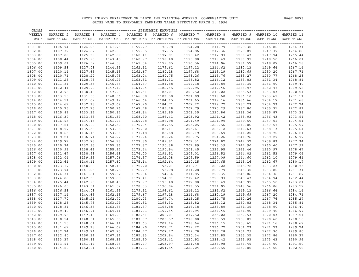# RHODE ISLAND DEPARTMENT OF LABOR AND TRAINING WORKERS' COMPENSATION UNIT PAGE 0073 GROSS WAGE TO SPENDABLE EARNINGS TABLE EFFECTIVE MARCH 1, 1996

| GROSS   |           |                                                                                                                    |           |           |           |                    |           |         |                                 |         |
|---------|-----------|--------------------------------------------------------------------------------------------------------------------|-----------|-----------|-----------|--------------------|-----------|---------|---------------------------------|---------|
| WEEKLY  | MARRIED 2 | MARRIED 3                                                                                                          | MARRIED 4 | MARRIED 5 | MARRIED 6 | MARRIED 7          | MARRIED 8 |         | MARRIED 9 MARRIED 10 MARRIED 11 |         |
|         |           | WAGE EXEMPTIONS EXEMPTIONS EXEMPTIONS EXEMPTIONS EXEMPTIONS EXEMPTIONS EXEMPTIONS EXEMPTIONS EXEMPTIONS EXEMPTIONS |           |           |           |                    |           |         |                                 |         |
|         |           |                                                                                                                    |           |           |           |                    |           |         |                                 |         |
| 1601.00 | 1106.74   | 1124.25                                                                                                            | 1141.75   | 1159.27   | 1176.78   | 1194.28            | 1211.79   | 1229.30 | 1246.80                         | 1264.31 |
| 1602.00 | 1107.32   | 1124.82                                                                                                            | 1142.33   | 1159.85   | 1177.35   | 1194.86            | 1212.36   | 1229.87 | 1247.37                         | 1264.88 |
| 1603.00 | 1107.88   | 1125.38                                                                                                            | 1142.89   | 1160.41   | 1177.91   | 1195.42            | 1212.93   | 1230.43 | 1247.94                         | 1265.44 |
| 1604.00 | 1108.44   | 1125.95                                                                                                            | 1143.45   | 1160.97   | 1178.48   | 1195.98            | 1213.49   | 1230.99 | 1248.50                         | 1266.01 |
| 1605.00 | 1109.01   | 1126.52                                                                                                            | 1144.03   | 1161.54   | 1179.05   | 1196.56            | 1214.06   | 1231.57 | 1249.07                         | 1266.58 |
| 1606.00 | 1109.58   | 1127.08                                                                                                            | 1144.59   | 1162.11   | 1179.61   | 1197.12            | 1214.62   | 1232.13 | 1249.64                         | 1267.14 |
| 1607.00 | 1110.14   | 1127.65                                                                                                            | 1145.15   | 1162.67   | 1180.18   | 1197.68            | 1215.19   | 1232.69 | 1250.20                         | 1267.71 |
| 1608.00 | 1110.71   | 1128.22                                                                                                            | 1145.73   | 1163.24   | 1180.75   | 1198.26            | 1215.76   | 1233.27 | 1250.77                         | 1268.28 |
| 1609.00 | 1111.28   | 1128.78                                                                                                            | 1146.29   | 1163.81   | 1181.31   | 1198.82            | 1216.32   | 1233.83 | 1251.34                         | 1268.84 |
| 1610.00 | 1111.84   | 1129.35                                                                                                            | 1146.85   | 1164.37   | 1181.88   | 1199.38            | 1216.89   | 1234.39 | 1251.90                         | 1269.40 |
| 1611.00 | 1112.41   | 1129.92                                                                                                            | 1147.42   | 1164.94   | 1182.45   | 1199.95            | 1217.46   | 1234.97 | 1252.47                         | 1269.98 |
| 1612.00 | 1112.98   | 1130.48                                                                                                            | 1147.99   | 1165.51   | 1183.01   | 1200.52            | 1218.02   | 1235.53 | 1253.03                         | 1270.54 |
| 1613.00 | 1113.55   | 1131.05                                                                                                            | 1148.56   | 1166.08   | 1183.58   | 1201.09            | 1218.60   | 1236.10 | 1253.61                         | 1271.11 |
| 1614.00 | 1114.11   | 1131.62                                                                                                            | 1149.12   | 1166.64   | 1184.15   | 1201.65            | 1219.16   | 1236.66 | 1254.17                         | 1271.68 |
| 1615.00 | 1114.67   | 1132.18                                                                                                            | 1149.69   | 1167.20   | 1184.71   | 1202.22            | 1219.72   | 1237.23 | 1254.73                         | 1272.24 |
| 1616.00 | 1115.25   | 1132.75                                                                                                            | 1150.26   | 1167.78   | 1185.28   | 1202.79            | 1220.29   | 1237.80 | 1255.31                         | 1272.81 |
| 1617.00 | 1115.81   | 1133.32                                                                                                            | 1150.82   | 1168.34   | 1185.85   | 1203.35            | 1220.86   | 1238.36 | 1255.87                         | 1273.38 |
| 1618.00 | 1116.37   | 1133.88                                                                                                            | 1151.39   | 1168.90   | 1186.41   | 1203.92            | 1221.42   | 1238.93 | 1256.43                         | 1273.94 |
| 1619.00 | 1116.95   | 1134.45                                                                                                            | 1151.96   | 1169.48   | 1186.98   | 1204.49            | 1221.99   | 1239.50 | 1257.01                         | 1274.51 |
| 1620.00 | 1117.51   | 1135.02                                                                                                            | 1152.52   | 1170.04   | 1187.55   | 1205.05            | 1222.56   | 1240.06 | 1257.57                         | 1275.07 |
| 1621.00 | 1118.07   | 1135.58                                                                                                            | 1153.08   | 1170.60   | 1188.11   | 1205.61            | 1223.12   | 1240.63 | 1258.13                         | 1275.64 |
| 1622.00 | 1118.65   | 1136.15                                                                                                            | 1153.66   | 1171.18   | 1188.68   | 1206.19            | 1223.69   | 1241.20 | 1258.70                         | 1276.21 |
| 1623.00 | 1119.21   | 1136.71                                                                                                            | 1154.22   | 1171.74   | 1189.24   | 1206.75            | 1224.26   | 1241.76 | 1259.27                         | 1276.77 |
| 1624.00 | 1119.77   | 1137.28                                                                                                            | 1154.78   | 1172.30   | 1189.81   |                    | 1224.82   | 1242.32 | 1259.83                         | 1277.34 |
| 1625.00 |           | 1137.85                                                                                                            |           | 1172.87   | 1190.38   | 1207.31<br>1207.89 | 1225.39   |         |                                 | 1277.91 |
|         | 1120.34   |                                                                                                                    | 1155.36   |           |           |                    |           | 1242.90 | 1260.40                         |         |
| 1626.00 | 1120.91   | 1138.41                                                                                                            | 1155.92   | 1173.44   | 1190.94   | 1208.45            | 1225.95   | 1243.46 | 1260.97                         | 1278.47 |
| 1627.00 | 1121.47   | 1138.98                                                                                                            | 1156.48   | 1174.00   | 1191.51   | 1209.01            | 1226.52   | 1244.02 | 1261.53                         | 1279.04 |
| 1628.00 | 1122.04   | 1139.55                                                                                                            | 1157.06   | 1174.57   | 1192.08   | 1209.59            | 1227.09   | 1244.60 | 1262.10                         | 1279.61 |
| 1629.00 | 1122.61   | 1140.11                                                                                                            | 1157.62   | 1175.14   | 1192.64   | 1210.15            | 1227.65   | 1245.16 | 1262.67                         | 1280.17 |
| 1630.00 | 1123.17   | 1140.68                                                                                                            | 1158.18   | 1175.70   | 1193.21   | 1210.71            | 1228.22   | 1245.72 | 1263.23                         | 1280.73 |
| 1631.00 | 1123.74   | 1141.25                                                                                                            | 1158.75   | 1176.27   | 1193.78   | 1211.28            | 1228.79   | 1246.30 | 1263.80                         | 1281.31 |
| 1632.00 | 1124.31   | 1141.81                                                                                                            | 1159.32   | 1176.84   | 1194.34   | 1211.85            | 1229.35   | 1246.86 | 1264.36                         | 1281.87 |
| 1633.00 | 1124.88   | 1142.38                                                                                                            | 1159.89   | 1177.41   | 1194.91   | 1212.42            | 1229.93   | 1247.43 | 1264.94                         | 1282.44 |
| 1634.00 | 1125.44   | 1142.95                                                                                                            | 1160.45   | 1177.97   | 1195.48   | 1212.98            | 1230.49   | 1247.99 | 1265.50                         | 1283.01 |
| 1635.00 | 1126.00   | 1143.51                                                                                                            | 1161.02   | 1178.53   | 1196.04   | 1213.55            | 1231.05   | 1248.56 | 1266.06                         | 1283.57 |
| 1636.00 | 1126.58   | 1144.08                                                                                                            | 1161.59   | 1179.11   | 1196.61   | 1214.12            | 1231.62   | 1249.13 | 1266.64                         | 1284.14 |
| 1637.00 | 1127.14   | 1144.65                                                                                                            | 1162.15   | 1179.67   | 1197.18   | 1214.68            | 1232.19   | 1249.69 | 1267.20                         | 1284.71 |
| 1638.00 | 1127.70   | 1145.21                                                                                                            | 1162.72   | 1180.23   | 1197.74   | 1215.25            | 1232.75   | 1250.26 | 1267.76                         | 1285.27 |
| 1639.00 | 1128.28   | 1145.78                                                                                                            | 1163.29   | 1180.81   | 1198.31   | 1215.82            | 1233.32   | 1250.83 | 1268.34                         | 1285.84 |
| 1640.00 | 1128.84   | 1146.35                                                                                                            | 1163.85   | 1181.37   | 1198.88   | 1216.38            | 1233.89   | 1251.39 | 1268.90                         | 1286.40 |
| 1641.00 | 1129.40   | 1146.91                                                                                                            | 1164.41   | 1181.93   | 1199.44   | 1216.94            | 1234.45   | 1251.96 | 1269.46                         | 1286.97 |
| 1642.00 | 1129.98   | 1147.48                                                                                                            | 1164.99   | 1182.51   | 1200.01   | 1217.52            | 1235.02   | 1252.53 | 1270.03                         | 1287.54 |
| 1643.00 | 1130.54   | 1148.04                                                                                                            | 1165.55   | 1183.07   | 1200.57   | 1218.08            | 1235.59   | 1253.09 | 1270.60                         | 1288.10 |
| 1644.00 | 1131.10   | 1148.61                                                                                                            | 1166.11   | 1183.63   | 1201.14   | 1218.64            | 1236.15   | 1253.65 | 1271.16                         | 1288.67 |
| 1645.00 | 1131.67   | 1149.18                                                                                                            | 1166.69   | 1184.20   | 1201.71   | 1219.22            | 1236.72   | 1254.23 | 1271.73                         | 1289.24 |
| 1646.00 | 1132.24   | 1149.74                                                                                                            | 1167.25   | 1184.77   | 1202.27   | 1219.78            | 1237.28   | 1254.79 | 1272.30                         | 1289.80 |
| 1647.00 | 1132.80   | 1150.31                                                                                                            | 1167.81   | 1185.33   | 1202.84   | 1220.34            | 1237.85   | 1255.35 | 1272.86                         | 1290.37 |
| 1648.00 | 1133.37   | 1150.88                                                                                                            | 1168.39   | 1185.90   | 1203.41   | 1220.92            | 1238.42   | 1255.93 | 1273.43                         | 1290.94 |
| 1649.00 | 1133.94   | 1151.44                                                                                                            | 1168.95   | 1186.47   | 1203.97   | 1221.48            | 1238.98   | 1256.49 | 1274.00                         | 1291.50 |
| 1650.00 | 1134.50   | 1152.01                                                                                                            | 1169.51   | 1187.03   | 1204.54   | 1222.04            | 1239.55   | 1257.05 | 1274.56                         | 1292.06 |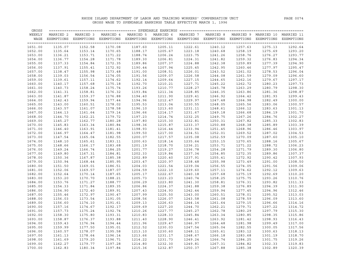# RHODE ISLAND DEPARTMENT OF LABOR AND TRAINING WORKERS' COMPENSATION UNIT PAGE 0074 GROSS WAGE TO SPENDABLE EARNINGS TABLE EFFECTIVE MARCH 1, 1996

| GROSS   |           |                                                                                                               |           |           |           |           |           |         |                                 |         |
|---------|-----------|---------------------------------------------------------------------------------------------------------------|-----------|-----------|-----------|-----------|-----------|---------|---------------------------------|---------|
| WEEKLY  | MARRIED 2 | MARRIED 3                                                                                                     | MARRIED 4 | MARRIED 5 | MARRIED 6 | MARRIED 7 | MARRIED 8 |         | MARRIED 9 MARRIED 10 MARRIED 11 |         |
| WAGE    |           | EXEMPTIONS EXEMPTIONS EXEMPTIONS EXEMPTIONS EXEMPTIONS EXEMPTIONS EXEMPTIONS EXEMPTIONS EXEMPTIONS EXEMPTIONS |           |           |           |           |           |         |                                 |         |
|         |           |                                                                                                               |           |           |           |           |           |         |                                 |         |
| 1651.00 | 1135.07   | 1152.58                                                                                                       | 1170.08   | 1187.60   | 1205.11   | 1222.61   | 1240.12   | 1257.63 | 1275.13                         | 1292.64 |
| 1652.00 | 1135.64   | 1153.14                                                                                                       | 1170.65   | 1188.17   | 1205.67   | 1223.18   | 1240.68   | 1258.19 | 1275.69                         | 1293.20 |
| 1653.00 | 1136.21   | 1153.71                                                                                                       | 1171.22   | 1188.74   | 1206.24   | 1223.75   | 1241.26   | 1258.76 | 1276.27                         | 1293.77 |
| 1654.00 | 1136.77   | 1154.28                                                                                                       | 1171.78   | 1189.30   | 1206.81   | 1224.31   | 1241.82   | 1259.32 | 1276.83                         | 1294.34 |
| 1655.00 | 1137.33   | 1154.84                                                                                                       | 1172.35   | 1189.86   | 1207.37   | 1224.88   | 1242.38   | 1259.89 | 1277.39                         | 1294.90 |
| 1656.00 | 1137.91   | 1155.41                                                                                                       | 1172.92   | 1190.44   | 1207.94   | 1225.45   | 1242.95   | 1260.46 | 1277.97                         | 1295.47 |
| 1657.00 | 1138.47   | 1155.98                                                                                                       | 1173.48   | 1191.00   | 1208.51   | 1226.01   | 1243.52   | 1261.02 | 1278.53                         | 1296.04 |
| 1658.00 | 1139.03   | 1156.54                                                                                                       | 1174.05   | 1191.56   | 1209.07   | 1226.58   | 1244.08   | 1261.59 | 1279.09                         | 1296.60 |
| 1659.00 | 1139.61   | 1157.11                                                                                                       | 1174.62   | 1192.14   | 1209.64   | 1227.15   | 1244.65   | 1262.16 | 1279.67                         | 1297.17 |
| 1660.00 | 1140.17   | 1157.68                                                                                                       | 1175.18   | 1192.70   | 1210.21   | 1227.71   | 1245.22   | 1262.72 | 1280.23                         | 1297.73 |
| 1661.00 | 1140.73   | 1158.24                                                                                                       | 1175.74   | 1193.26   | 1210.77   | 1228.27   | 1245.78   | 1263.29 | 1280.79                         | 1298.30 |
| 1662.00 | 1141.31   | 1158.81                                                                                                       | 1176.32   | 1193.84   | 1211.34   | 1228.85   | 1246.35   | 1263.86 | 1281.36                         | 1298.87 |
| 1663.00 | 1141.87   | 1159.37                                                                                                       | 1176.88   | 1194.40   | 1211.90   | 1229.41   | 1246.92   | 1264.42 | 1281.93                         | 1299.43 |
| 1664.00 | 1142.43   | 1159.94                                                                                                       | 1177.44   | 1194.96   | 1212.47   | 1229.97   | 1247.48   | 1264.98 | 1282.49                         | 1300.00 |
|         |           | 1160.51                                                                                                       | 1178.02   | 1195.53   |           |           |           |         |                                 |         |
| 1665.00 | 1143.00   |                                                                                                               |           |           | 1213.04   | 1230.55   | 1248.05   | 1265.56 | 1283.06                         | 1300.57 |
| 1666.00 | 1143.57   | 1161.07                                                                                                       | 1178.58   | 1196.10   | 1213.60   | 1231.11   | 1248.61   | 1266.12 | 1283.63                         | 1301.13 |
| 1667.00 | 1144.13   | 1161.64                                                                                                       | 1179.14   | 1196.66   | 1214.17   | 1231.67   | 1249.18   | 1266.68 | 1284.19                         | 1301.70 |
| 1668.00 | 1144.70   | 1162.21                                                                                                       | 1179.72   | 1197.23   | 1214.74   | 1232.25   | 1249.75   | 1267.26 | 1284.76                         | 1302.27 |
| 1669.00 | 1145.27   | 1162.77                                                                                                       | 1180.28   | 1197.80   | 1215.30   | 1232.81   | 1250.31   | 1267.82 | 1285.33                         | 1302.83 |
| 1670.00 | 1145.83   | 1163.34                                                                                                       | 1180.84   | 1198.36   | 1215.87   | 1233.37   | 1250.88   | 1268.38 | 1285.89                         | 1303.39 |
| 1671.00 | 1146.40   | 1163.91                                                                                                       | 1181.41   | 1198.93   | 1216.44   | 1233.94   | 1251.45   | 1268.96 | 1286.46                         | 1303.97 |
| 1672.00 | 1146.97   | 1164.47                                                                                                       | 1181.98   | 1199.50   | 1217.00   | 1234.51   | 1252.01   | 1269.52 | 1287.02                         | 1304.53 |
| 1673.00 | 1147.54   | 1165.04                                                                                                       | 1182.55   | 1200.07   | 1217.57   | 1235.08   | 1252.59   | 1270.09 | 1287.60                         | 1305.10 |
| 1674.00 | 1148.10   | 1165.61                                                                                                       | 1183.11   | 1200.63   | 1218.14   | 1235.64   | 1253.15   | 1270.65 | 1288.16                         | 1305.67 |
| 1675.00 | 1148.66   | 1166.17                                                                                                       | 1183.68   | 1201.19   | 1218.70   | 1236.21   | 1253.71   | 1271.22 | 1288.72                         | 1306.23 |
| 1676.00 | 1149.24   | 1166.74                                                                                                       | 1184.25   | 1201.77   | 1219.27   | 1236.78   | 1254.28   | 1271.79 | 1289.30                         | 1306.80 |
| 1677.00 | 1149.80   | 1167.31                                                                                                       | 1184.81   | 1202.33   | 1219.84   | 1237.34   | 1254.85   | 1272.35 | 1289.86                         | 1307.37 |
| 1678.00 | 1150.36   | 1167.87                                                                                                       | 1185.38   | 1202.89   | 1220.40   | 1237.91   | 1255.41   | 1272.92 | 1290.42                         | 1307.93 |
| 1679.00 | 1150.94   | 1168.44                                                                                                       | 1185.95   | 1203.47   | 1220.97   | 1238.48   | 1255.98   | 1273.49 | 1291.00                         | 1308.50 |
| 1680.00 | 1151.50   | 1169.01                                                                                                       | 1186.51   | 1204.03   | 1221.54   | 1239.04   | 1256.55   | 1274.05 | 1291.56                         | 1309.06 |
| 1681.00 | 1152.06   | 1169.57                                                                                                       | 1187.07   | 1204.59   | 1222.10   | 1239.60   | 1257.11   | 1274.62 | 1292.12                         | 1309.63 |
| 1682.00 | 1152.64   | 1170.14                                                                                                       | 1187.65   | 1205.17   | 1222.67   | 1240.18   | 1257.68   | 1275.19 | 1292.69                         | 1310.20 |
| 1683.00 | 1153.20   | 1170.70                                                                                                       | 1188.21   | 1205.73   | 1223.23   | 1240.74   | 1258.25   | 1275.75 | 1293.26                         | 1310.76 |
| 1684.00 | 1153.76   | 1171.27                                                                                                       | 1188.77   | 1206.29   | 1223.80   | 1241.30   | 1258.81   | 1276.31 | 1293.82                         | 1311.33 |
| 1685.00 | 1154.33   | 1171.84                                                                                                       | 1189.35   | 1206.86   | 1224.37   | 1241.88   | 1259.38   | 1276.89 | 1294.39                         | 1311.90 |
| 1686.00 | 1154.90   | 1172.40                                                                                                       | 1189.91   | 1207.43   | 1224.93   | 1242.44   | 1259.94   | 1277.45 | 1294.96                         | 1312.46 |
| 1687.00 | 1155.46   | 1172.97                                                                                                       | 1190.47   | 1207.99   | 1225.50   | 1243.00   | 1260.51   | 1278.01 | 1295.52                         | 1313.03 |
| 1688.00 | 1156.03   | 1173.54                                                                                                       | 1191.05   | 1208.56   | 1226.07   | 1243.58   | 1261.08   | 1278.59 | 1296.09                         | 1313.60 |
| 1689.00 | 1156.60   | 1174.10                                                                                                       | 1191.61   | 1209.13   | 1226.63   | 1244.14   | 1261.64   | 1279.15 | 1296.66                         | 1314.16 |
| 1690.00 | 1157.16   | 1174.67                                                                                                       | 1192.17   | 1209.69   | 1227.20   | 1244.70   | 1262.21   | 1279.71 | 1297.22                         | 1314.72 |
| 1691.00 | 1157.73   | 1175.24                                                                                                       | 1192.74   | 1210.26   | 1227.77   | 1245.27   | 1262.78   | 1280.29 | 1297.79                         | 1315.30 |
| 1692.00 | 1158.30   | 1175.80                                                                                                       | 1193.31   | 1210.83   | 1228.33   | 1245.84   | 1263.34   | 1280.85 | 1298.35                         | 1315.86 |
| 1693.00 | 1158.87   | 1176.37                                                                                                       | 1193.88   | 1211.40   | 1228.90   | 1246.41   | 1263.92   | 1281.42 | 1298.93                         | 1316.43 |
| 1694.00 | 1159.43   | 1176.94                                                                                                       | 1194.44   | 1211.96   | 1229.47   | 1246.97   | 1264.48   | 1281.98 | 1299.49                         | 1317.00 |
| 1695.00 | 1159.99   | 1177.50                                                                                                       | 1195.01   | 1212.52   | 1230.03   | 1247.54   | 1265.04   | 1282.55 | 1300.05                         | 1317.56 |
| 1696.00 | 1160.57   | 1178.07                                                                                                       | 1195.58   | 1213.10   | 1230.60   | 1248.11   | 1265.61   | 1283.12 | 1300.63                         | 1318.13 |
| 1697.00 | 1161.13   | 1178.64                                                                                                       | 1196.14   | 1213.66   | 1231.17   | 1248.67   | 1266.18   | 1283.68 | 1301.19                         | 1318.70 |
| 1698.00 | 1161.69   | 1179.20                                                                                                       | 1196.71   | 1214.22   | 1231.73   | 1249.24   | 1266.74   | 1284.25 | 1301.75                         | 1319.26 |
| 1699.00 | 1162.27   | 1179.77                                                                                                       | 1197.28   | 1214.80   | 1232.30   | 1249.81   | 1267.31   | 1284.82 | 1302.33                         | 1319.83 |
| 1700.00 | 1162.83   | 1180.34                                                                                                       | 1197.84   | 1215.36   | 1232.87   | 1250.37   | 1267.88   | 1285.38 | 1302.89                         | 1320.39 |
|         |           |                                                                                                               |           |           |           |           |           |         |                                 |         |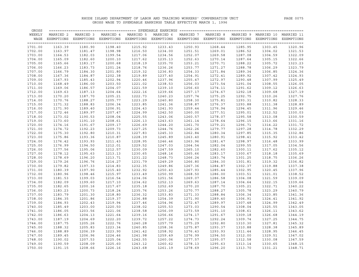# RHODE ISLAND DEPARTMENT OF LABOR AND TRAINING WORKERS' COMPENSATION UNIT PAGE 0075 GROSS WAGE TO SPENDABLE EARNINGS TABLE EFFECTIVE MARCH 1, 1996

| GROSS   |           |                                                                                                                    |           |           |           |           |           |         |                                 |         |
|---------|-----------|--------------------------------------------------------------------------------------------------------------------|-----------|-----------|-----------|-----------|-----------|---------|---------------------------------|---------|
| WEEKLY  | MARRIED 2 | MARRIED 3                                                                                                          | MARRIED 4 | MARRIED 5 | MARRIED 6 | MARRIED 7 | MARRIED 8 |         | MARRIED 9 MARRIED 10 MARRIED 11 |         |
|         |           | WAGE EXEMPTIONS EXEMPTIONS EXEMPTIONS EXEMPTIONS EXEMPTIONS EXEMPTIONS EXEMPTIONS EXEMPTIONS EXEMPTIONS EXEMPTIONS |           |           |           |           |           |         |                                 |         |
|         |           |                                                                                                                    |           |           |           |           |           |         |                                 |         |
| 1701.00 | 1163.39   | 1180.90                                                                                                            | 1198.40   | 1215.92   | 1233.43   | 1250.93   | 1268.44   | 1285.95 | 1303.45                         | 1320.96 |
| 1702.00 | 1163.97   | 1181.47                                                                                                            | 1198.98   | 1216.50   | 1234.00   | 1251.51   | 1269.01   | 1286.52 | 1304.02                         | 1321.53 |
| 1703.00 | 1164.53   | 1182.03                                                                                                            | 1199.54   | 1217.06   | 1234.56   | 1252.07   | 1269.58   | 1287.08 | 1304.59                         | 1322.09 |
| 1704.00 | 1165.09   | 1182.60                                                                                                            | 1200.10   | 1217.62   | 1235.13   | 1252.63   | 1270.14   | 1287.64 | 1305.15                         | 1322.66 |
| 1705.00 | 1165.66   | 1183.17                                                                                                            | 1200.68   | 1218.19   | 1235.70   | 1253.21   | 1270.71   | 1288.22 | 1305.72                         | 1323.23 |
| 1706.00 | 1166.23   | 1183.73                                                                                                            | 1201.24   | 1218.76   | 1236.26   | 1253.77   | 1271.27   | 1288.78 | 1306.29                         | 1323.79 |
| 1707.00 | 1166.79   | 1184.30                                                                                                            | 1201.80   | 1219.32   | 1236.83   | 1254.33   | 1271.84   | 1289.34 | 1306.85                         | 1324.36 |
| 1708.00 | 1167.36   | 1184.87                                                                                                            | 1202.38   | 1219.89   | 1237.40   | 1254.91   | 1272.41   | 1289.92 | 1307.42                         | 1324.93 |
| 1709.00 | 1167.93   | 1185.43                                                                                                            | 1202.94   | 1220.46   | 1237.96   | 1255.47   | 1272.97   | 1290.48 | 1307.99                         | 1325.49 |
| 1710.00 | 1168.49   | 1186.00                                                                                                            | 1203.50   | 1221.02   | 1238.53   | 1256.03   | 1273.54   | 1291.04 | 1308.55                         | 1326.05 |
| 1711.00 | 1169.06   | 1186.57                                                                                                            | 1204.07   | 1221.59   | 1239.10   | 1256.60   | 1274.11   | 1291.62 | 1309.12                         | 1326.63 |
| 1712.00 | 1169.63   | 1187.13                                                                                                            | 1204.64   | 1222.16   | 1239.66   | 1257.17   | 1274.67   | 1292.18 | 1309.68                         | 1327.19 |
| 1713.00 | 1170.20   | 1187.70                                                                                                            | 1205.21   | 1222.73   | 1240.23   | 1257.74   | 1275.25   | 1292.75 | 1310.26                         | 1327.76 |
| 1714.00 | 1170.76   | 1188.27                                                                                                            | 1205.77   | 1223.29   | 1240.80   | 1258.30   | 1275.81   | 1293.31 | 1310.82                         | 1328.33 |
| 1715.00 | 1171.32   | 1188.83                                                                                                            | 1206.34   | 1223.85   | 1241.36   | 1258.87   | 1276.37   | 1293.88 | 1311.38                         | 1328.89 |
| 1716.00 | 1171.90   | 1189.40                                                                                                            | 1206.91   | 1224.43   | 1241.93   | 1259.44   | 1276.94   | 1294.45 | 1311.96                         | 1329.46 |
| 1717.00 | 1172.46   | 1189.97                                                                                                            | 1207.47   | 1224.99   | 1242.50   | 1260.00   | 1277.51   | 1295.01 | 1312.52                         | 1330.03 |
| 1718.00 | 1173.02   | 1190.53                                                                                                            | 1208.04   | 1225.55   | 1243.06   | 1260.57   | 1278.07   | 1295.58 | 1313.08                         | 1330.59 |
| 1719.00 | 1173.60   | 1191.10                                                                                                            | 1208.61   | 1226.13   | 1243.63   | 1261.14   | 1278.64   | 1296.15 | 1313.66                         | 1331.16 |
| 1720.00 | 1174.16   | 1191.67                                                                                                            | 1209.17   | 1226.69   | 1244.20   | 1261.70   | 1279.21   | 1296.71 | 1314.22                         | 1331.72 |
| 1721.00 | 1174.72   | 1192.23                                                                                                            | 1209.73   | 1227.25   | 1244.76   | 1262.26   | 1279.77   | 1297.28 | 1314.78                         | 1332.29 |
| 1722.00 | 1175.30   | 1192.80                                                                                                            | 1210.31   | 1227.83   | 1245.33   | 1262.84   | 1280.34   | 1297.85 | 1315.35                         | 1332.86 |
| 1723.00 | 1175.86   | 1193.36                                                                                                            | 1210.87   | 1228.39   | 1245.89   | 1263.40   | 1280.91   | 1298.41 | 1315.92                         | 1333.42 |
| 1724.00 | 1176.42   | 1193.93                                                                                                            | 1211.43   | 1228.95   | 1246.46   | 1263.96   | 1281.47   | 1298.97 | 1316.48                         | 1333.99 |
| 1725.00 | 1176.99   | 1194.50                                                                                                            | 1212.01   | 1229.52   | 1247.03   | 1264.54   | 1282.04   | 1299.55 | 1317.05                         | 1334.56 |
|         |           |                                                                                                                    |           |           |           |           |           |         |                                 | 1335.12 |
| 1726.00 | 1177.56   | 1195.06                                                                                                            | 1212.57   | 1230.09   | 1247.59   | 1265.10   | 1282.60   | 1300.11 | 1317.62                         | 1335.69 |
| 1727.00 | 1178.12   | 1195.63                                                                                                            | 1213.13   | 1230.65   | 1248.16   | 1265.66   | 1283.17   | 1300.67 | 1318.18                         |         |
| 1728.00 | 1178.69   | 1196.20                                                                                                            | 1213.71   | 1231.22   | 1248.73   | 1266.24   | 1283.74   | 1301.25 | 1318.75                         | 1336.26 |
| 1729.00 | 1179.26   | 1196.76                                                                                                            | 1214.27   | 1231.79   | 1249.29   | 1266.80   | 1284.30   | 1301.81 | 1319.32                         | 1336.82 |
| 1730.00 | 1179.82   | 1197.33                                                                                                            | 1214.83   | 1232.35   | 1249.86   | 1267.36   | 1284.87   | 1302.37 | 1319.88                         | 1337.38 |
| 1731.00 | 1180.39   | 1197.90                                                                                                            | 1215.40   | 1232.92   | 1250.43   | 1267.93   | 1285.44   | 1302.95 | 1320.45                         | 1337.96 |
| 1732.00 | 1180.96   | 1198.46                                                                                                            | 1215.97   | 1233.49   | 1250.99   | 1268.50   | 1286.00   | 1303.51 | 1321.01                         | 1338.52 |
| 1733.00 | 1181.53   | 1199.03                                                                                                            | 1216.54   | 1234.06   | 1251.56   | 1269.07   | 1286.58   | 1304.08 | 1321.59                         | 1339.09 |
| 1734.00 | 1182.09   | 1199.60                                                                                                            | 1217.10   | 1234.62   | 1252.13   | 1269.63   | 1287.14   | 1304.64 | 1322.15                         | 1339.66 |
| 1735.00 | 1182.65   | 1200.16                                                                                                            | 1217.67   | 1235.18   | 1252.69   | 1270.20   | 1287.70   | 1305.21 | 1322.71                         | 1340.22 |
| 1736.00 | 1183.23   | 1200.73                                                                                                            | 1218.24   | 1235.76   | 1253.26   | 1270.77   | 1288.27   | 1305.78 | 1323.29                         | 1340.79 |
| 1737.00 | 1183.79   | 1201.30                                                                                                            | 1218.80   | 1236.32   | 1253.83   | 1271.33   | 1288.84   | 1306.34 | 1323.85                         | 1341.36 |
| 1738.00 | 1184.35   | 1201.86                                                                                                            | 1219.37   | 1236.88   | 1254.39   | 1271.90   | 1289.40   | 1306.91 | 1324.41                         | 1341.92 |
| 1739.00 | 1184.93   | 1202.43                                                                                                            | 1219.94   | 1237.46   | 1254.96   | 1272.47   | 1289.97   | 1307.48 | 1324.99                         | 1342.49 |
| 1740.00 | 1185.49   | 1203.00                                                                                                            | 1220.50   | 1238.02   | 1255.53   | 1273.03   | 1290.54   | 1308.04 | 1325.55                         | 1343.05 |
| 1741.00 | 1186.05   | 1203.56                                                                                                            | 1221.06   | 1238.58   | 1256.09   | 1273.59   | 1291.10   | 1308.61 | 1326.11                         | 1343.62 |
| 1742.00 | 1186.63   | 1204.13                                                                                                            | 1221.64   | 1239.16   | 1256.66   | 1274.17   | 1291.67   | 1309.18 | 1326.68                         | 1344.19 |
| 1743.00 | 1187.19   | 1204.69                                                                                                            | 1222.20   | 1239.72   | 1257.22   | 1274.73   | 1292.24   | 1309.74 | 1327.25                         | 1344.75 |
| 1744.00 | 1187.75   | 1205.26                                                                                                            | 1222.76   | 1240.28   | 1257.79   | 1275.29   | 1292.80   | 1310.30 | 1327.81                         | 1345.32 |
| 1745.00 | 1188.32   | 1205.83                                                                                                            | 1223.34   | 1240.85   | 1258.36   | 1275.87   | 1293.37   | 1310.88 | 1328.38                         | 1345.89 |
| 1746.00 | 1188.89   | 1206.39                                                                                                            | 1223.90   | 1241.42   | 1258.92   | 1276.43   | 1293.93   | 1311.44 | 1328.95                         | 1346.45 |
| 1747.00 | 1189.45   | 1206.96                                                                                                            | 1224.46   | 1241.98   | 1259.49   | 1276.99   | 1294.50   | 1312.00 | 1329.51                         | 1347.02 |
| 1748.00 | 1190.02   | 1207.53                                                                                                            | 1225.04   | 1242.55   | 1260.06   | 1277.57   | 1295.07   | 1312.58 | 1330.08                         | 1347.59 |
| 1749.00 | 1190.59   | 1208.09                                                                                                            | 1225.60   | 1243.12   | 1260.62   | 1278.13   | 1295.63   | 1313.14 | 1330.65                         | 1348.15 |
| 1750.00 | 1191.15   | 1208.66                                                                                                            | 1226.16   | 1243.68   | 1261.19   | 1278.69   | 1296.20   | 1313.70 | 1331.21                         | 1348.71 |
|         |           |                                                                                                                    |           |           |           |           |           |         |                                 |         |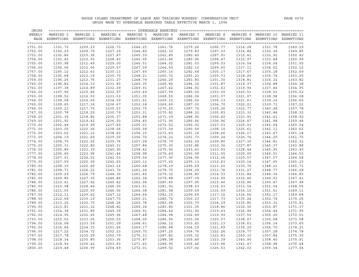### RHODE ISLAND DEPARTMENT OF LABOR AND TRAINING WORKERS' COMPENSATION UNIT PAGE 0076 GROSS WAGE TO SPENDABLE EARNINGS TABLE EFFECTIVE MARCH 1, 1996

| GROSS   |           |                                                                                                                    |           |           |           |           |           |         |                                 |         |
|---------|-----------|--------------------------------------------------------------------------------------------------------------------|-----------|-----------|-----------|-----------|-----------|---------|---------------------------------|---------|
| WEEKLY  | MARRIED 2 | MARRIED 3                                                                                                          | MARRIED 4 | MARRIED 5 | MARRIED 6 | MARRIED 7 | MARRIED 8 |         | MARRIED 9 MARRIED 10 MARRIED 11 |         |
|         |           | WAGE EXEMPTIONS EXEMPTIONS EXEMPTIONS EXEMPTIONS EXEMPTIONS EXEMPTIONS EXEMPTIONS EXEMPTIONS EXEMPTIONS EXEMPTIONS |           |           |           |           |           |         |                                 |         |
|         |           |                                                                                                                    |           |           |           |           |           |         |                                 |         |
| 1751.00 | 1191.72   | 1209.23                                                                                                            | 1226.73   | 1244.25   | 1261.76   | 1279.26   | 1296.77   | 1314.28 | 1331.78                         | 1349.29 |
| 1752.00 | 1192.29   | 1209.79                                                                                                            | 1227.30   | 1244.82   | 1262.32   | 1279.83   | 1297.33   | 1314.84 | 1332.34                         | 1349.85 |
| 1753.00 | 1192.86   | 1210.36                                                                                                            | 1227.87   | 1245.39   | 1262.89   | 1280.40   | 1297.91   | 1315.41 | 1332.92                         | 1350.42 |
| 1754.00 | 1193.42   | 1210.93                                                                                                            | 1228.43   | 1245.95   | 1263.46   | 1280.96   | 1298.47   | 1315.97 | 1333.48                         | 1350.99 |
| 1755.00 | 1193.98   | 1211.49                                                                                                            | 1229.00   | 1246.51   | 1264.02   | 1281.53   | 1299.03   | 1316.54 | 1334.04                         | 1351.55 |
| 1756.00 | 1194.56   | 1212.06                                                                                                            | 1229.57   | 1247.09   | 1264.59   | 1282.10   | 1299.60   | 1317.11 | 1334.62                         | 1352.12 |
| 1757.00 | 1195.12   | 1212.63                                                                                                            | 1230.13   | 1247.65   | 1265.16   | 1282.66   | 1300.17   | 1317.67 | 1335.18                         | 1352.69 |
| 1758.00 | 1195.68   | 1213.19                                                                                                            | 1230.70   | 1248.21   | 1265.72   | 1283.23   | 1300.73   | 1318.24 | 1335.74                         | 1353.25 |
| 1759.00 | 1196.26   | 1213.76                                                                                                            | 1231.27   | 1248.79   | 1266.29   | 1283.80   | 1301.30   | 1318.81 | 1336.32                         | 1353.82 |
| 1760.00 | 1196.82   | 1214.33                                                                                                            | 1231.83   | 1249.35   | 1266.86   | 1284.36   | 1301.87   | 1319.37 | 1336.88                         | 1354.38 |
| 1761.00 | 1197.38   | 1214.89                                                                                                            | 1232.39   | 1249.91   | 1267.42   | 1284.92   | 1302.43   | 1319.94 | 1337.44                         | 1354.95 |
| 1762.00 | 1197.96   | 1215.46                                                                                                            | 1232.97   | 1250.49   | 1267.99   | 1285.50   | 1303.00   | 1320.51 | 1338.01                         | 1355.52 |
| 1763.00 | 1198.52   | 1216.02                                                                                                            | 1233.53   | 1251.05   | 1268.55   | 1286.06   | 1303.57   | 1321.07 | 1338.58                         | 1356.08 |
| 1764.00 | 1199.08   | 1216.59                                                                                                            | 1234.09   | 1251.61   | 1269.12   | 1286.62   | 1304.13   | 1321.63 | 1339.14                         | 1356.65 |
| 1765.00 | 1199.65   | 1217.16                                                                                                            | 1234.67   | 1252.18   | 1269.69   | 1287.20   | 1304.70   | 1322.21 | 1339.71                         | 1357.22 |
| 1766.00 | 1200.22   | 1217.72                                                                                                            | 1235.23   | 1252.75   | 1270.25   | 1287.76   | 1305.26   | 1322.77 | 1340.28                         | 1357.78 |
| 1767.00 | 1200.78   | 1218.29                                                                                                            | 1235.79   | 1253.31   | 1270.82   | 1288.32   | 1305.83   | 1323.33 | 1340.84                         | 1358.35 |
| 1768.00 | 1201.35   | 1218.86                                                                                                            | 1236.37   | 1253.88   | 1271.39   | 1288.90   | 1306.40   | 1323.91 | 1341.41                         | 1358.92 |
| 1769.00 | 1201.92   | 1219.42                                                                                                            | 1236.93   | 1254.45   | 1271.95   | 1289.46   | 1306.96   | 1324.47 | 1341.98                         | 1359.48 |
| 1770.00 | 1202.48   | 1219.99                                                                                                            | 1237.49   | 1255.01   | 1272.52   | 1290.02   | 1307.53   | 1325.03 | 1342.54                         | 1360.04 |
| 1771.00 | 1203.05   | 1220.56                                                                                                            | 1238.06   | 1255.58   | 1273.09   | 1290.59   | 1308.10   | 1325.61 | 1343.11                         | 1360.62 |
| 1772.00 | 1203.62   | 1221.12                                                                                                            | 1238.63   | 1256.15   | 1273.65   | 1291.16   | 1308.66   | 1326.17 | 1343.67                         | 1361.18 |
| 1773.00 | 1204.19   | 1221.69                                                                                                            | 1239.20   | 1256.72   | 1274.22   | 1291.73   | 1309.24   | 1326.74 | 1344.25                         | 1361.75 |
| 1774.00 | 1204.75   | 1222.26                                                                                                            | 1239.76   | 1257.28   | 1274.79   | 1292.29   | 1309.80   | 1327.30 | 1344.81                         | 1362.32 |
| 1775.00 | 1205.31   | 1222.82                                                                                                            | 1240.33   | 1257.84   | 1275.35   | 1292.86   | 1310.36   | 1327.87 | 1345.37                         | 1362.88 |
| 1776.00 | 1205.89   | 1223.39                                                                                                            | 1240.90   | 1258.42   | 1275.92   | 1293.43   | 1310.93   | 1328.44 | 1345.95                         | 1363.45 |
| 1777.00 | 1206.45   | 1223.96                                                                                                            | 1241.46   | 1258.98   | 1276.49   | 1293.99   | 1311.50   | 1329.00 | 1346.51                         | 1364.02 |
| 1778.00 | 1207.01   | 1224.52                                                                                                            | 1242.03   | 1259.54   | 1277.05   | 1294.56   | 1312.06   | 1329.57 | 1347.07                         | 1364.58 |
| 1779.00 | 1207.59   | 1225.09                                                                                                            | 1242.60   | 1260.12   | 1277.62   | 1295.13   | 1312.63   | 1330.14 | 1347.65                         | 1365.15 |
| 1780.00 | 1208.15   | 1225.66                                                                                                            | 1243.16   | 1260.68   | 1278.19   | 1295.69   | 1313.20   | 1330.70 | 1348.21                         | 1365.71 |
| 1781.00 | 1208.71   | 1226.22                                                                                                            | 1243.72   | 1261.24   | 1278.75   | 1296.25   | 1313.76   | 1331.27 | 1348.77                         | 1366.28 |
| 1782.00 | 1209.29   | 1226.79                                                                                                            | 1244.30   | 1261.82   | 1279.32   | 1296.83   | 1314.33   | 1331.84 | 1349.34                         | 1366.85 |
| 1783.00 | 1209.85   | 1227.35                                                                                                            | 1244.86   | 1262.38   | 1279.88   | 1297.39   | 1314.90   | 1332.40 | 1349.91                         | 1367.41 |
| 1784.00 | 1210.41   | 1227.92                                                                                                            | 1245.42   | 1262.94   | 1280.45   | 1297.95   | 1315.46   | 1332.96 | 1350.47                         | 1367.98 |
| 1785.00 | 1210.98   | 1228.49                                                                                                            | 1246.00   | 1263.51   | 1281.02   | 1298.53   | 1316.03   | 1333.54 | 1351.04                         | 1368.55 |
| 1786.00 | 1211.55   | 1229.05                                                                                                            | 1246.56   | 1264.08   | 1281.58   | 1299.09   | 1316.59   | 1334.10 | 1351.61                         | 1369.11 |
| 1787.00 | 1212.11   | 1229.62                                                                                                            | 1247.12   | 1264.64   | 1282.15   | 1299.65   | 1317.16   | 1334.66 | 1352.17                         | 1369.68 |
| 1788.00 | 1212.68   | 1230.19                                                                                                            | 1247.70   | 1265.21   | 1282.72   | 1300.23   | 1317.73   | 1335.24 | 1352.74                         | 1370.25 |
| 1789.00 | 1213.25   | 1230.75                                                                                                            | 1248.26   | 1265.78   | 1283.28   | 1300.79   | 1318.29   | 1335.80 | 1353.31                         | 1370.81 |
| 1790.00 | 1213.81   | 1231.32                                                                                                            | 1248.82   | 1266.34   | 1283.85   | 1301.35   | 1318.86   | 1336.36 | 1353.87                         | 1371.37 |
| 1791.00 | 1214.38   | 1231.89                                                                                                            | 1249.39   | 1266.91   | 1284.42   | 1301.92   | 1319.43   | 1336.94 | 1354.44                         | 1371.95 |
| 1792.00 | 1214.95   | 1232.45                                                                                                            | 1249.96   | 1267.48   | 1284.98   | 1302.49   | 1319.99   | 1337.50 | 1355.00                         | 1372.51 |
| 1793.00 | 1215.52   | 1233.02                                                                                                            | 1250.53   | 1268.05   | 1285.55   | 1303.06   | 1320.57   | 1338.07 | 1355.58                         | 1373.08 |
| 1794.00 | 1216.08   | 1233.59                                                                                                            | 1251.09   | 1268.61   | 1286.12   | 1303.62   | 1321.13   | 1338.63 | 1356.14                         | 1373.65 |
| 1795.00 | 1216.64   | 1234.15                                                                                                            | 1251.66   | 1269.17   | 1286.68   | 1304.19   | 1321.69   | 1339.20 | 1356.70                         | 1374.21 |
| 1796.00 | 1217.22   | 1234.72                                                                                                            | 1252.23   | 1269.75   | 1287.25   | 1304.76   | 1322.26   | 1339.77 | 1357.28                         | 1374.78 |
| 1797.00 | 1217.78   | 1235.29                                                                                                            | 1252.79   | 1270.31   | 1287.82   | 1305.32   | 1322.83   | 1340.33 | 1357.84                         | 1375.35 |
| 1798.00 | 1218.34   | 1235.85                                                                                                            | 1253.36   | 1270.87   | 1288.38   | 1305.89   | 1323.39   | 1340.90 | 1358.40                         | 1375.91 |
| 1799.00 | 1218.92   | 1236.42                                                                                                            | 1253.93   | 1271.45   | 1288.95   | 1306.46   | 1323.96   | 1341.47 | 1358.98                         | 1376.48 |
| 1800.00 | 1219.48   | 1236.99                                                                                                            | 1254.49   | 1272.01   | 1289.52   | 1307.02   | 1324.53   | 1342.03 | 1359.54                         | 1377.04 |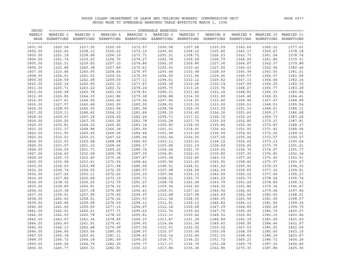# RHODE ISLAND DEPARTMENT OF LABOR AND TRAINING WORKERS' COMPENSATION UNIT PAGE 0077 GROSS WAGE TO SPENDABLE EARNINGS TABLE EFFECTIVE MARCH 1, 1996

| GROSS   |           |                                                                                                                    |           |           |           |           |           |         |                                 |         |
|---------|-----------|--------------------------------------------------------------------------------------------------------------------|-----------|-----------|-----------|-----------|-----------|---------|---------------------------------|---------|
| WEEKLY  | MARRIED 2 | MARRIED 3                                                                                                          | MARRIED 4 | MARRIED 5 | MARRIED 6 | MARRIED 7 | MARRIED 8 |         | MARRIED 9 MARRIED 10 MARRIED 11 |         |
|         |           | WAGE EXEMPTIONS EXEMPTIONS EXEMPTIONS EXEMPTIONS EXEMPTIONS EXEMPTIONS EXEMPTIONS EXEMPTIONS EXEMPTIONS EXEMPTIONS |           |           |           |           |           |         |                                 |         |
|         |           |                                                                                                                    |           |           |           |           |           |         |                                 |         |
| 1801.00 | 1220.04   | 1237.55                                                                                                            | 1255.05   | 1272.57   | 1290.08   | 1307.58   | 1325.09   | 1342.60 | 1360.10                         | 1377.61 |
| 1802.00 | 1220.62   | 1238.12                                                                                                            | 1255.63   | 1273.15   | 1290.65   | 1308.16   | 1325.66   | 1343.17 | 1360.67                         | 1378.18 |
| 1803.00 | 1221.18   | 1238.68                                                                                                            | 1256.19   | 1273.71   | 1291.21   | 1308.72   | 1326.23   | 1343.73 | 1361.24                         | 1378.74 |
| 1804.00 | 1221.74   | 1239.25                                                                                                            | 1256.75   | 1274.27   | 1291.78   | 1309.28   | 1326.79   | 1344.29 | 1361.80                         | 1379.31 |
| 1805.00 | 1222.31   | 1239.82                                                                                                            | 1257.33   | 1274.84   | 1292.35   | 1309.86   | 1327.36   | 1344.87 | 1362.37                         | 1379.88 |
| 1806.00 | 1222.88   | 1240.38                                                                                                            | 1257.89   | 1275.41   | 1292.91   | 1310.42   | 1327.92   | 1345.43 | 1362.94                         | 1380.44 |
| 1807.00 | 1223.44   | 1240.95                                                                                                            | 1258.45   | 1275.97   | 1293.48   | 1310.98   | 1328.49   | 1345.99 | 1363.50                         | 1381.01 |
| 1808.00 | 1224.01   | 1241.52                                                                                                            | 1259.03   | 1276.54   | 1294.05   | 1311.56   | 1329.06   | 1346.57 | 1364.07                         | 1381.58 |
| 1809.00 | 1224.58   | 1242.08                                                                                                            | 1259.59   | 1277.11   | 1294.61   | 1312.12   | 1329.62   | 1347.13 | 1364.64                         | 1382.14 |
| 1810.00 | 1225.14   | 1242.65                                                                                                            | 1260.15   | 1277.67   | 1295.18   | 1312.68   | 1330.19   | 1347.69 | 1365.20                         | 1382.70 |
| 1811.00 | 1225.71   | 1243.22                                                                                                            | 1260.72   | 1278.24   | 1295.75   | 1313.25   | 1330.76   | 1348.27 | 1365.77                         | 1383.28 |
| 1812.00 | 1226.28   | 1243.78                                                                                                            | 1261.29   | 1278.81   | 1296.31   | 1313.82   | 1331.32   | 1348.83 | 1366.33                         | 1383.84 |
| 1813.00 | 1226.85   | 1244.35                                                                                                            | 1261.86   | 1279.38   | 1296.88   | 1314.39   | 1331.90   | 1349.40 | 1366.91                         | 1384.41 |
| 1814.00 | 1227.41   | 1244.92                                                                                                            | 1262.42   | 1279.94   | 1297.45   | 1314.95   | 1332.46   | 1349.96 | 1367.47                         | 1384.98 |
| 1815.00 | 1227.97   | 1245.48                                                                                                            | 1262.99   | 1280.50   | 1298.01   | 1315.52   | 1333.02   | 1350.53 | 1368.03                         | 1385.54 |
| 1816.00 | 1228.55   | 1246.05                                                                                                            | 1263.56   | 1281.08   | 1298.58   | 1316.09   | 1333.59   | 1351.10 | 1368.61                         | 1386.11 |
| 1817.00 | 1229.11   | 1246.62                                                                                                            | 1264.12   | 1281.64   | 1299.15   | 1316.65   | 1334.16   | 1351.66 | 1369.17                         | 1386.68 |
| 1818.00 | 1229.67   | 1247.18                                                                                                            | 1264.69   | 1282.20   | 1299.71   | 1317.22   | 1334.72   | 1352.23 | 1369.73                         | 1387.24 |
| 1819.00 | 1230.25   | 1247.75                                                                                                            | 1265.26   | 1282.78   | 1300.28   | 1317.79   | 1335.29   | 1352.80 | 1370.31                         | 1387.81 |
| 1820.00 | 1230.81   | 1248.32                                                                                                            | 1265.82   | 1283.34   | 1300.85   | 1318.35   | 1335.86   | 1353.36 | 1370.87                         | 1388.37 |
| 1821.00 | 1231.37   | 1248.88                                                                                                            | 1266.38   | 1283.90   | 1301.41   | 1318.91   | 1336.42   | 1353.93 | 1371.43                         | 1388.94 |
| 1822.00 | 1231.95   | 1249.45                                                                                                            | 1266.96   | 1284.48   | 1301.98   | 1319.49   | 1336.99   | 1354.50 | 1372.00                         | 1389.51 |
| 1823.00 | 1232.51   | 1250.01                                                                                                            | 1267.52   | 1285.04   | 1302.54   | 1320.05   | 1337.56   | 1355.06 | 1372.57                         | 1390.07 |
| 1824.00 | 1233.03   | 1250.58                                                                                                            | 1268.08   | 1285.60   | 1303.11   | 1320.61   | 1338.12   | 1355.62 | 1373.13                         | 1390.64 |
| 1825.00 | 1233.57   | 1251.15                                                                                                            | 1268.66   | 1286.17   | 1303.68   | 1321.19   | 1338.69   | 1356.20 | 1373.70                         | 1391.21 |
| 1826.00 | 1234.09   | 1251.71                                                                                                            | 1269.22   | 1286.74   | 1304.24   | 1321.75   | 1339.25   | 1356.76 | 1374.27                         | 1391.77 |
| 1827.00 | 1234.62   | 1252.28                                                                                                            | 1269.78   | 1287.30   | 1304.81   | 1322.31   | 1339.82   | 1357.32 | 1374.83                         | 1392.34 |
| 1828.00 | 1235.15   | 1252.85                                                                                                            | 1270.36   | 1287.87   | 1305.38   | 1322.89   | 1340.39   | 1357.90 | 1375.40                         | 1392.91 |
| 1829.00 | 1235.68   | 1253.41                                                                                                            | 1270.92   | 1288.44   | 1305.94   | 1323.45   | 1340.95   | 1358.46 | 1375.97                         | 1393.47 |
| 1830.00 | 1236.20   | 1253.98                                                                                                            | 1271.48   | 1289.00   | 1306.51   | 1324.01   | 1341.52   | 1359.02 | 1376.53                         | 1394.03 |
| 1831.00 | 1236.74   | 1254.55                                                                                                            | 1272.05   | 1289.57   | 1307.08   | 1324.58   | 1342.09   | 1359.60 | 1377.10                         | 1394.61 |
| 1832.00 | 1237.26   | 1255.11                                                                                                            | 1272.62   | 1290.14   | 1307.64   | 1325.15   | 1342.65   | 1360.16 | 1377.66                         | 1395.17 |
| 1833.00 | 1237.80   | 1255.68                                                                                                            | 1273.19   | 1290.71   | 1308.21   | 1325.72   | 1343.23   | 1360.73 | 1378.24                         | 1395.74 |
| 1834.00 | 1238.32   | 1256.25                                                                                                            | 1273.75   | 1291.27   | 1308.78   | 1326.28   | 1343.79   | 1361.29 | 1378.80                         | 1396.31 |
| 1835.00 | 1238.85   | 1256.81                                                                                                            | 1274.32   | 1291.83   | 1309.34   | 1326.85   | 1344.35   | 1361.86 | 1379.36                         | 1396.87 |
| 1836.00 | 1239.38   | 1257.38                                                                                                            | 1274.89   | 1292.41   | 1309.91   | 1327.42   | 1344.92   | 1362.43 | 1379.94                         | 1397.44 |
| 1837.00 | 1239.91   | 1257.95                                                                                                            | 1275.45   | 1292.97   | 1310.48   | 1327.98   | 1345.49   | 1362.99 | 1380.50                         | 1398.01 |
| 1838.00 | 1240.43   | 1258.51                                                                                                            | 1276.02   | 1293.53   | 1311.04   | 1328.55   | 1346.05   | 1363.56 | 1381.06                         | 1398.57 |
| 1839.00 | 1240.96   | 1259.08                                                                                                            | 1276.59   | 1294.11   | 1311.61   | 1329.12   | 1346.62   | 1364.13 | 1381.64                         | 1399.14 |
| 1840.00 | 1241.49   | 1259.65                                                                                                            | 1277.15   | 1294.67   | 1312.18   | 1329.68   | 1347.19   | 1364.69 | 1382.20                         | 1399.70 |
| 1841.00 | 1242.01   | 1260.21                                                                                                            | 1277.71   | 1295.23   | 1312.74   | 1330.24   | 1347.75   | 1365.26 | 1382.76                         | 1400.27 |
| 1842.00 | 1242.55   | 1260.78                                                                                                            | 1278.29   | 1295.81   | 1313.31   | 1330.82   | 1348.32   | 1365.83 | 1383.33                         | 1400.84 |
| 1843.00 | 1243.07   | 1261.34                                                                                                            | 1278.85   | 1296.37   | 1313.87   | 1331.38   | 1348.89   | 1366.39 | 1383.90                         | 1401.40 |
| 1844.00 | 1243.60   | 1261.91                                                                                                            | 1279.41   | 1296.93   | 1314.44   | 1331.94   | 1349.45   | 1366.95 | 1384.46                         | 1401.97 |
| 1845.00 | 1244.13   | 1262.48                                                                                                            | 1279.99   | 1297.50   | 1315.01   | 1332.52   | 1350.02   | 1367.53 | 1385.03                         | 1402.54 |
| 1846.00 | 1244.66   | 1263.04                                                                                                            | 1280.55   | 1298.07   | 1315.57   | 1333.08   | 1350.58   | 1368.09 | 1385.60                         | 1403.10 |
| 1847.00 | 1245.18   | 1263.61                                                                                                            | 1281.11   | 1298.63   | 1316.14   | 1333.64   | 1351.15   | 1368.65 | 1386.16                         | 1403.67 |
| 1848.00 | 1245.72   | 1264.18                                                                                                            | 1281.69   | 1299.20   | 1316.71   | 1334.22   | 1351.72   | 1369.23 | 1386.73                         | 1404.24 |
| 1849.00 | 1246.24   | 1264.74                                                                                                            | 1282.25   | 1299.77   | 1317.27   | 1334.78   | 1352.28   | 1369.79 | 1387.30                         | 1404.80 |
| 1850.00 | 1246.77   | 1265.31                                                                                                            | 1282.81   | 1300.33   | 1317.84   | 1335.34   | 1352.85   | 1370.35 | 1387.86                         | 1405.36 |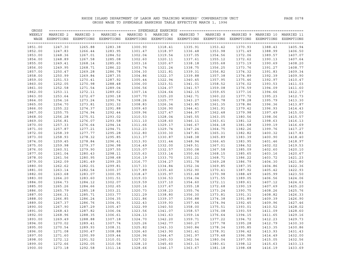### RHODE ISLAND DEPARTMENT OF LABOR AND TRAINING WORKERS' COMPENSATION UNIT PAGE 0078 GROSS WAGE TO SPENDABLE EARNINGS TABLE EFFECTIVE MARCH 1, 1996

| GROSS   |           |                                                                                                                    |           |           |           |           |           |         |                                 |         |
|---------|-----------|--------------------------------------------------------------------------------------------------------------------|-----------|-----------|-----------|-----------|-----------|---------|---------------------------------|---------|
| WEEKLY  | MARRIED 2 | MARRIED 3                                                                                                          | MARRIED 4 | MARRIED 5 | MARRIED 6 | MARRIED 7 | MARRIED 8 |         | MARRIED 9 MARRIED 10 MARRIED 11 |         |
|         |           | WAGE EXEMPTIONS EXEMPTIONS EXEMPTIONS EXEMPTIONS EXEMPTIONS EXEMPTIONS EXEMPTIONS EXEMPTIONS EXEMPTIONS EXEMPTIONS |           |           |           |           |           |         |                                 |         |
|         |           |                                                                                                                    |           |           |           |           |           |         |                                 |         |
| 1851.00 | 1247.30   | 1265.88                                                                                                            | 1283.38   | 1300.90   | 1318.41   | 1335.91   | 1353.42   | 1370.93 | 1388.43                         | 1405.94 |
| 1852.00 | 1247.83   | 1266.44                                                                                                            | 1283.95   | 1301.47   | 1318.97   | 1336.48   | 1353.98   | 1371.49 | 1388.99                         | 1406.50 |
| 1853.00 | 1248.36   | 1267.01                                                                                                            | 1284.52   | 1302.04   | 1319.54   | 1337.05   | 1354.56   | 1372.06 | 1389.57                         | 1407.07 |
| 1854.00 | 1248.89   | 1267.58                                                                                                            | 1285.08   | 1302.60   | 1320.11   | 1337.61   | 1355.12   | 1372.62 | 1390.13                         | 1407.64 |
| 1855.00 | 1249.41   | 1268.14                                                                                                            | 1285.65   | 1303.16   | 1320.67   | 1338.18   | 1355.68   | 1373.19 | 1390.69                         | 1408.20 |
| 1856.00 | 1249.95   | 1268.71                                                                                                            | 1286.22   | 1303.74   | 1321.24   | 1338.75   | 1356.25   | 1373.76 | 1391.27                         | 1408.77 |
| 1857.00 | 1250.47   | 1269.28                                                                                                            | 1286.78   | 1304.30   | 1321.81   | 1339.31   | 1356.82   | 1374.32 | 1391.83                         | 1409.34 |
| 1858.00 | 1250.99   | 1269.84                                                                                                            | 1287.35   | 1304.86   | 1322.37   | 1339.88   | 1357.38   | 1374.89 | 1392.39                         | 1409.90 |
| 1859.00 | 1251.53   | 1270.41                                                                                                            | 1287.92   | 1305.44   | 1322.94   | 1340.45   | 1357.95   | 1375.46 | 1392.97                         | 1410.47 |
| 1860.00 | 1252.05   | 1270.98                                                                                                            | 1288.48   | 1306.00   | 1323.51   | 1341.01   | 1358.52   | 1376.02 | 1393.53                         | 1411.03 |
| 1861.00 | 1252.58   | 1271.54                                                                                                            | 1289.04   | 1306.56   | 1324.07   | 1341.57   | 1359.08   | 1376.59 | 1394.09                         | 1411.60 |
| 1862.00 | 1253.11   | 1272.11                                                                                                            | 1289.62   | 1307.14   | 1324.64   | 1342.15   | 1359.65   | 1377.16 | 1394.66                         | 1412.17 |
| 1863.00 | 1253.64   | 1272.67                                                                                                            | 1290.18   | 1307.70   | 1325.20   | 1342.71   | 1360.22   | 1377.72 | 1395.23                         | 1412.73 |
| 1864.00 | 1254.16   | 1273.24                                                                                                            | 1290.74   | 1308.26   | 1325.77   | 1343.27   | 1360.78   | 1378.28 | 1395.79                         | 1413.30 |
| 1865.00 | 1254.70   | 1273.81                                                                                                            | 1291.32   | 1308.83   | 1326.34   | 1343.85   | 1361.35   | 1378.86 | 1396.36                         | 1413.87 |
| 1866.00 | 1255.22   | 1274.37                                                                                                            | 1291.88   | 1309.40   | 1326.90   | 1344.41   | 1361.91   | 1379.42 | 1396.93                         | 1414.43 |
| 1867.00 | 1255.75   | 1274.94                                                                                                            | 1292.44   | 1309.96   | 1327.47   | 1344.97   | 1362.48   | 1379.98 | 1397.49                         | 1415.00 |
| 1868.00 | 1256.28   | 1275.51                                                                                                            | 1293.02   | 1310.53   | 1328.04   | 1345.55   | 1363.05   | 1380.56 | 1398.06                         | 1415.57 |
| 1869.00 | 1256.81   | 1276.07                                                                                                            | 1293.58   | 1311.10   | 1328.60   | 1346.11   | 1363.61   | 1381.12 | 1398.63                         | 1416.13 |
| 1870.00 | 1257.33   | 1276.64                                                                                                            | 1294.14   | 1311.66   | 1329.17   | 1346.67   | 1364.18   | 1381.68 | 1399.19                         | 1416.69 |
| 1871.00 | 1257.87   | 1277.21                                                                                                            | 1294.71   | 1312.23   | 1329.74   | 1347.24   | 1364.75   | 1382.26 | 1399.76                         | 1417.27 |
| 1872.00 | 1258.39   | 1277.77                                                                                                            | 1295.28   | 1312.80   | 1330.30   | 1347.81   | 1365.31   | 1382.82 | 1400.32                         | 1417.83 |
| 1873.00 | 1258.93   | 1278.32                                                                                                            | 1295.85   | 1313.37   | 1330.87   | 1348.38   | 1365.89   | 1383.39 | 1400.90                         | 1418.40 |
| 1874.00 | 1259.45   | 1278.84                                                                                                            | 1296.41   | 1313.93   | 1331.44   | 1348.94   | 1366.45   | 1383.95 | 1401.46                         | 1418.97 |
| 1875.00 | 1259.98   | 1279.37                                                                                                            | 1296.98   | 1314.49   | 1332.00   | 1349.51   | 1367.01   | 1384.52 | 1402.02                         | 1419.53 |
| 1876.00 | 1260.51   | 1279.90                                                                                                            | 1297.55   | 1315.07   | 1332.57   | 1350.08   | 1367.58   | 1385.09 | 1402.60                         | 1420.10 |
| 1877.00 | 1261.04   | 1280.43                                                                                                            | 1298.11   | 1315.63   | 1333.14   | 1350.64   | 1368.15   | 1385.65 | 1403.16                         | 1420.67 |
| 1878.00 | 1261.56   | 1280.95                                                                                                            | 1298.68   | 1316.19   | 1333.70   | 1351.21   | 1368.71   | 1386.22 | 1403.72                         | 1421.23 |
| 1879.00 | 1262.09   | 1281.49                                                                                                            | 1299.25   | 1316.77   | 1334.27   | 1351.78   | 1369.28   | 1386.79 | 1404.30                         | 1421.80 |
| 1880.00 | 1262.62   | 1282.01                                                                                                            | 1299.81   | 1317.33   | 1334.84   | 1352.34   | 1369.85   | 1387.35 | 1404.86                         | 1422.36 |
| 1881.00 | 1263.14   | 1282.54                                                                                                            | 1300.37   | 1317.89   | 1335.40   | 1352.90   | 1370.41   | 1387.92 | 1405.42                         | 1422.93 |
| 1882.00 | 1263.68   | 1283.07                                                                                                            | 1300.95   | 1318.47   | 1335.97   | 1353.48   | 1370.98   | 1388.49 | 1405.99                         | 1423.50 |
| 1883.00 | 1264.20   | 1283.60                                                                                                            | 1301.51   | 1319.03   | 1336.53   | 1354.04   | 1371.55   | 1389.05 | 1406.56                         | 1424.06 |
| 1884.00 | 1264.73   | 1284.12                                                                                                            | 1302.07   | 1319.59   | 1337.10   | 1354.60   | 1372.11   | 1389.61 | 1407.12                         | 1424.63 |
| 1885.00 | 1265.26   | 1284.66                                                                                                            | 1302.65   | 1320.16   | 1337.67   | 1355.18   | 1372.68   | 1390.19 | 1407.69                         | 1425.20 |
| 1886.00 | 1265.79   | 1285.18                                                                                                            | 1303.21   | 1320.73   | 1338.23   | 1355.74   | 1373.24   | 1390.75 | 1408.26                         | 1425.76 |
| 1887.00 | 1266.31   | 1285.71                                                                                                            | 1303.77   | 1321.29   | 1338.80   | 1356.30   | 1373.81   | 1391.31 | 1408.82                         | 1426.33 |
| 1888.00 | 1266.85   | 1286.24                                                                                                            | 1304.35   | 1321.86   | 1339.37   | 1356.88   | 1374.38   | 1391.89 | 1409.39                         | 1426.90 |
| 1889.00 | 1267.37   | 1286.76                                                                                                            | 1304.91   | 1322.43   | 1339.93   | 1357.44   | 1374.94   | 1392.45 | 1409.96                         | 1427.46 |
| 1890.00 | 1267.90   | 1287.29                                                                                                            | 1305.47   | 1322.99   | 1340.50   | 1358.00   | 1375.51   | 1393.01 | 1410.52                         | 1428.02 |
| 1891.00 | 1268.43   | 1287.82                                                                                                            | 1306.04   | 1323.56   | 1341.07   | 1358.57   | 1376.08   | 1393.59 | 1411.09                         | 1428.60 |
| 1892.00 | 1268.96   | 1288.35                                                                                                            | 1306.61   | 1324.13   | 1341.63   | 1359.14   | 1376.64   | 1394.15 | 1411.65                         | 1429.16 |
| 1893.00 | 1269.49   | 1288.88                                                                                                            | 1307.18   | 1324.70   | 1342.20   | 1359.71   | 1377.22   | 1394.72 | 1412.23                         | 1429.73 |
| 1894.00 | 1270.02   | 1289.41                                                                                                            | 1307.74   | 1325.26   | 1342.77   | 1360.27   | 1377.78   | 1395.28 | 1412.79                         | 1430.30 |
| 1895.00 | 1270.54   | 1289.93                                                                                                            | 1308.31   | 1325.82   | 1343.33   | 1360.84   | 1378.34   | 1395.85 | 1413.35                         | 1430.86 |
| 1896.00 | 1271.08   | 1290.47                                                                                                            | 1308.88   | 1326.40   | 1343.90   | 1361.41   | 1378.91   | 1396.42 | 1413.93                         | 1431.43 |
| 1897.00 | 1271.60   | 1290.99                                                                                                            | 1309.44   | 1326.96   | 1344.47   | 1361.97   | 1379.48   | 1396.98 | 1414.49                         | 1432.00 |
| 1898.00 | 1272.12   | 1291.52                                                                                                            | 1310.01   | 1327.52   | 1345.03   | 1362.54   | 1380.04   | 1397.55 | 1415.05                         | 1432.56 |
| 1899.00 | 1272.66   | 1292.05                                                                                                            | 1310.58   | 1328.10   | 1345.60   | 1363.11   | 1380.61   | 1398.12 | 1415.63                         | 1433.13 |
| 1900.00 | 1273.18   | 1292.58                                                                                                            | 1311.14   | 1328.66   | 1346.17   | 1363.67   | 1381.18   | 1398.68 | 1416.19                         | 1433.69 |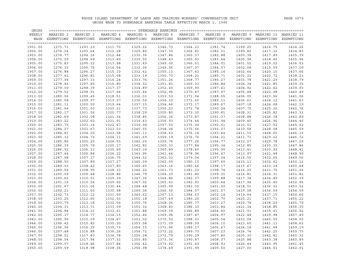# RHODE ISLAND DEPARTMENT OF LABOR AND TRAINING WORKERS' COMPENSATION UNIT PAGE 0079 GROSS WAGE TO SPENDABLE EARNINGS TABLE EFFECTIVE MARCH 1, 1996

| GROSS   |           |                                                                                                                    |           |           |           |           |           |         |                                 |         |
|---------|-----------|--------------------------------------------------------------------------------------------------------------------|-----------|-----------|-----------|-----------|-----------|---------|---------------------------------|---------|
| WEEKLY  | MARRIED 2 | MARRIED 3                                                                                                          | MARRIED 4 | MARRIED 5 | MARRIED 6 | MARRIED 7 | MARRIED 8 |         | MARRIED 9 MARRIED 10 MARRIED 11 |         |
|         |           | WAGE EXEMPTIONS EXEMPTIONS EXEMPTIONS EXEMPTIONS EXEMPTIONS EXEMPTIONS EXEMPTIONS EXEMPTIONS EXEMPTIONS EXEMPTIONS |           |           |           |           |           |         |                                 |         |
|         |           |                                                                                                                    |           |           |           |           |           |         |                                 |         |
| 1901.00 | 1273.71   | 1293.10                                                                                                            | 1311.70   | 1329.22   | 1346.73   | 1364.23   | 1381.74   | 1399.25 | 1416.75                         | 1434.26 |
| 1902.00 | 1274.24   | 1293.64                                                                                                            | 1312.28   | 1329.80   | 1347.30   | 1364.81   | 1382.31   | 1399.82 | 1417.32                         | 1434.83 |
| 1903.00 | 1274.77   | 1294.16                                                                                                            | 1312.84   | 1330.36   | 1347.86   | 1365.37   | 1382.88   | 1400.38 | 1417.89                         | 1435.39 |
| 1904.00 | 1275.29   | 1294.69                                                                                                            | 1313.40   | 1330.92   | 1348.43   | 1365.93   | 1383.44   | 1400.94 | 1418.45                         | 1435.96 |
| 1905.00 | 1275.83   | 1295.22                                                                                                            | 1313.98   | 1331.49   | 1349.00   | 1366.51   | 1384.01   | 1401.52 | 1419.02                         | 1436.53 |
| 1906.00 | 1276.35   | 1295.75                                                                                                            | 1314.54   | 1332.06   | 1349.56   | 1367.07   | 1384.57   | 1402.08 | 1419.59                         | 1437.09 |
| 1907.00 | 1276.88   | 1296.27                                                                                                            | 1315.10   | 1332.62   | 1350.13   | 1367.63   | 1385.14   | 1402.64 | 1420.15                         | 1437.66 |
| 1908.00 | 1277.41   | 1296.81                                                                                                            | 1315.68   | 1333.19   | 1350.70   | 1368.21   | 1385.71   | 1403.22 | 1420.72                         | 1438.23 |
| 1909.00 | 1277.94   | 1297.33                                                                                                            | 1316.24   | 1333.76   | 1351.26   | 1368.77   | 1386.27   | 1403.78 | 1421.29                         | 1438.79 |
| 1910.00 | 1278.46   | 1297.85                                                                                                            | 1316.80   | 1334.32   | 1351.83   | 1369.33   | 1386.84   | 1404.34 | 1421.85                         | 1439.35 |
| 1911.00 | 1279.00   | 1298.39                                                                                                            | 1317.37   | 1334.89   | 1352.40   | 1369.90   | 1387.41   | 1404.92 | 1422.42                         | 1439.93 |
| 1912.00 | 1279.52   | 1298.91                                                                                                            | 1317.94   | 1335.46   | 1352.96   | 1370.47   | 1387.97   | 1405.48 | 1422.98                         | 1440.49 |
| 1913.00 | 1280.06   | 1299.45                                                                                                            | 1318.51   | 1336.03   | 1353.53   | 1371.04   | 1388.55   | 1406.05 | 1423.56                         | 1441.06 |
| 1914.00 | 1280.58   | 1299.97                                                                                                            | 1319.07   | 1336.59   | 1354.10   | 1371.60   | 1389.11   | 1406.61 | 1424.12                         | 1441.63 |
| 1915.00 | 1281.11   | 1300.50                                                                                                            | 1319.64   | 1337.15   | 1354.66   | 1372.17   | 1389.67   | 1407.18 | 1424.68                         | 1442.19 |
| 1916.00 | 1281.64   | 1301.03                                                                                                            | 1320.21   | 1337.73   | 1355.23   | 1372.74   | 1390.24   | 1407.75 | 1425.26                         | 1442.76 |
| 1917.00 | 1282.17   | 1301.56                                                                                                            | 1320.77   | 1338.29   | 1355.80   | 1373.30   | 1390.81   | 1408.31 | 1425.82                         | 1443.33 |
| 1918.00 | 1282.69   | 1302.08                                                                                                            | 1321.34   | 1338.85   | 1356.36   | 1373.87   | 1391.37   | 1408.88 | 1426.38                         | 1443.89 |
| 1919.00 | 1283.22   | 1302.62                                                                                                            | 1321.91   | 1339.43   | 1356.93   | 1374.44   | 1391.94   | 1409.45 | 1426.96                         | 1444.46 |
| 1920.00 | 1283.75   | 1303.14                                                                                                            | 1322.47   | 1339.99   | 1357.50   | 1375.00   | 1392.51   | 1410.01 | 1427.52                         | 1445.02 |
| 1921.00 | 1284.27   | 1303.67                                                                                                            | 1323.03   | 1340.55   | 1358.06   | 1375.56   | 1393.07   | 1410.58 | 1428.08                         | 1445.59 |
| 1922.00 | 1284.81   | 1304.20                                                                                                            | 1323.58   | 1341.13   | 1358.63   | 1376.14   | 1393.64   | 1411.15 | 1428.65                         | 1446.16 |
| 1923.00 | 1285.33   | 1304.73                                                                                                            | 1324.11   | 1341.69   | 1359.19   | 1376.70   | 1394.21   | 1411.71 | 1429.22                         | 1446.72 |
| 1924.00 | 1285.86   | 1305.25                                                                                                            | 1324.63   | 1342.25   | 1359.76   | 1377.26   | 1394.77   | 1412.27 | 1429.78                         | 1447.29 |
| 1925.00 | 1286.39   | 1305.79                                                                                                            | 1325.17   | 1342.82   | 1360.33   | 1377.84   | 1395.34   | 1412.85 | 1430.35                         | 1447.86 |
| 1926.00 | 1286.92   | 1306.31                                                                                                            | 1325.69   | 1343.39   | 1360.89   | 1378.40   | 1395.90   | 1413.41 | 1430.92                         | 1448.42 |
| 1927.00 | 1287.44   | 1306.84                                                                                                            | 1326.22   | 1343.95   | 1361.46   | 1378.96   | 1396.47   | 1413.97 | 1431.48                         | 1448.99 |
| 1928.00 | 1287.98   | 1307.37                                                                                                            | 1326.75   | 1344.52   | 1362.03   | 1379.54   | 1397.04   | 1414.55 | 1432.05                         | 1449.56 |
| 1929.00 | 1288.50   | 1307.89                                                                                                            | 1327.27   | 1345.09   | 1362.59   | 1380.10   | 1397.60   | 1415.11 | 1432.62                         | 1450.12 |
| 1930.00 | 1289.03   | 1308.42                                                                                                            | 1327.80   | 1345.65   | 1363.16   | 1380.66   | 1398.17   | 1415.67 | 1433.18                         | 1450.68 |
| 1931.00 | 1289.56   | 1308.95                                                                                                            | 1328.33   | 1346.22   | 1363.73   | 1381.23   | 1398.74   | 1416.25 | 1433.75                         | 1451.26 |
| 1932.00 | 1290.09   | 1309.48                                                                                                            | 1328.86   | 1346.79   | 1364.29   | 1381.80   | 1399.30   | 1416.81 | 1434.31                         | 1451.82 |
| 1933.00 | 1290.62   | 1310.01                                                                                                            | 1329.39   | 1347.36   | 1364.86   | 1382.37   | 1399.88   | 1417.38 | 1434.89                         | 1452.39 |
| 1934.00 | 1291.15   | 1310.54                                                                                                            | 1329.92   | 1347.92   | 1365.43   | 1382.93   | 1400.44   | 1417.94 | 1435.45                         | 1452.96 |
| 1935.00 | 1291.67   | 1311.06                                                                                                            | 1330.44   | 1348.48   | 1365.99   | 1383.50   | 1401.00   | 1418.51 | 1436.01                         | 1453.52 |
| 1936.00 | 1292.21   | 1311.60                                                                                                            | 1330.98   | 1349.06   | 1366.56   | 1384.07   | 1401.57   | 1419.08 | 1436.59                         | 1454.09 |
| 1937.00 | 1292.73   | 1312.12                                                                                                            | 1331.50   | 1349.62   | 1367.13   | 1384.63   | 1402.14   | 1419.64 | 1437.15                         | 1454.66 |
| 1938.00 | 1293.25   | 1312.65                                                                                                            | 1332.03   | 1350.18   | 1367.69   | 1385.20   | 1402.70   | 1420.21 | 1437.71                         | 1455.22 |
| 1939.00 | 1293.79   | 1313.18                                                                                                            | 1332.56   | 1350.76   | 1368.26   | 1385.77   | 1403.27   | 1420.78 | 1438.29                         | 1455.79 |
| 1940.00 | 1294.31   | 1313.71                                                                                                            | 1333.09   | 1351.32   | 1368.83   | 1386.33   | 1403.84   | 1421.34 | 1438.85                         | 1456.35 |
| 1941.00 | 1294.84   | 1314.23                                                                                                            | 1333.61   | 1351.88   | 1369.39   | 1386.89   | 1404.40   | 1421.91 | 1439.41                         | 1456.92 |
| 1942.00 | 1295.37   | 1314.77                                                                                                            | 1334.15   | 1352.46   | 1369.96   | 1387.47   | 1404.97   | 1422.48 | 1439.98                         | 1457.49 |
| 1943.00 | 1295.90   | 1315.29                                                                                                            | 1334.67   | 1353.02   | 1370.52   | 1388.03   | 1405.54   | 1423.04 | 1440.55                         | 1458.05 |
| 1944.00 | 1296.42   | 1315.82                                                                                                            | 1335.20   | 1353.58   | 1371.09   | 1388.59   | 1406.10   | 1423.60 | 1441.11                         | 1458.62 |
| 1945.00 | 1296.96   | 1316.35                                                                                                            | 1335.73   | 1354.15   | 1371.66   | 1389.17   | 1406.67   | 1424.18 | 1441.68                         | 1459.19 |
| 1946.00 | 1297.48   | 1316.88                                                                                                            | 1336.26   | 1354.72   | 1372.22   | 1389.73   | 1407.23   | 1424.74 | 1442.25                         | 1459.75 |
| 1947.00 | 1298.01   | 1317.40                                                                                                            | 1336.78   | 1355.28   | 1372.79   | 1390.29   | 1407.80   | 1425.30 | 1442.81                         | 1460.32 |
| 1948.00 | 1298.54   | 1317.94                                                                                                            | 1337.32   | 1355.85   | 1373.36   | 1390.87   | 1408.37   | 1425.88 | 1443.38                         | 1460.89 |
| 1949.00 | 1299.07   | 1318.46                                                                                                            | 1337.84   | 1356.42   | 1373.92   | 1391.43   | 1408.93   | 1426.44 | 1443.95                         | 1461.45 |
| 1950.00 | 1299.59   | 1318.98                                                                                                            | 1338.36   | 1356.98   | 1374.49   | 1391.99   | 1409.50   | 1427.00 | 1444.51                         | 1462.01 |